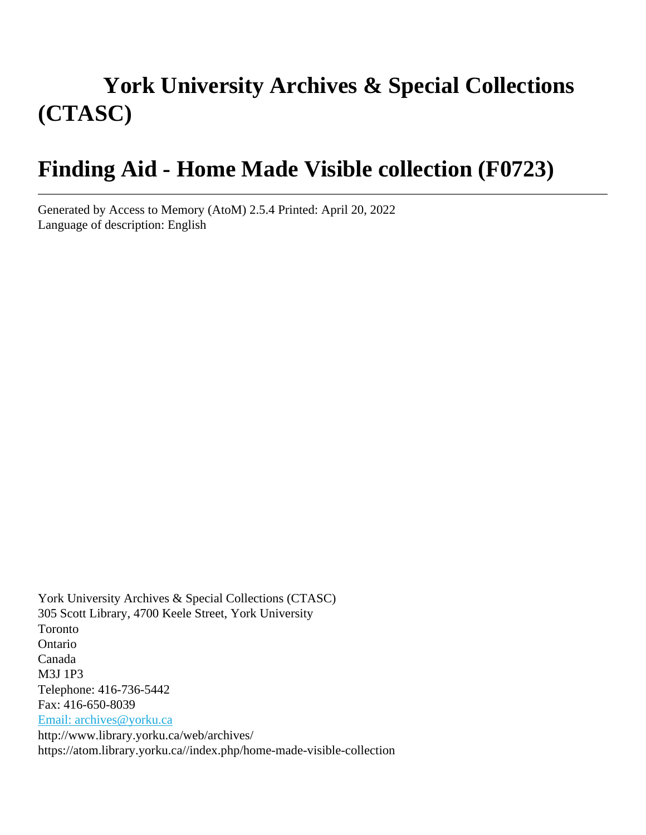# **York University Archives & Special Collections (CTASC)**

# **Finding Aid - Home Made Visible collection (F0723)**

Generated by Access to Memory (AtoM) 2.5.4 Printed: April 20, 2022 Language of description: English

York University Archives & Special Collections (CTASC) 305 Scott Library, 4700 Keele Street, York University Toronto Ontario Canada M3J 1P3 Telephone: 416-736-5442 Fax: 416-650-8039 [Email: archives@yorku.ca](mailto:Email:%20archives@yorku.ca) http://www.library.yorku.ca/web/archives/ https://atom.library.yorku.ca//index.php/home-made-visible-collection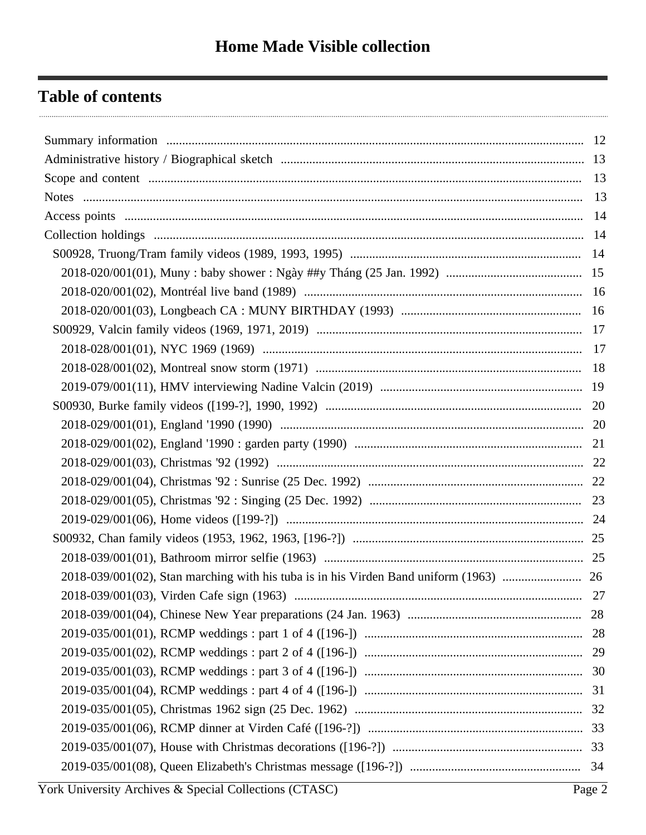## **Table of contents**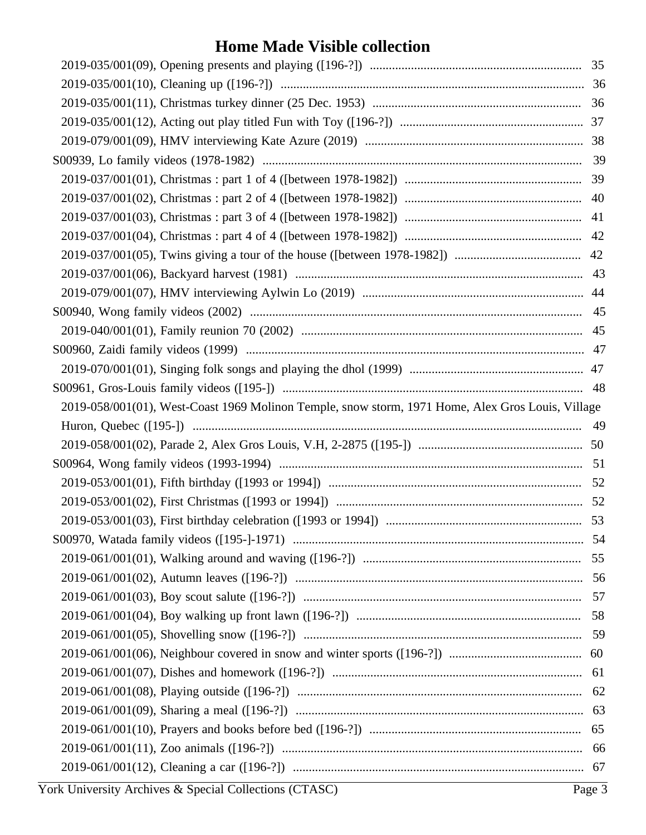| 2019-058/001(01), West-Coast 1969 Molinon Temple, snow storm, 1971 Home, Alex Gros Louis, Village |        |
|---------------------------------------------------------------------------------------------------|--------|
|                                                                                                   |        |
|                                                                                                   |        |
|                                                                                                   |        |
|                                                                                                   |        |
|                                                                                                   |        |
|                                                                                                   |        |
|                                                                                                   |        |
|                                                                                                   |        |
|                                                                                                   |        |
|                                                                                                   |        |
|                                                                                                   |        |
|                                                                                                   |        |
|                                                                                                   |        |
|                                                                                                   |        |
|                                                                                                   |        |
|                                                                                                   |        |
|                                                                                                   |        |
|                                                                                                   |        |
|                                                                                                   |        |
| York University Archives & Special Collections (CTASC)                                            | Page 3 |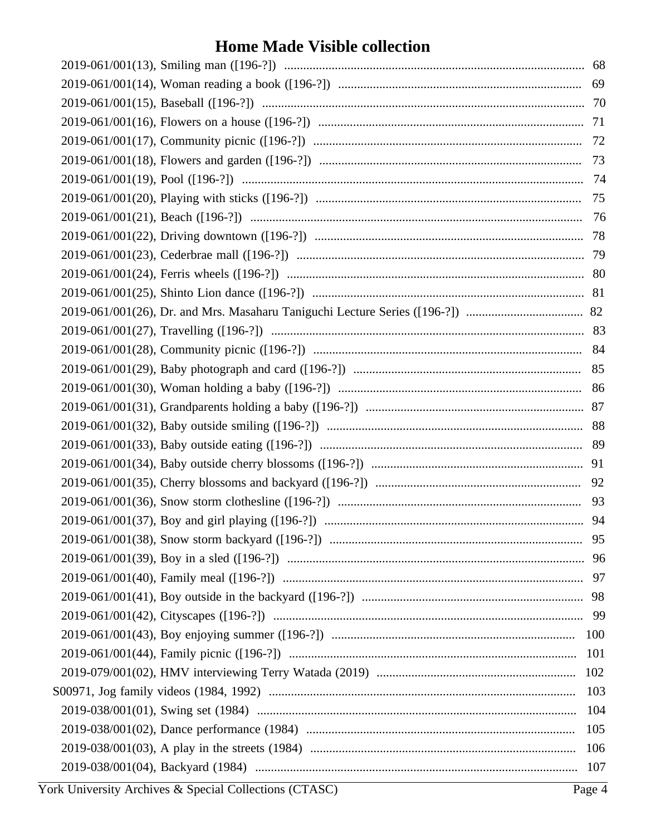|  | 101 |
|--|-----|
|  | 102 |
|  | 103 |
|  | 104 |
|  | 105 |
|  | 106 |
|  | 107 |
|  |     |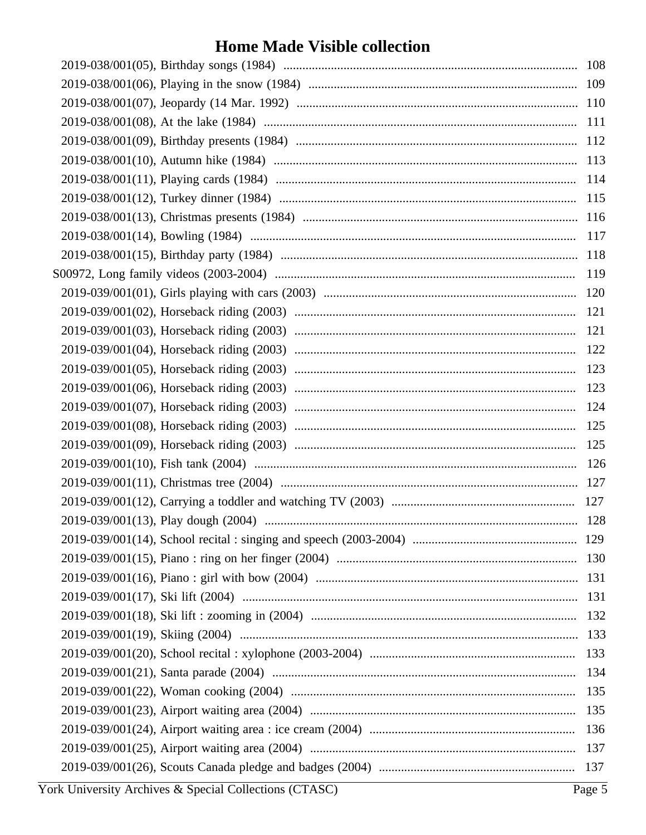|  | 109        |
|--|------------|
|  |            |
|  | <b>111</b> |
|  |            |
|  | 113        |
|  | 114        |
|  | 115        |
|  |            |
|  | 117        |
|  | 118        |
|  | 119        |
|  |            |
|  | 121        |
|  | 121        |
|  | 122        |
|  |            |
|  | 123        |
|  |            |
|  | 125        |
|  |            |
|  |            |
|  |            |
|  |            |
|  |            |
|  |            |
|  | 130        |
|  |            |
|  | 131        |
|  | 132        |
|  |            |
|  | 133        |
|  | 134        |
|  | 135        |
|  | 135        |
|  | 136        |
|  | 137        |
|  |            |
|  |            |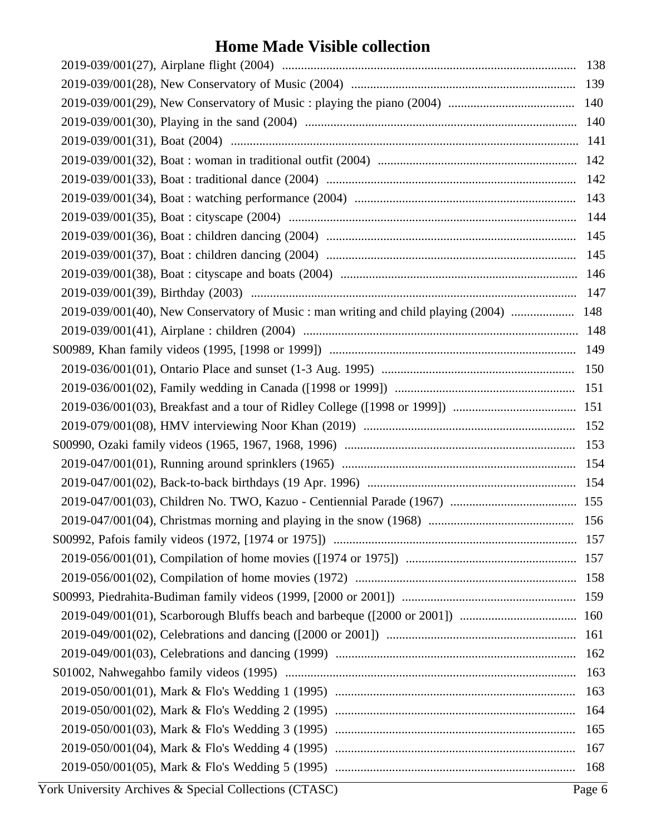| 143                                                                                     |     |
|-----------------------------------------------------------------------------------------|-----|
|                                                                                         |     |
|                                                                                         |     |
|                                                                                         |     |
|                                                                                         |     |
|                                                                                         |     |
| 2019-039/001(40), New Conservatory of Music : man writing and child playing (2004)  148 |     |
|                                                                                         |     |
|                                                                                         |     |
|                                                                                         |     |
|                                                                                         |     |
|                                                                                         |     |
|                                                                                         |     |
|                                                                                         |     |
|                                                                                         |     |
|                                                                                         |     |
|                                                                                         |     |
|                                                                                         |     |
|                                                                                         |     |
|                                                                                         |     |
|                                                                                         |     |
|                                                                                         |     |
|                                                                                         |     |
|                                                                                         |     |
|                                                                                         |     |
| 163                                                                                     |     |
| 163                                                                                     |     |
| 164                                                                                     |     |
| 165                                                                                     |     |
| 167                                                                                     |     |
|                                                                                         | 168 |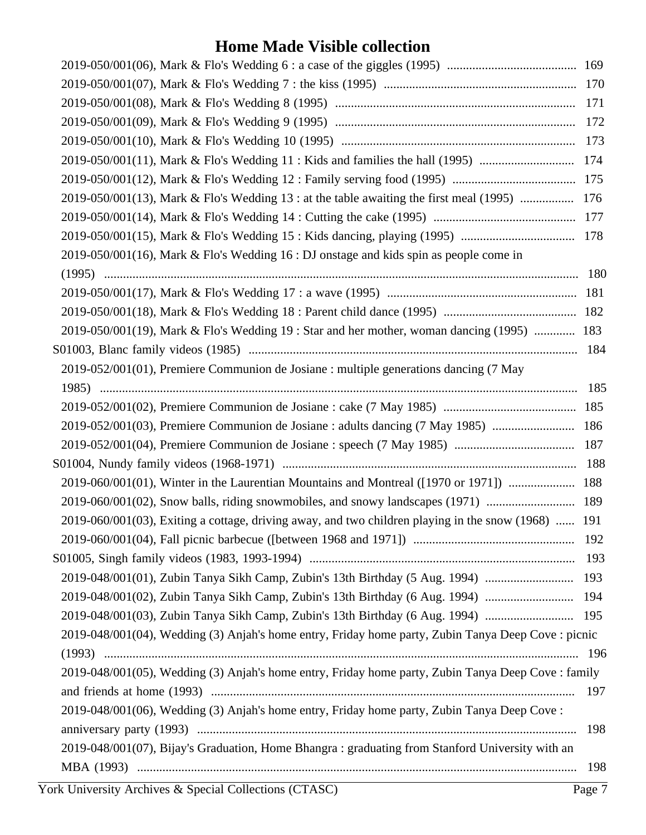|                                                                                                     | 171 |
|-----------------------------------------------------------------------------------------------------|-----|
|                                                                                                     | 172 |
|                                                                                                     | 173 |
| 2019-050/001(11), Mark & Flo's Wedding 11 : Kids and families the hall (1995)                       | 174 |
|                                                                                                     | 175 |
| 2019-050/001(13), Mark & Flo's Wedding 13 : at the table awaiting the first meal (1995)             | 176 |
|                                                                                                     |     |
|                                                                                                     | 178 |
| $2019-050/001(16)$ , Mark & Flo's Wedding 16 : DJ onstage and kids spin as people come in           |     |
|                                                                                                     | 180 |
|                                                                                                     |     |
|                                                                                                     |     |
| 2019-050/001(19), Mark & Flo's Wedding 19 : Star and her mother, woman dancing (1995)  183          |     |
|                                                                                                     | 184 |
| 2019-052/001(01), Premiere Communion de Josiane : multiple generations dancing (7 May               |     |
|                                                                                                     | 185 |
|                                                                                                     |     |
| 2019-052/001(03), Premiere Communion de Josiane : adults dancing (7 May 1985)                       | 186 |
|                                                                                                     | 187 |
|                                                                                                     | 188 |
| 2019-060/001(01), Winter in the Laurentian Mountains and Montreal ([1970 or 1971])  188             |     |
| 2019-060/001(02), Snow balls, riding snowmobiles, and snowy landscapes (1971)  189                  |     |
| 2019-060/001(03), Exiting a cottage, driving away, and two children playing in the snow (1968)  191 |     |
|                                                                                                     |     |
|                                                                                                     |     |
| 2019-048/001(01), Zubin Tanya Sikh Camp, Zubin's 13th Birthday (5 Aug. 1994)  193                   |     |
| 2019-048/001(02), Zubin Tanya Sikh Camp, Zubin's 13th Birthday (6 Aug. 1994)  194                   |     |
| 2019-048/001(03), Zubin Tanya Sikh Camp, Zubin's 13th Birthday (6 Aug. 1994)  195                   |     |
| 2019-048/001(04), Wedding (3) Anjah's home entry, Friday home party, Zubin Tanya Deep Cove : picnic |     |
|                                                                                                     |     |
| 2019-048/001(05), Wedding (3) Anjah's home entry, Friday home party, Zubin Tanya Deep Cove : family |     |
|                                                                                                     |     |
| 2019-048/001(06), Wedding (3) Anjah's home entry, Friday home party, Zubin Tanya Deep Cove:         |     |
|                                                                                                     | 198 |
| 2019-048/001(07), Bijay's Graduation, Home Bhangra: graduating from Stanford University with an     |     |
|                                                                                                     | 198 |
|                                                                                                     |     |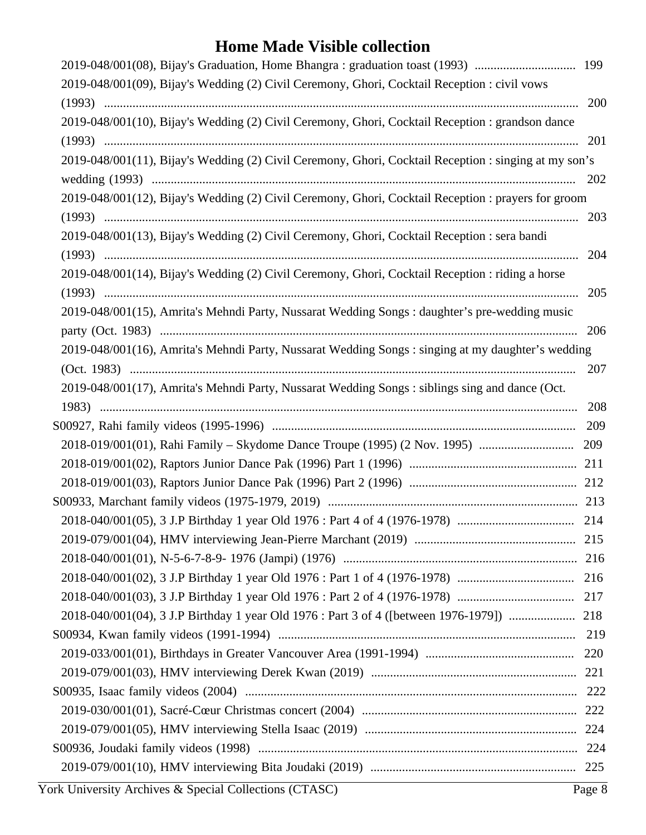| 2019-048/001(08), Bijay's Graduation, Home Bhangra: graduation toast (1993)  199                      |     |
|-------------------------------------------------------------------------------------------------------|-----|
| 2019-048/001(09), Bijay's Wedding (2) Civil Ceremony, Ghori, Cocktail Reception : civil vows          |     |
|                                                                                                       | 200 |
| 2019-048/001(10), Bijay's Wedding (2) Civil Ceremony, Ghori, Cocktail Reception : grandson dance      |     |
|                                                                                                       | 201 |
| 2019-048/001(11), Bijay's Wedding (2) Civil Ceremony, Ghori, Cocktail Reception : singing at my son's |     |
|                                                                                                       | 202 |
| 2019-048/001(12), Bijay's Wedding (2) Civil Ceremony, Ghori, Cocktail Reception : prayers for groom   |     |
|                                                                                                       |     |
| 2019-048/001(13), Bijay's Wedding (2) Civil Ceremony, Ghori, Cocktail Reception : sera bandi          |     |
|                                                                                                       | 204 |
| 2019-048/001(14), Bijay's Wedding (2) Civil Ceremony, Ghori, Cocktail Reception : riding a horse      |     |
|                                                                                                       | 205 |
| 2019-048/001(15), Amrita's Mehndi Party, Nussarat Wedding Songs: daughter's pre-wedding music         |     |
|                                                                                                       | 206 |
| 2019-048/001(16), Amrita's Mehndi Party, Nussarat Wedding Songs: singing at my daughter's wedding     |     |
|                                                                                                       | 207 |
| 2019-048/001(17), Amrita's Mehndi Party, Nussarat Wedding Songs: siblings sing and dance (Oct.        |     |
|                                                                                                       |     |
|                                                                                                       |     |
|                                                                                                       |     |
|                                                                                                       |     |
|                                                                                                       |     |
|                                                                                                       |     |
|                                                                                                       |     |
|                                                                                                       |     |
|                                                                                                       |     |
|                                                                                                       |     |
|                                                                                                       |     |
|                                                                                                       |     |
|                                                                                                       |     |
|                                                                                                       |     |
|                                                                                                       |     |
|                                                                                                       |     |
|                                                                                                       |     |
|                                                                                                       |     |
|                                                                                                       |     |
|                                                                                                       |     |
| York University Archives & Special Collections (CTASC)<br>Page 8                                      |     |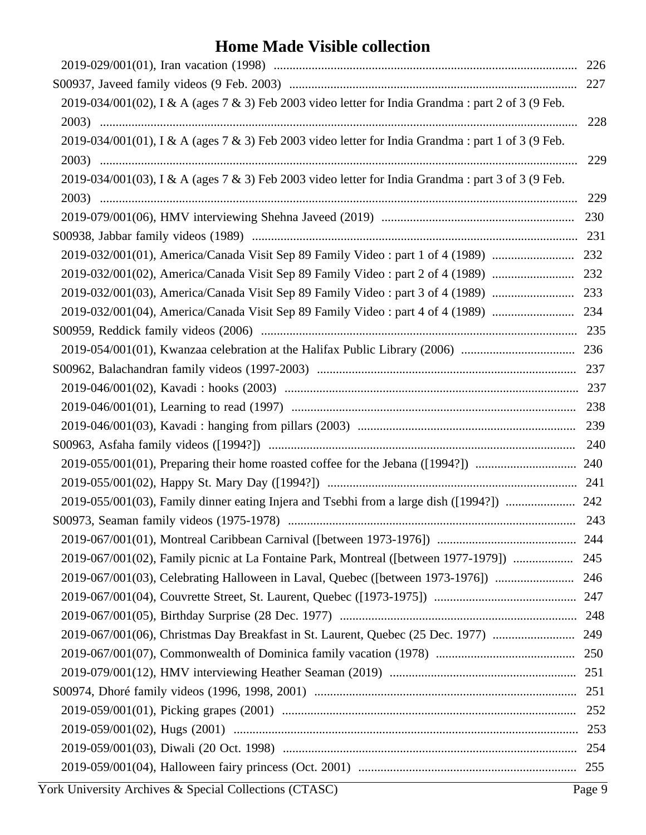| 2019-034/001(02), I & A (ages 7 & 3) Feb 2003 video letter for India Grandma: part 2 of 3 (9 Feb. |     |
|---------------------------------------------------------------------------------------------------|-----|
|                                                                                                   | 228 |
| 2019-034/001(01), I & A (ages 7 & 3) Feb 2003 video letter for India Grandma: part 1 of 3 (9 Feb. |     |
|                                                                                                   | 229 |
| 2019-034/001(03), I & A (ages 7 & 3) Feb 2003 video letter for India Grandma: part 3 of 3 (9 Feb. |     |
|                                                                                                   | 229 |
|                                                                                                   |     |
|                                                                                                   |     |
|                                                                                                   |     |
|                                                                                                   |     |
|                                                                                                   |     |
|                                                                                                   |     |
|                                                                                                   |     |
|                                                                                                   |     |
|                                                                                                   |     |
|                                                                                                   |     |
|                                                                                                   |     |
|                                                                                                   |     |
|                                                                                                   |     |
|                                                                                                   |     |
|                                                                                                   |     |
| 2019-055/001(03), Family dinner eating Injera and Tsebhi from a large dish ([1994?])  242         |     |
|                                                                                                   |     |
|                                                                                                   |     |
| 2019-067/001(02), Family picnic at La Fontaine Park, Montreal ([between 1977-1979])  245          |     |
|                                                                                                   |     |
|                                                                                                   |     |
|                                                                                                   |     |
|                                                                                                   |     |
|                                                                                                   |     |
|                                                                                                   |     |
|                                                                                                   |     |
|                                                                                                   |     |
|                                                                                                   |     |
|                                                                                                   |     |
|                                                                                                   |     |
|                                                                                                   |     |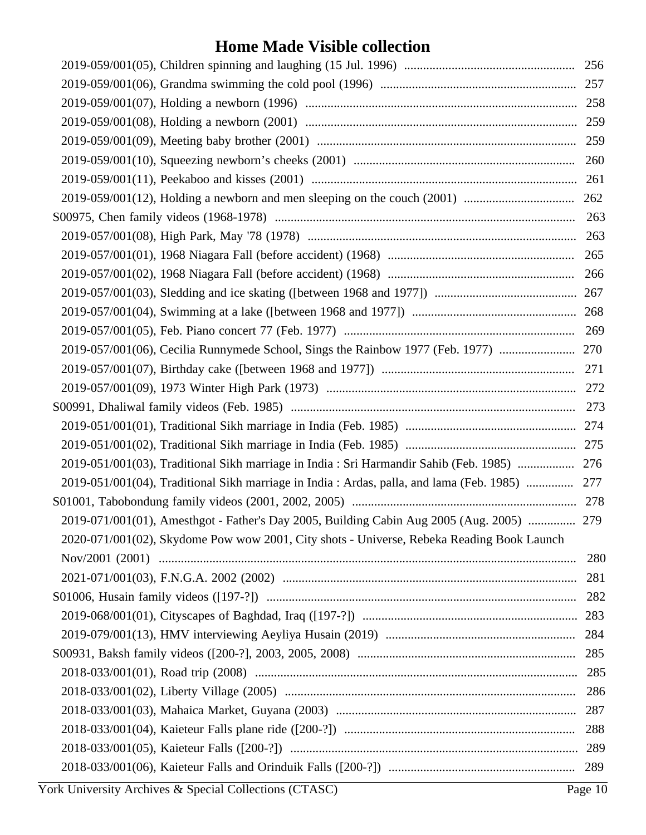| 2019-051/001(03), Traditional Sikh marriage in India : Sri Harmandir Sahib (Feb. 1985)  276    |     |
|------------------------------------------------------------------------------------------------|-----|
| 2019-051/001(04), Traditional Sikh marriage in India : Ardas, palla, and lama (Feb. 1985)  277 |     |
|                                                                                                |     |
| 2019-071/001(01), Amesthgot - Father's Day 2005, Building Cabin Aug 2005 (Aug. 2005)  279      |     |
| 2020-071/001(02), Skydome Pow wow 2001, City shots - Universe, Rebeka Reading Book Launch      |     |
|                                                                                                | 280 |
|                                                                                                | 281 |
|                                                                                                | 282 |
|                                                                                                |     |
|                                                                                                |     |
|                                                                                                |     |
|                                                                                                | 285 |
|                                                                                                | 286 |
|                                                                                                | 287 |
|                                                                                                | 288 |
|                                                                                                |     |
|                                                                                                |     |
|                                                                                                |     |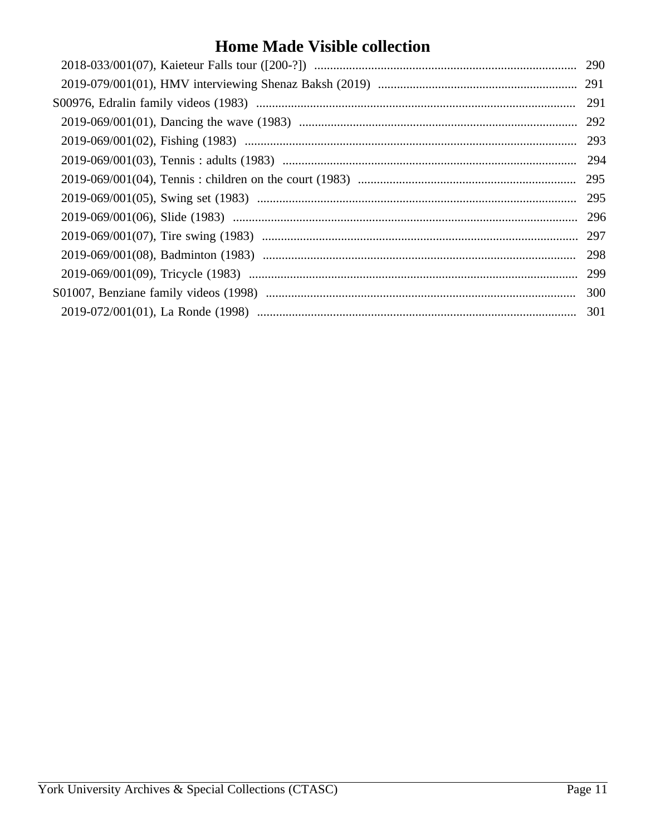| 290 |
|-----|
| 291 |
| 291 |
| 292 |
| 293 |
| 294 |
| 295 |
| 295 |
| 296 |
| 297 |
| 298 |
| 299 |
| 300 |
| 301 |
|     |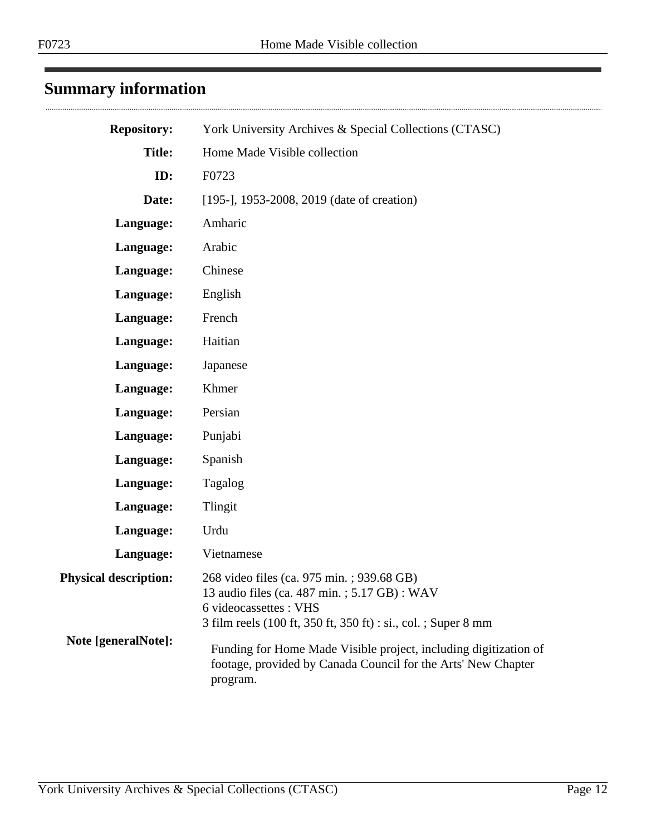## <span id="page-11-0"></span>**Summary information**

| <b>Repository:</b>           | York University Archives & Special Collections (CTASC)                                                                                                                               |
|------------------------------|--------------------------------------------------------------------------------------------------------------------------------------------------------------------------------------|
| <b>Title:</b>                | Home Made Visible collection                                                                                                                                                         |
| ID:                          | F0723                                                                                                                                                                                |
| Date:                        | [195-], 1953-2008, 2019 (date of creation)                                                                                                                                           |
| Language:                    | Amharic                                                                                                                                                                              |
| Language:                    | Arabic                                                                                                                                                                               |
| Language:                    | Chinese                                                                                                                                                                              |
| Language:                    | English                                                                                                                                                                              |
| Language:                    | French                                                                                                                                                                               |
| Language:                    | Haitian                                                                                                                                                                              |
| Language:                    | Japanese                                                                                                                                                                             |
| Language:                    | Khmer                                                                                                                                                                                |
| Language:                    | Persian                                                                                                                                                                              |
| Language:                    | Punjabi                                                                                                                                                                              |
| Language:                    | Spanish                                                                                                                                                                              |
| Language:                    | Tagalog                                                                                                                                                                              |
| Language:                    | Tlingit                                                                                                                                                                              |
| Language:                    | Urdu                                                                                                                                                                                 |
| Language:                    | Vietnamese                                                                                                                                                                           |
| <b>Physical description:</b> | 268 video files (ca. 975 min.; 939.68 GB)<br>13 audio files (ca. 487 min.; 5.17 GB): WAV<br>6 videocassettes : VHS<br>3 film reels (100 ft, 350 ft, 350 ft) : si., col. ; Super 8 mm |
| Note [generalNote]:          | Funding for Home Made Visible project, including digitization of<br>footage, provided by Canada Council for the Arts' New Chapter<br>program.                                        |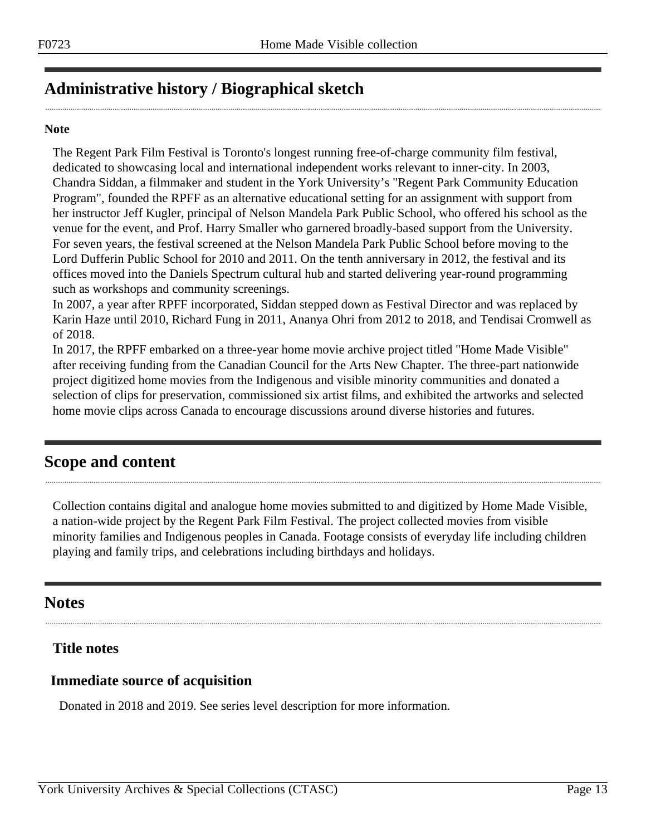## <span id="page-12-0"></span>**Administrative history / Biographical sketch**

#### **Note**

The Regent Park Film Festival is Toronto's longest running free-of-charge community film festival, dedicated to showcasing local and international independent works relevant to inner-city. In 2003, Chandra Siddan, a filmmaker and student in the York University's "Regent Park Community Education Program", founded the RPFF as an alternative educational setting for an assignment with support from her instructor Jeff Kugler, principal of Nelson Mandela Park Public School, who offered his school as the venue for the event, and Prof. Harry Smaller who garnered broadly-based support from the University. For seven years, the festival screened at the Nelson Mandela Park Public School before moving to the Lord Dufferin Public School for 2010 and 2011. On the tenth anniversary in 2012, the festival and its offices moved into the Daniels Spectrum cultural hub and started delivering year-round programming such as workshops and community screenings.

In 2007, a year after RPFF incorporated, Siddan stepped down as Festival Director and was replaced by Karin Haze until 2010, Richard Fung in 2011, Ananya Ohri from 2012 to 2018, and Tendisai Cromwell as of 2018.

In 2017, the RPFF embarked on a three-year home movie archive project titled "Home Made Visible" after receiving funding from the Canadian Council for the Arts New Chapter. The three-part nationwide project digitized home movies from the Indigenous and visible minority communities and donated a selection of clips for preservation, commissioned six artist films, and exhibited the artworks and selected home movie clips across Canada to encourage discussions around diverse histories and futures.

## <span id="page-12-1"></span>**Scope and content**

Collection contains digital and analogue home movies submitted to and digitized by Home Made Visible, a nation-wide project by the Regent Park Film Festival. The project collected movies from visible minority families and Indigenous peoples in Canada. Footage consists of everyday life including children playing and family trips, and celebrations including birthdays and holidays.

## <span id="page-12-2"></span>**Notes**

## **Title notes**

## **Immediate source of acquisition**

Donated in 2018 and 2019. See series level description for more information.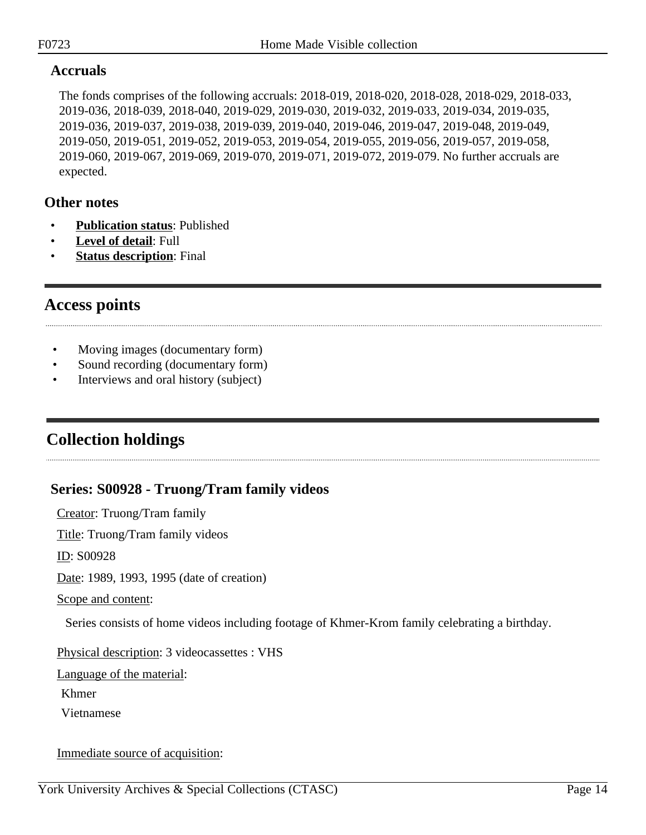## **Accruals**

The fonds comprises of the following accruals: 2018-019, 2018-020, 2018-028, 2018-029, 2018-033, 2019-036, 2018-039, 2018-040, 2019-029, 2019-030, 2019-032, 2019-033, 2019-034, 2019-035, 2019-036, 2019-037, 2019-038, 2019-039, 2019-040, 2019-046, 2019-047, 2019-048, 2019-049, 2019-050, 2019-051, 2019-052, 2019-053, 2019-054, 2019-055, 2019-056, 2019-057, 2019-058, 2019-060, 2019-067, 2019-069, 2019-070, 2019-071, 2019-072, 2019-079. No further accruals are expected.

### **Other notes**

- **Publication status**: Published
- **Level of detail**: Full
- **Status description:** Final

## <span id="page-13-0"></span>**Access points**

- Moving images (documentary form)
- Sound recording (documentary form)
- Interviews and oral history (subject)

## <span id="page-13-1"></span>**Collection holdings**

## <span id="page-13-2"></span>**Series: S00928 - Truong/Tram family videos**

Creator: Truong/Tram family

Title: Truong/Tram family videos

ID: S00928

Date: 1989, 1993, 1995 (date of creation)

Scope and content:

Series consists of home videos including footage of Khmer-Krom family celebrating a birthday.

Physical description: 3 videocassettes : VHS

Language of the material:

Khmer

Vietnamese

Immediate source of acquisition: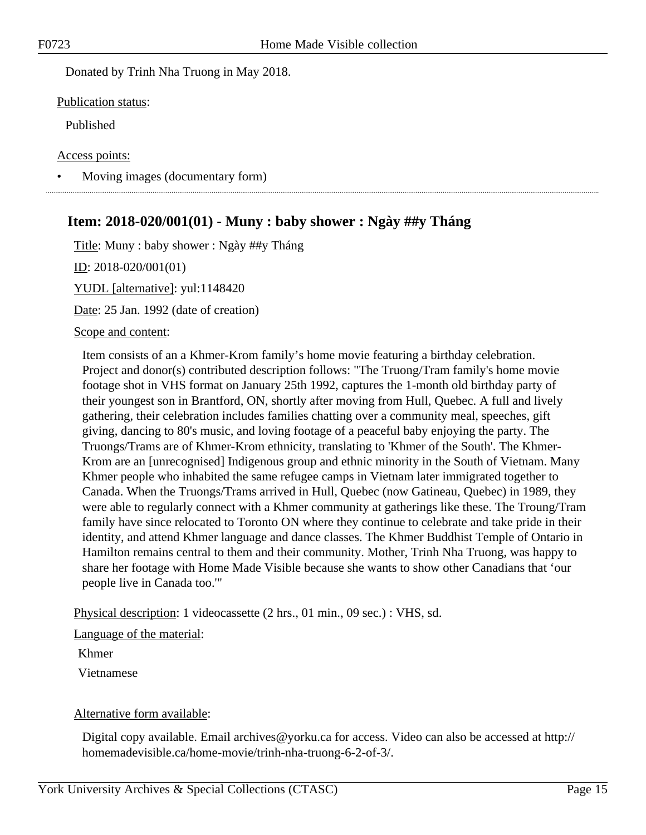Donated by Trinh Nha Truong in May 2018.

Publication status:

Published

Access points:

• Moving images (documentary form)

## <span id="page-14-0"></span>**Item: 2018-020/001(01) - Muny : baby shower : Ngày ##y Tháng**

Title: Muny : baby shower : Ngày ##y Tháng

ID: 2018-020/001(01)

YUDL [alternative]: yul:1148420

Date: 25 Jan. 1992 (date of creation)

Scope and content:

Item consists of an a Khmer-Krom family's home movie featuring a birthday celebration. Project and donor(s) contributed description follows: "The Truong/Tram family's home movie footage shot in VHS format on January 25th 1992, captures the 1-month old birthday party of their youngest son in Brantford, ON, shortly after moving from Hull, Quebec. A full and lively gathering, their celebration includes families chatting over a community meal, speeches, gift giving, dancing to 80's music, and loving footage of a peaceful baby enjoying the party. The Truongs/Trams are of Khmer-Krom ethnicity, translating to 'Khmer of the South'. The Khmer-Krom are an [unrecognised] Indigenous group and ethnic minority in the South of Vietnam. Many Khmer people who inhabited the same refugee camps in Vietnam later immigrated together to Canada. When the Truongs/Trams arrived in Hull, Quebec (now Gatineau, Quebec) in 1989, they were able to regularly connect with a Khmer community at gatherings like these. The Troung/Tram family have since relocated to Toronto ON where they continue to celebrate and take pride in their identity, and attend Khmer language and dance classes. The Khmer Buddhist Temple of Ontario in Hamilton remains central to them and their community. Mother, Trinh Nha Truong, was happy to share her footage with Home Made Visible because she wants to show other Canadians that 'our people live in Canada too.'"

Physical description: 1 videocassette (2 hrs., 01 min., 09 sec.) : VHS, sd.

Language of the material:

Khmer

Vietnamese

#### Alternative form available:

Digital copy available. Email archives@yorku.ca for access. Video can also be accessed at http:// homemadevisible.ca/home-movie/trinh-nha-truong-6-2-of-3/.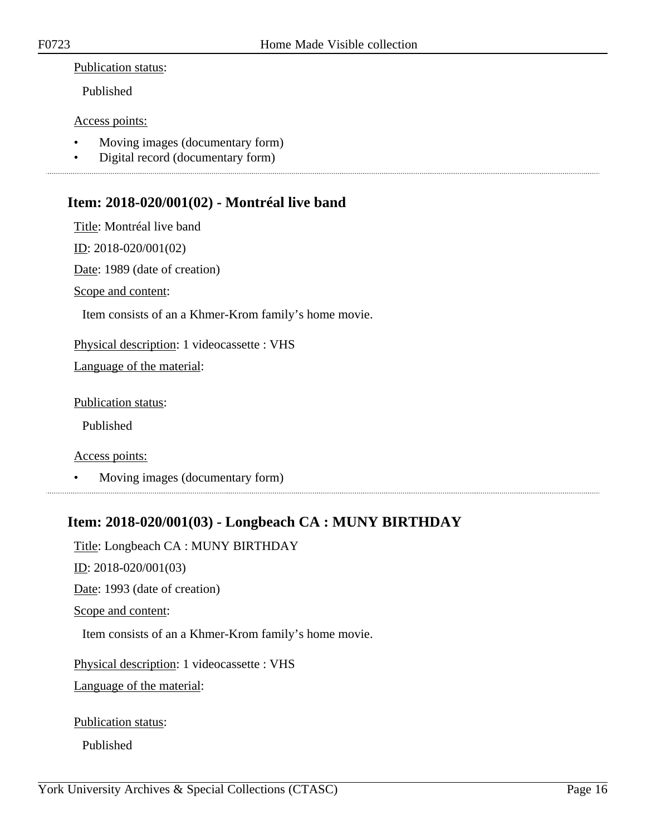#### Publication status:

Published

#### Access points:

- Moving images (documentary form)
- Digital record (documentary form)

## <span id="page-15-0"></span>**Item: 2018-020/001(02) - Montréal live band**

Title: Montréal live band

ID: 2018-020/001(02)

Date: 1989 (date of creation)

Scope and content:

Item consists of an a Khmer-Krom family's home movie.

Physical description: 1 videocassette : VHS

Language of the material:

Publication status:

Published

Access points:

• Moving images (documentary form)

## <span id="page-15-1"></span>**Item: 2018-020/001(03) - Longbeach CA : MUNY BIRTHDAY**

Title: Longbeach CA : MUNY BIRTHDAY

ID: 2018-020/001(03)

Date: 1993 (date of creation)

Scope and content:

Item consists of an a Khmer-Krom family's home movie.

Physical description: 1 videocassette : VHS

Language of the material:

Publication status:

Published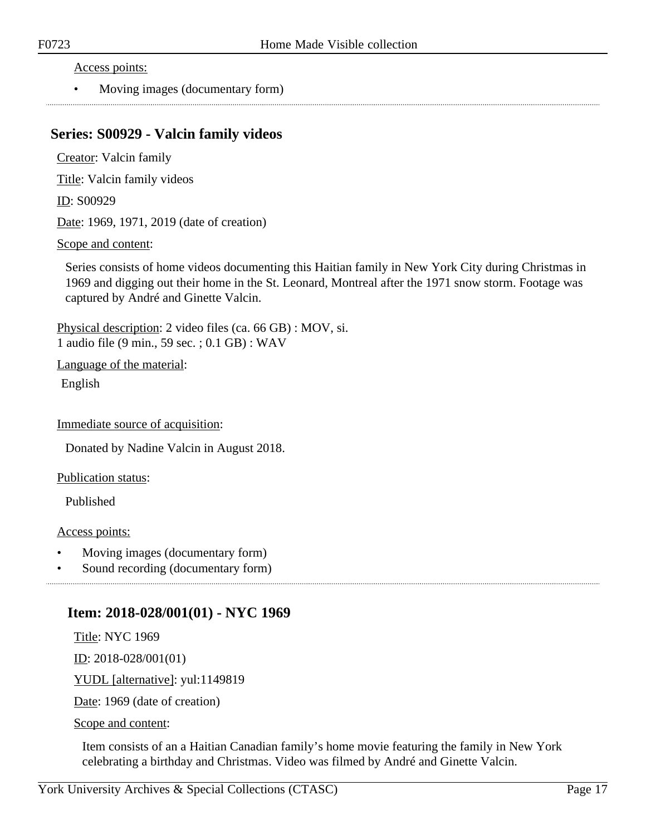Access points:

• Moving images (documentary form)

## <span id="page-16-0"></span>**Series: S00929 - Valcin family videos**

Creator: Valcin family

Title: Valcin family videos

ID: S00929

Date: 1969, 1971, 2019 (date of creation)

#### Scope and content:

Series consists of home videos documenting this Haitian family in New York City during Christmas in 1969 and digging out their home in the St. Leonard, Montreal after the 1971 snow storm. Footage was captured by André and Ginette Valcin.

Physical description: 2 video files (ca. 66 GB) : MOV, si. 1 audio file (9 min., 59 sec. ; 0.1 GB) : WAV

Language of the material:

English

Immediate source of acquisition:

Donated by Nadine Valcin in August 2018.

Publication status:

Published

Access points:

- Moving images (documentary form)
- Sound recording (documentary form)

### <span id="page-16-1"></span>**Item: 2018-028/001(01) - NYC 1969**

Title: NYC 1969

ID: 2018-028/001(01)

YUDL [alternative]: yul:1149819

Date: 1969 (date of creation)

Scope and content:

Item consists of an a Haitian Canadian family's home movie featuring the family in New York celebrating a birthday and Christmas. Video was filmed by André and Ginette Valcin.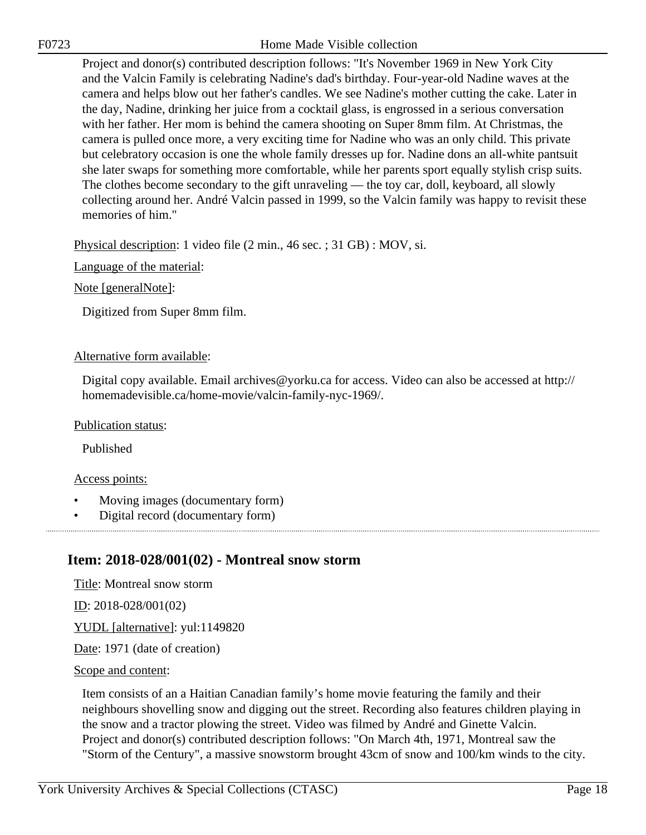Project and donor(s) contributed description follows: "It's November 1969 in New York City and the Valcin Family is celebrating Nadine's dad's birthday. Four-year-old Nadine waves at the camera and helps blow out her father's candles. We see Nadine's mother cutting the cake. Later in the day, Nadine, drinking her juice from a cocktail glass, is engrossed in a serious conversation with her father. Her mom is behind the camera shooting on Super 8mm film. At Christmas, the camera is pulled once more, a very exciting time for Nadine who was an only child. This private but celebratory occasion is one the whole family dresses up for. Nadine dons an all-white pantsuit she later swaps for something more comfortable, while her parents sport equally stylish crisp suits. The clothes become secondary to the gift unraveling — the toy car, doll, keyboard, all slowly collecting around her. André Valcin passed in 1999, so the Valcin family was happy to revisit these memories of him."

Physical description: 1 video file (2 min., 46 sec. ; 31 GB) : MOV, si.

Language of the material:

Note [generalNote]:

Digitized from Super 8mm film.

#### Alternative form available:

Digital copy available. Email archives@yorku.ca for access. Video can also be accessed at http:// homemadevisible.ca/home-movie/valcin-family-nyc-1969/.

Publication status:

Published

#### Access points:

- Moving images (documentary form)
- Digital record (documentary form)

## <span id="page-17-0"></span>**Item: 2018-028/001(02) - Montreal snow storm**

Title: Montreal snow storm

ID: 2018-028/001(02)

YUDL [alternative]: yul:1149820

Date: 1971 (date of creation)

#### Scope and content:

Item consists of an a Haitian Canadian family's home movie featuring the family and their neighbours shovelling snow and digging out the street. Recording also features children playing in the snow and a tractor plowing the street. Video was filmed by André and Ginette Valcin. Project and donor(s) contributed description follows: "On March 4th, 1971, Montreal saw the "Storm of the Century", a massive snowstorm brought 43cm of snow and 100/km winds to the city.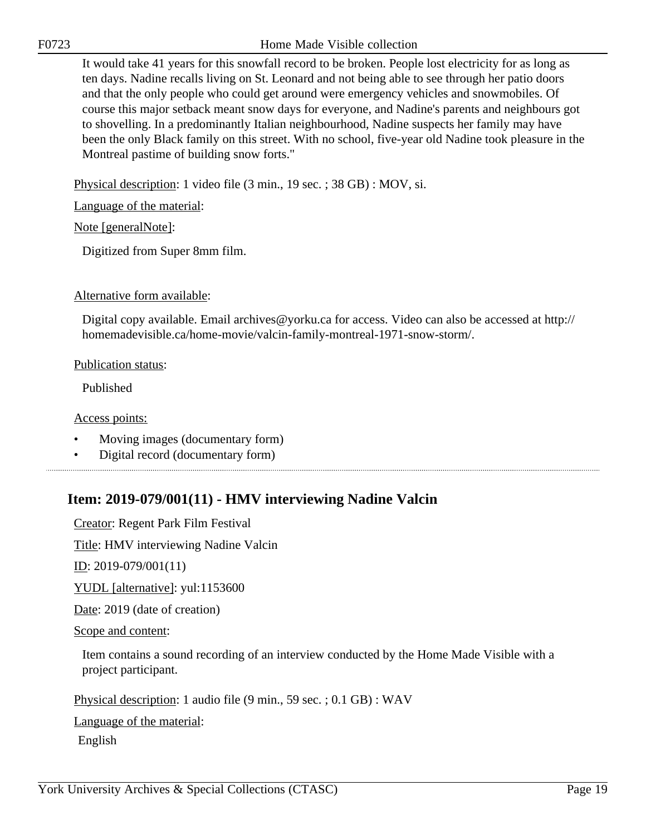It would take 41 years for this snowfall record to be broken. People lost electricity for as long as ten days. Nadine recalls living on St. Leonard and not being able to see through her patio doors and that the only people who could get around were emergency vehicles and snowmobiles. Of course this major setback meant snow days for everyone, and Nadine's parents and neighbours got to shovelling. In a predominantly Italian neighbourhood, Nadine suspects her family may have been the only Black family on this street. With no school, five-year old Nadine took pleasure in the Montreal pastime of building snow forts."

Physical description: 1 video file (3 min., 19 sec. ; 38 GB) : MOV, si.

Language of the material:

Note [generalNote]:

Digitized from Super 8mm film.

#### Alternative form available:

Digital copy available. Email archives@yorku.ca for access. Video can also be accessed at http:// homemadevisible.ca/home-movie/valcin-family-montreal-1971-snow-storm/.

#### Publication status:

Published

Access points:

- Moving images (documentary form)
- Digital record (documentary form)

## <span id="page-18-0"></span>**Item: 2019-079/001(11) - HMV interviewing Nadine Valcin**

Creator: Regent Park Film Festival

Title: HMV interviewing Nadine Valcin

<u>ID</u>: 2019-079/001(11)

YUDL [alternative]: yul:1153600

Date: 2019 (date of creation)

Scope and content:

Item contains a sound recording of an interview conducted by the Home Made Visible with a project participant.

Physical description: 1 audio file (9 min., 59 sec. ; 0.1 GB) : WAV

Language of the material:

English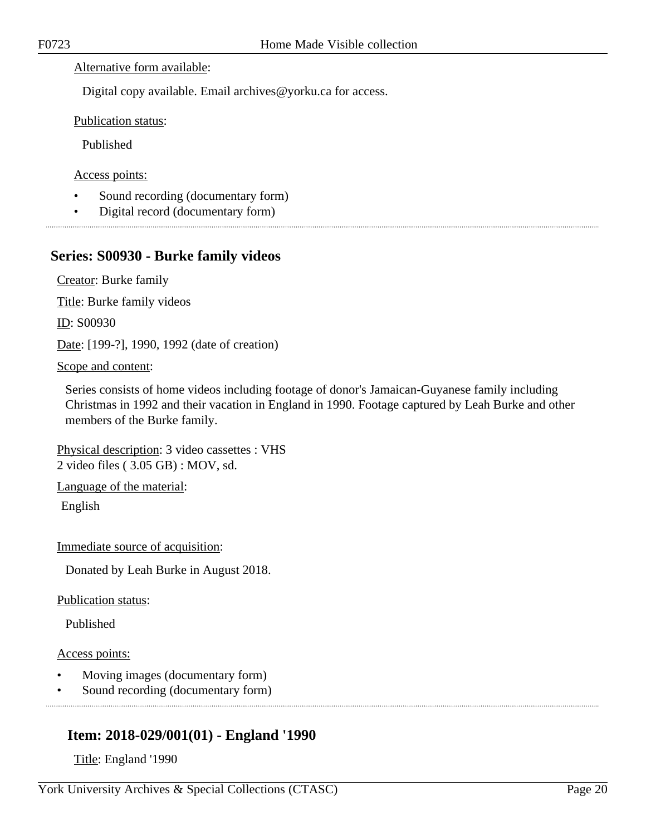#### Alternative form available:

Digital copy available. Email archives@yorku.ca for access.

Publication status:

Published

Access points:

- Sound recording (documentary form)
- Digital record (documentary form)

## <span id="page-19-0"></span>**Series: S00930 - Burke family videos**

Creator: Burke family

Title: Burke family videos

ID: S00930

Date: [199-?], 1990, 1992 (date of creation)

#### Scope and content:

Series consists of home videos including footage of donor's Jamaican-Guyanese family including Christmas in 1992 and their vacation in England in 1990. Footage captured by Leah Burke and other members of the Burke family.

Physical description: 3 video cassettes : VHS 2 video files ( 3.05 GB) : MOV, sd.

Language of the material:

English

Immediate source of acquisition:

Donated by Leah Burke in August 2018.

Publication status:

Published

#### Access points:

- Moving images (documentary form)
- Sound recording (documentary form)

## <span id="page-19-1"></span>**Item: 2018-029/001(01) - England '1990**

Title: England '1990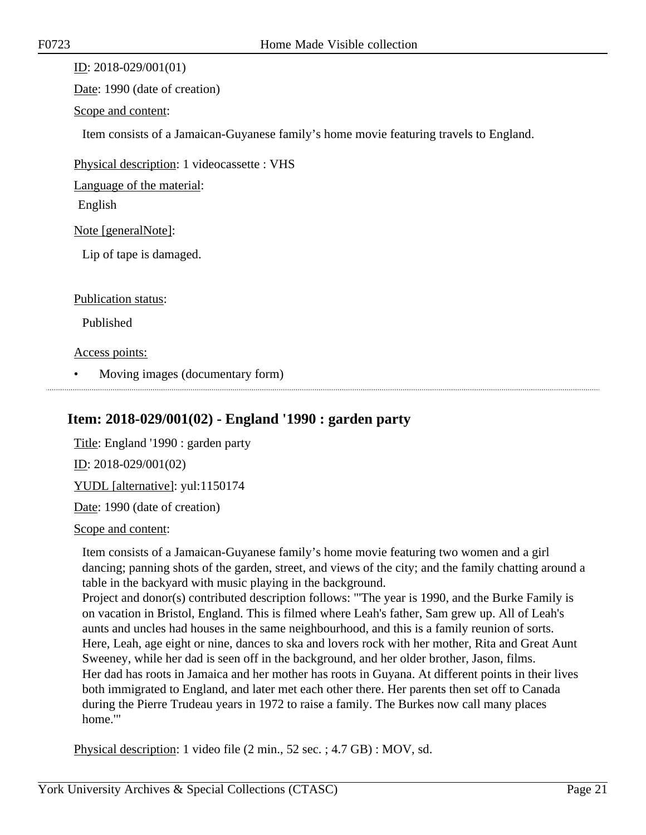ID: 2018-029/001(01)

Date: 1990 (date of creation)

Scope and content:

Item consists of a Jamaican-Guyanese family's home movie featuring travels to England.

Physical description: 1 videocassette : VHS

Language of the material:

English

Note [generalNote]:

Lip of tape is damaged.

Publication status:

Published

Access points:

• Moving images (documentary form)

## <span id="page-20-0"></span>**Item: 2018-029/001(02) - England '1990 : garden party**

Title: England '1990 : garden party ID: 2018-029/001(02) YUDL [alternative]: yul:1150174 Date: 1990 (date of creation)

Scope and content:

Item consists of a Jamaican-Guyanese family's home movie featuring two women and a girl dancing; panning shots of the garden, street, and views of the city; and the family chatting around a table in the backyard with music playing in the background.

Project and donor(s) contributed description follows: "'The year is 1990, and the Burke Family is on vacation in Bristol, England. This is filmed where Leah's father, Sam grew up. All of Leah's aunts and uncles had houses in the same neighbourhood, and this is a family reunion of sorts. Here, Leah, age eight or nine, dances to ska and lovers rock with her mother, Rita and Great Aunt Sweeney, while her dad is seen off in the background, and her older brother, Jason, films. Her dad has roots in Jamaica and her mother has roots in Guyana. At different points in their lives both immigrated to England, and later met each other there. Her parents then set off to Canada during the Pierre Trudeau years in 1972 to raise a family. The Burkes now call many places home.'"

Physical description: 1 video file (2 min., 52 sec. ; 4.7 GB) : MOV, sd.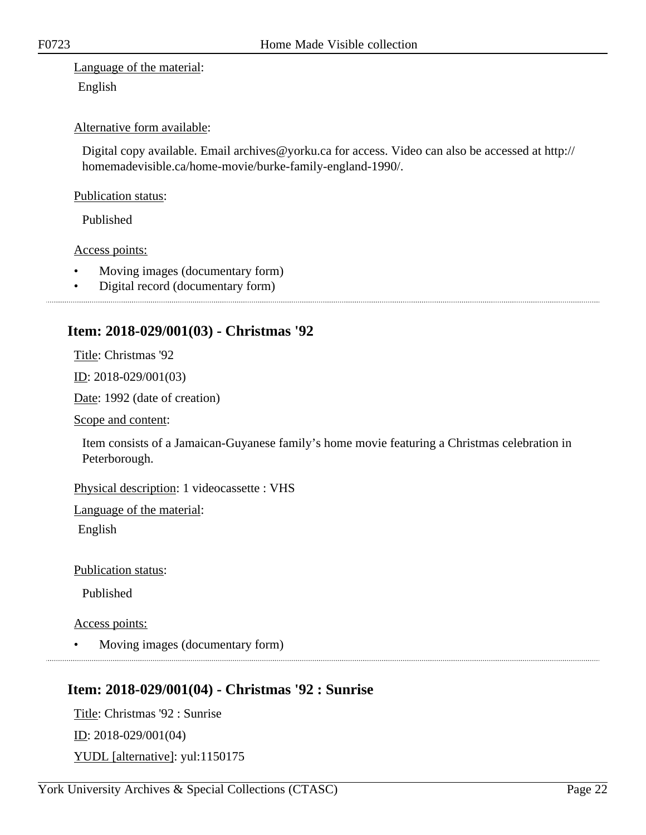Language of the material: English

#### Alternative form available:

Digital copy available. Email archives@yorku.ca for access. Video can also be accessed at http:// homemadevisible.ca/home-movie/burke-family-england-1990/.

#### Publication status:

Published

Access points:

- Moving images (documentary form)
- Digital record (documentary form)

## <span id="page-21-0"></span>**Item: 2018-029/001(03) - Christmas '92**

Title: Christmas '92

ID: 2018-029/001(03)

Date: 1992 (date of creation)

Scope and content:

Item consists of a Jamaican-Guyanese family's home movie featuring a Christmas celebration in Peterborough.

Physical description: 1 videocassette : VHS

Language of the material:

English

Publication status:

Published

Access points:

• Moving images (documentary form)

## <span id="page-21-1"></span>**Item: 2018-029/001(04) - Christmas '92 : Sunrise**

Title: Christmas '92 : Sunrise ID: 2018-029/001(04) YUDL [alternative]: yul:1150175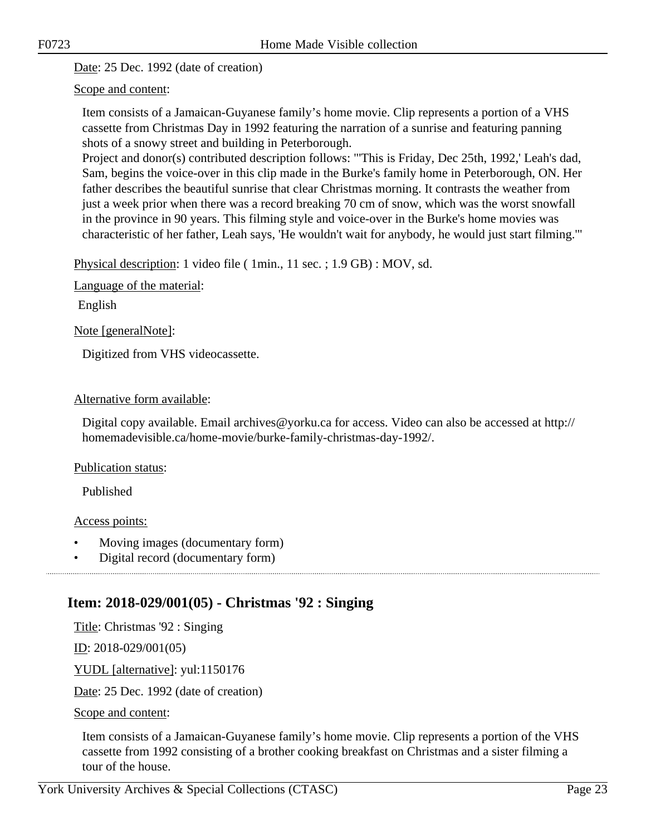Date: 25 Dec. 1992 (date of creation)

Scope and content:

Item consists of a Jamaican-Guyanese family's home movie. Clip represents a portion of a VHS cassette from Christmas Day in 1992 featuring the narration of a sunrise and featuring panning shots of a snowy street and building in Peterborough.

Project and donor(s) contributed description follows: "'This is Friday, Dec 25th, 1992,' Leah's dad, Sam, begins the voice-over in this clip made in the Burke's family home in Peterborough, ON. Her father describes the beautiful sunrise that clear Christmas morning. It contrasts the weather from just a week prior when there was a record breaking 70 cm of snow, which was the worst snowfall in the province in 90 years. This filming style and voice-over in the Burke's home movies was characteristic of her father, Leah says, 'He wouldn't wait for anybody, he would just start filming.'"

Physical description: 1 video file ( 1min., 11 sec. ; 1.9 GB) : MOV, sd.

Language of the material:

English

Note [generalNote]:

Digitized from VHS videocassette.

#### Alternative form available:

Digital copy available. Email archives@yorku.ca for access. Video can also be accessed at http:// homemadevisible.ca/home-movie/burke-family-christmas-day-1992/.

#### Publication status:

Published

Access points:

- Moving images (documentary form)
- Digital record (documentary form)

## <span id="page-22-0"></span>**Item: 2018-029/001(05) - Christmas '92 : Singing**

Title: Christmas '92 : Singing

ID: 2018-029/001(05)

YUDL [alternative]: yul:1150176

Date: 25 Dec. 1992 (date of creation)

Scope and content:

Item consists of a Jamaican-Guyanese family's home movie. Clip represents a portion of the VHS cassette from 1992 consisting of a brother cooking breakfast on Christmas and a sister filming a tour of the house.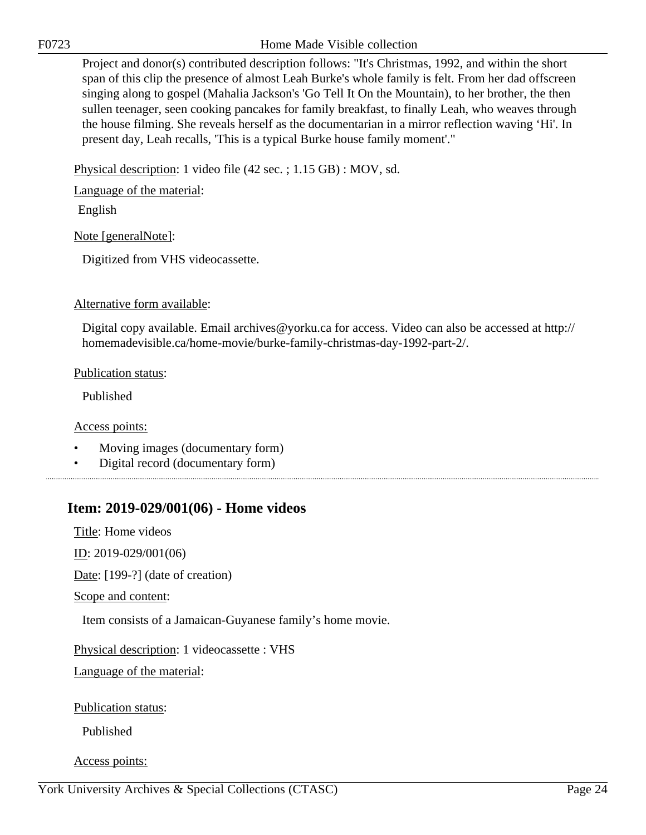Project and donor(s) contributed description follows: "It's Christmas, 1992, and within the short span of this clip the presence of almost Leah Burke's whole family is felt. From her dad offscreen singing along to gospel (Mahalia Jackson's 'Go Tell It On the Mountain), to her brother, the then sullen teenager, seen cooking pancakes for family breakfast, to finally Leah, who weaves through the house filming. She reveals herself as the documentarian in a mirror reflection waving 'Hi'. In present day, Leah recalls, 'This is a typical Burke house family moment'."

Physical description: 1 video file (42 sec. ; 1.15 GB) : MOV, sd.

Language of the material:

English

Note [generalNote]:

Digitized from VHS videocassette.

Alternative form available:

Digital copy available. Email archives@yorku.ca for access. Video can also be accessed at http:// homemadevisible.ca/home-movie/burke-family-christmas-day-1992-part-2/.

Publication status:

Published

Access points:

- Moving images (documentary form)
- Digital record (documentary form)

## <span id="page-23-0"></span>**Item: 2019-029/001(06) - Home videos**

Title: Home videos

ID: 2019-029/001(06)

Date: [199-?] (date of creation)

Scope and content:

Item consists of a Jamaican-Guyanese family's home movie.

Physical description: 1 videocassette : VHS

Language of the material:

Publication status:

Published

Access points: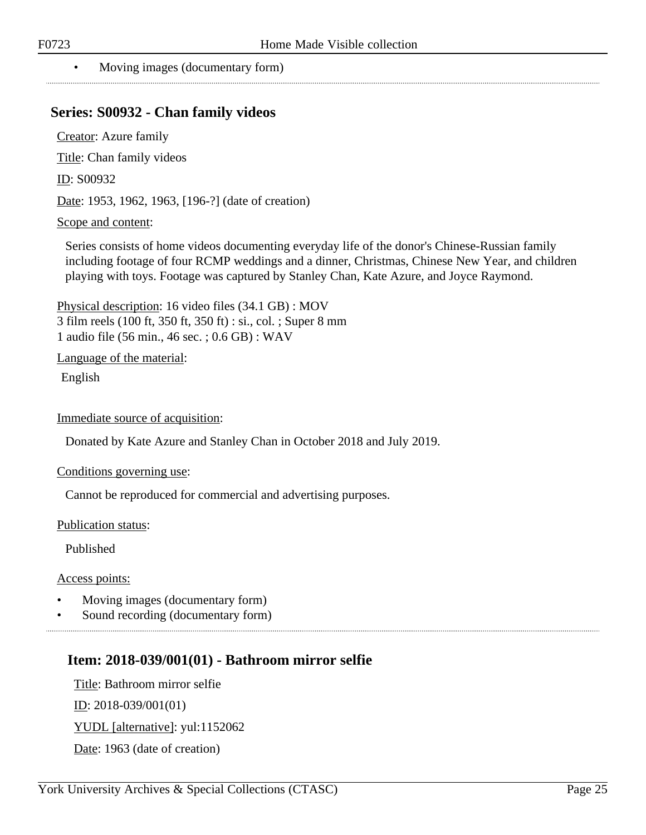#### • Moving images (documentary form)

## <span id="page-24-0"></span>**Series: S00932 - Chan family videos**

Creator: Azure family

Title: Chan family videos

ID: S00932

Date: 1953, 1962, 1963, [196-?] (date of creation)

#### Scope and content:

Series consists of home videos documenting everyday life of the donor's Chinese-Russian family including footage of four RCMP weddings and a dinner, Christmas, Chinese New Year, and children playing with toys. Footage was captured by Stanley Chan, Kate Azure, and Joyce Raymond.

Physical description: 16 video files (34.1 GB) : MOV 3 film reels (100 ft, 350 ft, 350 ft) : si., col. ; Super 8 mm 1 audio file (56 min., 46 sec. ; 0.6 GB) : WAV

Language of the material:

English

Immediate source of acquisition:

Donated by Kate Azure and Stanley Chan in October 2018 and July 2019.

Conditions governing use:

Cannot be reproduced for commercial and advertising purposes.

Publication status:

Published

Access points:

- Moving images (documentary form)
- Sound recording (documentary form)

### <span id="page-24-1"></span>**Item: 2018-039/001(01) - Bathroom mirror selfie**

Title: Bathroom mirror selfie  $ID: 2018-039/001(01)$ YUDL [alternative]: yul:1152062

Date: 1963 (date of creation)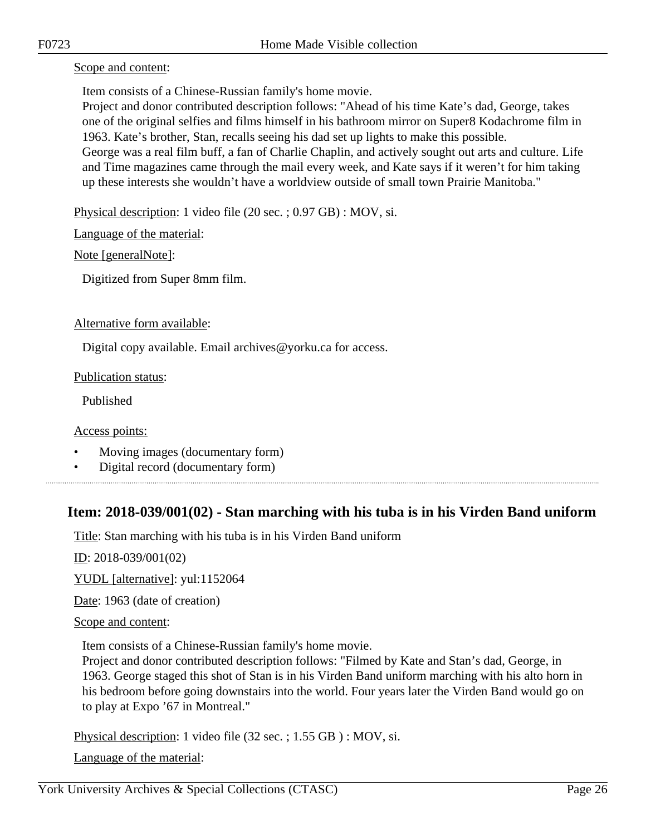Scope and content:

Item consists of a Chinese-Russian family's home movie.

Project and donor contributed description follows: "Ahead of his time Kate's dad, George, takes one of the original selfies and films himself in his bathroom mirror on Super8 Kodachrome film in 1963. Kate's brother, Stan, recalls seeing his dad set up lights to make this possible.

George was a real film buff, a fan of Charlie Chaplin, and actively sought out arts and culture. Life and Time magazines came through the mail every week, and Kate says if it weren't for him taking up these interests she wouldn't have a worldview outside of small town Prairie Manitoba."

Physical description: 1 video file (20 sec. ; 0.97 GB) : MOV, si.

Language of the material:

Note [generalNote]:

Digitized from Super 8mm film.

Alternative form available:

Digital copy available. Email archives@yorku.ca for access.

Publication status:

Published

Access points:

- Moving images (documentary form)
- Digital record (documentary form)

## <span id="page-25-0"></span>**Item: 2018-039/001(02) - Stan marching with his tuba is in his Virden Band uniform**

Title: Stan marching with his tuba is in his Virden Band uniform

ID: 2018-039/001(02)

YUDL [alternative]: yul:1152064

Date: 1963 (date of creation)

Scope and content:

Item consists of a Chinese-Russian family's home movie.

Project and donor contributed description follows: "Filmed by Kate and Stan's dad, George, in 1963. George staged this shot of Stan is in his Virden Band uniform marching with his alto horn in his bedroom before going downstairs into the world. Four years later the Virden Band would go on to play at Expo '67 in Montreal."

Physical description: 1 video file (32 sec. ; 1.55 GB ) : MOV, si.

Language of the material: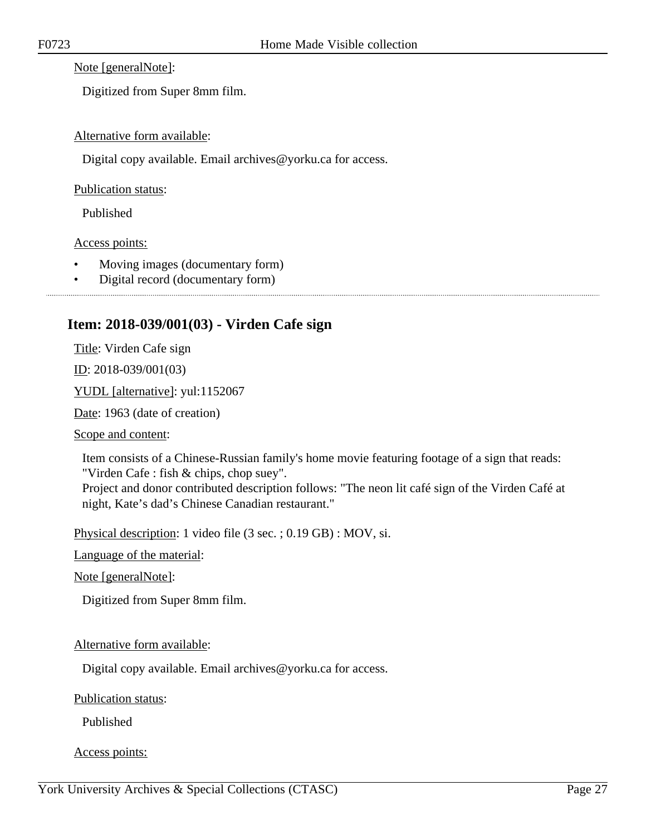Note [generalNote]:

Digitized from Super 8mm film.

### Alternative form available:

Digital copy available. Email archives@yorku.ca for access.

Publication status:

Published

Access points:

- Moving images (documentary form)
- Digital record (documentary form)

## <span id="page-26-0"></span>**Item: 2018-039/001(03) - Virden Cafe sign**

Title: Virden Cafe sign

ID: 2018-039/001(03)

YUDL [alternative]: yul:1152067

Date: 1963 (date of creation)

Scope and content:

Item consists of a Chinese-Russian family's home movie featuring footage of a sign that reads: "Virden Cafe : fish & chips, chop suey".

Project and donor contributed description follows: "The neon lit café sign of the Virden Café at night, Kate's dad's Chinese Canadian restaurant."

Physical description: 1 video file (3 sec. ; 0.19 GB) : MOV, si.

Language of the material:

Note [generalNote]:

Digitized from Super 8mm film.

#### Alternative form available:

Digital copy available. Email archives@yorku.ca for access.

Publication status:

Published

Access points: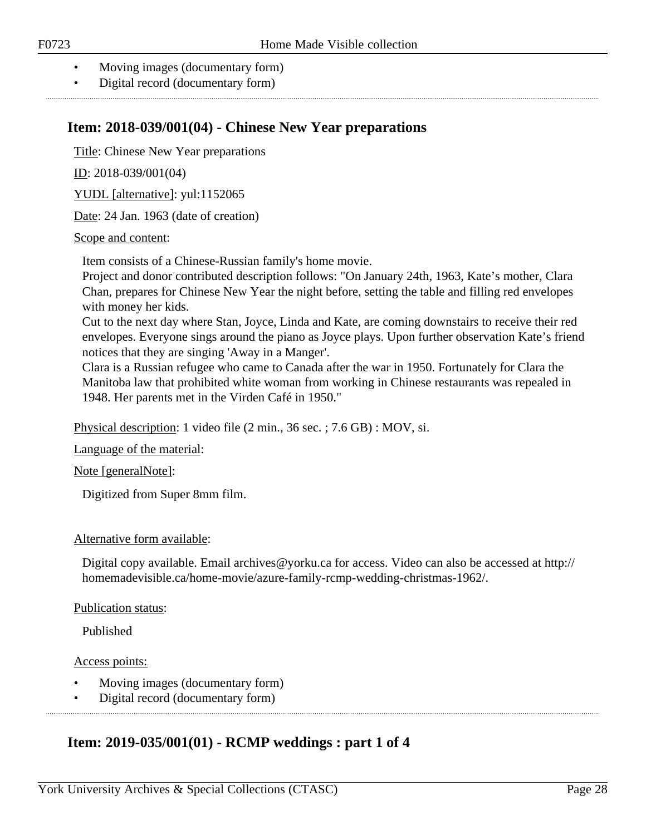- Moving images (documentary form)
- Digital record (documentary form)

## <span id="page-27-0"></span>**Item: 2018-039/001(04) - Chinese New Year preparations**

Title: Chinese New Year preparations

ID: 2018-039/001(04)

YUDL [alternative]: yul:1152065

Date: 24 Jan. 1963 (date of creation)

#### Scope and content:

Item consists of a Chinese-Russian family's home movie.

Project and donor contributed description follows: "On January 24th, 1963, Kate's mother, Clara Chan, prepares for Chinese New Year the night before, setting the table and filling red envelopes with money her kids.

Cut to the next day where Stan, Joyce, Linda and Kate, are coming downstairs to receive their red envelopes. Everyone sings around the piano as Joyce plays. Upon further observation Kate's friend notices that they are singing 'Away in a Manger'.

Clara is a Russian refugee who came to Canada after the war in 1950. Fortunately for Clara the Manitoba law that prohibited white woman from working in Chinese restaurants was repealed in 1948. Her parents met in the Virden Café in 1950."

Physical description: 1 video file (2 min., 36 sec. ; 7.6 GB) : MOV, si.

Language of the material:

Note [generalNote]:

Digitized from Super 8mm film.

#### Alternative form available:

Digital copy available. Email archives@yorku.ca for access. Video can also be accessed at http:// homemadevisible.ca/home-movie/azure-family-rcmp-wedding-christmas-1962/.

#### Publication status:

Published

#### Access points:

- Moving images (documentary form)
- Digital record (documentary form)

## <span id="page-27-1"></span>**Item: 2019-035/001(01) - RCMP weddings : part 1 of 4**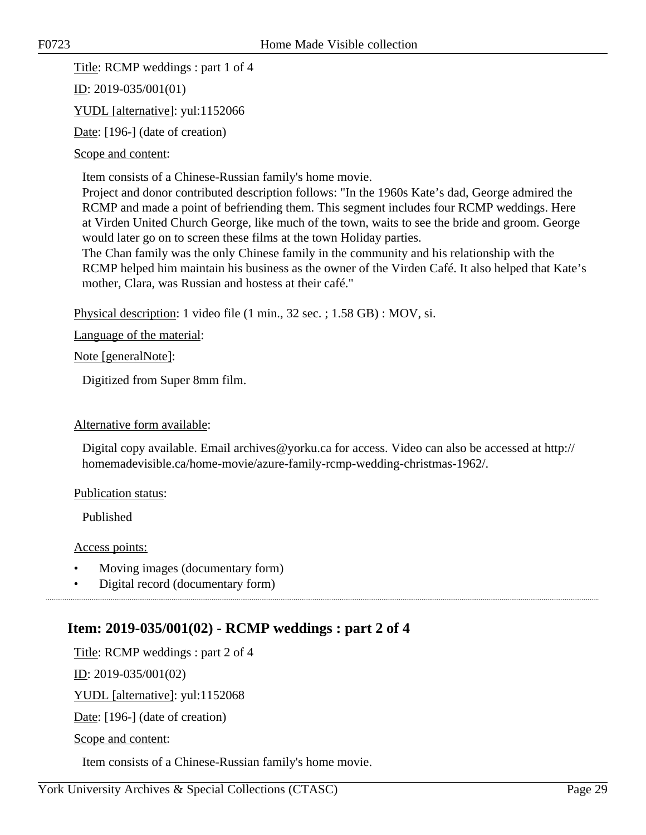Title: RCMP weddings : part 1 of 4

ID: 2019-035/001(01)

YUDL [alternative]: yul:1152066

Date: [196-] (date of creation)

Scope and content:

Item consists of a Chinese-Russian family's home movie.

Project and donor contributed description follows: "In the 1960s Kate's dad, George admired the RCMP and made a point of befriending them. This segment includes four RCMP weddings. Here at Virden United Church George, like much of the town, waits to see the bride and groom. George would later go on to screen these films at the town Holiday parties.

The Chan family was the only Chinese family in the community and his relationship with the RCMP helped him maintain his business as the owner of the Virden Café. It also helped that Kate's mother, Clara, was Russian and hostess at their café."

Physical description: 1 video file (1 min., 32 sec. ; 1.58 GB) : MOV, si.

Language of the material:

Note [generalNote]:

Digitized from Super 8mm film.

#### Alternative form available:

Digital copy available. Email archives@yorku.ca for access. Video can also be accessed at http:// homemadevisible.ca/home-movie/azure-family-rcmp-wedding-christmas-1962/.

#### Publication status:

Published

Access points:

- Moving images (documentary form)
- Digital record (documentary form)

## <span id="page-28-0"></span>**Item: 2019-035/001(02) - RCMP weddings : part 2 of 4**

Title: RCMP weddings : part 2 of 4

ID: 2019-035/001(02)

YUDL [alternative]: yul:1152068

Date: [196-] (date of creation)

Scope and content:

Item consists of a Chinese-Russian family's home movie.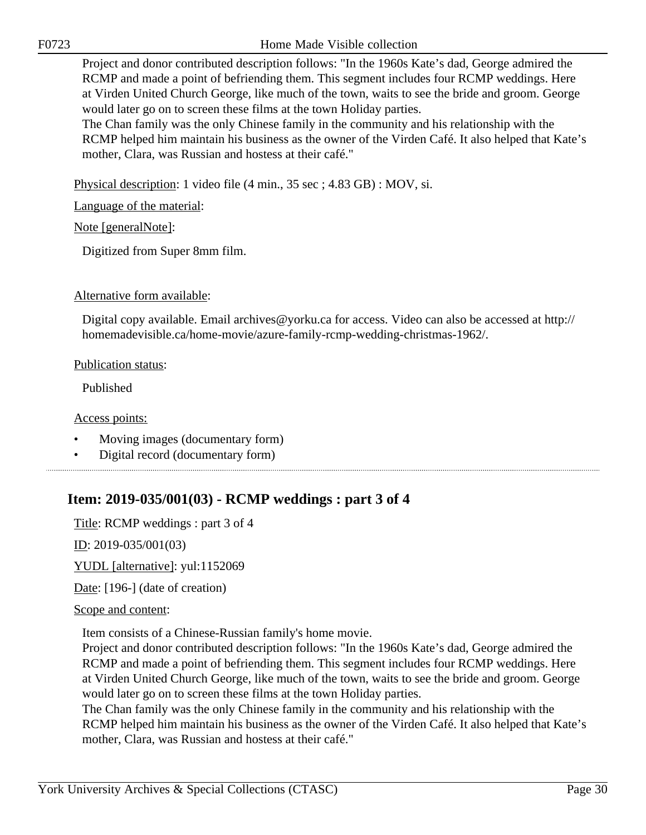Project and donor contributed description follows: "In the 1960s Kate's dad, George admired the RCMP and made a point of befriending them. This segment includes four RCMP weddings. Here at Virden United Church George, like much of the town, waits to see the bride and groom. George would later go on to screen these films at the town Holiday parties.

The Chan family was the only Chinese family in the community and his relationship with the RCMP helped him maintain his business as the owner of the Virden Café. It also helped that Kate's mother, Clara, was Russian and hostess at their café."

Physical description: 1 video file (4 min., 35 sec ; 4.83 GB) : MOV, si.

Language of the material:

Note [generalNote]:

Digitized from Super 8mm film.

#### Alternative form available:

Digital copy available. Email archives@yorku.ca for access. Video can also be accessed at http:// homemadevisible.ca/home-movie/azure-family-rcmp-wedding-christmas-1962/.

#### Publication status:

Published

Access points:

- Moving images (documentary form)
- Digital record (documentary form)

## <span id="page-29-0"></span>**Item: 2019-035/001(03) - RCMP weddings : part 3 of 4**

Title: RCMP weddings : part 3 of 4

ID: 2019-035/001(03)

YUDL [alternative]: yul:1152069

Date: [196-] (date of creation)

#### Scope and content:

Item consists of a Chinese-Russian family's home movie.

Project and donor contributed description follows: "In the 1960s Kate's dad, George admired the RCMP and made a point of befriending them. This segment includes four RCMP weddings. Here at Virden United Church George, like much of the town, waits to see the bride and groom. George would later go on to screen these films at the town Holiday parties.

The Chan family was the only Chinese family in the community and his relationship with the RCMP helped him maintain his business as the owner of the Virden Café. It also helped that Kate's mother, Clara, was Russian and hostess at their café."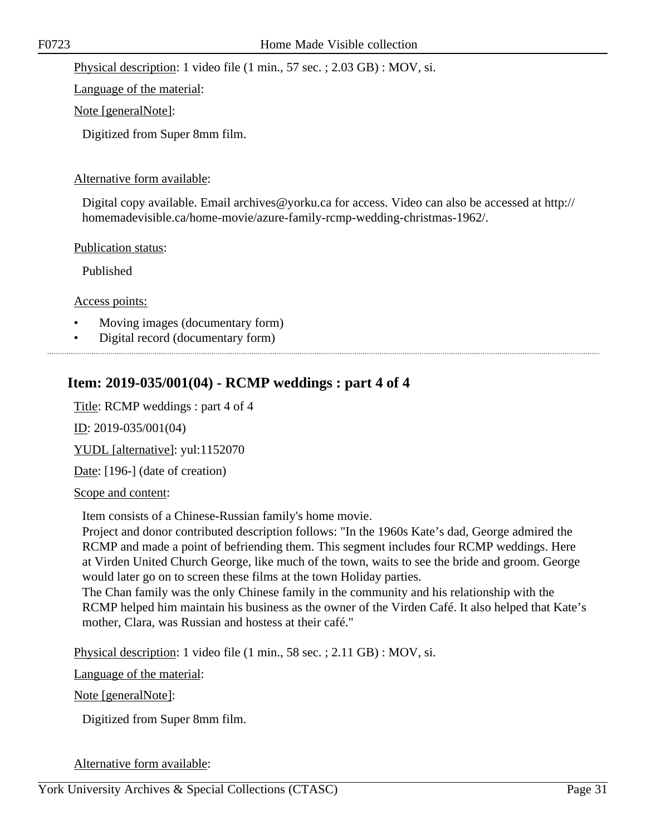Physical description: 1 video file (1 min., 57 sec. ; 2.03 GB) : MOV, si.

Language of the material:

Note [generalNote]:

Digitized from Super 8mm film.

### Alternative form available:

Digital copy available. Email archives@yorku.ca for access. Video can also be accessed at http:// homemadevisible.ca/home-movie/azure-family-rcmp-wedding-christmas-1962/.

Publication status:

Published

Access points:

- Moving images (documentary form)
- Digital record (documentary form)

## <span id="page-30-0"></span>**Item: 2019-035/001(04) - RCMP weddings : part 4 of 4**

Title: RCMP weddings : part 4 of 4

ID: 2019-035/001(04)

YUDL [alternative]: yul:1152070

Date: [196-] (date of creation)

Scope and content:

Item consists of a Chinese-Russian family's home movie.

Project and donor contributed description follows: "In the 1960s Kate's dad, George admired the RCMP and made a point of befriending them. This segment includes four RCMP weddings. Here at Virden United Church George, like much of the town, waits to see the bride and groom. George would later go on to screen these films at the town Holiday parties.

The Chan family was the only Chinese family in the community and his relationship with the RCMP helped him maintain his business as the owner of the Virden Café. It also helped that Kate's mother, Clara, was Russian and hostess at their café."

Physical description: 1 video file (1 min., 58 sec. ; 2.11 GB) : MOV, si.

Language of the material:

Note [generalNote]:

Digitized from Super 8mm film.

Alternative form available: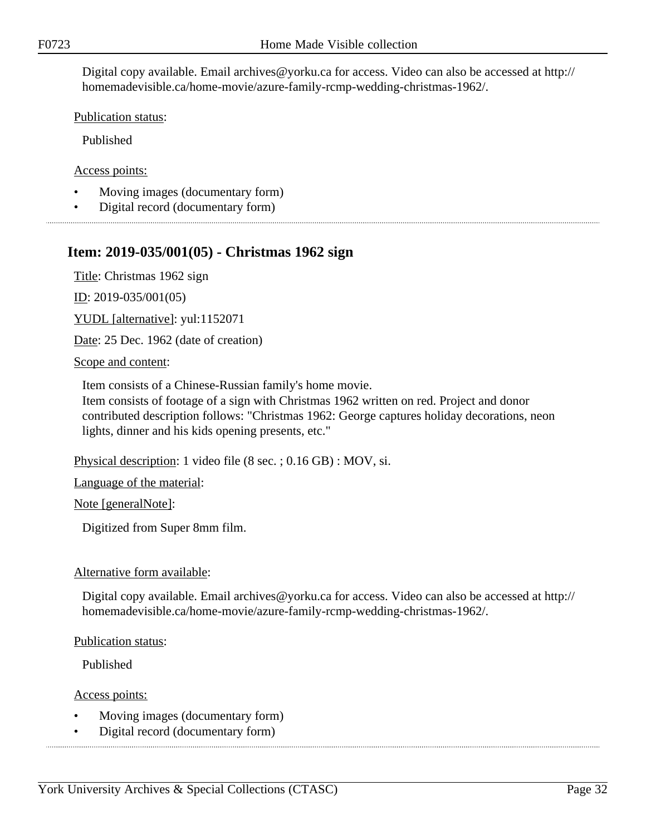Digital copy available. Email archives@yorku.ca for access. Video can also be accessed at http:// homemadevisible.ca/home-movie/azure-family-rcmp-wedding-christmas-1962/.

Publication status:

Published

Access points:

- Moving images (documentary form)
- Digital record (documentary form)

### <span id="page-31-0"></span>**Item: 2019-035/001(05) - Christmas 1962 sign**

Title: Christmas 1962 sign

ID: 2019-035/001(05)

YUDL [alternative]: yul:1152071

Date: 25 Dec. 1962 (date of creation)

Scope and content:

Item consists of a Chinese-Russian family's home movie.

Item consists of footage of a sign with Christmas 1962 written on red. Project and donor contributed description follows: "Christmas 1962: George captures holiday decorations, neon lights, dinner and his kids opening presents, etc."

Physical description: 1 video file (8 sec. ; 0.16 GB) : MOV, si.

Language of the material:

Note [generalNote]:

Digitized from Super 8mm film.

#### Alternative form available:

Digital copy available. Email archives@yorku.ca for access. Video can also be accessed at http:// homemadevisible.ca/home-movie/azure-family-rcmp-wedding-christmas-1962/.

Publication status:

Published

Access points:

- Moving images (documentary form)
- Digital record (documentary form)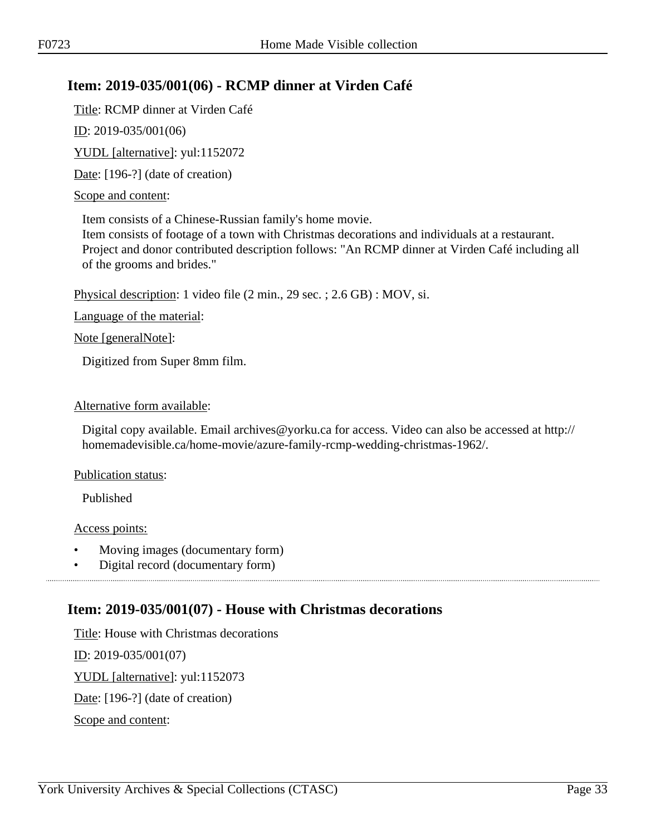## <span id="page-32-0"></span>**Item: 2019-035/001(06) - RCMP dinner at Virden Café**

Title: RCMP dinner at Virden Café

ID: 2019-035/001(06)

YUDL [alternative]: yul:1152072

Date: [196-?] (date of creation)

### Scope and content:

Item consists of a Chinese-Russian family's home movie.

Item consists of footage of a town with Christmas decorations and individuals at a restaurant. Project and donor contributed description follows: "An RCMP dinner at Virden Café including all of the grooms and brides."

Physical description: 1 video file (2 min., 29 sec. ; 2.6 GB) : MOV, si.

Language of the material:

Note [generalNote]:

Digitized from Super 8mm film.

#### Alternative form available:

Digital copy available. Email archives@yorku.ca for access. Video can also be accessed at http:// homemadevisible.ca/home-movie/azure-family-rcmp-wedding-christmas-1962/.

#### Publication status:

Published

#### Access points:

- Moving images (documentary form)
- Digital record (documentary form)

## <span id="page-32-1"></span>**Item: 2019-035/001(07) - House with Christmas decorations**

Title: House with Christmas decorations ID: 2019-035/001(07) YUDL [alternative]: yul:1152073 Date: [196-?] (date of creation) Scope and content: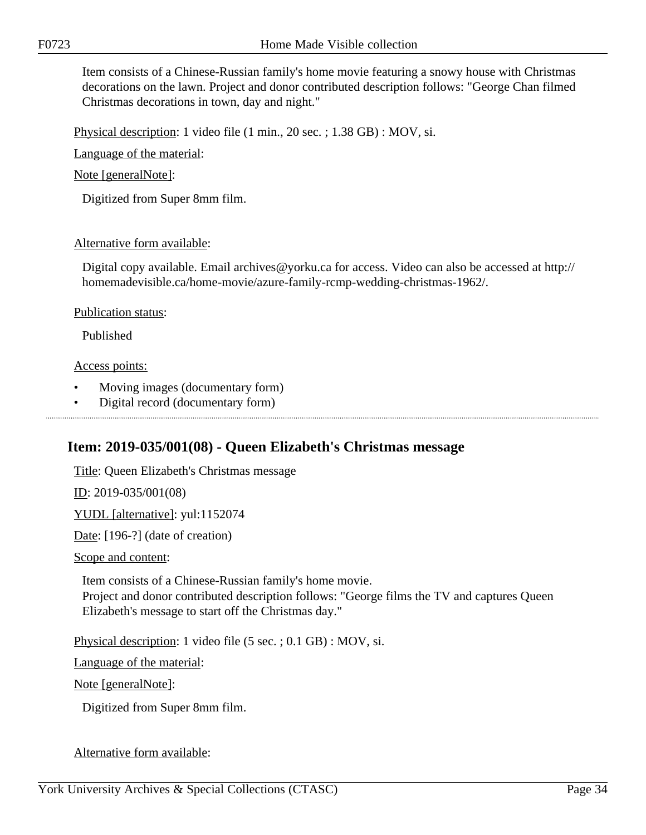Item consists of a Chinese-Russian family's home movie featuring a snowy house with Christmas decorations on the lawn. Project and donor contributed description follows: "George Chan filmed Christmas decorations in town, day and night."

Physical description: 1 video file (1 min., 20 sec. ; 1.38 GB) : MOV, si.

Language of the material:

Note [generalNote]:

Digitized from Super 8mm film.

#### Alternative form available:

Digital copy available. Email archives@yorku.ca for access. Video can also be accessed at http:// homemadevisible.ca/home-movie/azure-family-rcmp-wedding-christmas-1962/.

#### Publication status:

Published

#### Access points:

- Moving images (documentary form)
- Digital record (documentary form)

## <span id="page-33-0"></span>**Item: 2019-035/001(08) - Queen Elizabeth's Christmas message**

Title: Queen Elizabeth's Christmas message

ID: 2019-035/001(08)

YUDL [alternative]: yul:1152074

Date: [196-?] (date of creation)

Scope and content:

Item consists of a Chinese-Russian family's home movie. Project and donor contributed description follows: "George films the TV and captures Queen Elizabeth's message to start off the Christmas day."

Physical description: 1 video file (5 sec. ; 0.1 GB) : MOV, si.

Language of the material:

Note [generalNote]:

Digitized from Super 8mm film.

#### Alternative form available: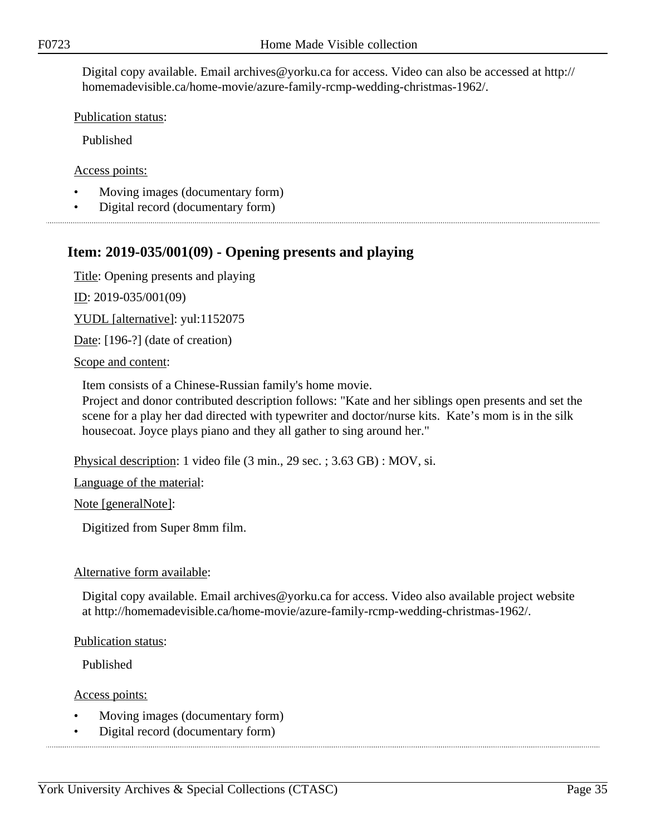Digital copy available. Email archives@yorku.ca for access. Video can also be accessed at http:// homemadevisible.ca/home-movie/azure-family-rcmp-wedding-christmas-1962/.

Publication status:

Published

Access points:

- Moving images (documentary form)
- Digital record (documentary form)

### <span id="page-34-0"></span>**Item: 2019-035/001(09) - Opening presents and playing**

Title: Opening presents and playing

ID: 2019-035/001(09)

YUDL [alternative]: yul:1152075

Date: [196-?] (date of creation)

Scope and content:

Item consists of a Chinese-Russian family's home movie.

Project and donor contributed description follows: "Kate and her siblings open presents and set the scene for a play her dad directed with typewriter and doctor/nurse kits. Kate's mom is in the silk housecoat. Joyce plays piano and they all gather to sing around her."

Physical description: 1 video file (3 min., 29 sec. ; 3.63 GB) : MOV, si.

Language of the material:

Note [generalNote]:

Digitized from Super 8mm film.

#### Alternative form available:

Digital copy available. Email archives@yorku.ca for access. Video also available project website at http://homemadevisible.ca/home-movie/azure-family-rcmp-wedding-christmas-1962/.

Publication status:

Published

Access points:

- Moving images (documentary form)
- Digital record (documentary form)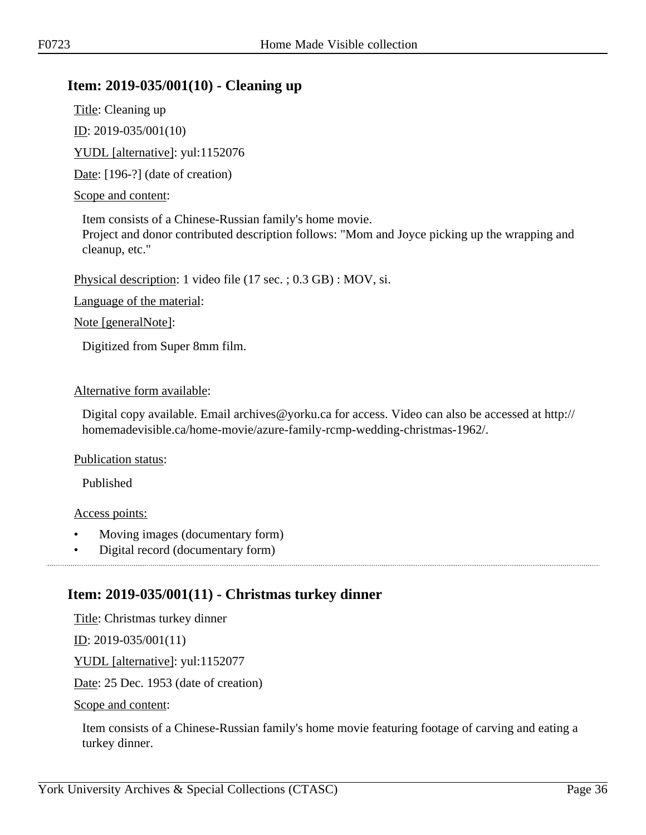## <span id="page-35-0"></span>**Item: 2019-035/001(10) - Cleaning up**

Title: Cleaning up ID: 2019-035/001(10) YUDL [alternative]: yul:1152076

Date: [196-?] (date of creation)

### Scope and content:

Item consists of a Chinese-Russian family's home movie.

Project and donor contributed description follows: "Mom and Joyce picking up the wrapping and cleanup, etc."

Physical description: 1 video file (17 sec. ; 0.3 GB) : MOV, si.

Language of the material:

Note [generalNote]:

Digitized from Super 8mm film.

### Alternative form available:

Digital copy available. Email archives@yorku.ca for access. Video can also be accessed at http:// homemadevisible.ca/home-movie/azure-family-rcmp-wedding-christmas-1962/.

Publication status:

Published

Access points:

• Moving images (documentary form)

• Digital record (documentary form)

## <span id="page-35-1"></span>**Item: 2019-035/001(11) - Christmas turkey dinner**

Title: Christmas turkey dinner

<u>ID</u>: 2019-035/001(11)

YUDL [alternative]: yul:1152077

Date: 25 Dec. 1953 (date of creation)

Scope and content:

Item consists of a Chinese-Russian family's home movie featuring footage of carving and eating a turkey dinner.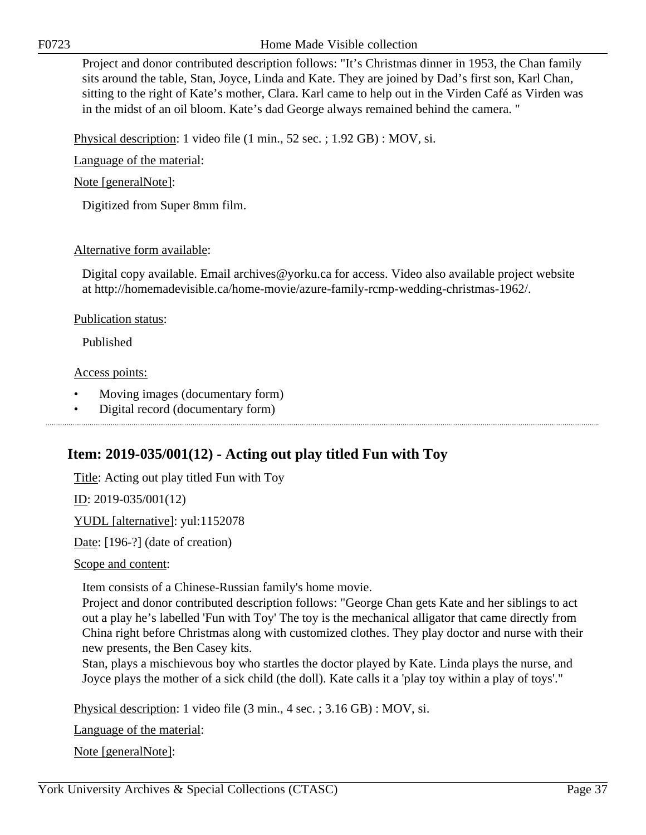F0723 Home Made Visible collection

Project and donor contributed description follows: "It's Christmas dinner in 1953, the Chan family sits around the table, Stan, Joyce, Linda and Kate. They are joined by Dad's first son, Karl Chan, sitting to the right of Kate's mother, Clara. Karl came to help out in the Virden Café as Virden was in the midst of an oil bloom. Kate's dad George always remained behind the camera. "

Physical description: 1 video file (1 min., 52 sec. ; 1.92 GB) : MOV, si.

Language of the material:

Note [generalNote]:

Digitized from Super 8mm film.

# Alternative form available:

Digital copy available. Email archives@yorku.ca for access. Video also available project website at http://homemadevisible.ca/home-movie/azure-family-rcmp-wedding-christmas-1962/.

Publication status:

Published

Access points:

- Moving images (documentary form)
- Digital record (documentary form)

# **Item: 2019-035/001(12) - Acting out play titled Fun with Toy**

Title: Acting out play titled Fun with Toy

ID: 2019-035/001(12)

YUDL [alternative]: yul:1152078

Date: [196-?] (date of creation)

Scope and content:

Item consists of a Chinese-Russian family's home movie.

Project and donor contributed description follows: "George Chan gets Kate and her siblings to act out a play he's labelled 'Fun with Toy' The toy is the mechanical alligator that came directly from China right before Christmas along with customized clothes. They play doctor and nurse with their new presents, the Ben Casey kits.

Stan, plays a mischievous boy who startles the doctor played by Kate. Linda plays the nurse, and Joyce plays the mother of a sick child (the doll). Kate calls it a 'play toy within a play of toys'."

Physical description: 1 video file (3 min., 4 sec. ; 3.16 GB) : MOV, si.

Language of the material:

Note [generalNote]: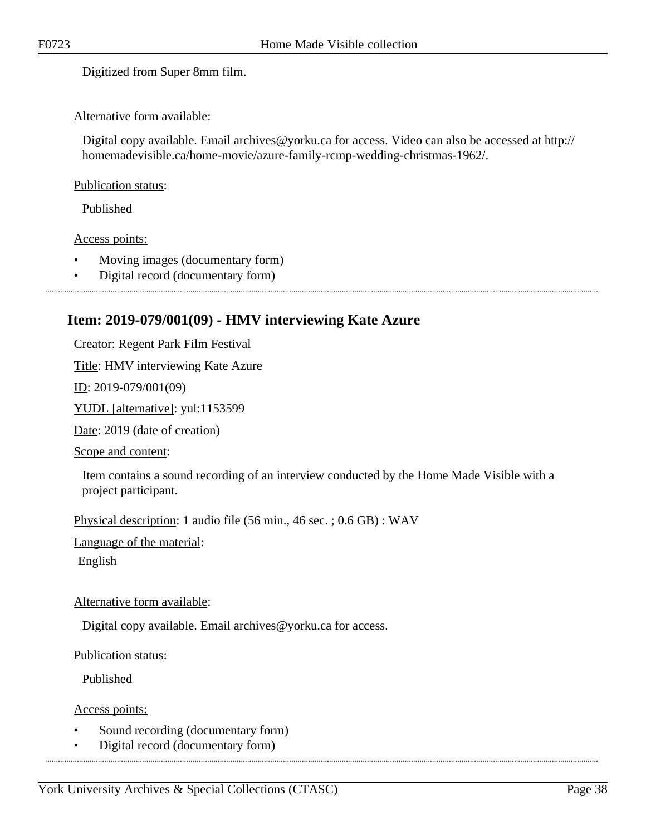Digitized from Super 8mm film.

### Alternative form available:

Digital copy available. Email archives@yorku.ca for access. Video can also be accessed at http:// homemadevisible.ca/home-movie/azure-family-rcmp-wedding-christmas-1962/.

#### Publication status:

Published

#### Access points:

- Moving images (documentary form)
- Digital record (documentary form)

# **Item: 2019-079/001(09) - HMV interviewing Kate Azure**

Creator: Regent Park Film Festival

Title: HMV interviewing Kate Azure

 $ID: 2019-079/001(09)$ 

YUDL [alternative]: yul:1153599

Date: 2019 (date of creation)

Scope and content:

Item contains a sound recording of an interview conducted by the Home Made Visible with a project participant.

Physical description: 1 audio file (56 min., 46 sec. ; 0.6 GB) : WAV

Language of the material:

English

### Alternative form available:

Digital copy available. Email archives@yorku.ca for access.

Publication status:

Published

Access points:

- Sound recording (documentary form)
- Digital record (documentary form)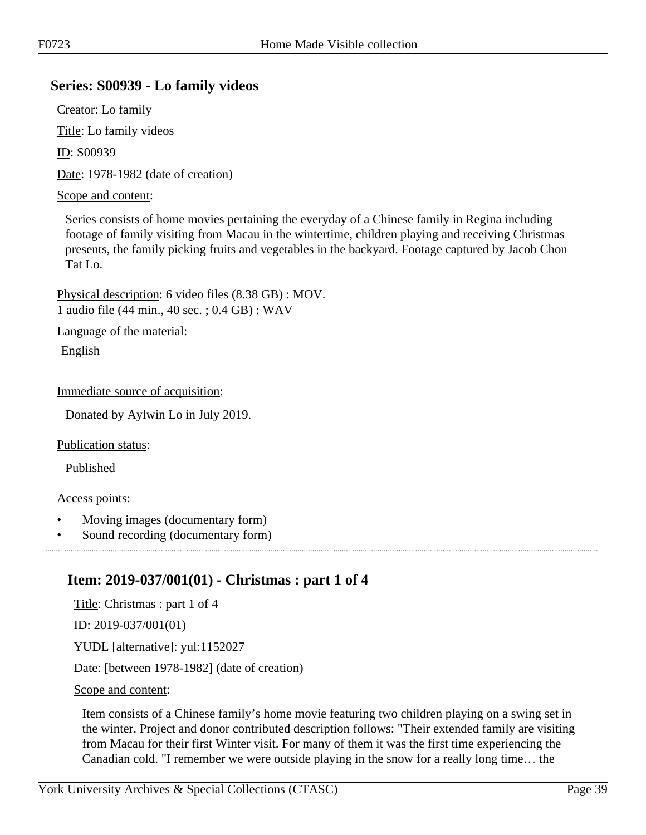# **Series: S00939 - Lo family videos**

Creator: Lo family Title: Lo family videos

ID: S00939

Date: 1978-1982 (date of creation)

#### Scope and content:

Series consists of home movies pertaining the everyday of a Chinese family in Regina including footage of family visiting from Macau in the wintertime, children playing and receiving Christmas presents, the family picking fruits and vegetables in the backyard. Footage captured by Jacob Chon Tat Lo.

Physical description: 6 video files (8.38 GB) : MOV. 1 audio file (44 min., 40 sec. ; 0.4 GB) : WAV

Language of the material:

English

Immediate source of acquisition:

Donated by Aylwin Lo in July 2019.

Publication status:

Published

#### Access points:

- Moving images (documentary form)
- Sound recording (documentary form)

# **Item: 2019-037/001(01) - Christmas : part 1 of 4**

Title: Christmas : part 1 of 4 ID: 2019-037/001(01) YUDL [alternative]: yul:1152027 Date: [between 1978-1982] (date of creation) Scope and content:

Item consists of a Chinese family's home movie featuring two children playing on a swing set in the winter. Project and donor contributed description follows: "Their extended family are visiting from Macau for their first Winter visit. For many of them it was the first time experiencing the Canadian cold. "I remember we were outside playing in the snow for a really long time… the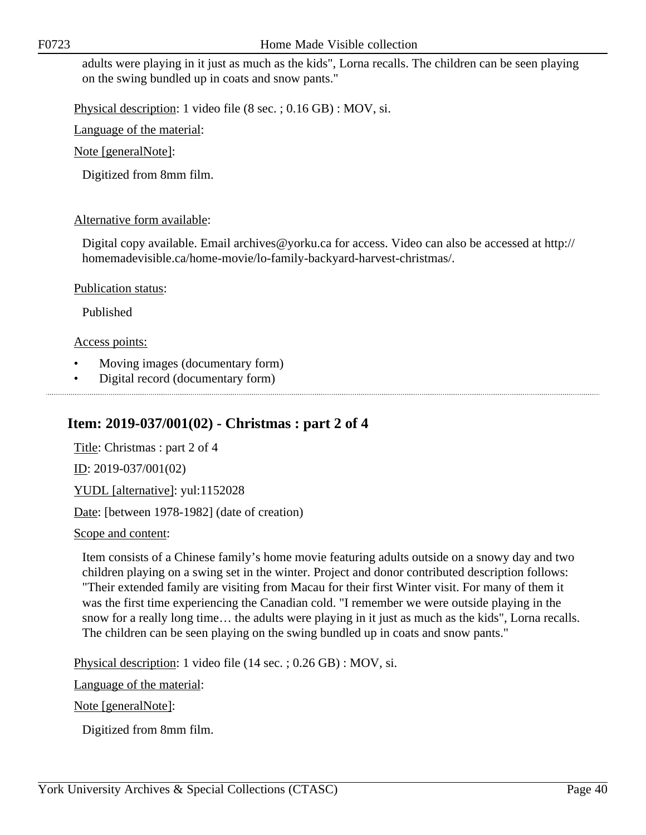adults were playing in it just as much as the kids", Lorna recalls. The children can be seen playing on the swing bundled up in coats and snow pants."

Physical description: 1 video file (8 sec. ; 0.16 GB) : MOV, si.

Language of the material:

Note [generalNote]:

Digitized from 8mm film.

# Alternative form available:

Digital copy available. Email archives@yorku.ca for access. Video can also be accessed at http:// homemadevisible.ca/home-movie/lo-family-backyard-harvest-christmas/.

Publication status:

Published

# Access points:

- Moving images (documentary form)
- Digital record (documentary form)

# **Item: 2019-037/001(02) - Christmas : part 2 of 4**

Title: Christmas : part 2 of 4 ID: 2019-037/001(02) YUDL [alternative]: yul:1152028 Date: [between 1978-1982] (date of creation)

Scope and content:

Item consists of a Chinese family's home movie featuring adults outside on a snowy day and two children playing on a swing set in the winter. Project and donor contributed description follows: "Their extended family are visiting from Macau for their first Winter visit. For many of them it was the first time experiencing the Canadian cold. "I remember we were outside playing in the snow for a really long time… the adults were playing in it just as much as the kids", Lorna recalls. The children can be seen playing on the swing bundled up in coats and snow pants."

Physical description: 1 video file (14 sec. ; 0.26 GB) : MOV, si.

Language of the material:

Note [generalNote]:

Digitized from 8mm film.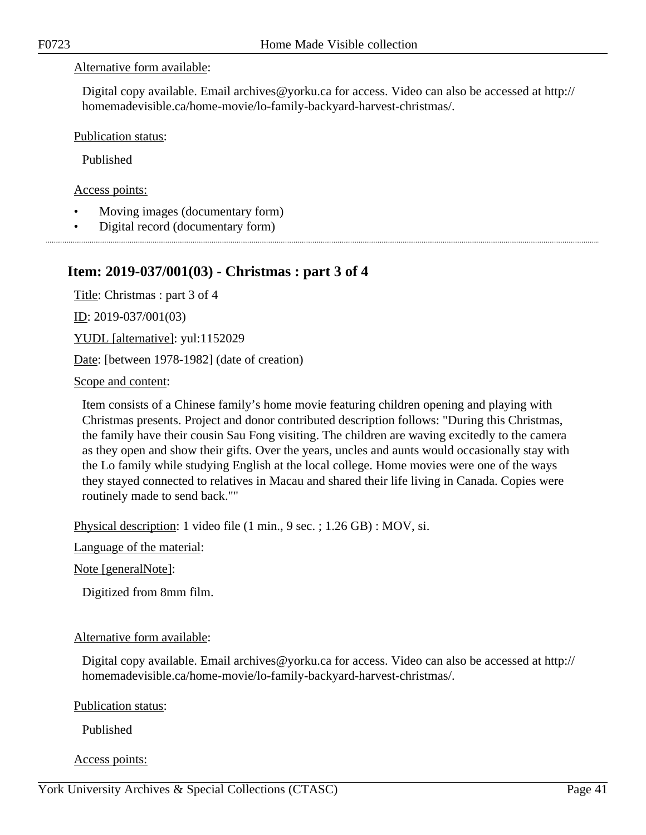#### Alternative form available:

Digital copy available. Email archives@yorku.ca for access. Video can also be accessed at http:// homemadevisible.ca/home-movie/lo-family-backyard-harvest-christmas/.

Publication status:

Published

Access points:

- Moving images (documentary form)
- Digital record (documentary form)

# **Item: 2019-037/001(03) - Christmas : part 3 of 4**

Title: Christmas : part 3 of 4

ID: 2019-037/001(03)

YUDL [alternative]: yul:1152029

Date: [between 1978-1982] (date of creation)

Scope and content:

Item consists of a Chinese family's home movie featuring children opening and playing with Christmas presents. Project and donor contributed description follows: "During this Christmas, the family have their cousin Sau Fong visiting. The children are waving excitedly to the camera as they open and show their gifts. Over the years, uncles and aunts would occasionally stay with the Lo family while studying English at the local college. Home movies were one of the ways they stayed connected to relatives in Macau and shared their life living in Canada. Copies were routinely made to send back.""

Physical description: 1 video file (1 min., 9 sec. ; 1.26 GB) : MOV, si.

Language of the material:

Note [generalNote]:

Digitized from 8mm film.

### Alternative form available:

Digital copy available. Email archives@yorku.ca for access. Video can also be accessed at http:// homemadevisible.ca/home-movie/lo-family-backyard-harvest-christmas/.

Publication status:

Published

Access points: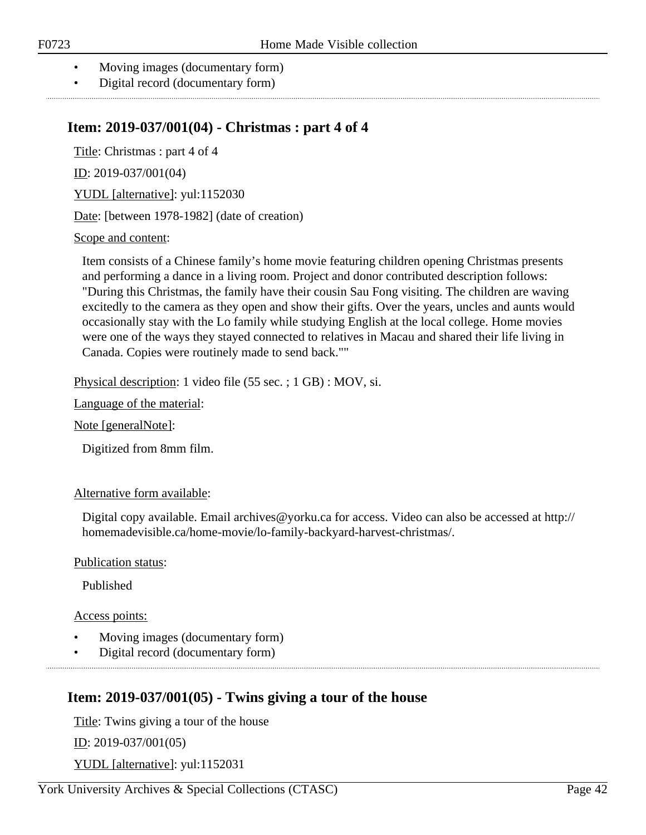- Moving images (documentary form)
- Digital record (documentary form)

# **Item: 2019-037/001(04) - Christmas : part 4 of 4**

Title: Christmas : part 4 of 4

ID: 2019-037/001(04)

YUDL [alternative]: yul:1152030

Date: [between 1978-1982] (date of creation)

#### Scope and content:

Item consists of a Chinese family's home movie featuring children opening Christmas presents and performing a dance in a living room. Project and donor contributed description follows: "During this Christmas, the family have their cousin Sau Fong visiting. The children are waving excitedly to the camera as they open and show their gifts. Over the years, uncles and aunts would occasionally stay with the Lo family while studying English at the local college. Home movies were one of the ways they stayed connected to relatives in Macau and shared their life living in Canada. Copies were routinely made to send back.""

Physical description: 1 video file (55 sec. ; 1 GB) : MOV, si.

Language of the material:

Note [generalNote]:

Digitized from 8mm film.

### Alternative form available:

Digital copy available. Email archives@yorku.ca for access. Video can also be accessed at http:// homemadevisible.ca/home-movie/lo-family-backyard-harvest-christmas/.

Publication status:

Published

### Access points:

- Moving images (documentary form)
- Digital record (documentary form)

# **Item: 2019-037/001(05) - Twins giving a tour of the house**

Title: Twins giving a tour of the house

ID: 2019-037/001(05)

YUDL [alternative]: yul:1152031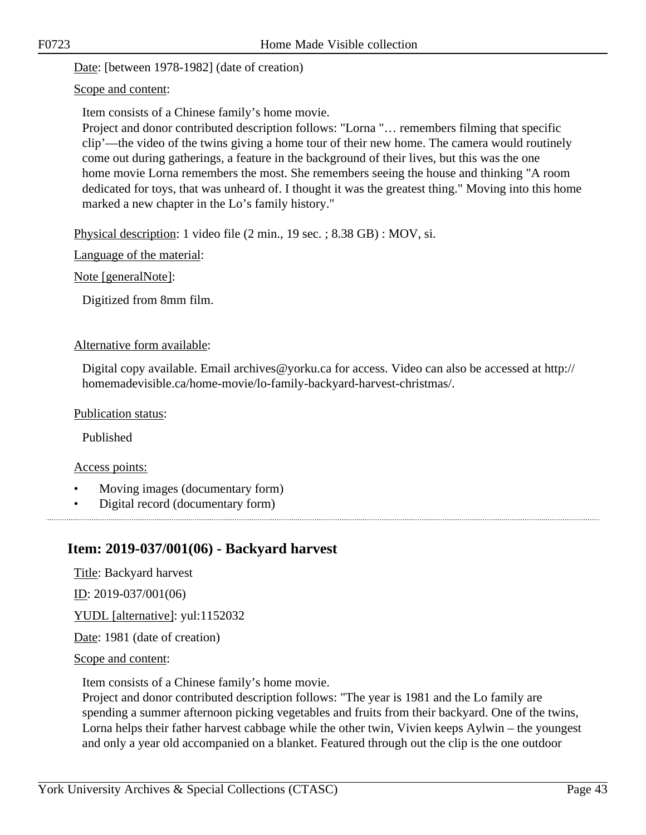Date: [between 1978-1982] (date of creation)

Scope and content:

Item consists of a Chinese family's home movie.

Project and donor contributed description follows: "Lorna "… remembers filming that specific clip'—the video of the twins giving a home tour of their new home. The camera would routinely come out during gatherings, a feature in the background of their lives, but this was the one home movie Lorna remembers the most. She remembers seeing the house and thinking "A room dedicated for toys, that was unheard of. I thought it was the greatest thing." Moving into this home marked a new chapter in the Lo's family history."

Physical description: 1 video file (2 min., 19 sec. ; 8.38 GB) : MOV, si.

Language of the material:

Note [generalNote]:

Digitized from 8mm film.

#### Alternative form available:

Digital copy available. Email archives@yorku.ca for access. Video can also be accessed at http:// homemadevisible.ca/home-movie/lo-family-backyard-harvest-christmas/.

Publication status:

Published

Access points:

- Moving images (documentary form)
- Digital record (documentary form)

# **Item: 2019-037/001(06) - Backyard harvest**

Title: Backyard harvest

ID: 2019-037/001(06)

YUDL [alternative]: yul:1152032

Date: 1981 (date of creation)

Scope and content:

Item consists of a Chinese family's home movie.

Project and donor contributed description follows: "The year is 1981 and the Lo family are spending a summer afternoon picking vegetables and fruits from their backyard. One of the twins, Lorna helps their father harvest cabbage while the other twin, Vivien keeps Aylwin – the youngest and only a year old accompanied on a blanket. Featured through out the clip is the one outdoor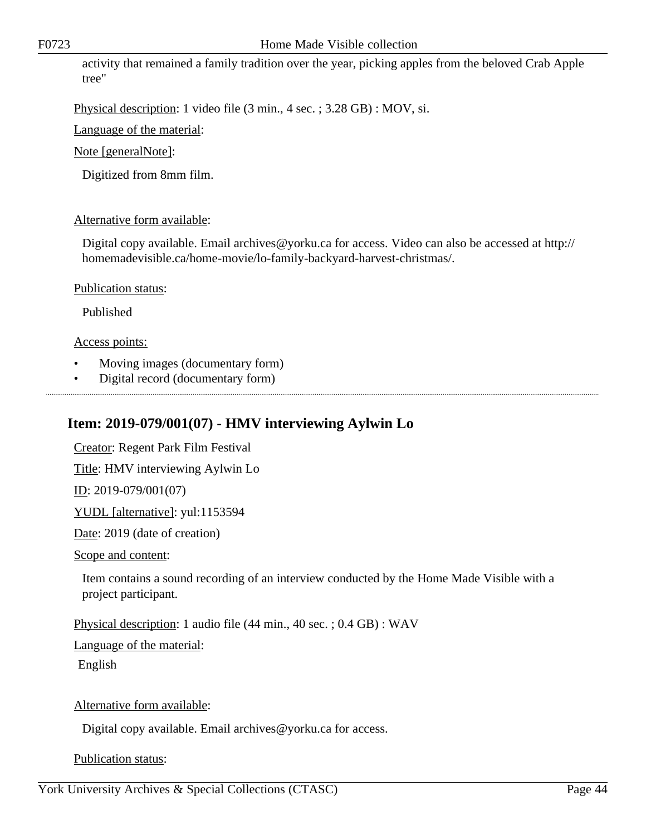activity that remained a family tradition over the year, picking apples from the beloved Crab Apple tree"

Physical description: 1 video file (3 min., 4 sec. ; 3.28 GB) : MOV, si.

Language of the material:

Note [generalNote]:

Digitized from 8mm film.

# Alternative form available:

Digital copy available. Email archives@yorku.ca for access. Video can also be accessed at http:// homemadevisible.ca/home-movie/lo-family-backyard-harvest-christmas/.

Publication status:

Published

# Access points:

- Moving images (documentary form)
- Digital record (documentary form)

# **Item: 2019-079/001(07) - HMV interviewing Aylwin Lo**

Creator: Regent Park Film Festival

Title: HMV interviewing Aylwin Lo

ID: 2019-079/001(07)

YUDL [alternative]: yul:1153594

Date: 2019 (date of creation)

Scope and content:

Item contains a sound recording of an interview conducted by the Home Made Visible with a project participant.

Physical description: 1 audio file (44 min., 40 sec. ; 0.4 GB) : WAV

Language of the material:

English

Alternative form available:

Digital copy available. Email archives@yorku.ca for access.

Publication status: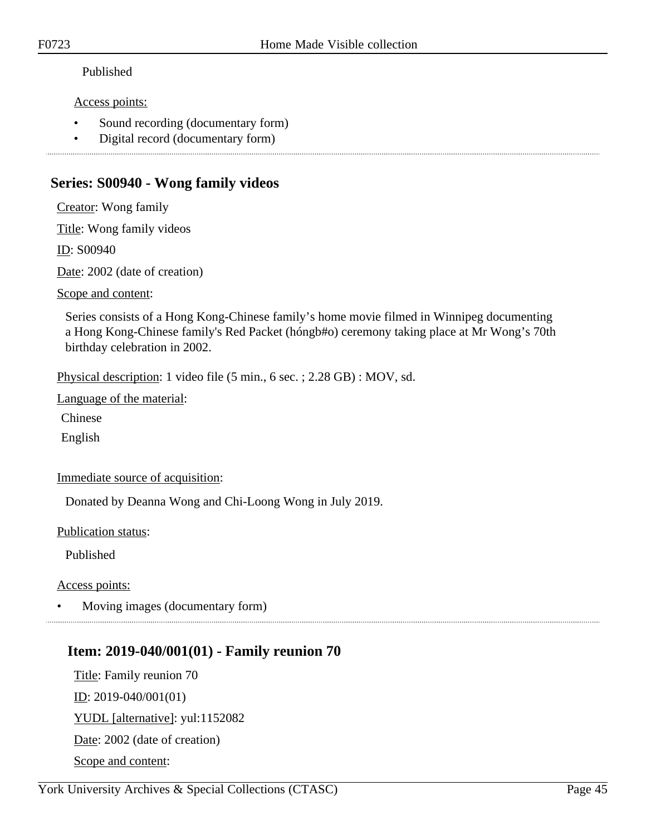# Published

Access points:

- Sound recording (documentary form)
- Digital record (documentary form)

# **Series: S00940 - Wong family videos**

Creator: Wong family

Title: Wong family videos

ID: S00940

Date: 2002 (date of creation)

Scope and content:

Series consists of a Hong Kong-Chinese family's home movie filmed in Winnipeg documenting a Hong Kong-Chinese family's Red Packet (hóngb#o) ceremony taking place at Mr Wong's 70th birthday celebration in 2002.

Physical description: 1 video file (5 min., 6 sec. ; 2.28 GB) : MOV, sd.

Language of the material:

Chinese

English

Immediate source of acquisition:

Donated by Deanna Wong and Chi-Loong Wong in July 2019.

Publication status:

Published

Access points:

• Moving images (documentary form)

# **Item: 2019-040/001(01) - Family reunion 70**

Title: Family reunion 70 ID: 2019-040/001(01) YUDL [alternative]: yul:1152082 Date: 2002 (date of creation) Scope and content: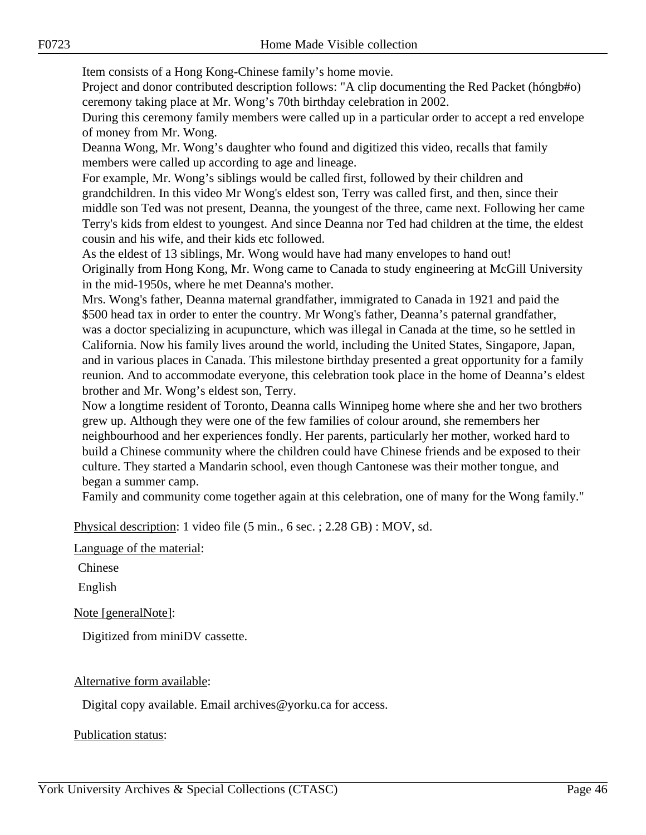Item consists of a Hong Kong-Chinese family's home movie.

Project and donor contributed description follows: "A clip documenting the Red Packet (hóngb#o) ceremony taking place at Mr. Wong's 70th birthday celebration in 2002.

During this ceremony family members were called up in a particular order to accept a red envelope of money from Mr. Wong.

Deanna Wong, Mr. Wong's daughter who found and digitized this video, recalls that family members were called up according to age and lineage.

For example, Mr. Wong's siblings would be called first, followed by their children and grandchildren. In this video Mr Wong's eldest son, Terry was called first, and then, since their middle son Ted was not present, Deanna, the youngest of the three, came next. Following her came Terry's kids from eldest to youngest. And since Deanna nor Ted had children at the time, the eldest cousin and his wife, and their kids etc followed.

As the eldest of 13 siblings, Mr. Wong would have had many envelopes to hand out! Originally from Hong Kong, Mr. Wong came to Canada to study engineering at McGill University in the mid-1950s, where he met Deanna's mother.

Mrs. Wong's father, Deanna maternal grandfather, immigrated to Canada in 1921 and paid the \$500 head tax in order to enter the country. Mr Wong's father, Deanna's paternal grandfather, was a doctor specializing in acupuncture, which was illegal in Canada at the time, so he settled in California. Now his family lives around the world, including the United States, Singapore, Japan, and in various places in Canada. This milestone birthday presented a great opportunity for a family reunion. And to accommodate everyone, this celebration took place in the home of Deanna's eldest brother and Mr. Wong's eldest son, Terry.

Now a longtime resident of Toronto, Deanna calls Winnipeg home where she and her two brothers grew up. Although they were one of the few families of colour around, she remembers her neighbourhood and her experiences fondly. Her parents, particularly her mother, worked hard to build a Chinese community where the children could have Chinese friends and be exposed to their culture. They started a Mandarin school, even though Cantonese was their mother tongue, and began a summer camp.

Family and community come together again at this celebration, one of many for the Wong family."

Physical description: 1 video file (5 min., 6 sec. ; 2.28 GB) : MOV, sd.

Language of the material:

Chinese

English

Note [generalNote]:

Digitized from miniDV cassette.

### Alternative form available:

Digital copy available. Email archives@yorku.ca for access.

Publication status: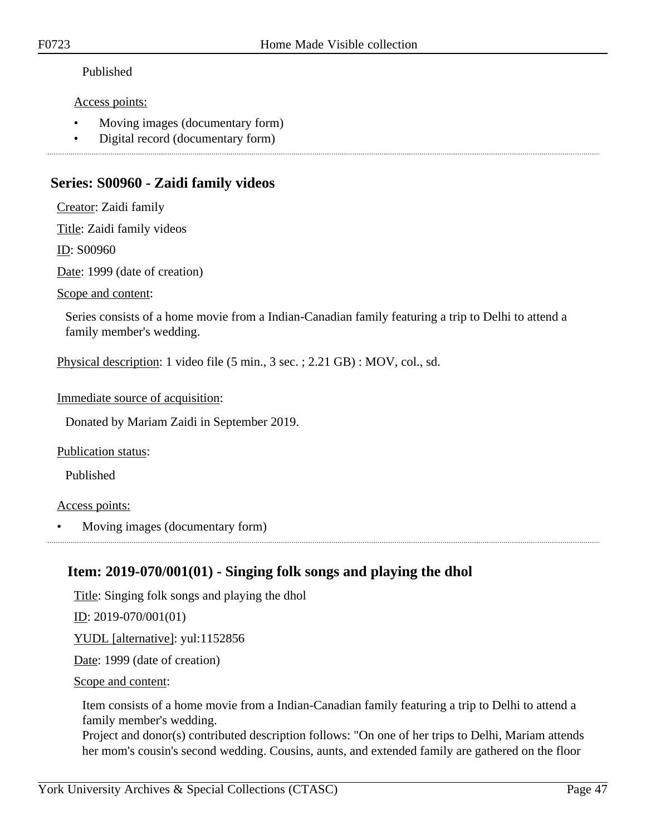# Published

Access points:

- Moving images (documentary form)
- Digital record (documentary form)

# **Series: S00960 - Zaidi family videos**

Creator: Zaidi family

Title: Zaidi family videos

ID: S00960

Date: 1999 (date of creation)

Scope and content:

Series consists of a home movie from a Indian-Canadian family featuring a trip to Delhi to attend a family member's wedding.

Physical description: 1 video file (5 min., 3 sec. ; 2.21 GB) : MOV, col., sd.

Immediate source of acquisition:

Donated by Mariam Zaidi in September 2019.

Publication status:

Published

Access points:

• Moving images (documentary form)

# **Item: 2019-070/001(01) - Singing folk songs and playing the dhol**

Title: Singing folk songs and playing the dhol

 $ID: 2019-070/001(01)$ 

YUDL [alternative]: yul:1152856

Date: 1999 (date of creation)

Scope and content:

Item consists of a home movie from a Indian-Canadian family featuring a trip to Delhi to attend a family member's wedding.

Project and donor(s) contributed description follows: "On one of her trips to Delhi, Mariam attends her mom's cousin's second wedding. Cousins, aunts, and extended family are gathered on the floor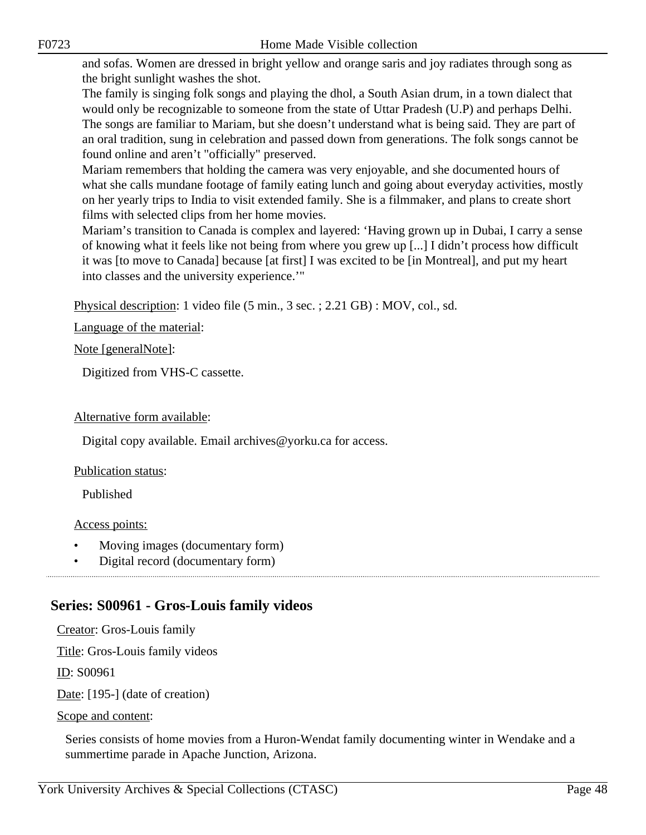and sofas. Women are dressed in bright yellow and orange saris and joy radiates through song as the bright sunlight washes the shot.

The family is singing folk songs and playing the dhol, a South Asian drum, in a town dialect that would only be recognizable to someone from the state of Uttar Pradesh (U.P) and perhaps Delhi. The songs are familiar to Mariam, but she doesn't understand what is being said. They are part of an oral tradition, sung in celebration and passed down from generations. The folk songs cannot be found online and aren't "officially" preserved.

Mariam remembers that holding the camera was very enjoyable, and she documented hours of what she calls mundane footage of family eating lunch and going about everyday activities, mostly on her yearly trips to India to visit extended family. She is a filmmaker, and plans to create short films with selected clips from her home movies.

Mariam's transition to Canada is complex and layered: 'Having grown up in Dubai, I carry a sense of knowing what it feels like not being from where you grew up [...] I didn't process how difficult it was [to move to Canada] because [at first] I was excited to be [in Montreal], and put my heart into classes and the university experience.'"

Physical description: 1 video file (5 min., 3 sec. ; 2.21 GB) : MOV, col., sd.

Language of the material:

### Note [generalNote]:

Digitized from VHS-C cassette.

# Alternative form available:

Digital copy available. Email archives@yorku.ca for access.

### Publication status:

Published

Access points:

- Moving images (documentary form)
- Digital record (documentary form)

# **Series: S00961 - Gros-Louis family videos**

Creator: Gros-Louis family

Title: Gros-Louis family videos

ID: S00961

Date: [195-] (date of creation)

Scope and content:

Series consists of home movies from a Huron-Wendat family documenting winter in Wendake and a summertime parade in Apache Junction, Arizona.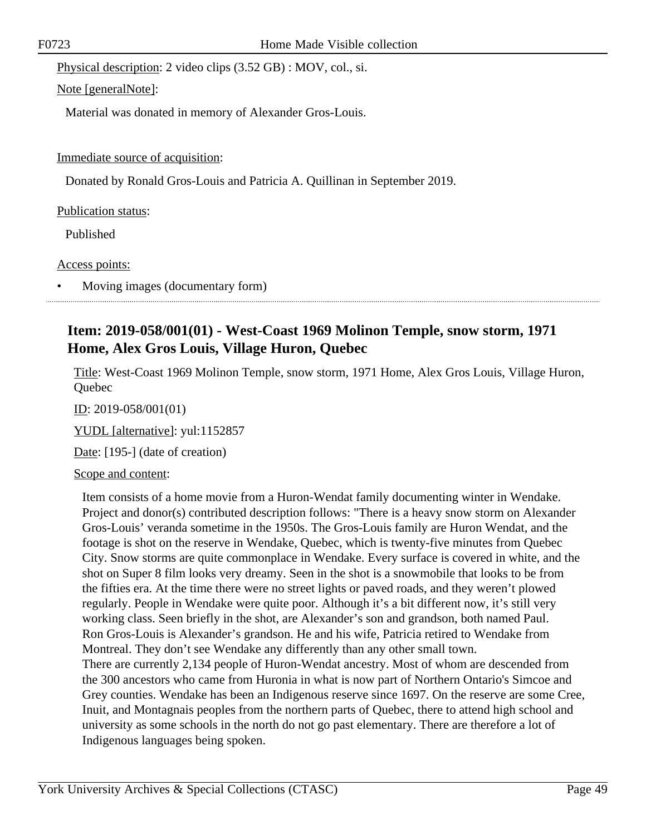Physical description: 2 video clips (3.52 GB) : MOV, col., si.

Note [generalNote]:

Material was donated in memory of Alexander Gros-Louis.

Immediate source of acquisition:

Donated by Ronald Gros-Louis and Patricia A. Quillinan in September 2019.

Publication status:

Published

Access points:

• Moving images (documentary form)

# **Item: 2019-058/001(01) - West-Coast 1969 Molinon Temple, snow storm, 1971 Home, Alex Gros Louis, Village Huron, Quebec**

Title: West-Coast 1969 Molinon Temple, snow storm, 1971 Home, Alex Gros Louis, Village Huron, **Ouebec** 

<u>ID</u>: 2019-058/001(01)

YUDL [alternative]: yul:1152857

Date: [195-] (date of creation)

Scope and content:

Item consists of a home movie from a Huron-Wendat family documenting winter in Wendake. Project and donor(s) contributed description follows: "There is a heavy snow storm on Alexander Gros-Louis' veranda sometime in the 1950s. The Gros-Louis family are Huron Wendat, and the footage is shot on the reserve in Wendake, Quebec, which is twenty-five minutes from Quebec City. Snow storms are quite commonplace in Wendake. Every surface is covered in white, and the shot on Super 8 film looks very dreamy. Seen in the shot is a snowmobile that looks to be from the fifties era. At the time there were no street lights or paved roads, and they weren't plowed regularly. People in Wendake were quite poor. Although it's a bit different now, it's still very working class. Seen briefly in the shot, are Alexander's son and grandson, both named Paul. Ron Gros-Louis is Alexander's grandson. He and his wife, Patricia retired to Wendake from Montreal. They don't see Wendake any differently than any other small town. There are currently 2,134 people of Huron-Wendat ancestry. Most of whom are descended from the 300 ancestors who came from Huronia in what is now part of Northern Ontario's Simcoe and Grey counties. Wendake has been an Indigenous reserve since 1697. On the reserve are some Cree, Inuit, and Montagnais peoples from the northern parts of Quebec, there to attend high school and university as some schools in the north do not go past elementary. There are therefore a lot of Indigenous languages being spoken.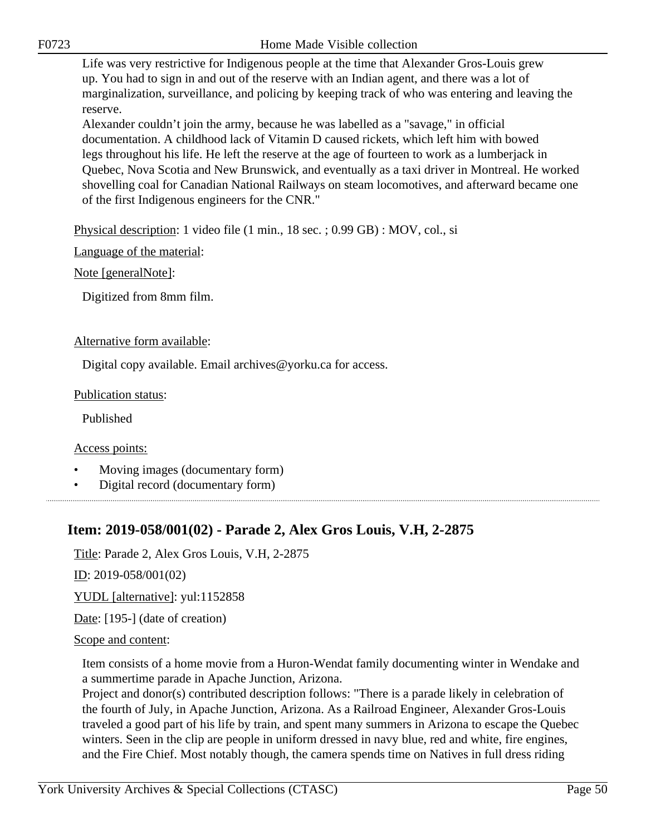Life was very restrictive for Indigenous people at the time that Alexander Gros-Louis grew up. You had to sign in and out of the reserve with an Indian agent, and there was a lot of marginalization, surveillance, and policing by keeping track of who was entering and leaving the reserve.

Alexander couldn't join the army, because he was labelled as a "savage," in official documentation. A childhood lack of Vitamin D caused rickets, which left him with bowed legs throughout his life. He left the reserve at the age of fourteen to work as a lumberjack in Quebec, Nova Scotia and New Brunswick, and eventually as a taxi driver in Montreal. He worked shovelling coal for Canadian National Railways on steam locomotives, and afterward became one of the first Indigenous engineers for the CNR."

Physical description: 1 video file (1 min., 18 sec. ; 0.99 GB) : MOV, col., si

Language of the material:

Note [generalNote]:

Digitized from 8mm film.

#### Alternative form available:

Digital copy available. Email archives@yorku.ca for access.

#### Publication status:

Published

Access points:

- Moving images (documentary form)
- Digital record (documentary form)

# **Item: 2019-058/001(02) - Parade 2, Alex Gros Louis, V.H, 2-2875**

Title: Parade 2, Alex Gros Louis, V.H, 2-2875

ID: 2019-058/001(02)

YUDL [alternative]: yul:1152858

Date: [195-] (date of creation)

#### Scope and content:

Item consists of a home movie from a Huron-Wendat family documenting winter in Wendake and a summertime parade in Apache Junction, Arizona.

Project and donor(s) contributed description follows: "There is a parade likely in celebration of the fourth of July, in Apache Junction, Arizona. As a Railroad Engineer, Alexander Gros-Louis traveled a good part of his life by train, and spent many summers in Arizona to escape the Quebec winters. Seen in the clip are people in uniform dressed in navy blue, red and white, fire engines, and the Fire Chief. Most notably though, the camera spends time on Natives in full dress riding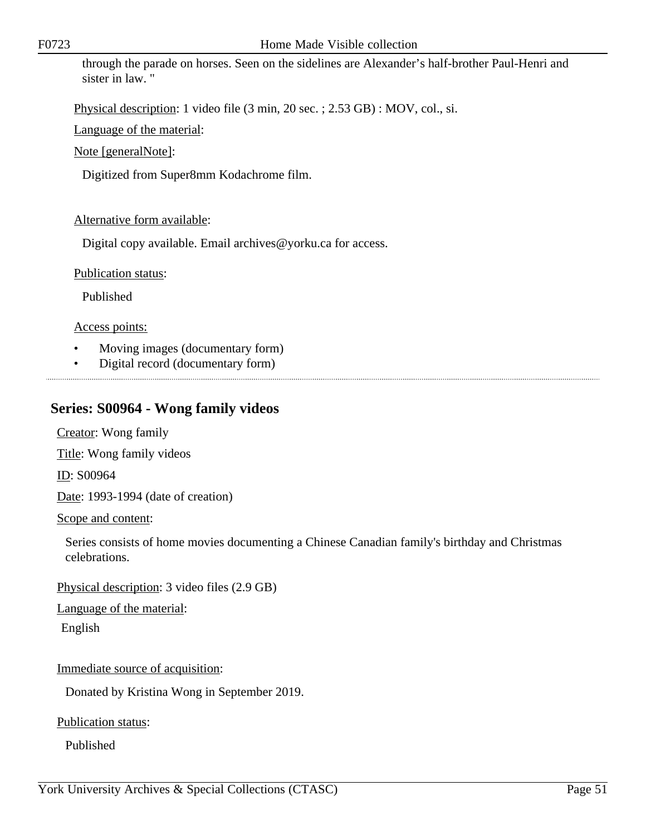through the parade on horses. Seen on the sidelines are Alexander's half-brother Paul-Henri and sister in law. "

Physical description: 1 video file (3 min, 20 sec. ; 2.53 GB) : MOV, col., si.

Language of the material:

Note [generalNote]:

Digitized from Super8mm Kodachrome film.

# Alternative form available:

Digital copy available. Email archives@yorku.ca for access.

Publication status:

Published

Access points:

- Moving images (documentary form)
- Digital record (documentary form)

# **Series: S00964 - Wong family videos**

Creator: Wong family

Title: Wong family videos

ID: S00964

Date: 1993-1994 (date of creation)

Scope and content:

Series consists of home movies documenting a Chinese Canadian family's birthday and Christmas celebrations.

Physical description: 3 video files (2.9 GB)

Language of the material:

English

# Immediate source of acquisition:

Donated by Kristina Wong in September 2019.

Publication status:

Published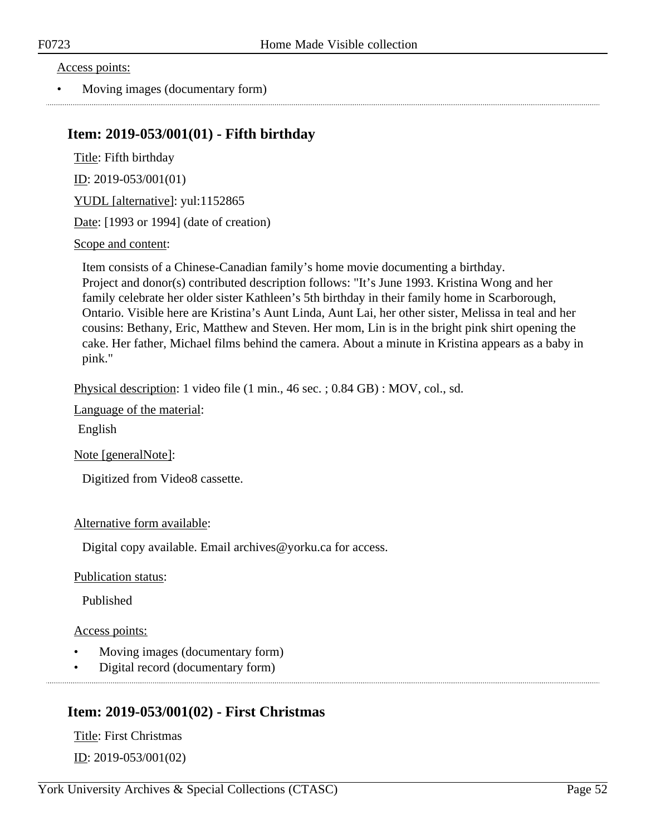Access points:

• Moving images (documentary form)

# **Item: 2019-053/001(01) - Fifth birthday**

Title: Fifth birthday

ID: 2019-053/001(01)

YUDL [alternative]: yul:1152865

Date: [1993 or 1994] (date of creation)

### Scope and content:

Item consists of a Chinese-Canadian family's home movie documenting a birthday. Project and donor(s) contributed description follows: "It's June 1993. Kristina Wong and her family celebrate her older sister Kathleen's 5th birthday in their family home in Scarborough, Ontario. Visible here are Kristina's Aunt Linda, Aunt Lai, her other sister, Melissa in teal and her cousins: Bethany, Eric, Matthew and Steven. Her mom, Lin is in the bright pink shirt opening the cake. Her father, Michael films behind the camera. About a minute in Kristina appears as a baby in pink."

Physical description: 1 video file (1 min., 46 sec. ; 0.84 GB) : MOV, col., sd.

Language of the material:

English

Note [generalNote]:

Digitized from Video8 cassette.

### Alternative form available:

Digital copy available. Email archives@yorku.ca for access.

Publication status:

Published

### Access points:

- Moving images (documentary form)
- Digital record (documentary form)

# **Item: 2019-053/001(02) - First Christmas**

Title: First Christmas ID: 2019-053/001(02)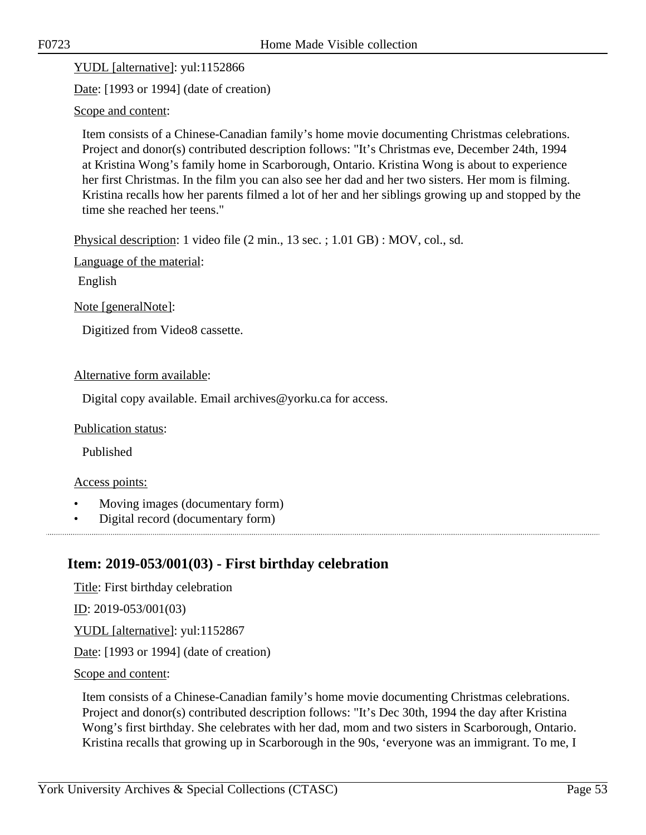YUDL [alternative]: yul:1152866

Date: [1993 or 1994] (date of creation)

Scope and content:

Item consists of a Chinese-Canadian family's home movie documenting Christmas celebrations. Project and donor(s) contributed description follows: "It's Christmas eve, December 24th, 1994 at Kristina Wong's family home in Scarborough, Ontario. Kristina Wong is about to experience her first Christmas. In the film you can also see her dad and her two sisters. Her mom is filming. Kristina recalls how her parents filmed a lot of her and her siblings growing up and stopped by the time she reached her teens."

Physical description: 1 video file (2 min., 13 sec. ; 1.01 GB) : MOV, col., sd.

Language of the material:

English

Note [generalNote]:

Digitized from Video8 cassette.

#### Alternative form available:

Digital copy available. Email archives@yorku.ca for access.

Publication status:

Published

#### Access points:

- Moving images (documentary form)
- Digital record (documentary form)

# **Item: 2019-053/001(03) - First birthday celebration**

Title: First birthday celebration ID: 2019-053/001(03) YUDL [alternative]: yul:1152867 Date: [1993 or 1994] (date of creation) Scope and content:

Item consists of a Chinese-Canadian family's home movie documenting Christmas celebrations. Project and donor(s) contributed description follows: "It's Dec 30th, 1994 the day after Kristina Wong's first birthday. She celebrates with her dad, mom and two sisters in Scarborough, Ontario. Kristina recalls that growing up in Scarborough in the 90s, 'everyone was an immigrant. To me, I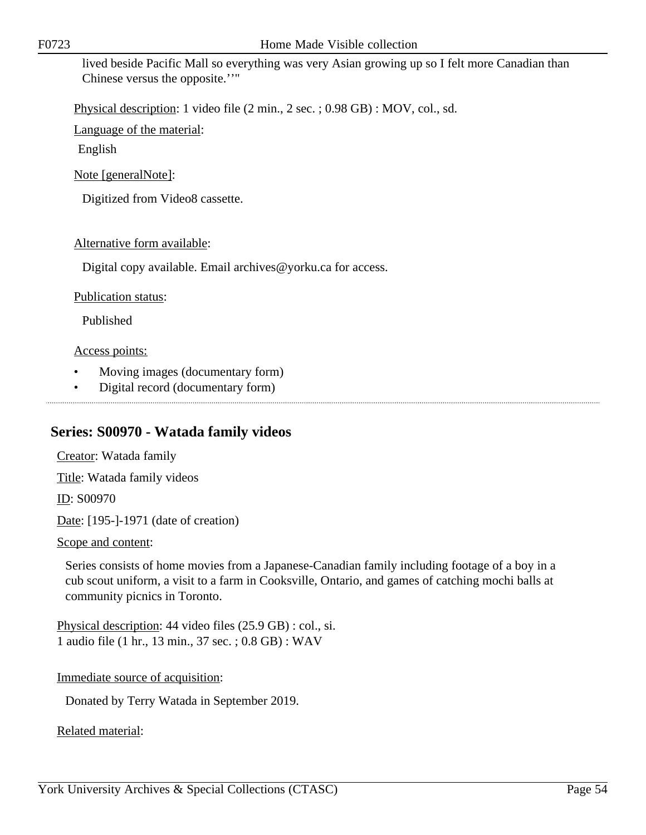lived beside Pacific Mall so everything was very Asian growing up so I felt more Canadian than Chinese versus the opposite.''"

Physical description: 1 video file (2 min., 2 sec. ; 0.98 GB) : MOV, col., sd.

Language of the material:

English

Note [generalNote]:

Digitized from Video8 cassette.

#### Alternative form available:

Digital copy available. Email archives@yorku.ca for access.

#### Publication status:

Published

#### Access points:

- Moving images (documentary form)
- Digital record (documentary form)

# **Series: S00970 - Watada family videos**

Creator: Watada family Title: Watada family videos ID: S00970 Date: [195-]-1971 (date of creation) Scope and content:

Series consists of home movies from a Japanese-Canadian family including footage of a boy in a cub scout uniform, a visit to a farm in Cooksville, Ontario, and games of catching mochi balls at community picnics in Toronto.

Physical description: 44 video files (25.9 GB) : col., si. 1 audio file (1 hr., 13 min., 37 sec. ; 0.8 GB) : WAV

Immediate source of acquisition:

Donated by Terry Watada in September 2019.

Related material: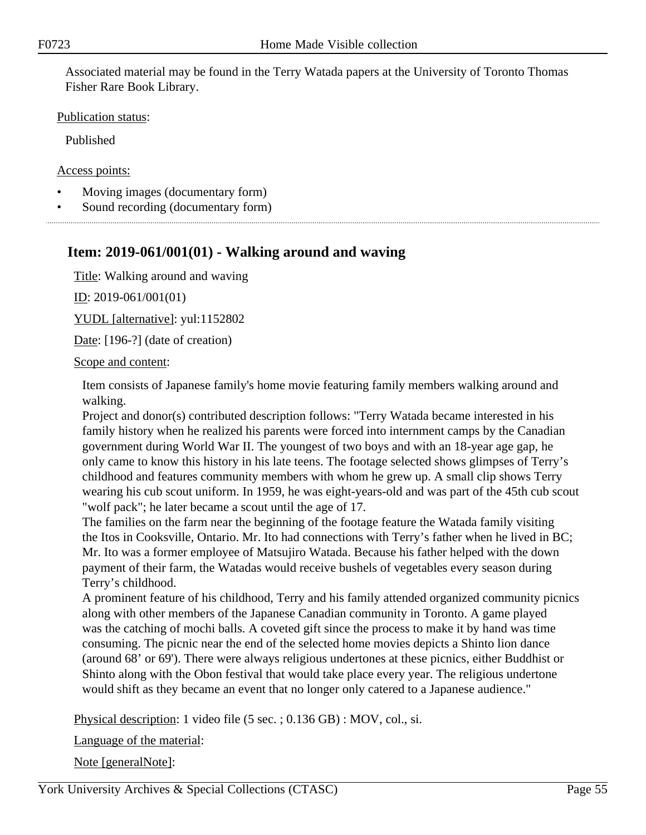Associated material may be found in the Terry Watada papers at the University of Toronto Thomas Fisher Rare Book Library.

Publication status:

Published

Access points:

- Moving images (documentary form)
- Sound recording (documentary form)

# **Item: 2019-061/001(01) - Walking around and waving**

Title: Walking around and waving

ID: 2019-061/001(01)

YUDL [alternative]: yul:1152802

Date: [196-?] (date of creation)

Scope and content:

Item consists of Japanese family's home movie featuring family members walking around and walking.

Project and donor(s) contributed description follows: "Terry Watada became interested in his family history when he realized his parents were forced into internment camps by the Canadian government during World War II. The youngest of two boys and with an 18-year age gap, he only came to know this history in his late teens. The footage selected shows glimpses of Terry's childhood and features community members with whom he grew up. A small clip shows Terry wearing his cub scout uniform. In 1959, he was eight-years-old and was part of the 45th cub scout "wolf pack"; he later became a scout until the age of 17.

The families on the farm near the beginning of the footage feature the Watada family visiting the Itos in Cooksville, Ontario. Mr. Ito had connections with Terry's father when he lived in BC; Mr. Ito was a former employee of Matsujiro Watada. Because his father helped with the down payment of their farm, the Watadas would receive bushels of vegetables every season during Terry's childhood.

A prominent feature of his childhood, Terry and his family attended organized community picnics along with other members of the Japanese Canadian community in Toronto. A game played was the catching of mochi balls. A coveted gift since the process to make it by hand was time consuming. The picnic near the end of the selected home movies depicts a Shinto lion dance (around 68' or 69'). There were always religious undertones at these picnics, either Buddhist or Shinto along with the Obon festival that would take place every year. The religious undertone would shift as they became an event that no longer only catered to a Japanese audience."

Physical description: 1 video file (5 sec. ; 0.136 GB) : MOV, col., si.

Language of the material:

Note [generalNote]: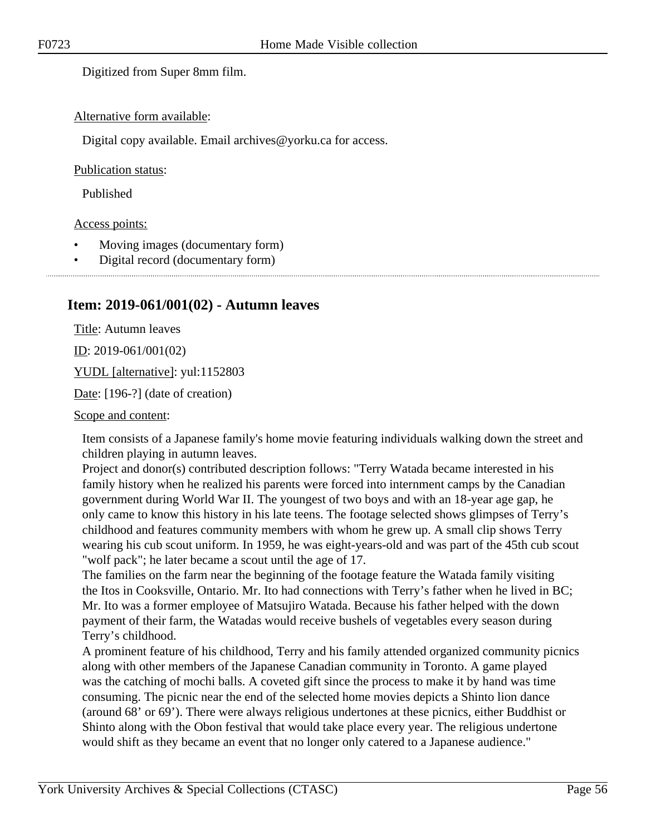Digitized from Super 8mm film.

#### Alternative form available:

Digital copy available. Email archives@yorku.ca for access.

#### Publication status:

Published

#### Access points:

- Moving images (documentary form)
- Digital record (documentary form)

# **Item: 2019-061/001(02) - Autumn leaves**

Title: Autumn leaves  $ID: 2019-061/001(02)$ 

YUDL [alternative]: yul:1152803

Date: [196-?] (date of creation)

Scope and content:

Item consists of a Japanese family's home movie featuring individuals walking down the street and children playing in autumn leaves.

Project and donor(s) contributed description follows: "Terry Watada became interested in his family history when he realized his parents were forced into internment camps by the Canadian government during World War II. The youngest of two boys and with an 18-year age gap, he only came to know this history in his late teens. The footage selected shows glimpses of Terry's childhood and features community members with whom he grew up. A small clip shows Terry wearing his cub scout uniform. In 1959, he was eight-years-old and was part of the 45th cub scout "wolf pack"; he later became a scout until the age of 17.

The families on the farm near the beginning of the footage feature the Watada family visiting the Itos in Cooksville, Ontario. Mr. Ito had connections with Terry's father when he lived in BC; Mr. Ito was a former employee of Matsujiro Watada. Because his father helped with the down payment of their farm, the Watadas would receive bushels of vegetables every season during Terry's childhood.

A prominent feature of his childhood, Terry and his family attended organized community picnics along with other members of the Japanese Canadian community in Toronto. A game played was the catching of mochi balls. A coveted gift since the process to make it by hand was time consuming. The picnic near the end of the selected home movies depicts a Shinto lion dance (around 68' or 69'). There were always religious undertones at these picnics, either Buddhist or Shinto along with the Obon festival that would take place every year. The religious undertone would shift as they became an event that no longer only catered to a Japanese audience."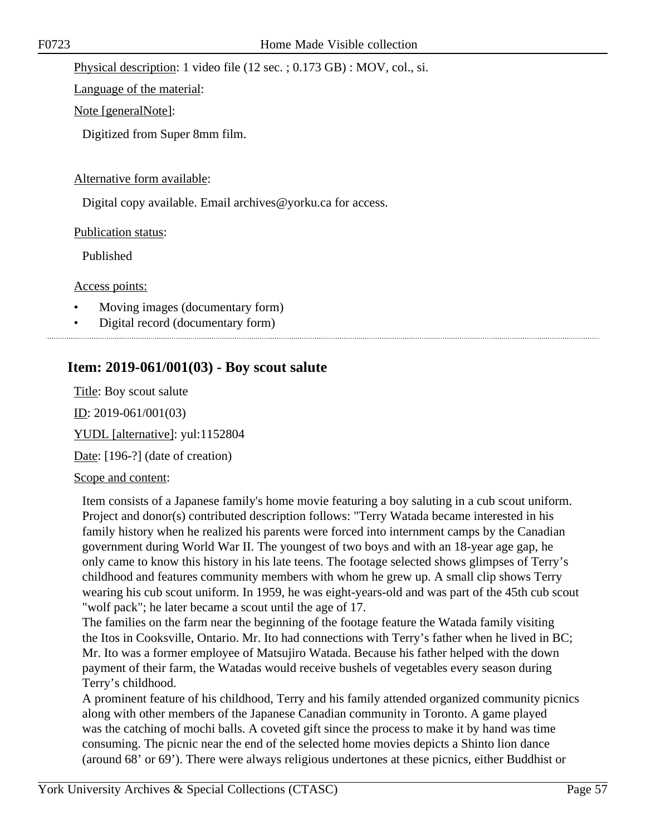Physical description: 1 video file (12 sec. ; 0.173 GB) : MOV, col., si.

Language of the material:

Note [generalNote]:

Digitized from Super 8mm film.

### Alternative form available:

Digital copy available. Email archives@yorku.ca for access.

Publication status:

Published

Access points:

- Moving images (documentary form)
- Digital record (documentary form)

# **Item: 2019-061/001(03) - Boy scout salute**

Title: Boy scout salute ID: 2019-061/001(03) YUDL [alternative]: yul:1152804 Date: [196-?] (date of creation) Scope and content:

Item consists of a Japanese family's home movie featuring a boy saluting in a cub scout uniform. Project and donor(s) contributed description follows: "Terry Watada became interested in his family history when he realized his parents were forced into internment camps by the Canadian government during World War II. The youngest of two boys and with an 18-year age gap, he only came to know this history in his late teens. The footage selected shows glimpses of Terry's childhood and features community members with whom he grew up. A small clip shows Terry wearing his cub scout uniform. In 1959, he was eight-years-old and was part of the 45th cub scout "wolf pack"; he later became a scout until the age of 17.

The families on the farm near the beginning of the footage feature the Watada family visiting the Itos in Cooksville, Ontario. Mr. Ito had connections with Terry's father when he lived in BC; Mr. Ito was a former employee of Matsujiro Watada. Because his father helped with the down payment of their farm, the Watadas would receive bushels of vegetables every season during Terry's childhood.

A prominent feature of his childhood, Terry and his family attended organized community picnics along with other members of the Japanese Canadian community in Toronto. A game played was the catching of mochi balls. A coveted gift since the process to make it by hand was time consuming. The picnic near the end of the selected home movies depicts a Shinto lion dance (around 68' or 69'). There were always religious undertones at these picnics, either Buddhist or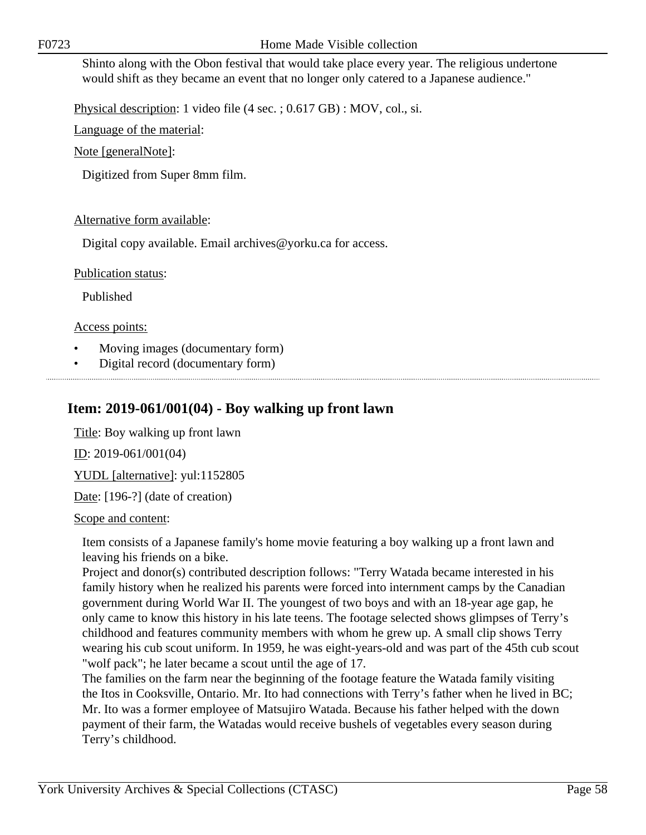Shinto along with the Obon festival that would take place every year. The religious undertone would shift as they became an event that no longer only catered to a Japanese audience."

Physical description: 1 video file (4 sec. ; 0.617 GB) : MOV, col., si.

Language of the material:

Note [generalNote]:

Digitized from Super 8mm film.

# Alternative form available:

Digital copy available. Email archives@yorku.ca for access.

Publication status:

Published

Access points:

- Moving images (documentary form)
- Digital record (documentary form)

# **Item: 2019-061/001(04) - Boy walking up front lawn**

Title: Boy walking up front lawn

ID: 2019-061/001(04)

YUDL [alternative]: yul:1152805

Date: [196-?] (date of creation)

Scope and content:

Item consists of a Japanese family's home movie featuring a boy walking up a front lawn and leaving his friends on a bike.

Project and donor(s) contributed description follows: "Terry Watada became interested in his family history when he realized his parents were forced into internment camps by the Canadian government during World War II. The youngest of two boys and with an 18-year age gap, he only came to know this history in his late teens. The footage selected shows glimpses of Terry's childhood and features community members with whom he grew up. A small clip shows Terry wearing his cub scout uniform. In 1959, he was eight-years-old and was part of the 45th cub scout "wolf pack"; he later became a scout until the age of 17.

The families on the farm near the beginning of the footage feature the Watada family visiting the Itos in Cooksville, Ontario. Mr. Ito had connections with Terry's father when he lived in BC; Mr. Ito was a former employee of Matsujiro Watada. Because his father helped with the down payment of their farm, the Watadas would receive bushels of vegetables every season during Terry's childhood.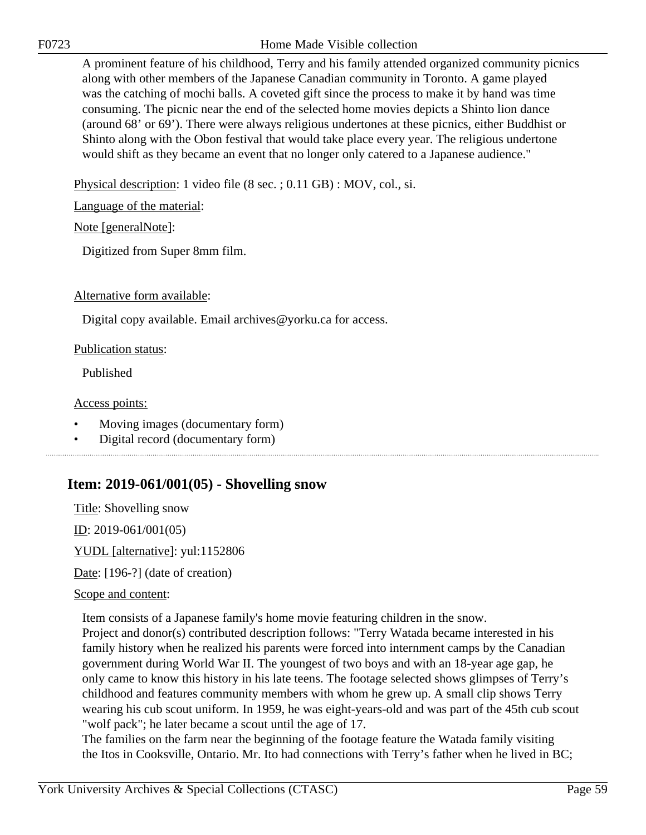F0723 Home Made Visible collection

A prominent feature of his childhood, Terry and his family attended organized community picnics along with other members of the Japanese Canadian community in Toronto. A game played was the catching of mochi balls. A coveted gift since the process to make it by hand was time consuming. The picnic near the end of the selected home movies depicts a Shinto lion dance (around 68' or 69'). There were always religious undertones at these picnics, either Buddhist or Shinto along with the Obon festival that would take place every year. The religious undertone would shift as they became an event that no longer only catered to a Japanese audience."

Physical description: 1 video file (8 sec. ; 0.11 GB) : MOV, col., si.

Language of the material:

Note [generalNote]:

Digitized from Super 8mm film.

# Alternative form available:

Digital copy available. Email archives@yorku.ca for access.

### Publication status:

Published

# Access points:

- Moving images (documentary form)
- Digital record (documentary form)

# **Item: 2019-061/001(05) - Shovelling snow**

Title: Shovelling snow ID: 2019-061/001(05) YUDL [alternative]: yul:1152806

Date: [196-?] (date of creation)

# Scope and content:

Item consists of a Japanese family's home movie featuring children in the snow.

Project and donor(s) contributed description follows: "Terry Watada became interested in his family history when he realized his parents were forced into internment camps by the Canadian government during World War II. The youngest of two boys and with an 18-year age gap, he only came to know this history in his late teens. The footage selected shows glimpses of Terry's childhood and features community members with whom he grew up. A small clip shows Terry wearing his cub scout uniform. In 1959, he was eight-years-old and was part of the 45th cub scout "wolf pack"; he later became a scout until the age of 17.

The families on the farm near the beginning of the footage feature the Watada family visiting the Itos in Cooksville, Ontario. Mr. Ito had connections with Terry's father when he lived in BC;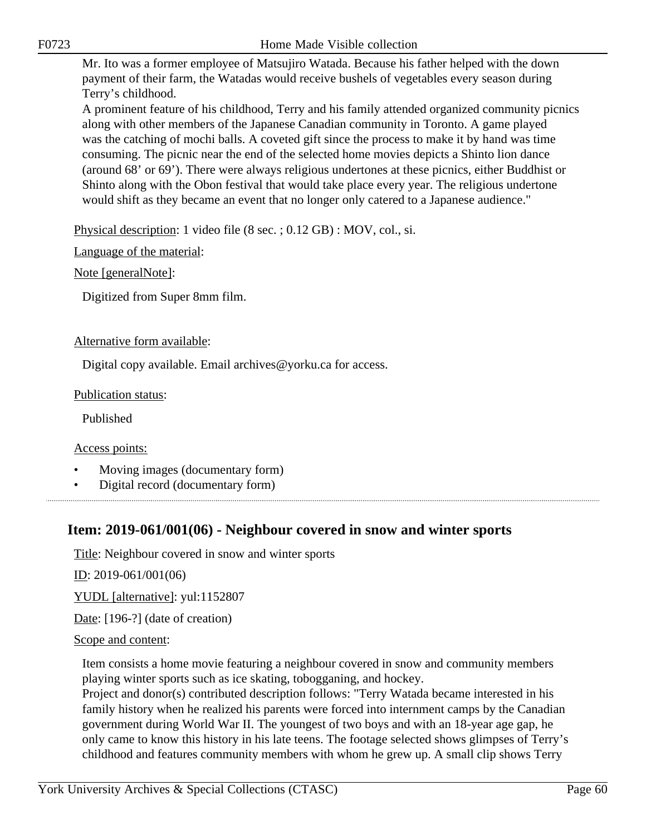Mr. Ito was a former employee of Matsujiro Watada. Because his father helped with the down payment of their farm, the Watadas would receive bushels of vegetables every season during Terry's childhood.

A prominent feature of his childhood, Terry and his family attended organized community picnics along with other members of the Japanese Canadian community in Toronto. A game played was the catching of mochi balls. A coveted gift since the process to make it by hand was time consuming. The picnic near the end of the selected home movies depicts a Shinto lion dance (around 68' or 69'). There were always religious undertones at these picnics, either Buddhist or Shinto along with the Obon festival that would take place every year. The religious undertone would shift as they became an event that no longer only catered to a Japanese audience."

Physical description: 1 video file (8 sec. ; 0.12 GB) : MOV, col., si.

Language of the material:

Note [generalNote]:

Digitized from Super 8mm film.

# Alternative form available:

Digital copy available. Email archives@yorku.ca for access.

### Publication status:

Published

Access points:

- Moving images (documentary form)
- Digital record (documentary form)

# **Item: 2019-061/001(06) - Neighbour covered in snow and winter sports**

Title: Neighbour covered in snow and winter sports

ID: 2019-061/001(06)

YUDL [alternative]: yul:1152807

Date: [196-?] (date of creation)

### Scope and content:

Item consists a home movie featuring a neighbour covered in snow and community members playing winter sports such as ice skating, tobogganing, and hockey.

Project and donor(s) contributed description follows: "Terry Watada became interested in his family history when he realized his parents were forced into internment camps by the Canadian government during World War II. The youngest of two boys and with an 18-year age gap, he only came to know this history in his late teens. The footage selected shows glimpses of Terry's childhood and features community members with whom he grew up. A small clip shows Terry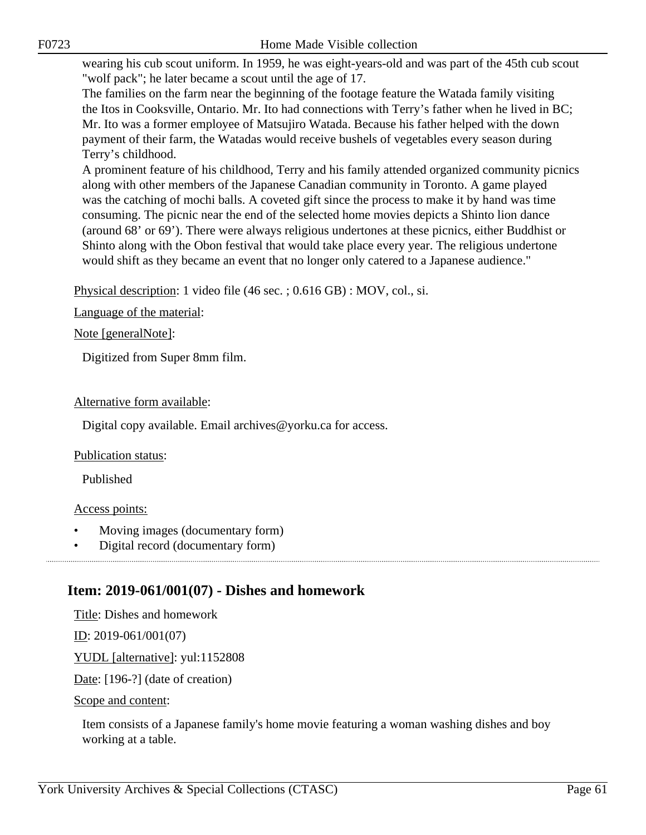wearing his cub scout uniform. In 1959, he was eight-years-old and was part of the 45th cub scout "wolf pack"; he later became a scout until the age of 17.

The families on the farm near the beginning of the footage feature the Watada family visiting the Itos in Cooksville, Ontario. Mr. Ito had connections with Terry's father when he lived in BC; Mr. Ito was a former employee of Matsujiro Watada. Because his father helped with the down payment of their farm, the Watadas would receive bushels of vegetables every season during Terry's childhood.

A prominent feature of his childhood, Terry and his family attended organized community picnics along with other members of the Japanese Canadian community in Toronto. A game played was the catching of mochi balls. A coveted gift since the process to make it by hand was time consuming. The picnic near the end of the selected home movies depicts a Shinto lion dance (around 68' or 69'). There were always religious undertones at these picnics, either Buddhist or Shinto along with the Obon festival that would take place every year. The religious undertone would shift as they became an event that no longer only catered to a Japanese audience."

Physical description: 1 video file (46 sec. ; 0.616 GB) : MOV, col., si.

Language of the material:

Note [generalNote]:

Digitized from Super 8mm film.

# Alternative form available:

Digital copy available. Email archives@yorku.ca for access.

### Publication status:

Published

### Access points:

- Moving images (documentary form)
- Digital record (documentary form)

# **Item: 2019-061/001(07) - Dishes and homework**

Title: Dishes and homework

 $ID: 2019-061/001(07)$ 

YUDL [alternative]: yul:1152808

Date: [196-?] (date of creation)

Scope and content:

Item consists of a Japanese family's home movie featuring a woman washing dishes and boy working at a table.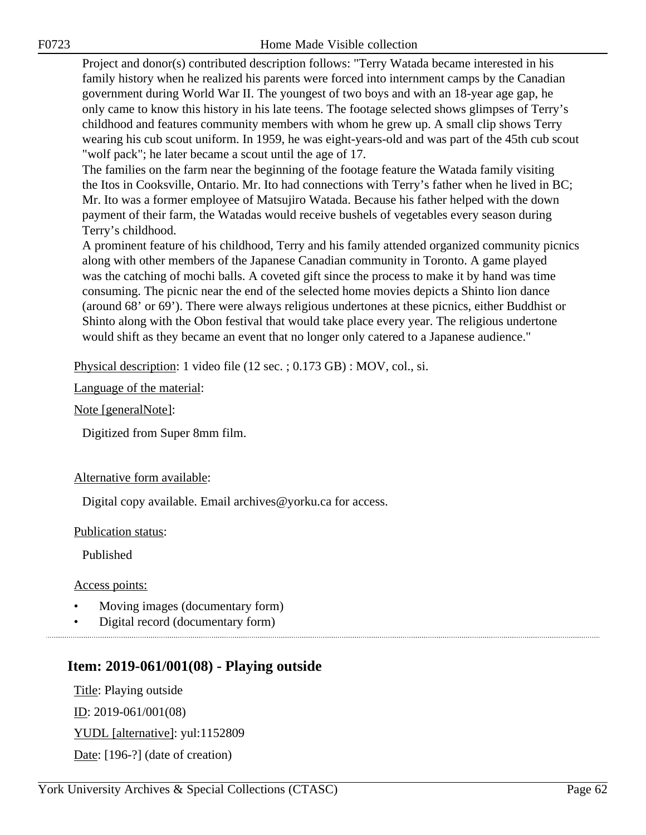Project and donor(s) contributed description follows: "Terry Watada became interested in his family history when he realized his parents were forced into internment camps by the Canadian government during World War II. The youngest of two boys and with an 18-year age gap, he only came to know this history in his late teens. The footage selected shows glimpses of Terry's childhood and features community members with whom he grew up. A small clip shows Terry wearing his cub scout uniform. In 1959, he was eight-years-old and was part of the 45th cub scout "wolf pack"; he later became a scout until the age of 17.

The families on the farm near the beginning of the footage feature the Watada family visiting the Itos in Cooksville, Ontario. Mr. Ito had connections with Terry's father when he lived in BC; Mr. Ito was a former employee of Matsujiro Watada. Because his father helped with the down payment of their farm, the Watadas would receive bushels of vegetables every season during Terry's childhood.

A prominent feature of his childhood, Terry and his family attended organized community picnics along with other members of the Japanese Canadian community in Toronto. A game played was the catching of mochi balls. A coveted gift since the process to make it by hand was time consuming. The picnic near the end of the selected home movies depicts a Shinto lion dance (around 68' or 69'). There were always religious undertones at these picnics, either Buddhist or Shinto along with the Obon festival that would take place every year. The religious undertone would shift as they became an event that no longer only catered to a Japanese audience."

Physical description: 1 video file (12 sec. ; 0.173 GB) : MOV, col., si.

Language of the material:

Note [generalNote]:

Digitized from Super 8mm film.

### Alternative form available:

Digital copy available. Email archives@yorku.ca for access.

Publication status:

Published

Access points:

- Moving images (documentary form)
- Digital record (documentary form)

# **Item: 2019-061/001(08) - Playing outside**

Title: Playing outside ID: 2019-061/001(08)

YUDL [alternative]: yul:1152809

Date: [196-?] (date of creation)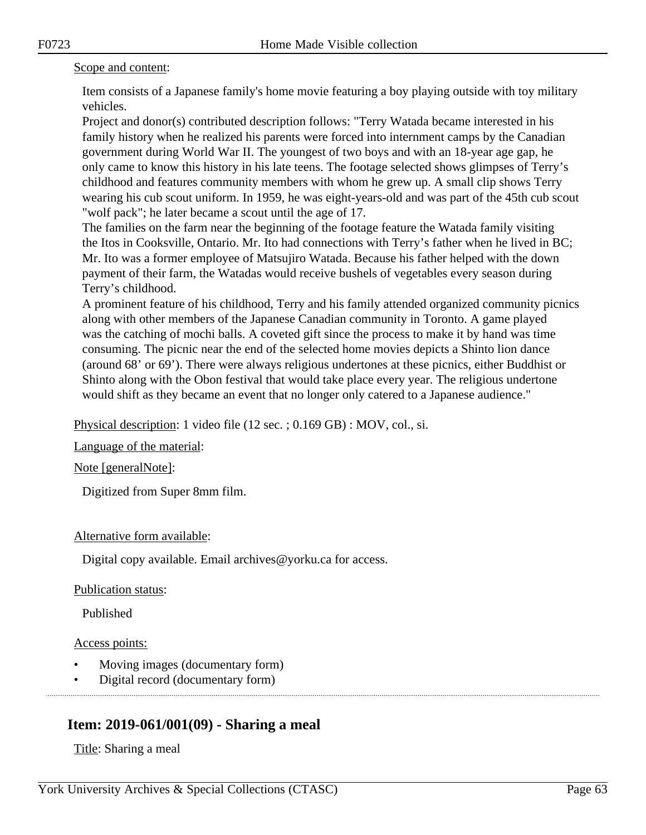### Scope and content:

Item consists of a Japanese family's home movie featuring a boy playing outside with toy military vehicles.

Project and donor(s) contributed description follows: "Terry Watada became interested in his family history when he realized his parents were forced into internment camps by the Canadian government during World War II. The youngest of two boys and with an 18-year age gap, he only came to know this history in his late teens. The footage selected shows glimpses of Terry's childhood and features community members with whom he grew up. A small clip shows Terry wearing his cub scout uniform. In 1959, he was eight-years-old and was part of the 45th cub scout "wolf pack"; he later became a scout until the age of 17.

The families on the farm near the beginning of the footage feature the Watada family visiting the Itos in Cooksville, Ontario. Mr. Ito had connections with Terry's father when he lived in BC; Mr. Ito was a former employee of Matsujiro Watada. Because his father helped with the down payment of their farm, the Watadas would receive bushels of vegetables every season during Terry's childhood.

A prominent feature of his childhood, Terry and his family attended organized community picnics along with other members of the Japanese Canadian community in Toronto. A game played was the catching of mochi balls. A coveted gift since the process to make it by hand was time consuming. The picnic near the end of the selected home movies depicts a Shinto lion dance (around 68' or 69'). There were always religious undertones at these picnics, either Buddhist or Shinto along with the Obon festival that would take place every year. The religious undertone would shift as they became an event that no longer only catered to a Japanese audience."

Physical description: 1 video file (12 sec. ; 0.169 GB) : MOV, col., si.

Language of the material:

Note [generalNote]:

Digitized from Super 8mm film.

### Alternative form available:

Digital copy available. Email archives@yorku.ca for access.

Publication status:

Published

Access points:

- Moving images (documentary form)
- Digital record (documentary form)

# **Item: 2019-061/001(09) - Sharing a meal**

Title: Sharing a meal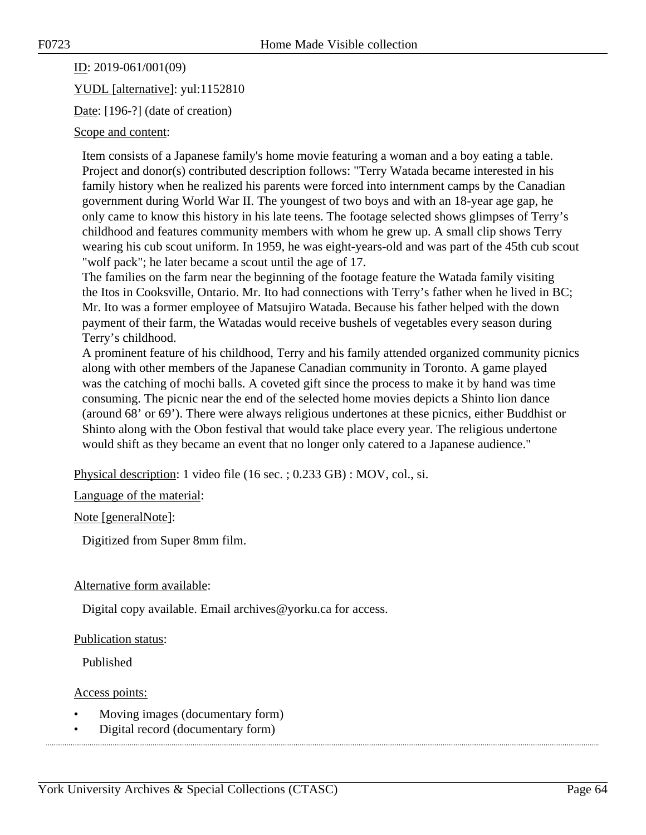ID: 2019-061/001(09)

YUDL [alternative]: yul:1152810

Date: [196-?] (date of creation)

# Scope and content:

Item consists of a Japanese family's home movie featuring a woman and a boy eating a table. Project and donor(s) contributed description follows: "Terry Watada became interested in his family history when he realized his parents were forced into internment camps by the Canadian government during World War II. The youngest of two boys and with an 18-year age gap, he only came to know this history in his late teens. The footage selected shows glimpses of Terry's childhood and features community members with whom he grew up. A small clip shows Terry wearing his cub scout uniform. In 1959, he was eight-years-old and was part of the 45th cub scout "wolf pack"; he later became a scout until the age of 17.

The families on the farm near the beginning of the footage feature the Watada family visiting the Itos in Cooksville, Ontario. Mr. Ito had connections with Terry's father when he lived in BC; Mr. Ito was a former employee of Matsujiro Watada. Because his father helped with the down payment of their farm, the Watadas would receive bushels of vegetables every season during Terry's childhood.

A prominent feature of his childhood, Terry and his family attended organized community picnics along with other members of the Japanese Canadian community in Toronto. A game played was the catching of mochi balls. A coveted gift since the process to make it by hand was time consuming. The picnic near the end of the selected home movies depicts a Shinto lion dance (around 68' or 69'). There were always religious undertones at these picnics, either Buddhist or Shinto along with the Obon festival that would take place every year. The religious undertone would shift as they became an event that no longer only catered to a Japanese audience."

Physical description: 1 video file (16 sec. ; 0.233 GB) : MOV, col., si.

Language of the material:

Note [generalNote]:

Digitized from Super 8mm film.

### Alternative form available:

Digital copy available. Email archives@yorku.ca for access.

### Publication status:

Published

Access points:

- Moving images (documentary form)
- Digital record (documentary form)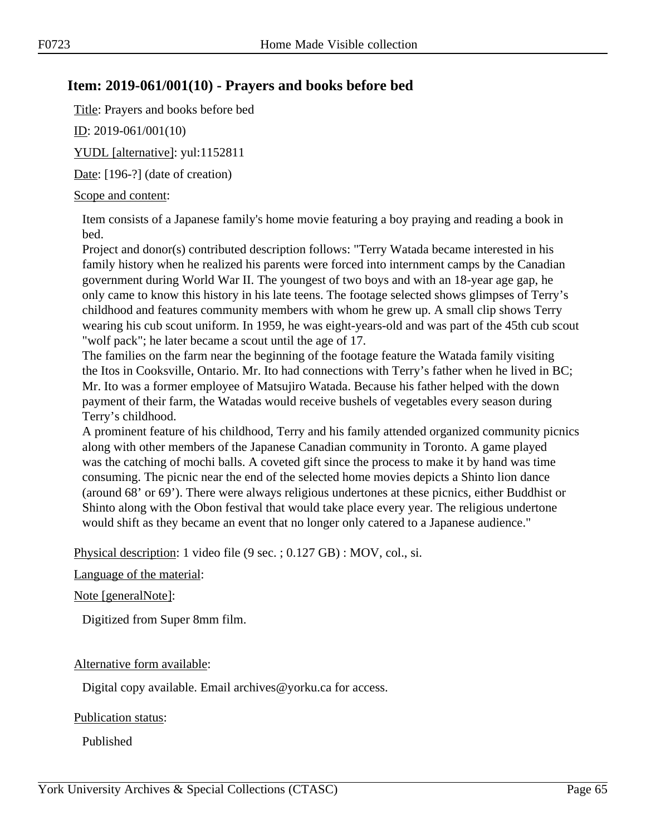# **Item: 2019-061/001(10) - Prayers and books before bed**

Title: Prayers and books before bed

ID: 2019-061/001(10)

YUDL [alternative]: yul:1152811

Date: [196-?] (date of creation)

### Scope and content:

Item consists of a Japanese family's home movie featuring a boy praying and reading a book in bed.

Project and donor(s) contributed description follows: "Terry Watada became interested in his family history when he realized his parents were forced into internment camps by the Canadian government during World War II. The youngest of two boys and with an 18-year age gap, he only came to know this history in his late teens. The footage selected shows glimpses of Terry's childhood and features community members with whom he grew up. A small clip shows Terry wearing his cub scout uniform. In 1959, he was eight-years-old and was part of the 45th cub scout "wolf pack"; he later became a scout until the age of 17.

The families on the farm near the beginning of the footage feature the Watada family visiting the Itos in Cooksville, Ontario. Mr. Ito had connections with Terry's father when he lived in BC; Mr. Ito was a former employee of Matsujiro Watada. Because his father helped with the down payment of their farm, the Watadas would receive bushels of vegetables every season during Terry's childhood.

A prominent feature of his childhood, Terry and his family attended organized community picnics along with other members of the Japanese Canadian community in Toronto. A game played was the catching of mochi balls. A coveted gift since the process to make it by hand was time consuming. The picnic near the end of the selected home movies depicts a Shinto lion dance (around 68' or 69'). There were always religious undertones at these picnics, either Buddhist or Shinto along with the Obon festival that would take place every year. The religious undertone would shift as they became an event that no longer only catered to a Japanese audience."

Physical description: 1 video file (9 sec. ; 0.127 GB) : MOV, col., si.

Language of the material:

Note [generalNote]:

Digitized from Super 8mm film.

### Alternative form available:

Digital copy available. Email archives@yorku.ca for access.

### Publication status:

Published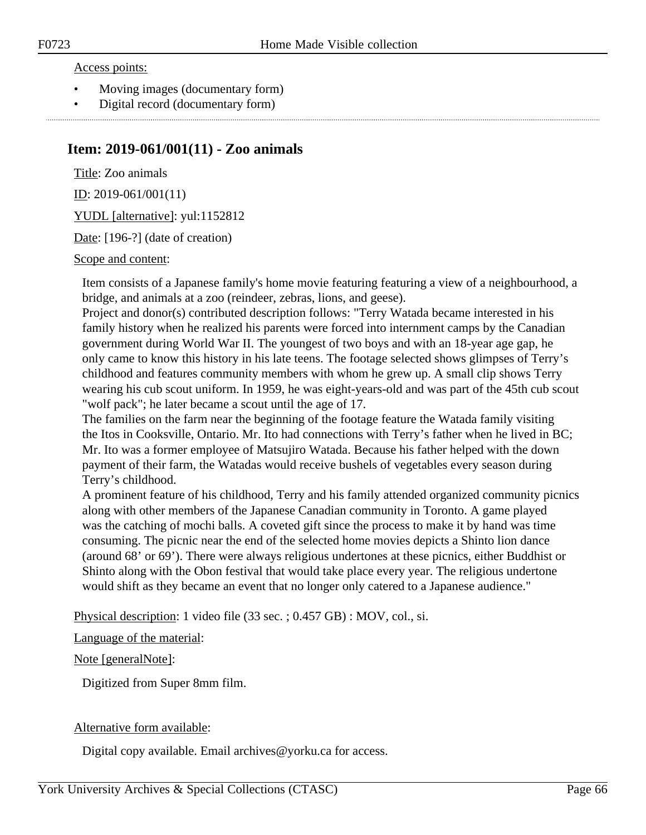#### Access points:

- Moving images (documentary form)
- Digital record (documentary form)

# **Item: 2019-061/001(11) - Zoo animals**

Title: Zoo animals ID: 2019-061/001(11)

YUDL [alternative]: yul:1152812

Date: [196-?] (date of creation)

Scope and content:

Item consists of a Japanese family's home movie featuring featuring a view of a neighbourhood, a bridge, and animals at a zoo (reindeer, zebras, lions, and geese).

Project and donor(s) contributed description follows: "Terry Watada became interested in his family history when he realized his parents were forced into internment camps by the Canadian government during World War II. The youngest of two boys and with an 18-year age gap, he only came to know this history in his late teens. The footage selected shows glimpses of Terry's childhood and features community members with whom he grew up. A small clip shows Terry wearing his cub scout uniform. In 1959, he was eight-years-old and was part of the 45th cub scout "wolf pack"; he later became a scout until the age of 17.

The families on the farm near the beginning of the footage feature the Watada family visiting the Itos in Cooksville, Ontario. Mr. Ito had connections with Terry's father when he lived in BC; Mr. Ito was a former employee of Matsujiro Watada. Because his father helped with the down payment of their farm, the Watadas would receive bushels of vegetables every season during Terry's childhood.

A prominent feature of his childhood, Terry and his family attended organized community picnics along with other members of the Japanese Canadian community in Toronto. A game played was the catching of mochi balls. A coveted gift since the process to make it by hand was time consuming. The picnic near the end of the selected home movies depicts a Shinto lion dance (around 68' or 69'). There were always religious undertones at these picnics, either Buddhist or Shinto along with the Obon festival that would take place every year. The religious undertone would shift as they became an event that no longer only catered to a Japanese audience."

Physical description: 1 video file (33 sec. ; 0.457 GB) : MOV, col., si.

Language of the material:

Note [generalNote]:

Digitized from Super 8mm film.

### Alternative form available:

Digital copy available. Email archives@yorku.ca for access.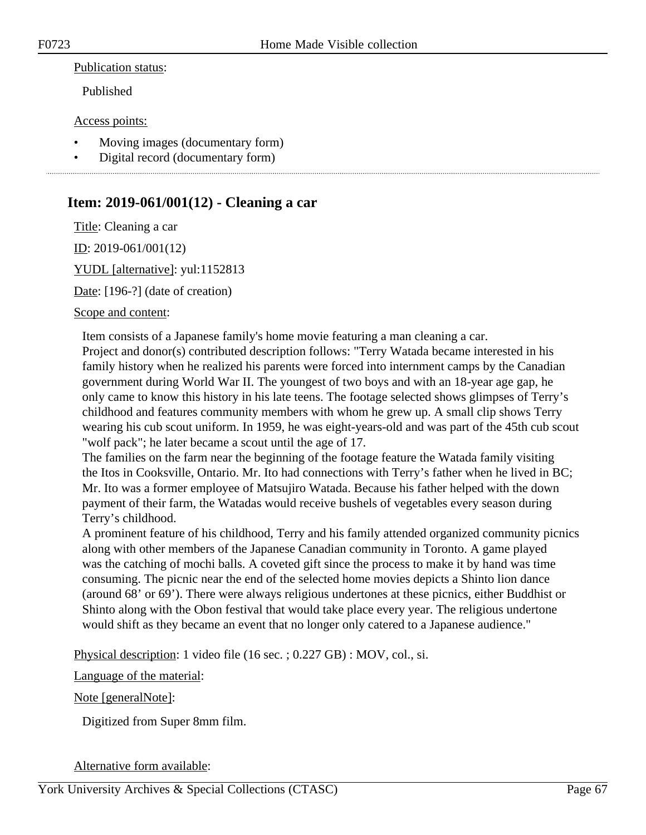#### Publication status:

Published

#### Access points:

- Moving images (documentary form)
- Digital record (documentary form)

# **Item: 2019-061/001(12) - Cleaning a car**

Title: Cleaning a car

ID: 2019-061/001(12)

YUDL [alternative]: yul:1152813

Date: [196-?] (date of creation)

#### Scope and content:

Item consists of a Japanese family's home movie featuring a man cleaning a car. Project and donor(s) contributed description follows: "Terry Watada became interested in his family history when he realized his parents were forced into internment camps by the Canadian government during World War II. The youngest of two boys and with an 18-year age gap, he only came to know this history in his late teens. The footage selected shows glimpses of Terry's childhood and features community members with whom he grew up. A small clip shows Terry wearing his cub scout uniform. In 1959, he was eight-years-old and was part of the 45th cub scout "wolf pack"; he later became a scout until the age of 17.

The families on the farm near the beginning of the footage feature the Watada family visiting the Itos in Cooksville, Ontario. Mr. Ito had connections with Terry's father when he lived in BC; Mr. Ito was a former employee of Matsujiro Watada. Because his father helped with the down payment of their farm, the Watadas would receive bushels of vegetables every season during Terry's childhood.

A prominent feature of his childhood, Terry and his family attended organized community picnics along with other members of the Japanese Canadian community in Toronto. A game played was the catching of mochi balls. A coveted gift since the process to make it by hand was time consuming. The picnic near the end of the selected home movies depicts a Shinto lion dance (around 68' or 69'). There were always religious undertones at these picnics, either Buddhist or Shinto along with the Obon festival that would take place every year. The religious undertone would shift as they became an event that no longer only catered to a Japanese audience."

Physical description: 1 video file (16 sec. ; 0.227 GB) : MOV, col., si.

Language of the material:

### Note [generalNote]:

Digitized from Super 8mm film.

### Alternative form available: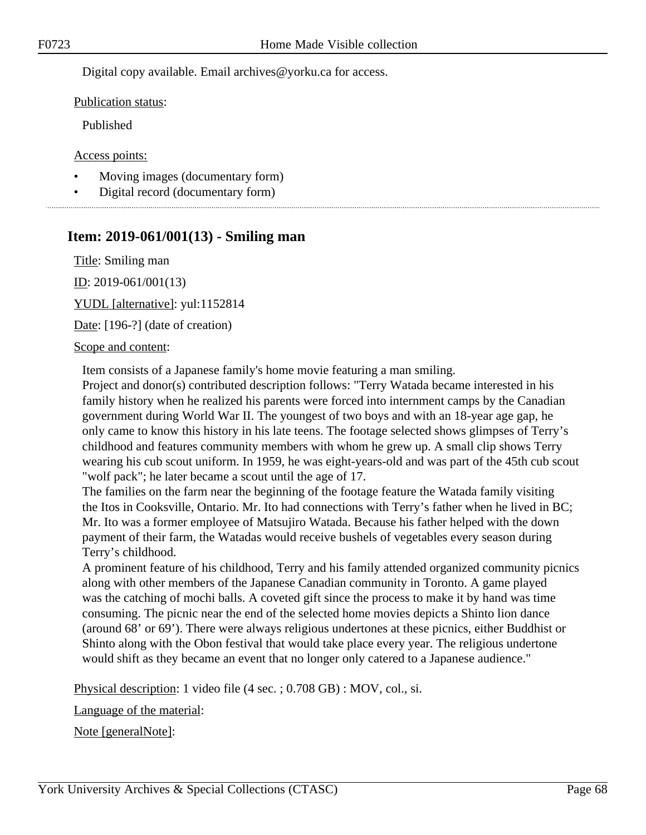Digital copy available. Email archives@yorku.ca for access.

Publication status:

Published

Access points:

- Moving images (documentary form)
- Digital record (documentary form)

# **Item: 2019-061/001(13) - Smiling man**

Title: Smiling man

ID: 2019-061/001(13)

YUDL [alternative]: yul:1152814

Date: [196-?] (date of creation)

#### Scope and content:

Item consists of a Japanese family's home movie featuring a man smiling.

Project and donor(s) contributed description follows: "Terry Watada became interested in his family history when he realized his parents were forced into internment camps by the Canadian government during World War II. The youngest of two boys and with an 18-year age gap, he only came to know this history in his late teens. The footage selected shows glimpses of Terry's childhood and features community members with whom he grew up. A small clip shows Terry wearing his cub scout uniform. In 1959, he was eight-years-old and was part of the 45th cub scout "wolf pack"; he later became a scout until the age of 17.

The families on the farm near the beginning of the footage feature the Watada family visiting the Itos in Cooksville, Ontario. Mr. Ito had connections with Terry's father when he lived in BC; Mr. Ito was a former employee of Matsujiro Watada. Because his father helped with the down payment of their farm, the Watadas would receive bushels of vegetables every season during Terry's childhood.

A prominent feature of his childhood, Terry and his family attended organized community picnics along with other members of the Japanese Canadian community in Toronto. A game played was the catching of mochi balls. A coveted gift since the process to make it by hand was time consuming. The picnic near the end of the selected home movies depicts a Shinto lion dance (around 68' or 69'). There were always religious undertones at these picnics, either Buddhist or Shinto along with the Obon festival that would take place every year. The religious undertone would shift as they became an event that no longer only catered to a Japanese audience."

Physical description: 1 video file (4 sec. ; 0.708 GB) : MOV, col., si.

Language of the material:

Note [generalNote]: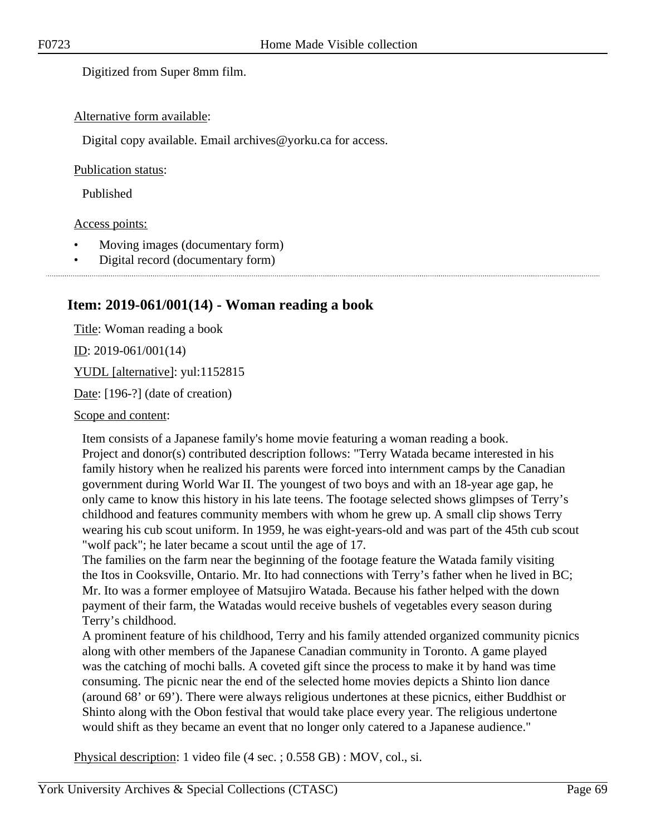Digitized from Super 8mm film.

#### Alternative form available:

Digital copy available. Email archives@yorku.ca for access.

#### Publication status:

Published

#### Access points:

- Moving images (documentary form)
- Digital record (documentary form)

# **Item: 2019-061/001(14) - Woman reading a book**

Title: Woman reading a book <u>ID</u>: 2019-061/001(14) YUDL [alternative]: yul:1152815 Date: [196-?] (date of creation)

Scope and content:

Item consists of a Japanese family's home movie featuring a woman reading a book. Project and donor(s) contributed description follows: "Terry Watada became interested in his family history when he realized his parents were forced into internment camps by the Canadian government during World War II. The youngest of two boys and with an 18-year age gap, he only came to know this history in his late teens. The footage selected shows glimpses of Terry's childhood and features community members with whom he grew up. A small clip shows Terry wearing his cub scout uniform. In 1959, he was eight-years-old and was part of the 45th cub scout "wolf pack"; he later became a scout until the age of 17.

The families on the farm near the beginning of the footage feature the Watada family visiting the Itos in Cooksville, Ontario. Mr. Ito had connections with Terry's father when he lived in BC; Mr. Ito was a former employee of Matsujiro Watada. Because his father helped with the down payment of their farm, the Watadas would receive bushels of vegetables every season during Terry's childhood.

A prominent feature of his childhood, Terry and his family attended organized community picnics along with other members of the Japanese Canadian community in Toronto. A game played was the catching of mochi balls. A coveted gift since the process to make it by hand was time consuming. The picnic near the end of the selected home movies depicts a Shinto lion dance (around 68' or 69'). There were always religious undertones at these picnics, either Buddhist or Shinto along with the Obon festival that would take place every year. The religious undertone would shift as they became an event that no longer only catered to a Japanese audience."

Physical description: 1 video file (4 sec. ; 0.558 GB) : MOV, col., si.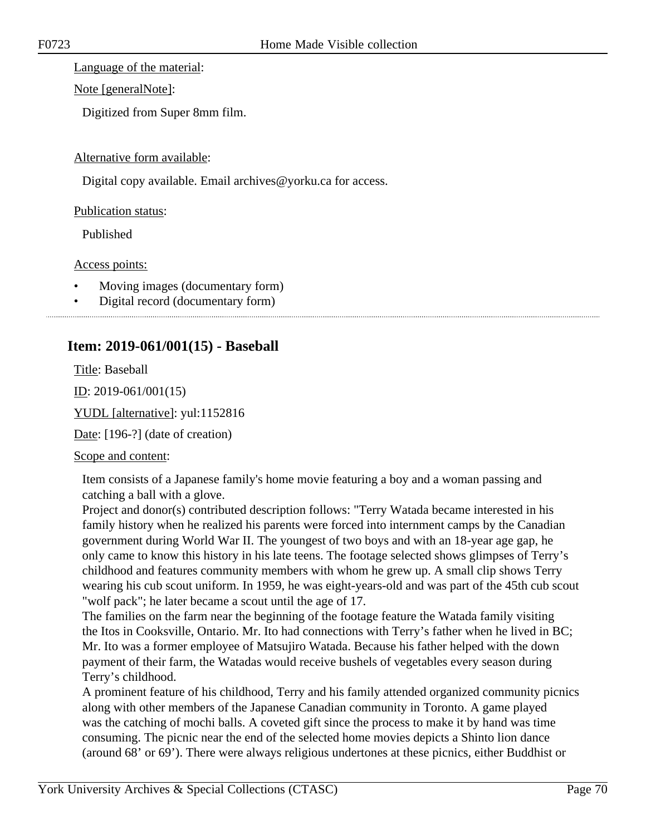Language of the material:

Note [generalNote]:

Digitized from Super 8mm film.

# Alternative form available:

Digital copy available. Email archives@yorku.ca for access.

# Publication status:

Published

# Access points:

- Moving images (documentary form)
- Digital record (documentary form)

# **Item: 2019-061/001(15) - Baseball**

Title: Baseball

ID: 2019-061/001(15)

YUDL [alternative]: yul:1152816

Date: [196-?] (date of creation)

# Scope and content:

Item consists of a Japanese family's home movie featuring a boy and a woman passing and catching a ball with a glove.

Project and donor(s) contributed description follows: "Terry Watada became interested in his family history when he realized his parents were forced into internment camps by the Canadian government during World War II. The youngest of two boys and with an 18-year age gap, he only came to know this history in his late teens. The footage selected shows glimpses of Terry's childhood and features community members with whom he grew up. A small clip shows Terry wearing his cub scout uniform. In 1959, he was eight-years-old and was part of the 45th cub scout "wolf pack"; he later became a scout until the age of 17.

The families on the farm near the beginning of the footage feature the Watada family visiting the Itos in Cooksville, Ontario. Mr. Ito had connections with Terry's father when he lived in BC; Mr. Ito was a former employee of Matsujiro Watada. Because his father helped with the down payment of their farm, the Watadas would receive bushels of vegetables every season during Terry's childhood.

A prominent feature of his childhood, Terry and his family attended organized community picnics along with other members of the Japanese Canadian community in Toronto. A game played was the catching of mochi balls. A coveted gift since the process to make it by hand was time consuming. The picnic near the end of the selected home movies depicts a Shinto lion dance (around 68' or 69'). There were always religious undertones at these picnics, either Buddhist or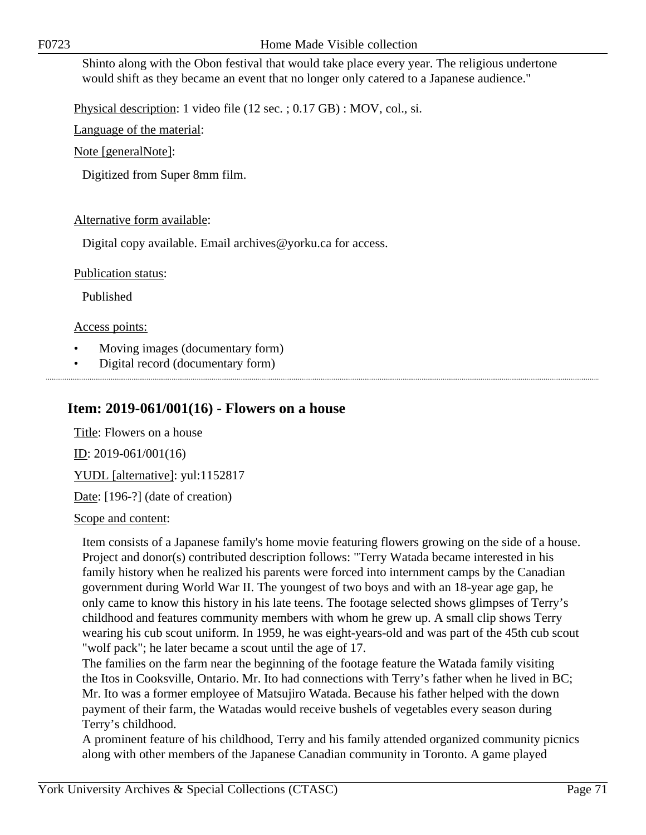Shinto along with the Obon festival that would take place every year. The religious undertone would shift as they became an event that no longer only catered to a Japanese audience."

Physical description: 1 video file (12 sec. ; 0.17 GB) : MOV, col., si.

Language of the material:

Note [generalNote]:

Digitized from Super 8mm film.

# Alternative form available:

Digital copy available. Email archives@yorku.ca for access.

Publication status:

Published

Access points:

- Moving images (documentary form)
- Digital record (documentary form)

# **Item: 2019-061/001(16) - Flowers on a house**

Title: Flowers on a house

ID: 2019-061/001(16)

YUDL [alternative]: yul:1152817

Date: [196-?] (date of creation)

Scope and content:

Item consists of a Japanese family's home movie featuring flowers growing on the side of a house. Project and donor(s) contributed description follows: "Terry Watada became interested in his family history when he realized his parents were forced into internment camps by the Canadian government during World War II. The youngest of two boys and with an 18-year age gap, he only came to know this history in his late teens. The footage selected shows glimpses of Terry's childhood and features community members with whom he grew up. A small clip shows Terry wearing his cub scout uniform. In 1959, he was eight-years-old and was part of the 45th cub scout "wolf pack"; he later became a scout until the age of 17.

The families on the farm near the beginning of the footage feature the Watada family visiting the Itos in Cooksville, Ontario. Mr. Ito had connections with Terry's father when he lived in BC; Mr. Ito was a former employee of Matsujiro Watada. Because his father helped with the down payment of their farm, the Watadas would receive bushels of vegetables every season during Terry's childhood.

A prominent feature of his childhood, Terry and his family attended organized community picnics along with other members of the Japanese Canadian community in Toronto. A game played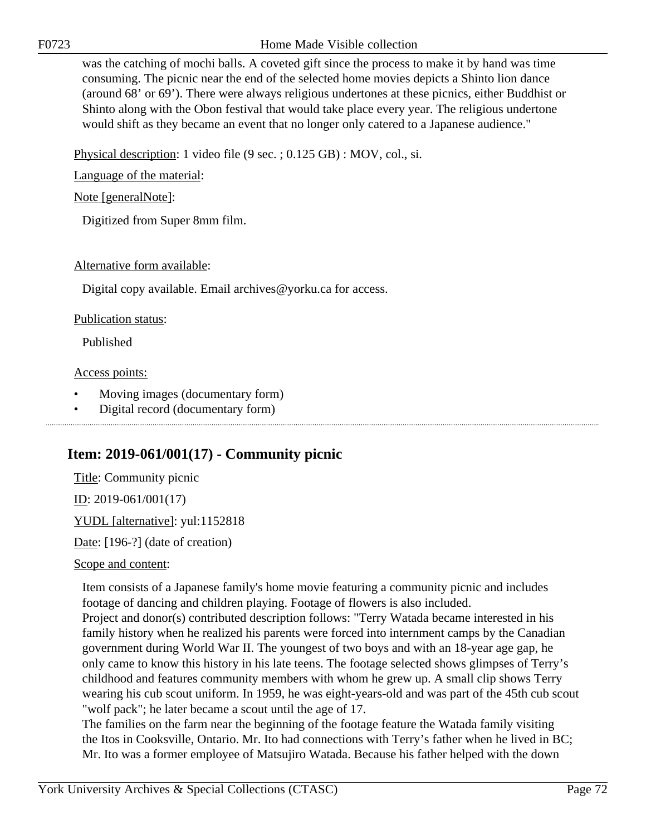F0723 Home Made Visible collection

was the catching of mochi balls. A coveted gift since the process to make it by hand was time consuming. The picnic near the end of the selected home movies depicts a Shinto lion dance (around 68' or 69'). There were always religious undertones at these picnics, either Buddhist or Shinto along with the Obon festival that would take place every year. The religious undertone would shift as they became an event that no longer only catered to a Japanese audience."

Physical description: 1 video file (9 sec. ; 0.125 GB) : MOV, col., si.

Language of the material:

Note [generalNote]:

Digitized from Super 8mm film.

# Alternative form available:

Digital copy available. Email archives@yorku.ca for access.

### Publication status:

Published

# Access points:

- Moving images (documentary form)
- Digital record (documentary form)

# **Item: 2019-061/001(17) - Community picnic**

Title: Community picnic ID: 2019-061/001(17) YUDL [alternative]: yul:1152818 Date: [196-?] (date of creation)

### Scope and content:

Item consists of a Japanese family's home movie featuring a community picnic and includes footage of dancing and children playing. Footage of flowers is also included. Project and donor(s) contributed description follows: "Terry Watada became interested in his family history when he realized his parents were forced into internment camps by the Canadian government during World War II. The youngest of two boys and with an 18-year age gap, he only came to know this history in his late teens. The footage selected shows glimpses of Terry's childhood and features community members with whom he grew up. A small clip shows Terry wearing his cub scout uniform. In 1959, he was eight-years-old and was part of the 45th cub scout "wolf pack"; he later became a scout until the age of 17.

The families on the farm near the beginning of the footage feature the Watada family visiting the Itos in Cooksville, Ontario. Mr. Ito had connections with Terry's father when he lived in BC; Mr. Ito was a former employee of Matsujiro Watada. Because his father helped with the down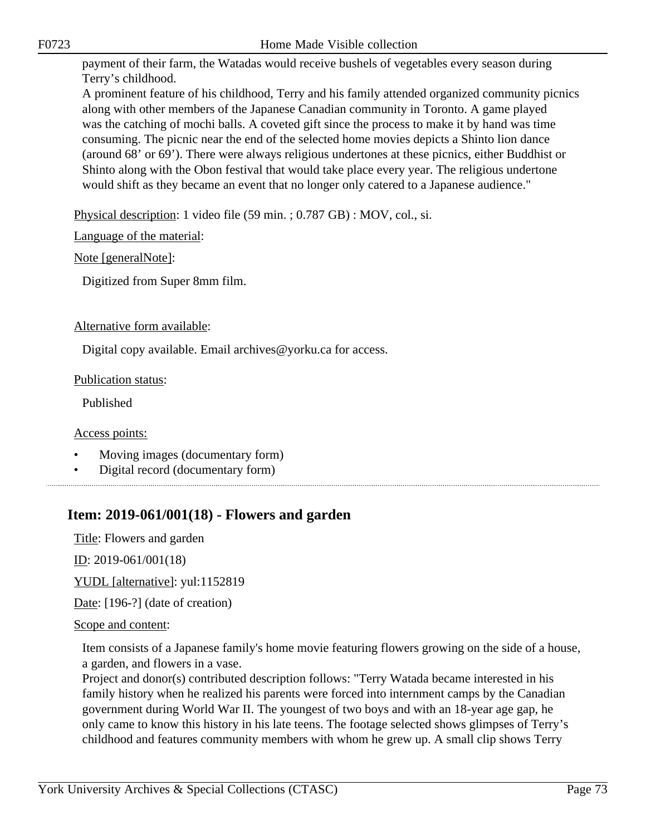F0723 Home Made Visible collection

payment of their farm, the Watadas would receive bushels of vegetables every season during Terry's childhood.

A prominent feature of his childhood, Terry and his family attended organized community picnics along with other members of the Japanese Canadian community in Toronto. A game played was the catching of mochi balls. A coveted gift since the process to make it by hand was time consuming. The picnic near the end of the selected home movies depicts a Shinto lion dance (around 68' or 69'). There were always religious undertones at these picnics, either Buddhist or Shinto along with the Obon festival that would take place every year. The religious undertone would shift as they became an event that no longer only catered to a Japanese audience."

Physical description: 1 video file (59 min. ; 0.787 GB) : MOV, col., si.

Language of the material:

Note [generalNote]:

Digitized from Super 8mm film.

#### Alternative form available:

Digital copy available. Email archives@yorku.ca for access.

#### Publication status:

Published

Access points:

- Moving images (documentary form)
- Digital record (documentary form)

# **Item: 2019-061/001(18) - Flowers and garden**

Title: Flowers and garden

<u>ID</u>: 2019-061/001(18)

YUDL [alternative]: yul:1152819

Date: [196-?] (date of creation)

Scope and content:

Item consists of a Japanese family's home movie featuring flowers growing on the side of a house, a garden, and flowers in a vase.

Project and donor(s) contributed description follows: "Terry Watada became interested in his family history when he realized his parents were forced into internment camps by the Canadian government during World War II. The youngest of two boys and with an 18-year age gap, he only came to know this history in his late teens. The footage selected shows glimpses of Terry's childhood and features community members with whom he grew up. A small clip shows Terry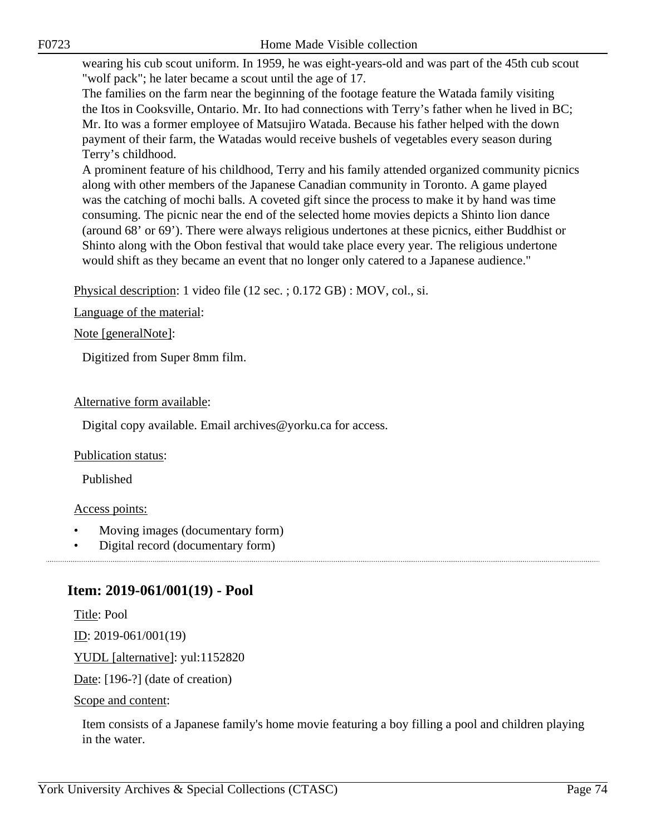wearing his cub scout uniform. In 1959, he was eight-years-old and was part of the 45th cub scout "wolf pack"; he later became a scout until the age of 17.

The families on the farm near the beginning of the footage feature the Watada family visiting the Itos in Cooksville, Ontario. Mr. Ito had connections with Terry's father when he lived in BC; Mr. Ito was a former employee of Matsujiro Watada. Because his father helped with the down payment of their farm, the Watadas would receive bushels of vegetables every season during Terry's childhood.

A prominent feature of his childhood, Terry and his family attended organized community picnics along with other members of the Japanese Canadian community in Toronto. A game played was the catching of mochi balls. A coveted gift since the process to make it by hand was time consuming. The picnic near the end of the selected home movies depicts a Shinto lion dance (around 68' or 69'). There were always religious undertones at these picnics, either Buddhist or Shinto along with the Obon festival that would take place every year. The religious undertone would shift as they became an event that no longer only catered to a Japanese audience."

Physical description: 1 video file (12 sec. ; 0.172 GB) : MOV, col., si.

Language of the material:

Note [generalNote]:

Digitized from Super 8mm film.

### Alternative form available:

Digital copy available. Email archives@yorku.ca for access.

#### Publication status:

Published

#### Access points:

- Moving images (documentary form)
- Digital record (documentary form)

# **Item: 2019-061/001(19) - Pool**

Title: Pool

<u>ID</u>: 2019-061/001(19)

YUDL [alternative]: yul:1152820

Date: [196-?] (date of creation)

Scope and content:

Item consists of a Japanese family's home movie featuring a boy filling a pool and children playing in the water.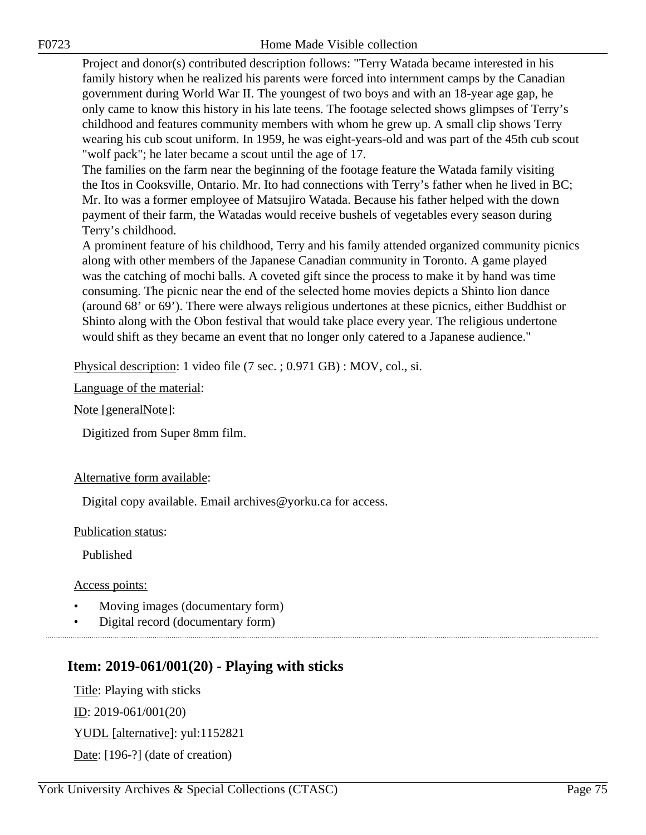Project and donor(s) contributed description follows: "Terry Watada became interested in his family history when he realized his parents were forced into internment camps by the Canadian government during World War II. The youngest of two boys and with an 18-year age gap, he only came to know this history in his late teens. The footage selected shows glimpses of Terry's childhood and features community members with whom he grew up. A small clip shows Terry wearing his cub scout uniform. In 1959, he was eight-years-old and was part of the 45th cub scout "wolf pack"; he later became a scout until the age of 17.

The families on the farm near the beginning of the footage feature the Watada family visiting the Itos in Cooksville, Ontario. Mr. Ito had connections with Terry's father when he lived in BC; Mr. Ito was a former employee of Matsujiro Watada. Because his father helped with the down payment of their farm, the Watadas would receive bushels of vegetables every season during Terry's childhood.

A prominent feature of his childhood, Terry and his family attended organized community picnics along with other members of the Japanese Canadian community in Toronto. A game played was the catching of mochi balls. A coveted gift since the process to make it by hand was time consuming. The picnic near the end of the selected home movies depicts a Shinto lion dance (around 68' or 69'). There were always religious undertones at these picnics, either Buddhist or Shinto along with the Obon festival that would take place every year. The religious undertone would shift as they became an event that no longer only catered to a Japanese audience."

Physical description: 1 video file (7 sec. ; 0.971 GB) : MOV, col., si.

Language of the material:

Note [generalNote]:

Digitized from Super 8mm film.

#### Alternative form available:

Digital copy available. Email archives@yorku.ca for access.

Publication status:

Published

Access points:

- Moving images (documentary form)
- Digital record (documentary form)

# **Item: 2019-061/001(20) - Playing with sticks**

Title: Playing with sticks

ID: 2019-061/001(20)

YUDL [alternative]: yul:1152821

Date: [196-?] (date of creation)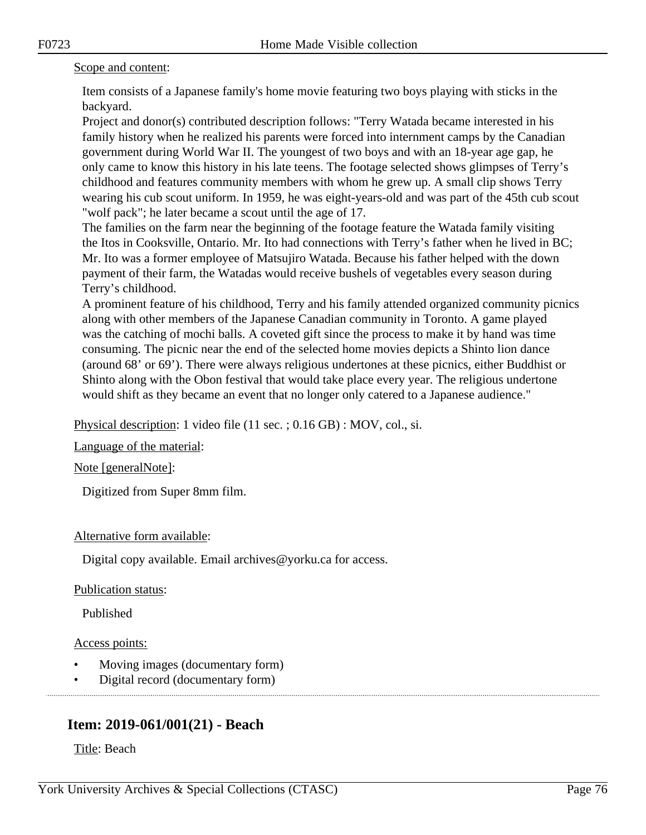#### Scope and content:

Item consists of a Japanese family's home movie featuring two boys playing with sticks in the backyard.

Project and donor(s) contributed description follows: "Terry Watada became interested in his family history when he realized his parents were forced into internment camps by the Canadian government during World War II. The youngest of two boys and with an 18-year age gap, he only came to know this history in his late teens. The footage selected shows glimpses of Terry's childhood and features community members with whom he grew up. A small clip shows Terry wearing his cub scout uniform. In 1959, he was eight-years-old and was part of the 45th cub scout "wolf pack"; he later became a scout until the age of 17.

The families on the farm near the beginning of the footage feature the Watada family visiting the Itos in Cooksville, Ontario. Mr. Ito had connections with Terry's father when he lived in BC; Mr. Ito was a former employee of Matsujiro Watada. Because his father helped with the down payment of their farm, the Watadas would receive bushels of vegetables every season during Terry's childhood.

A prominent feature of his childhood, Terry and his family attended organized community picnics along with other members of the Japanese Canadian community in Toronto. A game played was the catching of mochi balls. A coveted gift since the process to make it by hand was time consuming. The picnic near the end of the selected home movies depicts a Shinto lion dance (around 68' or 69'). There were always religious undertones at these picnics, either Buddhist or Shinto along with the Obon festival that would take place every year. The religious undertone would shift as they became an event that no longer only catered to a Japanese audience."

Physical description: 1 video file (11 sec. ; 0.16 GB) : MOV, col., si.

Language of the material:

Note [generalNote]:

Digitized from Super 8mm film.

#### Alternative form available:

Digital copy available. Email archives@yorku.ca for access.

Publication status:

Published

Access points:

- Moving images (documentary form)
- Digital record (documentary form)

# **Item: 2019-061/001(21) - Beach**

Title: Beach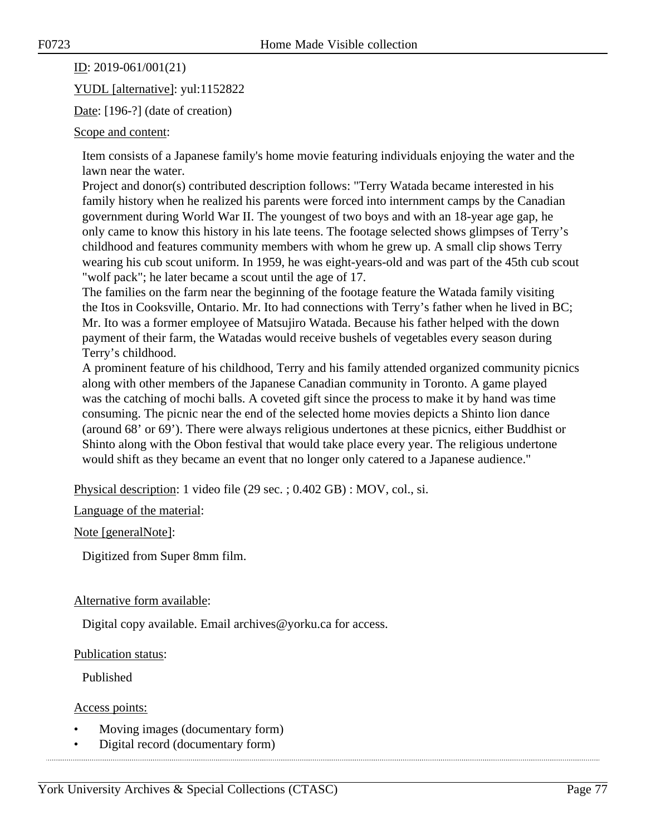ID: 2019-061/001(21)

YUDL [alternative]: yul:1152822

Date: [196-?] (date of creation)

Scope and content:

Item consists of a Japanese family's home movie featuring individuals enjoying the water and the lawn near the water.

Project and donor(s) contributed description follows: "Terry Watada became interested in his family history when he realized his parents were forced into internment camps by the Canadian government during World War II. The youngest of two boys and with an 18-year age gap, he only came to know this history in his late teens. The footage selected shows glimpses of Terry's childhood and features community members with whom he grew up. A small clip shows Terry wearing his cub scout uniform. In 1959, he was eight-years-old and was part of the 45th cub scout "wolf pack"; he later became a scout until the age of 17.

The families on the farm near the beginning of the footage feature the Watada family visiting the Itos in Cooksville, Ontario. Mr. Ito had connections with Terry's father when he lived in BC; Mr. Ito was a former employee of Matsujiro Watada. Because his father helped with the down payment of their farm, the Watadas would receive bushels of vegetables every season during Terry's childhood.

A prominent feature of his childhood, Terry and his family attended organized community picnics along with other members of the Japanese Canadian community in Toronto. A game played was the catching of mochi balls. A coveted gift since the process to make it by hand was time consuming. The picnic near the end of the selected home movies depicts a Shinto lion dance (around 68' or 69'). There were always religious undertones at these picnics, either Buddhist or Shinto along with the Obon festival that would take place every year. The religious undertone would shift as they became an event that no longer only catered to a Japanese audience."

Physical description: 1 video file (29 sec. ; 0.402 GB) : MOV, col., si.

Language of the material:

Note [generalNote]:

Digitized from Super 8mm film.

## Alternative form available:

Digital copy available. Email archives@yorku.ca for access.

Publication status:

Published

Access points:

- Moving images (documentary form)
- Digital record (documentary form)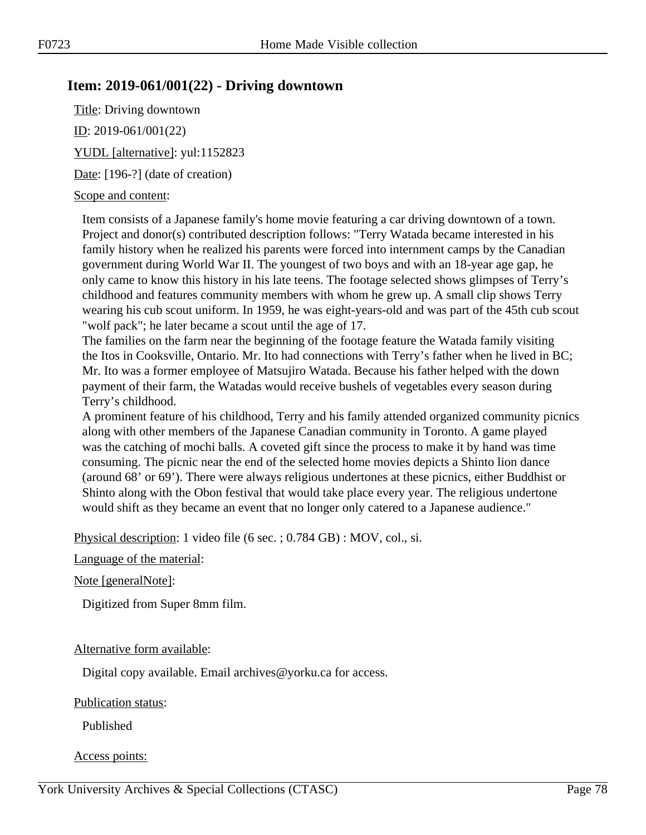# **Item: 2019-061/001(22) - Driving downtown**

Title: Driving downtown ID: 2019-061/001(22) YUDL [alternative]: yul:1152823 Date: [196-?] (date of creation)

#### Scope and content:

Item consists of a Japanese family's home movie featuring a car driving downtown of a town. Project and donor(s) contributed description follows: "Terry Watada became interested in his family history when he realized his parents were forced into internment camps by the Canadian government during World War II. The youngest of two boys and with an 18-year age gap, he only came to know this history in his late teens. The footage selected shows glimpses of Terry's childhood and features community members with whom he grew up. A small clip shows Terry wearing his cub scout uniform. In 1959, he was eight-years-old and was part of the 45th cub scout "wolf pack"; he later became a scout until the age of 17.

The families on the farm near the beginning of the footage feature the Watada family visiting the Itos in Cooksville, Ontario. Mr. Ito had connections with Terry's father when he lived in BC; Mr. Ito was a former employee of Matsujiro Watada. Because his father helped with the down payment of their farm, the Watadas would receive bushels of vegetables every season during Terry's childhood.

A prominent feature of his childhood, Terry and his family attended organized community picnics along with other members of the Japanese Canadian community in Toronto. A game played was the catching of mochi balls. A coveted gift since the process to make it by hand was time consuming. The picnic near the end of the selected home movies depicts a Shinto lion dance (around 68' or 69'). There were always religious undertones at these picnics, either Buddhist or Shinto along with the Obon festival that would take place every year. The religious undertone would shift as they became an event that no longer only catered to a Japanese audience."

Physical description: 1 video file (6 sec. ; 0.784 GB) : MOV, col., si.

#### Language of the material:

Note [generalNote]:

Digitized from Super 8mm film.

#### Alternative form available:

Digital copy available. Email archives@yorku.ca for access.

#### Publication status:

Published

#### Access points: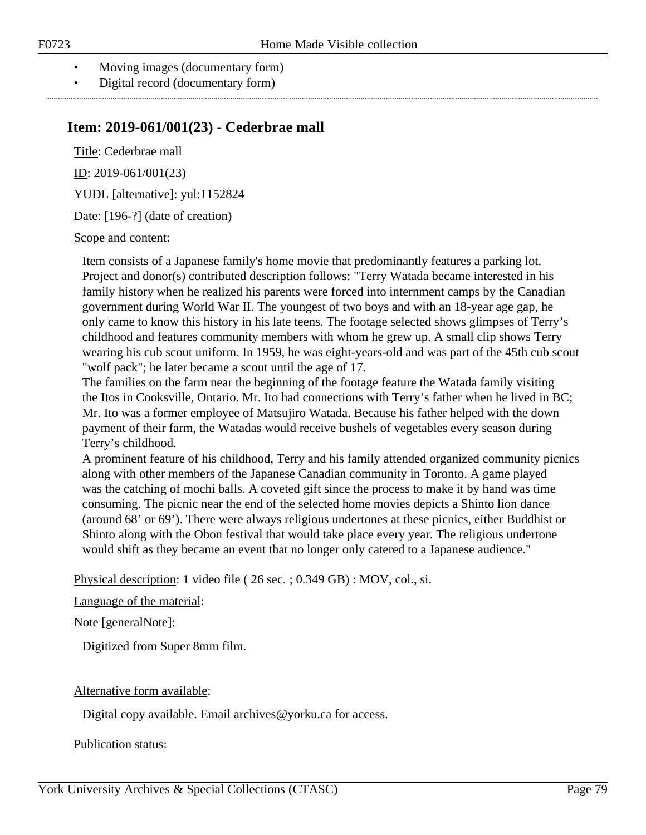- Moving images (documentary form)
- Digital record (documentary form)

## **Item: 2019-061/001(23) - Cederbrae mall**

Title: Cederbrae mall

ID: 2019-061/001(23)

YUDL [alternative]: yul:1152824

Date: [196-?] (date of creation)

#### Scope and content:

Item consists of a Japanese family's home movie that predominantly features a parking lot. Project and donor(s) contributed description follows: "Terry Watada became interested in his family history when he realized his parents were forced into internment camps by the Canadian government during World War II. The youngest of two boys and with an 18-year age gap, he only came to know this history in his late teens. The footage selected shows glimpses of Terry's childhood and features community members with whom he grew up. A small clip shows Terry wearing his cub scout uniform. In 1959, he was eight-years-old and was part of the 45th cub scout "wolf pack"; he later became a scout until the age of 17.

The families on the farm near the beginning of the footage feature the Watada family visiting the Itos in Cooksville, Ontario. Mr. Ito had connections with Terry's father when he lived in BC; Mr. Ito was a former employee of Matsujiro Watada. Because his father helped with the down payment of their farm, the Watadas would receive bushels of vegetables every season during Terry's childhood.

A prominent feature of his childhood, Terry and his family attended organized community picnics along with other members of the Japanese Canadian community in Toronto. A game played was the catching of mochi balls. A coveted gift since the process to make it by hand was time consuming. The picnic near the end of the selected home movies depicts a Shinto lion dance (around 68' or 69'). There were always religious undertones at these picnics, either Buddhist or Shinto along with the Obon festival that would take place every year. The religious undertone would shift as they became an event that no longer only catered to a Japanese audience."

Physical description: 1 video file ( 26 sec. ; 0.349 GB) : MOV, col., si.

#### Language of the material:

#### Note [generalNote]:

Digitized from Super 8mm film.

#### Alternative form available:

Digital copy available. Email archives@yorku.ca for access.

#### Publication status: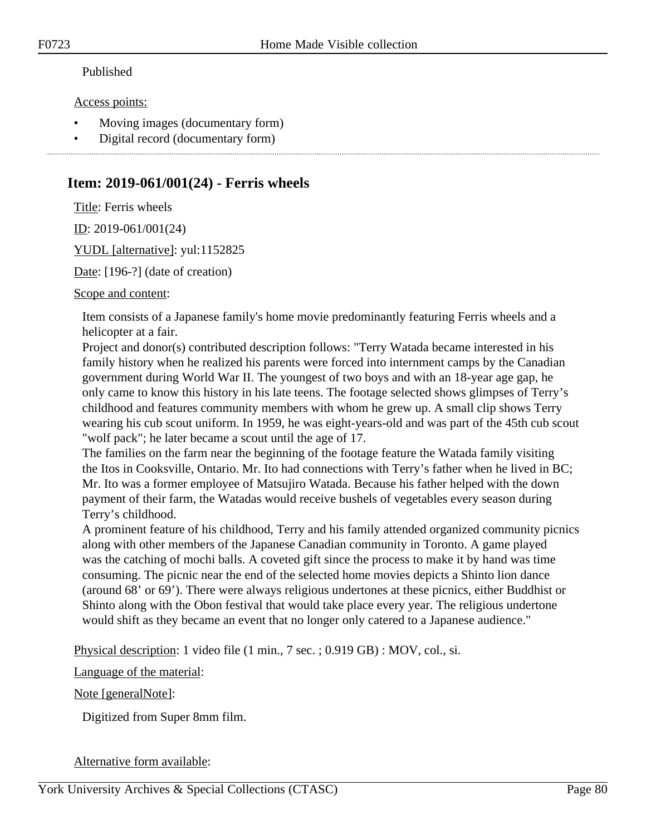### Published

#### Access points:

- Moving images (documentary form)
- Digital record (documentary form)

# **Item: 2019-061/001(24) - Ferris wheels**

Title: Ferris wheels

ID: 2019-061/001(24)

YUDL [alternative]: yul:1152825

Date: [196-?] (date of creation)

#### Scope and content:

Item consists of a Japanese family's home movie predominantly featuring Ferris wheels and a helicopter at a fair.

Project and donor(s) contributed description follows: "Terry Watada became interested in his family history when he realized his parents were forced into internment camps by the Canadian government during World War II. The youngest of two boys and with an 18-year age gap, he only came to know this history in his late teens. The footage selected shows glimpses of Terry's childhood and features community members with whom he grew up. A small clip shows Terry wearing his cub scout uniform. In 1959, he was eight-years-old and was part of the 45th cub scout "wolf pack"; he later became a scout until the age of 17.

The families on the farm near the beginning of the footage feature the Watada family visiting the Itos in Cooksville, Ontario. Mr. Ito had connections with Terry's father when he lived in BC; Mr. Ito was a former employee of Matsujiro Watada. Because his father helped with the down payment of their farm, the Watadas would receive bushels of vegetables every season during Terry's childhood.

A prominent feature of his childhood, Terry and his family attended organized community picnics along with other members of the Japanese Canadian community in Toronto. A game played was the catching of mochi balls. A coveted gift since the process to make it by hand was time consuming. The picnic near the end of the selected home movies depicts a Shinto lion dance (around 68' or 69'). There were always religious undertones at these picnics, either Buddhist or Shinto along with the Obon festival that would take place every year. The religious undertone would shift as they became an event that no longer only catered to a Japanese audience."

Physical description: 1 video file (1 min., 7 sec. ; 0.919 GB) : MOV, col., si.

Language of the material:

#### Note [generalNote]:

Digitized from Super 8mm film.

## Alternative form available: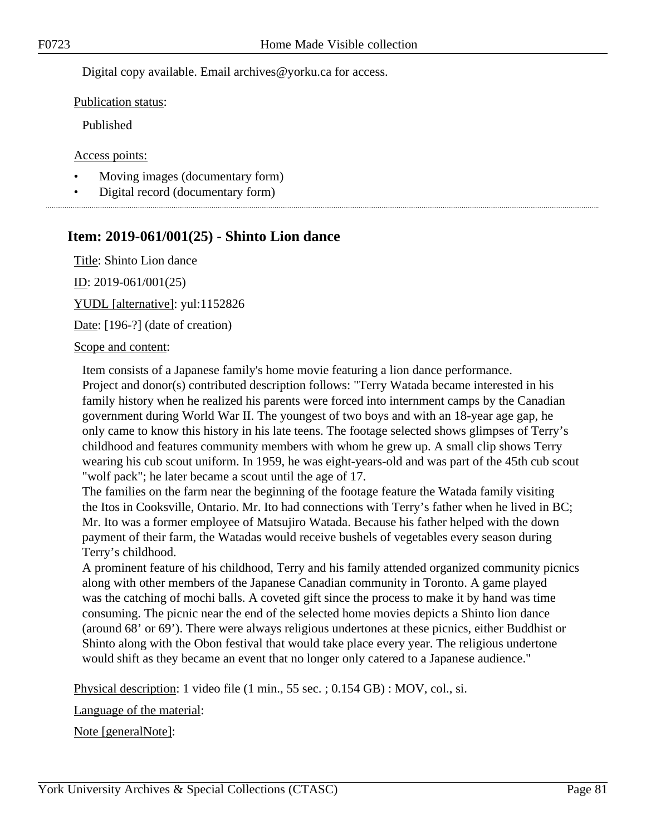Digital copy available. Email archives@yorku.ca for access.

Publication status:

Published

Access points:

- Moving images (documentary form)
- Digital record (documentary form)

# **Item: 2019-061/001(25) - Shinto Lion dance**

Title: Shinto Lion dance ID: 2019-061/001(25)

YUDL [alternative]: yul:1152826

Date: [196-?] (date of creation)

#### Scope and content:

Item consists of a Japanese family's home movie featuring a lion dance performance. Project and donor(s) contributed description follows: "Terry Watada became interested in his family history when he realized his parents were forced into internment camps by the Canadian government during World War II. The youngest of two boys and with an 18-year age gap, he only came to know this history in his late teens. The footage selected shows glimpses of Terry's childhood and features community members with whom he grew up. A small clip shows Terry wearing his cub scout uniform. In 1959, he was eight-years-old and was part of the 45th cub scout "wolf pack"; he later became a scout until the age of 17.

The families on the farm near the beginning of the footage feature the Watada family visiting the Itos in Cooksville, Ontario. Mr. Ito had connections with Terry's father when he lived in BC; Mr. Ito was a former employee of Matsujiro Watada. Because his father helped with the down payment of their farm, the Watadas would receive bushels of vegetables every season during Terry's childhood.

A prominent feature of his childhood, Terry and his family attended organized community picnics along with other members of the Japanese Canadian community in Toronto. A game played was the catching of mochi balls. A coveted gift since the process to make it by hand was time consuming. The picnic near the end of the selected home movies depicts a Shinto lion dance (around 68' or 69'). There were always religious undertones at these picnics, either Buddhist or Shinto along with the Obon festival that would take place every year. The religious undertone would shift as they became an event that no longer only catered to a Japanese audience."

Physical description: 1 video file (1 min., 55 sec. ; 0.154 GB) : MOV, col., si.

Language of the material:

Note [generalNote]: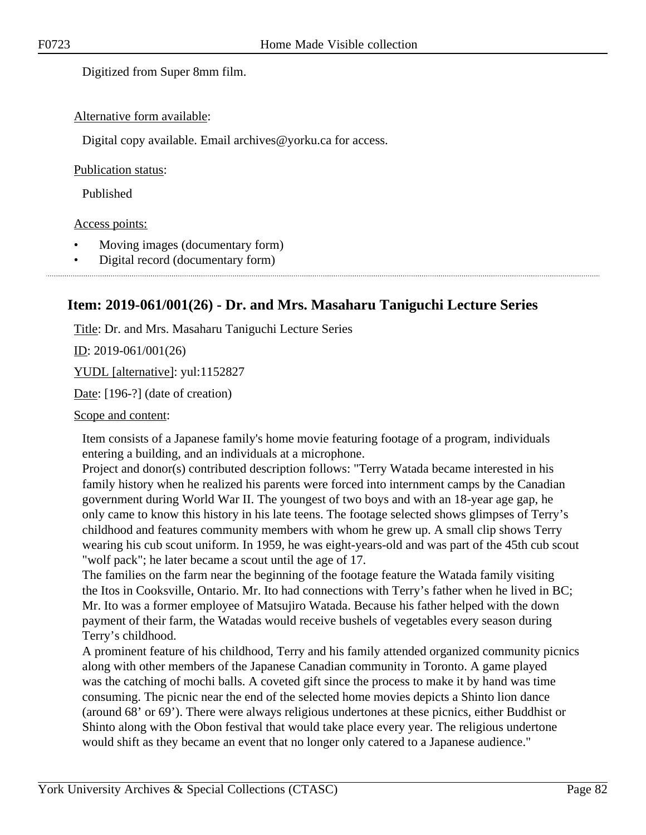Digitized from Super 8mm film.

#### Alternative form available:

Digital copy available. Email archives@yorku.ca for access.

#### Publication status:

Published

#### Access points:

- Moving images (documentary form)
- Digital record (documentary form)

# **Item: 2019-061/001(26) - Dr. and Mrs. Masaharu Taniguchi Lecture Series**

Title: Dr. and Mrs. Masaharu Taniguchi Lecture Series

 $ID: 2019-061/001(26)$ 

YUDL [alternative]: yul:1152827

Date: [196-?] (date of creation)

Scope and content:

Item consists of a Japanese family's home movie featuring footage of a program, individuals entering a building, and an individuals at a microphone.

Project and donor(s) contributed description follows: "Terry Watada became interested in his family history when he realized his parents were forced into internment camps by the Canadian government during World War II. The youngest of two boys and with an 18-year age gap, he only came to know this history in his late teens. The footage selected shows glimpses of Terry's childhood and features community members with whom he grew up. A small clip shows Terry wearing his cub scout uniform. In 1959, he was eight-years-old and was part of the 45th cub scout "wolf pack"; he later became a scout until the age of 17.

The families on the farm near the beginning of the footage feature the Watada family visiting the Itos in Cooksville, Ontario. Mr. Ito had connections with Terry's father when he lived in BC; Mr. Ito was a former employee of Matsujiro Watada. Because his father helped with the down payment of their farm, the Watadas would receive bushels of vegetables every season during Terry's childhood.

A prominent feature of his childhood, Terry and his family attended organized community picnics along with other members of the Japanese Canadian community in Toronto. A game played was the catching of mochi balls. A coveted gift since the process to make it by hand was time consuming. The picnic near the end of the selected home movies depicts a Shinto lion dance (around 68' or 69'). There were always religious undertones at these picnics, either Buddhist or Shinto along with the Obon festival that would take place every year. The religious undertone would shift as they became an event that no longer only catered to a Japanese audience."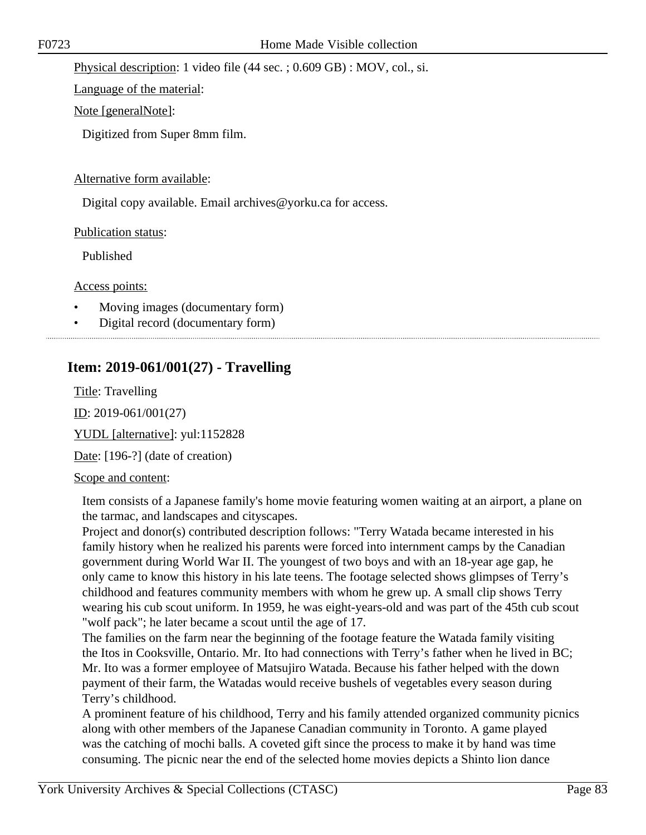Physical description: 1 video file (44 sec. ; 0.609 GB) : MOV, col., si.

Language of the material:

Note [generalNote]:

Digitized from Super 8mm film.

#### Alternative form available:

Digital copy available. Email archives@yorku.ca for access.

Publication status:

Published

Access points:

- Moving images (documentary form)
- Digital record (documentary form)
- 

# **Item: 2019-061/001(27) - Travelling**

Title: Travelling ID: 2019-061/001(27) YUDL [alternative]: yul:1152828

Date: [196-?] (date of creation)

## Scope and content:

Item consists of a Japanese family's home movie featuring women waiting at an airport, a plane on the tarmac, and landscapes and cityscapes.

Project and donor(s) contributed description follows: "Terry Watada became interested in his family history when he realized his parents were forced into internment camps by the Canadian government during World War II. The youngest of two boys and with an 18-year age gap, he only came to know this history in his late teens. The footage selected shows glimpses of Terry's childhood and features community members with whom he grew up. A small clip shows Terry wearing his cub scout uniform. In 1959, he was eight-years-old and was part of the 45th cub scout "wolf pack"; he later became a scout until the age of 17.

The families on the farm near the beginning of the footage feature the Watada family visiting the Itos in Cooksville, Ontario. Mr. Ito had connections with Terry's father when he lived in BC; Mr. Ito was a former employee of Matsujiro Watada. Because his father helped with the down payment of their farm, the Watadas would receive bushels of vegetables every season during Terry's childhood.

A prominent feature of his childhood, Terry and his family attended organized community picnics along with other members of the Japanese Canadian community in Toronto. A game played was the catching of mochi balls. A coveted gift since the process to make it by hand was time consuming. The picnic near the end of the selected home movies depicts a Shinto lion dance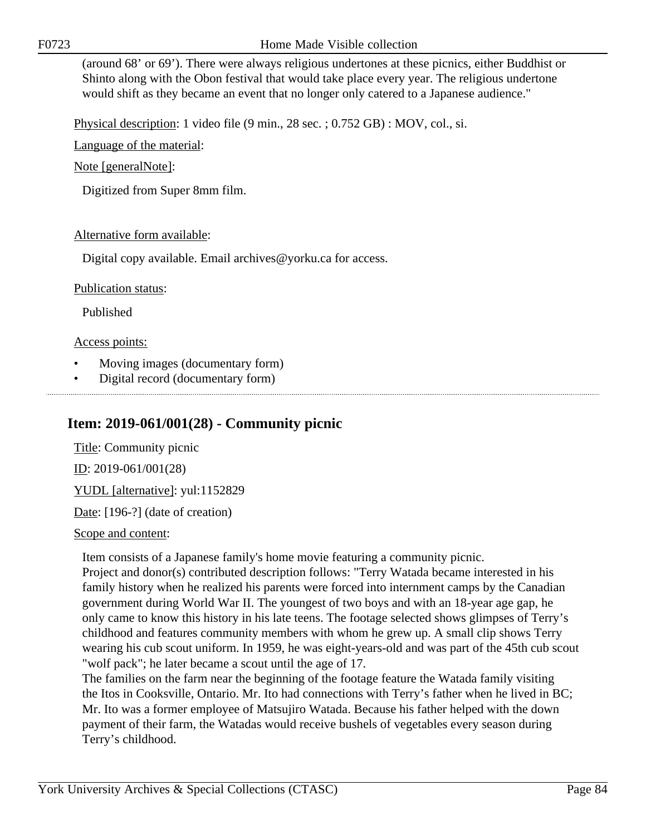F0723 Home Made Visible collection

(around 68' or 69'). There were always religious undertones at these picnics, either Buddhist or Shinto along with the Obon festival that would take place every year. The religious undertone would shift as they became an event that no longer only catered to a Japanese audience."

Physical description: 1 video file (9 min., 28 sec. ; 0.752 GB) : MOV, col., si.

Language of the material:

Note [generalNote]:

Digitized from Super 8mm film.

### Alternative form available:

Digital copy available. Email archives@yorku.ca for access.

### Publication status:

Published

#### Access points:

- Moving images (documentary form)
- Digital record (documentary form)

# **Item: 2019-061/001(28) - Community picnic**

Title: Community picnic ID: 2019-061/001(28) YUDL [alternative]: yul:1152829 Date: [196-?] (date of creation)

Scope and content:

Item consists of a Japanese family's home movie featuring a community picnic.

Project and donor(s) contributed description follows: "Terry Watada became interested in his family history when he realized his parents were forced into internment camps by the Canadian government during World War II. The youngest of two boys and with an 18-year age gap, he only came to know this history in his late teens. The footage selected shows glimpses of Terry's childhood and features community members with whom he grew up. A small clip shows Terry wearing his cub scout uniform. In 1959, he was eight-years-old and was part of the 45th cub scout "wolf pack"; he later became a scout until the age of 17.

The families on the farm near the beginning of the footage feature the Watada family visiting the Itos in Cooksville, Ontario. Mr. Ito had connections with Terry's father when he lived in BC; Mr. Ito was a former employee of Matsujiro Watada. Because his father helped with the down payment of their farm, the Watadas would receive bushels of vegetables every season during Terry's childhood.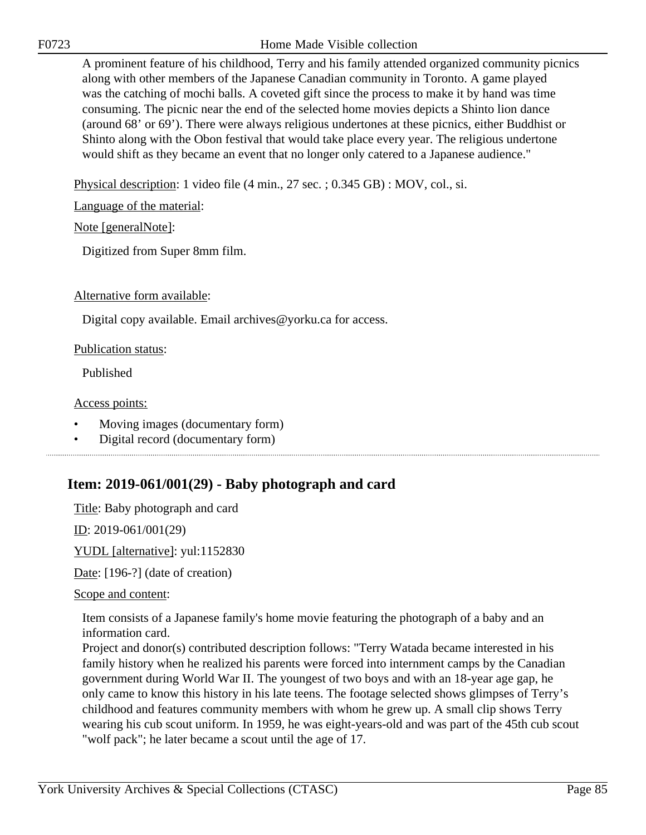F0723 Home Made Visible collection

A prominent feature of his childhood, Terry and his family attended organized community picnics along with other members of the Japanese Canadian community in Toronto. A game played was the catching of mochi balls. A coveted gift since the process to make it by hand was time consuming. The picnic near the end of the selected home movies depicts a Shinto lion dance (around 68' or 69'). There were always religious undertones at these picnics, either Buddhist or Shinto along with the Obon festival that would take place every year. The religious undertone would shift as they became an event that no longer only catered to a Japanese audience."

Physical description: 1 video file (4 min., 27 sec. ; 0.345 GB) : MOV, col., si.

Language of the material:

Note [generalNote]:

Digitized from Super 8mm film.

Alternative form available:

Digital copy available. Email archives@yorku.ca for access.

#### Publication status:

Published

Access points:

- Moving images (documentary form)
- Digital record (documentary form)

# **Item: 2019-061/001(29) - Baby photograph and card**

Title: Baby photograph and card

ID: 2019-061/001(29)

YUDL [alternative]: yul:1152830

Date: [196-?] (date of creation)

Scope and content:

Item consists of a Japanese family's home movie featuring the photograph of a baby and an information card.

Project and donor(s) contributed description follows: "Terry Watada became interested in his family history when he realized his parents were forced into internment camps by the Canadian government during World War II. The youngest of two boys and with an 18-year age gap, he only came to know this history in his late teens. The footage selected shows glimpses of Terry's childhood and features community members with whom he grew up. A small clip shows Terry wearing his cub scout uniform. In 1959, he was eight-years-old and was part of the 45th cub scout "wolf pack"; he later became a scout until the age of 17.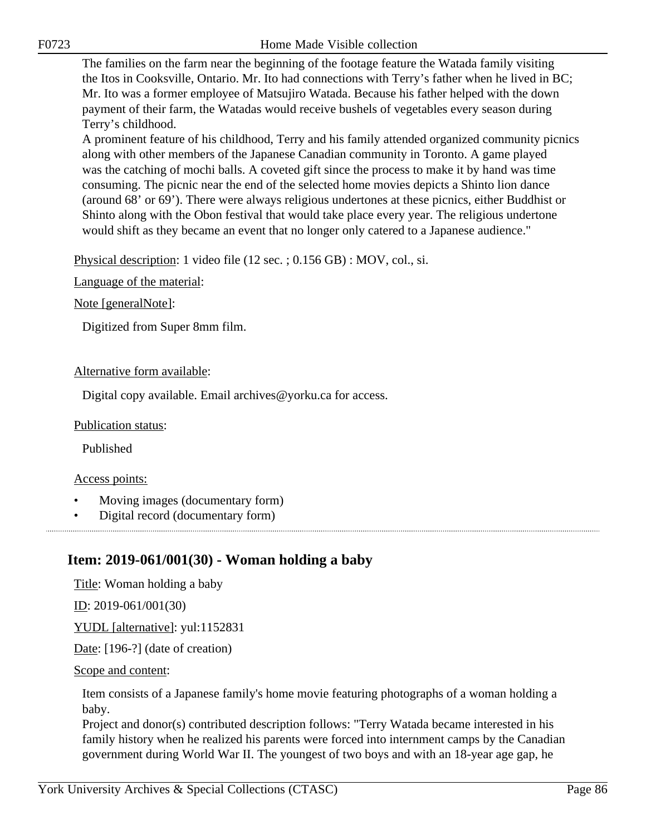The families on the farm near the beginning of the footage feature the Watada family visiting the Itos in Cooksville, Ontario. Mr. Ito had connections with Terry's father when he lived in BC; Mr. Ito was a former employee of Matsujiro Watada. Because his father helped with the down payment of their farm, the Watadas would receive bushels of vegetables every season during Terry's childhood.

A prominent feature of his childhood, Terry and his family attended organized community picnics along with other members of the Japanese Canadian community in Toronto. A game played was the catching of mochi balls. A coveted gift since the process to make it by hand was time consuming. The picnic near the end of the selected home movies depicts a Shinto lion dance (around 68' or 69'). There were always religious undertones at these picnics, either Buddhist or Shinto along with the Obon festival that would take place every year. The religious undertone would shift as they became an event that no longer only catered to a Japanese audience."

Physical description: 1 video file (12 sec. ; 0.156 GB) : MOV, col., si.

Language of the material:

Note [generalNote]:

Digitized from Super 8mm film.

#### Alternative form available:

Digital copy available. Email archives@yorku.ca for access.

#### Publication status:

Published

#### Access points:

- Moving images (documentary form)
- Digital record (documentary form)

# **Item: 2019-061/001(30) - Woman holding a baby**

Title: Woman holding a baby

ID: 2019-061/001(30)

YUDL [alternative]: yul:1152831

Date: [196-?] (date of creation)

#### Scope and content:

Item consists of a Japanese family's home movie featuring photographs of a woman holding a baby.

Project and donor(s) contributed description follows: "Terry Watada became interested in his family history when he realized his parents were forced into internment camps by the Canadian government during World War II. The youngest of two boys and with an 18-year age gap, he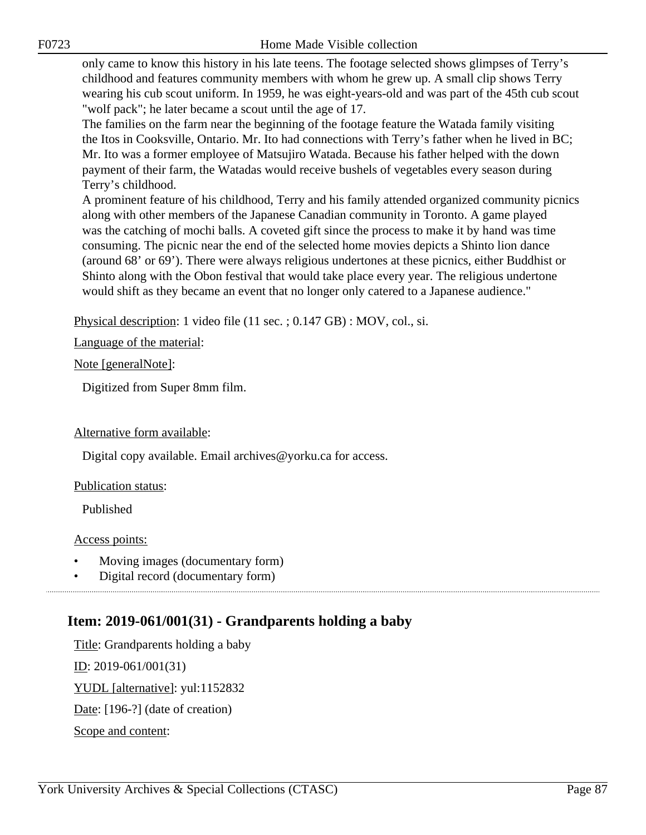F0723 Home Made Visible collection

only came to know this history in his late teens. The footage selected shows glimpses of Terry's childhood and features community members with whom he grew up. A small clip shows Terry wearing his cub scout uniform. In 1959, he was eight-years-old and was part of the 45th cub scout "wolf pack"; he later became a scout until the age of 17.

The families on the farm near the beginning of the footage feature the Watada family visiting the Itos in Cooksville, Ontario. Mr. Ito had connections with Terry's father when he lived in BC; Mr. Ito was a former employee of Matsujiro Watada. Because his father helped with the down payment of their farm, the Watadas would receive bushels of vegetables every season during Terry's childhood.

A prominent feature of his childhood, Terry and his family attended organized community picnics along with other members of the Japanese Canadian community in Toronto. A game played was the catching of mochi balls. A coveted gift since the process to make it by hand was time consuming. The picnic near the end of the selected home movies depicts a Shinto lion dance (around 68' or 69'). There were always religious undertones at these picnics, either Buddhist or Shinto along with the Obon festival that would take place every year. The religious undertone would shift as they became an event that no longer only catered to a Japanese audience."

Physical description: 1 video file (11 sec. ; 0.147 GB) : MOV, col., si.

Language of the material:

Note [generalNote]:

Digitized from Super 8mm film.

#### Alternative form available:

Digital copy available. Email archives@yorku.ca for access.

#### Publication status:

Published

#### Access points:

- Moving images (documentary form)
- Digital record (documentary form)

# **Item: 2019-061/001(31) - Grandparents holding a baby**

Title: Grandparents holding a baby ID: 2019-061/001(31) YUDL [alternative]: yul:1152832 Date: [196-?] (date of creation) Scope and content: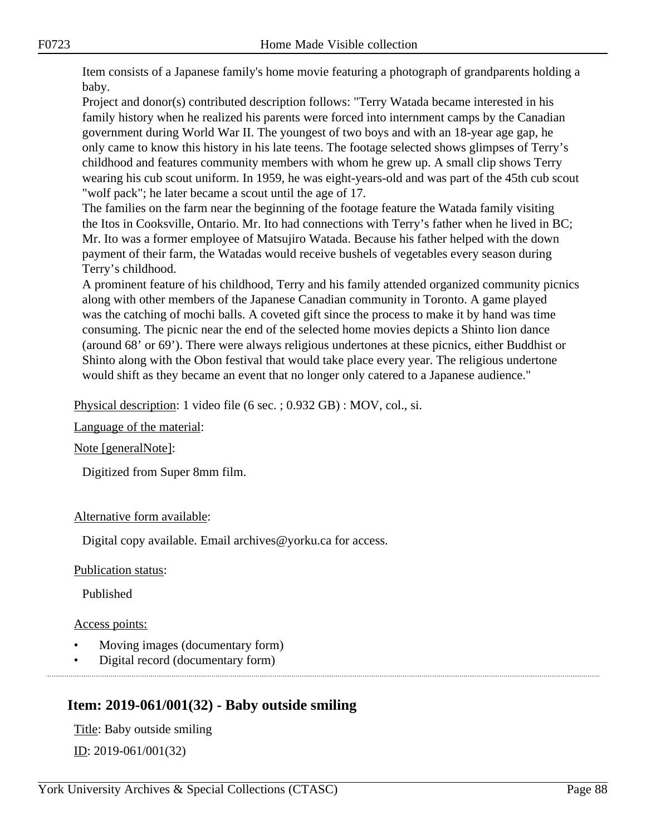Item consists of a Japanese family's home movie featuring a photograph of grandparents holding a baby.

Project and donor(s) contributed description follows: "Terry Watada became interested in his family history when he realized his parents were forced into internment camps by the Canadian government during World War II. The youngest of two boys and with an 18-year age gap, he only came to know this history in his late teens. The footage selected shows glimpses of Terry's childhood and features community members with whom he grew up. A small clip shows Terry wearing his cub scout uniform. In 1959, he was eight-years-old and was part of the 45th cub scout "wolf pack"; he later became a scout until the age of 17.

The families on the farm near the beginning of the footage feature the Watada family visiting the Itos in Cooksville, Ontario. Mr. Ito had connections with Terry's father when he lived in BC; Mr. Ito was a former employee of Matsujiro Watada. Because his father helped with the down payment of their farm, the Watadas would receive bushels of vegetables every season during Terry's childhood.

A prominent feature of his childhood, Terry and his family attended organized community picnics along with other members of the Japanese Canadian community in Toronto. A game played was the catching of mochi balls. A coveted gift since the process to make it by hand was time consuming. The picnic near the end of the selected home movies depicts a Shinto lion dance (around 68' or 69'). There were always religious undertones at these picnics, either Buddhist or Shinto along with the Obon festival that would take place every year. The religious undertone would shift as they became an event that no longer only catered to a Japanese audience."

Physical description: 1 video file (6 sec. ; 0.932 GB) : MOV, col., si.

Language of the material:

Note [generalNote]:

Digitized from Super 8mm film.

#### Alternative form available:

Digital copy available. Email archives@yorku.ca for access.

Publication status:

Published

Access points:

- Moving images (documentary form)
- Digital record (documentary form)

# **Item: 2019-061/001(32) - Baby outside smiling**

Title: Baby outside smiling  $ID: 2019-061/001(32)$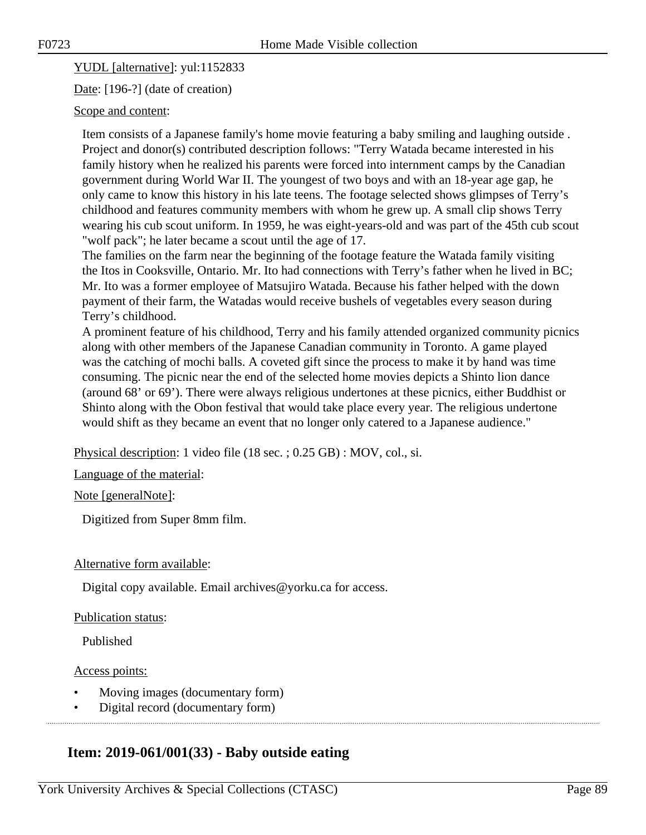YUDL [alternative]: yul:1152833

Date: [196-?] (date of creation)

#### Scope and content:

Item consists of a Japanese family's home movie featuring a baby smiling and laughing outside . Project and donor(s) contributed description follows: "Terry Watada became interested in his family history when he realized his parents were forced into internment camps by the Canadian government during World War II. The youngest of two boys and with an 18-year age gap, he only came to know this history in his late teens. The footage selected shows glimpses of Terry's childhood and features community members with whom he grew up. A small clip shows Terry wearing his cub scout uniform. In 1959, he was eight-years-old and was part of the 45th cub scout "wolf pack"; he later became a scout until the age of 17.

The families on the farm near the beginning of the footage feature the Watada family visiting the Itos in Cooksville, Ontario. Mr. Ito had connections with Terry's father when he lived in BC; Mr. Ito was a former employee of Matsujiro Watada. Because his father helped with the down payment of their farm, the Watadas would receive bushels of vegetables every season during Terry's childhood.

A prominent feature of his childhood, Terry and his family attended organized community picnics along with other members of the Japanese Canadian community in Toronto. A game played was the catching of mochi balls. A coveted gift since the process to make it by hand was time consuming. The picnic near the end of the selected home movies depicts a Shinto lion dance (around 68' or 69'). There were always religious undertones at these picnics, either Buddhist or Shinto along with the Obon festival that would take place every year. The religious undertone would shift as they became an event that no longer only catered to a Japanese audience."

Physical description: 1 video file (18 sec. ; 0.25 GB) : MOV, col., si.

Language of the material:

Note [generalNote]:

Digitized from Super 8mm film.

#### Alternative form available:

Digital copy available. Email archives@yorku.ca for access.

#### Publication status:

Published

#### Access points:

- Moving images (documentary form)
- Digital record (documentary form)

# **Item: 2019-061/001(33) - Baby outside eating**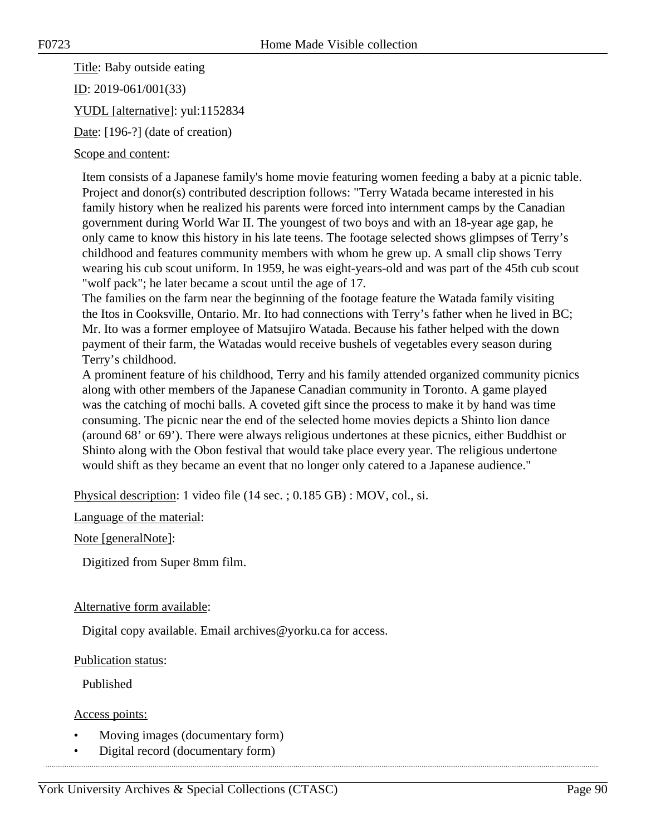Title: Baby outside eating

ID: 2019-061/001(33)

YUDL [alternative]: yul:1152834

Date: [196-?] (date of creation)

### Scope and content:

Item consists of a Japanese family's home movie featuring women feeding a baby at a picnic table. Project and donor(s) contributed description follows: "Terry Watada became interested in his family history when he realized his parents were forced into internment camps by the Canadian government during World War II. The youngest of two boys and with an 18-year age gap, he only came to know this history in his late teens. The footage selected shows glimpses of Terry's childhood and features community members with whom he grew up. A small clip shows Terry wearing his cub scout uniform. In 1959, he was eight-years-old and was part of the 45th cub scout "wolf pack"; he later became a scout until the age of 17.

The families on the farm near the beginning of the footage feature the Watada family visiting the Itos in Cooksville, Ontario. Mr. Ito had connections with Terry's father when he lived in BC; Mr. Ito was a former employee of Matsujiro Watada. Because his father helped with the down payment of their farm, the Watadas would receive bushels of vegetables every season during Terry's childhood.

A prominent feature of his childhood, Terry and his family attended organized community picnics along with other members of the Japanese Canadian community in Toronto. A game played was the catching of mochi balls. A coveted gift since the process to make it by hand was time consuming. The picnic near the end of the selected home movies depicts a Shinto lion dance (around 68' or 69'). There were always religious undertones at these picnics, either Buddhist or Shinto along with the Obon festival that would take place every year. The religious undertone would shift as they became an event that no longer only catered to a Japanese audience."

Physical description: 1 video file (14 sec. ; 0.185 GB) : MOV, col., si.

Language of the material:

Note [generalNote]:

Digitized from Super 8mm film.

#### Alternative form available:

Digital copy available. Email archives@yorku.ca for access.

#### Publication status:

Published

Access points:

- Moving images (documentary form)
- Digital record (documentary form)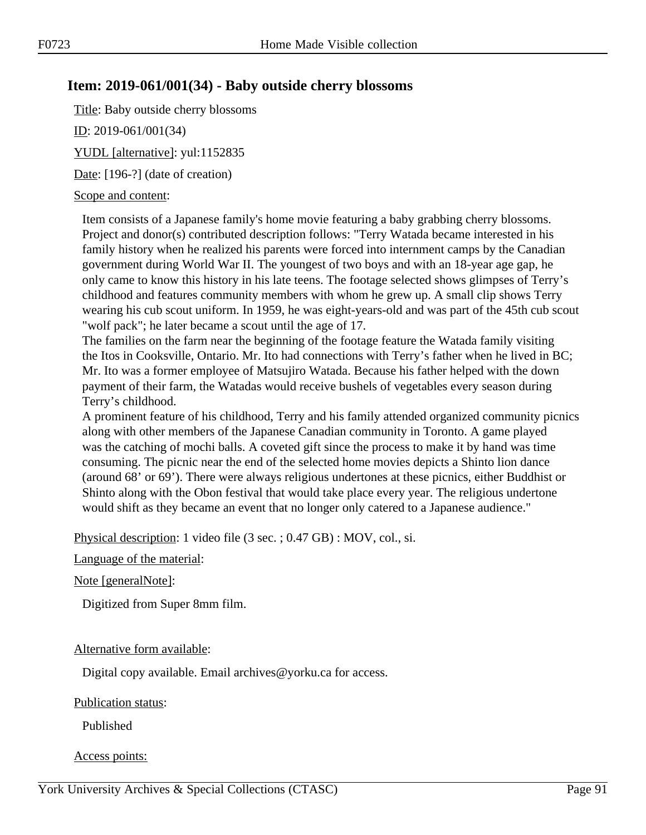# **Item: 2019-061/001(34) - Baby outside cherry blossoms**

Title: Baby outside cherry blossoms

ID: 2019-061/001(34)

YUDL [alternative]: yul:1152835

Date: [196-?] (date of creation)

#### Scope and content:

Item consists of a Japanese family's home movie featuring a baby grabbing cherry blossoms. Project and donor(s) contributed description follows: "Terry Watada became interested in his family history when he realized his parents were forced into internment camps by the Canadian government during World War II. The youngest of two boys and with an 18-year age gap, he only came to know this history in his late teens. The footage selected shows glimpses of Terry's childhood and features community members with whom he grew up. A small clip shows Terry wearing his cub scout uniform. In 1959, he was eight-years-old and was part of the 45th cub scout "wolf pack"; he later became a scout until the age of 17.

The families on the farm near the beginning of the footage feature the Watada family visiting the Itos in Cooksville, Ontario. Mr. Ito had connections with Terry's father when he lived in BC; Mr. Ito was a former employee of Matsujiro Watada. Because his father helped with the down payment of their farm, the Watadas would receive bushels of vegetables every season during Terry's childhood.

A prominent feature of his childhood, Terry and his family attended organized community picnics along with other members of the Japanese Canadian community in Toronto. A game played was the catching of mochi balls. A coveted gift since the process to make it by hand was time consuming. The picnic near the end of the selected home movies depicts a Shinto lion dance (around 68' or 69'). There were always religious undertones at these picnics, either Buddhist or Shinto along with the Obon festival that would take place every year. The religious undertone would shift as they became an event that no longer only catered to a Japanese audience."

Physical description: 1 video file (3 sec. ; 0.47 GB) : MOV, col., si.

#### Language of the material:

Note [generalNote]:

Digitized from Super 8mm film.

## Alternative form available:

Digital copy available. Email archives@yorku.ca for access.

#### Publication status:

Published

## Access points: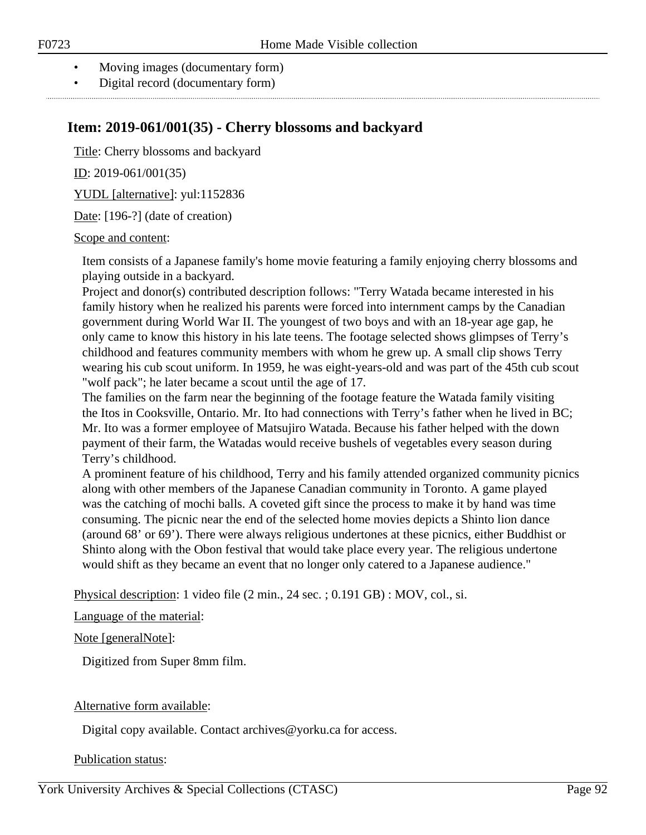- Moving images (documentary form)
- Digital record (documentary form)

# **Item: 2019-061/001(35) - Cherry blossoms and backyard**

Title: Cherry blossoms and backyard

ID: 2019-061/001(35)

YUDL [alternative]: yul:1152836

Date: [196-?] (date of creation)

#### Scope and content:

Item consists of a Japanese family's home movie featuring a family enjoying cherry blossoms and playing outside in a backyard.

Project and donor(s) contributed description follows: "Terry Watada became interested in his family history when he realized his parents were forced into internment camps by the Canadian government during World War II. The youngest of two boys and with an 18-year age gap, he only came to know this history in his late teens. The footage selected shows glimpses of Terry's childhood and features community members with whom he grew up. A small clip shows Terry wearing his cub scout uniform. In 1959, he was eight-years-old and was part of the 45th cub scout "wolf pack"; he later became a scout until the age of 17.

The families on the farm near the beginning of the footage feature the Watada family visiting the Itos in Cooksville, Ontario. Mr. Ito had connections with Terry's father when he lived in BC; Mr. Ito was a former employee of Matsujiro Watada. Because his father helped with the down payment of their farm, the Watadas would receive bushels of vegetables every season during Terry's childhood.

A prominent feature of his childhood, Terry and his family attended organized community picnics along with other members of the Japanese Canadian community in Toronto. A game played was the catching of mochi balls. A coveted gift since the process to make it by hand was time consuming. The picnic near the end of the selected home movies depicts a Shinto lion dance (around 68' or 69'). There were always religious undertones at these picnics, either Buddhist or Shinto along with the Obon festival that would take place every year. The religious undertone would shift as they became an event that no longer only catered to a Japanese audience."

Physical description: 1 video file (2 min., 24 sec. ; 0.191 GB) : MOV, col., si.

#### Language of the material:

Note [generalNote]:

Digitized from Super 8mm film.

## Alternative form available:

Digital copy available. Contact archives@yorku.ca for access.

#### Publication status: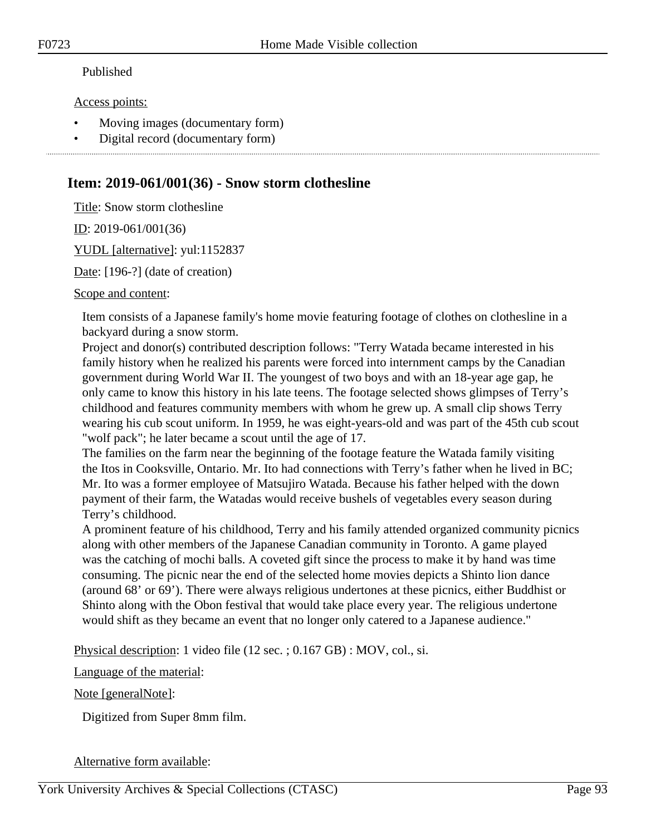#### Published

#### Access points:

- Moving images (documentary form)
- Digital record (documentary form)

## **Item: 2019-061/001(36) - Snow storm clothesline**

Title: Snow storm clothesline

ID: 2019-061/001(36)

YUDL [alternative]: yul:1152837

Date: [196-?] (date of creation)

Scope and content:

Item consists of a Japanese family's home movie featuring footage of clothes on clothesline in a backyard during a snow storm.

Project and donor(s) contributed description follows: "Terry Watada became interested in his family history when he realized his parents were forced into internment camps by the Canadian government during World War II. The youngest of two boys and with an 18-year age gap, he only came to know this history in his late teens. The footage selected shows glimpses of Terry's childhood and features community members with whom he grew up. A small clip shows Terry wearing his cub scout uniform. In 1959, he was eight-years-old and was part of the 45th cub scout "wolf pack"; he later became a scout until the age of 17.

The families on the farm near the beginning of the footage feature the Watada family visiting the Itos in Cooksville, Ontario. Mr. Ito had connections with Terry's father when he lived in BC; Mr. Ito was a former employee of Matsujiro Watada. Because his father helped with the down payment of their farm, the Watadas would receive bushels of vegetables every season during Terry's childhood.

A prominent feature of his childhood, Terry and his family attended organized community picnics along with other members of the Japanese Canadian community in Toronto. A game played was the catching of mochi balls. A coveted gift since the process to make it by hand was time consuming. The picnic near the end of the selected home movies depicts a Shinto lion dance (around 68' or 69'). There were always religious undertones at these picnics, either Buddhist or Shinto along with the Obon festival that would take place every year. The religious undertone would shift as they became an event that no longer only catered to a Japanese audience."

Physical description: 1 video file (12 sec. ; 0.167 GB) : MOV, col., si.

Language of the material:

Note [generalNote]:

Digitized from Super 8mm film.

#### Alternative form available: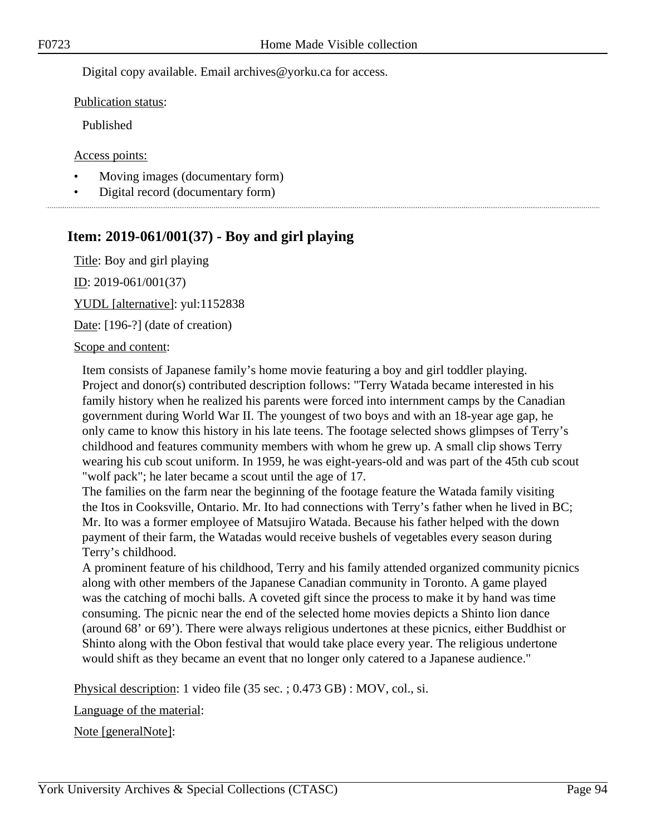Digital copy available. Email archives@yorku.ca for access.

Publication status:

Published

Access points:

- Moving images (documentary form)
- Digital record (documentary form)

# **Item: 2019-061/001(37) - Boy and girl playing**

Title: Boy and girl playing ID: 2019-061/001(37) YUDL [alternative]: yul:1152838

Date: [196-?] (date of creation)

#### Scope and content:

Item consists of Japanese family's home movie featuring a boy and girl toddler playing. Project and donor(s) contributed description follows: "Terry Watada became interested in his family history when he realized his parents were forced into internment camps by the Canadian government during World War II. The youngest of two boys and with an 18-year age gap, he only came to know this history in his late teens. The footage selected shows glimpses of Terry's childhood and features community members with whom he grew up. A small clip shows Terry wearing his cub scout uniform. In 1959, he was eight-years-old and was part of the 45th cub scout "wolf pack"; he later became a scout until the age of 17.

The families on the farm near the beginning of the footage feature the Watada family visiting the Itos in Cooksville, Ontario. Mr. Ito had connections with Terry's father when he lived in BC; Mr. Ito was a former employee of Matsujiro Watada. Because his father helped with the down payment of their farm, the Watadas would receive bushels of vegetables every season during Terry's childhood.

A prominent feature of his childhood, Terry and his family attended organized community picnics along with other members of the Japanese Canadian community in Toronto. A game played was the catching of mochi balls. A coveted gift since the process to make it by hand was time consuming. The picnic near the end of the selected home movies depicts a Shinto lion dance (around 68' or 69'). There were always religious undertones at these picnics, either Buddhist or Shinto along with the Obon festival that would take place every year. The religious undertone would shift as they became an event that no longer only catered to a Japanese audience."

Physical description: 1 video file (35 sec. ; 0.473 GB) : MOV, col., si.

Language of the material:

Note [generalNote]: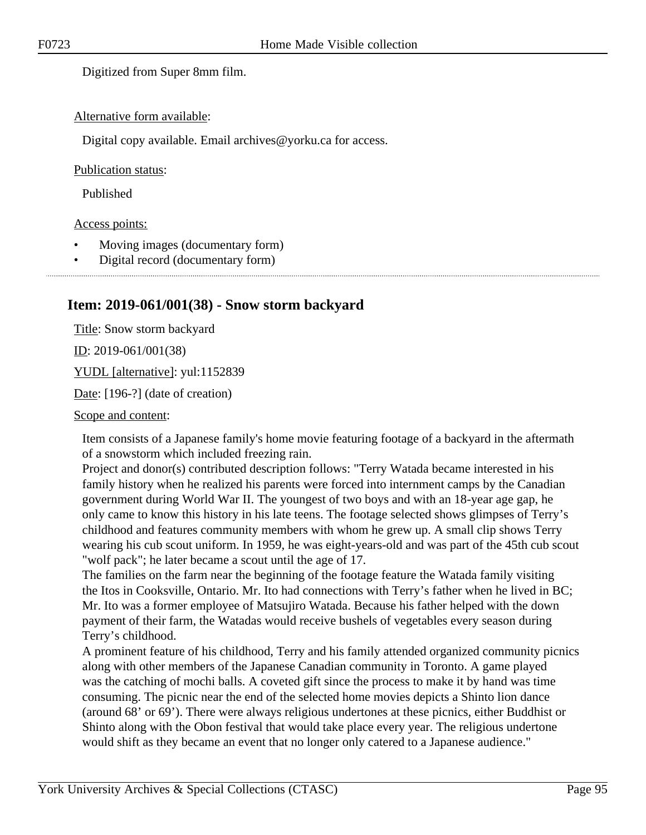Digitized from Super 8mm film.

#### Alternative form available:

Digital copy available. Email archives@yorku.ca for access.

#### Publication status:

Published

#### Access points:

- Moving images (documentary form)
- Digital record (documentary form)

## **Item: 2019-061/001(38) - Snow storm backyard**

Title: Snow storm backyard  $ID: 2019-061/001(38)$ YUDL [alternative]: yul:1152839

Date: [196-?] (date of creation)

#### Scope and content:

Item consists of a Japanese family's home movie featuring footage of a backyard in the aftermath of a snowstorm which included freezing rain.

Project and donor(s) contributed description follows: "Terry Watada became interested in his family history when he realized his parents were forced into internment camps by the Canadian government during World War II. The youngest of two boys and with an 18-year age gap, he only came to know this history in his late teens. The footage selected shows glimpses of Terry's childhood and features community members with whom he grew up. A small clip shows Terry wearing his cub scout uniform. In 1959, he was eight-years-old and was part of the 45th cub scout "wolf pack"; he later became a scout until the age of 17.

The families on the farm near the beginning of the footage feature the Watada family visiting the Itos in Cooksville, Ontario. Mr. Ito had connections with Terry's father when he lived in BC; Mr. Ito was a former employee of Matsujiro Watada. Because his father helped with the down payment of their farm, the Watadas would receive bushels of vegetables every season during Terry's childhood.

A prominent feature of his childhood, Terry and his family attended organized community picnics along with other members of the Japanese Canadian community in Toronto. A game played was the catching of mochi balls. A coveted gift since the process to make it by hand was time consuming. The picnic near the end of the selected home movies depicts a Shinto lion dance (around 68' or 69'). There were always religious undertones at these picnics, either Buddhist or Shinto along with the Obon festival that would take place every year. The religious undertone would shift as they became an event that no longer only catered to a Japanese audience."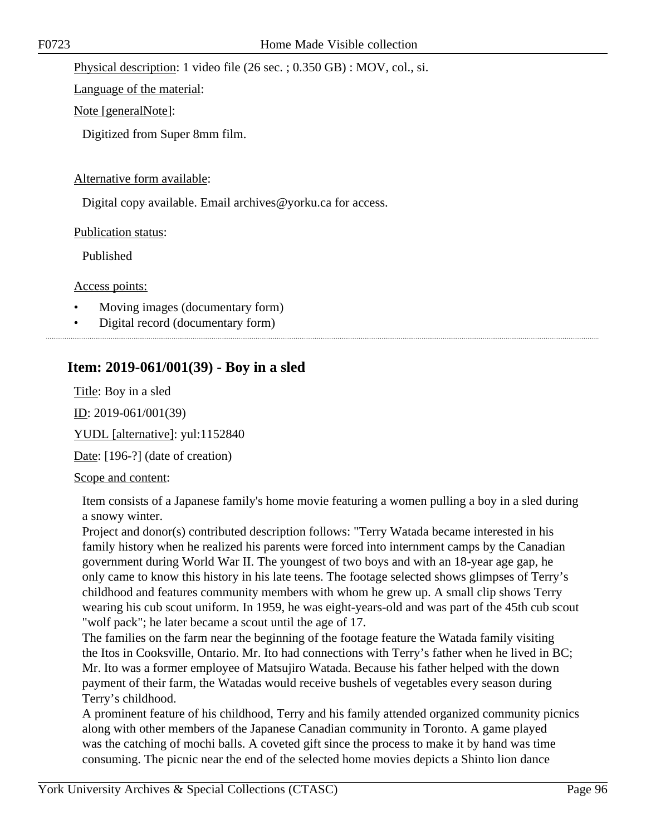Physical description: 1 video file (26 sec. ; 0.350 GB) : MOV, col., si.

Language of the material:

Note [generalNote]:

Digitized from Super 8mm film.

#### Alternative form available:

Digital copy available. Email archives@yorku.ca for access.

Publication status:

Published

Access points:

- Moving images (documentary form)
- Digital record (documentary form)

# **Item: 2019-061/001(39) - Boy in a sled**

Title: Boy in a sled ID: 2019-061/001(39) YUDL [alternative]: yul:1152840

Date: [196-?] (date of creation)

## Scope and content:

Item consists of a Japanese family's home movie featuring a women pulling a boy in a sled during a snowy winter.

Project and donor(s) contributed description follows: "Terry Watada became interested in his family history when he realized his parents were forced into internment camps by the Canadian government during World War II. The youngest of two boys and with an 18-year age gap, he only came to know this history in his late teens. The footage selected shows glimpses of Terry's childhood and features community members with whom he grew up. A small clip shows Terry wearing his cub scout uniform. In 1959, he was eight-years-old and was part of the 45th cub scout "wolf pack"; he later became a scout until the age of 17.

The families on the farm near the beginning of the footage feature the Watada family visiting the Itos in Cooksville, Ontario. Mr. Ito had connections with Terry's father when he lived in BC; Mr. Ito was a former employee of Matsujiro Watada. Because his father helped with the down payment of their farm, the Watadas would receive bushels of vegetables every season during Terry's childhood.

A prominent feature of his childhood, Terry and his family attended organized community picnics along with other members of the Japanese Canadian community in Toronto. A game played was the catching of mochi balls. A coveted gift since the process to make it by hand was time consuming. The picnic near the end of the selected home movies depicts a Shinto lion dance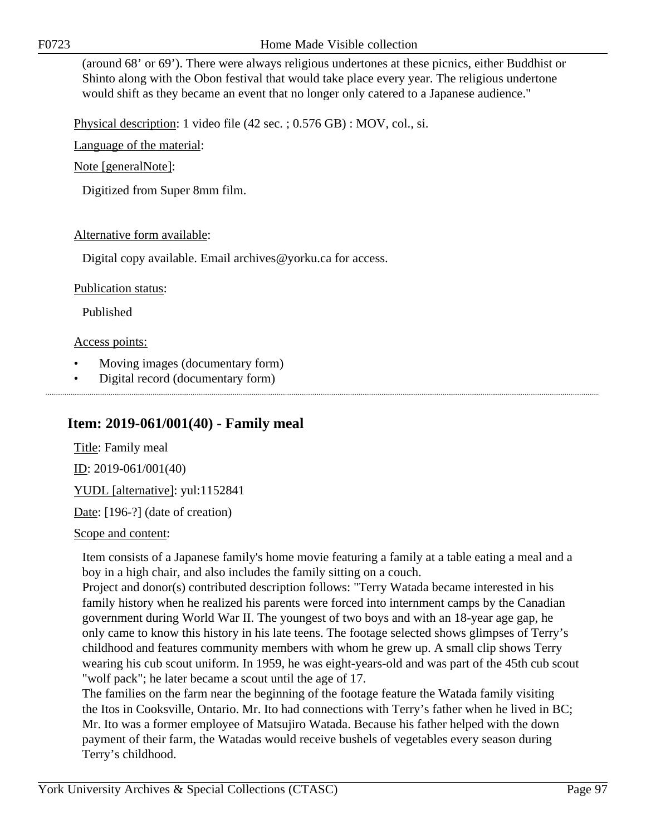F0723 Home Made Visible collection

(around 68' or 69'). There were always religious undertones at these picnics, either Buddhist or Shinto along with the Obon festival that would take place every year. The religious undertone would shift as they became an event that no longer only catered to a Japanese audience."

Physical description: 1 video file (42 sec. ; 0.576 GB) : MOV, col., si.

Language of the material:

Note [generalNote]:

Digitized from Super 8mm film.

### Alternative form available:

Digital copy available. Email archives@yorku.ca for access.

Publication status:

Published

Access points:

- Moving images (documentary form)
- Digital record (documentary form)

# **Item: 2019-061/001(40) - Family meal**

Title: Family meal ID: 2019-061/001(40)

YUDL [alternative]: yul:1152841

Date: [196-?] (date of creation)

Scope and content:

Item consists of a Japanese family's home movie featuring a family at a table eating a meal and a boy in a high chair, and also includes the family sitting on a couch.

Project and donor(s) contributed description follows: "Terry Watada became interested in his family history when he realized his parents were forced into internment camps by the Canadian government during World War II. The youngest of two boys and with an 18-year age gap, he only came to know this history in his late teens. The footage selected shows glimpses of Terry's childhood and features community members with whom he grew up. A small clip shows Terry wearing his cub scout uniform. In 1959, he was eight-years-old and was part of the 45th cub scout "wolf pack"; he later became a scout until the age of 17.

The families on the farm near the beginning of the footage feature the Watada family visiting the Itos in Cooksville, Ontario. Mr. Ito had connections with Terry's father when he lived in BC; Mr. Ito was a former employee of Matsujiro Watada. Because his father helped with the down payment of their farm, the Watadas would receive bushels of vegetables every season during Terry's childhood.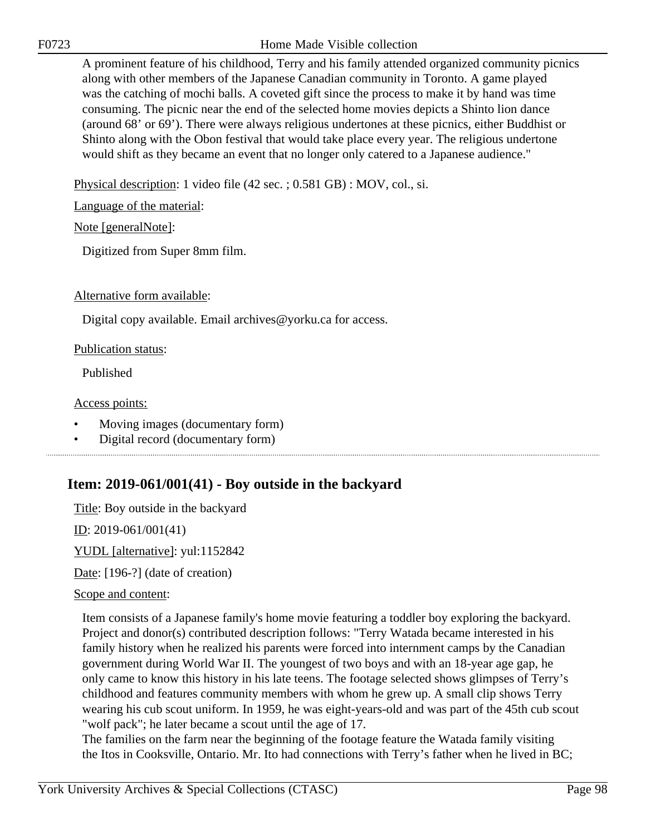F0723 Home Made Visible collection

A prominent feature of his childhood, Terry and his family attended organized community picnics along with other members of the Japanese Canadian community in Toronto. A game played was the catching of mochi balls. A coveted gift since the process to make it by hand was time consuming. The picnic near the end of the selected home movies depicts a Shinto lion dance (around 68' or 69'). There were always religious undertones at these picnics, either Buddhist or Shinto along with the Obon festival that would take place every year. The religious undertone would shift as they became an event that no longer only catered to a Japanese audience."

Physical description: 1 video file (42 sec. ; 0.581 GB) : MOV, col., si.

Language of the material:

Note [generalNote]:

Digitized from Super 8mm film.

Alternative form available:

Digital copy available. Email archives@yorku.ca for access.

#### Publication status:

Published

Access points:

- Moving images (documentary form)
- Digital record (documentary form)

# **Item: 2019-061/001(41) - Boy outside in the backyard**

Title: Boy outside in the backyard

ID: 2019-061/001(41)

YUDL [alternative]: yul:1152842

Date: [196-?] (date of creation)

#### Scope and content:

Item consists of a Japanese family's home movie featuring a toddler boy exploring the backyard. Project and donor(s) contributed description follows: "Terry Watada became interested in his family history when he realized his parents were forced into internment camps by the Canadian government during World War II. The youngest of two boys and with an 18-year age gap, he only came to know this history in his late teens. The footage selected shows glimpses of Terry's childhood and features community members with whom he grew up. A small clip shows Terry wearing his cub scout uniform. In 1959, he was eight-years-old and was part of the 45th cub scout "wolf pack"; he later became a scout until the age of 17.

The families on the farm near the beginning of the footage feature the Watada family visiting the Itos in Cooksville, Ontario. Mr. Ito had connections with Terry's father when he lived in BC;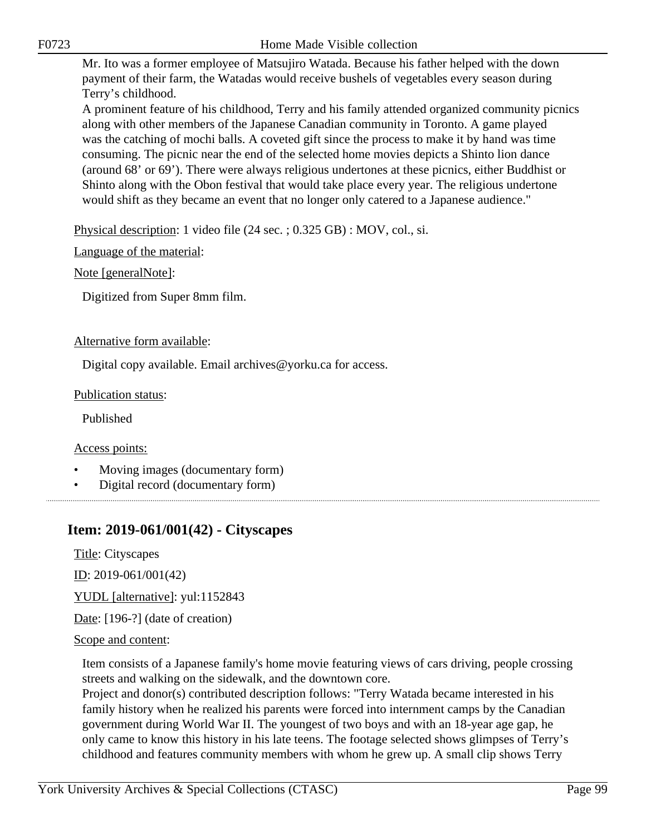Mr. Ito was a former employee of Matsujiro Watada. Because his father helped with the down payment of their farm, the Watadas would receive bushels of vegetables every season during Terry's childhood.

A prominent feature of his childhood, Terry and his family attended organized community picnics along with other members of the Japanese Canadian community in Toronto. A game played was the catching of mochi balls. A coveted gift since the process to make it by hand was time consuming. The picnic near the end of the selected home movies depicts a Shinto lion dance (around 68' or 69'). There were always religious undertones at these picnics, either Buddhist or Shinto along with the Obon festival that would take place every year. The religious undertone would shift as they became an event that no longer only catered to a Japanese audience."

Physical description: 1 video file (24 sec. ; 0.325 GB) : MOV, col., si.

Language of the material:

Note [generalNote]:

Digitized from Super 8mm film.

### Alternative form available:

Digital copy available. Email archives@yorku.ca for access.

### Publication status:

Published

#### Access points:

- Moving images (documentary form)
- Digital record (documentary form)

# **Item: 2019-061/001(42) - Cityscapes**

Title: Cityscapes

ID: 2019-061/001(42)

YUDL [alternative]: yul:1152843

Date: [196-?] (date of creation)

#### Scope and content:

Item consists of a Japanese family's home movie featuring views of cars driving, people crossing streets and walking on the sidewalk, and the downtown core.

Project and donor(s) contributed description follows: "Terry Watada became interested in his family history when he realized his parents were forced into internment camps by the Canadian government during World War II. The youngest of two boys and with an 18-year age gap, he only came to know this history in his late teens. The footage selected shows glimpses of Terry's childhood and features community members with whom he grew up. A small clip shows Terry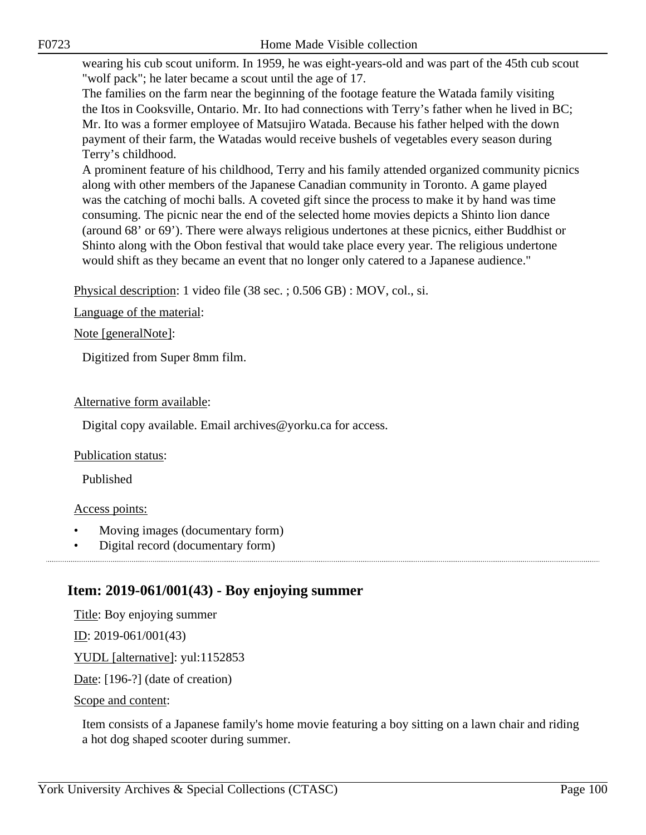wearing his cub scout uniform. In 1959, he was eight-years-old and was part of the 45th cub scout "wolf pack"; he later became a scout until the age of 17.

The families on the farm near the beginning of the footage feature the Watada family visiting the Itos in Cooksville, Ontario. Mr. Ito had connections with Terry's father when he lived in BC; Mr. Ito was a former employee of Matsujiro Watada. Because his father helped with the down payment of their farm, the Watadas would receive bushels of vegetables every season during Terry's childhood.

A prominent feature of his childhood, Terry and his family attended organized community picnics along with other members of the Japanese Canadian community in Toronto. A game played was the catching of mochi balls. A coveted gift since the process to make it by hand was time consuming. The picnic near the end of the selected home movies depicts a Shinto lion dance (around 68' or 69'). There were always religious undertones at these picnics, either Buddhist or Shinto along with the Obon festival that would take place every year. The religious undertone would shift as they became an event that no longer only catered to a Japanese audience."

Physical description: 1 video file (38 sec. ; 0.506 GB) : MOV, col., si.

Language of the material:

Note [generalNote]:

Digitized from Super 8mm film.

#### Alternative form available:

Digital copy available. Email archives@yorku.ca for access.

#### Publication status:

Published

#### Access points:

- Moving images (documentary form)
- Digital record (documentary form)

# **Item: 2019-061/001(43) - Boy enjoying summer**

Title: Boy enjoying summer

<u>ID</u>: 2019-061/001(43)

YUDL [alternative]: yul:1152853

Date: [196-?] (date of creation)

Scope and content:

Item consists of a Japanese family's home movie featuring a boy sitting on a lawn chair and riding a hot dog shaped scooter during summer.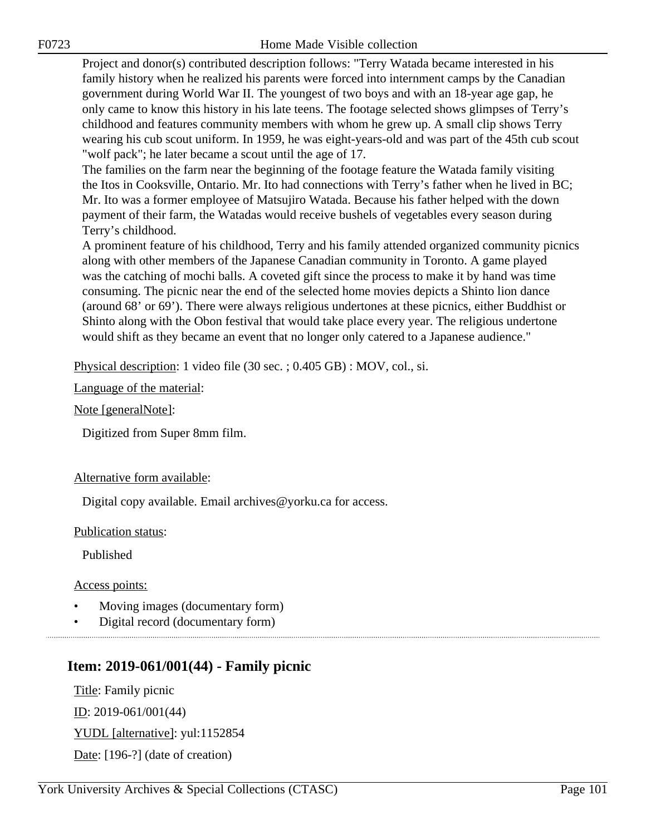Project and donor(s) contributed description follows: "Terry Watada became interested in his family history when he realized his parents were forced into internment camps by the Canadian government during World War II. The youngest of two boys and with an 18-year age gap, he only came to know this history in his late teens. The footage selected shows glimpses of Terry's childhood and features community members with whom he grew up. A small clip shows Terry wearing his cub scout uniform. In 1959, he was eight-years-old and was part of the 45th cub scout "wolf pack"; he later became a scout until the age of 17.

The families on the farm near the beginning of the footage feature the Watada family visiting the Itos in Cooksville, Ontario. Mr. Ito had connections with Terry's father when he lived in BC; Mr. Ito was a former employee of Matsujiro Watada. Because his father helped with the down payment of their farm, the Watadas would receive bushels of vegetables every season during Terry's childhood.

A prominent feature of his childhood, Terry and his family attended organized community picnics along with other members of the Japanese Canadian community in Toronto. A game played was the catching of mochi balls. A coveted gift since the process to make it by hand was time consuming. The picnic near the end of the selected home movies depicts a Shinto lion dance (around 68' or 69'). There were always religious undertones at these picnics, either Buddhist or Shinto along with the Obon festival that would take place every year. The religious undertone would shift as they became an event that no longer only catered to a Japanese audience."

Physical description: 1 video file (30 sec. ; 0.405 GB) : MOV, col., si.

Language of the material:

Note [generalNote]:

Digitized from Super 8mm film.

#### Alternative form available:

Digital copy available. Email archives@yorku.ca for access.

Publication status:

Published

Access points:

- Moving images (documentary form)
- Digital record (documentary form)

# **Item: 2019-061/001(44) - Family picnic**

Title: Family picnic ID: 2019-061/001(44)

YUDL [alternative]: yul:1152854

Date: [196-?] (date of creation)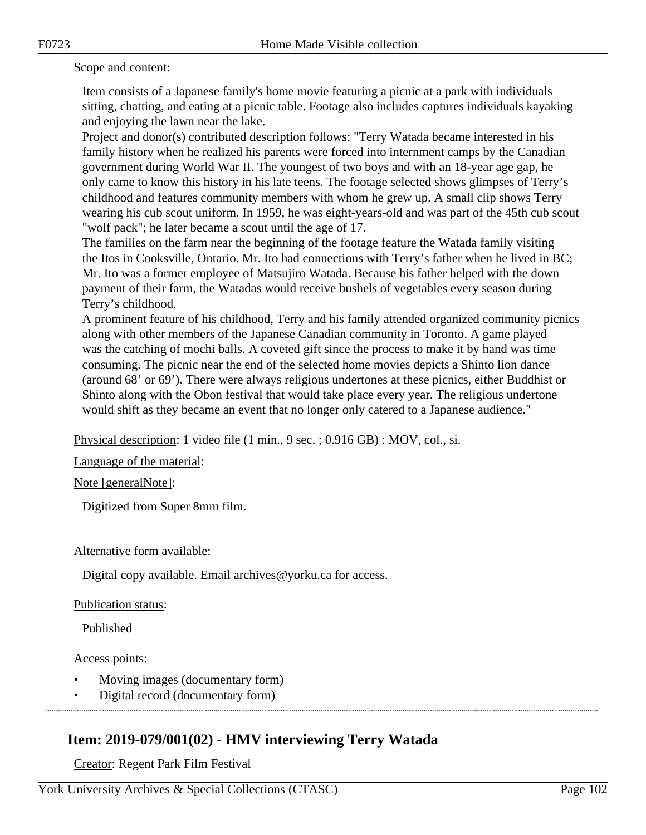#### Scope and content:

Item consists of a Japanese family's home movie featuring a picnic at a park with individuals sitting, chatting, and eating at a picnic table. Footage also includes captures individuals kayaking and enjoying the lawn near the lake.

Project and donor(s) contributed description follows: "Terry Watada became interested in his family history when he realized his parents were forced into internment camps by the Canadian government during World War II. The youngest of two boys and with an 18-year age gap, he only came to know this history in his late teens. The footage selected shows glimpses of Terry's childhood and features community members with whom he grew up. A small clip shows Terry wearing his cub scout uniform. In 1959, he was eight-years-old and was part of the 45th cub scout "wolf pack"; he later became a scout until the age of 17.

The families on the farm near the beginning of the footage feature the Watada family visiting the Itos in Cooksville, Ontario. Mr. Ito had connections with Terry's father when he lived in BC; Mr. Ito was a former employee of Matsujiro Watada. Because his father helped with the down payment of their farm, the Watadas would receive bushels of vegetables every season during Terry's childhood.

A prominent feature of his childhood, Terry and his family attended organized community picnics along with other members of the Japanese Canadian community in Toronto. A game played was the catching of mochi balls. A coveted gift since the process to make it by hand was time consuming. The picnic near the end of the selected home movies depicts a Shinto lion dance (around 68' or 69'). There were always religious undertones at these picnics, either Buddhist or Shinto along with the Obon festival that would take place every year. The religious undertone would shift as they became an event that no longer only catered to a Japanese audience."

Physical description: 1 video file (1 min., 9 sec. ; 0.916 GB) : MOV, col., si.

Language of the material:

#### Note [generalNote]:

Digitized from Super 8mm film.

#### Alternative form available:

Digital copy available. Email archives@yorku.ca for access.

#### Publication status:

Published

#### Access points:

- Moving images (documentary form)
- Digital record (documentary form)

# **Item: 2019-079/001(02) - HMV interviewing Terry Watada**

Creator: Regent Park Film Festival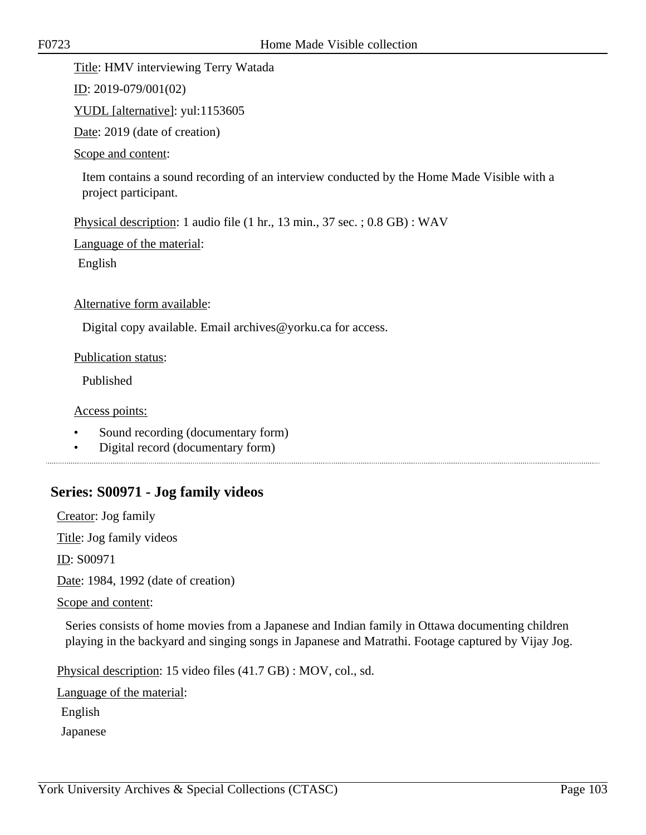#### Title: HMV interviewing Terry Watada

ID: 2019-079/001(02)

YUDL [alternative]: yul:1153605

Date: 2019 (date of creation)

#### Scope and content:

Item contains a sound recording of an interview conducted by the Home Made Visible with a project participant.

Physical description: 1 audio file (1 hr., 13 min., 37 sec. ; 0.8 GB) : WAV

Language of the material:

English

Alternative form available:

Digital copy available. Email archives@yorku.ca for access.

Publication status:

Published

Access points:

- Sound recording (documentary form)
- Digital record (documentary form)

# **Series: S00971 - Jog family videos**

Creator: Jog family

Title: Jog family videos

ID: S00971

Date: 1984, 1992 (date of creation)

Scope and content:

Series consists of home movies from a Japanese and Indian family in Ottawa documenting children playing in the backyard and singing songs in Japanese and Matrathi. Footage captured by Vijay Jog.

Physical description: 15 video files (41.7 GB) : MOV, col., sd.

Language of the material:

English

Japanese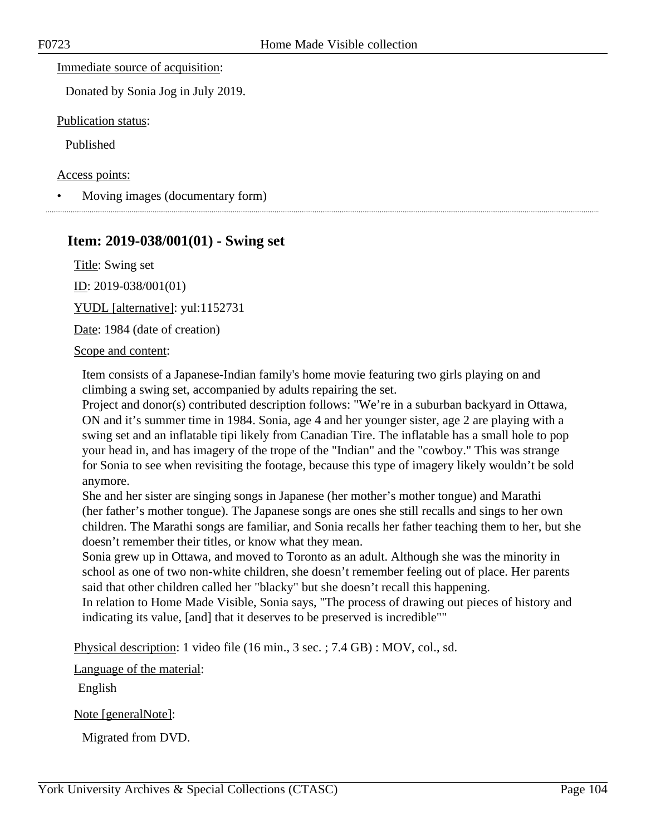Immediate source of acquisition:

Donated by Sonia Jog in July 2019.

Publication status:

Published

Access points:

• Moving images (documentary form)

## **Item: 2019-038/001(01) - Swing set**

Title: Swing set

ID: 2019-038/001(01)

YUDL [alternative]: yul:1152731

Date: 1984 (date of creation)

Scope and content:

Item consists of a Japanese-Indian family's home movie featuring two girls playing on and climbing a swing set, accompanied by adults repairing the set.

Project and donor(s) contributed description follows: "We're in a suburban backyard in Ottawa, ON and it's summer time in 1984. Sonia, age 4 and her younger sister, age 2 are playing with a swing set and an inflatable tipi likely from Canadian Tire. The inflatable has a small hole to pop your head in, and has imagery of the trope of the "Indian" and the "cowboy." This was strange for Sonia to see when revisiting the footage, because this type of imagery likely wouldn't be sold anymore.

She and her sister are singing songs in Japanese (her mother's mother tongue) and Marathi (her father's mother tongue). The Japanese songs are ones she still recalls and sings to her own children. The Marathi songs are familiar, and Sonia recalls her father teaching them to her, but she doesn't remember their titles, or know what they mean.

Sonia grew up in Ottawa, and moved to Toronto as an adult. Although she was the minority in school as one of two non-white children, she doesn't remember feeling out of place. Her parents said that other children called her "blacky" but she doesn't recall this happening.

In relation to Home Made Visible, Sonia says, "The process of drawing out pieces of history and indicating its value, [and] that it deserves to be preserved is incredible""

Physical description: 1 video file (16 min., 3 sec. ; 7.4 GB) : MOV, col., sd.

Language of the material:

English

Note [generalNote]:

Migrated from DVD.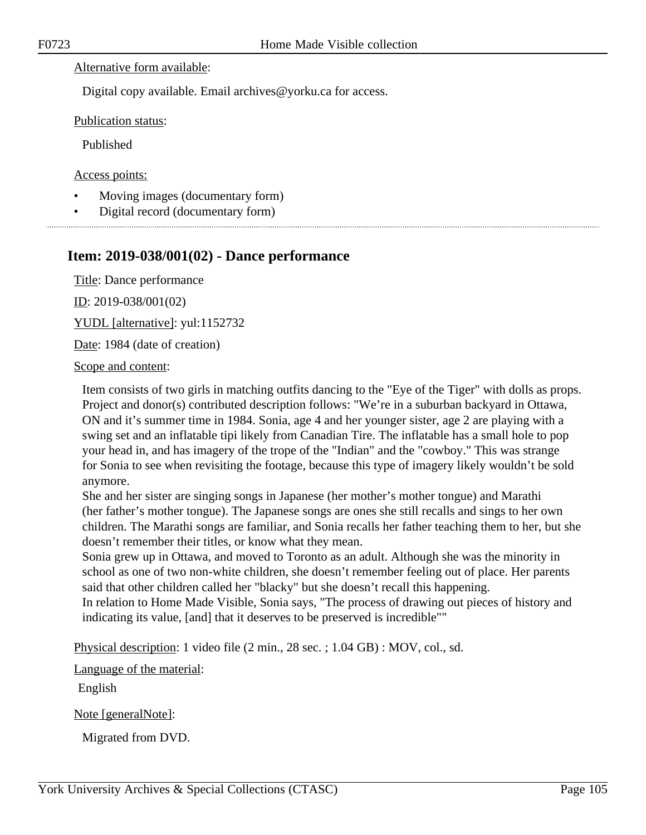#### Alternative form available:

Digital copy available. Email archives@yorku.ca for access.

Publication status:

Published

Access points:

- Moving images (documentary form)
- Digital record (documentary form)

# **Item: 2019-038/001(02) - Dance performance**

Title: Dance performance

ID: 2019-038/001(02)

YUDL [alternative]: yul:1152732

Date: 1984 (date of creation)

Scope and content:

Item consists of two girls in matching outfits dancing to the "Eye of the Tiger" with dolls as props. Project and donor(s) contributed description follows: "We're in a suburban backyard in Ottawa, ON and it's summer time in 1984. Sonia, age 4 and her younger sister, age 2 are playing with a swing set and an inflatable tipi likely from Canadian Tire. The inflatable has a small hole to pop your head in, and has imagery of the trope of the "Indian" and the "cowboy." This was strange for Sonia to see when revisiting the footage, because this type of imagery likely wouldn't be sold anymore.

She and her sister are singing songs in Japanese (her mother's mother tongue) and Marathi (her father's mother tongue). The Japanese songs are ones she still recalls and sings to her own children. The Marathi songs are familiar, and Sonia recalls her father teaching them to her, but she doesn't remember their titles, or know what they mean.

Sonia grew up in Ottawa, and moved to Toronto as an adult. Although she was the minority in school as one of two non-white children, she doesn't remember feeling out of place. Her parents said that other children called her "blacky" but she doesn't recall this happening. In relation to Home Made Visible, Sonia says, "The process of drawing out pieces of history and indicating its value, [and] that it deserves to be preserved is incredible""

Physical description: 1 video file (2 min., 28 sec. ; 1.04 GB) : MOV, col., sd.

Language of the material:

English

Note [generalNote]:

Migrated from DVD.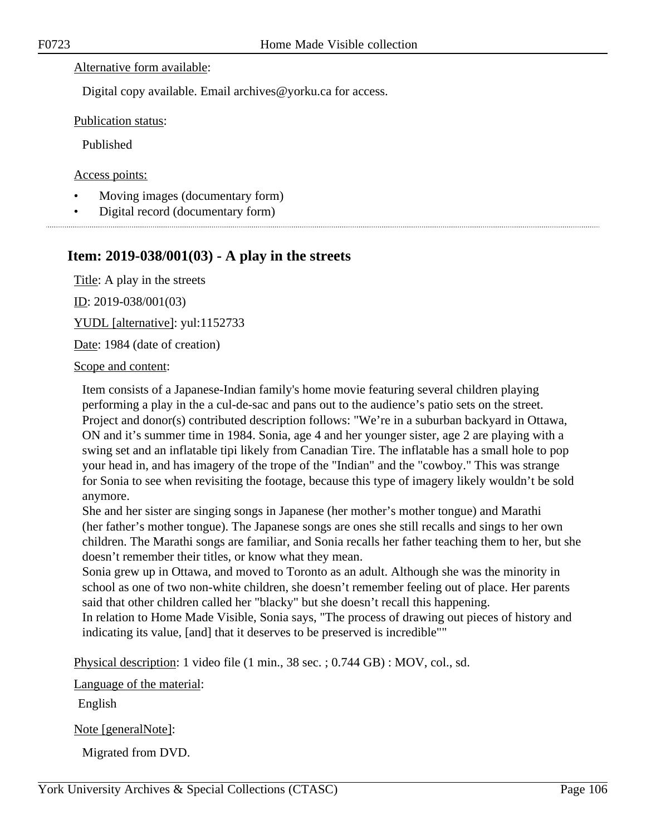#### Alternative form available:

Digital copy available. Email archives@yorku.ca for access.

Publication status:

Published

Access points:

- Moving images (documentary form)
- Digital record (documentary form)

# **Item: 2019-038/001(03) - A play in the streets**

Title: A play in the streets

ID: 2019-038/001(03)

YUDL [alternative]: yul:1152733

Date: 1984 (date of creation)

Scope and content:

Item consists of a Japanese-Indian family's home movie featuring several children playing performing a play in the a cul-de-sac and pans out to the audience's patio sets on the street. Project and donor(s) contributed description follows: "We're in a suburban backyard in Ottawa, ON and it's summer time in 1984. Sonia, age 4 and her younger sister, age 2 are playing with a swing set and an inflatable tipi likely from Canadian Tire. The inflatable has a small hole to pop your head in, and has imagery of the trope of the "Indian" and the "cowboy." This was strange for Sonia to see when revisiting the footage, because this type of imagery likely wouldn't be sold anymore.

She and her sister are singing songs in Japanese (her mother's mother tongue) and Marathi (her father's mother tongue). The Japanese songs are ones she still recalls and sings to her own children. The Marathi songs are familiar, and Sonia recalls her father teaching them to her, but she doesn't remember their titles, or know what they mean.

Sonia grew up in Ottawa, and moved to Toronto as an adult. Although she was the minority in school as one of two non-white children, she doesn't remember feeling out of place. Her parents said that other children called her "blacky" but she doesn't recall this happening.

In relation to Home Made Visible, Sonia says, "The process of drawing out pieces of history and indicating its value, [and] that it deserves to be preserved is incredible""

Physical description: 1 video file (1 min., 38 sec. ; 0.744 GB) : MOV, col., sd.

Language of the material:

English

Note [generalNote]:

Migrated from DVD.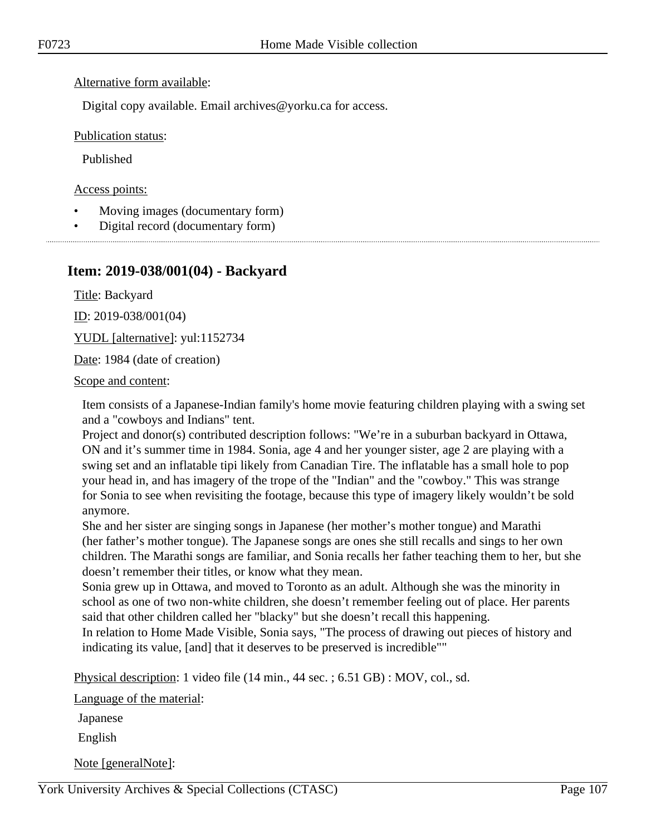#### Alternative form available:

Digital copy available. Email archives@yorku.ca for access.

Publication status:

Published

Access points:

- Moving images (documentary form)
- Digital record (documentary form)

## **Item: 2019-038/001(04) - Backyard**

Title: Backyard

ID: 2019-038/001(04)

YUDL [alternative]: yul:1152734

Date: 1984 (date of creation)

Scope and content:

Item consists of a Japanese-Indian family's home movie featuring children playing with a swing set and a "cowboys and Indians" tent.

Project and donor(s) contributed description follows: "We're in a suburban backyard in Ottawa, ON and it's summer time in 1984. Sonia, age 4 and her younger sister, age 2 are playing with a swing set and an inflatable tipi likely from Canadian Tire. The inflatable has a small hole to pop your head in, and has imagery of the trope of the "Indian" and the "cowboy." This was strange for Sonia to see when revisiting the footage, because this type of imagery likely wouldn't be sold anymore.

She and her sister are singing songs in Japanese (her mother's mother tongue) and Marathi (her father's mother tongue). The Japanese songs are ones she still recalls and sings to her own children. The Marathi songs are familiar, and Sonia recalls her father teaching them to her, but she doesn't remember their titles, or know what they mean.

Sonia grew up in Ottawa, and moved to Toronto as an adult. Although she was the minority in school as one of two non-white children, she doesn't remember feeling out of place. Her parents said that other children called her "blacky" but she doesn't recall this happening.

In relation to Home Made Visible, Sonia says, "The process of drawing out pieces of history and indicating its value, [and] that it deserves to be preserved is incredible""

Physical description: 1 video file (14 min., 44 sec. ; 6.51 GB) : MOV, col., sd.

Language of the material:

Japanese

English

Note [generalNote]: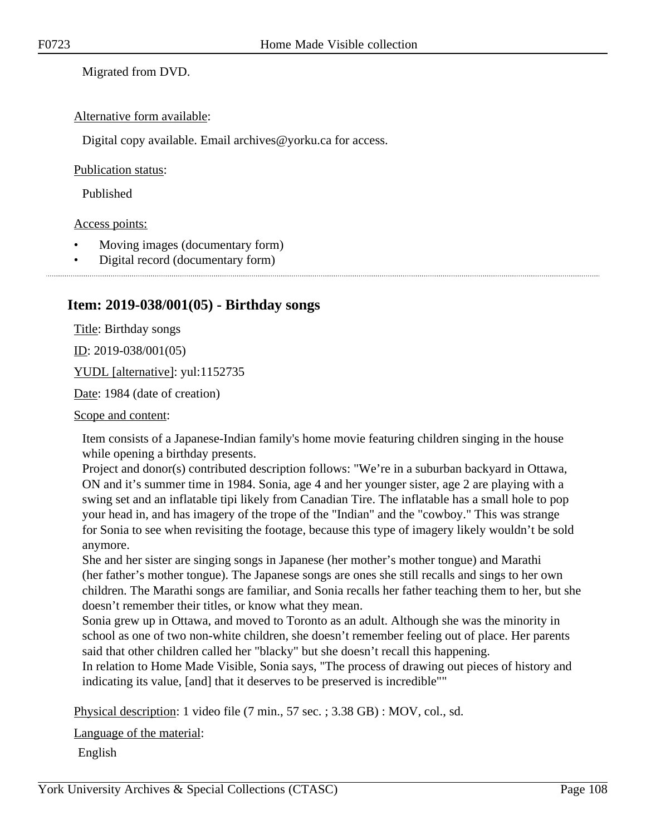Migrated from DVD.

#### Alternative form available:

Digital copy available. Email archives@yorku.ca for access.

#### Publication status:

Published

#### Access points:

- Moving images (documentary form)
- Digital record (documentary form)

## **Item: 2019-038/001(05) - Birthday songs**

Title: Birthday songs

<u>ID</u>: 2019-038/001(05)

YUDL [alternative]: yul:1152735

Date: 1984 (date of creation)

Scope and content:

Item consists of a Japanese-Indian family's home movie featuring children singing in the house while opening a birthday presents.

Project and donor(s) contributed description follows: "We're in a suburban backyard in Ottawa, ON and it's summer time in 1984. Sonia, age 4 and her younger sister, age 2 are playing with a swing set and an inflatable tipi likely from Canadian Tire. The inflatable has a small hole to pop your head in, and has imagery of the trope of the "Indian" and the "cowboy." This was strange for Sonia to see when revisiting the footage, because this type of imagery likely wouldn't be sold anymore.

She and her sister are singing songs in Japanese (her mother's mother tongue) and Marathi (her father's mother tongue). The Japanese songs are ones she still recalls and sings to her own children. The Marathi songs are familiar, and Sonia recalls her father teaching them to her, but she doesn't remember their titles, or know what they mean.

Sonia grew up in Ottawa, and moved to Toronto as an adult. Although she was the minority in school as one of two non-white children, she doesn't remember feeling out of place. Her parents said that other children called her "blacky" but she doesn't recall this happening.

In relation to Home Made Visible, Sonia says, "The process of drawing out pieces of history and indicating its value, [and] that it deserves to be preserved is incredible""

Physical description: 1 video file (7 min., 57 sec. ; 3.38 GB) : MOV, col., sd.

Language of the material:

English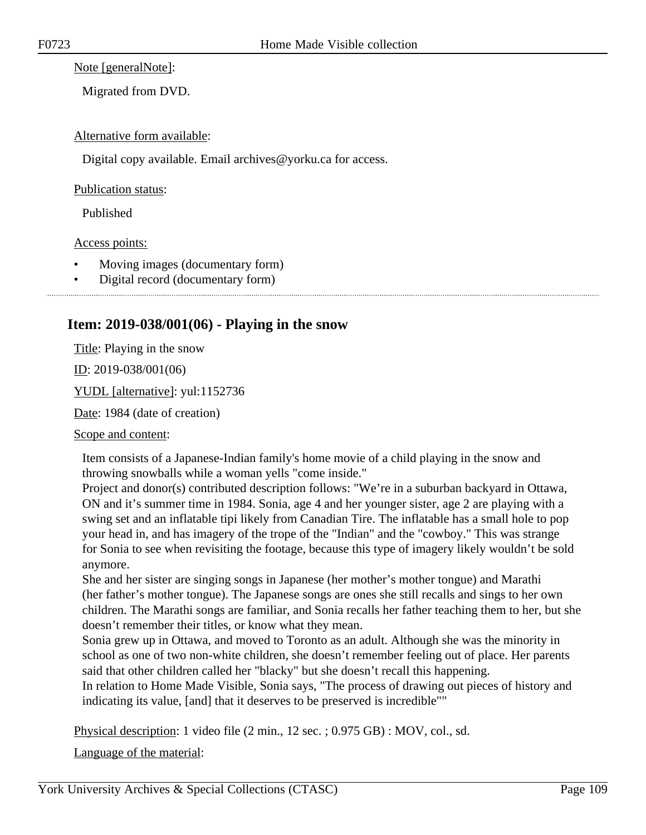Note [generalNote]:

Migrated from DVD.

## Alternative form available:

Digital copy available. Email archives@yorku.ca for access.

Publication status:

Published

Access points:

- Moving images (documentary form)
- Digital record (documentary form)

# **Item: 2019-038/001(06) - Playing in the snow**

Title: Playing in the snow

ID: 2019-038/001(06)

YUDL [alternative]: yul:1152736

Date: 1984 (date of creation)

Scope and content:

Item consists of a Japanese-Indian family's home movie of a child playing in the snow and throwing snowballs while a woman yells "come inside."

Project and donor(s) contributed description follows: "We're in a suburban backyard in Ottawa, ON and it's summer time in 1984. Sonia, age 4 and her younger sister, age 2 are playing with a swing set and an inflatable tipi likely from Canadian Tire. The inflatable has a small hole to pop your head in, and has imagery of the trope of the "Indian" and the "cowboy." This was strange for Sonia to see when revisiting the footage, because this type of imagery likely wouldn't be sold anymore.

She and her sister are singing songs in Japanese (her mother's mother tongue) and Marathi (her father's mother tongue). The Japanese songs are ones she still recalls and sings to her own children. The Marathi songs are familiar, and Sonia recalls her father teaching them to her, but she doesn't remember their titles, or know what they mean.

Sonia grew up in Ottawa, and moved to Toronto as an adult. Although she was the minority in school as one of two non-white children, she doesn't remember feeling out of place. Her parents said that other children called her "blacky" but she doesn't recall this happening.

In relation to Home Made Visible, Sonia says, "The process of drawing out pieces of history and indicating its value, [and] that it deserves to be preserved is incredible""

Physical description: 1 video file (2 min., 12 sec. ; 0.975 GB) : MOV, col., sd.

Language of the material: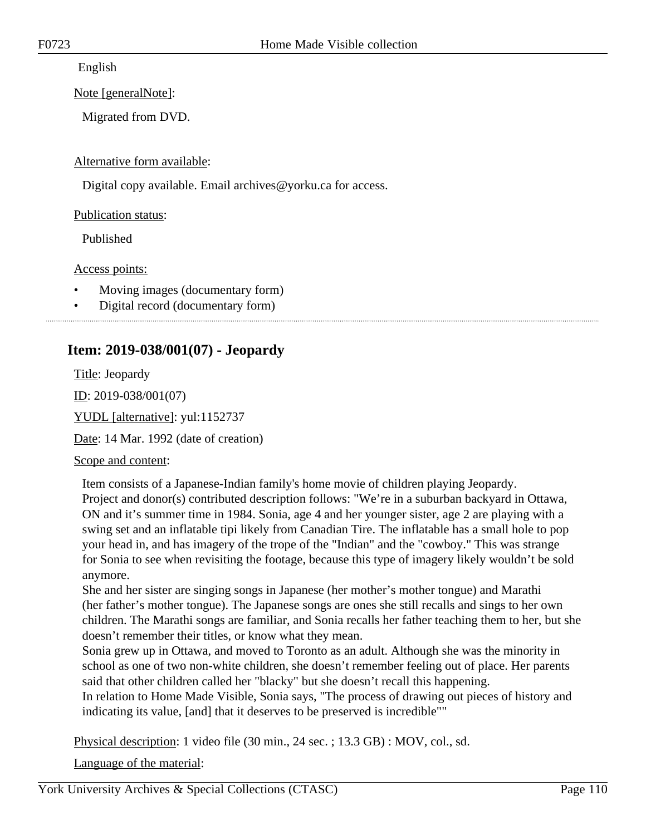English

Note [generalNote]:

Migrated from DVD.

Alternative form available:

Digital copy available. Email archives@yorku.ca for access.

Publication status:

Published

Access points:

- Moving images (documentary form)
- Digital record (documentary form)

# **Item: 2019-038/001(07) - Jeopardy**

Title: Jeopardy

ID: 2019-038/001(07)

YUDL [alternative]: yul:1152737

Date: 14 Mar. 1992 (date of creation)

Scope and content:

Item consists of a Japanese-Indian family's home movie of children playing Jeopardy. Project and donor(s) contributed description follows: "We're in a suburban backyard in Ottawa, ON and it's summer time in 1984. Sonia, age 4 and her younger sister, age 2 are playing with a swing set and an inflatable tipi likely from Canadian Tire. The inflatable has a small hole to pop your head in, and has imagery of the trope of the "Indian" and the "cowboy." This was strange for Sonia to see when revisiting the footage, because this type of imagery likely wouldn't be sold anymore.

She and her sister are singing songs in Japanese (her mother's mother tongue) and Marathi (her father's mother tongue). The Japanese songs are ones she still recalls and sings to her own children. The Marathi songs are familiar, and Sonia recalls her father teaching them to her, but she doesn't remember their titles, or know what they mean.

Sonia grew up in Ottawa, and moved to Toronto as an adult. Although she was the minority in school as one of two non-white children, she doesn't remember feeling out of place. Her parents said that other children called her "blacky" but she doesn't recall this happening.

In relation to Home Made Visible, Sonia says, "The process of drawing out pieces of history and indicating its value, [and] that it deserves to be preserved is incredible""

Physical description: 1 video file (30 min., 24 sec. ; 13.3 GB) : MOV, col., sd.

Language of the material: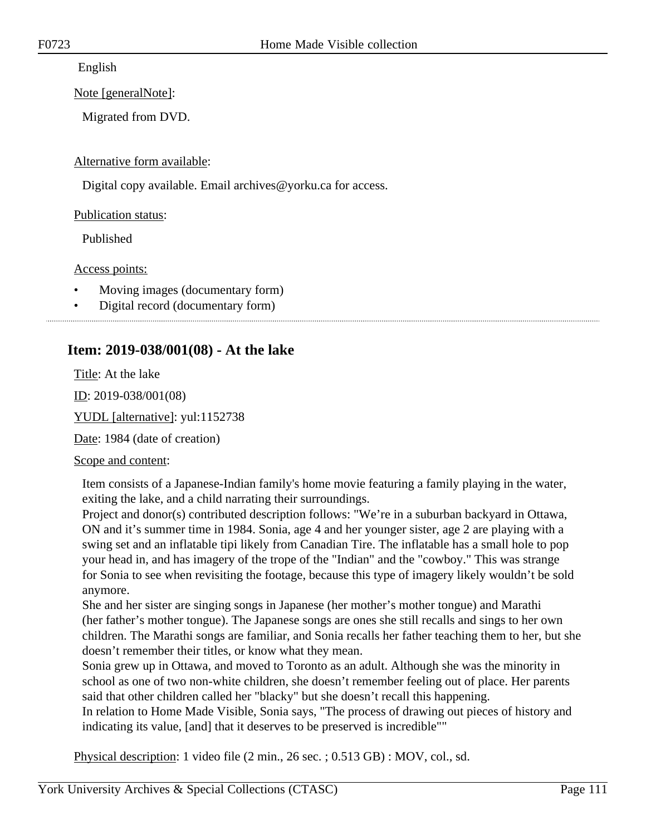English

Note [generalNote]:

Migrated from DVD.

Alternative form available:

Digital copy available. Email archives@yorku.ca for access.

Publication status:

Published

Access points:

- Moving images (documentary form)
- Digital record (documentary form)

# **Item: 2019-038/001(08) - At the lake**

Title: At the lake

ID: 2019-038/001(08)

YUDL [alternative]: yul:1152738

Date: 1984 (date of creation)

Scope and content:

Item consists of a Japanese-Indian family's home movie featuring a family playing in the water, exiting the lake, and a child narrating their surroundings.

Project and donor(s) contributed description follows: "We're in a suburban backyard in Ottawa, ON and it's summer time in 1984. Sonia, age 4 and her younger sister, age 2 are playing with a swing set and an inflatable tipi likely from Canadian Tire. The inflatable has a small hole to pop your head in, and has imagery of the trope of the "Indian" and the "cowboy." This was strange for Sonia to see when revisiting the footage, because this type of imagery likely wouldn't be sold anymore.

She and her sister are singing songs in Japanese (her mother's mother tongue) and Marathi (her father's mother tongue). The Japanese songs are ones she still recalls and sings to her own children. The Marathi songs are familiar, and Sonia recalls her father teaching them to her, but she doesn't remember their titles, or know what they mean.

Sonia grew up in Ottawa, and moved to Toronto as an adult. Although she was the minority in school as one of two non-white children, she doesn't remember feeling out of place. Her parents said that other children called her "blacky" but she doesn't recall this happening.

In relation to Home Made Visible, Sonia says, "The process of drawing out pieces of history and indicating its value, [and] that it deserves to be preserved is incredible""

Physical description: 1 video file (2 min., 26 sec. ; 0.513 GB) : MOV, col., sd.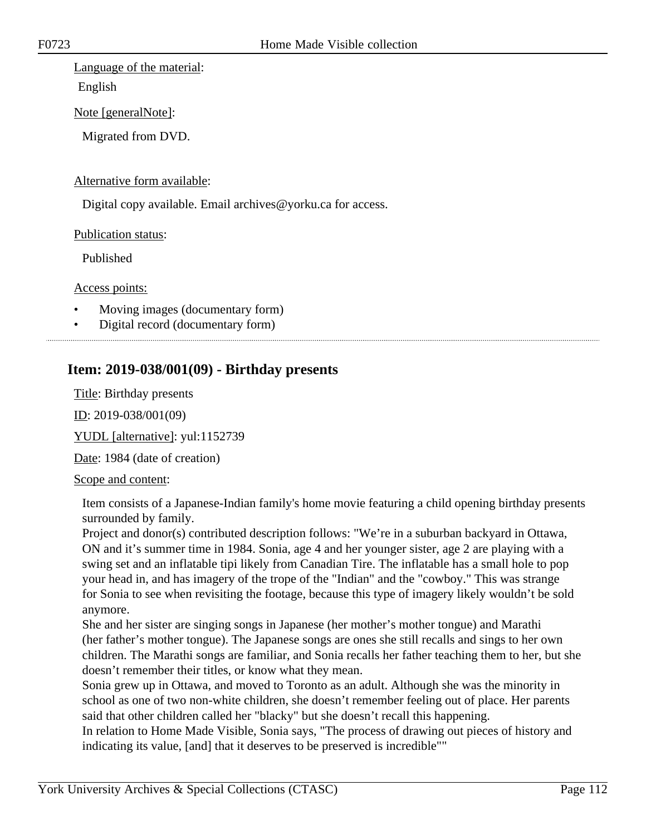## Language of the material:

English

Note [generalNote]:

Migrated from DVD.

## Alternative form available:

Digital copy available. Email archives@yorku.ca for access.

Publication status:

Published

Access points:

- Moving images (documentary form)
- Digital record (documentary form)

# **Item: 2019-038/001(09) - Birthday presents**

Title: Birthday presents

ID: 2019-038/001(09)

YUDL [alternative]: yul:1152739

Date: 1984 (date of creation)

## Scope and content:

Item consists of a Japanese-Indian family's home movie featuring a child opening birthday presents surrounded by family.

Project and donor(s) contributed description follows: "We're in a suburban backyard in Ottawa, ON and it's summer time in 1984. Sonia, age 4 and her younger sister, age 2 are playing with a swing set and an inflatable tipi likely from Canadian Tire. The inflatable has a small hole to pop your head in, and has imagery of the trope of the "Indian" and the "cowboy." This was strange for Sonia to see when revisiting the footage, because this type of imagery likely wouldn't be sold anymore.

She and her sister are singing songs in Japanese (her mother's mother tongue) and Marathi (her father's mother tongue). The Japanese songs are ones she still recalls and sings to her own children. The Marathi songs are familiar, and Sonia recalls her father teaching them to her, but she doesn't remember their titles, or know what they mean.

Sonia grew up in Ottawa, and moved to Toronto as an adult. Although she was the minority in school as one of two non-white children, she doesn't remember feeling out of place. Her parents said that other children called her "blacky" but she doesn't recall this happening.

In relation to Home Made Visible, Sonia says, "The process of drawing out pieces of history and indicating its value, [and] that it deserves to be preserved is incredible""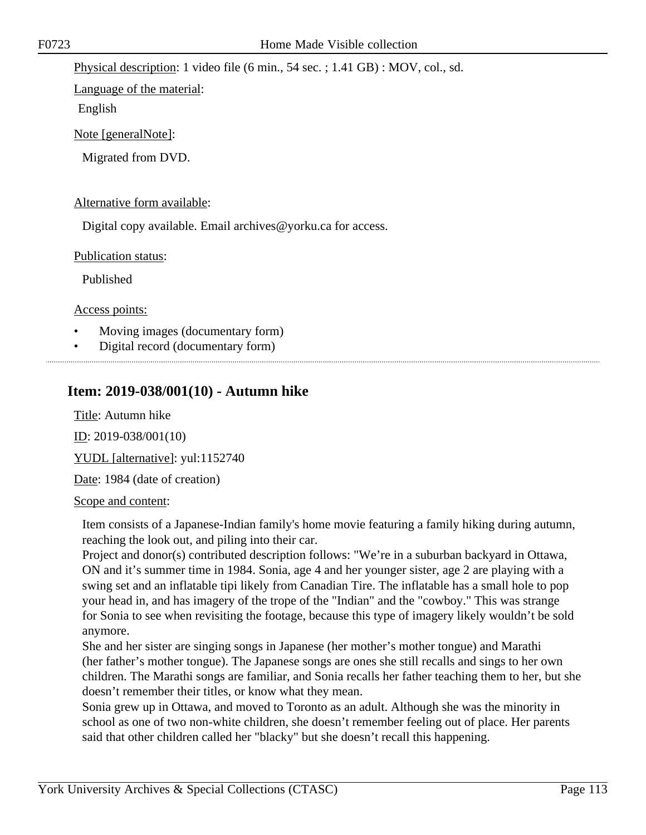Physical description: 1 video file (6 min., 54 sec. ; 1.41 GB) : MOV, col., sd.

Language of the material:

English

Note [generalNote]:

Migrated from DVD.

## Alternative form available:

Digital copy available. Email archives@yorku.ca for access.

Publication status:

Published

Access points:

- Moving images (documentary form)
- Digital record (documentary form)

## **Item: 2019-038/001(10) - Autumn hike**

Title: Autumn hike

ID: 2019-038/001(10)

YUDL [alternative]: yul:1152740

Date: 1984 (date of creation)

## Scope and content:

Item consists of a Japanese-Indian family's home movie featuring a family hiking during autumn, reaching the look out, and piling into their car.

Project and donor(s) contributed description follows: "We're in a suburban backyard in Ottawa, ON and it's summer time in 1984. Sonia, age 4 and her younger sister, age 2 are playing with a swing set and an inflatable tipi likely from Canadian Tire. The inflatable has a small hole to pop your head in, and has imagery of the trope of the "Indian" and the "cowboy." This was strange for Sonia to see when revisiting the footage, because this type of imagery likely wouldn't be sold anymore.

She and her sister are singing songs in Japanese (her mother's mother tongue) and Marathi (her father's mother tongue). The Japanese songs are ones she still recalls and sings to her own children. The Marathi songs are familiar, and Sonia recalls her father teaching them to her, but she doesn't remember their titles, or know what they mean.

Sonia grew up in Ottawa, and moved to Toronto as an adult. Although she was the minority in school as one of two non-white children, she doesn't remember feeling out of place. Her parents said that other children called her "blacky" but she doesn't recall this happening.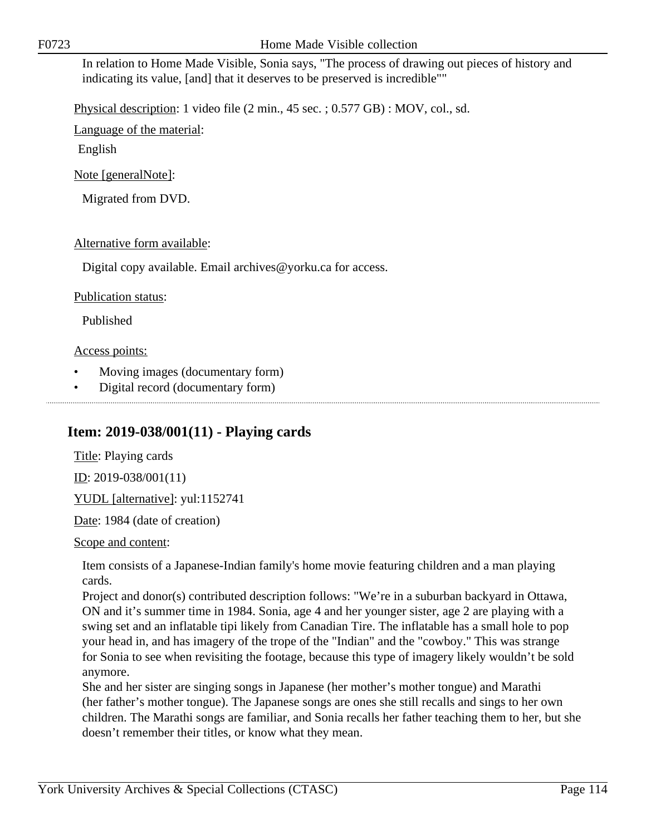In relation to Home Made Visible, Sonia says, "The process of drawing out pieces of history and indicating its value, [and] that it deserves to be preserved is incredible""

Physical description: 1 video file (2 min., 45 sec. ; 0.577 GB) : MOV, col., sd.

Language of the material:

English

Note [generalNote]:

Migrated from DVD.

## Alternative form available:

Digital copy available. Email archives@yorku.ca for access.

## Publication status:

Published

## Access points:

- Moving images (documentary form)
- Digital record (documentary form)

# **Item: 2019-038/001(11) - Playing cards**

Title: Playing cards ID: 2019-038/001(11) YUDL [alternative]: yul:1152741 Date: 1984 (date of creation)

Scope and content:

Item consists of a Japanese-Indian family's home movie featuring children and a man playing cards.

Project and donor(s) contributed description follows: "We're in a suburban backyard in Ottawa, ON and it's summer time in 1984. Sonia, age 4 and her younger sister, age 2 are playing with a swing set and an inflatable tipi likely from Canadian Tire. The inflatable has a small hole to pop your head in, and has imagery of the trope of the "Indian" and the "cowboy." This was strange for Sonia to see when revisiting the footage, because this type of imagery likely wouldn't be sold anymore.

She and her sister are singing songs in Japanese (her mother's mother tongue) and Marathi (her father's mother tongue). The Japanese songs are ones she still recalls and sings to her own children. The Marathi songs are familiar, and Sonia recalls her father teaching them to her, but she doesn't remember their titles, or know what they mean.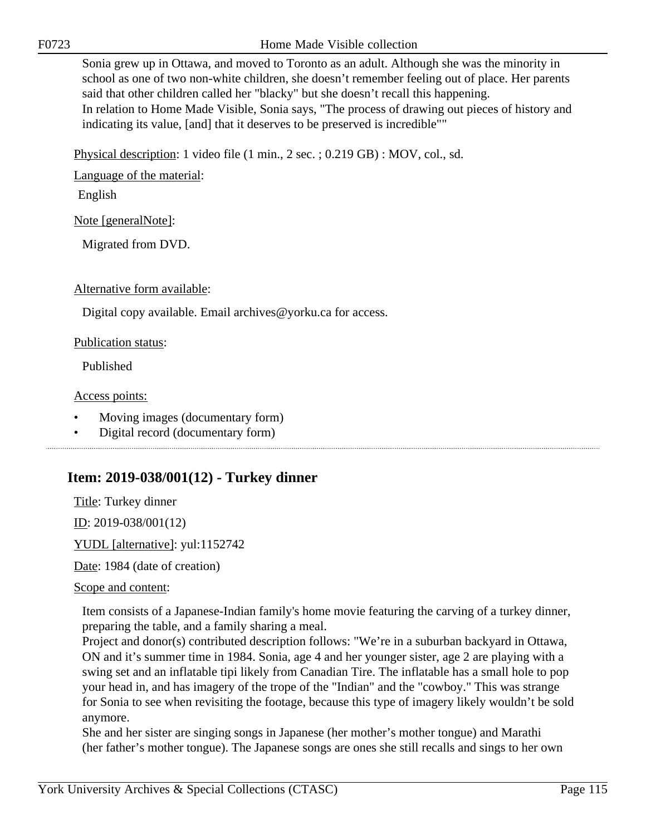F0723 Home Made Visible collection

Sonia grew up in Ottawa, and moved to Toronto as an adult. Although she was the minority in school as one of two non-white children, she doesn't remember feeling out of place. Her parents said that other children called her "blacky" but she doesn't recall this happening. In relation to Home Made Visible, Sonia says, "The process of drawing out pieces of history and indicating its value, [and] that it deserves to be preserved is incredible""

Physical description: 1 video file (1 min., 2 sec. ; 0.219 GB) : MOV, col., sd.

Language of the material:

English

Note [generalNote]:

Migrated from DVD.

Alternative form available:

Digital copy available. Email archives@yorku.ca for access.

Publication status:

Published

Access points:

- Moving images (documentary form)
- Digital record (documentary form)

# **Item: 2019-038/001(12) - Turkey dinner**

Title: Turkey dinner

ID: 2019-038/001(12)

YUDL [alternative]: yul:1152742

Date: 1984 (date of creation)

## Scope and content:

Item consists of a Japanese-Indian family's home movie featuring the carving of a turkey dinner, preparing the table, and a family sharing a meal.

Project and donor(s) contributed description follows: "We're in a suburban backyard in Ottawa, ON and it's summer time in 1984. Sonia, age 4 and her younger sister, age 2 are playing with a swing set and an inflatable tipi likely from Canadian Tire. The inflatable has a small hole to pop your head in, and has imagery of the trope of the "Indian" and the "cowboy." This was strange for Sonia to see when revisiting the footage, because this type of imagery likely wouldn't be sold anymore.

She and her sister are singing songs in Japanese (her mother's mother tongue) and Marathi (her father's mother tongue). The Japanese songs are ones she still recalls and sings to her own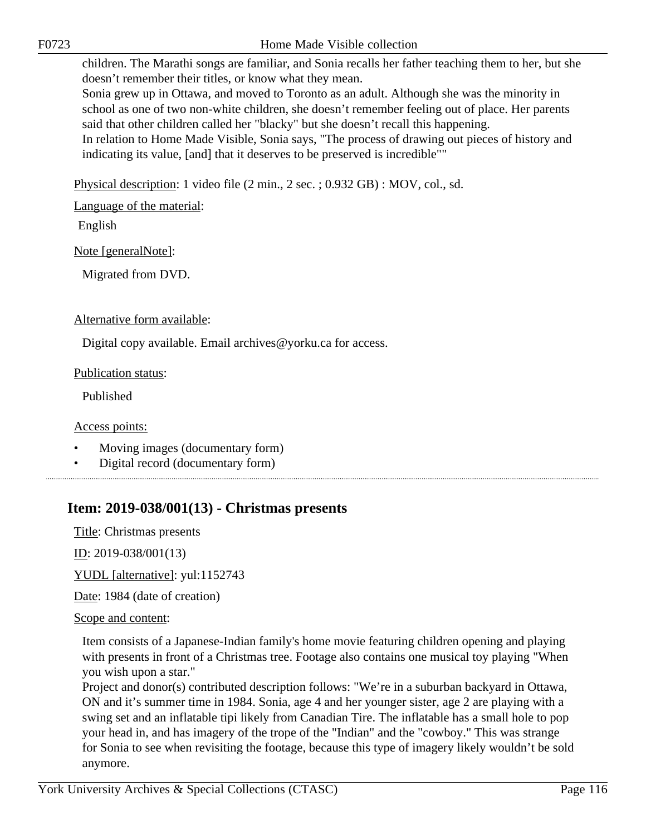children. The Marathi songs are familiar, and Sonia recalls her father teaching them to her, but she doesn't remember their titles, or know what they mean.

Sonia grew up in Ottawa, and moved to Toronto as an adult. Although she was the minority in school as one of two non-white children, she doesn't remember feeling out of place. Her parents said that other children called her "blacky" but she doesn't recall this happening.

In relation to Home Made Visible, Sonia says, "The process of drawing out pieces of history and indicating its value, [and] that it deserves to be preserved is incredible""

Physical description: 1 video file (2 min., 2 sec. ; 0.932 GB) : MOV, col., sd.

Language of the material:

English

Note [generalNote]:

Migrated from DVD.

## Alternative form available:

Digital copy available. Email archives@yorku.ca for access.

## Publication status:

Published

## Access points:

- Moving images (documentary form)
- Digital record (documentary form)

# **Item: 2019-038/001(13) - Christmas presents**

Title: Christmas presents

ID: 2019-038/001(13)

YUDL [alternative]: yul:1152743

Date: 1984 (date of creation)

## Scope and content:

Item consists of a Japanese-Indian family's home movie featuring children opening and playing with presents in front of a Christmas tree. Footage also contains one musical toy playing "When you wish upon a star."

Project and donor(s) contributed description follows: "We're in a suburban backyard in Ottawa, ON and it's summer time in 1984. Sonia, age 4 and her younger sister, age 2 are playing with a swing set and an inflatable tipi likely from Canadian Tire. The inflatable has a small hole to pop your head in, and has imagery of the trope of the "Indian" and the "cowboy." This was strange for Sonia to see when revisiting the footage, because this type of imagery likely wouldn't be sold anymore.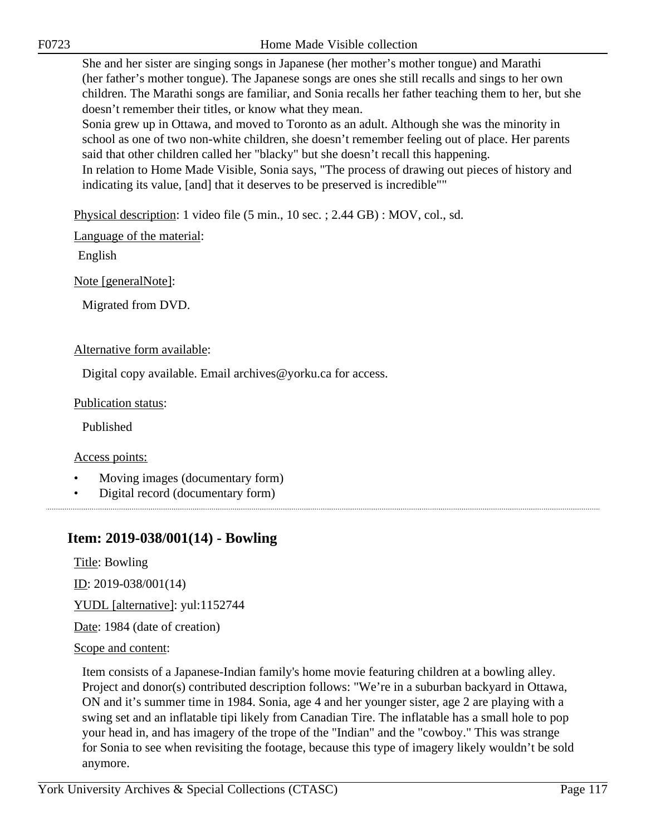F0723 Home Made Visible collection

She and her sister are singing songs in Japanese (her mother's mother tongue) and Marathi (her father's mother tongue). The Japanese songs are ones she still recalls and sings to her own children. The Marathi songs are familiar, and Sonia recalls her father teaching them to her, but she doesn't remember their titles, or know what they mean.

Sonia grew up in Ottawa, and moved to Toronto as an adult. Although she was the minority in school as one of two non-white children, she doesn't remember feeling out of place. Her parents said that other children called her "blacky" but she doesn't recall this happening.

In relation to Home Made Visible, Sonia says, "The process of drawing out pieces of history and indicating its value, [and] that it deserves to be preserved is incredible""

Physical description: 1 video file (5 min., 10 sec. ; 2.44 GB) : MOV, col., sd.

Language of the material:

English

Note [generalNote]:

Migrated from DVD.

## Alternative form available:

Digital copy available. Email archives@yorku.ca for access.

Publication status:

Published

Access points:

- Moving images (documentary form)
- Digital record (documentary form)

## **Item: 2019-038/001(14) - Bowling**

Title: Bowling

ID: 2019-038/001(14)

YUDL [alternative]: yul:1152744

Date: 1984 (date of creation)

Scope and content:

Item consists of a Japanese-Indian family's home movie featuring children at a bowling alley. Project and donor(s) contributed description follows: "We're in a suburban backyard in Ottawa, ON and it's summer time in 1984. Sonia, age 4 and her younger sister, age 2 are playing with a swing set and an inflatable tipi likely from Canadian Tire. The inflatable has a small hole to pop your head in, and has imagery of the trope of the "Indian" and the "cowboy." This was strange for Sonia to see when revisiting the footage, because this type of imagery likely wouldn't be sold anymore.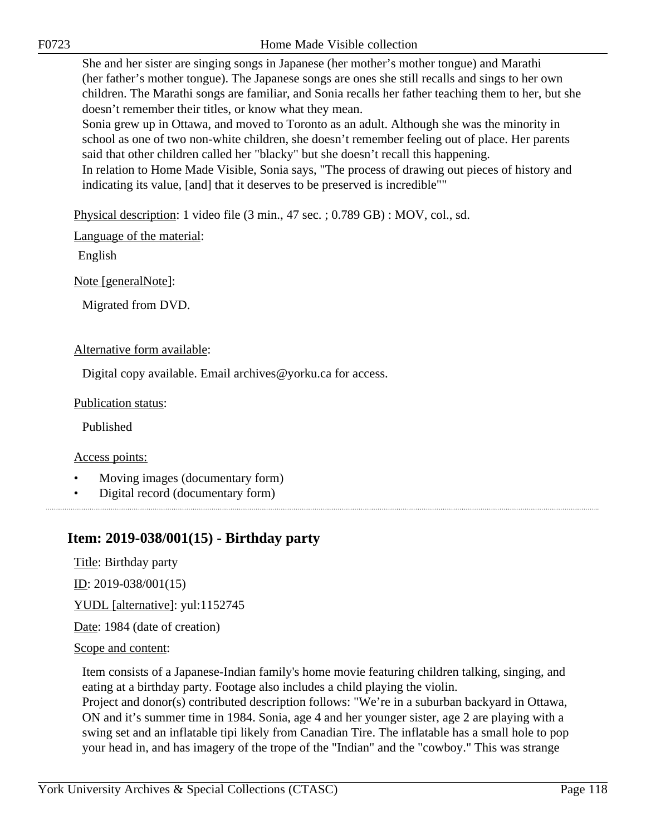F0723 Home Made Visible collection

She and her sister are singing songs in Japanese (her mother's mother tongue) and Marathi (her father's mother tongue). The Japanese songs are ones she still recalls and sings to her own children. The Marathi songs are familiar, and Sonia recalls her father teaching them to her, but she doesn't remember their titles, or know what they mean.

Sonia grew up in Ottawa, and moved to Toronto as an adult. Although she was the minority in school as one of two non-white children, she doesn't remember feeling out of place. Her parents said that other children called her "blacky" but she doesn't recall this happening.

In relation to Home Made Visible, Sonia says, "The process of drawing out pieces of history and indicating its value, [and] that it deserves to be preserved is incredible""

Physical description: 1 video file (3 min., 47 sec. ; 0.789 GB) : MOV, col., sd.

Language of the material:

English

Note [generalNote]:

Migrated from DVD.

## Alternative form available:

Digital copy available. Email archives@yorku.ca for access.

Publication status:

Published

Access points:

- Moving images (documentary form)
- Digital record (documentary form)

## **Item: 2019-038/001(15) - Birthday party**

Title: Birthday party

ID: 2019-038/001(15)

YUDL [alternative]: yul:1152745

Date: 1984 (date of creation)

## Scope and content:

Item consists of a Japanese-Indian family's home movie featuring children talking, singing, and eating at a birthday party. Footage also includes a child playing the violin.

Project and donor(s) contributed description follows: "We're in a suburban backyard in Ottawa, ON and it's summer time in 1984. Sonia, age 4 and her younger sister, age 2 are playing with a swing set and an inflatable tipi likely from Canadian Tire. The inflatable has a small hole to pop your head in, and has imagery of the trope of the "Indian" and the "cowboy." This was strange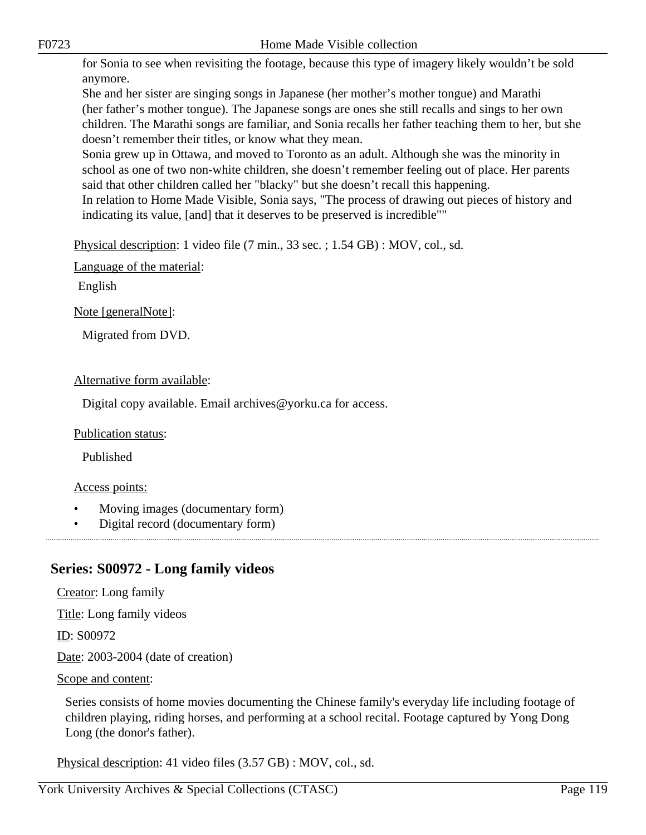for Sonia to see when revisiting the footage, because this type of imagery likely wouldn't be sold anymore.

She and her sister are singing songs in Japanese (her mother's mother tongue) and Marathi (her father's mother tongue). The Japanese songs are ones she still recalls and sings to her own children. The Marathi songs are familiar, and Sonia recalls her father teaching them to her, but she doesn't remember their titles, or know what they mean.

Sonia grew up in Ottawa, and moved to Toronto as an adult. Although she was the minority in school as one of two non-white children, she doesn't remember feeling out of place. Her parents said that other children called her "blacky" but she doesn't recall this happening.

In relation to Home Made Visible, Sonia says, "The process of drawing out pieces of history and indicating its value, [and] that it deserves to be preserved is incredible""

Physical description: 1 video file (7 min., 33 sec. ; 1.54 GB) : MOV, col., sd.

Language of the material:

English

Note [generalNote]:

Migrated from DVD.

#### Alternative form available:

Digital copy available. Email archives@yorku.ca for access.

#### Publication status:

Published

## Access points:

- Moving images (documentary form)
- Digital record (documentary form)

## **Series: S00972 - Long family videos**

Creator: Long family Title: Long family videos ID: S00972 Date: 2003-2004 (date of creation) Scope and content:

Series consists of home movies documenting the Chinese family's everyday life including footage of children playing, riding horses, and performing at a school recital. Footage captured by Yong Dong Long (the donor's father).

Physical description: 41 video files (3.57 GB) : MOV, col., sd.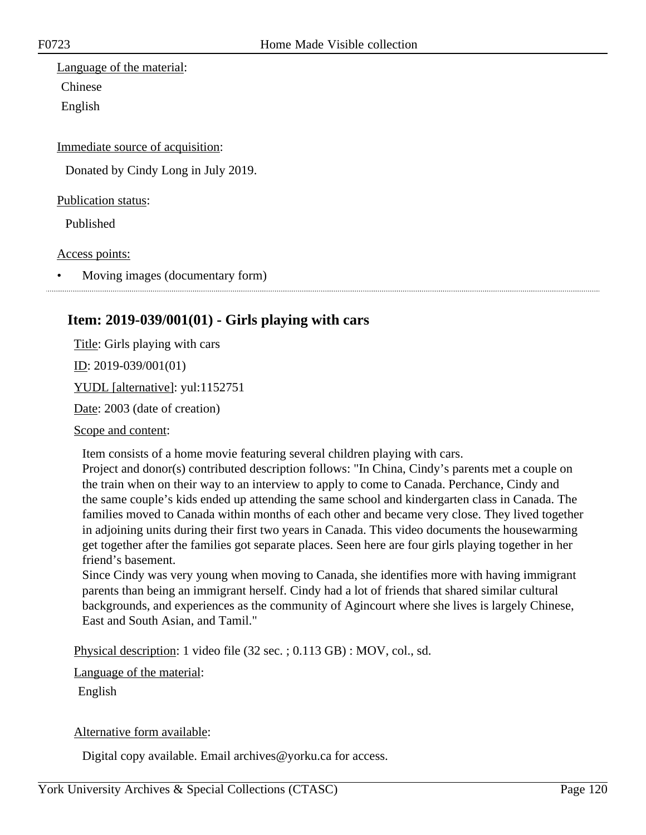Language of the material: Chinese English

Immediate source of acquisition:

Donated by Cindy Long in July 2019.

Publication status:

Published

Access points:

• Moving images (documentary form)

## **Item: 2019-039/001(01) - Girls playing with cars**

Title: Girls playing with cars ID: 2019-039/001(01) YUDL [alternative]: yul:1152751

Date: 2003 (date of creation)

Scope and content:

Item consists of a home movie featuring several children playing with cars.

Project and donor(s) contributed description follows: "In China, Cindy's parents met a couple on the train when on their way to an interview to apply to come to Canada. Perchance, Cindy and the same couple's kids ended up attending the same school and kindergarten class in Canada. The families moved to Canada within months of each other and became very close. They lived together in adjoining units during their first two years in Canada. This video documents the housewarming get together after the families got separate places. Seen here are four girls playing together in her friend's basement.

Since Cindy was very young when moving to Canada, she identifies more with having immigrant parents than being an immigrant herself. Cindy had a lot of friends that shared similar cultural backgrounds, and experiences as the community of Agincourt where she lives is largely Chinese, East and South Asian, and Tamil."

Physical description: 1 video file (32 sec. ; 0.113 GB) : MOV, col., sd.

Language of the material:

English

#### Alternative form available:

Digital copy available. Email archives@yorku.ca for access.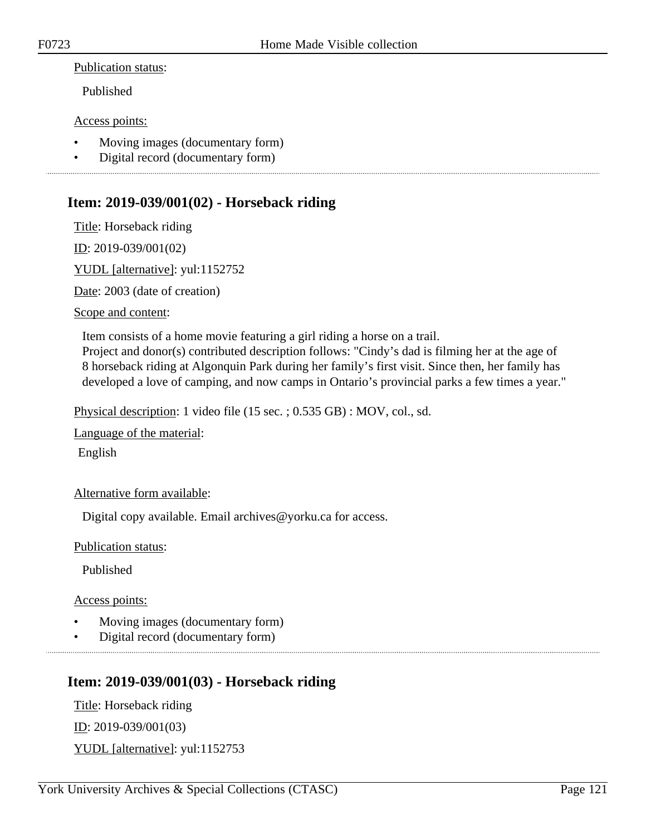#### Publication status:

Published

#### Access points:

- Moving images (documentary form)
- Digital record (documentary form)

## **Item: 2019-039/001(02) - Horseback riding**

Title: Horseback riding

ID: 2019-039/001(02)

YUDL [alternative]: yul:1152752

Date: 2003 (date of creation)

Scope and content:

Item consists of a home movie featuring a girl riding a horse on a trail.

Project and donor(s) contributed description follows: "Cindy's dad is filming her at the age of 8 horseback riding at Algonquin Park during her family's first visit. Since then, her family has developed a love of camping, and now camps in Ontario's provincial parks a few times a year."

Physical description: 1 video file (15 sec. ; 0.535 GB) : MOV, col., sd.

Language of the material:

English

Alternative form available:

Digital copy available. Email archives@yorku.ca for access.

Publication status:

Published

Access points:

- Moving images (documentary form)
- Digital record (documentary form)

## **Item: 2019-039/001(03) - Horseback riding**

Title: Horseback riding ID: 2019-039/001(03) YUDL [alternative]: yul:1152753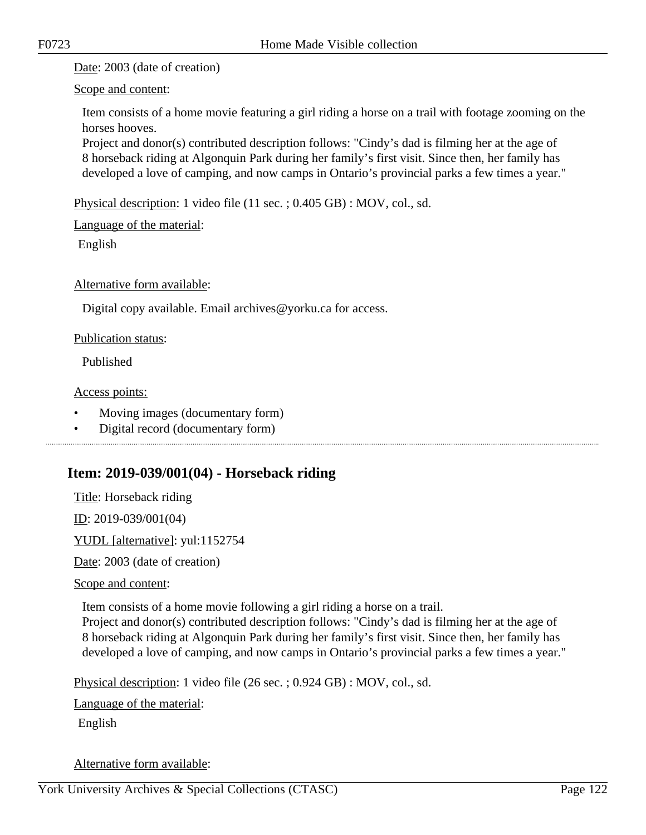Date: 2003 (date of creation)

Scope and content:

Item consists of a home movie featuring a girl riding a horse on a trail with footage zooming on the horses hooves.

Project and donor(s) contributed description follows: "Cindy's dad is filming her at the age of 8 horseback riding at Algonquin Park during her family's first visit. Since then, her family has developed a love of camping, and now camps in Ontario's provincial parks a few times a year."

Physical description: 1 video file (11 sec. ; 0.405 GB) : MOV, col., sd.

Language of the material:

English

Alternative form available:

Digital copy available. Email archives@yorku.ca for access.

Publication status:

Published

Access points:

- Moving images (documentary form)
- Digital record (documentary form)

# **Item: 2019-039/001(04) - Horseback riding**

Title: Horseback riding

ID: 2019-039/001(04)

YUDL [alternative]: yul:1152754

Date: 2003 (date of creation)

Scope and content:

Item consists of a home movie following a girl riding a horse on a trail.

Project and donor(s) contributed description follows: "Cindy's dad is filming her at the age of 8 horseback riding at Algonquin Park during her family's first visit. Since then, her family has developed a love of camping, and now camps in Ontario's provincial parks a few times a year."

Physical description: 1 video file (26 sec. ; 0.924 GB) : MOV, col., sd.

Language of the material:

English

Alternative form available: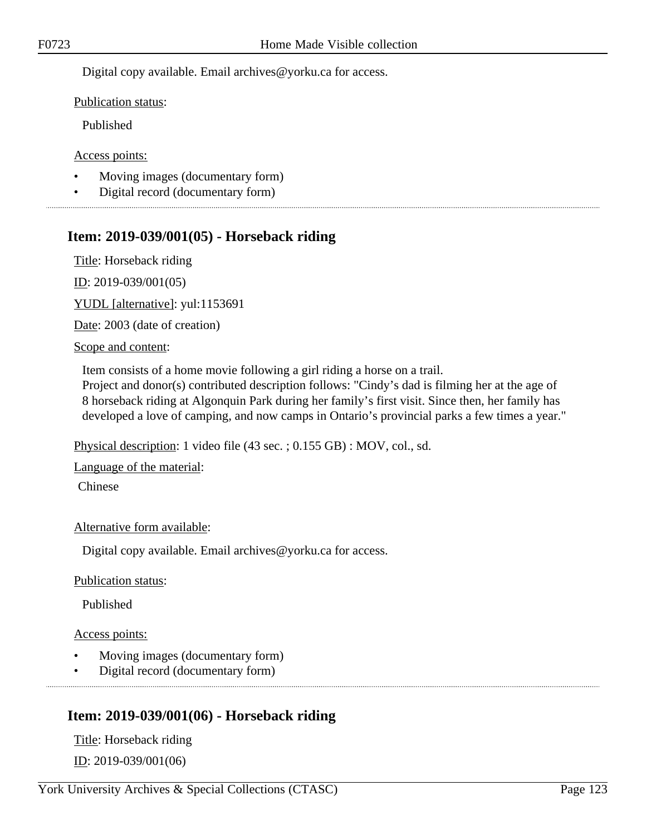Digital copy available. Email archives@yorku.ca for access.

Publication status:

Published

Access points:

- Moving images (documentary form)
- Digital record (documentary form)

## **Item: 2019-039/001(05) - Horseback riding**

Title: Horseback riding

ID: 2019-039/001(05)

YUDL [alternative]: yul:1153691

Date: 2003 (date of creation)

Scope and content:

Item consists of a home movie following a girl riding a horse on a trail. Project and donor(s) contributed description follows: "Cindy's dad is filming her at the age of

8 horseback riding at Algonquin Park during her family's first visit. Since then, her family has developed a love of camping, and now camps in Ontario's provincial parks a few times a year."

Physical description: 1 video file (43 sec. ; 0.155 GB) : MOV, col., sd.

Language of the material:

Chinese

Alternative form available:

Digital copy available. Email archives@yorku.ca for access.

Publication status:

Published

Access points:

- Moving images (documentary form)
- Digital record (documentary form)

# **Item: 2019-039/001(06) - Horseback riding**

Title: Horseback riding ID: 2019-039/001(06)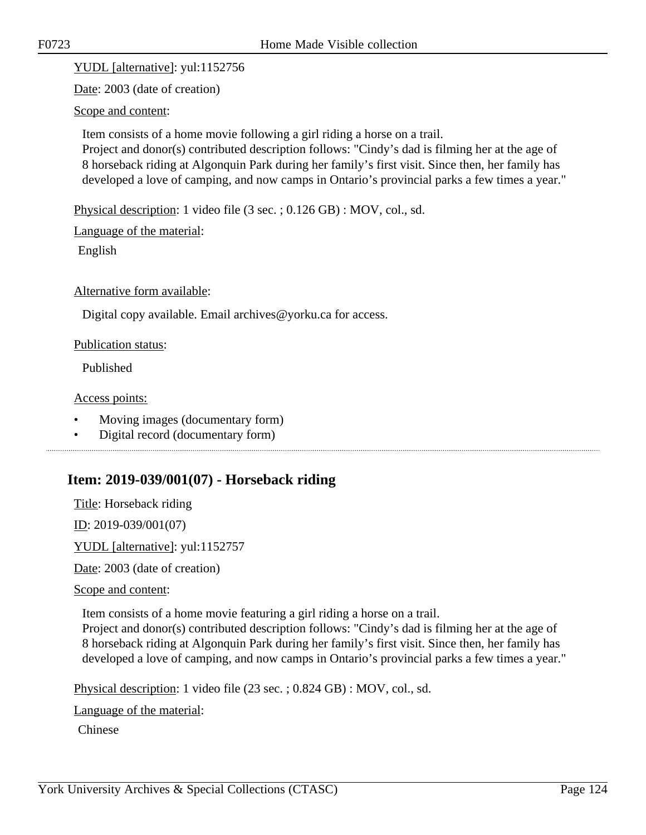YUDL [alternative]: yul:1152756

Date: 2003 (date of creation)

Scope and content:

Item consists of a home movie following a girl riding a horse on a trail. Project and donor(s) contributed description follows: "Cindy's dad is filming her at the age of 8 horseback riding at Algonquin Park during her family's first visit. Since then, her family has developed a love of camping, and now camps in Ontario's provincial parks a few times a year."

Physical description: 1 video file (3 sec. ; 0.126 GB) : MOV, col., sd.

Language of the material:

English

Alternative form available:

Digital copy available. Email archives@yorku.ca for access.

#### Publication status:

Published

Access points:

- Moving images (documentary form)
- Digital record (documentary form)

## **Item: 2019-039/001(07) - Horseback riding**

Title: Horseback riding

ID: 2019-039/001(07)

YUDL [alternative]: yul:1152757

Date: 2003 (date of creation)

Scope and content:

Item consists of a home movie featuring a girl riding a horse on a trail.

Project and donor(s) contributed description follows: "Cindy's dad is filming her at the age of 8 horseback riding at Algonquin Park during her family's first visit. Since then, her family has developed a love of camping, and now camps in Ontario's provincial parks a few times a year."

Physical description: 1 video file (23 sec. ; 0.824 GB) : MOV, col., sd.

Language of the material:

Chinese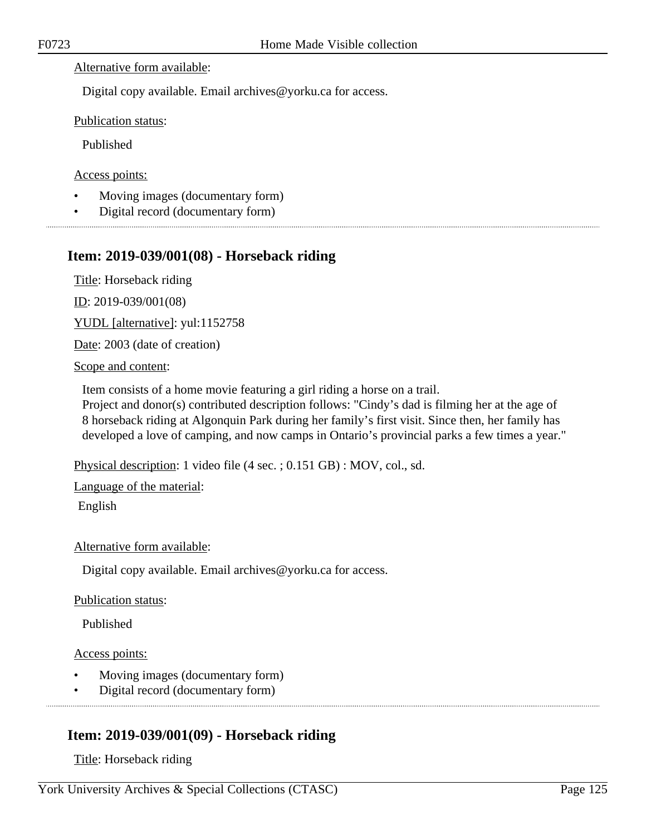## Alternative form available:

Digital copy available. Email archives@yorku.ca for access.

Publication status:

Published

Access points:

- Moving images (documentary form)
- Digital record (documentary form)

## **Item: 2019-039/001(08) - Horseback riding**

Title: Horseback riding

ID: 2019-039/001(08)

YUDL [alternative]: yul:1152758

Date: 2003 (date of creation)

Scope and content:

Item consists of a home movie featuring a girl riding a horse on a trail.

Project and donor(s) contributed description follows: "Cindy's dad is filming her at the age of 8 horseback riding at Algonquin Park during her family's first visit. Since then, her family has developed a love of camping, and now camps in Ontario's provincial parks a few times a year."

Physical description: 1 video file (4 sec. ; 0.151 GB) : MOV, col., sd.

Language of the material:

English

Alternative form available:

Digital copy available. Email archives@yorku.ca for access.

Publication status:

Published

Access points:

- Moving images (documentary form)
- Digital record (documentary form)

# **Item: 2019-039/001(09) - Horseback riding**

Title: Horseback riding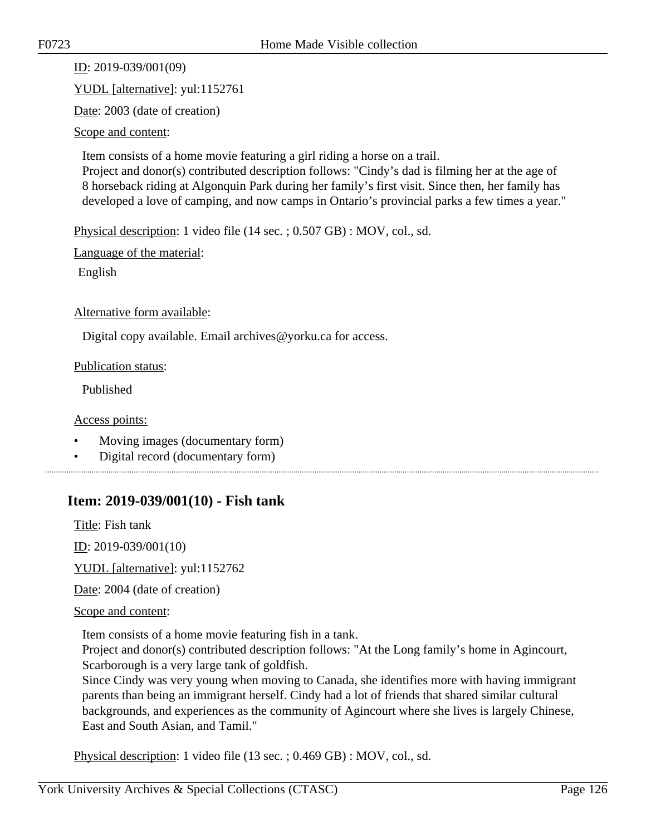ID: 2019-039/001(09)

YUDL [alternative]: yul:1152761

Date: 2003 (date of creation)

Scope and content:

Item consists of a home movie featuring a girl riding a horse on a trail. Project and donor(s) contributed description follows: "Cindy's dad is filming her at the age of 8 horseback riding at Algonquin Park during her family's first visit. Since then, her family has developed a love of camping, and now camps in Ontario's provincial parks a few times a year."

Physical description: 1 video file (14 sec. ; 0.507 GB) : MOV, col., sd.

Language of the material:

English

Alternative form available:

Digital copy available. Email archives@yorku.ca for access.

Publication status:

Published

Access points:

- Moving images (documentary form)
- Digital record (documentary form)

## **Item: 2019-039/001(10) - Fish tank**

Title: Fish tank

ID: 2019-039/001(10)

YUDL [alternative]: yul:1152762

Date: 2004 (date of creation)

Scope and content:

Item consists of a home movie featuring fish in a tank.

Project and donor(s) contributed description follows: "At the Long family's home in Agincourt, Scarborough is a very large tank of goldfish.

Since Cindy was very young when moving to Canada, she identifies more with having immigrant parents than being an immigrant herself. Cindy had a lot of friends that shared similar cultural backgrounds, and experiences as the community of Agincourt where she lives is largely Chinese, East and South Asian, and Tamil."

Physical description: 1 video file (13 sec. ; 0.469 GB) : MOV, col., sd.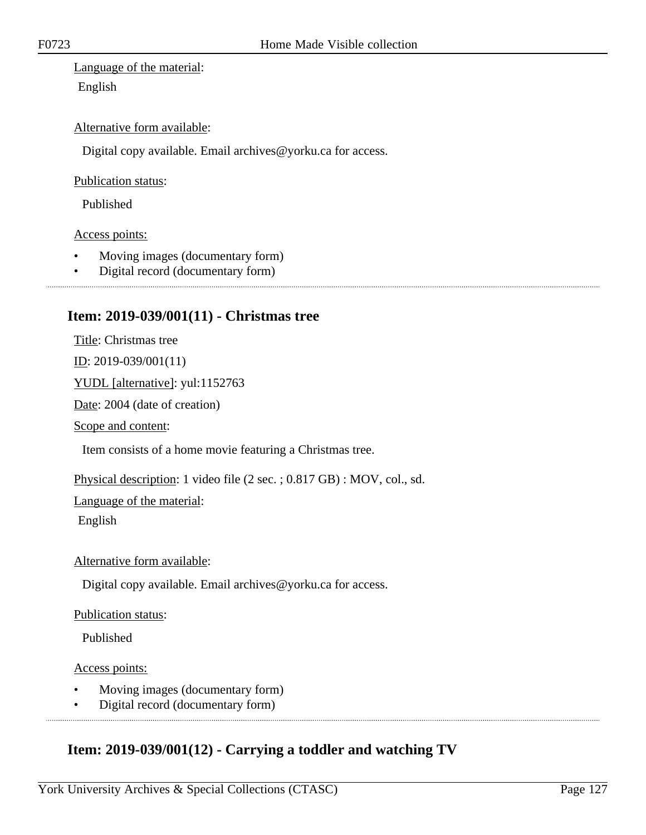Language of the material: English

#### Alternative form available:

Digital copy available. Email archives@yorku.ca for access.

#### Publication status:

Published

#### Access points:

- Moving images (documentary form)
- Digital record (documentary form)

## **Item: 2019-039/001(11) - Christmas tree**

Title: Christmas tree

ID: 2019-039/001(11)

YUDL [alternative]: yul:1152763

Date: 2004 (date of creation)

Scope and content:

Item consists of a home movie featuring a Christmas tree.

Physical description: 1 video file (2 sec. ; 0.817 GB) : MOV, col., sd.

Language of the material:

English

Alternative form available:

Digital copy available. Email archives@yorku.ca for access.

#### Publication status:

Published

#### Access points:

- Moving images (documentary form)
- Digital record (documentary form)

## **Item: 2019-039/001(12) - Carrying a toddler and watching TV**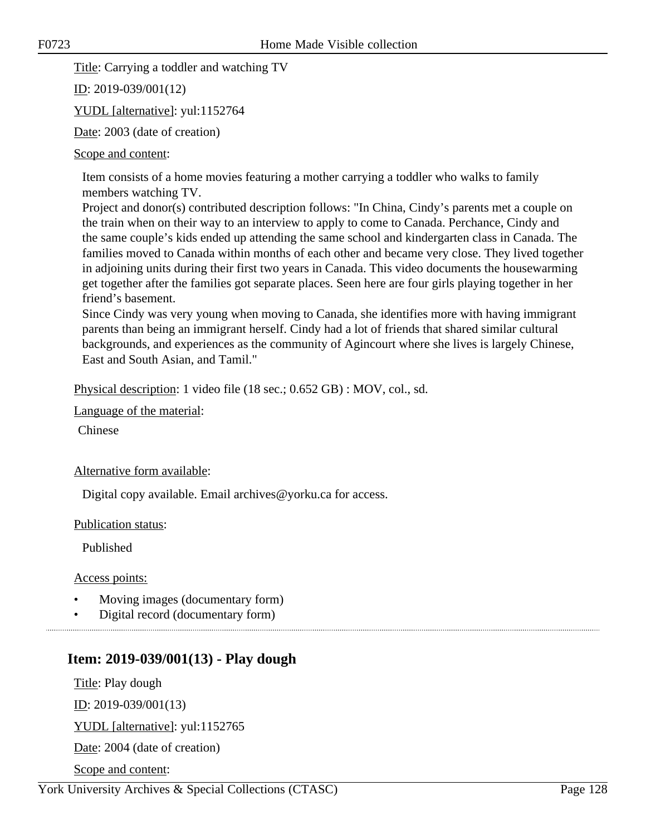Title: Carrying a toddler and watching TV

ID: 2019-039/001(12)

YUDL [alternative]: yul:1152764

Date: 2003 (date of creation)

## Scope and content:

Item consists of a home movies featuring a mother carrying a toddler who walks to family members watching TV.

Project and donor(s) contributed description follows: "In China, Cindy's parents met a couple on the train when on their way to an interview to apply to come to Canada. Perchance, Cindy and the same couple's kids ended up attending the same school and kindergarten class in Canada. The families moved to Canada within months of each other and became very close. They lived together in adjoining units during their first two years in Canada. This video documents the housewarming get together after the families got separate places. Seen here are four girls playing together in her friend's basement.

Since Cindy was very young when moving to Canada, she identifies more with having immigrant parents than being an immigrant herself. Cindy had a lot of friends that shared similar cultural backgrounds, and experiences as the community of Agincourt where she lives is largely Chinese, East and South Asian, and Tamil."

Physical description: 1 video file (18 sec.; 0.652 GB) : MOV, col., sd.

Language of the material:

Chinese

## Alternative form available:

Digital copy available. Email archives@yorku.ca for access.

Publication status:

Published

Access points:

- Moving images (documentary form)
- Digital record (documentary form)

# **Item: 2019-039/001(13) - Play dough**

Title: Play dough

<u>ID</u>: 2019-039/001(13)

YUDL [alternative]: yul:1152765

Date: 2004 (date of creation)

Scope and content:

York University Archives & Special Collections (CTASC) Page 128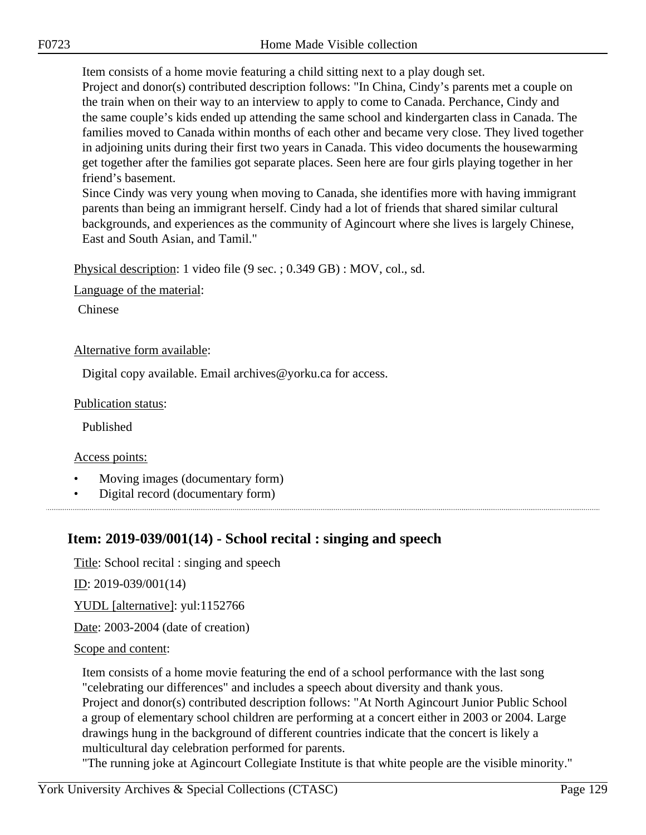Item consists of a home movie featuring a child sitting next to a play dough set. Project and donor(s) contributed description follows: "In China, Cindy's parents met a couple on the train when on their way to an interview to apply to come to Canada. Perchance, Cindy and the same couple's kids ended up attending the same school and kindergarten class in Canada. The families moved to Canada within months of each other and became very close. They lived together in adjoining units during their first two years in Canada. This video documents the housewarming get together after the families got separate places. Seen here are four girls playing together in her friend's basement.

Since Cindy was very young when moving to Canada, she identifies more with having immigrant parents than being an immigrant herself. Cindy had a lot of friends that shared similar cultural backgrounds, and experiences as the community of Agincourt where she lives is largely Chinese, East and South Asian, and Tamil."

Physical description: 1 video file (9 sec. ; 0.349 GB) : MOV, col., sd.

Language of the material:

Chinese

## Alternative form available:

Digital copy available. Email archives@yorku.ca for access.

## Publication status:

Published

Access points:

- Moving images (documentary form)
- Digital record (documentary form)

# **Item: 2019-039/001(14) - School recital : singing and speech**

Title: School recital : singing and speech

ID: 2019-039/001(14)

YUDL [alternative]: yul:1152766

Date: 2003-2004 (date of creation)

## Scope and content:

Item consists of a home movie featuring the end of a school performance with the last song "celebrating our differences" and includes a speech about diversity and thank yous. Project and donor(s) contributed description follows: "At North Agincourt Junior Public School a group of elementary school children are performing at a concert either in 2003 or 2004. Large drawings hung in the background of different countries indicate that the concert is likely a multicultural day celebration performed for parents.

"The running joke at Agincourt Collegiate Institute is that white people are the visible minority."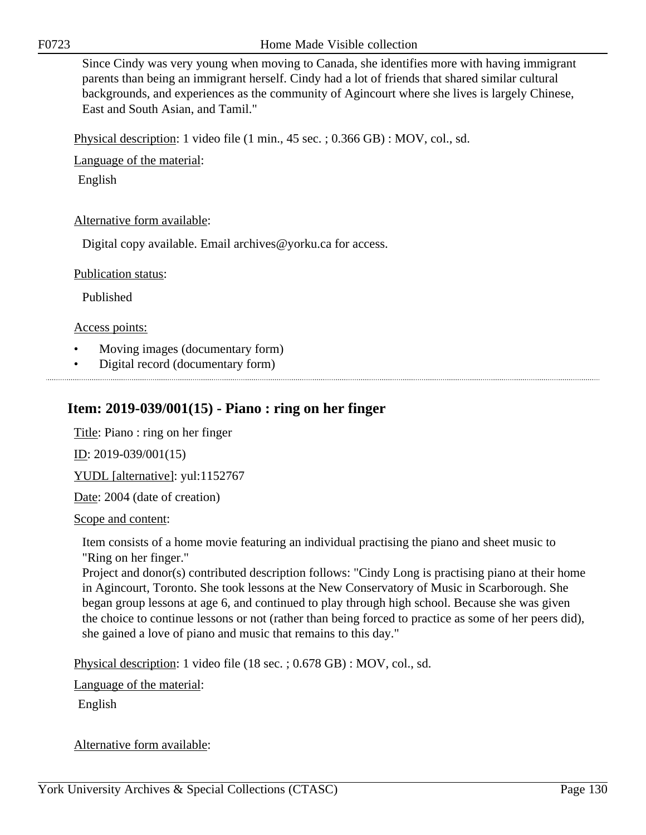Since Cindy was very young when moving to Canada, she identifies more with having immigrant parents than being an immigrant herself. Cindy had a lot of friends that shared similar cultural backgrounds, and experiences as the community of Agincourt where she lives is largely Chinese, East and South Asian, and Tamil."

Physical description: 1 video file (1 min., 45 sec. ; 0.366 GB) : MOV, col., sd.

Language of the material:

English

## Alternative form available:

Digital copy available. Email archives@yorku.ca for access.

Publication status:

Published

Access points:

- Moving images (documentary form)
- Digital record (documentary form)

## **Item: 2019-039/001(15) - Piano : ring on her finger**

Title: Piano : ring on her finger

<u>ID</u>: 2019-039/001(15)

YUDL [alternative]: yul:1152767

Date: 2004 (date of creation)

Scope and content:

Item consists of a home movie featuring an individual practising the piano and sheet music to "Ring on her finger."

Project and donor(s) contributed description follows: "Cindy Long is practising piano at their home in Agincourt, Toronto. She took lessons at the New Conservatory of Music in Scarborough. She began group lessons at age 6, and continued to play through high school. Because she was given the choice to continue lessons or not (rather than being forced to practice as some of her peers did), she gained a love of piano and music that remains to this day."

Physical description: 1 video file (18 sec. ; 0.678 GB) : MOV, col., sd.

Language of the material:

English

Alternative form available: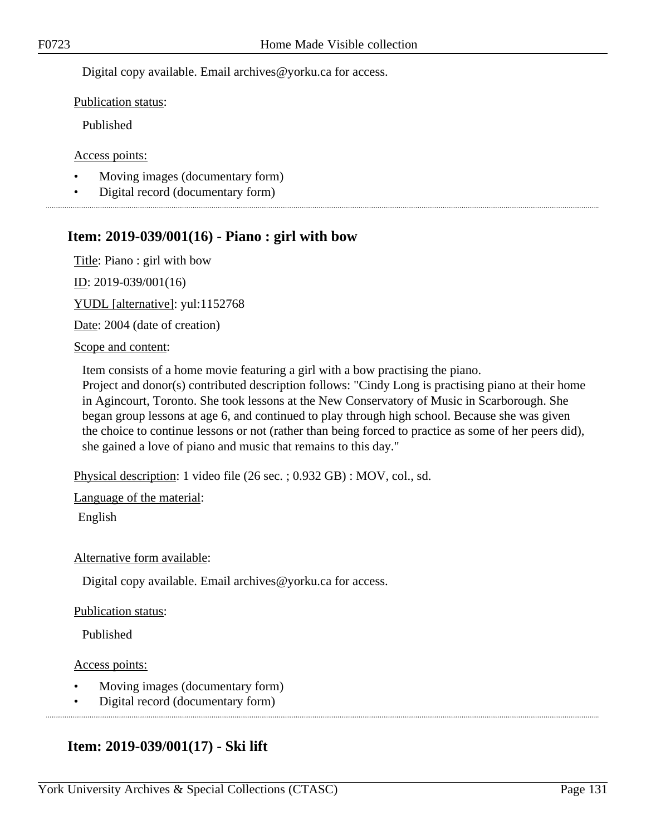Digital copy available. Email archives@yorku.ca for access.

Publication status:

Published

Access points:

- Moving images (documentary form)
- Digital record (documentary form)

## **Item: 2019-039/001(16) - Piano : girl with bow**

Title: Piano : girl with bow ID: 2019-039/001(16)

YUDL [alternative]: yul:1152768

Date: 2004 (date of creation)

#### Scope and content:

Item consists of a home movie featuring a girl with a bow practising the piano. Project and donor(s) contributed description follows: "Cindy Long is practising piano at their home in Agincourt, Toronto. She took lessons at the New Conservatory of Music in Scarborough. She began group lessons at age 6, and continued to play through high school. Because she was given the choice to continue lessons or not (rather than being forced to practice as some of her peers did), she gained a love of piano and music that remains to this day."

Physical description: 1 video file (26 sec. ; 0.932 GB) : MOV, col., sd.

Language of the material:

English

## Alternative form available:

Digital copy available. Email archives@yorku.ca for access.

## Publication status:

Published

Access points:

- Moving images (documentary form)
- Digital record (documentary form)

## **Item: 2019-039/001(17) - Ski lift**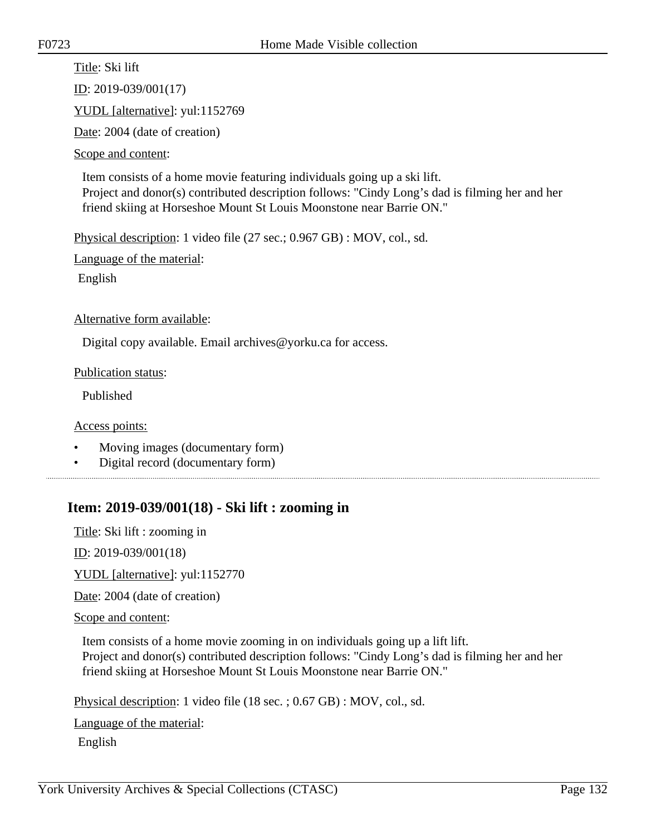Title: Ski lift ID: 2019-039/001(17) YUDL [alternative]: yul:1152769 Date: 2004 (date of creation)

Scope and content:

Item consists of a home movie featuring individuals going up a ski lift. Project and donor(s) contributed description follows: "Cindy Long's dad is filming her and her friend skiing at Horseshoe Mount St Louis Moonstone near Barrie ON."

Physical description: 1 video file (27 sec.; 0.967 GB) : MOV, col., sd.

Language of the material:

English

Alternative form available:

Digital copy available. Email archives@yorku.ca for access.

Publication status:

Published

Access points:

- Moving images (documentary form)
- Digital record (documentary form)

## **Item: 2019-039/001(18) - Ski lift : zooming in**

Title: Ski lift : zooming in

 $ID: 2019-039/001(18)$ 

YUDL [alternative]: yul:1152770

Date: 2004 (date of creation)

Scope and content:

Item consists of a home movie zooming in on individuals going up a lift lift. Project and donor(s) contributed description follows: "Cindy Long's dad is filming her and her friend skiing at Horseshoe Mount St Louis Moonstone near Barrie ON."

Physical description: 1 video file (18 sec. ; 0.67 GB) : MOV, col., sd.

Language of the material:

English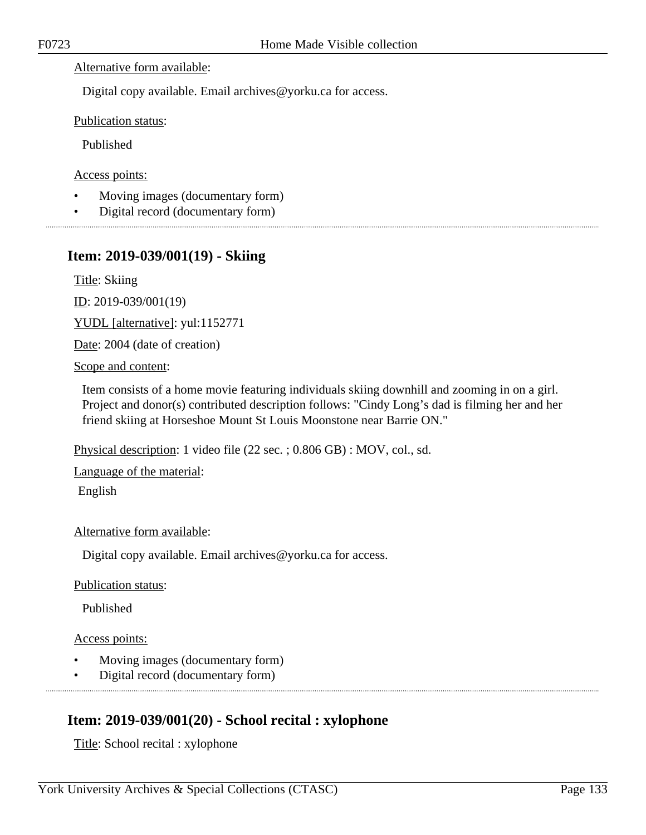## Alternative form available:

Digital copy available. Email archives@yorku.ca for access.

Publication status:

Published

Access points:

- Moving images (documentary form)
- Digital record (documentary form)

## **Item: 2019-039/001(19) - Skiing**

Title: Skiing

ID: 2019-039/001(19)

YUDL [alternative]: yul:1152771

Date: 2004 (date of creation)

Scope and content:

Item consists of a home movie featuring individuals skiing downhill and zooming in on a girl. Project and donor(s) contributed description follows: "Cindy Long's dad is filming her and her friend skiing at Horseshoe Mount St Louis Moonstone near Barrie ON."

Physical description: 1 video file (22 sec. ; 0.806 GB) : MOV, col., sd.

Language of the material:

English

Alternative form available:

Digital copy available. Email archives@yorku.ca for access.

Publication status:

Published

Access points:

- Moving images (documentary form)
- Digital record (documentary form)

# **Item: 2019-039/001(20) - School recital : xylophone**

Title: School recital : xylophone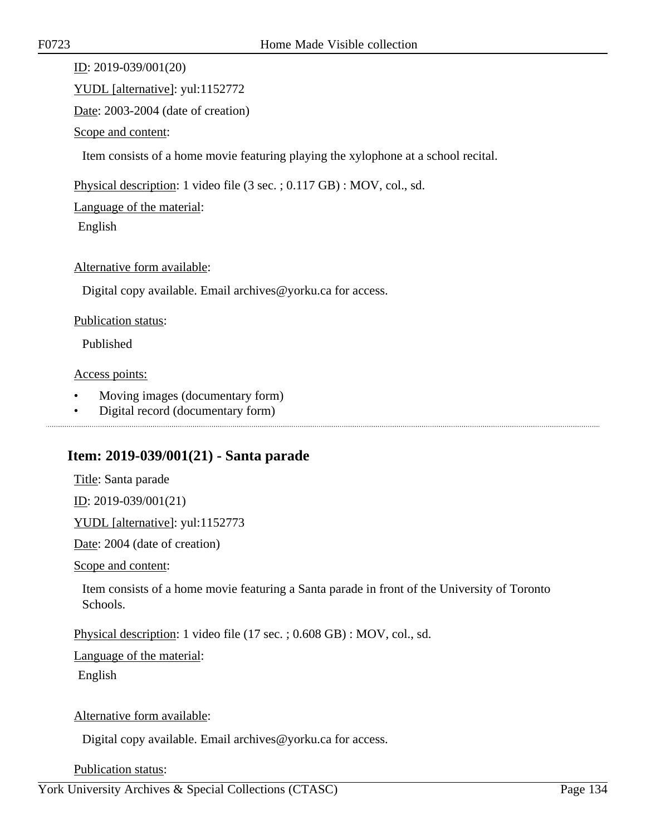ID: 2019-039/001(20)

YUDL [alternative]: yul:1152772

Date: 2003-2004 (date of creation)

Scope and content:

Item consists of a home movie featuring playing the xylophone at a school recital.

Physical description: 1 video file (3 sec. ; 0.117 GB) : MOV, col., sd.

Language of the material:

English

## Alternative form available:

Digital copy available. Email archives@yorku.ca for access.

## Publication status:

Published

## Access points:

- Moving images (documentary form)
- Digital record (documentary form)

## **Item: 2019-039/001(21) - Santa parade**

Title: Santa parade

ID: 2019-039/001(21)

YUDL [alternative]: yul:1152773

Date: 2004 (date of creation)

Scope and content:

Item consists of a home movie featuring a Santa parade in front of the University of Toronto Schools.

Physical description: 1 video file (17 sec. ; 0.608 GB) : MOV, col., sd.

Language of the material:

English

## Alternative form available:

Digital copy available. Email archives@yorku.ca for access.

## Publication status: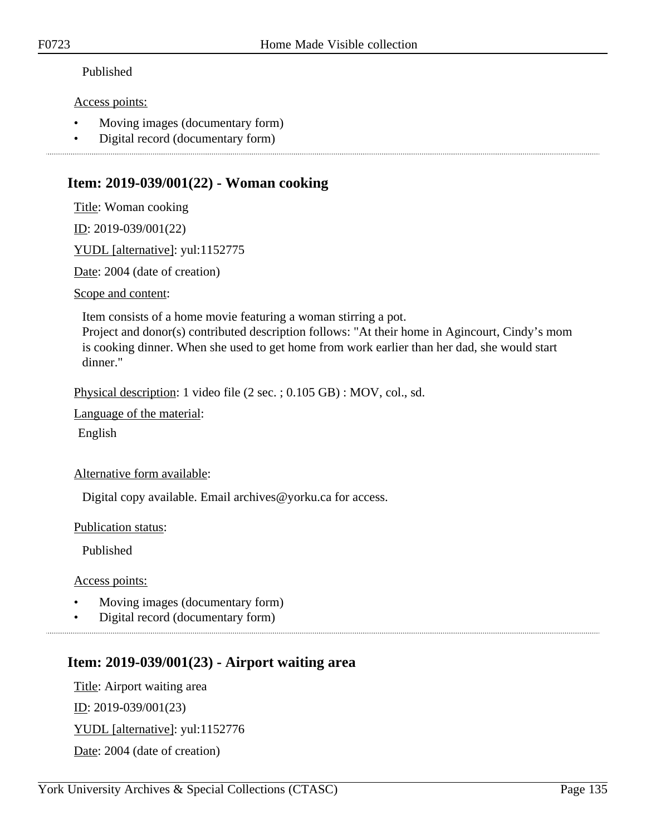## Published

## Access points:

- Moving images (documentary form)
- Digital record (documentary form)

## **Item: 2019-039/001(22) - Woman cooking**

Title: Woman cooking

ID: 2019-039/001(22)

YUDL [alternative]: yul:1152775

Date: 2004 (date of creation)

Scope and content:

Item consists of a home movie featuring a woman stirring a pot.

Project and donor(s) contributed description follows: "At their home in Agincourt, Cindy's mom is cooking dinner. When she used to get home from work earlier than her dad, she would start dinner."

Physical description: 1 video file (2 sec. ; 0.105 GB) : MOV, col., sd.

Language of the material:

English

## Alternative form available:

Digital copy available. Email archives@yorku.ca for access.

Publication status:

Published

Access points:

- Moving images (documentary form)
- Digital record (documentary form)

# **Item: 2019-039/001(23) - Airport waiting area**

Title: Airport waiting area ID: 2019-039/001(23) YUDL [alternative]: yul:1152776

Date: 2004 (date of creation)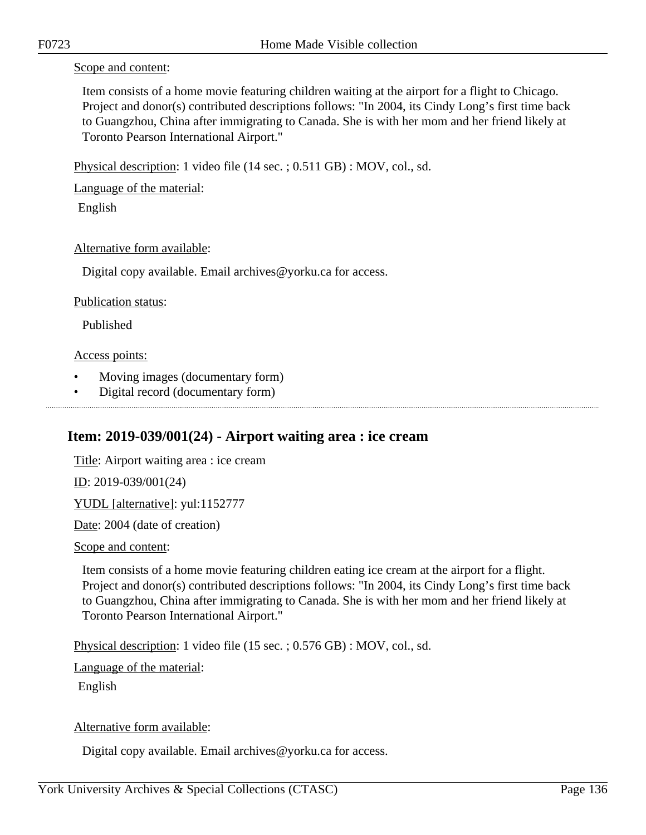#### Scope and content:

Item consists of a home movie featuring children waiting at the airport for a flight to Chicago. Project and donor(s) contributed descriptions follows: "In 2004, its Cindy Long's first time back to Guangzhou, China after immigrating to Canada. She is with her mom and her friend likely at Toronto Pearson International Airport."

Physical description: 1 video file (14 sec. ; 0.511 GB) : MOV, col., sd.

Language of the material:

English

## Alternative form available:

Digital copy available. Email archives@yorku.ca for access.

## Publication status:

Published

## Access points:

- Moving images (documentary form)
- Digital record (documentary form)

# **Item: 2019-039/001(24) - Airport waiting area : ice cream**

Title: Airport waiting area : ice cream ID: 2019-039/001(24) YUDL [alternative]: yul:1152777 Date: 2004 (date of creation)

## Scope and content:

Item consists of a home movie featuring children eating ice cream at the airport for a flight. Project and donor(s) contributed descriptions follows: "In 2004, its Cindy Long's first time back to Guangzhou, China after immigrating to Canada. She is with her mom and her friend likely at Toronto Pearson International Airport."

Physical description: 1 video file (15 sec. ; 0.576 GB) : MOV, col., sd.

Language of the material:

English

## Alternative form available:

Digital copy available. Email archives@yorku.ca for access.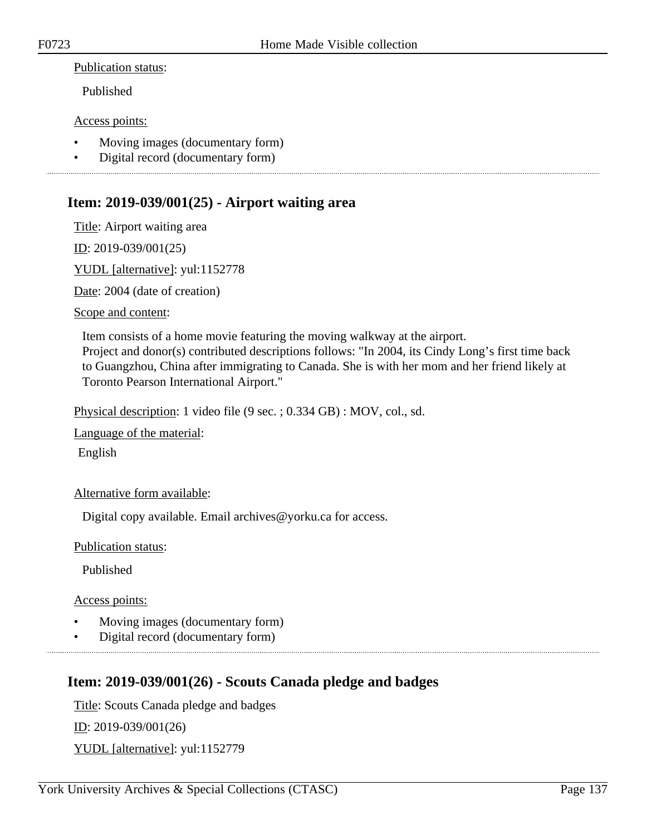#### Publication status:

Published

#### Access points:

- Moving images (documentary form)
- Digital record (documentary form)

## **Item: 2019-039/001(25) - Airport waiting area**

Title: Airport waiting area

ID: 2019-039/001(25)

YUDL [alternative]: yul:1152778

Date: 2004 (date of creation)

Scope and content:

Item consists of a home movie featuring the moving walkway at the airport. Project and donor(s) contributed descriptions follows: "In 2004, its Cindy Long's first time back to Guangzhou, China after immigrating to Canada. She is with her mom and her friend likely at Toronto Pearson International Airport."

Physical description: 1 video file (9 sec. ; 0.334 GB) : MOV, col., sd.

Language of the material:

English

Alternative form available:

Digital copy available. Email archives@yorku.ca for access.

Publication status:

Published

Access points:

- Moving images (documentary form)
- Digital record (documentary form)

## **Item: 2019-039/001(26) - Scouts Canada pledge and badges**

Title: Scouts Canada pledge and badges ID: 2019-039/001(26) YUDL [alternative]: yul:1152779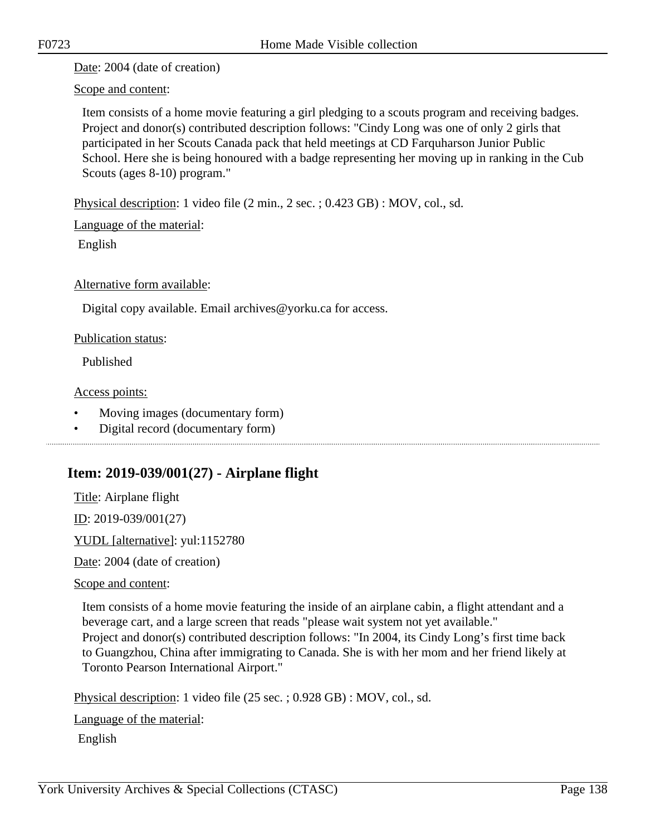Date: 2004 (date of creation)

Scope and content:

Item consists of a home movie featuring a girl pledging to a scouts program and receiving badges. Project and donor(s) contributed description follows: "Cindy Long was one of only 2 girls that participated in her Scouts Canada pack that held meetings at CD Farquharson Junior Public School. Here she is being honoured with a badge representing her moving up in ranking in the Cub Scouts (ages 8-10) program."

Physical description: 1 video file (2 min., 2 sec. ; 0.423 GB) : MOV, col., sd.

Language of the material:

English

Alternative form available:

Digital copy available. Email archives@yorku.ca for access.

Publication status:

Published

Access points:

- Moving images (documentary form)
- Digital record (documentary form)

# **Item: 2019-039/001(27) - Airplane flight**

Title: Airplane flight

ID: 2019-039/001(27)

YUDL [alternative]: yul:1152780

Date: 2004 (date of creation)

## Scope and content:

Item consists of a home movie featuring the inside of an airplane cabin, a flight attendant and a beverage cart, and a large screen that reads "please wait system not yet available." Project and donor(s) contributed description follows: "In 2004, its Cindy Long's first time back to Guangzhou, China after immigrating to Canada. She is with her mom and her friend likely at Toronto Pearson International Airport."

Physical description: 1 video file (25 sec. ; 0.928 GB) : MOV, col., sd.

Language of the material:

English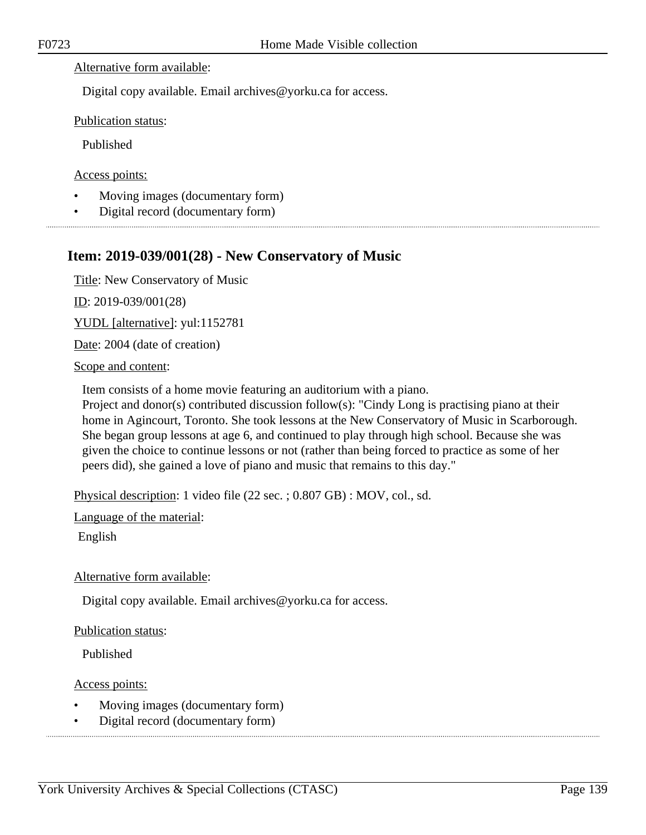#### Alternative form available:

Digital copy available. Email archives@yorku.ca for access.

Publication status:

Published

Access points:

- Moving images (documentary form)
- Digital record (documentary form)

## **Item: 2019-039/001(28) - New Conservatory of Music**

Title: New Conservatory of Music

ID: 2019-039/001(28)

YUDL [alternative]: yul:1152781

Date: 2004 (date of creation)

Scope and content:

Item consists of a home movie featuring an auditorium with a piano.

Project and donor(s) contributed discussion follow(s): "Cindy Long is practising piano at their home in Agincourt, Toronto. She took lessons at the New Conservatory of Music in Scarborough. She began group lessons at age 6, and continued to play through high school. Because she was given the choice to continue lessons or not (rather than being forced to practice as some of her peers did), she gained a love of piano and music that remains to this day."

Physical description: 1 video file (22 sec. ; 0.807 GB) : MOV, col., sd.

Language of the material:

English

Alternative form available:

Digital copy available. Email archives@yorku.ca for access.

Publication status:

Published

Access points:

- Moving images (documentary form)
- Digital record (documentary form)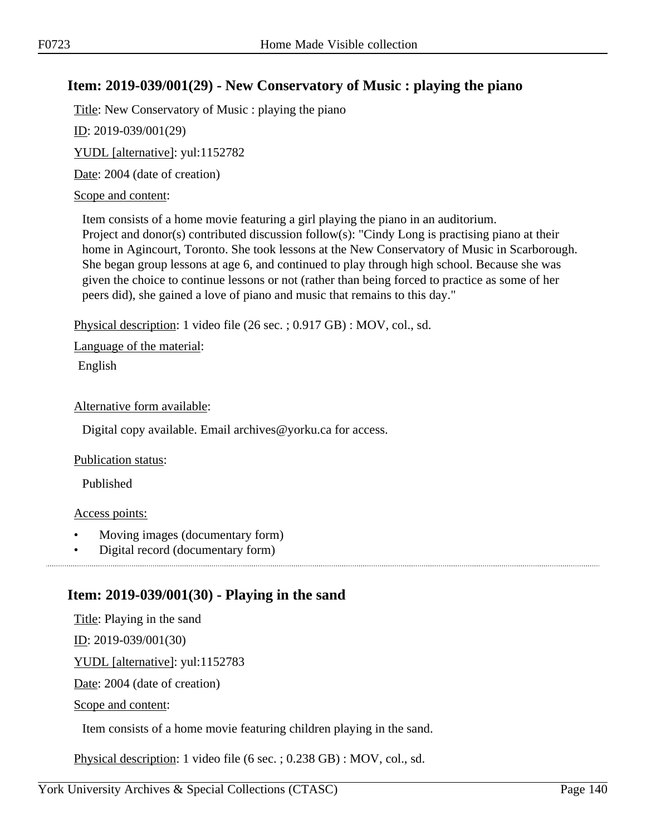## **Item: 2019-039/001(29) - New Conservatory of Music : playing the piano**

Title: New Conservatory of Music : playing the piano

ID: 2019-039/001(29)

YUDL [alternative]: yul:1152782

Date: 2004 (date of creation)

## Scope and content:

Item consists of a home movie featuring a girl playing the piano in an auditorium. Project and donor(s) contributed discussion follow(s): "Cindy Long is practising piano at their home in Agincourt, Toronto. She took lessons at the New Conservatory of Music in Scarborough. She began group lessons at age 6, and continued to play through high school. Because she was given the choice to continue lessons or not (rather than being forced to practice as some of her peers did), she gained a love of piano and music that remains to this day."

Physical description: 1 video file (26 sec. ; 0.917 GB) : MOV, col., sd.

Language of the material:

English

## Alternative form available:

Digital copy available. Email archives@yorku.ca for access.

## Publication status:

Published

## Access points:

• Moving images (documentary form)

• Digital record (documentary form)

# **Item: 2019-039/001(30) - Playing in the sand**

Title: Playing in the sand

ID: 2019-039/001(30)

YUDL [alternative]: yul:1152783

Date: 2004 (date of creation)

Scope and content:

Item consists of a home movie featuring children playing in the sand.

Physical description: 1 video file (6 sec. ; 0.238 GB) : MOV, col., sd.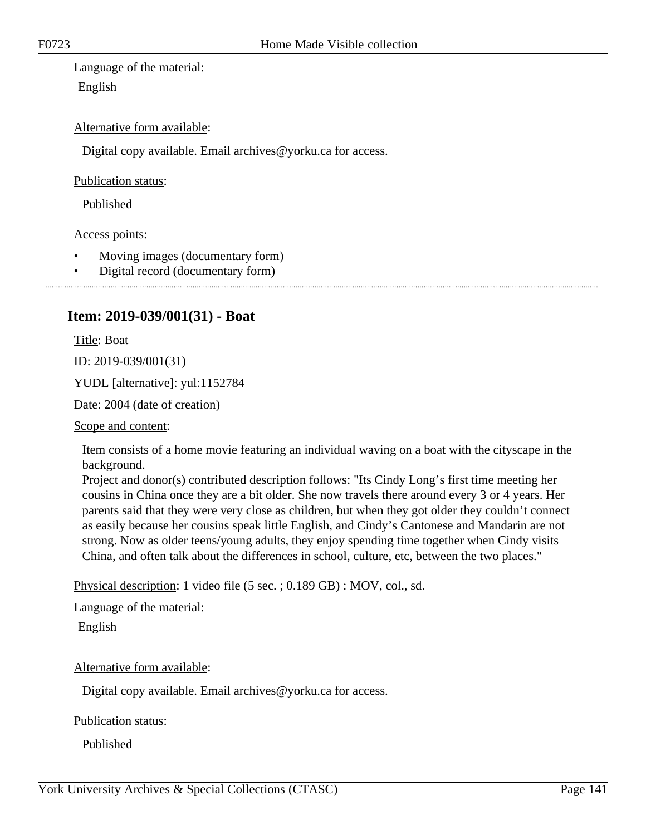Language of the material: English

## Alternative form available:

Digital copy available. Email archives@yorku.ca for access.

Publication status:

Published

Access points:

- Moving images (documentary form)
- Digital record (documentary form)

## **Item: 2019-039/001(31) - Boat**

Title: Boat

ID: 2019-039/001(31)

YUDL [alternative]: yul:1152784

Date: 2004 (date of creation)

Scope and content:

Item consists of a home movie featuring an individual waving on a boat with the cityscape in the background.

Project and donor(s) contributed description follows: "Its Cindy Long's first time meeting her cousins in China once they are a bit older. She now travels there around every 3 or 4 years. Her parents said that they were very close as children, but when they got older they couldn't connect as easily because her cousins speak little English, and Cindy's Cantonese and Mandarin are not strong. Now as older teens/young adults, they enjoy spending time together when Cindy visits China, and often talk about the differences in school, culture, etc, between the two places."

Physical description: 1 video file (5 sec. ; 0.189 GB) : MOV, col., sd.

Language of the material:

English

Alternative form available:

Digital copy available. Email archives@yorku.ca for access.

Publication status:

Published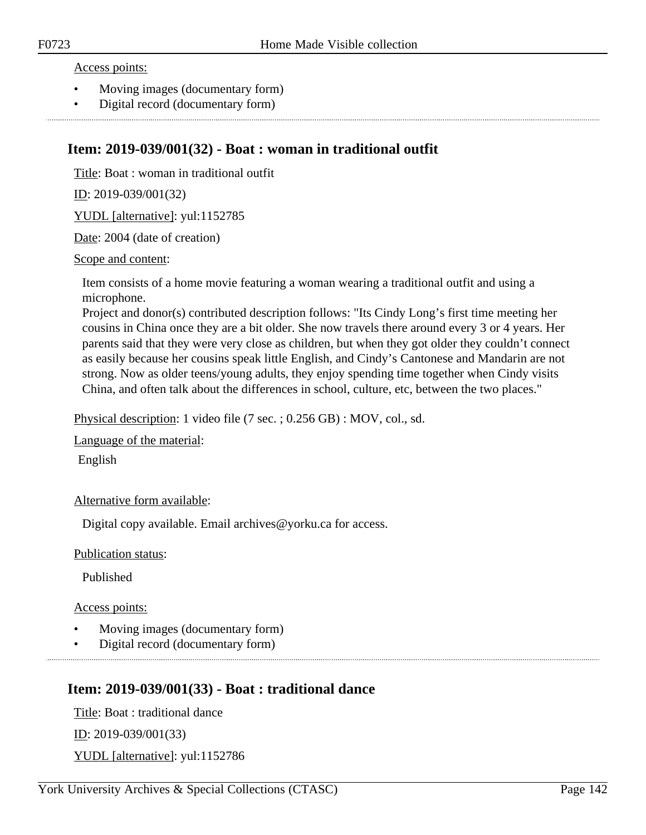#### Access points:

- Moving images (documentary form)
- Digital record (documentary form)

## **Item: 2019-039/001(32) - Boat : woman in traditional outfit**

Title: Boat : woman in traditional outfit

ID: 2019-039/001(32)

YUDL [alternative]: yul:1152785

Date: 2004 (date of creation)

#### Scope and content:

Item consists of a home movie featuring a woman wearing a traditional outfit and using a microphone.

Project and donor(s) contributed description follows: "Its Cindy Long's first time meeting her cousins in China once they are a bit older. She now travels there around every 3 or 4 years. Her parents said that they were very close as children, but when they got older they couldn't connect as easily because her cousins speak little English, and Cindy's Cantonese and Mandarin are not strong. Now as older teens/young adults, they enjoy spending time together when Cindy visits China, and often talk about the differences in school, culture, etc, between the two places."

Physical description: 1 video file (7 sec. ; 0.256 GB) : MOV, col., sd.

Language of the material:

English

Alternative form available:

Digital copy available. Email archives@yorku.ca for access.

Publication status:

Published

Access points:

- Moving images (documentary form)
- Digital record (documentary form)

## **Item: 2019-039/001(33) - Boat : traditional dance**

Title: Boat : traditional dance ID: 2019-039/001(33) YUDL [alternative]: yul:1152786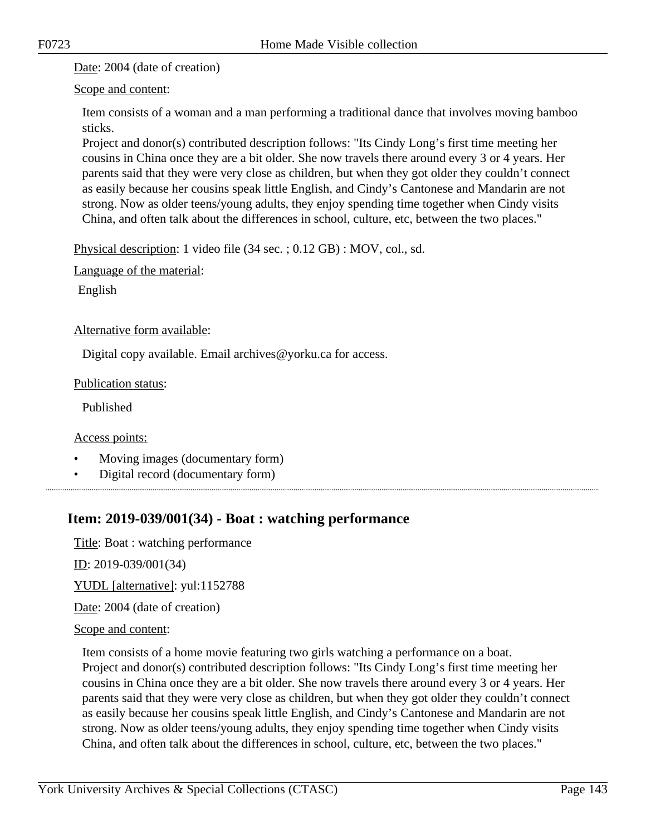Date: 2004 (date of creation)

## Scope and content:

Item consists of a woman and a man performing a traditional dance that involves moving bamboo sticks.

Project and donor(s) contributed description follows: "Its Cindy Long's first time meeting her cousins in China once they are a bit older. She now travels there around every 3 or 4 years. Her parents said that they were very close as children, but when they got older they couldn't connect as easily because her cousins speak little English, and Cindy's Cantonese and Mandarin are not strong. Now as older teens/young adults, they enjoy spending time together when Cindy visits China, and often talk about the differences in school, culture, etc, between the two places."

Physical description: 1 video file (34 sec. ; 0.12 GB) : MOV, col., sd.

Language of the material:

English

## Alternative form available:

Digital copy available. Email archives@yorku.ca for access.

## Publication status:

Published

Access points:

- Moving images (documentary form)
- Digital record (documentary form)

# **Item: 2019-039/001(34) - Boat : watching performance**

Title: Boat : watching performance

ID: 2019-039/001(34)

YUDL [alternative]: yul:1152788

Date: 2004 (date of creation)

## Scope and content:

Item consists of a home movie featuring two girls watching a performance on a boat. Project and donor(s) contributed description follows: "Its Cindy Long's first time meeting her cousins in China once they are a bit older. She now travels there around every 3 or 4 years. Her parents said that they were very close as children, but when they got older they couldn't connect as easily because her cousins speak little English, and Cindy's Cantonese and Mandarin are not strong. Now as older teens/young adults, they enjoy spending time together when Cindy visits China, and often talk about the differences in school, culture, etc, between the two places."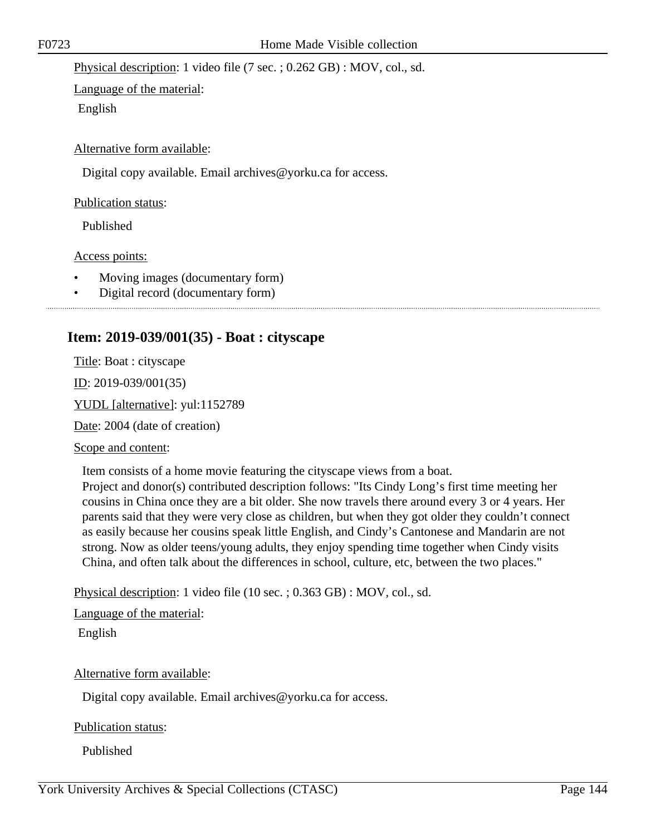Physical description: 1 video file (7 sec. ; 0.262 GB) : MOV, col., sd.

Language of the material: English

Alternative form available:

Digital copy available. Email archives@yorku.ca for access.

Publication status:

Published

Access points:

- Moving images (documentary form)
- Digital record (documentary form)

## **Item: 2019-039/001(35) - Boat : cityscape**

Title: Boat : cityscape

ID: 2019-039/001(35)

YUDL [alternative]: yul:1152789

Date: 2004 (date of creation)

Scope and content:

Item consists of a home movie featuring the cityscape views from a boat.

Project and donor(s) contributed description follows: "Its Cindy Long's first time meeting her cousins in China once they are a bit older. She now travels there around every 3 or 4 years. Her parents said that they were very close as children, but when they got older they couldn't connect as easily because her cousins speak little English, and Cindy's Cantonese and Mandarin are not strong. Now as older teens/young adults, they enjoy spending time together when Cindy visits China, and often talk about the differences in school, culture, etc, between the two places."

Physical description: 1 video file (10 sec. ; 0.363 GB) : MOV, col., sd.

Language of the material:

English

Alternative form available:

Digital copy available. Email archives@yorku.ca for access.

Publication status:

Published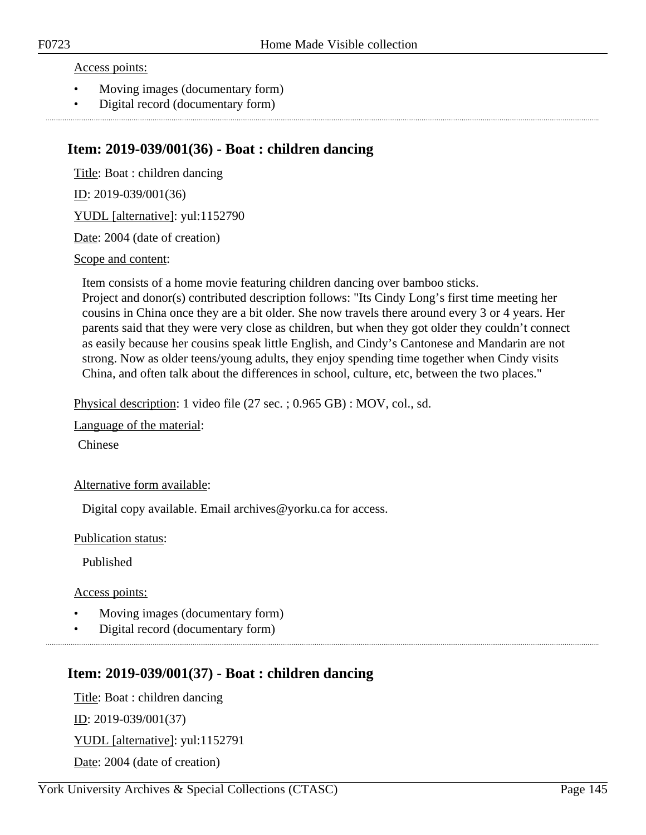#### Access points:

- Moving images (documentary form)
- Digital record (documentary form)

# **Item: 2019-039/001(36) - Boat : children dancing**

Title: Boat : children dancing ID: 2019-039/001(36) YUDL [alternative]: yul:1152790 Date: 2004 (date of creation)

#### Scope and content:

Item consists of a home movie featuring children dancing over bamboo sticks. Project and donor(s) contributed description follows: "Its Cindy Long's first time meeting her cousins in China once they are a bit older. She now travels there around every 3 or 4 years. Her parents said that they were very close as children, but when they got older they couldn't connect as easily because her cousins speak little English, and Cindy's Cantonese and Mandarin are not strong. Now as older teens/young adults, they enjoy spending time together when Cindy visits China, and often talk about the differences in school, culture, etc, between the two places."

Physical description: 1 video file (27 sec. ; 0.965 GB) : MOV, col., sd.

Language of the material:

Chinese

#### Alternative form available:

Digital copy available. Email archives@yorku.ca for access.

Publication status:

Published

#### Access points:

- Moving images (documentary form)
- Digital record (documentary form)

# **Item: 2019-039/001(37) - Boat : children dancing**

Title: Boat : children dancing ID: 2019-039/001(37) YUDL [alternative]: yul:1152791 Date: 2004 (date of creation)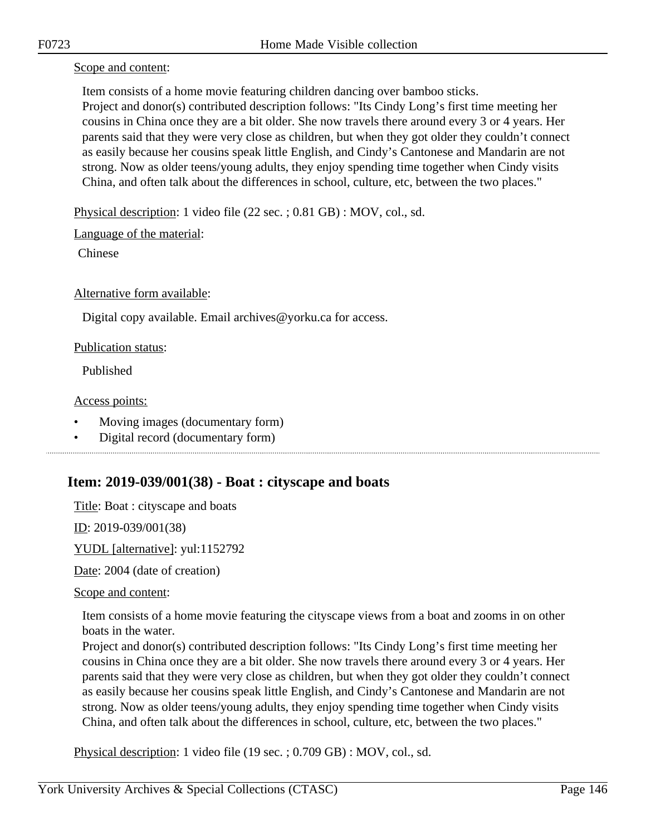Scope and content:

Item consists of a home movie featuring children dancing over bamboo sticks. Project and donor(s) contributed description follows: "Its Cindy Long's first time meeting her cousins in China once they are a bit older. She now travels there around every 3 or 4 years. Her parents said that they were very close as children, but when they got older they couldn't connect as easily because her cousins speak little English, and Cindy's Cantonese and Mandarin are not strong. Now as older teens/young adults, they enjoy spending time together when Cindy visits China, and often talk about the differences in school, culture, etc, between the two places."

Physical description: 1 video file (22 sec. ; 0.81 GB) : MOV, col., sd.

Language of the material:

Chinese

Alternative form available:

Digital copy available. Email archives@yorku.ca for access.

#### Publication status:

Published

#### Access points:

- Moving images (documentary form)
- Digital record (documentary form)

# **Item: 2019-039/001(38) - Boat : cityscape and boats**

Title: Boat : cityscape and boats

ID: 2019-039/001(38)

YUDL [alternative]: yul:1152792

Date: 2004 (date of creation)

Scope and content:

Item consists of a home movie featuring the cityscape views from a boat and zooms in on other boats in the water.

Project and donor(s) contributed description follows: "Its Cindy Long's first time meeting her cousins in China once they are a bit older. She now travels there around every 3 or 4 years. Her parents said that they were very close as children, but when they got older they couldn't connect as easily because her cousins speak little English, and Cindy's Cantonese and Mandarin are not strong. Now as older teens/young adults, they enjoy spending time together when Cindy visits China, and often talk about the differences in school, culture, etc, between the two places."

Physical description: 1 video file (19 sec. ; 0.709 GB) : MOV, col., sd.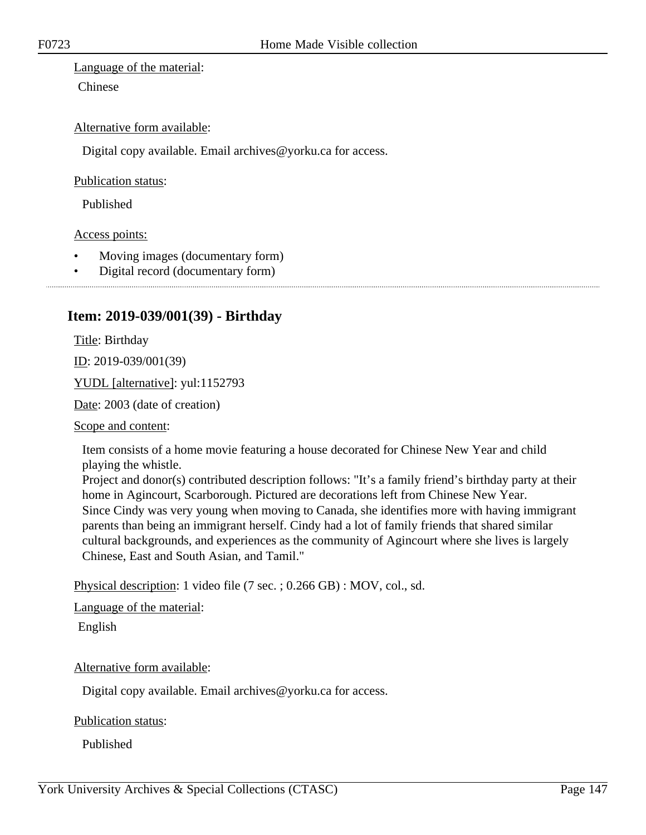Language of the material:

Chinese

#### Alternative form available:

Digital copy available. Email archives@yorku.ca for access.

Publication status:

Published

Access points:

- Moving images (documentary form)
- Digital record (documentary form)

# **Item: 2019-039/001(39) - Birthday**

Title: Birthday

ID: 2019-039/001(39)

YUDL [alternative]: yul:1152793

Date: 2003 (date of creation)

Scope and content:

Item consists of a home movie featuring a house decorated for Chinese New Year and child playing the whistle.

Project and donor(s) contributed description follows: "It's a family friend's birthday party at their home in Agincourt, Scarborough. Pictured are decorations left from Chinese New Year. Since Cindy was very young when moving to Canada, she identifies more with having immigrant parents than being an immigrant herself. Cindy had a lot of family friends that shared similar cultural backgrounds, and experiences as the community of Agincourt where she lives is largely Chinese, East and South Asian, and Tamil."

Physical description: 1 video file (7 sec. ; 0.266 GB) : MOV, col., sd.

Language of the material:

English

Alternative form available:

Digital copy available. Email archives@yorku.ca for access.

Publication status:

Published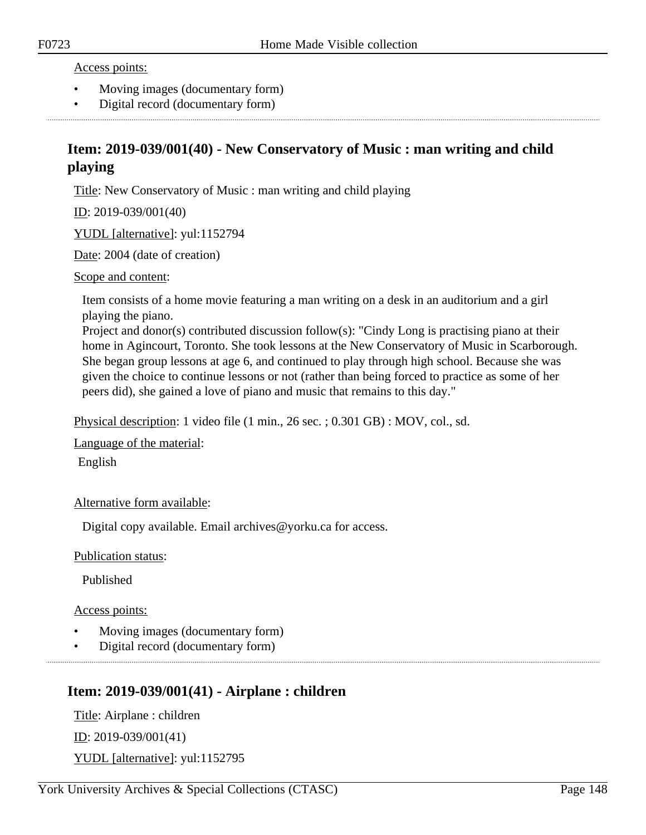Access points:

- Moving images (documentary form)
- Digital record (documentary form)

# **Item: 2019-039/001(40) - New Conservatory of Music : man writing and child playing**

Title: New Conservatory of Music : man writing and child playing

ID: 2019-039/001(40)

YUDL [alternative]: yul:1152794

Date: 2004 (date of creation)

#### Scope and content:

Item consists of a home movie featuring a man writing on a desk in an auditorium and a girl playing the piano.

Project and donor(s) contributed discussion follow(s): "Cindy Long is practising piano at their home in Agincourt, Toronto. She took lessons at the New Conservatory of Music in Scarborough. She began group lessons at age 6, and continued to play through high school. Because she was given the choice to continue lessons or not (rather than being forced to practice as some of her peers did), she gained a love of piano and music that remains to this day."

Physical description: 1 video file (1 min., 26 sec. ; 0.301 GB) : MOV, col., sd.

Language of the material:

English

Alternative form available:

Digital copy available. Email archives@yorku.ca for access.

Publication status:

Published

Access points:

- Moving images (documentary form)
- Digital record (documentary form)

# **Item: 2019-039/001(41) - Airplane : children**

Title: Airplane : children ID: 2019-039/001(41) YUDL [alternative]: yul:1152795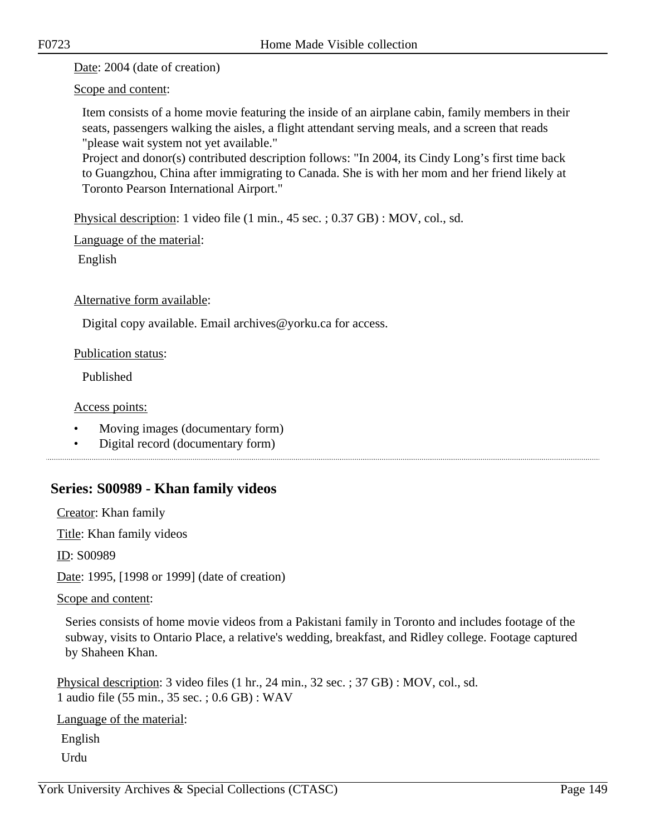Date: 2004 (date of creation)

Scope and content:

Item consists of a home movie featuring the inside of an airplane cabin, family members in their seats, passengers walking the aisles, a flight attendant serving meals, and a screen that reads "please wait system not yet available."

Project and donor(s) contributed description follows: "In 2004, its Cindy Long's first time back to Guangzhou, China after immigrating to Canada. She is with her mom and her friend likely at Toronto Pearson International Airport."

Physical description: 1 video file (1 min., 45 sec. ; 0.37 GB) : MOV, col., sd.

Language of the material:

English

Alternative form available:

Digital copy available. Email archives@yorku.ca for access.

Publication status:

Published

Access points:

- Moving images (documentary form)
- Digital record (documentary form)

# **Series: S00989 - Khan family videos**

Creator: Khan family

Title: Khan family videos

ID: S00989

Date: 1995, [1998 or 1999] (date of creation)

Scope and content:

Series consists of home movie videos from a Pakistani family in Toronto and includes footage of the subway, visits to Ontario Place, a relative's wedding, breakfast, and Ridley college. Footage captured by Shaheen Khan.

Physical description: 3 video files (1 hr., 24 min., 32 sec. ; 37 GB) : MOV, col., sd. 1 audio file (55 min., 35 sec. ; 0.6 GB) : WAV

Language of the material:

English

Urdu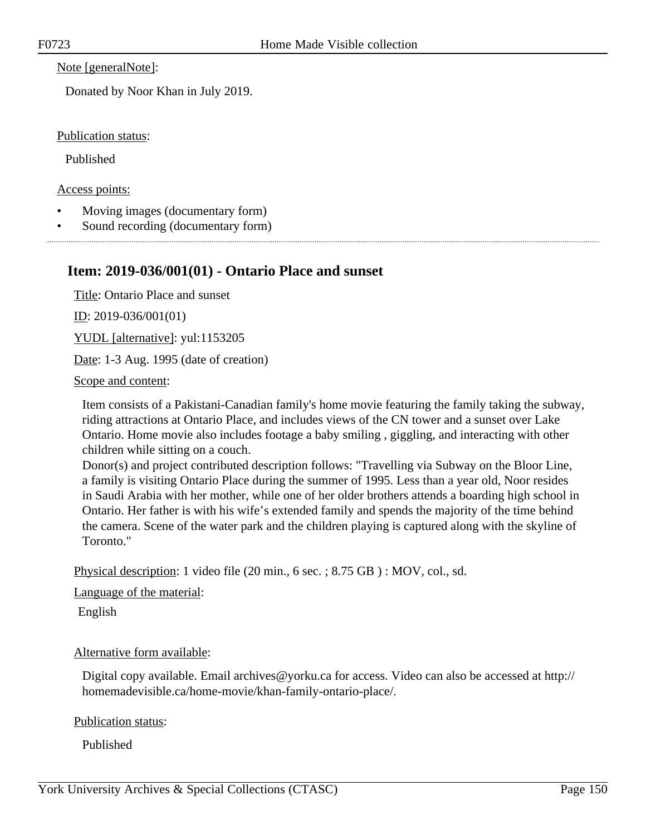Note [generalNote]:

Donated by Noor Khan in July 2019.

Publication status:

Published

Access points:

- Moving images (documentary form)
- Sound recording (documentary form)

### **Item: 2019-036/001(01) - Ontario Place and sunset**

Title: Ontario Place and sunset

ID: 2019-036/001(01)

YUDL [alternative]: yul:1153205

Date: 1-3 Aug. 1995 (date of creation)

Scope and content:

Item consists of a Pakistani-Canadian family's home movie featuring the family taking the subway, riding attractions at Ontario Place, and includes views of the CN tower and a sunset over Lake Ontario. Home movie also includes footage a baby smiling , giggling, and interacting with other children while sitting on a couch.

Donor(s) and project contributed description follows: "Travelling via Subway on the Bloor Line, a family is visiting Ontario Place during the summer of 1995. Less than a year old, Noor resides in Saudi Arabia with her mother, while one of her older brothers attends a boarding high school in Ontario. Her father is with his wife's extended family and spends the majority of the time behind the camera. Scene of the water park and the children playing is captured along with the skyline of Toronto."

Physical description: 1 video file (20 min., 6 sec. ; 8.75 GB ) : MOV, col., sd.

Language of the material:

English

#### Alternative form available:

Digital copy available. Email archives@yorku.ca for access. Video can also be accessed at http:// homemadevisible.ca/home-movie/khan-family-ontario-place/.

Publication status:

Published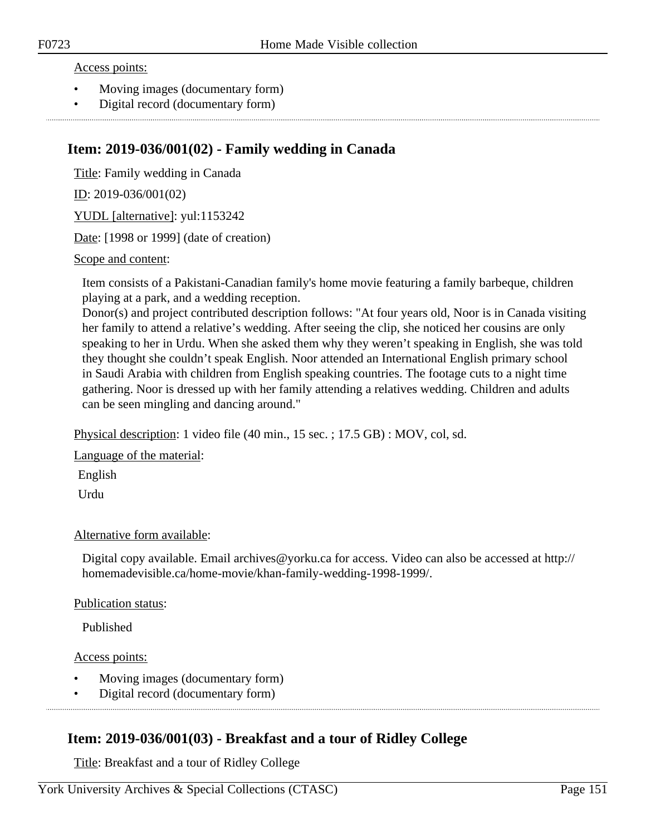#### Access points:

- Moving images (documentary form)
- Digital record (documentary form)

# **Item: 2019-036/001(02) - Family wedding in Canada**

Title: Family wedding in Canada ID: 2019-036/001(02)

YUDL [alternative]: yul:1153242

Date: [1998 or 1999] (date of creation)

Scope and content:

Item consists of a Pakistani-Canadian family's home movie featuring a family barbeque, children playing at a park, and a wedding reception.

Donor(s) and project contributed description follows: "At four years old, Noor is in Canada visiting her family to attend a relative's wedding. After seeing the clip, she noticed her cousins are only speaking to her in Urdu. When she asked them why they weren't speaking in English, she was told they thought she couldn't speak English. Noor attended an International English primary school in Saudi Arabia with children from English speaking countries. The footage cuts to a night time gathering. Noor is dressed up with her family attending a relatives wedding. Children and adults can be seen mingling and dancing around."

Physical description: 1 video file (40 min., 15 sec. ; 17.5 GB) : MOV, col, sd.

Language of the material:

English

Urdu

#### Alternative form available:

Digital copy available. Email archives@yorku.ca for access. Video can also be accessed at http:// homemadevisible.ca/home-movie/khan-family-wedding-1998-1999/.

#### Publication status:

Published

#### Access points:

- Moving images (documentary form)
- Digital record (documentary form)

# **Item: 2019-036/001(03) - Breakfast and a tour of Ridley College**

Title: Breakfast and a tour of Ridley College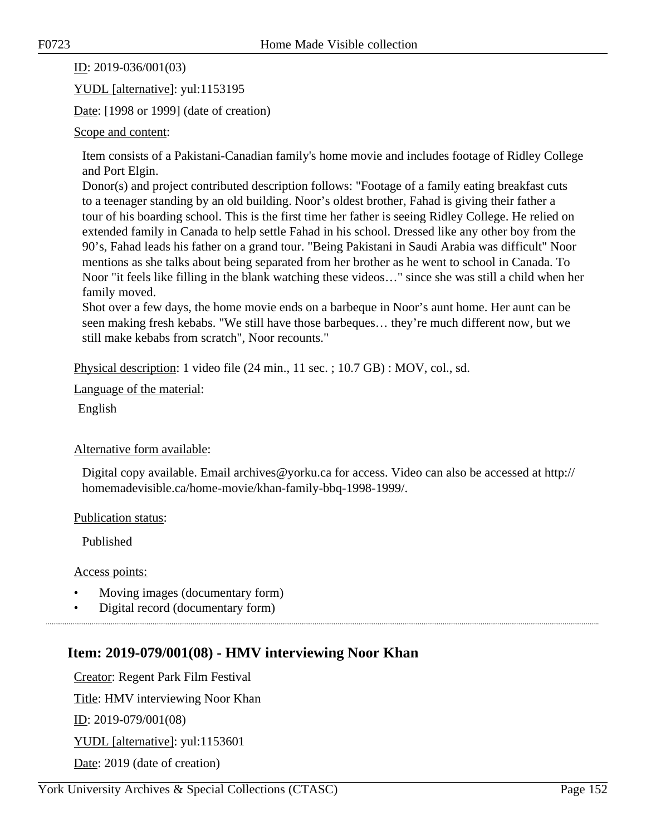#### ID: 2019-036/001(03)

YUDL [alternative]: yul:1153195

Date: [1998 or 1999] (date of creation)

#### Scope and content:

Item consists of a Pakistani-Canadian family's home movie and includes footage of Ridley College and Port Elgin.

Donor(s) and project contributed description follows: "Footage of a family eating breakfast cuts to a teenager standing by an old building. Noor's oldest brother, Fahad is giving their father a tour of his boarding school. This is the first time her father is seeing Ridley College. He relied on extended family in Canada to help settle Fahad in his school. Dressed like any other boy from the 90's, Fahad leads his father on a grand tour. "Being Pakistani in Saudi Arabia was difficult" Noor mentions as she talks about being separated from her brother as he went to school in Canada. To Noor "it feels like filling in the blank watching these videos…" since she was still a child when her family moved.

Shot over a few days, the home movie ends on a barbeque in Noor's aunt home. Her aunt can be seen making fresh kebabs. "We still have those barbeques… they're much different now, but we still make kebabs from scratch", Noor recounts."

Physical description: 1 video file (24 min., 11 sec. ; 10.7 GB) : MOV, col., sd.

Language of the material:

English

#### Alternative form available:

Digital copy available. Email archives@yorku.ca for access. Video can also be accessed at http:// homemadevisible.ca/home-movie/khan-family-bbq-1998-1999/.

Publication status:

Published

Access points:

- Moving images (documentary form)
- Digital record (documentary form)

# **Item: 2019-079/001(08) - HMV interviewing Noor Khan**

Creator: Regent Park Film Festival Title: HMV interviewing Noor Khan ID: 2019-079/001(08) YUDL [alternative]: yul:1153601 Date: 2019 (date of creation)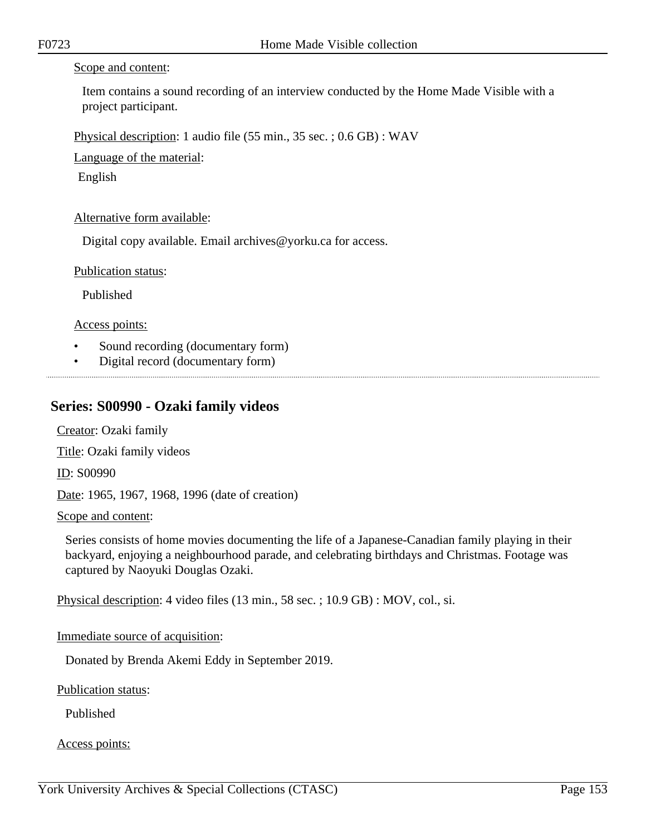#### Scope and content:

Item contains a sound recording of an interview conducted by the Home Made Visible with a project participant.

Physical description: 1 audio file (55 min., 35 sec. ; 0.6 GB) : WAV

Language of the material:

English

#### Alternative form available:

Digital copy available. Email archives@yorku.ca for access.

Publication status:

Published

Access points:

- Sound recording (documentary form)
- Digital record (documentary form)

### **Series: S00990 - Ozaki family videos**

Creator: Ozaki family

Title: Ozaki family videos

ID: S00990

Date: 1965, 1967, 1968, 1996 (date of creation)

Scope and content:

Series consists of home movies documenting the life of a Japanese-Canadian family playing in their backyard, enjoying a neighbourhood parade, and celebrating birthdays and Christmas. Footage was captured by Naoyuki Douglas Ozaki.

Physical description: 4 video files (13 min., 58 sec. ; 10.9 GB) : MOV, col., si.

#### Immediate source of acquisition:

Donated by Brenda Akemi Eddy in September 2019.

Publication status:

Published

Access points: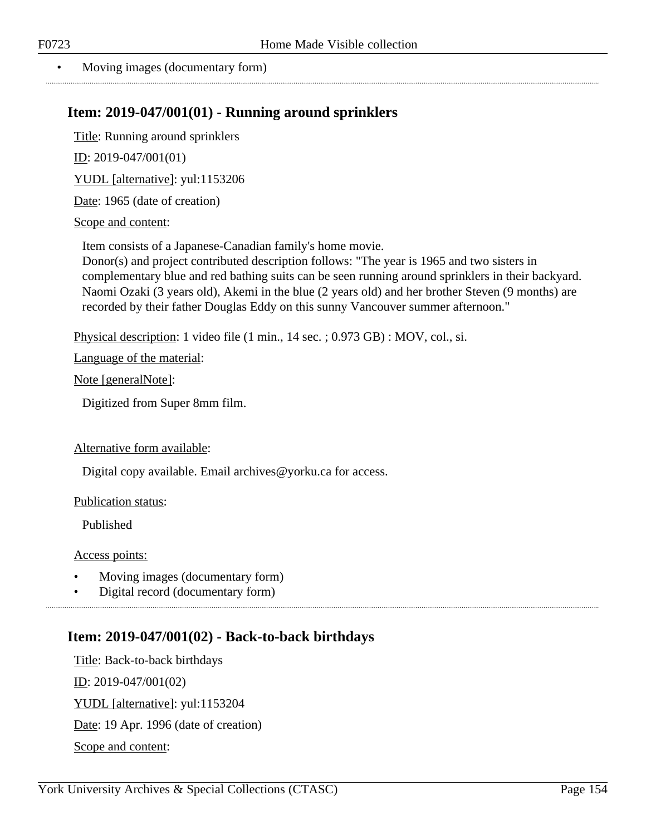#### • Moving images (documentary form)

# **Item: 2019-047/001(01) - Running around sprinklers**

Title: Running around sprinklers

ID: 2019-047/001(01)

YUDL [alternative]: yul:1153206

Date: 1965 (date of creation)

Scope and content:

Item consists of a Japanese-Canadian family's home movie.

Donor(s) and project contributed description follows: "The year is 1965 and two sisters in complementary blue and red bathing suits can be seen running around sprinklers in their backyard. Naomi Ozaki (3 years old), Akemi in the blue (2 years old) and her brother Steven (9 months) are recorded by their father Douglas Eddy on this sunny Vancouver summer afternoon."

Physical description: 1 video file (1 min., 14 sec. ; 0.973 GB) : MOV, col., si.

Language of the material:

Note [generalNote]:

Digitized from Super 8mm film.

#### Alternative form available:

Digital copy available. Email archives@yorku.ca for access.

Publication status:

Published

Access points:

- Moving images (documentary form)
- Digital record (documentary form)

# **Item: 2019-047/001(02) - Back-to-back birthdays**

Title: Back-to-back birthdays  $ID: 2019-047/001(02)$ YUDL [alternative]: yul:1153204 Date: 19 Apr. 1996 (date of creation) Scope and content: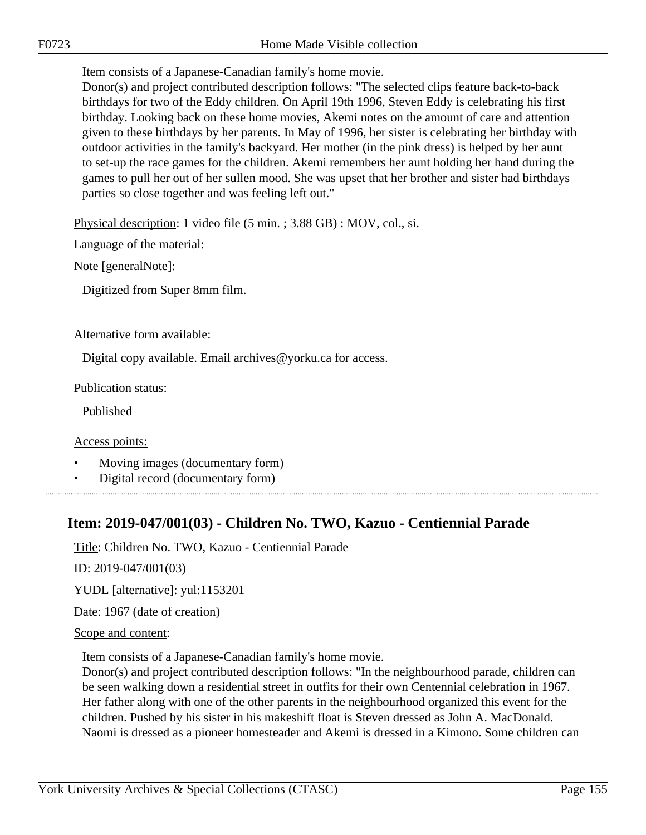Item consists of a Japanese-Canadian family's home movie.

Donor(s) and project contributed description follows: "The selected clips feature back-to-back birthdays for two of the Eddy children. On April 19th 1996, Steven Eddy is celebrating his first birthday. Looking back on these home movies, Akemi notes on the amount of care and attention given to these birthdays by her parents. In May of 1996, her sister is celebrating her birthday with outdoor activities in the family's backyard. Her mother (in the pink dress) is helped by her aunt to set-up the race games for the children. Akemi remembers her aunt holding her hand during the games to pull her out of her sullen mood. She was upset that her brother and sister had birthdays parties so close together and was feeling left out."

Physical description: 1 video file (5 min. ; 3.88 GB) : MOV, col., si.

Language of the material:

Note [generalNote]:

Digitized from Super 8mm film.

#### Alternative form available:

Digital copy available. Email archives@yorku.ca for access.

#### Publication status:

Published

Access points:

- Moving images (documentary form)
- Digital record (documentary form)

# **Item: 2019-047/001(03) - Children No. TWO, Kazuo - Centiennial Parade**

Title: Children No. TWO, Kazuo - Centiennial Parade

ID: 2019-047/001(03)

YUDL [alternative]: yul:1153201

Date: 1967 (date of creation)

# Scope and content:

Item consists of a Japanese-Canadian family's home movie.

Donor(s) and project contributed description follows: "In the neighbourhood parade, children can be seen walking down a residential street in outfits for their own Centennial celebration in 1967. Her father along with one of the other parents in the neighbourhood organized this event for the children. Pushed by his sister in his makeshift float is Steven dressed as John A. MacDonald. Naomi is dressed as a pioneer homesteader and Akemi is dressed in a Kimono. Some children can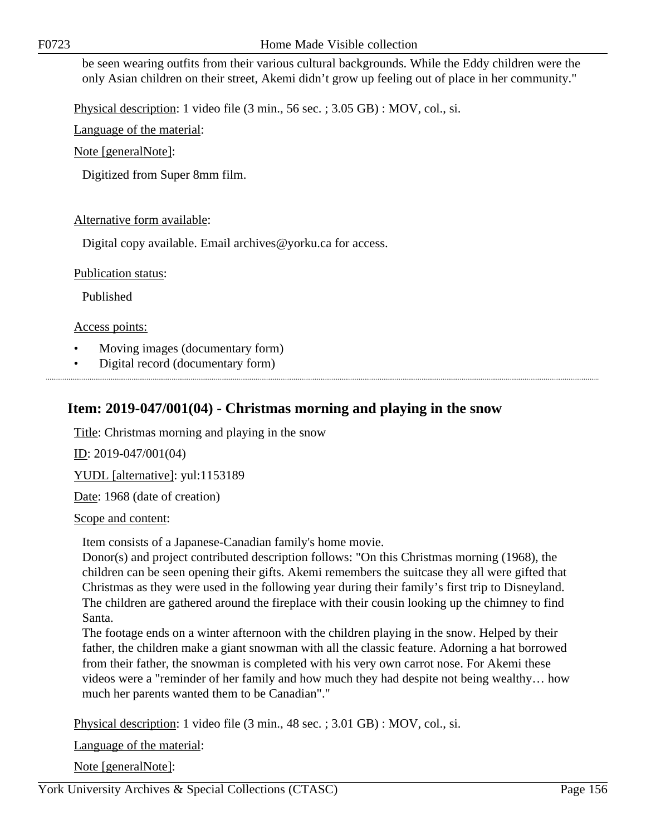be seen wearing outfits from their various cultural backgrounds. While the Eddy children were the only Asian children on their street, Akemi didn't grow up feeling out of place in her community."

Physical description: 1 video file (3 min., 56 sec. ; 3.05 GB) : MOV, col., si.

Language of the material:

Note [generalNote]:

Digitized from Super 8mm film.

#### Alternative form available:

Digital copy available. Email archives@yorku.ca for access.

Publication status:

Published

Access points:

- Moving images (documentary form)
- Digital record (documentary form)

# **Item: 2019-047/001(04) - Christmas morning and playing in the snow**

Title: Christmas morning and playing in the snow

ID: 2019-047/001(04)

YUDL [alternative]: yul:1153189

Date: 1968 (date of creation)

Scope and content:

Item consists of a Japanese-Canadian family's home movie.

Donor(s) and project contributed description follows: "On this Christmas morning (1968), the children can be seen opening their gifts. Akemi remembers the suitcase they all were gifted that Christmas as they were used in the following year during their family's first trip to Disneyland. The children are gathered around the fireplace with their cousin looking up the chimney to find Santa.

The footage ends on a winter afternoon with the children playing in the snow. Helped by their father, the children make a giant snowman with all the classic feature. Adorning a hat borrowed from their father, the snowman is completed with his very own carrot nose. For Akemi these videos were a "reminder of her family and how much they had despite not being wealthy… how much her parents wanted them to be Canadian"."

Physical description: 1 video file (3 min., 48 sec. ; 3.01 GB) : MOV, col., si.

Language of the material:

Note [generalNote]:

York University Archives & Special Collections (CTASC) Page 156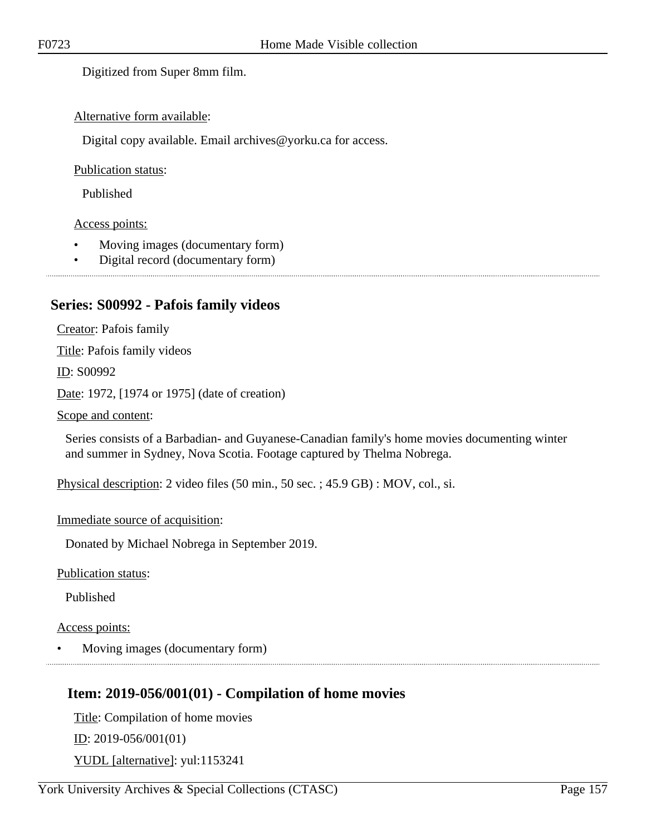Digitized from Super 8mm film.

#### Alternative form available:

Digital copy available. Email archives@yorku.ca for access.

#### Publication status:

Published

#### Access points:

- Moving images (documentary form)
- Digital record (documentary form)

## **Series: S00992 - Pafois family videos**

Creator: Pafois family Title: Pafois family videos ID: S00992 Date: 1972, [1974 or 1975] (date of creation)

Scope and content:

Series consists of a Barbadian- and Guyanese-Canadian family's home movies documenting winter and summer in Sydney, Nova Scotia. Footage captured by Thelma Nobrega.

Physical description: 2 video files (50 min., 50 sec. ; 45.9 GB) : MOV, col., si.

Immediate source of acquisition:

Donated by Michael Nobrega in September 2019.

Publication status:

Published

#### Access points:

• Moving images (documentary form)

# **Item: 2019-056/001(01) - Compilation of home movies**

Title: Compilation of home movies <u>ID</u>: 2019-056/001(01) YUDL [alternative]: yul:1153241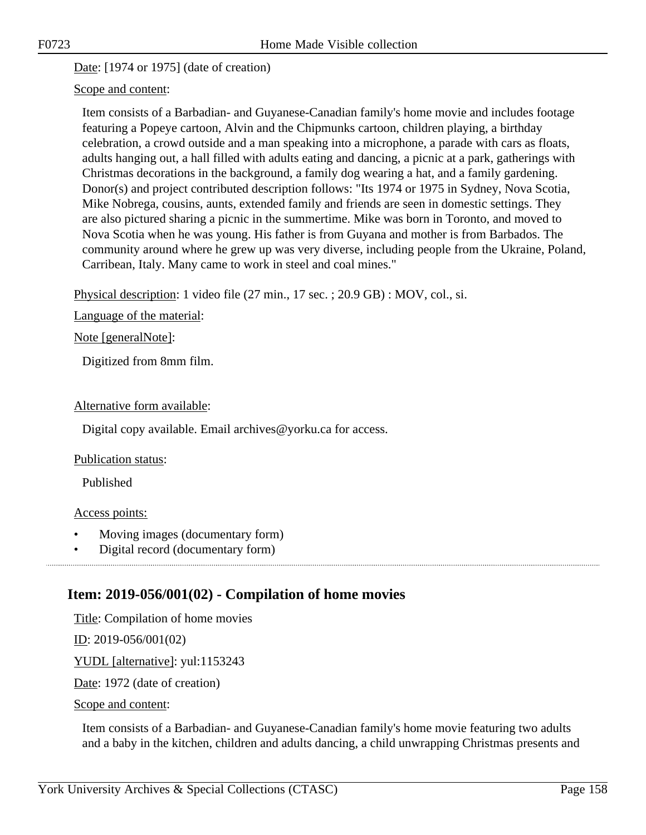Date: [1974 or 1975] (date of creation)

#### Scope and content:

Item consists of a Barbadian- and Guyanese-Canadian family's home movie and includes footage featuring a Popeye cartoon, Alvin and the Chipmunks cartoon, children playing, a birthday celebration, a crowd outside and a man speaking into a microphone, a parade with cars as floats, adults hanging out, a hall filled with adults eating and dancing, a picnic at a park, gatherings with Christmas decorations in the background, a family dog wearing a hat, and a family gardening. Donor(s) and project contributed description follows: "Its 1974 or 1975 in Sydney, Nova Scotia, Mike Nobrega, cousins, aunts, extended family and friends are seen in domestic settings. They are also pictured sharing a picnic in the summertime. Mike was born in Toronto, and moved to Nova Scotia when he was young. His father is from Guyana and mother is from Barbados. The community around where he grew up was very diverse, including people from the Ukraine, Poland, Carribean, Italy. Many came to work in steel and coal mines."

Physical description: 1 video file (27 min., 17 sec. ; 20.9 GB) : MOV, col., si.

Language of the material:

Note [generalNote]:

Digitized from 8mm film.

#### Alternative form available:

Digital copy available. Email archives@yorku.ca for access.

#### Publication status:

Published

#### Access points:

- Moving images (documentary form)
- Digital record (documentary form)

# **Item: 2019-056/001(02) - Compilation of home movies**

Title: Compilation of home movies

ID: 2019-056/001(02)

YUDL [alternative]: yul:1153243

Date: 1972 (date of creation)

Scope and content:

Item consists of a Barbadian- and Guyanese-Canadian family's home movie featuring two adults and a baby in the kitchen, children and adults dancing, a child unwrapping Christmas presents and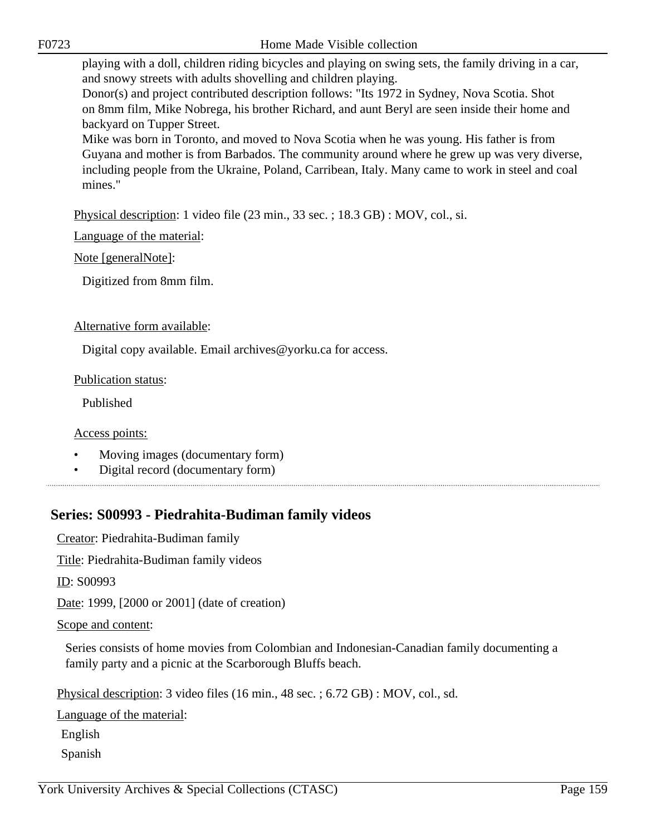playing with a doll, children riding bicycles and playing on swing sets, the family driving in a car, and snowy streets with adults shovelling and children playing.

Donor(s) and project contributed description follows: "Its 1972 in Sydney, Nova Scotia. Shot on 8mm film, Mike Nobrega, his brother Richard, and aunt Beryl are seen inside their home and backyard on Tupper Street.

Mike was born in Toronto, and moved to Nova Scotia when he was young. His father is from Guyana and mother is from Barbados. The community around where he grew up was very diverse, including people from the Ukraine, Poland, Carribean, Italy. Many came to work in steel and coal mines."

Physical description: 1 video file (23 min., 33 sec. ; 18.3 GB) : MOV, col., si.

Language of the material:

Note [generalNote]:

Digitized from 8mm film.

Alternative form available:

Digital copy available. Email archives@yorku.ca for access.

Publication status:

Published

Access points:

- Moving images (documentary form)
- Digital record (documentary form)

# **Series: S00993 - Piedrahita-Budiman family videos**

Creator: Piedrahita-Budiman family

Title: Piedrahita-Budiman family videos

ID: S00993

Date: 1999, [2000 or 2001] (date of creation)

Scope and content:

Series consists of home movies from Colombian and Indonesian-Canadian family documenting a family party and a picnic at the Scarborough Bluffs beach.

Physical description: 3 video files (16 min., 48 sec. ; 6.72 GB) : MOV, col., sd.

Language of the material:

English

Spanish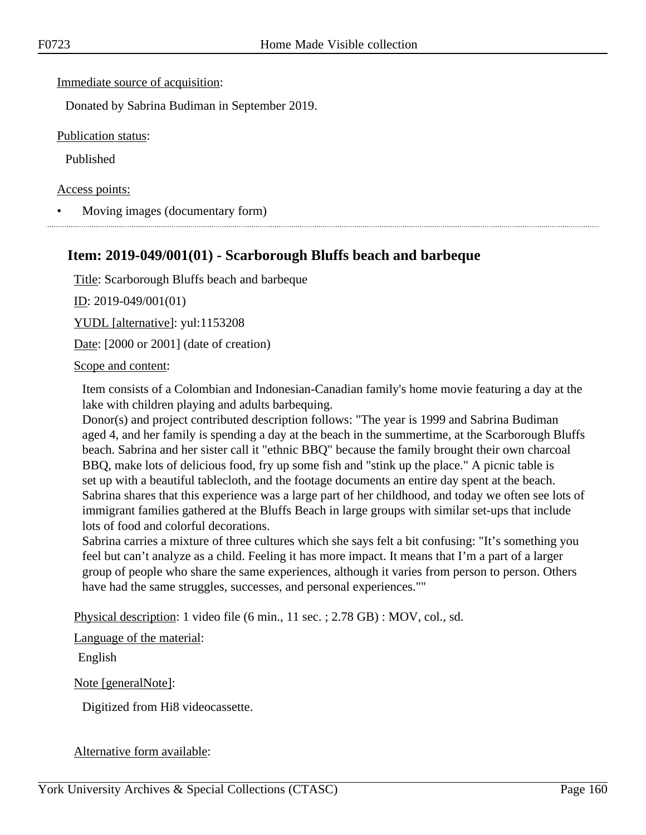Immediate source of acquisition:

Donated by Sabrina Budiman in September 2019.

Publication status:

Published

Access points:

• Moving images (documentary form)

### **Item: 2019-049/001(01) - Scarborough Bluffs beach and barbeque**

Title: Scarborough Bluffs beach and barbeque

ID: 2019-049/001(01)

YUDL [alternative]: yul:1153208

Date: [2000 or 2001] (date of creation)

#### Scope and content:

Item consists of a Colombian and Indonesian-Canadian family's home movie featuring a day at the lake with children playing and adults barbequing.

Donor(s) and project contributed description follows: "The year is 1999 and Sabrina Budiman aged 4, and her family is spending a day at the beach in the summertime, at the Scarborough Bluffs beach. Sabrina and her sister call it "ethnic BBQ" because the family brought their own charcoal BBQ, make lots of delicious food, fry up some fish and "stink up the place." A picnic table is set up with a beautiful tablecloth, and the footage documents an entire day spent at the beach. Sabrina shares that this experience was a large part of her childhood, and today we often see lots of immigrant families gathered at the Bluffs Beach in large groups with similar set-ups that include lots of food and colorful decorations.

Sabrina carries a mixture of three cultures which she says felt a bit confusing: "It's something you feel but can't analyze as a child. Feeling it has more impact. It means that I'm a part of a larger group of people who share the same experiences, although it varies from person to person. Others have had the same struggles, successes, and personal experiences.""

Physical description: 1 video file (6 min., 11 sec. ; 2.78 GB) : MOV, col., sd.

Language of the material:

English

Note [generalNote]:

Digitized from Hi8 videocassette.

#### Alternative form available: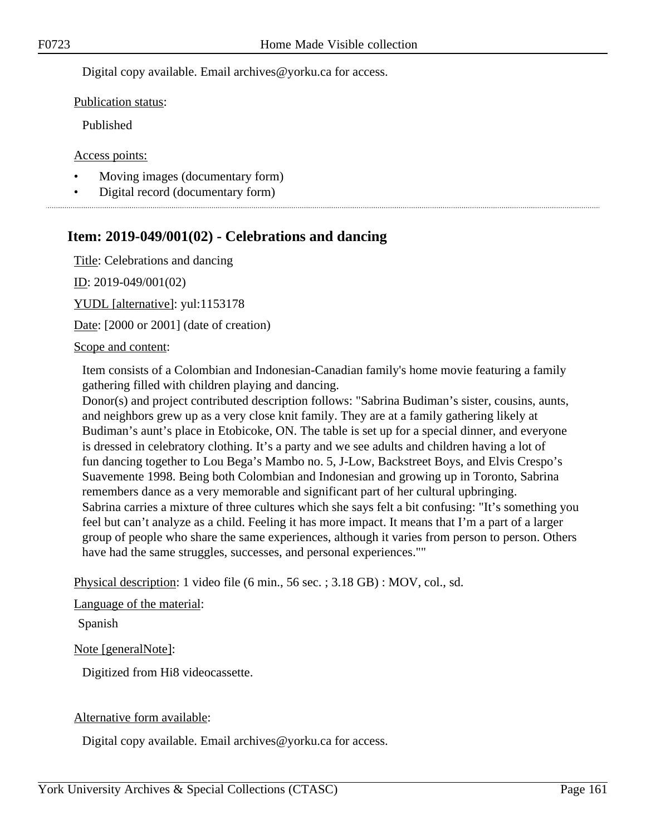Digital copy available. Email archives@yorku.ca for access.

Publication status:

Published

Access points:

- Moving images (documentary form)
- Digital record (documentary form)

# **Item: 2019-049/001(02) - Celebrations and dancing**

Title: Celebrations and dancing

ID: 2019-049/001(02)

YUDL [alternative]: yul:1153178

Date: [2000 or 2001] (date of creation)

#### Scope and content:

Item consists of a Colombian and Indonesian-Canadian family's home movie featuring a family gathering filled with children playing and dancing.

Donor(s) and project contributed description follows: "Sabrina Budiman's sister, cousins, aunts, and neighbors grew up as a very close knit family. They are at a family gathering likely at Budiman's aunt's place in Etobicoke, ON. The table is set up for a special dinner, and everyone is dressed in celebratory clothing. It's a party and we see adults and children having a lot of fun dancing together to Lou Bega's Mambo no. 5, J-Low, Backstreet Boys, and Elvis Crespo's Suavemente 1998. Being both Colombian and Indonesian and growing up in Toronto, Sabrina remembers dance as a very memorable and significant part of her cultural upbringing. Sabrina carries a mixture of three cultures which she says felt a bit confusing: "It's something you feel but can't analyze as a child. Feeling it has more impact. It means that I'm a part of a larger group of people who share the same experiences, although it varies from person to person. Others have had the same struggles, successes, and personal experiences.""

Physical description: 1 video file (6 min., 56 sec. ; 3.18 GB) : MOV, col., sd.

#### Language of the material:

Spanish

Note [generalNote]:

Digitized from Hi8 videocassette.

#### Alternative form available:

Digital copy available. Email archives@yorku.ca for access.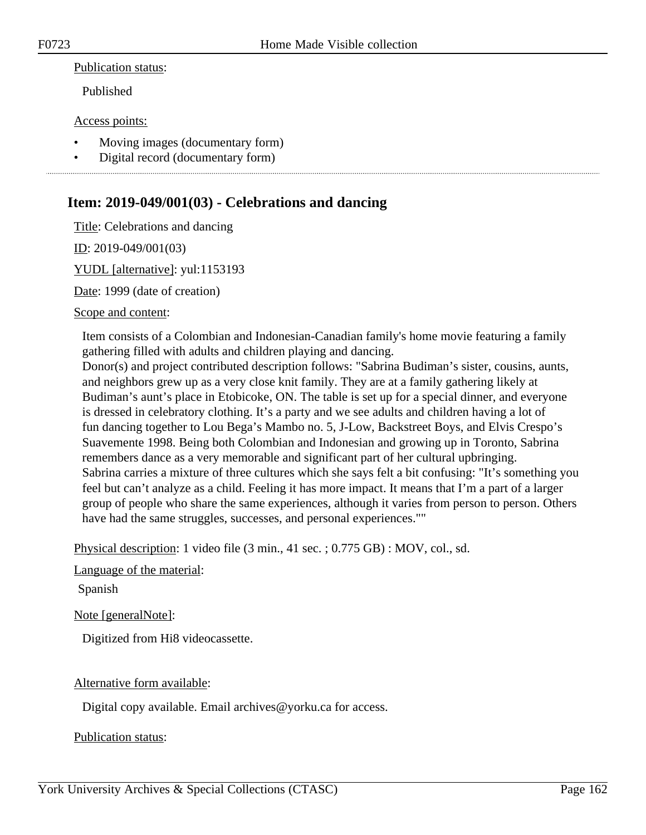#### Publication status:

Published

#### Access points:

- Moving images (documentary form)
- Digital record (documentary form)

# **Item: 2019-049/001(03) - Celebrations and dancing**

Title: Celebrations and dancing

ID: 2019-049/001(03)

YUDL [alternative]: yul:1153193

Date: 1999 (date of creation)

#### Scope and content:

Item consists of a Colombian and Indonesian-Canadian family's home movie featuring a family gathering filled with adults and children playing and dancing.

Donor(s) and project contributed description follows: "Sabrina Budiman's sister, cousins, aunts, and neighbors grew up as a very close knit family. They are at a family gathering likely at Budiman's aunt's place in Etobicoke, ON. The table is set up for a special dinner, and everyone is dressed in celebratory clothing. It's a party and we see adults and children having a lot of fun dancing together to Lou Bega's Mambo no. 5, J-Low, Backstreet Boys, and Elvis Crespo's Suavemente 1998. Being both Colombian and Indonesian and growing up in Toronto, Sabrina remembers dance as a very memorable and significant part of her cultural upbringing. Sabrina carries a mixture of three cultures which she says felt a bit confusing: "It's something you feel but can't analyze as a child. Feeling it has more impact. It means that I'm a part of a larger group of people who share the same experiences, although it varies from person to person. Others have had the same struggles, successes, and personal experiences.""

Physical description: 1 video file (3 min., 41 sec. ; 0.775 GB) : MOV, col., sd.

#### Language of the material:

Spanish

Note [generalNote]:

Digitized from Hi8 videocassette.

#### Alternative form available:

Digital copy available. Email archives@yorku.ca for access.

Publication status: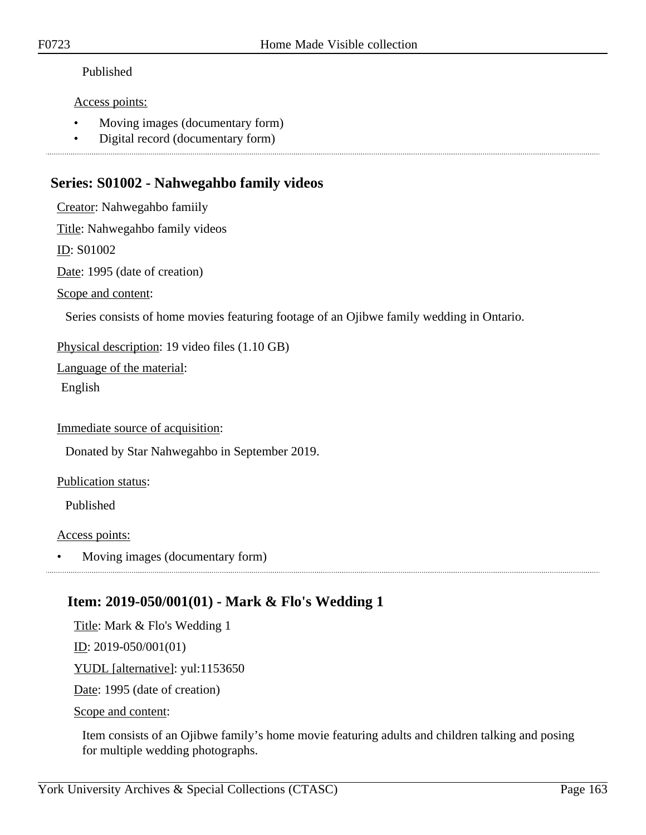#### Published

#### Access points:

- Moving images (documentary form)
- Digital record (documentary form)

# **Series: S01002 - Nahwegahbo family videos**

Creator: Nahwegahbo famiily Title: Nahwegahbo family videos ID: S01002 Date: 1995 (date of creation) Scope and content: Series consists of home movies featuring footage of an Ojibwe family wedding in Ontario. Physical description: 19 video files (1.10 GB) Language of the material: English Immediate source of acquisition: Donated by Star Nahwegahbo in September 2019. Publication status: Published Access points:

• Moving images (documentary form)

# **Item: 2019-050/001(01) - Mark & Flo's Wedding 1**

Title: Mark & Flo's Wedding 1

ID: 2019-050/001(01)

YUDL [alternative]: yul:1153650

Date: 1995 (date of creation)

Scope and content:

Item consists of an Ojibwe family's home movie featuring adults and children talking and posing for multiple wedding photographs.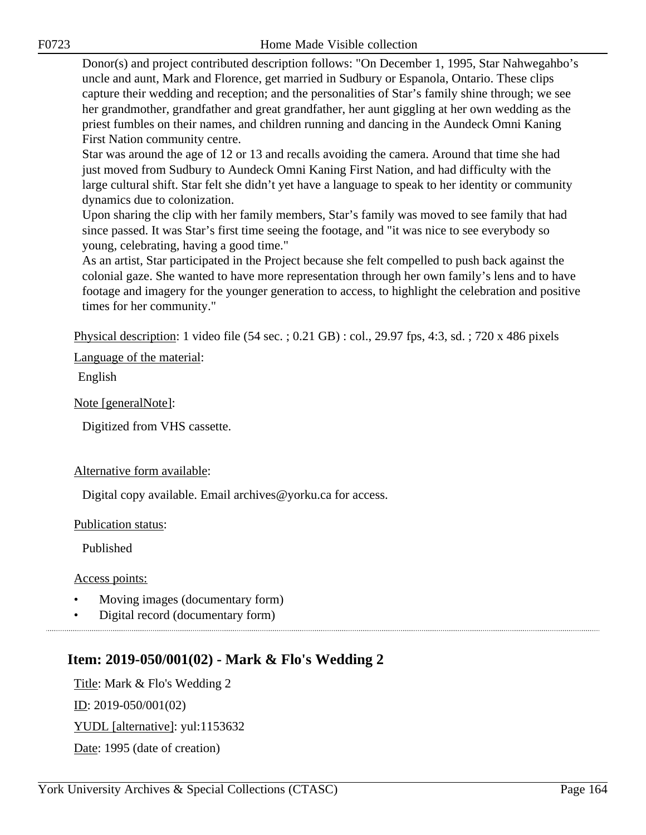Donor(s) and project contributed description follows: "On December 1, 1995, Star Nahwegahbo's uncle and aunt, Mark and Florence, get married in Sudbury or Espanola, Ontario. These clips capture their wedding and reception; and the personalities of Star's family shine through; we see her grandmother, grandfather and great grandfather, her aunt giggling at her own wedding as the priest fumbles on their names, and children running and dancing in the Aundeck Omni Kaning First Nation community centre.

Star was around the age of 12 or 13 and recalls avoiding the camera. Around that time she had just moved from Sudbury to Aundeck Omni Kaning First Nation, and had difficulty with the large cultural shift. Star felt she didn't yet have a language to speak to her identity or community dynamics due to colonization.

Upon sharing the clip with her family members, Star's family was moved to see family that had since passed. It was Star's first time seeing the footage, and "it was nice to see everybody so young, celebrating, having a good time."

As an artist, Star participated in the Project because she felt compelled to push back against the colonial gaze. She wanted to have more representation through her own family's lens and to have footage and imagery for the younger generation to access, to highlight the celebration and positive times for her community."

Physical description: 1 video file (54 sec. ; 0.21 GB) : col., 29.97 fps, 4:3, sd. ; 720 x 486 pixels

Language of the material:

English

Note [generalNote]:

Digitized from VHS cassette.

#### Alternative form available:

Digital copy available. Email archives@yorku.ca for access.

Publication status:

Published

Access points:

- Moving images (documentary form)
- Digital record (documentary form)

# **Item: 2019-050/001(02) - Mark & Flo's Wedding 2**

Title: Mark & Flo's Wedding 2 ID: 2019-050/001(02) YUDL [alternative]: yul:1153632 Date: 1995 (date of creation)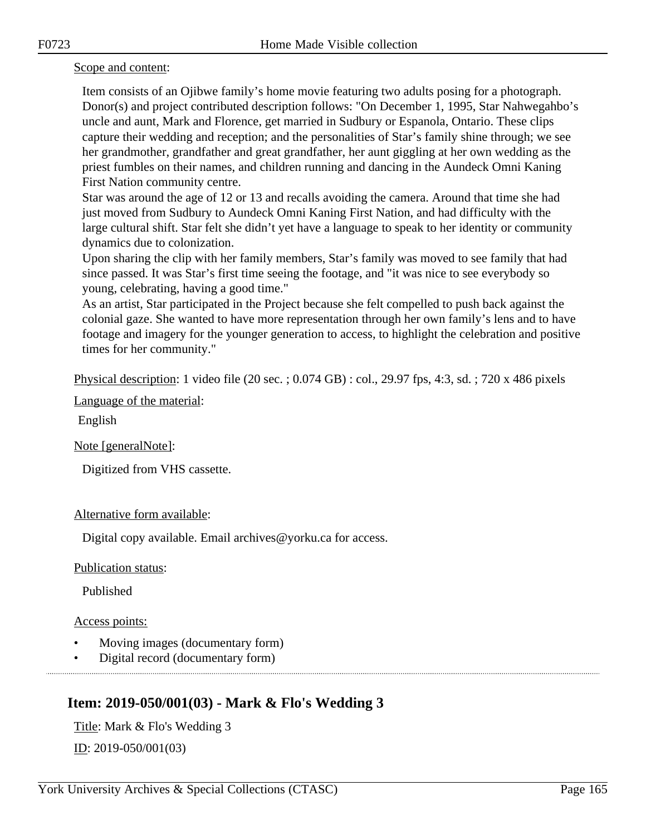#### Scope and content:

Item consists of an Ojibwe family's home movie featuring two adults posing for a photograph. Donor(s) and project contributed description follows: "On December 1, 1995, Star Nahwegahbo's uncle and aunt, Mark and Florence, get married in Sudbury or Espanola, Ontario. These clips capture their wedding and reception; and the personalities of Star's family shine through; we see her grandmother, grandfather and great grandfather, her aunt giggling at her own wedding as the priest fumbles on their names, and children running and dancing in the Aundeck Omni Kaning First Nation community centre.

Star was around the age of 12 or 13 and recalls avoiding the camera. Around that time she had just moved from Sudbury to Aundeck Omni Kaning First Nation, and had difficulty with the large cultural shift. Star felt she didn't yet have a language to speak to her identity or community dynamics due to colonization.

Upon sharing the clip with her family members, Star's family was moved to see family that had since passed. It was Star's first time seeing the footage, and "it was nice to see everybody so young, celebrating, having a good time."

As an artist, Star participated in the Project because she felt compelled to push back against the colonial gaze. She wanted to have more representation through her own family's lens and to have footage and imagery for the younger generation to access, to highlight the celebration and positive times for her community."

Physical description: 1 video file (20 sec. ; 0.074 GB) : col., 29.97 fps, 4:3, sd. ; 720 x 486 pixels

Language of the material:

English

Note [generalNote]:

Digitized from VHS cassette.

#### Alternative form available:

Digital copy available. Email archives@yorku.ca for access.

Publication status:

Published

### Access points:

- Moving images (documentary form)
- Digital record (documentary form)

# **Item: 2019-050/001(03) - Mark & Flo's Wedding 3**

Title: Mark & Flo's Wedding 3 ID: 2019-050/001(03)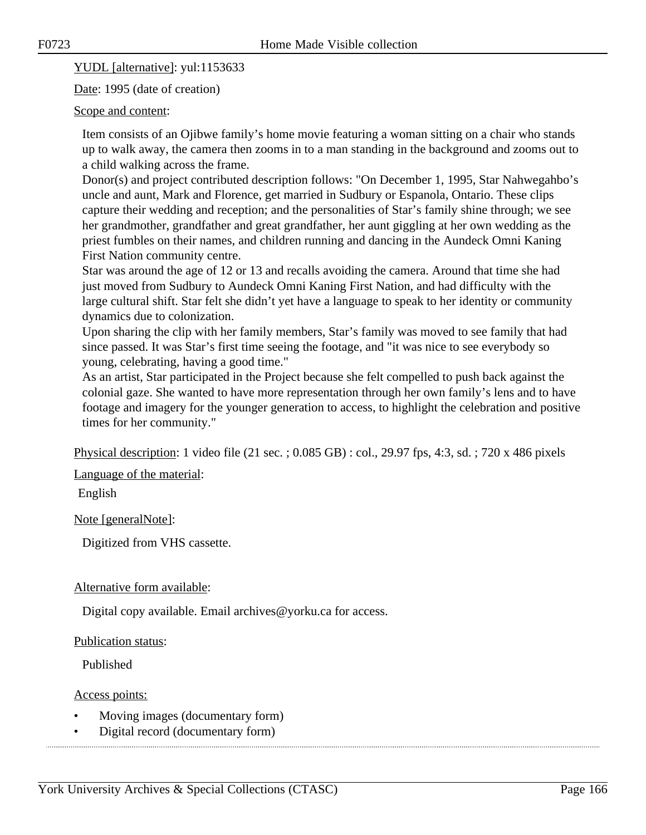YUDL [alternative]: yul:1153633

Date: 1995 (date of creation)

#### Scope and content:

Item consists of an Ojibwe family's home movie featuring a woman sitting on a chair who stands up to walk away, the camera then zooms in to a man standing in the background and zooms out to a child walking across the frame.

Donor(s) and project contributed description follows: "On December 1, 1995, Star Nahwegahbo's uncle and aunt, Mark and Florence, get married in Sudbury or Espanola, Ontario. These clips capture their wedding and reception; and the personalities of Star's family shine through; we see her grandmother, grandfather and great grandfather, her aunt giggling at her own wedding as the priest fumbles on their names, and children running and dancing in the Aundeck Omni Kaning First Nation community centre.

Star was around the age of 12 or 13 and recalls avoiding the camera. Around that time she had just moved from Sudbury to Aundeck Omni Kaning First Nation, and had difficulty with the large cultural shift. Star felt she didn't yet have a language to speak to her identity or community dynamics due to colonization.

Upon sharing the clip with her family members, Star's family was moved to see family that had since passed. It was Star's first time seeing the footage, and "it was nice to see everybody so young, celebrating, having a good time."

As an artist, Star participated in the Project because she felt compelled to push back against the colonial gaze. She wanted to have more representation through her own family's lens and to have footage and imagery for the younger generation to access, to highlight the celebration and positive times for her community."

Physical description: 1 video file (21 sec. ; 0.085 GB) : col., 29.97 fps, 4:3, sd. ; 720 x 486 pixels

Language of the material:

English

Note [generalNote]:

Digitized from VHS cassette.

#### Alternative form available:

Digital copy available. Email archives@yorku.ca for access.

#### Publication status:

Published

Access points:

- Moving images (documentary form)
- Digital record (documentary form)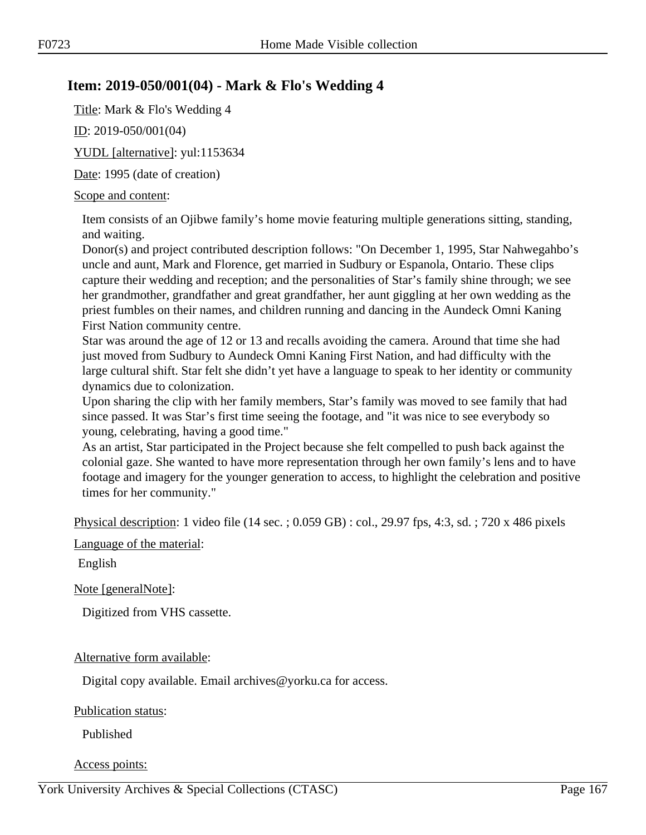# **Item: 2019-050/001(04) - Mark & Flo's Wedding 4**

Title: Mark & Flo's Wedding 4

ID: 2019-050/001(04)

YUDL [alternative]: yul:1153634

Date: 1995 (date of creation)

#### Scope and content:

Item consists of an Ojibwe family's home movie featuring multiple generations sitting, standing, and waiting.

Donor(s) and project contributed description follows: "On December 1, 1995, Star Nahwegahbo's uncle and aunt, Mark and Florence, get married in Sudbury or Espanola, Ontario. These clips capture their wedding and reception; and the personalities of Star's family shine through; we see her grandmother, grandfather and great grandfather, her aunt giggling at her own wedding as the priest fumbles on their names, and children running and dancing in the Aundeck Omni Kaning First Nation community centre.

Star was around the age of 12 or 13 and recalls avoiding the camera. Around that time she had just moved from Sudbury to Aundeck Omni Kaning First Nation, and had difficulty with the large cultural shift. Star felt she didn't yet have a language to speak to her identity or community dynamics due to colonization.

Upon sharing the clip with her family members, Star's family was moved to see family that had since passed. It was Star's first time seeing the footage, and "it was nice to see everybody so young, celebrating, having a good time."

As an artist, Star participated in the Project because she felt compelled to push back against the colonial gaze. She wanted to have more representation through her own family's lens and to have footage and imagery for the younger generation to access, to highlight the celebration and positive times for her community."

Physical description: 1 video file (14 sec. ; 0.059 GB) : col., 29.97 fps, 4:3, sd. ; 720 x 486 pixels

Language of the material:

English

Note [generalNote]:

Digitized from VHS cassette.

#### Alternative form available:

Digital copy available. Email archives@yorku.ca for access.

Publication status:

Published

Access points: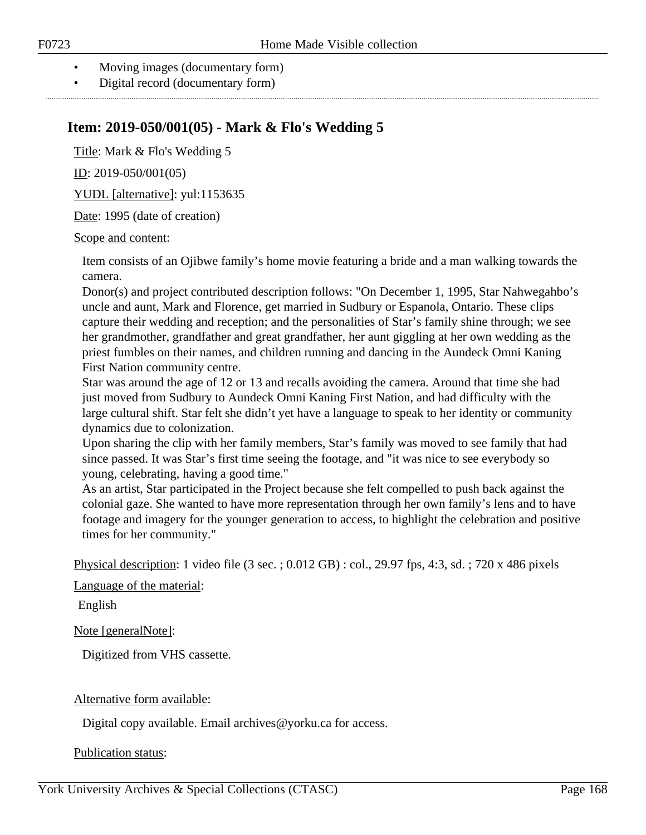- Moving images (documentary form)
- Digital record (documentary form)

# **Item: 2019-050/001(05) - Mark & Flo's Wedding 5**

Title: Mark & Flo's Wedding 5

ID: 2019-050/001(05)

YUDL [alternative]: yul:1153635

Date: 1995 (date of creation)

#### Scope and content:

Item consists of an Ojibwe family's home movie featuring a bride and a man walking towards the camera.

Donor(s) and project contributed description follows: "On December 1, 1995, Star Nahwegahbo's uncle and aunt, Mark and Florence, get married in Sudbury or Espanola, Ontario. These clips capture their wedding and reception; and the personalities of Star's family shine through; we see her grandmother, grandfather and great grandfather, her aunt giggling at her own wedding as the priest fumbles on their names, and children running and dancing in the Aundeck Omni Kaning First Nation community centre.

Star was around the age of 12 or 13 and recalls avoiding the camera. Around that time she had just moved from Sudbury to Aundeck Omni Kaning First Nation, and had difficulty with the large cultural shift. Star felt she didn't yet have a language to speak to her identity or community dynamics due to colonization.

Upon sharing the clip with her family members, Star's family was moved to see family that had since passed. It was Star's first time seeing the footage, and "it was nice to see everybody so young, celebrating, having a good time."

As an artist, Star participated in the Project because she felt compelled to push back against the colonial gaze. She wanted to have more representation through her own family's lens and to have footage and imagery for the younger generation to access, to highlight the celebration and positive times for her community."

Physical description: 1 video file (3 sec. ; 0.012 GB) : col., 29.97 fps, 4:3, sd. ; 720 x 486 pixels

Language of the material:

English

Note [generalNote]:

Digitized from VHS cassette.

#### Alternative form available:

Digital copy available. Email archives@yorku.ca for access.

#### Publication status: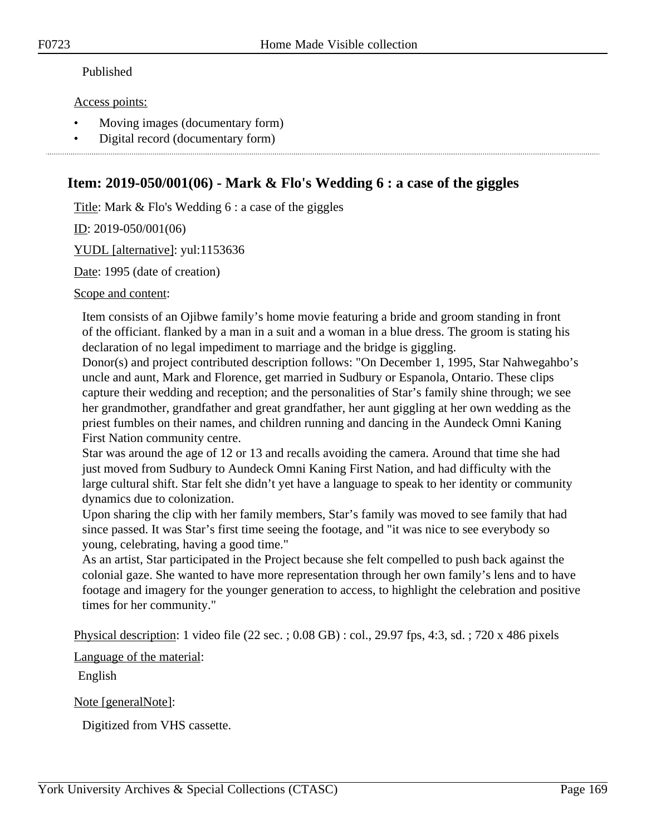#### Published

#### Access points:

- Moving images (documentary form)
- Digital record (documentary form)

# **Item: 2019-050/001(06) - Mark & Flo's Wedding 6 : a case of the giggles**

Title: Mark & Flo's Wedding 6 : a case of the giggles

ID: 2019-050/001(06)

YUDL [alternative]: yul:1153636

Date: 1995 (date of creation)

Scope and content:

Item consists of an Ojibwe family's home movie featuring a bride and groom standing in front of the officiant. flanked by a man in a suit and a woman in a blue dress. The groom is stating his declaration of no legal impediment to marriage and the bridge is giggling.

Donor(s) and project contributed description follows: "On December 1, 1995, Star Nahwegahbo's uncle and aunt, Mark and Florence, get married in Sudbury or Espanola, Ontario. These clips capture their wedding and reception; and the personalities of Star's family shine through; we see her grandmother, grandfather and great grandfather, her aunt giggling at her own wedding as the priest fumbles on their names, and children running and dancing in the Aundeck Omni Kaning First Nation community centre.

Star was around the age of 12 or 13 and recalls avoiding the camera. Around that time she had just moved from Sudbury to Aundeck Omni Kaning First Nation, and had difficulty with the large cultural shift. Star felt she didn't yet have a language to speak to her identity or community dynamics due to colonization.

Upon sharing the clip with her family members, Star's family was moved to see family that had since passed. It was Star's first time seeing the footage, and "it was nice to see everybody so young, celebrating, having a good time."

As an artist, Star participated in the Project because she felt compelled to push back against the colonial gaze. She wanted to have more representation through her own family's lens and to have footage and imagery for the younger generation to access, to highlight the celebration and positive times for her community."

Physical description: 1 video file (22 sec. ; 0.08 GB) : col., 29.97 fps, 4:3, sd. ; 720 x 486 pixels

Language of the material:

English

Note [generalNote]:

Digitized from VHS cassette.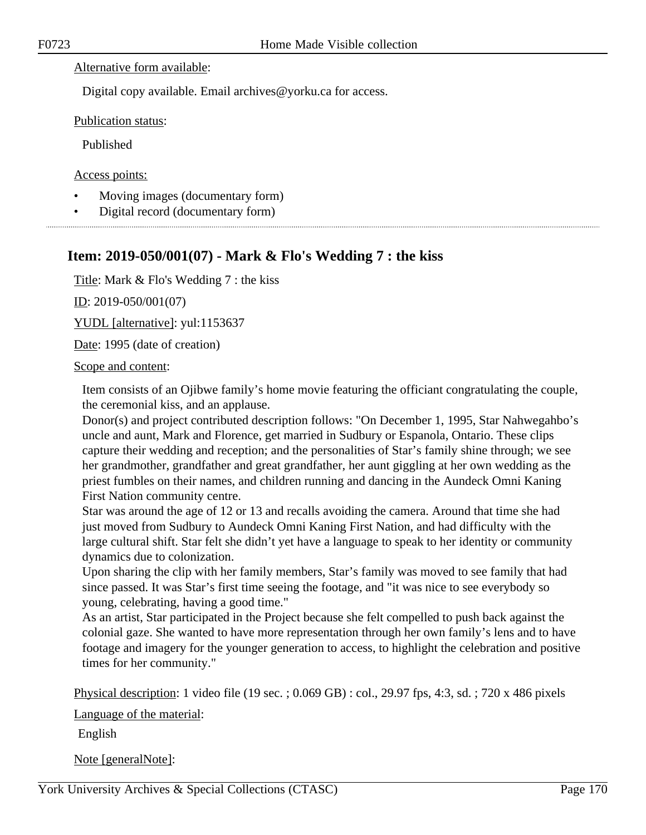#### Alternative form available:

Digital copy available. Email archives@yorku.ca for access.

Publication status:

Published

Access points:

- Moving images (documentary form)
- Digital record (documentary form)

# **Item: 2019-050/001(07) - Mark & Flo's Wedding 7 : the kiss**

Title: Mark & Flo's Wedding 7 : the kiss

ID: 2019-050/001(07)

YUDL [alternative]: yul:1153637

Date: 1995 (date of creation)

Scope and content:

Item consists of an Ojibwe family's home movie featuring the officiant congratulating the couple, the ceremonial kiss, and an applause.

Donor(s) and project contributed description follows: "On December 1, 1995, Star Nahwegahbo's uncle and aunt, Mark and Florence, get married in Sudbury or Espanola, Ontario. These clips capture their wedding and reception; and the personalities of Star's family shine through; we see her grandmother, grandfather and great grandfather, her aunt giggling at her own wedding as the priest fumbles on their names, and children running and dancing in the Aundeck Omni Kaning First Nation community centre.

Star was around the age of 12 or 13 and recalls avoiding the camera. Around that time she had just moved from Sudbury to Aundeck Omni Kaning First Nation, and had difficulty with the large cultural shift. Star felt she didn't yet have a language to speak to her identity or community dynamics due to colonization.

Upon sharing the clip with her family members, Star's family was moved to see family that had since passed. It was Star's first time seeing the footage, and "it was nice to see everybody so young, celebrating, having a good time."

As an artist, Star participated in the Project because she felt compelled to push back against the colonial gaze. She wanted to have more representation through her own family's lens and to have footage and imagery for the younger generation to access, to highlight the celebration and positive times for her community."

Physical description: 1 video file (19 sec. ; 0.069 GB) : col., 29.97 fps, 4:3, sd. ; 720 x 486 pixels

Language of the material:

English

Note [generalNote]: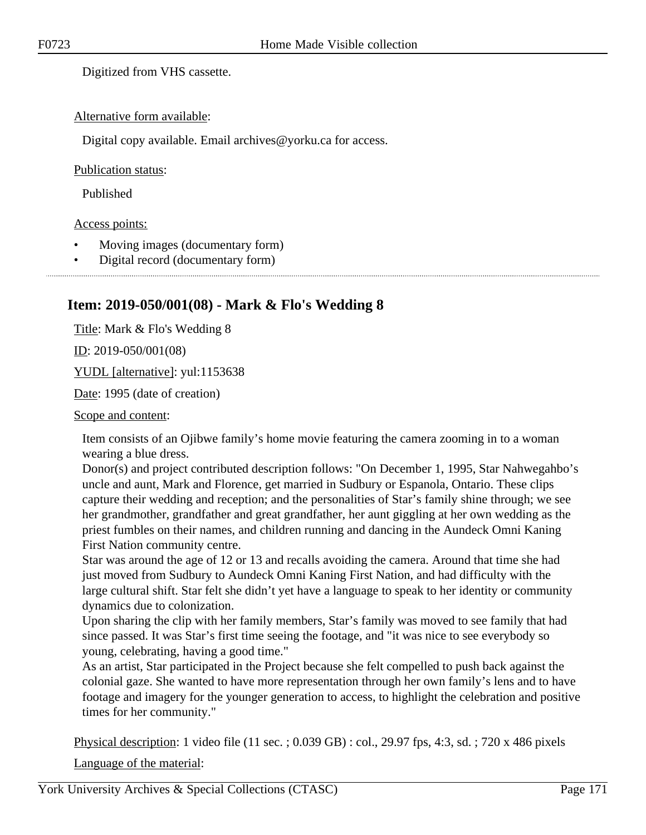Digitized from VHS cassette.

#### Alternative form available:

Digital copy available. Email archives@yorku.ca for access.

#### Publication status:

Published

#### Access points:

- Moving images (documentary form)
- Digital record (documentary form)

# **Item: 2019-050/001(08) - Mark & Flo's Wedding 8**

Title: Mark & Flo's Wedding 8

 $ID: 2019-050/001(08)$ 

YUDL [alternative]: yul:1153638

Date: 1995 (date of creation)

Scope and content:

Item consists of an Ojibwe family's home movie featuring the camera zooming in to a woman wearing a blue dress.

Donor(s) and project contributed description follows: "On December 1, 1995, Star Nahwegahbo's uncle and aunt, Mark and Florence, get married in Sudbury or Espanola, Ontario. These clips capture their wedding and reception; and the personalities of Star's family shine through; we see her grandmother, grandfather and great grandfather, her aunt giggling at her own wedding as the priest fumbles on their names, and children running and dancing in the Aundeck Omni Kaning First Nation community centre.

Star was around the age of 12 or 13 and recalls avoiding the camera. Around that time she had just moved from Sudbury to Aundeck Omni Kaning First Nation, and had difficulty with the large cultural shift. Star felt she didn't yet have a language to speak to her identity or community dynamics due to colonization.

Upon sharing the clip with her family members, Star's family was moved to see family that had since passed. It was Star's first time seeing the footage, and "it was nice to see everybody so young, celebrating, having a good time."

As an artist, Star participated in the Project because she felt compelled to push back against the colonial gaze. She wanted to have more representation through her own family's lens and to have footage and imagery for the younger generation to access, to highlight the celebration and positive times for her community."

Physical description: 1 video file (11 sec. ; 0.039 GB) : col., 29.97 fps, 4:3, sd. ; 720 x 486 pixels

Language of the material: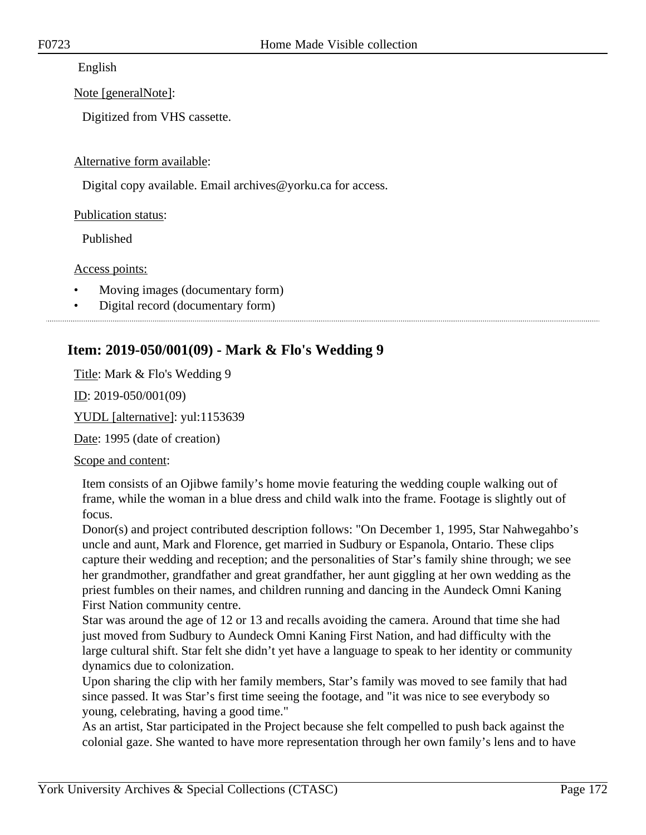English

Note [generalNote]:

Digitized from VHS cassette.

Alternative form available:

Digital copy available. Email archives@yorku.ca for access.

Publication status:

Published

Access points:

- Moving images (documentary form)
- Digital record (documentary form)

# **Item: 2019-050/001(09) - Mark & Flo's Wedding 9**

Title: Mark & Flo's Wedding 9

ID: 2019-050/001(09)

YUDL [alternative]: yul:1153639

Date: 1995 (date of creation)

Scope and content:

Item consists of an Ojibwe family's home movie featuring the wedding couple walking out of frame, while the woman in a blue dress and child walk into the frame. Footage is slightly out of focus.

Donor(s) and project contributed description follows: "On December 1, 1995, Star Nahwegahbo's uncle and aunt, Mark and Florence, get married in Sudbury or Espanola, Ontario. These clips capture their wedding and reception; and the personalities of Star's family shine through; we see her grandmother, grandfather and great grandfather, her aunt giggling at her own wedding as the priest fumbles on their names, and children running and dancing in the Aundeck Omni Kaning First Nation community centre.

Star was around the age of 12 or 13 and recalls avoiding the camera. Around that time she had just moved from Sudbury to Aundeck Omni Kaning First Nation, and had difficulty with the large cultural shift. Star felt she didn't yet have a language to speak to her identity or community dynamics due to colonization.

Upon sharing the clip with her family members, Star's family was moved to see family that had since passed. It was Star's first time seeing the footage, and "it was nice to see everybody so young, celebrating, having a good time."

As an artist, Star participated in the Project because she felt compelled to push back against the colonial gaze. She wanted to have more representation through her own family's lens and to have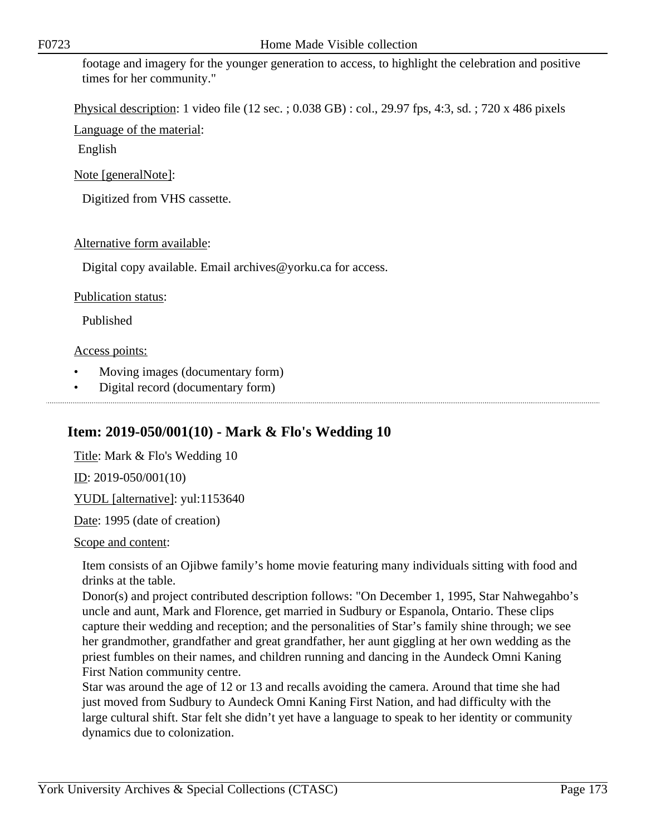footage and imagery for the younger generation to access, to highlight the celebration and positive times for her community."

Physical description: 1 video file (12 sec. ; 0.038 GB) : col., 29.97 fps, 4:3, sd. ; 720 x 486 pixels

Language of the material:

English

Note [generalNote]:

Digitized from VHS cassette.

#### Alternative form available:

Digital copy available. Email archives@yorku.ca for access.

#### Publication status:

Published

#### Access points:

- Moving images (documentary form)
- Digital record (documentary form)

# **Item: 2019-050/001(10) - Mark & Flo's Wedding 10**

Title: Mark & Flo's Wedding 10 ID: 2019-050/001(10) YUDL [alternative]: yul:1153640 Date: 1995 (date of creation)

Scope and content:

Item consists of an Ojibwe family's home movie featuring many individuals sitting with food and drinks at the table.

Donor(s) and project contributed description follows: "On December 1, 1995, Star Nahwegahbo's uncle and aunt, Mark and Florence, get married in Sudbury or Espanola, Ontario. These clips capture their wedding and reception; and the personalities of Star's family shine through; we see her grandmother, grandfather and great grandfather, her aunt giggling at her own wedding as the priest fumbles on their names, and children running and dancing in the Aundeck Omni Kaning First Nation community centre.

Star was around the age of 12 or 13 and recalls avoiding the camera. Around that time she had just moved from Sudbury to Aundeck Omni Kaning First Nation, and had difficulty with the large cultural shift. Star felt she didn't yet have a language to speak to her identity or community dynamics due to colonization.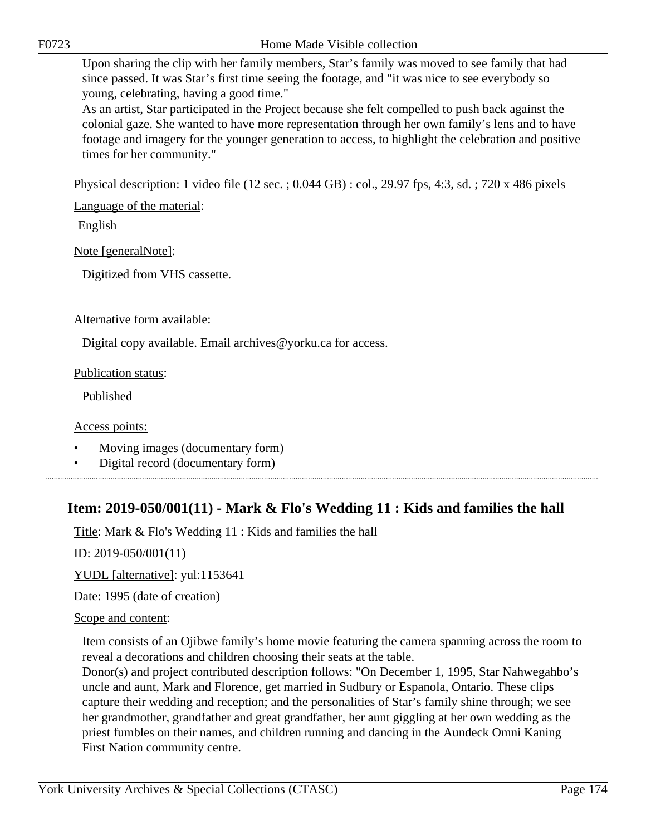Upon sharing the clip with her family members, Star's family was moved to see family that had since passed. It was Star's first time seeing the footage, and "it was nice to see everybody so young, celebrating, having a good time."

As an artist, Star participated in the Project because she felt compelled to push back against the colonial gaze. She wanted to have more representation through her own family's lens and to have footage and imagery for the younger generation to access, to highlight the celebration and positive times for her community."

Physical description: 1 video file (12 sec. ; 0.044 GB) : col., 29.97 fps, 4:3, sd. ; 720 x 486 pixels

Language of the material:

English

Note [generalNote]:

Digitized from VHS cassette.

Alternative form available:

Digital copy available. Email archives@yorku.ca for access.

Publication status:

Published

Access points:

- Moving images (documentary form)
- Digital record (documentary form)

# **Item: 2019-050/001(11) - Mark & Flo's Wedding 11 : Kids and families the hall**

Title: Mark & Flo's Wedding 11 : Kids and families the hall

ID: 2019-050/001(11)

YUDL [alternative]: yul:1153641

Date: 1995 (date of creation)

#### Scope and content:

Item consists of an Ojibwe family's home movie featuring the camera spanning across the room to reveal a decorations and children choosing their seats at the table.

Donor(s) and project contributed description follows: "On December 1, 1995, Star Nahwegahbo's uncle and aunt, Mark and Florence, get married in Sudbury or Espanola, Ontario. These clips capture their wedding and reception; and the personalities of Star's family shine through; we see her grandmother, grandfather and great grandfather, her aunt giggling at her own wedding as the priest fumbles on their names, and children running and dancing in the Aundeck Omni Kaning First Nation community centre.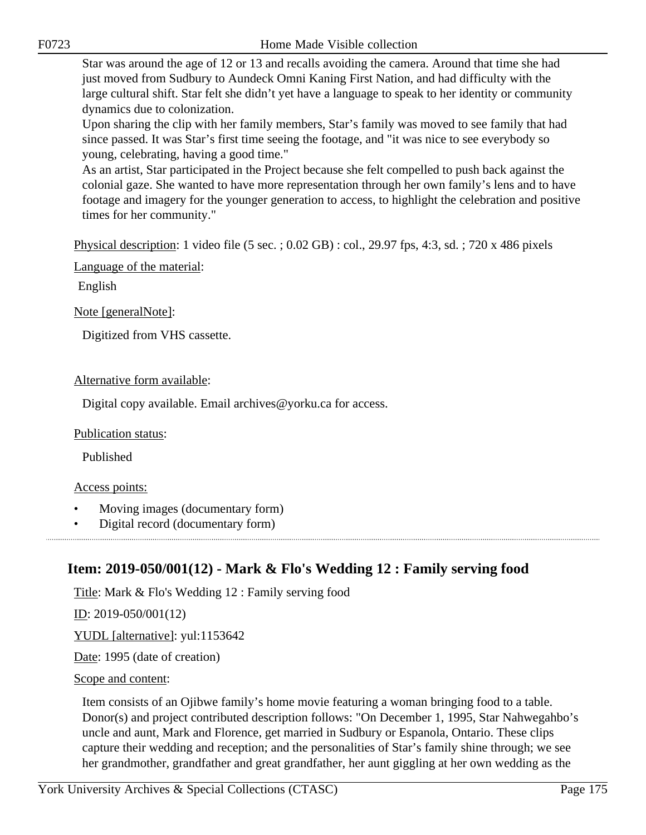Star was around the age of 12 or 13 and recalls avoiding the camera. Around that time she had just moved from Sudbury to Aundeck Omni Kaning First Nation, and had difficulty with the large cultural shift. Star felt she didn't yet have a language to speak to her identity or community dynamics due to colonization.

Upon sharing the clip with her family members, Star's family was moved to see family that had since passed. It was Star's first time seeing the footage, and "it was nice to see everybody so young, celebrating, having a good time."

As an artist, Star participated in the Project because she felt compelled to push back against the colonial gaze. She wanted to have more representation through her own family's lens and to have footage and imagery for the younger generation to access, to highlight the celebration and positive times for her community."

Physical description: 1 video file (5 sec. ; 0.02 GB) : col., 29.97 fps, 4:3, sd. ; 720 x 486 pixels

Language of the material:

English

Note [generalNote]:

Digitized from VHS cassette.

#### Alternative form available:

Digital copy available. Email archives@yorku.ca for access.

#### Publication status:

Published

### Access points:

- Moving images (documentary form)
- Digital record (documentary form)

# **Item: 2019-050/001(12) - Mark & Flo's Wedding 12 : Family serving food**

Title: Mark & Flo's Wedding 12 : Family serving food

ID: 2019-050/001(12)

YUDL [alternative]: yul:1153642

Date: 1995 (date of creation)

#### Scope and content:

Item consists of an Ojibwe family's home movie featuring a woman bringing food to a table. Donor(s) and project contributed description follows: "On December 1, 1995, Star Nahwegahbo's uncle and aunt, Mark and Florence, get married in Sudbury or Espanola, Ontario. These clips capture their wedding and reception; and the personalities of Star's family shine through; we see her grandmother, grandfather and great grandfather, her aunt giggling at her own wedding as the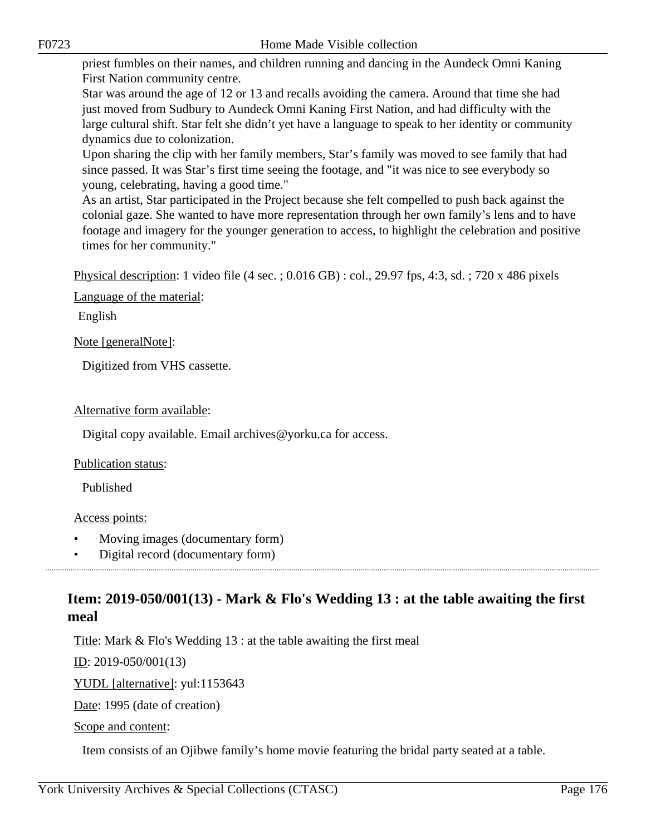priest fumbles on their names, and children running and dancing in the Aundeck Omni Kaning First Nation community centre.

Star was around the age of 12 or 13 and recalls avoiding the camera. Around that time she had just moved from Sudbury to Aundeck Omni Kaning First Nation, and had difficulty with the large cultural shift. Star felt she didn't yet have a language to speak to her identity or community dynamics due to colonization.

Upon sharing the clip with her family members, Star's family was moved to see family that had since passed. It was Star's first time seeing the footage, and "it was nice to see everybody so young, celebrating, having a good time."

As an artist, Star participated in the Project because she felt compelled to push back against the colonial gaze. She wanted to have more representation through her own family's lens and to have footage and imagery for the younger generation to access, to highlight the celebration and positive times for her community."

Physical description: 1 video file (4 sec. ; 0.016 GB) : col., 29.97 fps, 4:3, sd. ; 720 x 486 pixels

Language of the material:

English

Note [generalNote]:

Digitized from VHS cassette.

Alternative form available:

Digital copy available. Email archives@yorku.ca for access.

Publication status:

Published

#### Access points:

- Moving images (documentary form)
- Digital record (documentary form)

# **Item: 2019-050/001(13) - Mark & Flo's Wedding 13 : at the table awaiting the first meal**

Title: Mark & Flo's Wedding 13 : at the table awaiting the first meal

ID: 2019-050/001(13)

YUDL [alternative]: yul:1153643

Date: 1995 (date of creation)

Scope and content:

Item consists of an Ojibwe family's home movie featuring the bridal party seated at a table.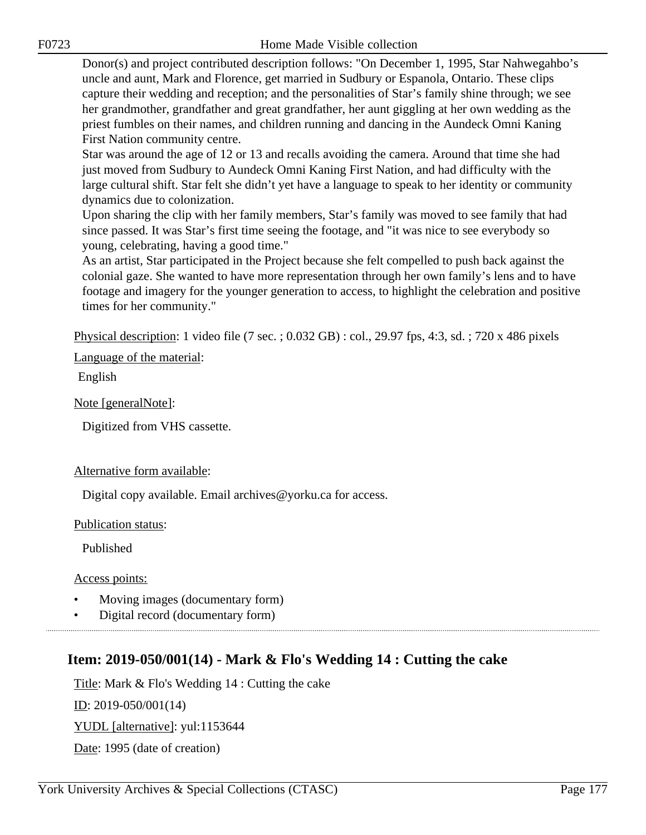Donor(s) and project contributed description follows: "On December 1, 1995, Star Nahwegahbo's uncle and aunt, Mark and Florence, get married in Sudbury or Espanola, Ontario. These clips capture their wedding and reception; and the personalities of Star's family shine through; we see her grandmother, grandfather and great grandfather, her aunt giggling at her own wedding as the priest fumbles on their names, and children running and dancing in the Aundeck Omni Kaning First Nation community centre.

Star was around the age of 12 or 13 and recalls avoiding the camera. Around that time she had just moved from Sudbury to Aundeck Omni Kaning First Nation, and had difficulty with the large cultural shift. Star felt she didn't yet have a language to speak to her identity or community dynamics due to colonization.

Upon sharing the clip with her family members, Star's family was moved to see family that had since passed. It was Star's first time seeing the footage, and "it was nice to see everybody so young, celebrating, having a good time."

As an artist, Star participated in the Project because she felt compelled to push back against the colonial gaze. She wanted to have more representation through her own family's lens and to have footage and imagery for the younger generation to access, to highlight the celebration and positive times for her community."

Physical description: 1 video file (7 sec. ; 0.032 GB) : col., 29.97 fps, 4:3, sd. ; 720 x 486 pixels

Language of the material:

English

Note [generalNote]:

Digitized from VHS cassette.

### Alternative form available:

Digital copy available. Email archives@yorku.ca for access.

Publication status:

Published

Access points:

- Moving images (documentary form)
- Digital record (documentary form)

# **Item: 2019-050/001(14) - Mark & Flo's Wedding 14 : Cutting the cake**

Title: Mark & Flo's Wedding 14 : Cutting the cake

ID: 2019-050/001(14)

YUDL [alternative]: yul:1153644

Date: 1995 (date of creation)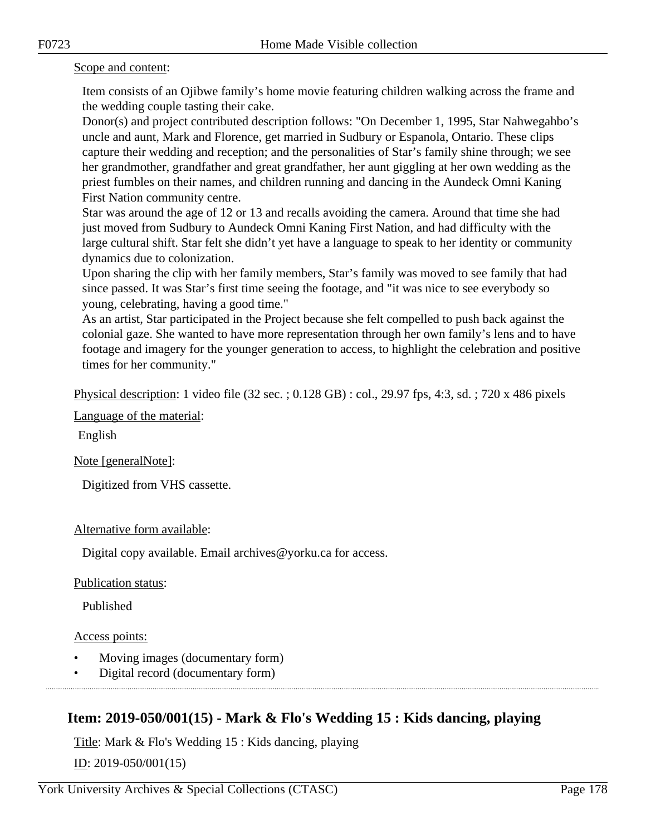#### Scope and content:

Item consists of an Ojibwe family's home movie featuring children walking across the frame and the wedding couple tasting their cake.

Donor(s) and project contributed description follows: "On December 1, 1995, Star Nahwegahbo's uncle and aunt, Mark and Florence, get married in Sudbury or Espanola, Ontario. These clips capture their wedding and reception; and the personalities of Star's family shine through; we see her grandmother, grandfather and great grandfather, her aunt giggling at her own wedding as the priest fumbles on their names, and children running and dancing in the Aundeck Omni Kaning First Nation community centre.

Star was around the age of 12 or 13 and recalls avoiding the camera. Around that time she had just moved from Sudbury to Aundeck Omni Kaning First Nation, and had difficulty with the large cultural shift. Star felt she didn't yet have a language to speak to her identity or community dynamics due to colonization.

Upon sharing the clip with her family members, Star's family was moved to see family that had since passed. It was Star's first time seeing the footage, and "it was nice to see everybody so young, celebrating, having a good time."

As an artist, Star participated in the Project because she felt compelled to push back against the colonial gaze. She wanted to have more representation through her own family's lens and to have footage and imagery for the younger generation to access, to highlight the celebration and positive times for her community."

Physical description: 1 video file (32 sec. ; 0.128 GB) : col., 29.97 fps, 4:3, sd. ; 720 x 486 pixels

Language of the material:

English

Note [generalNote]:

Digitized from VHS cassette.

Alternative form available:

Digital copy available. Email archives@yorku.ca for access.

Publication status:

Published

Access points:

- Moving images (documentary form)
- Digital record (documentary form)

# **Item: 2019-050/001(15) - Mark & Flo's Wedding 15 : Kids dancing, playing**

Title: Mark & Flo's Wedding 15 : Kids dancing, playing

<u>ID</u>: 2019-050/001(15)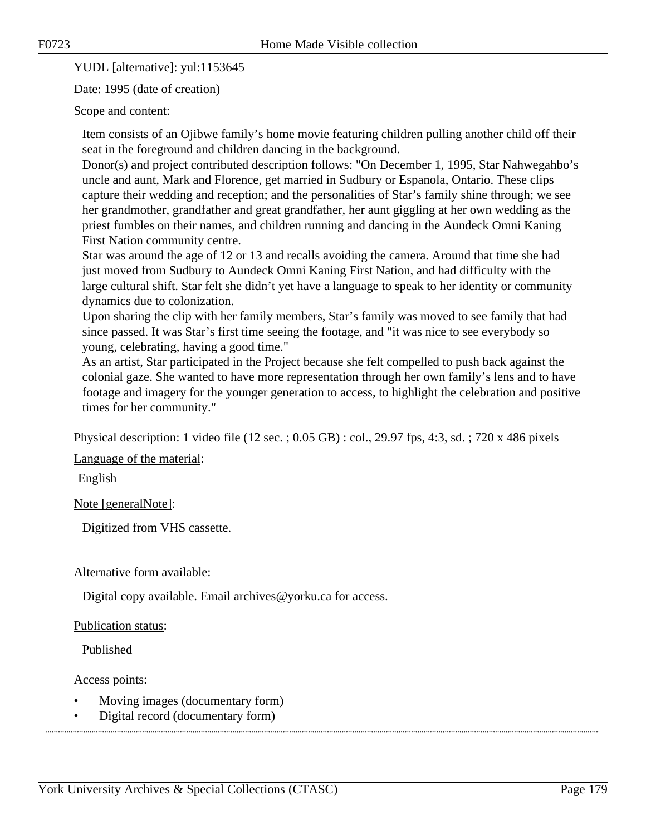YUDL [alternative]: yul:1153645

Date: 1995 (date of creation)

#### Scope and content:

Item consists of an Ojibwe family's home movie featuring children pulling another child off their seat in the foreground and children dancing in the background.

Donor(s) and project contributed description follows: "On December 1, 1995, Star Nahwegahbo's uncle and aunt, Mark and Florence, get married in Sudbury or Espanola, Ontario. These clips capture their wedding and reception; and the personalities of Star's family shine through; we see her grandmother, grandfather and great grandfather, her aunt giggling at her own wedding as the priest fumbles on their names, and children running and dancing in the Aundeck Omni Kaning First Nation community centre.

Star was around the age of 12 or 13 and recalls avoiding the camera. Around that time she had just moved from Sudbury to Aundeck Omni Kaning First Nation, and had difficulty with the large cultural shift. Star felt she didn't yet have a language to speak to her identity or community dynamics due to colonization.

Upon sharing the clip with her family members, Star's family was moved to see family that had since passed. It was Star's first time seeing the footage, and "it was nice to see everybody so young, celebrating, having a good time."

As an artist, Star participated in the Project because she felt compelled to push back against the colonial gaze. She wanted to have more representation through her own family's lens and to have footage and imagery for the younger generation to access, to highlight the celebration and positive times for her community."

Physical description: 1 video file (12 sec. ; 0.05 GB) : col., 29.97 fps, 4:3, sd. ; 720 x 486 pixels

Language of the material:

English

Note [generalNote]:

Digitized from VHS cassette.

#### Alternative form available:

Digital copy available. Email archives@yorku.ca for access.

#### Publication status:

Published

#### Access points:

- Moving images (documentary form)
- Digital record (documentary form)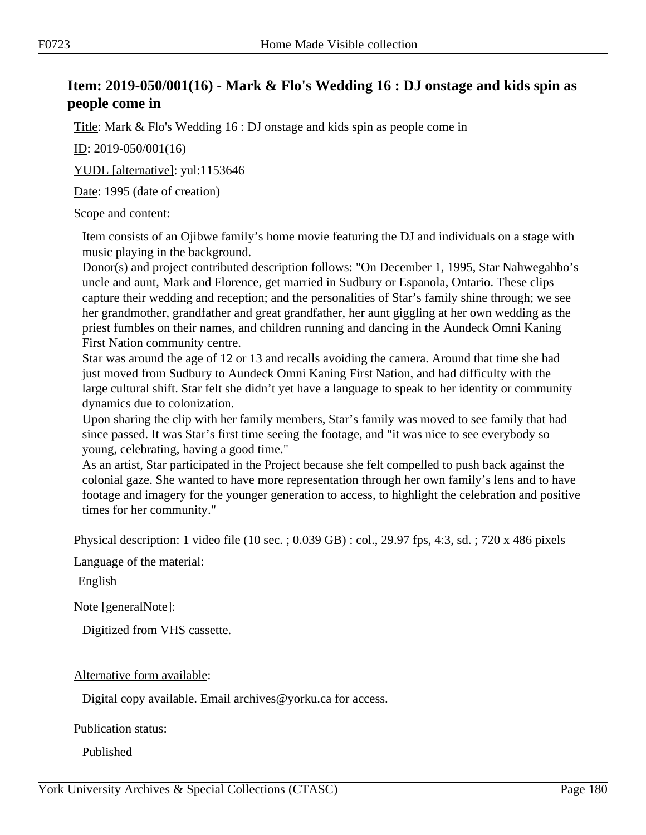# **Item: 2019-050/001(16) - Mark & Flo's Wedding 16 : DJ onstage and kids spin as people come in**

Title: Mark & Flo's Wedding 16 : DJ onstage and kids spin as people come in

ID: 2019-050/001(16)

YUDL [alternative]: yul:1153646

Date: 1995 (date of creation)

#### Scope and content:

Item consists of an Ojibwe family's home movie featuring the DJ and individuals on a stage with music playing in the background.

Donor(s) and project contributed description follows: "On December 1, 1995, Star Nahwegahbo's uncle and aunt, Mark and Florence, get married in Sudbury or Espanola, Ontario. These clips capture their wedding and reception; and the personalities of Star's family shine through; we see her grandmother, grandfather and great grandfather, her aunt giggling at her own wedding as the priest fumbles on their names, and children running and dancing in the Aundeck Omni Kaning First Nation community centre.

Star was around the age of 12 or 13 and recalls avoiding the camera. Around that time she had just moved from Sudbury to Aundeck Omni Kaning First Nation, and had difficulty with the large cultural shift. Star felt she didn't yet have a language to speak to her identity or community dynamics due to colonization.

Upon sharing the clip with her family members, Star's family was moved to see family that had since passed. It was Star's first time seeing the footage, and "it was nice to see everybody so young, celebrating, having a good time."

As an artist, Star participated in the Project because she felt compelled to push back against the colonial gaze. She wanted to have more representation through her own family's lens and to have footage and imagery for the younger generation to access, to highlight the celebration and positive times for her community."

Physical description: 1 video file (10 sec. ; 0.039 GB) : col., 29.97 fps, 4:3, sd. ; 720 x 486 pixels

Language of the material:

English

Note [generalNote]:

Digitized from VHS cassette.

Alternative form available:

Digital copy available. Email archives@yorku.ca for access.

Publication status:

Published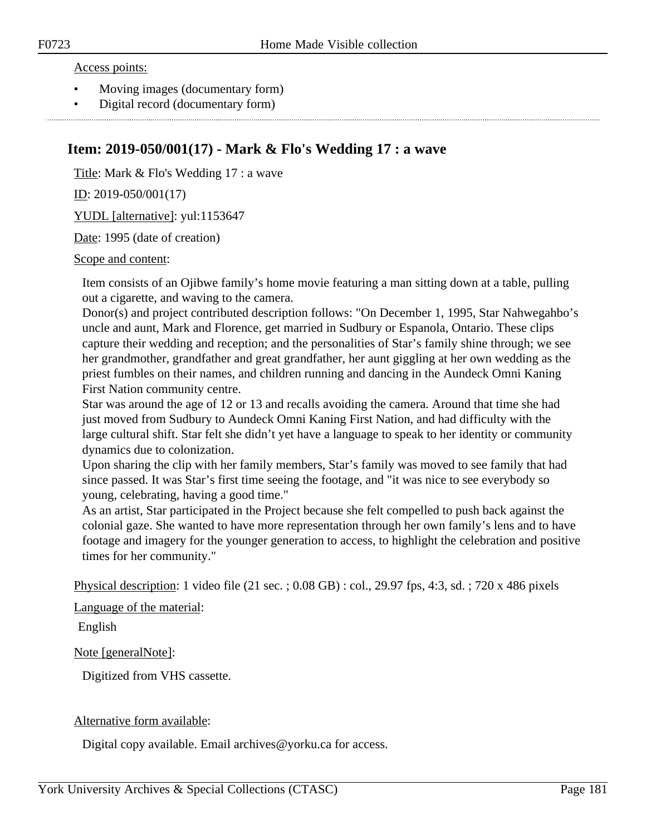#### Access points:

- Moving images (documentary form)
- Digital record (documentary form)

### **Item: 2019-050/001(17) - Mark & Flo's Wedding 17 : a wave**

Title: Mark & Flo's Wedding 17 : a wave

ID: 2019-050/001(17)

YUDL [alternative]: yul:1153647

Date: 1995 (date of creation)

#### Scope and content:

Item consists of an Ojibwe family's home movie featuring a man sitting down at a table, pulling out a cigarette, and waving to the camera.

Donor(s) and project contributed description follows: "On December 1, 1995, Star Nahwegahbo's uncle and aunt, Mark and Florence, get married in Sudbury or Espanola, Ontario. These clips capture their wedding and reception; and the personalities of Star's family shine through; we see her grandmother, grandfather and great grandfather, her aunt giggling at her own wedding as the priest fumbles on their names, and children running and dancing in the Aundeck Omni Kaning First Nation community centre.

Star was around the age of 12 or 13 and recalls avoiding the camera. Around that time she had just moved from Sudbury to Aundeck Omni Kaning First Nation, and had difficulty with the large cultural shift. Star felt she didn't yet have a language to speak to her identity or community dynamics due to colonization.

Upon sharing the clip with her family members, Star's family was moved to see family that had since passed. It was Star's first time seeing the footage, and "it was nice to see everybody so young, celebrating, having a good time."

As an artist, Star participated in the Project because she felt compelled to push back against the colonial gaze. She wanted to have more representation through her own family's lens and to have footage and imagery for the younger generation to access, to highlight the celebration and positive times for her community."

Physical description: 1 video file (21 sec. ; 0.08 GB) : col., 29.97 fps, 4:3, sd. ; 720 x 486 pixels

Language of the material:

English

#### Note [generalNote]:

Digitized from VHS cassette.

#### Alternative form available:

Digital copy available. Email archives@yorku.ca for access.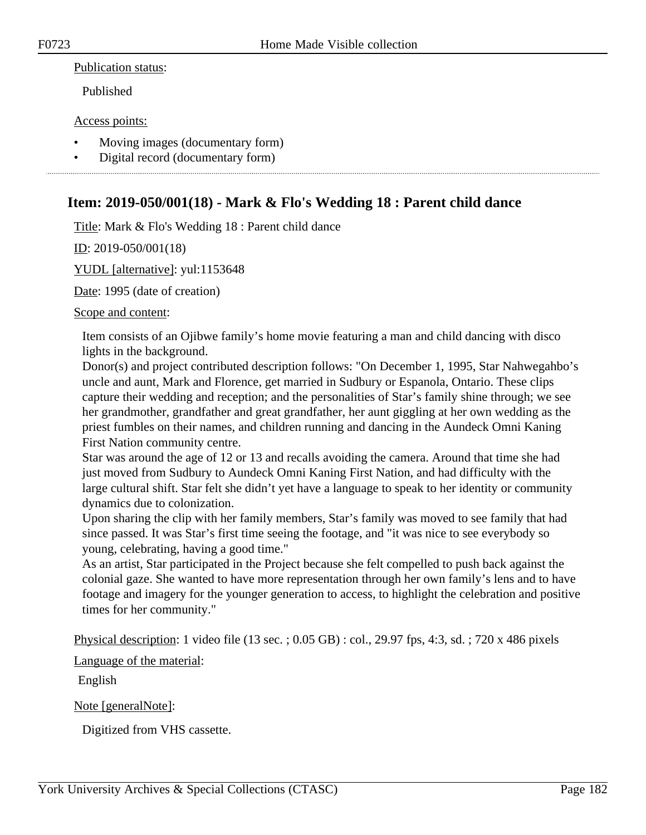#### Publication status:

Published

#### Access points:

- Moving images (documentary form)
- Digital record (documentary form)

### **Item: 2019-050/001(18) - Mark & Flo's Wedding 18 : Parent child dance**

Title: Mark & Flo's Wedding 18 : Parent child dance

ID: 2019-050/001(18)

YUDL [alternative]: yul:1153648

Date: 1995 (date of creation)

#### Scope and content:

Item consists of an Ojibwe family's home movie featuring a man and child dancing with disco lights in the background.

Donor(s) and project contributed description follows: "On December 1, 1995, Star Nahwegahbo's uncle and aunt, Mark and Florence, get married in Sudbury or Espanola, Ontario. These clips capture their wedding and reception; and the personalities of Star's family shine through; we see her grandmother, grandfather and great grandfather, her aunt giggling at her own wedding as the priest fumbles on their names, and children running and dancing in the Aundeck Omni Kaning First Nation community centre.

Star was around the age of 12 or 13 and recalls avoiding the camera. Around that time she had just moved from Sudbury to Aundeck Omni Kaning First Nation, and had difficulty with the large cultural shift. Star felt she didn't yet have a language to speak to her identity or community dynamics due to colonization.

Upon sharing the clip with her family members, Star's family was moved to see family that had since passed. It was Star's first time seeing the footage, and "it was nice to see everybody so young, celebrating, having a good time."

As an artist, Star participated in the Project because she felt compelled to push back against the colonial gaze. She wanted to have more representation through her own family's lens and to have footage and imagery for the younger generation to access, to highlight the celebration and positive times for her community."

Physical description: 1 video file (13 sec. ; 0.05 GB) : col., 29.97 fps, 4:3, sd. ; 720 x 486 pixels

Language of the material:

English

Note [generalNote]:

Digitized from VHS cassette.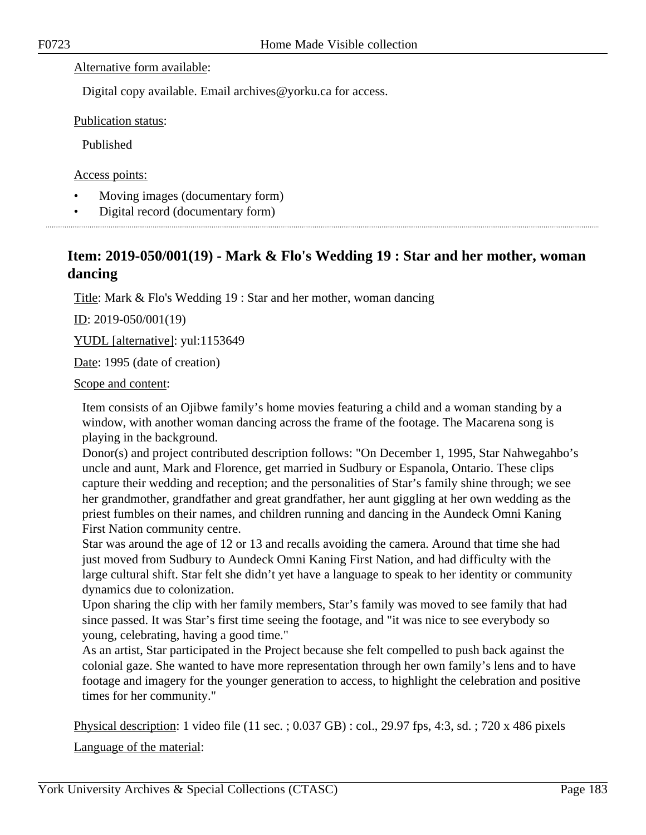#### Alternative form available:

Digital copy available. Email archives@yorku.ca for access.

Publication status:

Published

Access points:

- Moving images (documentary form)
- Digital record (documentary form)

# **Item: 2019-050/001(19) - Mark & Flo's Wedding 19 : Star and her mother, woman dancing**

Title: Mark & Flo's Wedding 19 : Star and her mother, woman dancing

ID: 2019-050/001(19)

YUDL [alternative]: yul:1153649

Date: 1995 (date of creation)

#### Scope and content:

Item consists of an Ojibwe family's home movies featuring a child and a woman standing by a window, with another woman dancing across the frame of the footage. The Macarena song is playing in the background.

Donor(s) and project contributed description follows: "On December 1, 1995, Star Nahwegahbo's uncle and aunt, Mark and Florence, get married in Sudbury or Espanola, Ontario. These clips capture their wedding and reception; and the personalities of Star's family shine through; we see her grandmother, grandfather and great grandfather, her aunt giggling at her own wedding as the priest fumbles on their names, and children running and dancing in the Aundeck Omni Kaning First Nation community centre.

Star was around the age of 12 or 13 and recalls avoiding the camera. Around that time she had just moved from Sudbury to Aundeck Omni Kaning First Nation, and had difficulty with the large cultural shift. Star felt she didn't yet have a language to speak to her identity or community dynamics due to colonization.

Upon sharing the clip with her family members, Star's family was moved to see family that had since passed. It was Star's first time seeing the footage, and "it was nice to see everybody so young, celebrating, having a good time."

As an artist, Star participated in the Project because she felt compelled to push back against the colonial gaze. She wanted to have more representation through her own family's lens and to have footage and imagery for the younger generation to access, to highlight the celebration and positive times for her community."

Physical description: 1 video file (11 sec. ; 0.037 GB) : col., 29.97 fps, 4:3, sd. ; 720 x 486 pixels

Language of the material: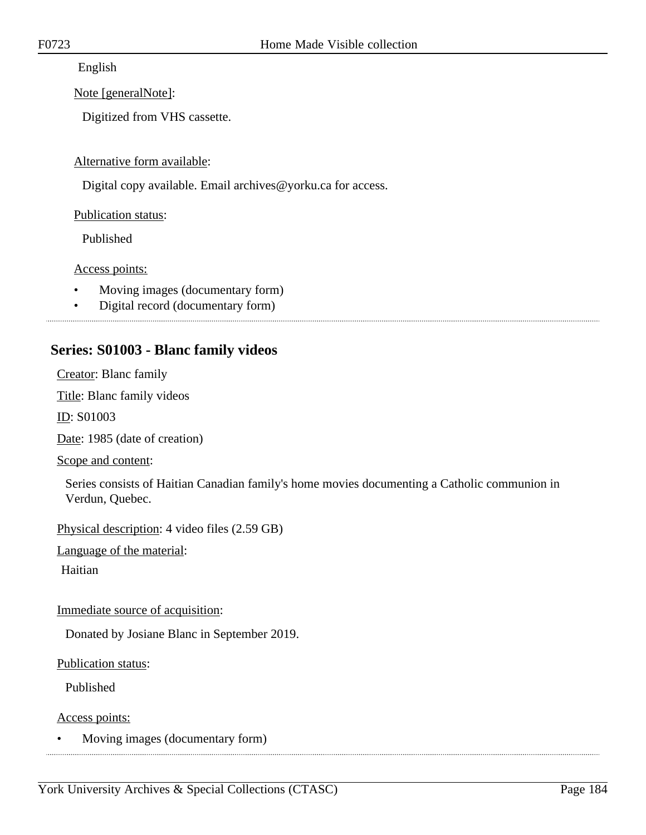English

Note [generalNote]:

Digitized from VHS cassette.

Alternative form available:

Digital copy available. Email archives@yorku.ca for access.

Publication status:

Published

Access points:

- Moving images (documentary form)
- Digital record (documentary form)

#### 

### **Series: S01003 - Blanc family videos**

Creator: Blanc family

Title: Blanc family videos

ID: S01003

Date: 1985 (date of creation)

Scope and content:

Series consists of Haitian Canadian family's home movies documenting a Catholic communion in Verdun, Quebec.

Physical description: 4 video files (2.59 GB)

Language of the material:

Haitian

Immediate source of acquisition:

Donated by Josiane Blanc in September 2019.

Publication status:

Published

Access points:

• Moving images (documentary form)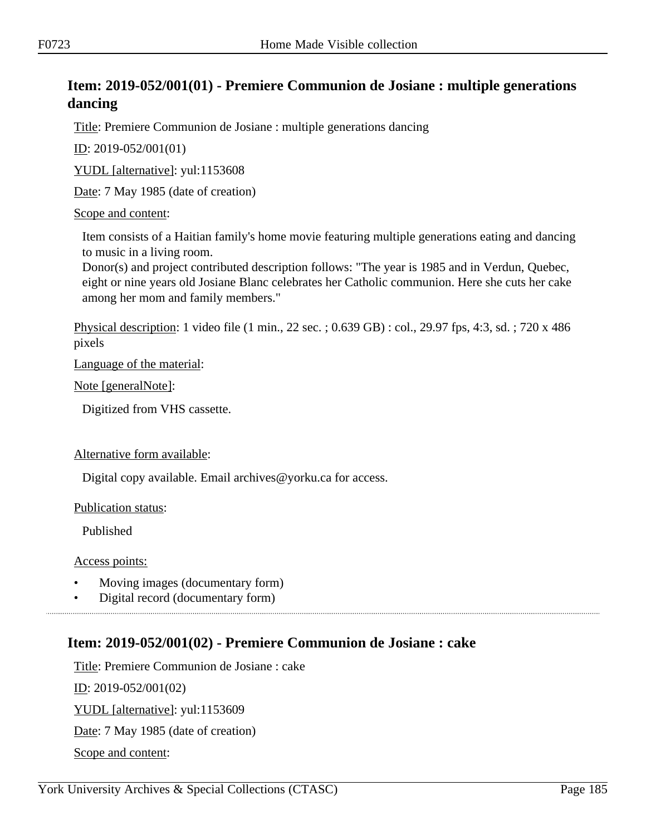# **Item: 2019-052/001(01) - Premiere Communion de Josiane : multiple generations dancing**

Title: Premiere Communion de Josiane : multiple generations dancing

ID: 2019-052/001(01)

YUDL [alternative]: yul:1153608

Date: 7 May 1985 (date of creation)

#### Scope and content:

Item consists of a Haitian family's home movie featuring multiple generations eating and dancing to music in a living room.

Donor(s) and project contributed description follows: "The year is 1985 and in Verdun, Quebec, eight or nine years old Josiane Blanc celebrates her Catholic communion. Here she cuts her cake among her mom and family members."

Physical description: 1 video file (1 min., 22 sec. ; 0.639 GB) : col., 29.97 fps, 4:3, sd. ; 720 x 486 pixels

Language of the material:

Note [generalNote]:

Digitized from VHS cassette.

#### Alternative form available:

Digital copy available. Email archives@yorku.ca for access.

Publication status:

Published

Access points:

- Moving images (documentary form)
- Digital record (documentary form)

### **Item: 2019-052/001(02) - Premiere Communion de Josiane : cake**

Title: Premiere Communion de Josiane : cake ID: 2019-052/001(02) YUDL [alternative]: yul:1153609 Date: 7 May 1985 (date of creation) Scope and content: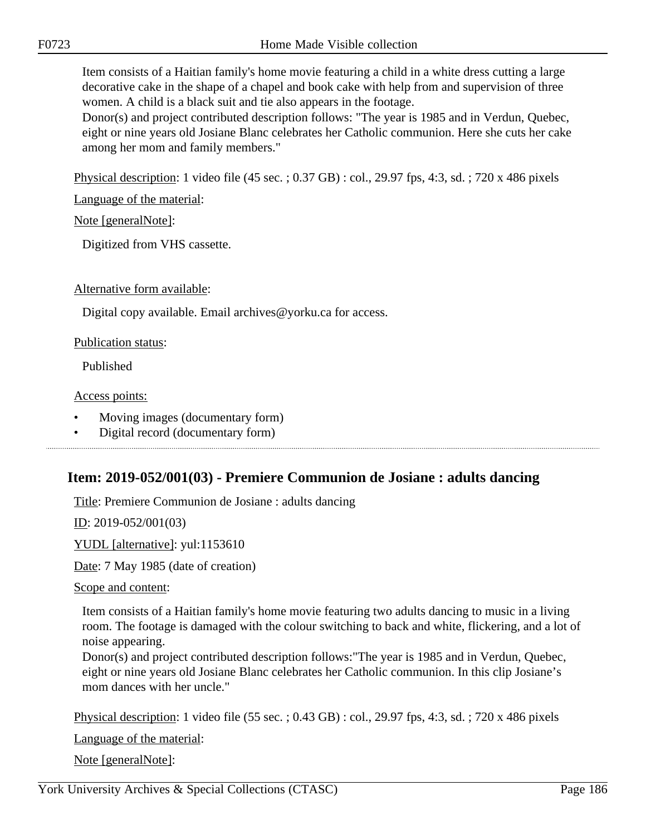Item consists of a Haitian family's home movie featuring a child in a white dress cutting a large decorative cake in the shape of a chapel and book cake with help from and supervision of three women. A child is a black suit and tie also appears in the footage.

Donor(s) and project contributed description follows: "The year is 1985 and in Verdun, Quebec, eight or nine years old Josiane Blanc celebrates her Catholic communion. Here she cuts her cake among her mom and family members."

Physical description: 1 video file (45 sec. ; 0.37 GB) : col., 29.97 fps, 4:3, sd. ; 720 x 486 pixels

Language of the material:

Note [generalNote]:

Digitized from VHS cassette.

Alternative form available:

Digital copy available. Email archives@yorku.ca for access.

Publication status:

Published

#### Access points:

- Moving images (documentary form)
- Digital record (documentary form)

### **Item: 2019-052/001(03) - Premiere Communion de Josiane : adults dancing**

Title: Premiere Communion de Josiane : adults dancing

ID: 2019-052/001(03)

YUDL [alternative]: yul:1153610

Date: 7 May 1985 (date of creation)

Scope and content:

Item consists of a Haitian family's home movie featuring two adults dancing to music in a living room. The footage is damaged with the colour switching to back and white, flickering, and a lot of noise appearing.

Donor(s) and project contributed description follows:"The year is 1985 and in Verdun, Quebec, eight or nine years old Josiane Blanc celebrates her Catholic communion. In this clip Josiane's mom dances with her uncle."

Physical description: 1 video file (55 sec. ; 0.43 GB) : col., 29.97 fps, 4:3, sd. ; 720 x 486 pixels

Language of the material:

Note [generalNote]: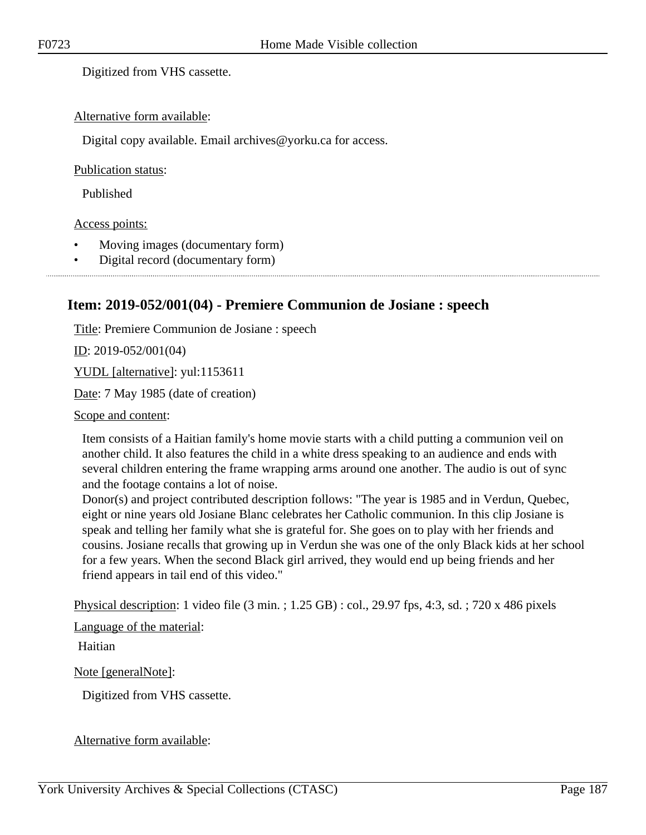Digitized from VHS cassette.

#### Alternative form available:

Digital copy available. Email archives@yorku.ca for access.

#### Publication status:

Published

#### Access points:

- Moving images (documentary form)
- Digital record (documentary form)

### **Item: 2019-052/001(04) - Premiere Communion de Josiane : speech**

Title: Premiere Communion de Josiane : speech

<u>ID</u>: 2019-052/001(04)

YUDL [alternative]: yul:1153611

Date: 7 May 1985 (date of creation)

Scope and content:

Item consists of a Haitian family's home movie starts with a child putting a communion veil on another child. It also features the child in a white dress speaking to an audience and ends with several children entering the frame wrapping arms around one another. The audio is out of sync and the footage contains a lot of noise.

Donor(s) and project contributed description follows: "The year is 1985 and in Verdun, Quebec, eight or nine years old Josiane Blanc celebrates her Catholic communion. In this clip Josiane is speak and telling her family what she is grateful for. She goes on to play with her friends and cousins. Josiane recalls that growing up in Verdun she was one of the only Black kids at her school for a few years. When the second Black girl arrived, they would end up being friends and her friend appears in tail end of this video."

Physical description: 1 video file (3 min. ; 1.25 GB) : col., 29.97 fps, 4:3, sd. ; 720 x 486 pixels

Language of the material:

Haitian

Note [generalNote]:

Digitized from VHS cassette.

Alternative form available: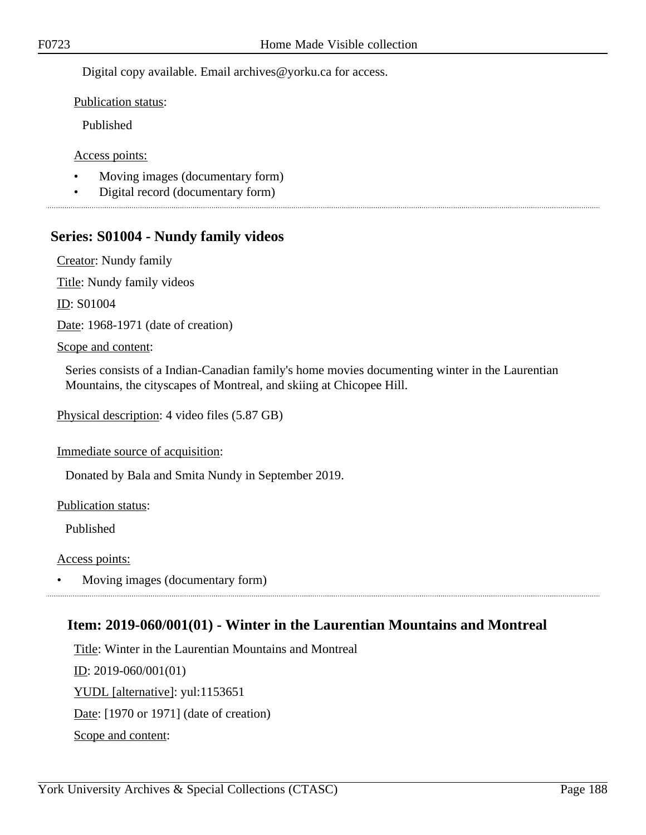Digital copy available. Email archives@yorku.ca for access.

Publication status:

Published

Access points:

- Moving images (documentary form)
- Digital record (documentary form)

# **Series: S01004 - Nundy family videos**

Creator: Nundy family

Title: Nundy family videos

ID: S01004

Date: 1968-1971 (date of creation)

Scope and content:

Series consists of a Indian-Canadian family's home movies documenting winter in the Laurentian Mountains, the cityscapes of Montreal, and skiing at Chicopee Hill.

Physical description: 4 video files (5.87 GB)

Immediate source of acquisition:

Donated by Bala and Smita Nundy in September 2019.

Publication status:

Published

Access points:

• Moving images (documentary form)

### **Item: 2019-060/001(01) - Winter in the Laurentian Mountains and Montreal**

Title: Winter in the Laurentian Mountains and Montreal ID: 2019-060/001(01) YUDL [alternative]: yul:1153651 Date: [1970 or 1971] (date of creation) Scope and content: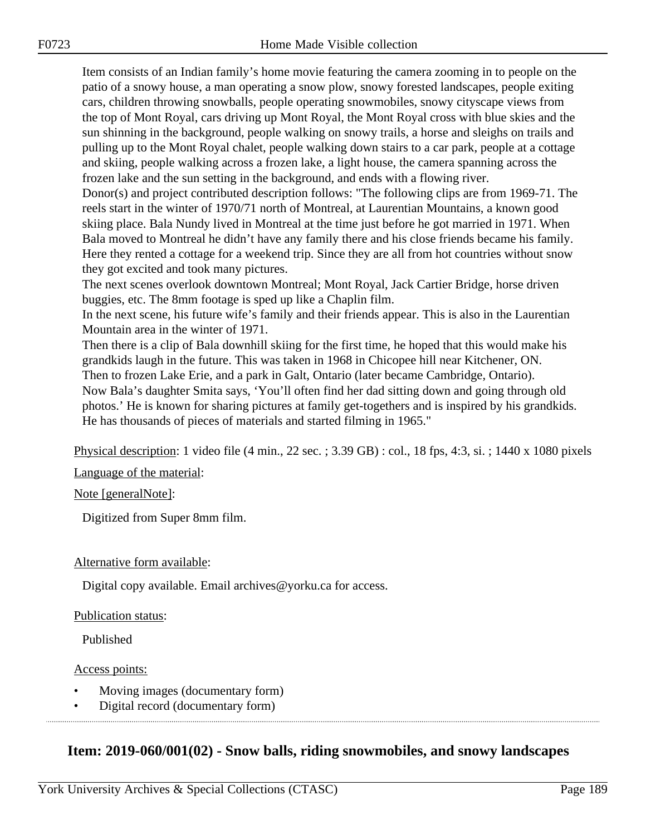Item consists of an Indian family's home movie featuring the camera zooming in to people on the patio of a snowy house, a man operating a snow plow, snowy forested landscapes, people exiting cars, children throwing snowballs, people operating snowmobiles, snowy cityscape views from the top of Mont Royal, cars driving up Mont Royal, the Mont Royal cross with blue skies and the sun shinning in the background, people walking on snowy trails, a horse and sleighs on trails and pulling up to the Mont Royal chalet, people walking down stairs to a car park, people at a cottage and skiing, people walking across a frozen lake, a light house, the camera spanning across the frozen lake and the sun setting in the background, and ends with a flowing river.

Donor(s) and project contributed description follows: "The following clips are from 1969-71. The reels start in the winter of 1970/71 north of Montreal, at Laurentian Mountains, a known good skiing place. Bala Nundy lived in Montreal at the time just before he got married in 1971. When Bala moved to Montreal he didn't have any family there and his close friends became his family. Here they rented a cottage for a weekend trip. Since they are all from hot countries without snow they got excited and took many pictures.

The next scenes overlook downtown Montreal; Mont Royal, Jack Cartier Bridge, horse driven buggies, etc. The 8mm footage is sped up like a Chaplin film.

In the next scene, his future wife's family and their friends appear. This is also in the Laurentian Mountain area in the winter of 1971.

Then there is a clip of Bala downhill skiing for the first time, he hoped that this would make his grandkids laugh in the future. This was taken in 1968 in Chicopee hill near Kitchener, ON. Then to frozen Lake Erie, and a park in Galt, Ontario (later became Cambridge, Ontario).

Now Bala's daughter Smita says, 'You'll often find her dad sitting down and going through old photos.' He is known for sharing pictures at family get-togethers and is inspired by his grandkids. He has thousands of pieces of materials and started filming in 1965."

Physical description: 1 video file (4 min., 22 sec. ; 3.39 GB) : col., 18 fps, 4:3, si. ; 1440 x 1080 pixels

Language of the material:

Note [generalNote]:

Digitized from Super 8mm film.

#### Alternative form available:

Digital copy available. Email archives@yorku.ca for access.

#### Publication status:

Published

#### Access points:

- Moving images (documentary form)
- Digital record (documentary form)

### **Item: 2019-060/001(02) - Snow balls, riding snowmobiles, and snowy landscapes**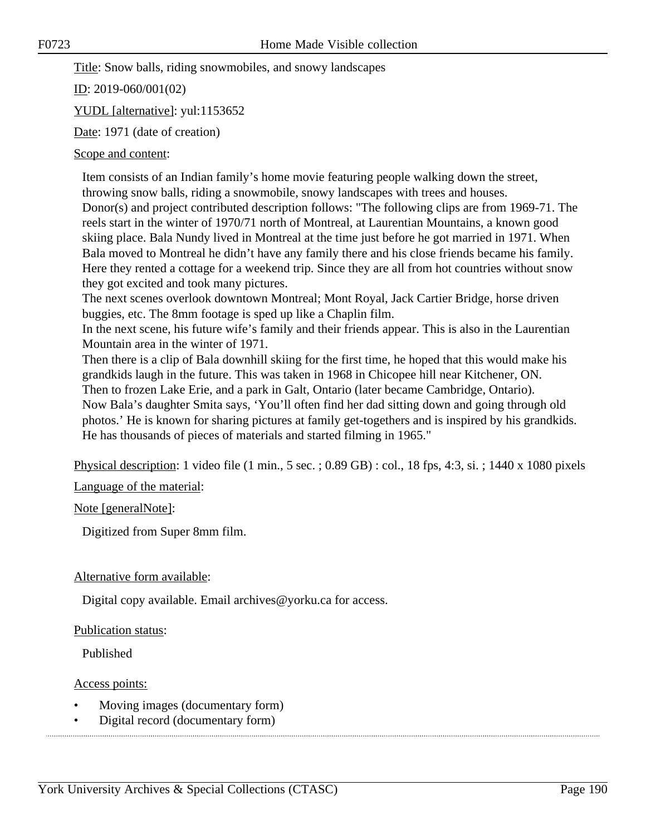Title: Snow balls, riding snowmobiles, and snowy landscapes

ID: 2019-060/001(02)

YUDL [alternative]: yul:1153652

Date: 1971 (date of creation)

#### Scope and content:

Item consists of an Indian family's home movie featuring people walking down the street, throwing snow balls, riding a snowmobile, snowy landscapes with trees and houses. Donor(s) and project contributed description follows: "The following clips are from 1969-71. The reels start in the winter of 1970/71 north of Montreal, at Laurentian Mountains, a known good skiing place. Bala Nundy lived in Montreal at the time just before he got married in 1971. When Bala moved to Montreal he didn't have any family there and his close friends became his family. Here they rented a cottage for a weekend trip. Since they are all from hot countries without snow they got excited and took many pictures.

The next scenes overlook downtown Montreal; Mont Royal, Jack Cartier Bridge, horse driven buggies, etc. The 8mm footage is sped up like a Chaplin film.

In the next scene, his future wife's family and their friends appear. This is also in the Laurentian Mountain area in the winter of 1971.

Then there is a clip of Bala downhill skiing for the first time, he hoped that this would make his grandkids laugh in the future. This was taken in 1968 in Chicopee hill near Kitchener, ON. Then to frozen Lake Erie, and a park in Galt, Ontario (later became Cambridge, Ontario). Now Bala's daughter Smita says, 'You'll often find her dad sitting down and going through old photos.' He is known for sharing pictures at family get-togethers and is inspired by his grandkids. He has thousands of pieces of materials and started filming in 1965."

Physical description: 1 video file (1 min., 5 sec. ; 0.89 GB) : col., 18 fps, 4:3, si. ; 1440 x 1080 pixels

Language of the material:

Note [generalNote]:

Digitized from Super 8mm film.

#### Alternative form available:

Digital copy available. Email archives@yorku.ca for access.

#### Publication status:

Published

#### Access points:

- Moving images (documentary form)
- Digital record (documentary form)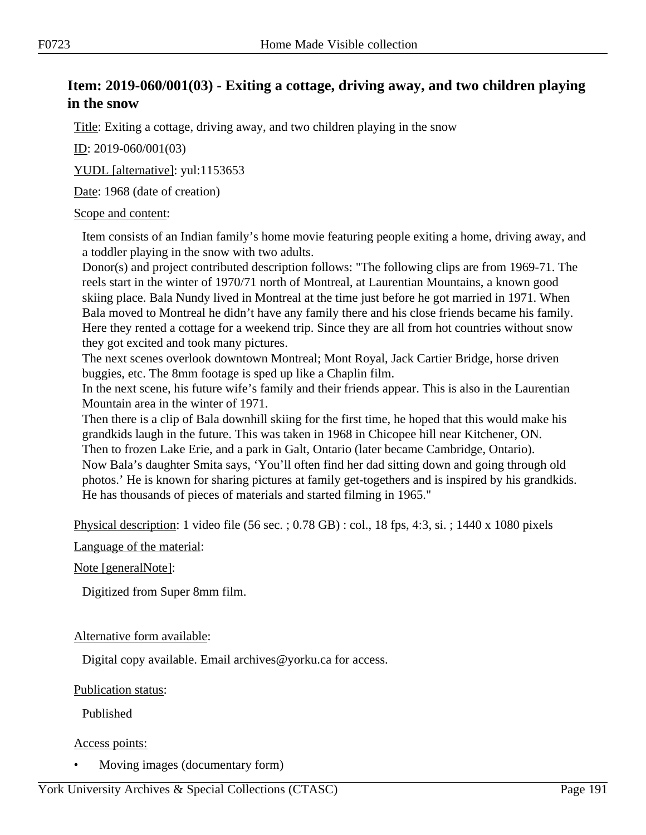# **Item: 2019-060/001(03) - Exiting a cottage, driving away, and two children playing in the snow**

Title: Exiting a cottage, driving away, and two children playing in the snow

ID: 2019-060/001(03)

YUDL [alternative]: yul:1153653

Date: 1968 (date of creation)

#### Scope and content:

Item consists of an Indian family's home movie featuring people exiting a home, driving away, and a toddler playing in the snow with two adults.

Donor(s) and project contributed description follows: "The following clips are from 1969-71. The reels start in the winter of 1970/71 north of Montreal, at Laurentian Mountains, a known good skiing place. Bala Nundy lived in Montreal at the time just before he got married in 1971. When Bala moved to Montreal he didn't have any family there and his close friends became his family. Here they rented a cottage for a weekend trip. Since they are all from hot countries without snow they got excited and took many pictures.

The next scenes overlook downtown Montreal; Mont Royal, Jack Cartier Bridge, horse driven buggies, etc. The 8mm footage is sped up like a Chaplin film.

In the next scene, his future wife's family and their friends appear. This is also in the Laurentian Mountain area in the winter of 1971.

Then there is a clip of Bala downhill skiing for the first time, he hoped that this would make his grandkids laugh in the future. This was taken in 1968 in Chicopee hill near Kitchener, ON. Then to frozen Lake Erie, and a park in Galt, Ontario (later became Cambridge, Ontario). Now Bala's daughter Smita says, 'You'll often find her dad sitting down and going through old photos.' He is known for sharing pictures at family get-togethers and is inspired by his grandkids. He has thousands of pieces of materials and started filming in 1965."

Physical description: 1 video file (56 sec. ; 0.78 GB) : col., 18 fps, 4:3, si. ; 1440 x 1080 pixels

Language of the material:

#### Note [generalNote]:

Digitized from Super 8mm film.

#### Alternative form available:

Digital copy available. Email archives@yorku.ca for access.

Publication status:

Published

#### Access points:

• Moving images (documentary form)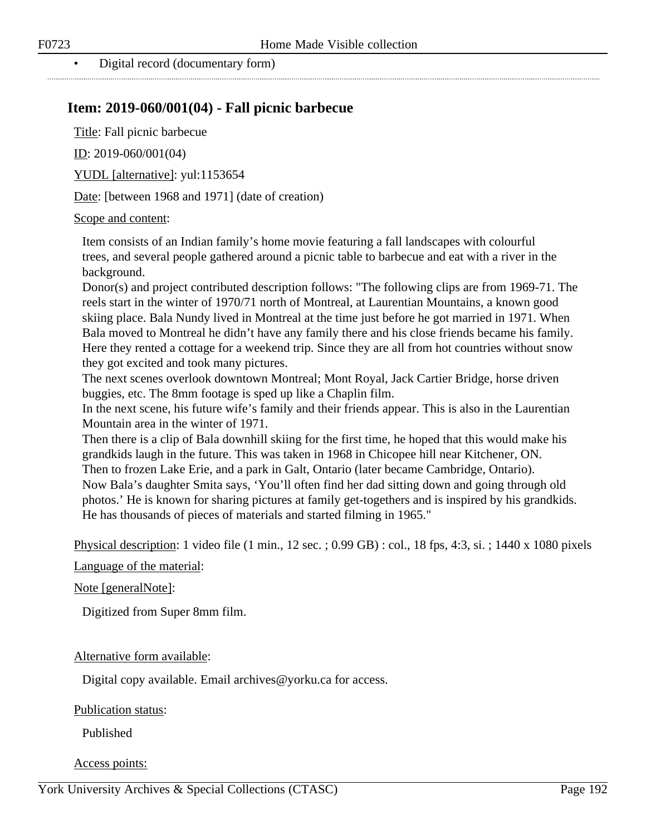• Digital record (documentary form)

### **Item: 2019-060/001(04) - Fall picnic barbecue**

Title: Fall picnic barbecue

ID: 2019-060/001(04)

YUDL [alternative]: yul:1153654

Date: [between 1968 and 1971] (date of creation)

#### Scope and content:

Item consists of an Indian family's home movie featuring a fall landscapes with colourful trees, and several people gathered around a picnic table to barbecue and eat with a river in the background.

Donor(s) and project contributed description follows: "The following clips are from 1969-71. The reels start in the winter of 1970/71 north of Montreal, at Laurentian Mountains, a known good skiing place. Bala Nundy lived in Montreal at the time just before he got married in 1971. When Bala moved to Montreal he didn't have any family there and his close friends became his family. Here they rented a cottage for a weekend trip. Since they are all from hot countries without snow they got excited and took many pictures.

The next scenes overlook downtown Montreal; Mont Royal, Jack Cartier Bridge, horse driven buggies, etc. The 8mm footage is sped up like a Chaplin film.

In the next scene, his future wife's family and their friends appear. This is also in the Laurentian Mountain area in the winter of 1971.

Then there is a clip of Bala downhill skiing for the first time, he hoped that this would make his grandkids laugh in the future. This was taken in 1968 in Chicopee hill near Kitchener, ON. Then to frozen Lake Erie, and a park in Galt, Ontario (later became Cambridge, Ontario). Now Bala's daughter Smita says, 'You'll often find her dad sitting down and going through old photos.' He is known for sharing pictures at family get-togethers and is inspired by his grandkids. He has thousands of pieces of materials and started filming in 1965."

Physical description: 1 video file (1 min., 12 sec. ; 0.99 GB) : col., 18 fps, 4:3, si. ; 1440 x 1080 pixels

Language of the material:

Note [generalNote]:

Digitized from Super 8mm film.

#### Alternative form available:

Digital copy available. Email archives@yorku.ca for access.

Publication status:

Published

#### Access points: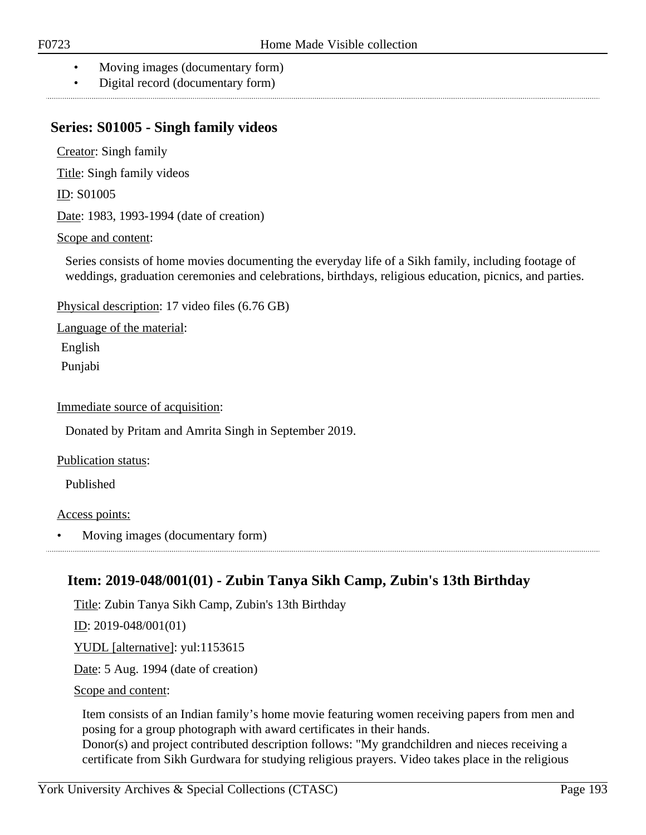- Moving images (documentary form)
- Digital record (documentary form)

### **Series: S01005 - Singh family videos**

Creator: Singh family

Title: Singh family videos

ID: S01005

Date: 1983, 1993-1994 (date of creation)

#### Scope and content:

Series consists of home movies documenting the everyday life of a Sikh family, including footage of weddings, graduation ceremonies and celebrations, birthdays, religious education, picnics, and parties.

Physical description: 17 video files (6.76 GB)

Language of the material:

English

Punjabi

Immediate source of acquisition:

Donated by Pritam and Amrita Singh in September 2019.

Publication status:

Published

#### Access points:

• Moving images (documentary form)

# **Item: 2019-048/001(01) - Zubin Tanya Sikh Camp, Zubin's 13th Birthday**

Title: Zubin Tanya Sikh Camp, Zubin's 13th Birthday

ID: 2019-048/001(01)

YUDL [alternative]: yul:1153615

Date: 5 Aug. 1994 (date of creation)

Scope and content:

Item consists of an Indian family's home movie featuring women receiving papers from men and posing for a group photograph with award certificates in their hands.

Donor(s) and project contributed description follows: "My grandchildren and nieces receiving a certificate from Sikh Gurdwara for studying religious prayers. Video takes place in the religious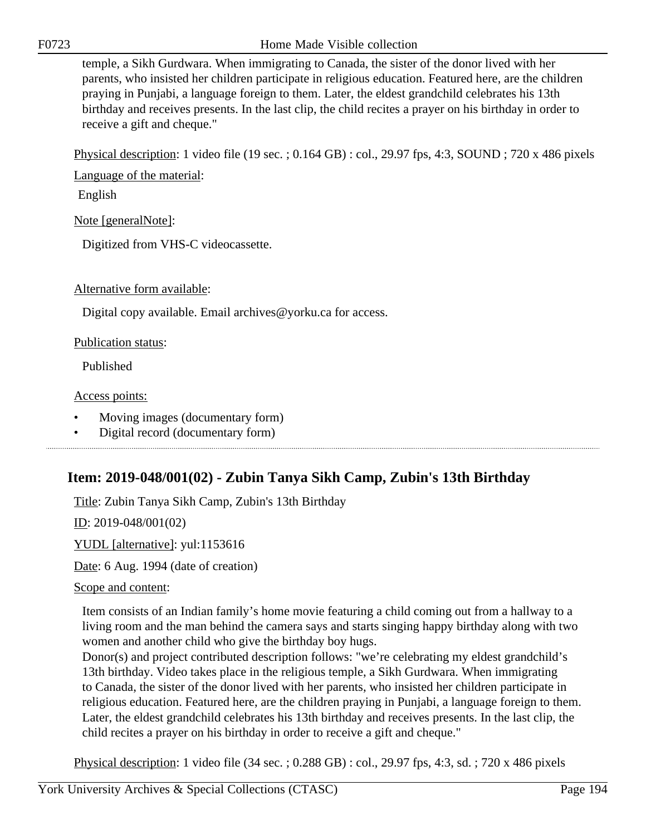F0723 Home Made Visible collection

temple, a Sikh Gurdwara. When immigrating to Canada, the sister of the donor lived with her parents, who insisted her children participate in religious education. Featured here, are the children praying in Punjabi, a language foreign to them. Later, the eldest grandchild celebrates his 13th birthday and receives presents. In the last clip, the child recites a prayer on his birthday in order to receive a gift and cheque."

Physical description: 1 video file (19 sec. ; 0.164 GB) : col., 29.97 fps, 4:3, SOUND ; 720 x 486 pixels

Language of the material:

English

Note [generalNote]:

Digitized from VHS-C videocassette.

Alternative form available:

Digital copy available. Email archives@yorku.ca for access.

Publication status:

Published

#### Access points:

- Moving images (documentary form)
- Digital record (documentary form)

# **Item: 2019-048/001(02) - Zubin Tanya Sikh Camp, Zubin's 13th Birthday**

Title: Zubin Tanya Sikh Camp, Zubin's 13th Birthday

ID: 2019-048/001(02)

YUDL [alternative]: yul:1153616

Date: 6 Aug. 1994 (date of creation)

#### Scope and content:

Item consists of an Indian family's home movie featuring a child coming out from a hallway to a living room and the man behind the camera says and starts singing happy birthday along with two women and another child who give the birthday boy hugs.

Donor(s) and project contributed description follows: "we're celebrating my eldest grandchild's 13th birthday. Video takes place in the religious temple, a Sikh Gurdwara. When immigrating to Canada, the sister of the donor lived with her parents, who insisted her children participate in religious education. Featured here, are the children praying in Punjabi, a language foreign to them. Later, the eldest grandchild celebrates his 13th birthday and receives presents. In the last clip, the child recites a prayer on his birthday in order to receive a gift and cheque."

Physical description: 1 video file (34 sec. ; 0.288 GB) : col., 29.97 fps, 4:3, sd. ; 720 x 486 pixels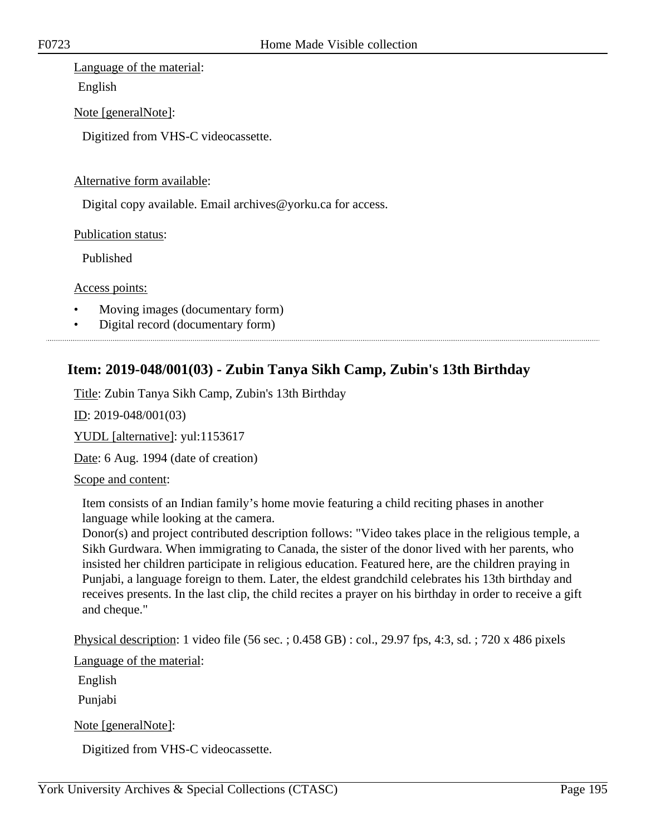#### Language of the material:

English

Note [generalNote]:

Digitized from VHS-C videocassette.

#### Alternative form available:

Digital copy available. Email archives@yorku.ca for access.

Publication status:

Published

Access points:

- Moving images (documentary form)
- Digital record (documentary form)

# **Item: 2019-048/001(03) - Zubin Tanya Sikh Camp, Zubin's 13th Birthday**

Title: Zubin Tanya Sikh Camp, Zubin's 13th Birthday

ID: 2019-048/001(03)

YUDL [alternative]: yul:1153617

Date: 6 Aug. 1994 (date of creation)

#### Scope and content:

Item consists of an Indian family's home movie featuring a child reciting phases in another language while looking at the camera.

Donor(s) and project contributed description follows: "Video takes place in the religious temple, a Sikh Gurdwara. When immigrating to Canada, the sister of the donor lived with her parents, who insisted her children participate in religious education. Featured here, are the children praying in Punjabi, a language foreign to them. Later, the eldest grandchild celebrates his 13th birthday and receives presents. In the last clip, the child recites a prayer on his birthday in order to receive a gift and cheque."

Physical description: 1 video file (56 sec. ; 0.458 GB) : col., 29.97 fps, 4:3, sd. ; 720 x 486 pixels

Language of the material:

English

Punjabi

Note [generalNote]:

Digitized from VHS-C videocassette.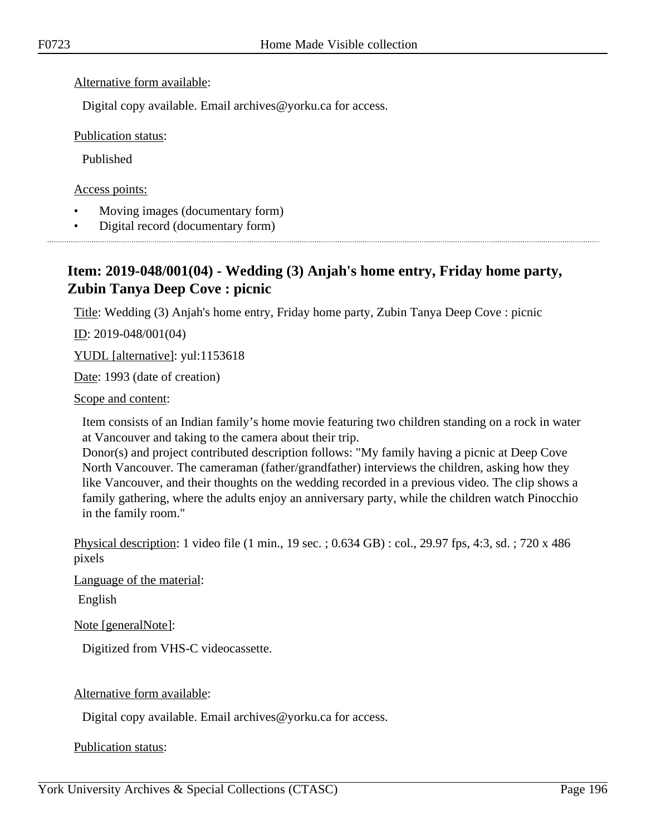#### Alternative form available:

Digital copy available. Email archives@yorku.ca for access.

Publication status:

Published

Access points:

- Moving images (documentary form)
- Digital record (documentary form)

# **Item: 2019-048/001(04) - Wedding (3) Anjah's home entry, Friday home party, Zubin Tanya Deep Cove : picnic**

Title: Wedding (3) Anjah's home entry, Friday home party, Zubin Tanya Deep Cove : picnic

 $ID: 2019-048/001(04)$ 

YUDL [alternative]: yul:1153618

Date: 1993 (date of creation)

Scope and content:

Item consists of an Indian family's home movie featuring two children standing on a rock in water at Vancouver and taking to the camera about their trip.

Donor(s) and project contributed description follows: "My family having a picnic at Deep Cove North Vancouver. The cameraman (father/grandfather) interviews the children, asking how they like Vancouver, and their thoughts on the wedding recorded in a previous video. The clip shows a family gathering, where the adults enjoy an anniversary party, while the children watch Pinocchio in the family room."

Physical description: 1 video file (1 min., 19 sec. ; 0.634 GB) : col., 29.97 fps, 4:3, sd. ; 720 x 486 pixels

Language of the material:

English

Note [generalNote]:

Digitized from VHS-C videocassette.

Alternative form available:

Digital copy available. Email archives@yorku.ca for access.

Publication status: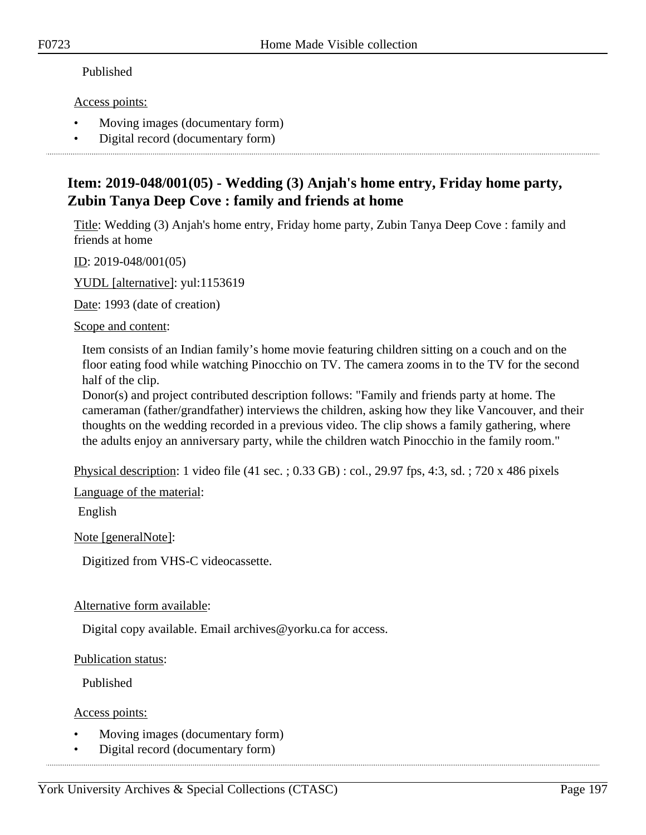#### Published

Access points:

- Moving images (documentary form)
- Digital record (documentary form)

# **Item: 2019-048/001(05) - Wedding (3) Anjah's home entry, Friday home party, Zubin Tanya Deep Cove : family and friends at home**

Title: Wedding (3) Anjah's home entry, Friday home party, Zubin Tanya Deep Cove : family and friends at home

ID: 2019-048/001(05)

YUDL [alternative]: yul:1153619

Date: 1993 (date of creation)

Scope and content:

Item consists of an Indian family's home movie featuring children sitting on a couch and on the floor eating food while watching Pinocchio on TV. The camera zooms in to the TV for the second half of the clip.

Donor(s) and project contributed description follows: "Family and friends party at home. The cameraman (father/grandfather) interviews the children, asking how they like Vancouver, and their thoughts on the wedding recorded in a previous video. The clip shows a family gathering, where the adults enjoy an anniversary party, while the children watch Pinocchio in the family room."

Physical description: 1 video file (41 sec. ; 0.33 GB) : col., 29.97 fps, 4:3, sd. ; 720 x 486 pixels

Language of the material:

English

Note [generalNote]:

Digitized from VHS-C videocassette.

#### Alternative form available:

Digital copy available. Email archives@yorku.ca for access.

### Publication status:

Published

Access points:

- Moving images (documentary form)
- Digital record (documentary form)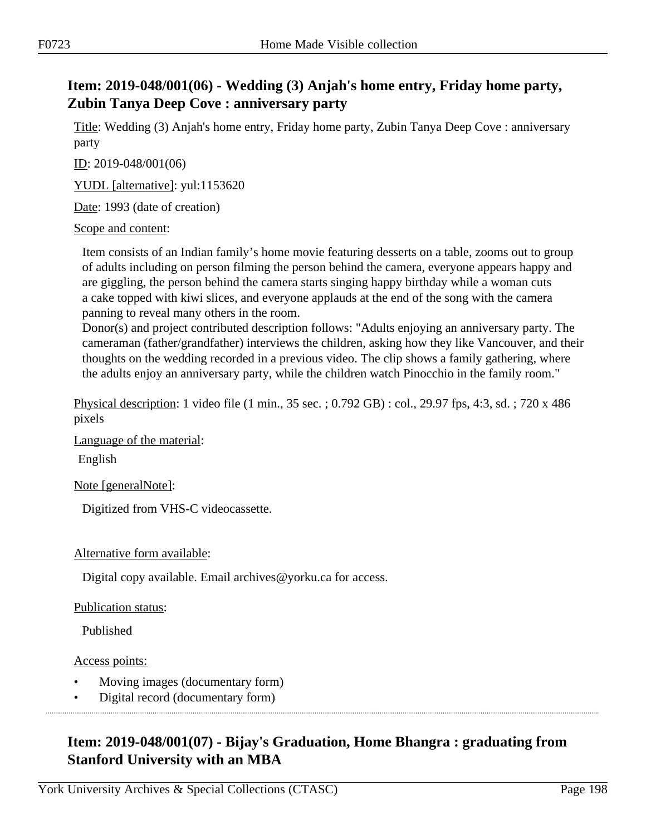# **Item: 2019-048/001(06) - Wedding (3) Anjah's home entry, Friday home party, Zubin Tanya Deep Cove : anniversary party**

Title: Wedding (3) Anjah's home entry, Friday home party, Zubin Tanya Deep Cove : anniversary party

ID: 2019-048/001(06)

YUDL [alternative]: yul:1153620

Date: 1993 (date of creation)

Scope and content:

Item consists of an Indian family's home movie featuring desserts on a table, zooms out to group of adults including on person filming the person behind the camera, everyone appears happy and are giggling, the person behind the camera starts singing happy birthday while a woman cuts a cake topped with kiwi slices, and everyone applauds at the end of the song with the camera panning to reveal many others in the room.

Donor(s) and project contributed description follows: "Adults enjoying an anniversary party. The cameraman (father/grandfather) interviews the children, asking how they like Vancouver, and their thoughts on the wedding recorded in a previous video. The clip shows a family gathering, where the adults enjoy an anniversary party, while the children watch Pinocchio in the family room."

Physical description: 1 video file (1 min., 35 sec. ; 0.792 GB) : col., 29.97 fps, 4:3, sd. ; 720 x 486 pixels

Language of the material:

English

Note [generalNote]:

Digitized from VHS-C videocassette.

#### Alternative form available:

Digital copy available. Email archives@yorku.ca for access.

#### Publication status:

Published

#### Access points:

- Moving images (documentary form)
- Digital record (documentary form)

# **Item: 2019-048/001(07) - Bijay's Graduation, Home Bhangra : graduating from Stanford University with an MBA**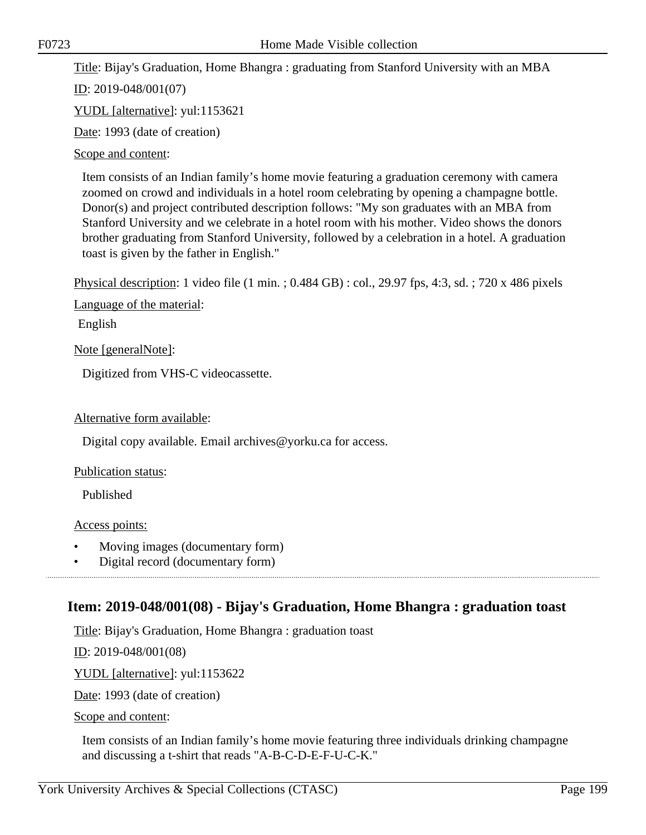Title: Bijay's Graduation, Home Bhangra : graduating from Stanford University with an MBA

ID: 2019-048/001(07)

YUDL [alternative]: yul:1153621

Date: 1993 (date of creation)

Scope and content:

Item consists of an Indian family's home movie featuring a graduation ceremony with camera zoomed on crowd and individuals in a hotel room celebrating by opening a champagne bottle. Donor(s) and project contributed description follows: "My son graduates with an MBA from Stanford University and we celebrate in a hotel room with his mother. Video shows the donors brother graduating from Stanford University, followed by a celebration in a hotel. A graduation toast is given by the father in English."

Physical description: 1 video file (1 min. ; 0.484 GB) : col., 29.97 fps, 4:3, sd. ; 720 x 486 pixels

Language of the material:

English

Note [generalNote]:

Digitized from VHS-C videocassette.

#### Alternative form available:

Digital copy available. Email archives@yorku.ca for access.

Publication status:

Published

Access points:

- Moving images (documentary form)
- Digital record (documentary form)

### **Item: 2019-048/001(08) - Bijay's Graduation, Home Bhangra : graduation toast**

Title: Bijay's Graduation, Home Bhangra : graduation toast

ID: 2019-048/001(08)

YUDL [alternative]: yul:1153622

Date: 1993 (date of creation)

Scope and content:

Item consists of an Indian family's home movie featuring three individuals drinking champagne and discussing a t-shirt that reads "A-B-C-D-E-F-U-C-K."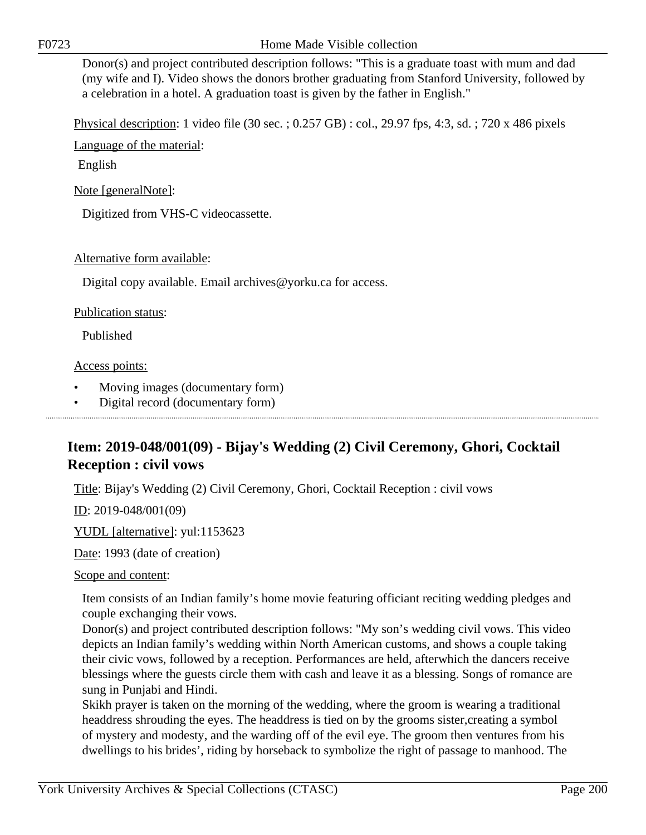Donor(s) and project contributed description follows: "This is a graduate toast with mum and dad (my wife and I). Video shows the donors brother graduating from Stanford University, followed by a celebration in a hotel. A graduation toast is given by the father in English."

Physical description: 1 video file (30 sec. ; 0.257 GB) : col., 29.97 fps, 4:3, sd. ; 720 x 486 pixels

Language of the material:

English

Note [generalNote]:

Digitized from VHS-C videocassette.

#### Alternative form available:

Digital copy available. Email archives@yorku.ca for access.

#### Publication status:

Published

#### Access points:

- Moving images (documentary form)
- Digital record (documentary form)

# **Item: 2019-048/001(09) - Bijay's Wedding (2) Civil Ceremony, Ghori, Cocktail Reception : civil vows**

Title: Bijay's Wedding (2) Civil Ceremony, Ghori, Cocktail Reception : civil vows

ID: 2019-048/001(09)

YUDL [alternative]: yul:1153623

Date: 1993 (date of creation)

Scope and content:

Item consists of an Indian family's home movie featuring officiant reciting wedding pledges and couple exchanging their vows.

Donor(s) and project contributed description follows: "My son's wedding civil vows. This video depicts an Indian family's wedding within North American customs, and shows a couple taking their civic vows, followed by a reception. Performances are held, afterwhich the dancers receive blessings where the guests circle them with cash and leave it as a blessing. Songs of romance are sung in Punjabi and Hindi.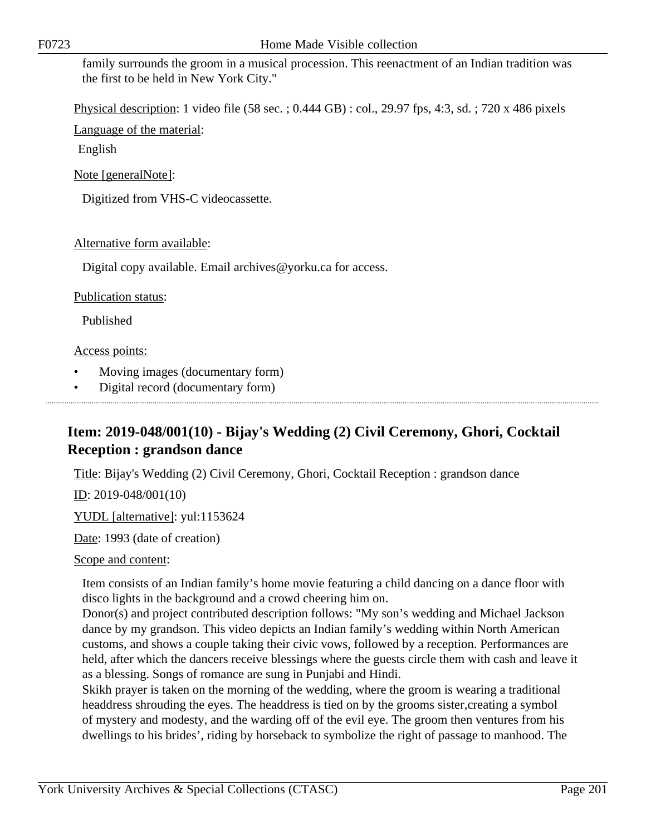Physical description: 1 video file (58 sec. ; 0.444 GB) : col., 29.97 fps, 4:3, sd. ; 720 x 486 pixels

Language of the material:

English

Note [generalNote]:

Digitized from VHS-C videocassette.

#### Alternative form available:

Digital copy available. Email archives@yorku.ca for access.

#### Publication status:

Published

#### Access points:

- Moving images (documentary form)
- Digital record (documentary form)

# **Item: 2019-048/001(10) - Bijay's Wedding (2) Civil Ceremony, Ghori, Cocktail Reception : grandson dance**

Title: Bijay's Wedding (2) Civil Ceremony, Ghori, Cocktail Reception : grandson dance

ID: 2019-048/001(10)

YUDL [alternative]: yul:1153624

Date: 1993 (date of creation)

#### Scope and content:

Item consists of an Indian family's home movie featuring a child dancing on a dance floor with disco lights in the background and a crowd cheering him on.

Donor(s) and project contributed description follows: "My son's wedding and Michael Jackson dance by my grandson. This video depicts an Indian family's wedding within North American customs, and shows a couple taking their civic vows, followed by a reception. Performances are held, after which the dancers receive blessings where the guests circle them with cash and leave it as a blessing. Songs of romance are sung in Punjabi and Hindi.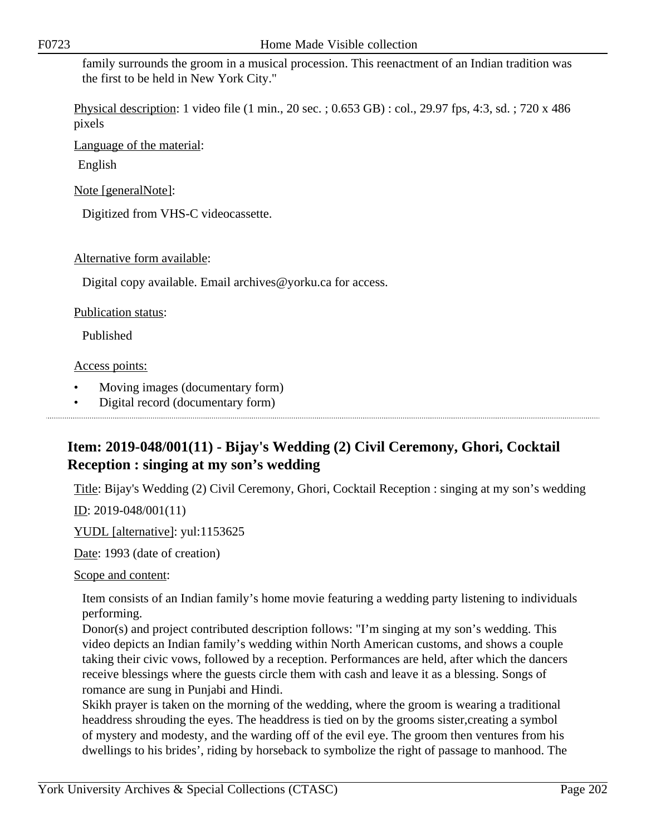Physical description: 1 video file (1 min., 20 sec. ; 0.653 GB) : col., 29.97 fps, 4:3, sd. ; 720 x 486 pixels

Language of the material:

English

Note [generalNote]:

Digitized from VHS-C videocassette.

#### Alternative form available:

Digital copy available. Email archives@yorku.ca for access.

#### Publication status:

Published

#### Access points:

- Moving images (documentary form)
- Digital record (documentary form)

# **Item: 2019-048/001(11) - Bijay's Wedding (2) Civil Ceremony, Ghori, Cocktail Reception : singing at my son's wedding**

Title: Bijay's Wedding (2) Civil Ceremony, Ghori, Cocktail Reception : singing at my son's wedding

ID: 2019-048/001(11)

YUDL [alternative]: yul:1153625

Date: 1993 (date of creation)

#### Scope and content:

Item consists of an Indian family's home movie featuring a wedding party listening to individuals performing.

Donor(s) and project contributed description follows: "I'm singing at my son's wedding. This video depicts an Indian family's wedding within North American customs, and shows a couple taking their civic vows, followed by a reception. Performances are held, after which the dancers receive blessings where the guests circle them with cash and leave it as a blessing. Songs of romance are sung in Punjabi and Hindi.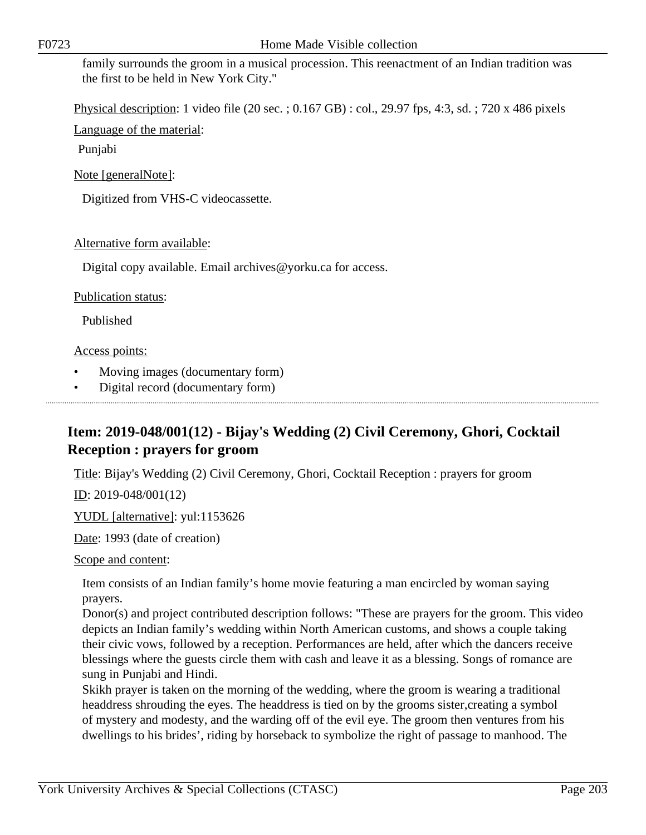Physical description: 1 video file (20 sec. ; 0.167 GB) : col., 29.97 fps, 4:3, sd. ; 720 x 486 pixels

Language of the material:

Punjabi

Note [generalNote]:

Digitized from VHS-C videocassette.

#### Alternative form available:

Digital copy available. Email archives@yorku.ca for access.

#### Publication status:

Published

#### Access points:

- Moving images (documentary form)
- Digital record (documentary form)

# **Item: 2019-048/001(12) - Bijay's Wedding (2) Civil Ceremony, Ghori, Cocktail Reception : prayers for groom**

Title: Bijay's Wedding (2) Civil Ceremony, Ghori, Cocktail Reception : prayers for groom

ID: 2019-048/001(12)

YUDL [alternative]: yul:1153626

Date: 1993 (date of creation)

Scope and content:

Item consists of an Indian family's home movie featuring a man encircled by woman saying prayers.

Donor(s) and project contributed description follows: "These are prayers for the groom. This video depicts an Indian family's wedding within North American customs, and shows a couple taking their civic vows, followed by a reception. Performances are held, after which the dancers receive blessings where the guests circle them with cash and leave it as a blessing. Songs of romance are sung in Punjabi and Hindi.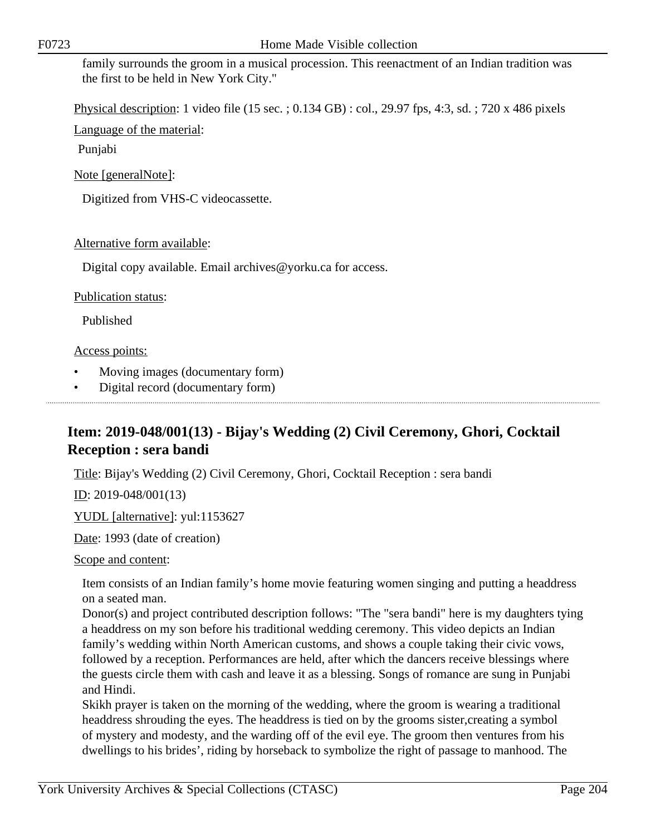Physical description: 1 video file (15 sec. ; 0.134 GB) : col., 29.97 fps, 4:3, sd. ; 720 x 486 pixels

Language of the material:

Punjabi

Note [generalNote]:

Digitized from VHS-C videocassette.

#### Alternative form available:

Digital copy available. Email archives@yorku.ca for access.

#### Publication status:

Published

#### Access points:

- Moving images (documentary form)
- Digital record (documentary form)

# **Item: 2019-048/001(13) - Bijay's Wedding (2) Civil Ceremony, Ghori, Cocktail Reception : sera bandi**

Title: Bijay's Wedding (2) Civil Ceremony, Ghori, Cocktail Reception : sera bandi

ID: 2019-048/001(13)

YUDL [alternative]: yul:1153627

Date: 1993 (date of creation)

Scope and content:

Item consists of an Indian family's home movie featuring women singing and putting a headdress on a seated man.

Donor(s) and project contributed description follows: "The "sera bandi" here is my daughters tying a headdress on my son before his traditional wedding ceremony. This video depicts an Indian family's wedding within North American customs, and shows a couple taking their civic vows, followed by a reception. Performances are held, after which the dancers receive blessings where the guests circle them with cash and leave it as a blessing. Songs of romance are sung in Punjabi and Hindi.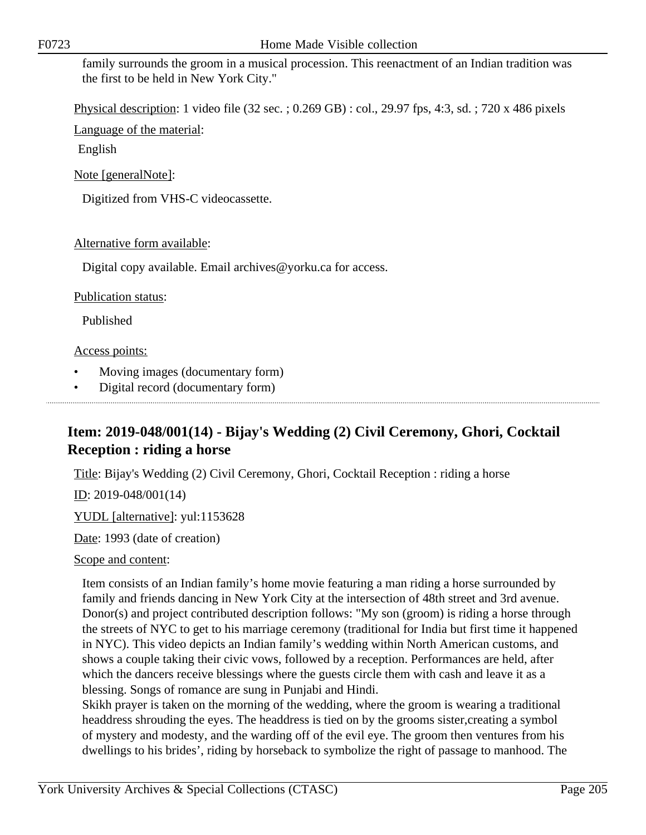Physical description: 1 video file (32 sec. ; 0.269 GB) : col., 29.97 fps, 4:3, sd. ; 720 x 486 pixels

Language of the material:

English

Note [generalNote]:

Digitized from VHS-C videocassette.

#### Alternative form available:

Digital copy available. Email archives@yorku.ca for access.

#### Publication status:

Published

#### Access points:

- Moving images (documentary form)
- Digital record (documentary form)

# **Item: 2019-048/001(14) - Bijay's Wedding (2) Civil Ceremony, Ghori, Cocktail Reception : riding a horse**

Title: Bijay's Wedding (2) Civil Ceremony, Ghori, Cocktail Reception : riding a horse

ID: 2019-048/001(14)

YUDL [alternative]: yul:1153628

Date: 1993 (date of creation)

#### Scope and content:

Item consists of an Indian family's home movie featuring a man riding a horse surrounded by family and friends dancing in New York City at the intersection of 48th street and 3rd avenue. Donor(s) and project contributed description follows: "My son (groom) is riding a horse through the streets of NYC to get to his marriage ceremony (traditional for India but first time it happened in NYC). This video depicts an Indian family's wedding within North American customs, and shows a couple taking their civic vows, followed by a reception. Performances are held, after which the dancers receive blessings where the guests circle them with cash and leave it as a blessing. Songs of romance are sung in Punjabi and Hindi.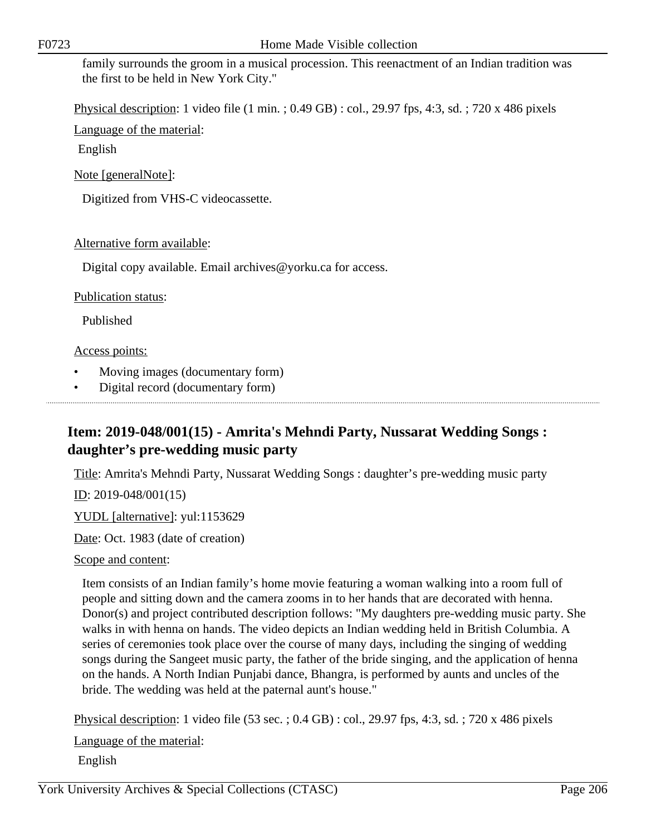Physical description: 1 video file (1 min. ; 0.49 GB) : col., 29.97 fps, 4:3, sd. ; 720 x 486 pixels

Language of the material:

English

Note [generalNote]:

Digitized from VHS-C videocassette.

#### Alternative form available:

Digital copy available. Email archives@yorku.ca for access.

#### Publication status:

Published

#### Access points:

- Moving images (documentary form)
- Digital record (documentary form)

# **Item: 2019-048/001(15) - Amrita's Mehndi Party, Nussarat Wedding Songs : daughter's pre-wedding music party**

Title: Amrita's Mehndi Party, Nussarat Wedding Songs : daughter's pre-wedding music party

ID: 2019-048/001(15)

YUDL [alternative]: yul:1153629

Date: Oct. 1983 (date of creation)

Scope and content:

Item consists of an Indian family's home movie featuring a woman walking into a room full of people and sitting down and the camera zooms in to her hands that are decorated with henna. Donor(s) and project contributed description follows: "My daughters pre-wedding music party. She walks in with henna on hands. The video depicts an Indian wedding held in British Columbia. A series of ceremonies took place over the course of many days, including the singing of wedding songs during the Sangeet music party, the father of the bride singing, and the application of henna on the hands. A North Indian Punjabi dance, Bhangra, is performed by aunts and uncles of the bride. The wedding was held at the paternal aunt's house."

Physical description: 1 video file (53 sec. ; 0.4 GB) : col., 29.97 fps, 4:3, sd. ; 720 x 486 pixels

Language of the material:

English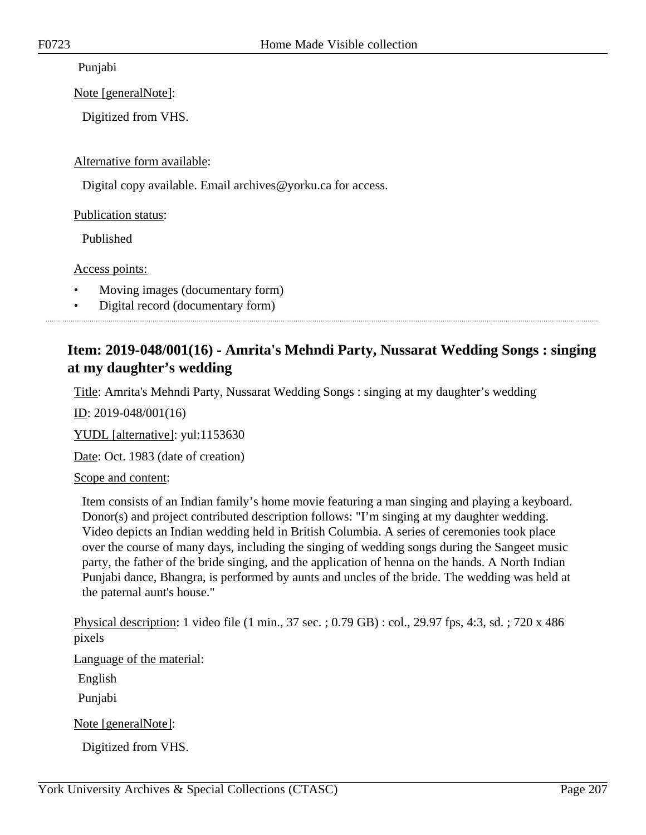Punjabi

Note [generalNote]:

Digitized from VHS.

Alternative form available:

Digital copy available. Email archives@yorku.ca for access.

Publication status:

Published

Access points:

• Moving images (documentary form)

• Digital record (documentary form)

### **Item: 2019-048/001(16) - Amrita's Mehndi Party, Nussarat Wedding Songs : singing at my daughter's wedding**

Title: Amrita's Mehndi Party, Nussarat Wedding Songs : singing at my daughter's wedding

ID: 2019-048/001(16)

YUDL [alternative]: yul:1153630

Date: Oct. 1983 (date of creation)

Scope and content:

Item consists of an Indian family's home movie featuring a man singing and playing a keyboard. Donor(s) and project contributed description follows: "I'm singing at my daughter wedding. Video depicts an Indian wedding held in British Columbia. A series of ceremonies took place over the course of many days, including the singing of wedding songs during the Sangeet music party, the father of the bride singing, and the application of henna on the hands. A North Indian Punjabi dance, Bhangra, is performed by aunts and uncles of the bride. The wedding was held at the paternal aunt's house."

Physical description: 1 video file (1 min., 37 sec. ; 0.79 GB) : col., 29.97 fps, 4:3, sd. ; 720 x 486 pixels

Language of the material:

English

Punjabi

Note [generalNote]:

Digitized from VHS.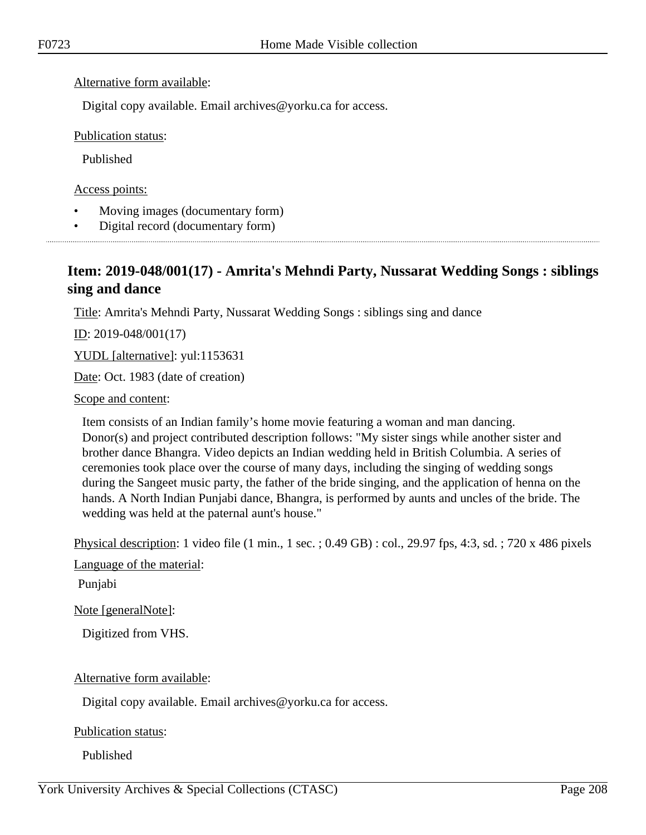#### Alternative form available:

Digital copy available. Email archives@yorku.ca for access.

Publication status:

Published

Access points:

- Moving images (documentary form)
- Digital record (documentary form)

# **Item: 2019-048/001(17) - Amrita's Mehndi Party, Nussarat Wedding Songs : siblings sing and dance**

Title: Amrita's Mehndi Party, Nussarat Wedding Songs : siblings sing and dance

<u>ID</u>: 2019-048/001(17)

YUDL [alternative]: yul:1153631

Date: Oct. 1983 (date of creation)

Scope and content:

Item consists of an Indian family's home movie featuring a woman and man dancing. Donor(s) and project contributed description follows: "My sister sings while another sister and brother dance Bhangra. Video depicts an Indian wedding held in British Columbia. A series of ceremonies took place over the course of many days, including the singing of wedding songs during the Sangeet music party, the father of the bride singing, and the application of henna on the hands. A North Indian Punjabi dance, Bhangra, is performed by aunts and uncles of the bride. The wedding was held at the paternal aunt's house."

Physical description: 1 video file (1 min., 1 sec. ; 0.49 GB) : col., 29.97 fps, 4:3, sd. ; 720 x 486 pixels

Language of the material:

Punjabi

Note [generalNote]:

Digitized from VHS.

Alternative form available:

Digital copy available. Email archives@yorku.ca for access.

Publication status:

Published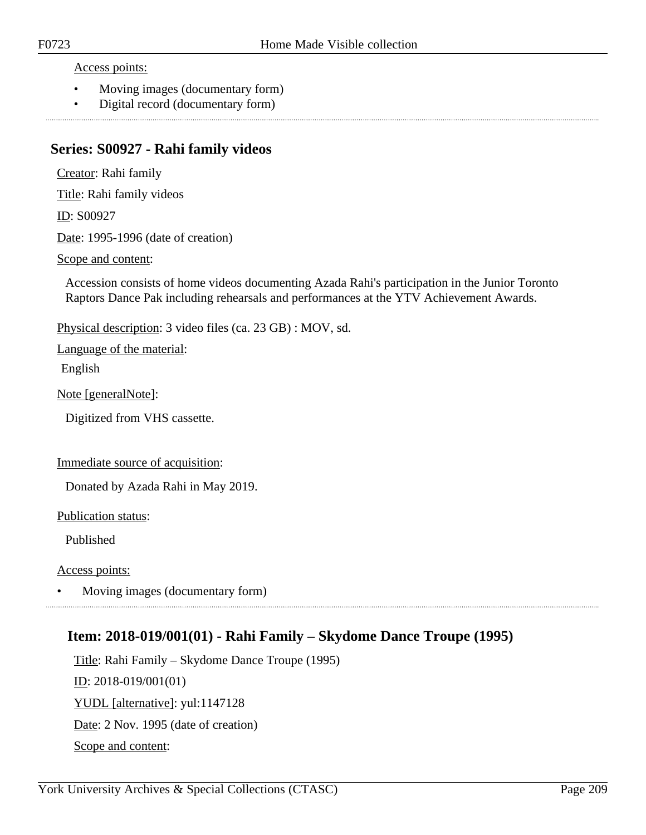Access points:

- Moving images (documentary form)
- Digital record (documentary form)

### **Series: S00927 - Rahi family videos**

Creator: Rahi family

Title: Rahi family videos

ID: S00927

Date: 1995-1996 (date of creation)

Scope and content:

Accession consists of home videos documenting Azada Rahi's participation in the Junior Toronto Raptors Dance Pak including rehearsals and performances at the YTV Achievement Awards.

Physical description: 3 video files (ca. 23 GB) : MOV, sd.

Language of the material: English

Note [generalNote]:

Digitized from VHS cassette.

Immediate source of acquisition:

Donated by Azada Rahi in May 2019.

Publication status:

Published

Access points:

• Moving images (documentary form)

### **Item: 2018-019/001(01) - Rahi Family – Skydome Dance Troupe (1995)**

Title: Rahi Family – Skydome Dance Troupe (1995) ID: 2018-019/001(01) YUDL [alternative]: yul:1147128 Date: 2 Nov. 1995 (date of creation) Scope and content: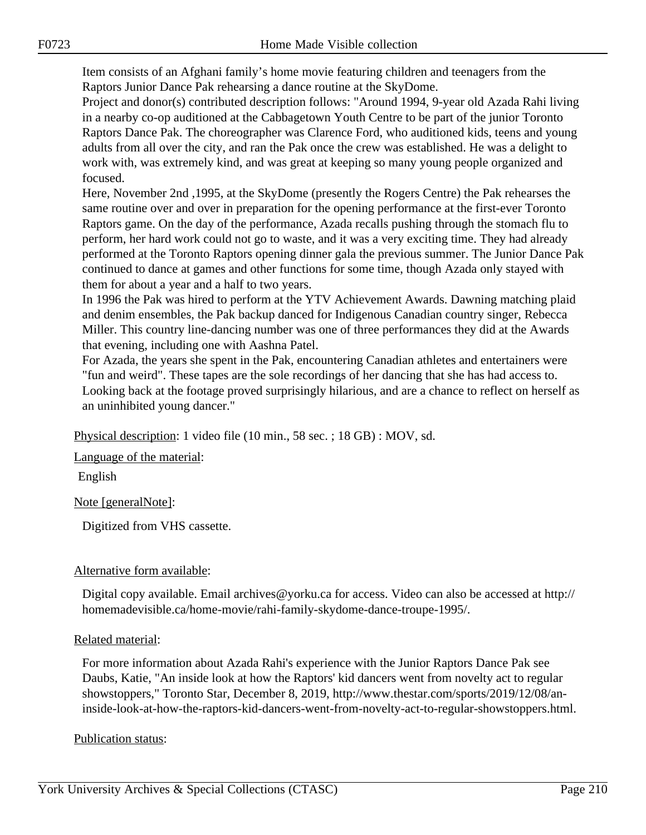Item consists of an Afghani family's home movie featuring children and teenagers from the Raptors Junior Dance Pak rehearsing a dance routine at the SkyDome.

Project and donor(s) contributed description follows: "Around 1994, 9-year old Azada Rahi living in a nearby co-op auditioned at the Cabbagetown Youth Centre to be part of the junior Toronto Raptors Dance Pak. The choreographer was Clarence Ford, who auditioned kids, teens and young adults from all over the city, and ran the Pak once the crew was established. He was a delight to work with, was extremely kind, and was great at keeping so many young people organized and focused.

Here, November 2nd ,1995, at the SkyDome (presently the Rogers Centre) the Pak rehearses the same routine over and over in preparation for the opening performance at the first-ever Toronto Raptors game. On the day of the performance, Azada recalls pushing through the stomach flu to perform, her hard work could not go to waste, and it was a very exciting time. They had already performed at the Toronto Raptors opening dinner gala the previous summer. The Junior Dance Pak continued to dance at games and other functions for some time, though Azada only stayed with them for about a year and a half to two years.

In 1996 the Pak was hired to perform at the YTV Achievement Awards. Dawning matching plaid and denim ensembles, the Pak backup danced for Indigenous Canadian country singer, Rebecca Miller. This country line-dancing number was one of three performances they did at the Awards that evening, including one with Aashna Patel.

For Azada, the years she spent in the Pak, encountering Canadian athletes and entertainers were "fun and weird". These tapes are the sole recordings of her dancing that she has had access to. Looking back at the footage proved surprisingly hilarious, and are a chance to reflect on herself as an uninhibited young dancer."

Physical description: 1 video file (10 min., 58 sec. ; 18 GB) : MOV, sd.

Language of the material:

English

Note [generalNote]:

Digitized from VHS cassette.

#### Alternative form available:

Digital copy available. Email archives@yorku.ca for access. Video can also be accessed at http:// homemadevisible.ca/home-movie/rahi-family-skydome-dance-troupe-1995/.

#### Related material:

For more information about Azada Rahi's experience with the Junior Raptors Dance Pak see Daubs, Katie, "An inside look at how the Raptors' kid dancers went from novelty act to regular showstoppers," Toronto Star, December 8, 2019, http://www.thestar.com/sports/2019/12/08/aninside-look-at-how-the-raptors-kid-dancers-went-from-novelty-act-to-regular-showstoppers.html.

#### Publication status: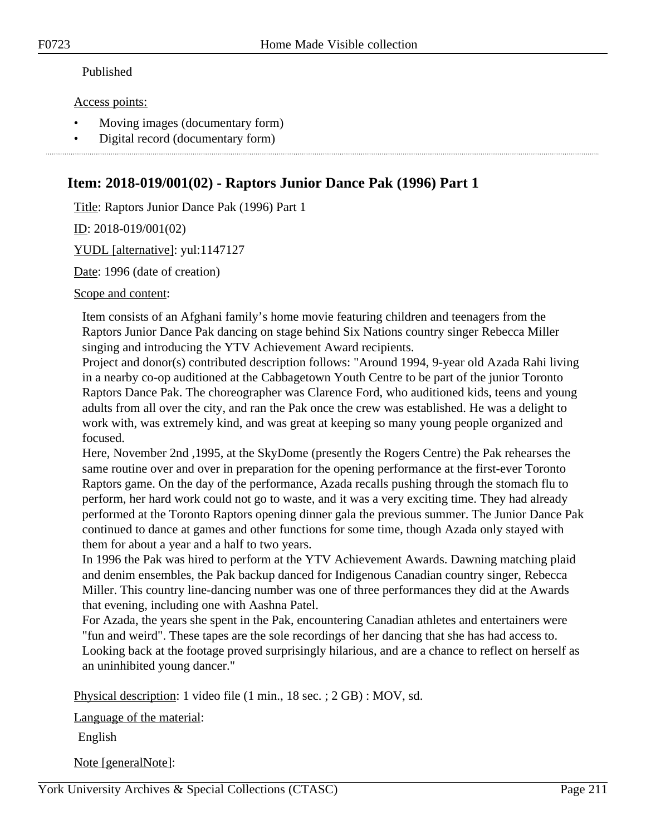#### Published

Access points:

- Moving images (documentary form)
- Digital record (documentary form)

### **Item: 2018-019/001(02) - Raptors Junior Dance Pak (1996) Part 1**

Title: Raptors Junior Dance Pak (1996) Part 1

ID: 2018-019/001(02)

YUDL [alternative]: yul:1147127

Date: 1996 (date of creation)

Scope and content:

Item consists of an Afghani family's home movie featuring children and teenagers from the Raptors Junior Dance Pak dancing on stage behind Six Nations country singer Rebecca Miller singing and introducing the YTV Achievement Award recipients.

Project and donor(s) contributed description follows: "Around 1994, 9-year old Azada Rahi living in a nearby co-op auditioned at the Cabbagetown Youth Centre to be part of the junior Toronto Raptors Dance Pak. The choreographer was Clarence Ford, who auditioned kids, teens and young adults from all over the city, and ran the Pak once the crew was established. He was a delight to work with, was extremely kind, and was great at keeping so many young people organized and focused.

Here, November 2nd ,1995, at the SkyDome (presently the Rogers Centre) the Pak rehearses the same routine over and over in preparation for the opening performance at the first-ever Toronto Raptors game. On the day of the performance, Azada recalls pushing through the stomach flu to perform, her hard work could not go to waste, and it was a very exciting time. They had already performed at the Toronto Raptors opening dinner gala the previous summer. The Junior Dance Pak continued to dance at games and other functions for some time, though Azada only stayed with them for about a year and a half to two years.

In 1996 the Pak was hired to perform at the YTV Achievement Awards. Dawning matching plaid and denim ensembles, the Pak backup danced for Indigenous Canadian country singer, Rebecca Miller. This country line-dancing number was one of three performances they did at the Awards that evening, including one with Aashna Patel.

For Azada, the years she spent in the Pak, encountering Canadian athletes and entertainers were "fun and weird". These tapes are the sole recordings of her dancing that she has had access to. Looking back at the footage proved surprisingly hilarious, and are a chance to reflect on herself as an uninhibited young dancer."

Physical description: 1 video file (1 min., 18 sec. ; 2 GB) : MOV, sd.

Language of the material:

English

Note [generalNote]: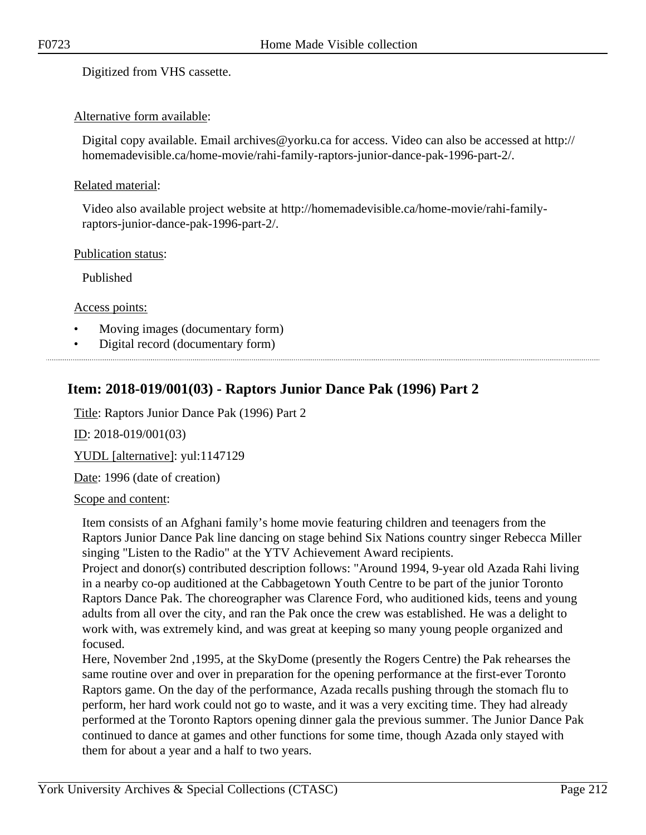Digitized from VHS cassette.

#### Alternative form available:

Digital copy available. Email archives@yorku.ca for access. Video can also be accessed at http:// homemadevisible.ca/home-movie/rahi-family-raptors-junior-dance-pak-1996-part-2/.

#### Related material:

Video also available project website at http://homemadevisible.ca/home-movie/rahi-familyraptors-junior-dance-pak-1996-part-2/.

Publication status:

Published

Access points:

- Moving images (documentary form)
- Digital record (documentary form)

### **Item: 2018-019/001(03) - Raptors Junior Dance Pak (1996) Part 2**

Title: Raptors Junior Dance Pak (1996) Part 2

ID: 2018-019/001(03)

YUDL [alternative]: yul:1147129

Date: 1996 (date of creation)

#### Scope and content:

Item consists of an Afghani family's home movie featuring children and teenagers from the Raptors Junior Dance Pak line dancing on stage behind Six Nations country singer Rebecca Miller singing "Listen to the Radio" at the YTV Achievement Award recipients.

Project and donor(s) contributed description follows: "Around 1994, 9-year old Azada Rahi living in a nearby co-op auditioned at the Cabbagetown Youth Centre to be part of the junior Toronto Raptors Dance Pak. The choreographer was Clarence Ford, who auditioned kids, teens and young adults from all over the city, and ran the Pak once the crew was established. He was a delight to work with, was extremely kind, and was great at keeping so many young people organized and focused.

Here, November 2nd ,1995, at the SkyDome (presently the Rogers Centre) the Pak rehearses the same routine over and over in preparation for the opening performance at the first-ever Toronto Raptors game. On the day of the performance, Azada recalls pushing through the stomach flu to perform, her hard work could not go to waste, and it was a very exciting time. They had already performed at the Toronto Raptors opening dinner gala the previous summer. The Junior Dance Pak continued to dance at games and other functions for some time, though Azada only stayed with them for about a year and a half to two years.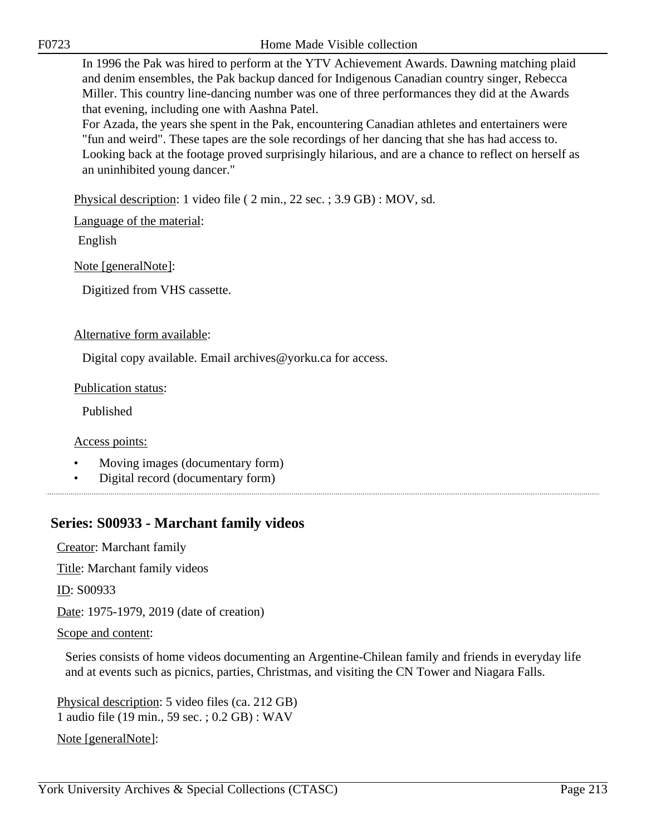F0723 Home Made Visible collection

In 1996 the Pak was hired to perform at the YTV Achievement Awards. Dawning matching plaid and denim ensembles, the Pak backup danced for Indigenous Canadian country singer, Rebecca Miller. This country line-dancing number was one of three performances they did at the Awards that evening, including one with Aashna Patel.

For Azada, the years she spent in the Pak, encountering Canadian athletes and entertainers were "fun and weird". These tapes are the sole recordings of her dancing that she has had access to. Looking back at the footage proved surprisingly hilarious, and are a chance to reflect on herself as an uninhibited young dancer."

Physical description: 1 video file ( 2 min., 22 sec. ; 3.9 GB) : MOV, sd.

Language of the material:

English

Note [generalNote]:

Digitized from VHS cassette.

#### Alternative form available:

Digital copy available. Email archives@yorku.ca for access.

Publication status:

Published

Access points:

- Moving images (documentary form)
- Digital record (documentary form)

### **Series: S00933 - Marchant family videos**

Creator: Marchant family

Title: Marchant family videos

ID: S00933

Date: 1975-1979, 2019 (date of creation)

Scope and content:

Series consists of home videos documenting an Argentine-Chilean family and friends in everyday life and at events such as picnics, parties, Christmas, and visiting the CN Tower and Niagara Falls.

Physical description: 5 video files (ca. 212 GB) 1 audio file (19 min., 59 sec. ; 0.2 GB) : WAV

Note [generalNote]: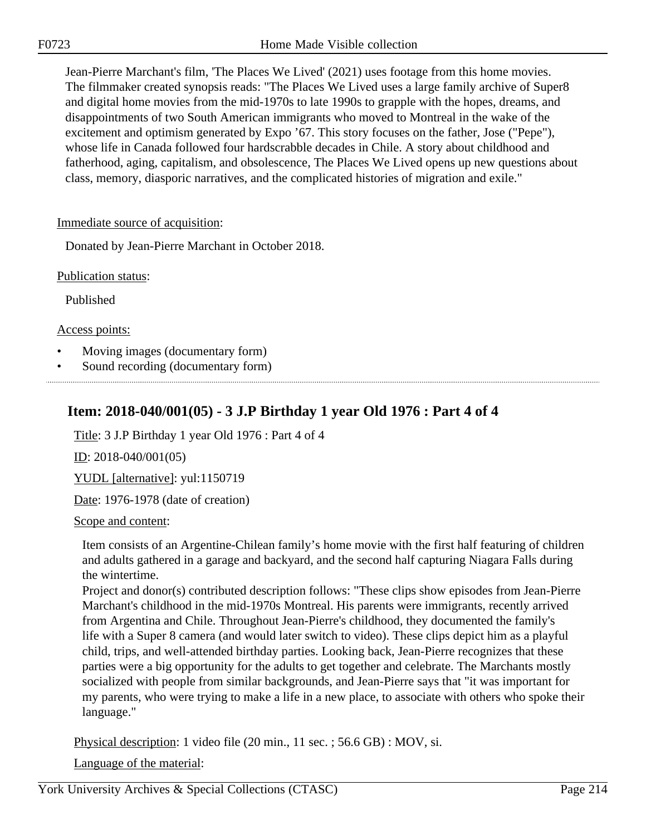Jean-Pierre Marchant's film, 'The Places We Lived' (2021) uses footage from this home movies. The filmmaker created synopsis reads: "The Places We Lived uses a large family archive of Super8 and digital home movies from the mid-1970s to late 1990s to grapple with the hopes, dreams, and disappointments of two South American immigrants who moved to Montreal in the wake of the excitement and optimism generated by Expo '67. This story focuses on the father, Jose ("Pepe"), whose life in Canada followed four hardscrabble decades in Chile. A story about childhood and fatherhood, aging, capitalism, and obsolescence, The Places We Lived opens up new questions about class, memory, diasporic narratives, and the complicated histories of migration and exile."

#### Immediate source of acquisition:

Donated by Jean-Pierre Marchant in October 2018.

Publication status:

Published

Access points:

- Moving images (documentary form)
- Sound recording (documentary form)

# **Item: 2018-040/001(05) - 3 J.P Birthday 1 year Old 1976 : Part 4 of 4**

Title: 3 J.P Birthday 1 year Old 1976 : Part 4 of 4

ID: 2018-040/001(05)

YUDL [alternative]: yul:1150719

Date: 1976-1978 (date of creation)

Scope and content:

Item consists of an Argentine-Chilean family's home movie with the first half featuring of children and adults gathered in a garage and backyard, and the second half capturing Niagara Falls during the wintertime.

Project and donor(s) contributed description follows: "These clips show episodes from Jean-Pierre Marchant's childhood in the mid-1970s Montreal. His parents were immigrants, recently arrived from Argentina and Chile. Throughout Jean-Pierre's childhood, they documented the family's life with a Super 8 camera (and would later switch to video). These clips depict him as a playful child, trips, and well-attended birthday parties. Looking back, Jean-Pierre recognizes that these parties were a big opportunity for the adults to get together and celebrate. The Marchants mostly socialized with people from similar backgrounds, and Jean-Pierre says that "it was important for my parents, who were trying to make a life in a new place, to associate with others who spoke their language."

Physical description: 1 video file (20 min., 11 sec. ; 56.6 GB) : MOV, si.

Language of the material: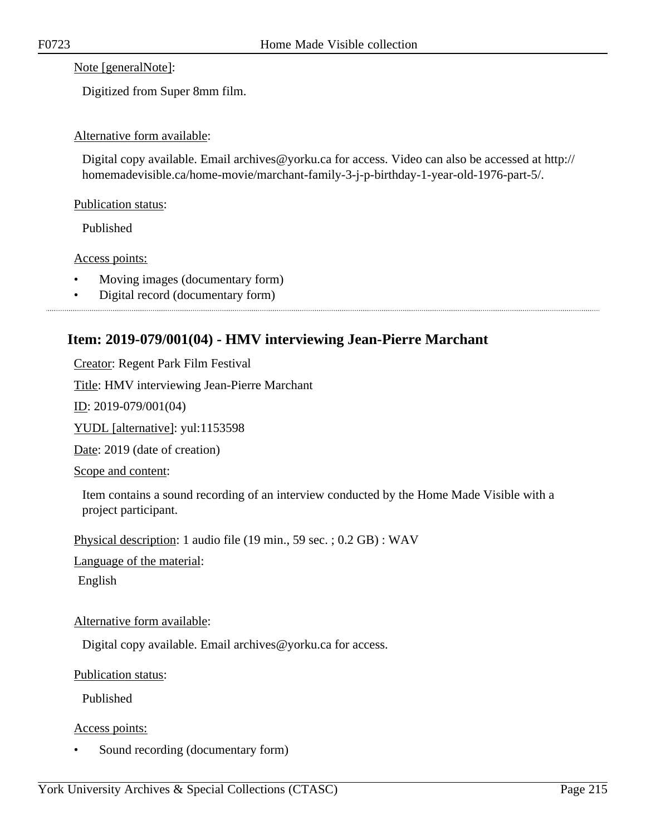Note [generalNote]:

Digitized from Super 8mm film.

#### Alternative form available:

Digital copy available. Email archives@yorku.ca for access. Video can also be accessed at http:// homemadevisible.ca/home-movie/marchant-family-3-j-p-birthday-1-year-old-1976-part-5/.

#### Publication status:

Published

#### Access points:

- Moving images (documentary form)
- Digital record (documentary form)

### **Item: 2019-079/001(04) - HMV interviewing Jean-Pierre Marchant**

Creator: Regent Park Film Festival

Title: HMV interviewing Jean-Pierre Marchant

ID: 2019-079/001(04)

YUDL [alternative]: yul:1153598

Date: 2019 (date of creation)

Scope and content:

Item contains a sound recording of an interview conducted by the Home Made Visible with a project participant.

Physical description: 1 audio file (19 min., 59 sec. ; 0.2 GB) : WAV

Language of the material:

English

#### Alternative form available:

Digital copy available. Email archives@yorku.ca for access.

Publication status:

Published

Access points:

Sound recording (documentary form)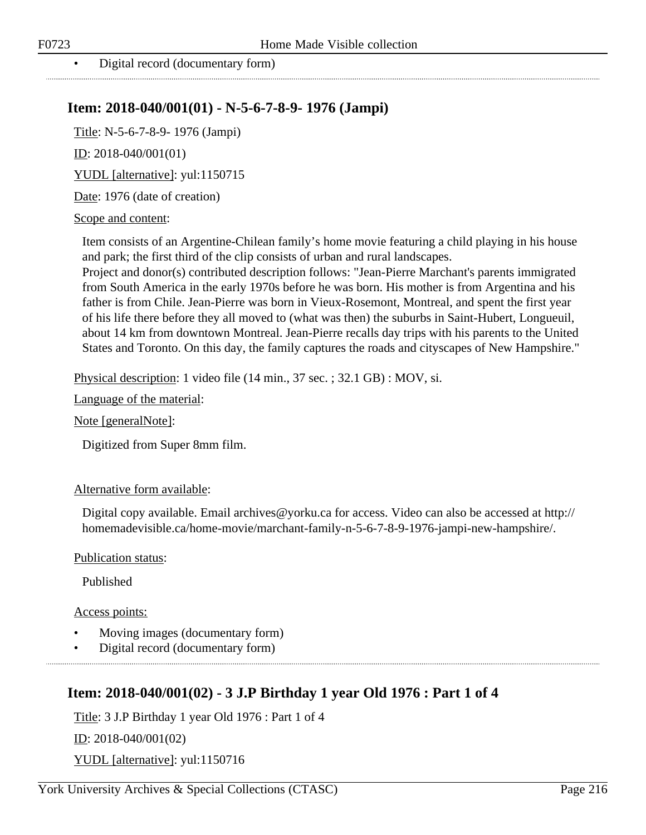• Digital record (documentary form)

### **Item: 2018-040/001(01) - N-5-6-7-8-9- 1976 (Jampi)**

Title: N-5-6-7-8-9- 1976 (Jampi)

ID: 2018-040/001(01)

YUDL [alternative]: yul:1150715

Date: 1976 (date of creation)

#### Scope and content:

Item consists of an Argentine-Chilean family's home movie featuring a child playing in his house and park; the first third of the clip consists of urban and rural landscapes.

Project and donor(s) contributed description follows: "Jean-Pierre Marchant's parents immigrated from South America in the early 1970s before he was born. His mother is from Argentina and his father is from Chile. Jean-Pierre was born in Vieux-Rosemont, Montreal, and spent the first year of his life there before they all moved to (what was then) the suburbs in Saint-Hubert, Longueuil, about 14 km from downtown Montreal. Jean-Pierre recalls day trips with his parents to the United States and Toronto. On this day, the family captures the roads and cityscapes of New Hampshire."

Physical description: 1 video file (14 min., 37 sec. ; 32.1 GB) : MOV, si.

Language of the material:

Note [generalNote]:

Digitized from Super 8mm film.

#### Alternative form available:

Digital copy available. Email archives@yorku.ca for access. Video can also be accessed at http:// homemadevisible.ca/home-movie/marchant-family-n-5-6-7-8-9-1976-jampi-new-hampshire/.

Publication status:

Published

Access points:

- Moving images (documentary form)
- Digital record (documentary form)

### **Item: 2018-040/001(02) - 3 J.P Birthday 1 year Old 1976 : Part 1 of 4**

Title: 3 J.P Birthday 1 year Old 1976 : Part 1 of 4 ID: 2018-040/001(02)

YUDL [alternative]: yul:1150716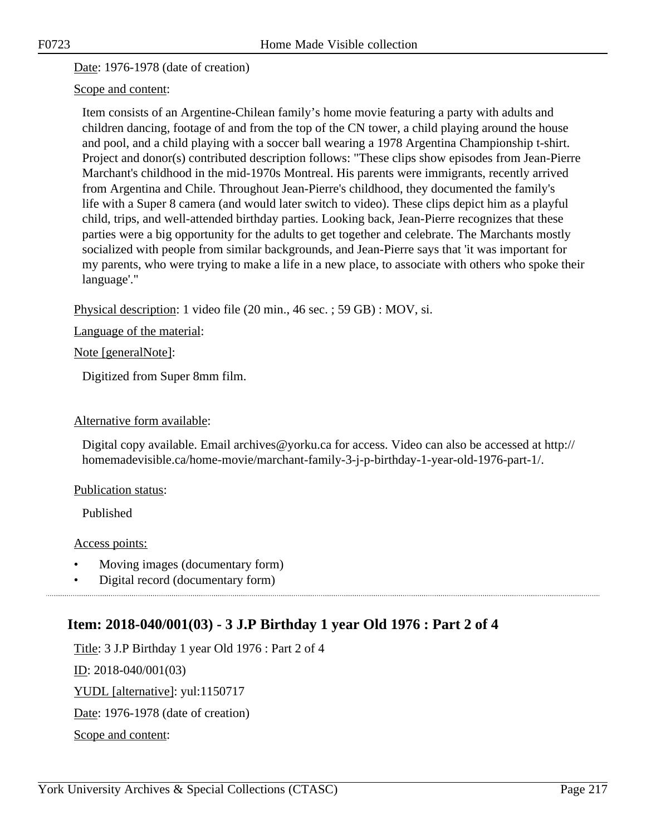Date: 1976-1978 (date of creation)

### Scope and content:

Item consists of an Argentine-Chilean family's home movie featuring a party with adults and children dancing, footage of and from the top of the CN tower, a child playing around the house and pool, and a child playing with a soccer ball wearing a 1978 Argentina Championship t-shirt. Project and donor(s) contributed description follows: "These clips show episodes from Jean-Pierre Marchant's childhood in the mid-1970s Montreal. His parents were immigrants, recently arrived from Argentina and Chile. Throughout Jean-Pierre's childhood, they documented the family's life with a Super 8 camera (and would later switch to video). These clips depict him as a playful child, trips, and well-attended birthday parties. Looking back, Jean-Pierre recognizes that these parties were a big opportunity for the adults to get together and celebrate. The Marchants mostly socialized with people from similar backgrounds, and Jean-Pierre says that 'it was important for my parents, who were trying to make a life in a new place, to associate with others who spoke their language'."

Physical description: 1 video file (20 min., 46 sec. ; 59 GB) : MOV, si.

Language of the material:

Note [generalNote]:

Digitized from Super 8mm film.

#### Alternative form available:

Digital copy available. Email archives@yorku.ca for access. Video can also be accessed at http:// homemadevisible.ca/home-movie/marchant-family-3-j-p-birthday-1-year-old-1976-part-1/.

#### Publication status:

Published

#### Access points:

- Moving images (documentary form)
- Digital record (documentary form)

### **Item: 2018-040/001(03) - 3 J.P Birthday 1 year Old 1976 : Part 2 of 4**

Title: 3 J.P Birthday 1 year Old 1976 : Part 2 of 4 ID: 2018-040/001(03) YUDL [alternative]: yul:1150717 Date: 1976-1978 (date of creation) Scope and content: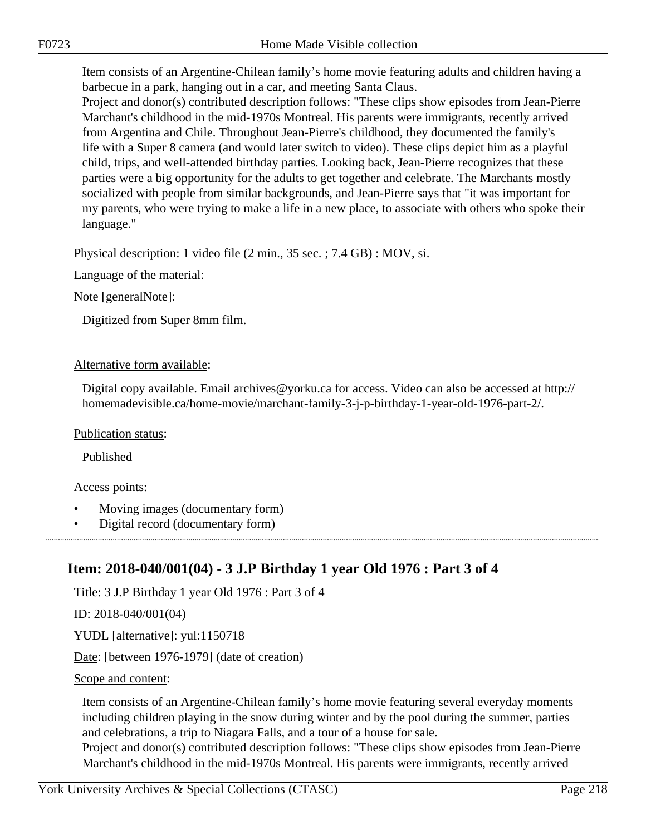Item consists of an Argentine-Chilean family's home movie featuring adults and children having a barbecue in a park, hanging out in a car, and meeting Santa Claus.

Project and donor(s) contributed description follows: "These clips show episodes from Jean-Pierre Marchant's childhood in the mid-1970s Montreal. His parents were immigrants, recently arrived from Argentina and Chile. Throughout Jean-Pierre's childhood, they documented the family's life with a Super 8 camera (and would later switch to video). These clips depict him as a playful child, trips, and well-attended birthday parties. Looking back, Jean-Pierre recognizes that these parties were a big opportunity for the adults to get together and celebrate. The Marchants mostly socialized with people from similar backgrounds, and Jean-Pierre says that "it was important for my parents, who were trying to make a life in a new place, to associate with others who spoke their language."

Physical description: 1 video file (2 min., 35 sec. ; 7.4 GB) : MOV, si.

Language of the material:

Note [generalNote]:

Digitized from Super 8mm film.

### Alternative form available:

Digital copy available. Email archives@yorku.ca for access. Video can also be accessed at http:// homemadevisible.ca/home-movie/marchant-family-3-j-p-birthday-1-year-old-1976-part-2/.

#### Publication status:

Published

### Access points:

- Moving images (documentary form)
- Digital record (documentary form)

### **Item: 2018-040/001(04) - 3 J.P Birthday 1 year Old 1976 : Part 3 of 4**

Title: 3 J.P Birthday 1 year Old 1976 : Part 3 of 4

ID: 2018-040/001(04)

YUDL [alternative]: yul:1150718

Date: [between 1976-1979] (date of creation)

#### Scope and content:

Item consists of an Argentine-Chilean family's home movie featuring several everyday moments including children playing in the snow during winter and by the pool during the summer, parties and celebrations, a trip to Niagara Falls, and a tour of a house for sale.

Project and donor(s) contributed description follows: "These clips show episodes from Jean-Pierre Marchant's childhood in the mid-1970s Montreal. His parents were immigrants, recently arrived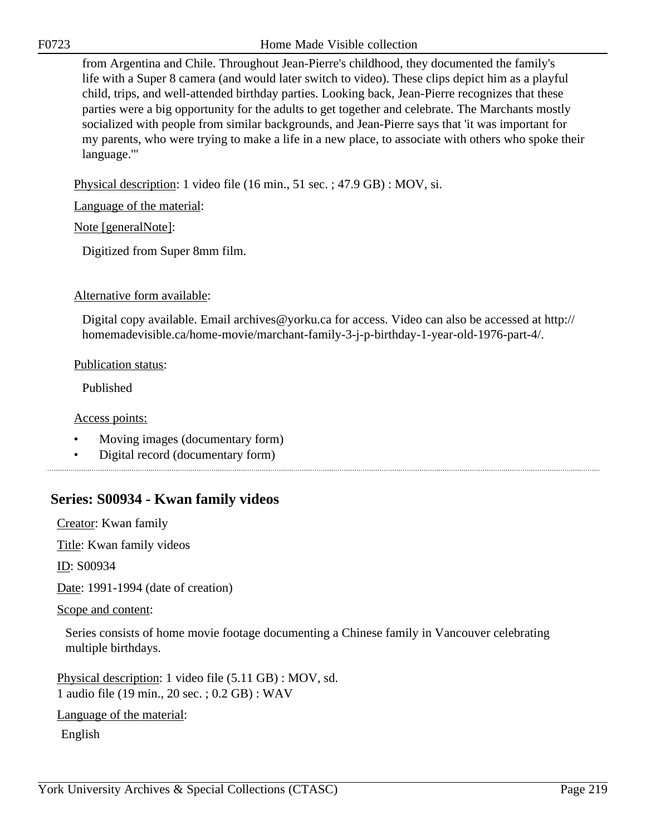from Argentina and Chile. Throughout Jean-Pierre's childhood, they documented the family's life with a Super 8 camera (and would later switch to video). These clips depict him as a playful child, trips, and well-attended birthday parties. Looking back, Jean-Pierre recognizes that these parties were a big opportunity for the adults to get together and celebrate. The Marchants mostly socialized with people from similar backgrounds, and Jean-Pierre says that 'it was important for my parents, who were trying to make a life in a new place, to associate with others who spoke their language.'"

Physical description: 1 video file (16 min., 51 sec. ; 47.9 GB) : MOV, si.

Language of the material:

Note [generalNote]:

Digitized from Super 8mm film.

### Alternative form available:

Digital copy available. Email archives@yorku.ca for access. Video can also be accessed at http:// homemadevisible.ca/home-movie/marchant-family-3-j-p-birthday-1-year-old-1976-part-4/.

### Publication status:

Published

Access points:

- Moving images (documentary form)
- Digital record (documentary form)

### **Series: S00934 - Kwan family videos**

Creator: Kwan family

Title: Kwan family videos

ID: S00934

Date: 1991-1994 (date of creation)

#### Scope and content:

Series consists of home movie footage documenting a Chinese family in Vancouver celebrating multiple birthdays.

Physical description: 1 video file (5.11 GB) : MOV, sd. 1 audio file (19 min., 20 sec. ; 0.2 GB) : WAV

Language of the material:

English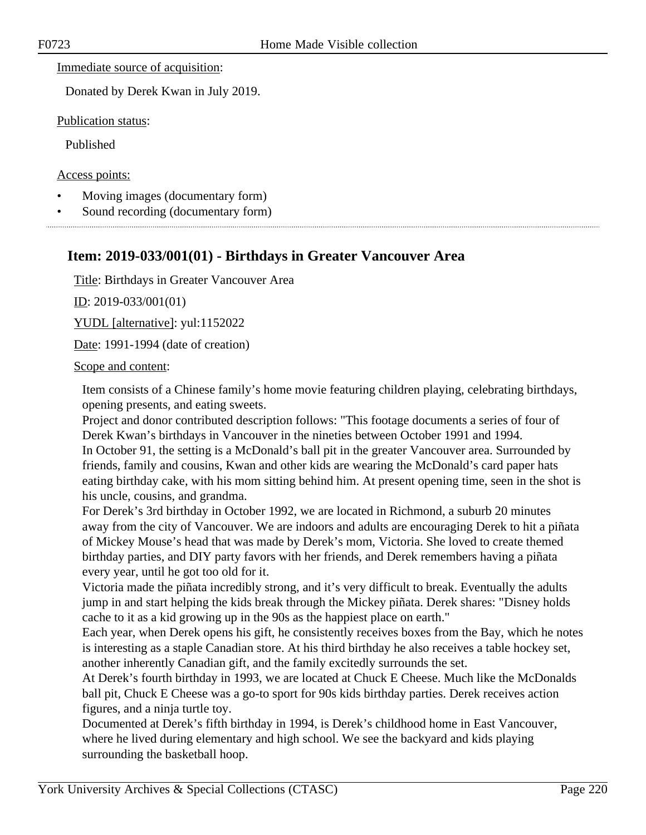### Immediate source of acquisition:

Donated by Derek Kwan in July 2019.

Publication status:

Published

Access points:

- Moving images (documentary form)
- Sound recording (documentary form)

### **Item: 2019-033/001(01) - Birthdays in Greater Vancouver Area**

Title: Birthdays in Greater Vancouver Area

ID: 2019-033/001(01)

YUDL [alternative]: yul:1152022

Date: 1991-1994 (date of creation)

#### Scope and content:

Item consists of a Chinese family's home movie featuring children playing, celebrating birthdays, opening presents, and eating sweets.

Project and donor contributed description follows: "This footage documents a series of four of Derek Kwan's birthdays in Vancouver in the nineties between October 1991 and 1994. In October 91, the setting is a McDonald's ball pit in the greater Vancouver area. Surrounded by friends, family and cousins, Kwan and other kids are wearing the McDonald's card paper hats eating birthday cake, with his mom sitting behind him. At present opening time, seen in the shot is his uncle, cousins, and grandma.

For Derek's 3rd birthday in October 1992, we are located in Richmond, a suburb 20 minutes away from the city of Vancouver. We are indoors and adults are encouraging Derek to hit a piñata of Mickey Mouse's head that was made by Derek's mom, Victoria. She loved to create themed birthday parties, and DIY party favors with her friends, and Derek remembers having a piñata every year, until he got too old for it.

Victoria made the piñata incredibly strong, and it's very difficult to break. Eventually the adults jump in and start helping the kids break through the Mickey piñata. Derek shares: "Disney holds cache to it as a kid growing up in the 90s as the happiest place on earth."

Each year, when Derek opens his gift, he consistently receives boxes from the Bay, which he notes is interesting as a staple Canadian store. At his third birthday he also receives a table hockey set, another inherently Canadian gift, and the family excitedly surrounds the set.

At Derek's fourth birthday in 1993, we are located at Chuck E Cheese. Much like the McDonalds ball pit, Chuck E Cheese was a go-to sport for 90s kids birthday parties. Derek receives action figures, and a ninja turtle toy.

Documented at Derek's fifth birthday in 1994, is Derek's childhood home in East Vancouver, where he lived during elementary and high school. We see the backyard and kids playing surrounding the basketball hoop.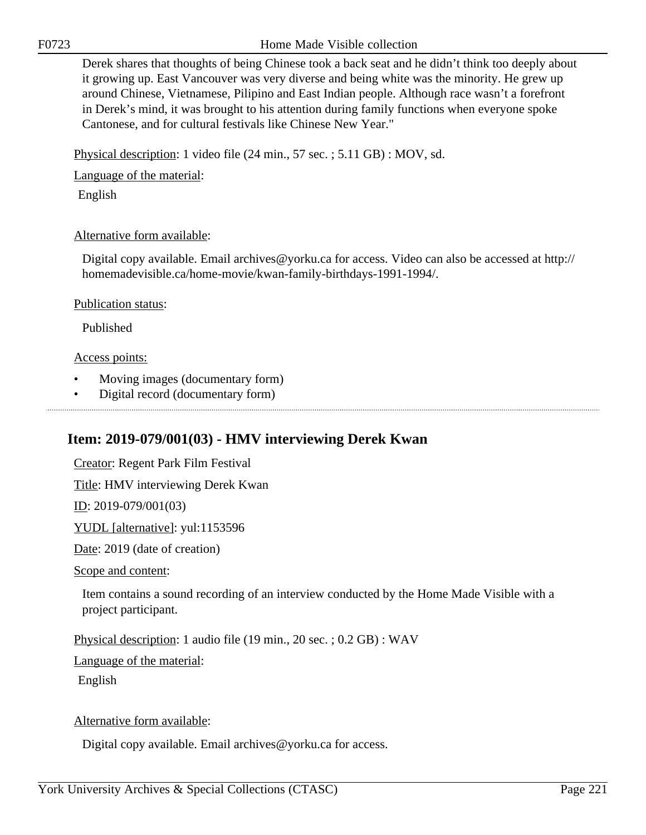Derek shares that thoughts of being Chinese took a back seat and he didn't think too deeply about it growing up. East Vancouver was very diverse and being white was the minority. He grew up around Chinese, Vietnamese, Pilipino and East Indian people. Although race wasn't a forefront in Derek's mind, it was brought to his attention during family functions when everyone spoke Cantonese, and for cultural festivals like Chinese New Year."

Physical description: 1 video file (24 min., 57 sec. ; 5.11 GB) : MOV, sd.

Language of the material:

English

### Alternative form available:

Digital copy available. Email archives@yorku.ca for access. Video can also be accessed at http:// homemadevisible.ca/home-movie/kwan-family-birthdays-1991-1994/.

### Publication status:

Published

### Access points:

• Moving images (documentary form)

• Digital record (documentary form)

### **Item: 2019-079/001(03) - HMV interviewing Derek Kwan**

Creator: Regent Park Film Festival Title: HMV interviewing Derek Kwan ID: 2019-079/001(03) YUDL [alternative]: yul:1153596 Date: 2019 (date of creation)

Scope and content:

Item contains a sound recording of an interview conducted by the Home Made Visible with a project participant.

Physical description: 1 audio file (19 min., 20 sec. ; 0.2 GB) : WAV

Language of the material:

English

Alternative form available:

Digital copy available. Email archives@yorku.ca for access.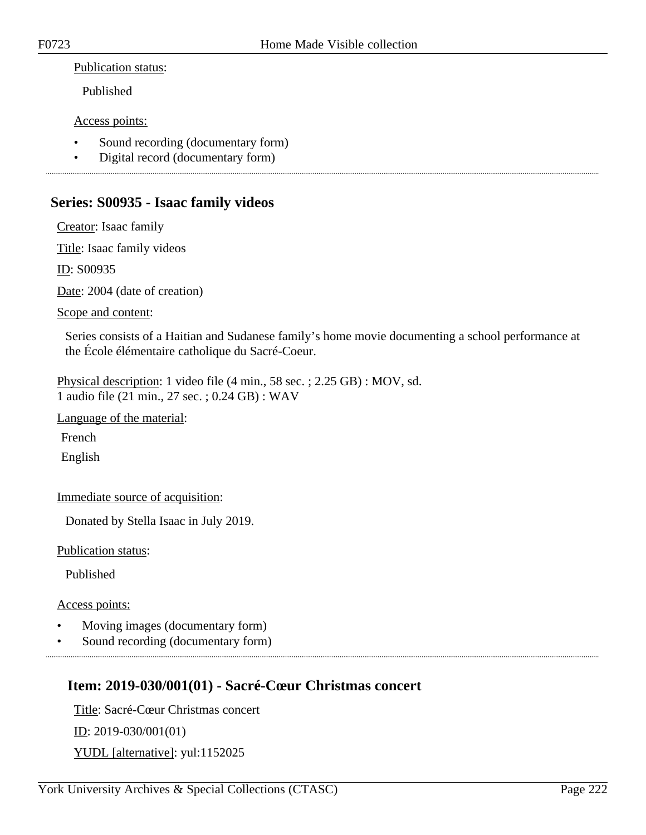### Publication status:

Published

### Access points:

- Sound recording (documentary form)
- Digital record (documentary form)

### **Series: S00935 - Isaac family videos**

Creator: Isaac family

Title: Isaac family videos

ID: S00935

Date: 2004 (date of creation)

### Scope and content:

Series consists of a Haitian and Sudanese family's home movie documenting a school performance at the École élémentaire catholique du Sacré-Coeur.

Physical description: 1 video file (4 min., 58 sec. ; 2.25 GB) : MOV, sd. 1 audio file (21 min., 27 sec. ; 0.24 GB) : WAV

Language of the material:

French

English

Immediate source of acquisition:

Donated by Stella Isaac in July 2019.

Publication status:

Published

#### Access points:

- Moving images (documentary form)
- Sound recording (documentary form)

### **Item: 2019-030/001(01) - Sacré-Cœur Christmas concert**

Title: Sacré-Cœur Christmas concert ID: 2019-030/001(01) YUDL [alternative]: yul:1152025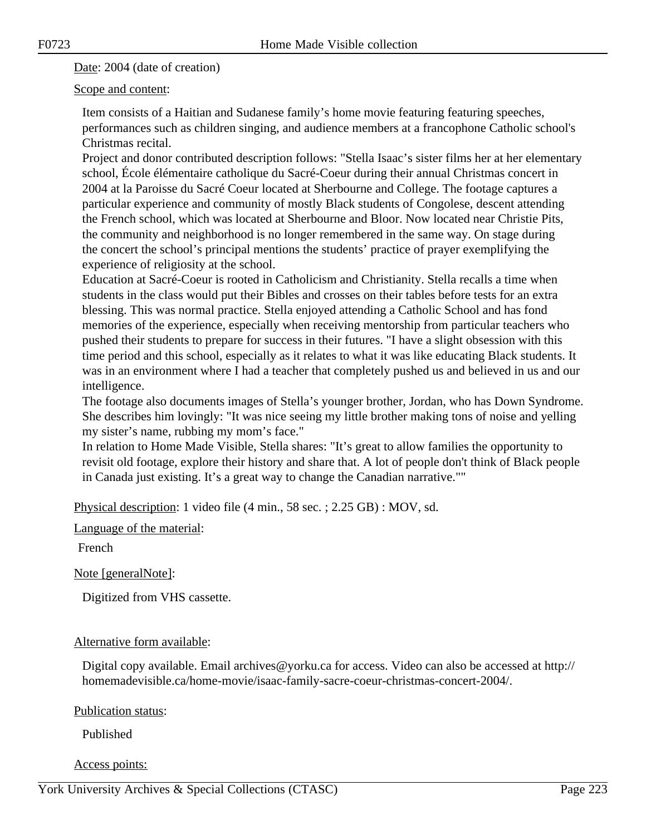Date: 2004 (date of creation)

Scope and content:

Item consists of a Haitian and Sudanese family's home movie featuring featuring speeches, performances such as children singing, and audience members at a francophone Catholic school's Christmas recital.

Project and donor contributed description follows: "Stella Isaac's sister films her at her elementary school, École élémentaire catholique du Sacré-Coeur during their annual Christmas concert in 2004 at la Paroisse du Sacré Coeur located at Sherbourne and College. The footage captures a particular experience and community of mostly Black students of Congolese, descent attending the French school, which was located at Sherbourne and Bloor. Now located near Christie Pits, the community and neighborhood is no longer remembered in the same way. On stage during the concert the school's principal mentions the students' practice of prayer exemplifying the experience of religiosity at the school.

Education at Sacré-Coeur is rooted in Catholicism and Christianity. Stella recalls a time when students in the class would put their Bibles and crosses on their tables before tests for an extra blessing. This was normal practice. Stella enjoyed attending a Catholic School and has fond memories of the experience, especially when receiving mentorship from particular teachers who pushed their students to prepare for success in their futures. "I have a slight obsession with this time period and this school, especially as it relates to what it was like educating Black students. It was in an environment where I had a teacher that completely pushed us and believed in us and our intelligence.

The footage also documents images of Stella's younger brother, Jordan, who has Down Syndrome. She describes him lovingly: "It was nice seeing my little brother making tons of noise and yelling my sister's name, rubbing my mom's face."

In relation to Home Made Visible, Stella shares: "It's great to allow families the opportunity to revisit old footage, explore their history and share that. A lot of people don't think of Black people in Canada just existing. It's a great way to change the Canadian narrative.""

Physical description: 1 video file (4 min., 58 sec. ; 2.25 GB) : MOV, sd.

Language of the material:

French

Note [generalNote]:

Digitized from VHS cassette.

### Alternative form available:

Digital copy available. Email archives@yorku.ca for access. Video can also be accessed at http:// homemadevisible.ca/home-movie/isaac-family-sacre-coeur-christmas-concert-2004/.

Publication status:

Published

Access points: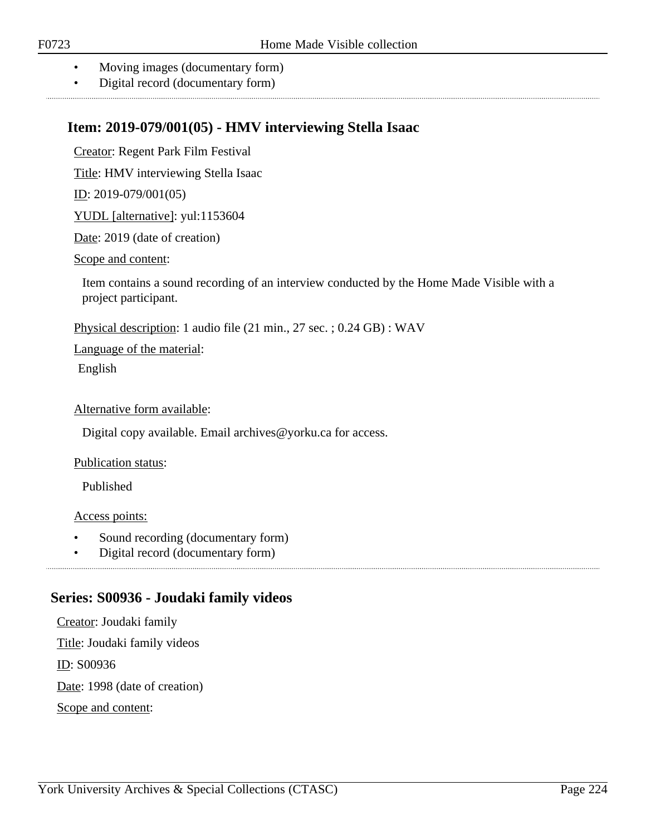- Moving images (documentary form)
- Digital record (documentary form)

### **Item: 2019-079/001(05) - HMV interviewing Stella Isaac**

Creator: Regent Park Film Festival

Title: HMV interviewing Stella Isaac

ID: 2019-079/001(05)

YUDL [alternative]: yul:1153604

Date: 2019 (date of creation)

#### Scope and content:

Item contains a sound recording of an interview conducted by the Home Made Visible with a project participant.

Physical description: 1 audio file (21 min., 27 sec. ; 0.24 GB) : WAV

Language of the material:

English

### Alternative form available:

Digital copy available. Email archives@yorku.ca for access.

#### Publication status:

Published

#### Access points:

- Sound recording (documentary form)
- Digital record (documentary form)

### **Series: S00936 - Joudaki family videos**

Creator: Joudaki family Title: Joudaki family videos ID: S00936 Date: 1998 (date of creation) Scope and content: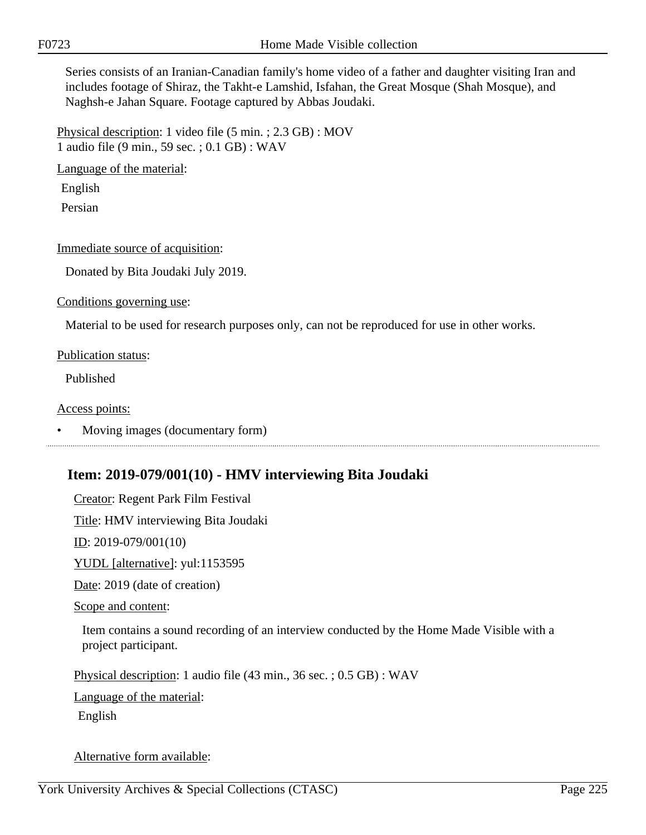Series consists of an Iranian-Canadian family's home video of a father and daughter visiting Iran and includes footage of Shiraz, the Takht-e Lamshid, Isfahan, the Great Mosque (Shah Mosque), and Naghsh-e Jahan Square. Footage captured by Abbas Joudaki.

Physical description: 1 video file (5 min. ; 2.3 GB) : MOV 1 audio file (9 min., 59 sec. ; 0.1 GB) : WAV

Language of the material:

English

Persian

### Immediate source of acquisition:

Donated by Bita Joudaki July 2019.

Conditions governing use:

Material to be used for research purposes only, can not be reproduced for use in other works.

#### Publication status:

Published

#### Access points:

• Moving images (documentary form)

### **Item: 2019-079/001(10) - HMV interviewing Bita Joudaki**

Creator: Regent Park Film Festival

Title: HMV interviewing Bita Joudaki

ID: 2019-079/001(10)

YUDL [alternative]: yul:1153595

Date: 2019 (date of creation)

Scope and content:

Item contains a sound recording of an interview conducted by the Home Made Visible with a project participant.

Physical description: 1 audio file (43 min., 36 sec. ; 0.5 GB) : WAV

Language of the material:

English

Alternative form available: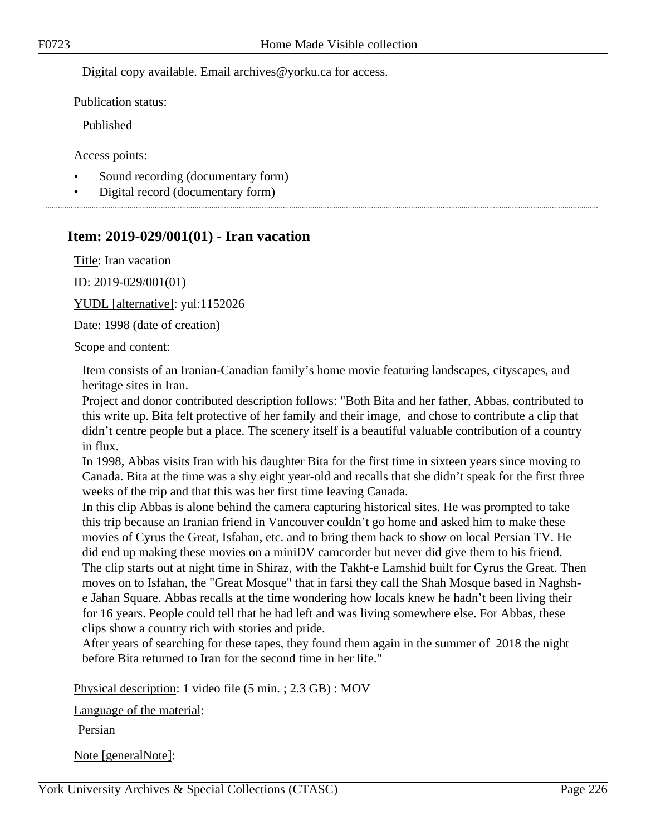Digital copy available. Email archives@yorku.ca for access.

Publication status:

Published

Access points:

- Sound recording (documentary form)
- Digital record (documentary form)

# **Item: 2019-029/001(01) - Iran vacation**

Title: Iran vacation

ID: 2019-029/001(01)

YUDL [alternative]: yul:1152026

Date: 1998 (date of creation)

#### Scope and content:

Item consists of an Iranian-Canadian family's home movie featuring landscapes, cityscapes, and heritage sites in Iran.

Project and donor contributed description follows: "Both Bita and her father, Abbas, contributed to this write up. Bita felt protective of her family and their image, and chose to contribute a clip that didn't centre people but a place. The scenery itself is a beautiful valuable contribution of a country in flux.

In 1998, Abbas visits Iran with his daughter Bita for the first time in sixteen years since moving to Canada. Bita at the time was a shy eight year-old and recalls that she didn't speak for the first three weeks of the trip and that this was her first time leaving Canada.

In this clip Abbas is alone behind the camera capturing historical sites. He was prompted to take this trip because an Iranian friend in Vancouver couldn't go home and asked him to make these movies of Cyrus the Great, Isfahan, etc. and to bring them back to show on local Persian TV. He did end up making these movies on a miniDV camcorder but never did give them to his friend. The clip starts out at night time in Shiraz, with the Takht-e Lamshid built for Cyrus the Great. Then moves on to Isfahan, the "Great Mosque" that in farsi they call the Shah Mosque based in Naghshe Jahan Square. Abbas recalls at the time wondering how locals knew he hadn't been living their for 16 years. People could tell that he had left and was living somewhere else. For Abbas, these clips show a country rich with stories and pride.

After years of searching for these tapes, they found them again in the summer of 2018 the night before Bita returned to Iran for the second time in her life."

Physical description: 1 video file (5 min. ; 2.3 GB) : MOV

Language of the material:

Persian

Note [generalNote]: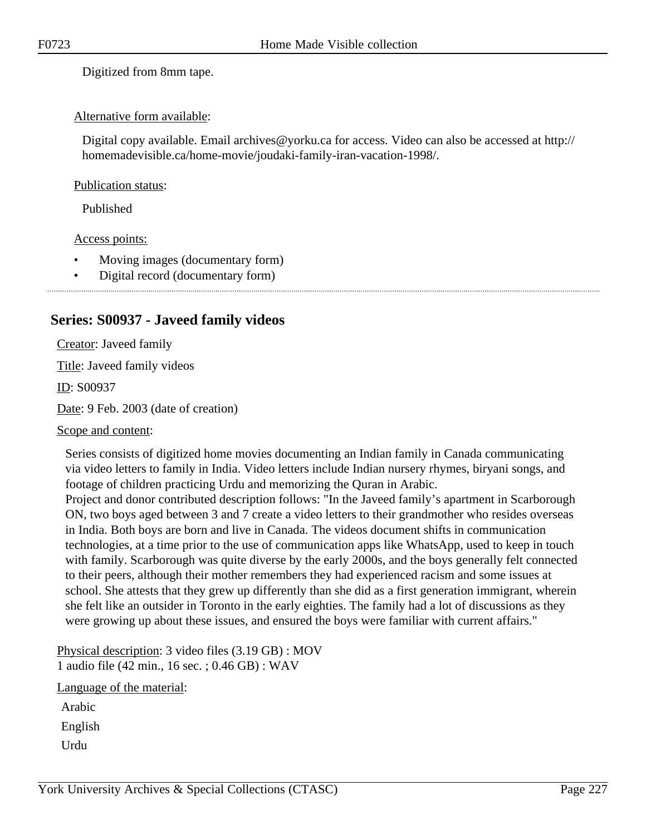Digitized from 8mm tape.

### Alternative form available:

Digital copy available. Email archives@yorku.ca for access. Video can also be accessed at http:// homemadevisible.ca/home-movie/joudaki-family-iran-vacation-1998/.

### Publication status:

Published

### Access points:

- Moving images (documentary form)
- Digital record (documentary form)

### **Series: S00937 - Javeed family videos**

Creator: Javeed family Title: Javeed family videos

ID: S00937

Date: 9 Feb. 2003 (date of creation)

### Scope and content:

Series consists of digitized home movies documenting an Indian family in Canada communicating via video letters to family in India. Video letters include Indian nursery rhymes, biryani songs, and footage of children practicing Urdu and memorizing the Quran in Arabic.

Project and donor contributed description follows: "In the Javeed family's apartment in Scarborough ON, two boys aged between 3 and 7 create a video letters to their grandmother who resides overseas in India. Both boys are born and live in Canada. The videos document shifts in communication technologies, at a time prior to the use of communication apps like WhatsApp, used to keep in touch with family. Scarborough was quite diverse by the early 2000s, and the boys generally felt connected to their peers, although their mother remembers they had experienced racism and some issues at school. She attests that they grew up differently than she did as a first generation immigrant, wherein she felt like an outsider in Toronto in the early eighties. The family had a lot of discussions as they were growing up about these issues, and ensured the boys were familiar with current affairs."

Physical description: 3 video files (3.19 GB) : MOV 1 audio file (42 min., 16 sec. ; 0.46 GB) : WAV

Language of the material:

Arabic

English

Urdu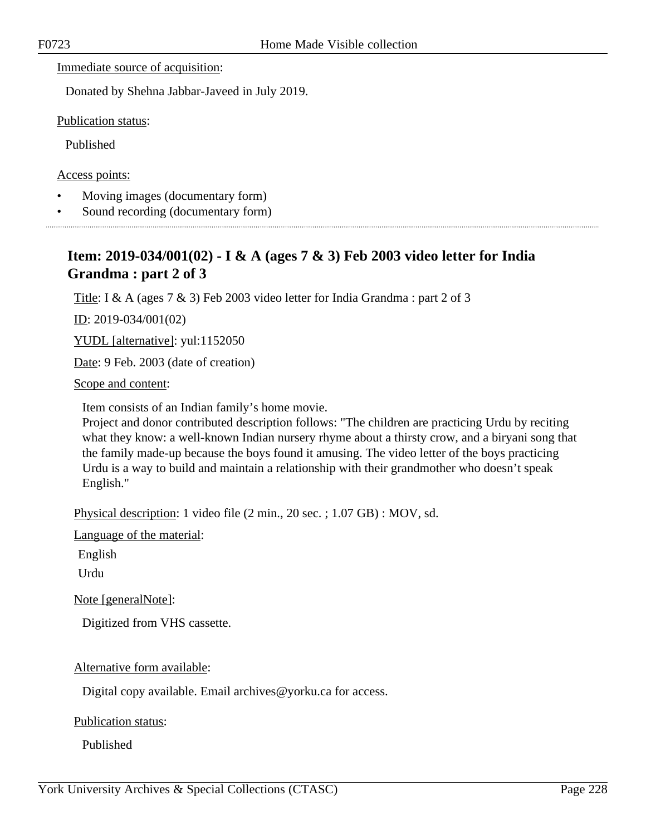Immediate source of acquisition:

Donated by Shehna Jabbar-Javeed in July 2019.

Publication status:

Published

Access points:

- Moving images (documentary form)
- Sound recording (documentary form)

## **Item: 2019-034/001(02) - I & A (ages 7 & 3) Feb 2003 video letter for India Grandma : part 2 of 3**

Title: I & A (ages 7 & 3) Feb 2003 video letter for India Grandma : part 2 of 3

ID: 2019-034/001(02)

YUDL [alternative]: yul:1152050

Date: 9 Feb. 2003 (date of creation)

Scope and content:

Item consists of an Indian family's home movie.

Project and donor contributed description follows: "The children are practicing Urdu by reciting what they know: a well-known Indian nursery rhyme about a thirsty crow, and a biryani song that the family made-up because the boys found it amusing. The video letter of the boys practicing Urdu is a way to build and maintain a relationship with their grandmother who doesn't speak English."

Physical description: 1 video file (2 min., 20 sec. ; 1.07 GB) : MOV, sd.

Language of the material:

English

Urdu

Note [generalNote]:

Digitized from VHS cassette.

Alternative form available:

Digital copy available. Email archives@yorku.ca for access.

Publication status:

Published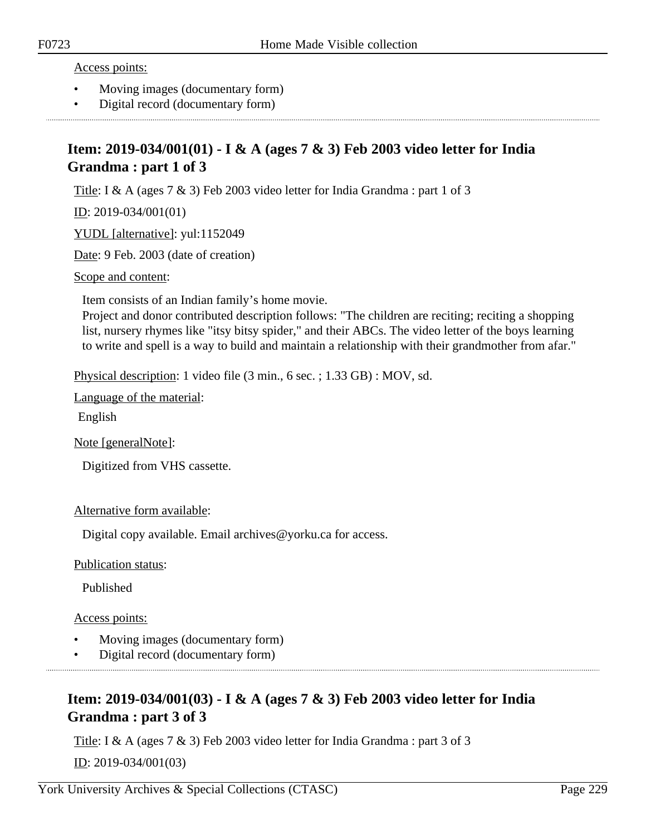#### Access points:

- Moving images (documentary form)
- Digital record (documentary form)

### **Item: 2019-034/001(01) - I & A (ages 7 & 3) Feb 2003 video letter for India Grandma : part 1 of 3**

Title: I & A (ages 7 & 3) Feb 2003 video letter for India Grandma : part 1 of 3

<u>ID</u>: 2019-034/001(01)

YUDL [alternative]: yul:1152049

Date: 9 Feb. 2003 (date of creation)

Scope and content:

Item consists of an Indian family's home movie.

Project and donor contributed description follows: "The children are reciting; reciting a shopping list, nursery rhymes like "itsy bitsy spider," and their ABCs. The video letter of the boys learning to write and spell is a way to build and maintain a relationship with their grandmother from afar."

Physical description: 1 video file (3 min., 6 sec. ; 1.33 GB) : MOV, sd.

Language of the material:

English

Note [generalNote]:

Digitized from VHS cassette.

Alternative form available:

Digital copy available. Email archives@yorku.ca for access.

Publication status:

Published

Access points:

- Moving images (documentary form)
- Digital record (documentary form)

### **Item: 2019-034/001(03) - I & A (ages 7 & 3) Feb 2003 video letter for India Grandma : part 3 of 3**

Title: I & A (ages 7 & 3) Feb 2003 video letter for India Grandma : part 3 of 3

ID: 2019-034/001(03)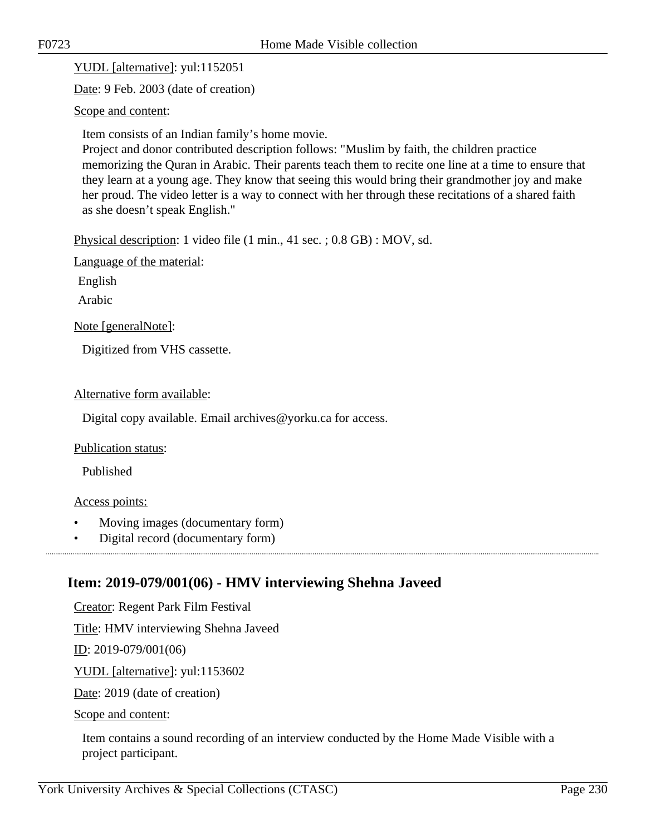YUDL [alternative]: yul:1152051

Date: 9 Feb. 2003 (date of creation)

Scope and content:

Item consists of an Indian family's home movie.

Project and donor contributed description follows: "Muslim by faith, the children practice memorizing the Quran in Arabic. Their parents teach them to recite one line at a time to ensure that they learn at a young age. They know that seeing this would bring their grandmother joy and make her proud. The video letter is a way to connect with her through these recitations of a shared faith as she doesn't speak English."

Physical description: 1 video file (1 min., 41 sec. ; 0.8 GB) : MOV, sd.

Language of the material:

English

Arabic

Note [generalNote]:

Digitized from VHS cassette.

Alternative form available:

Digital copy available. Email archives@yorku.ca for access.

Publication status:

Published

### Access points:

- Moving images (documentary form)
- Digital record (documentary form)

### **Item: 2019-079/001(06) - HMV interviewing Shehna Javeed**

Creator: Regent Park Film Festival

Title: HMV interviewing Shehna Javeed

ID: 2019-079/001(06)

YUDL [alternative]: yul:1153602

Date: 2019 (date of creation)

Scope and content:

Item contains a sound recording of an interview conducted by the Home Made Visible with a project participant.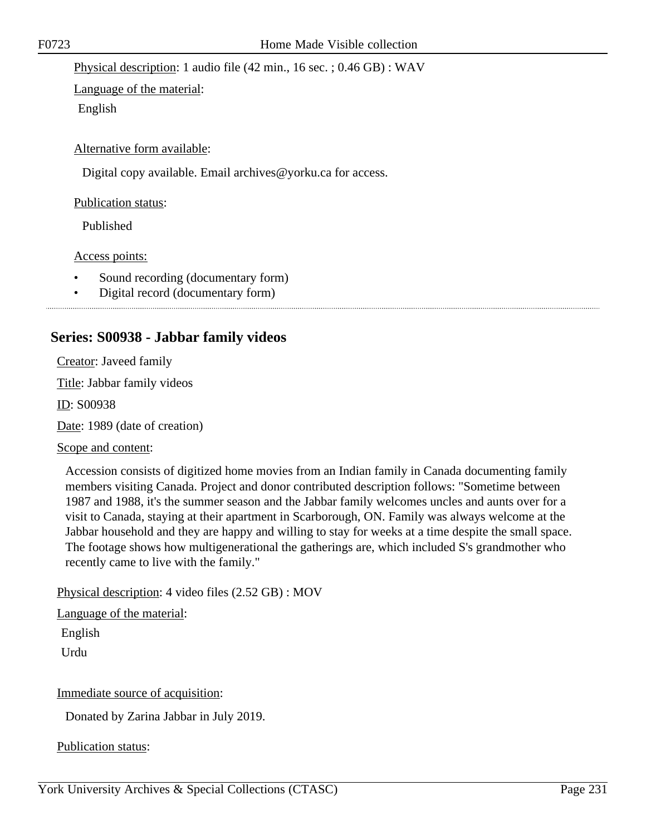Physical description: 1 audio file (42 min., 16 sec. ; 0.46 GB) : WAV

Language of the material: English

Alternative form available:

Digital copy available. Email archives@yorku.ca for access.

Publication status:

Published

Access points:

- Sound recording (documentary form)
- Digital record (documentary form)

### **Series: S00938 - Jabbar family videos**

Creator: Javeed family

Title: Jabbar family videos

ID: S00938

Date: 1989 (date of creation)

### Scope and content:

Accession consists of digitized home movies from an Indian family in Canada documenting family members visiting Canada. Project and donor contributed description follows: "Sometime between 1987 and 1988, it's the summer season and the Jabbar family welcomes uncles and aunts over for a visit to Canada, staying at their apartment in Scarborough, ON. Family was always welcome at the Jabbar household and they are happy and willing to stay for weeks at a time despite the small space. The footage shows how multigenerational the gatherings are, which included S's grandmother who recently came to live with the family."

Physical description: 4 video files (2.52 GB) : MOV

Language of the material:

English

Urdu

Immediate source of acquisition:

Donated by Zarina Jabbar in July 2019.

Publication status: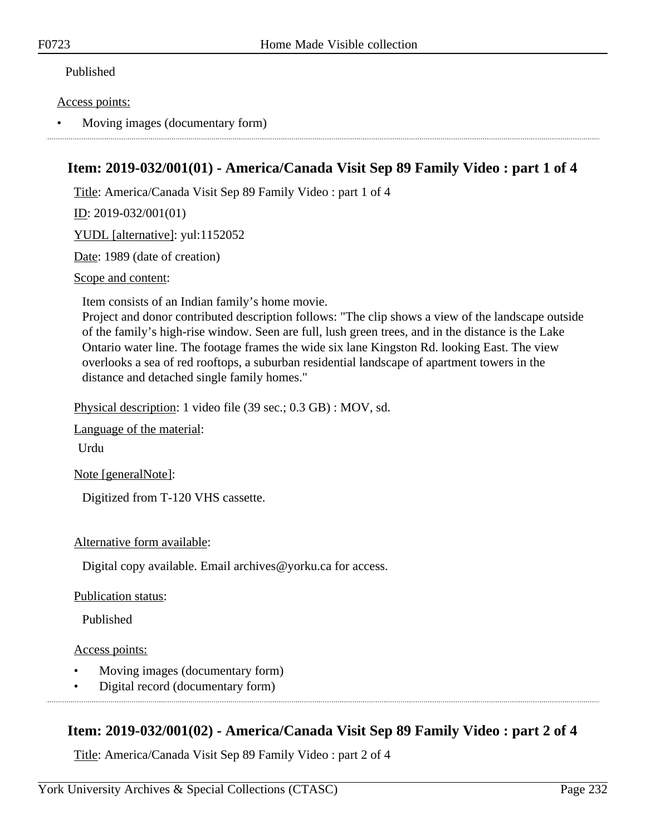### Published

### Access points:

• Moving images (documentary form)

### **Item: 2019-032/001(01) - America/Canada Visit Sep 89 Family Video : part 1 of 4**

Title: America/Canada Visit Sep 89 Family Video : part 1 of 4

ID: 2019-032/001(01)

YUDL [alternative]: yul:1152052

Date: 1989 (date of creation)

Scope and content:

Item consists of an Indian family's home movie.

Project and donor contributed description follows: "The clip shows a view of the landscape outside of the family's high-rise window. Seen are full, lush green trees, and in the distance is the Lake Ontario water line. The footage frames the wide six lane Kingston Rd. looking East. The view overlooks a sea of red rooftops, a suburban residential landscape of apartment towers in the distance and detached single family homes."

Physical description: 1 video file (39 sec.; 0.3 GB) : MOV, sd.

Language of the material:

Urdu

Note [generalNote]:

Digitized from T-120 VHS cassette.

#### Alternative form available:

Digital copy available. Email archives@yorku.ca for access.

#### Publication status:

Published

Access points:

- Moving images (documentary form)
- Digital record (documentary form)

### **Item: 2019-032/001(02) - America/Canada Visit Sep 89 Family Video : part 2 of 4**

Title: America/Canada Visit Sep 89 Family Video : part 2 of 4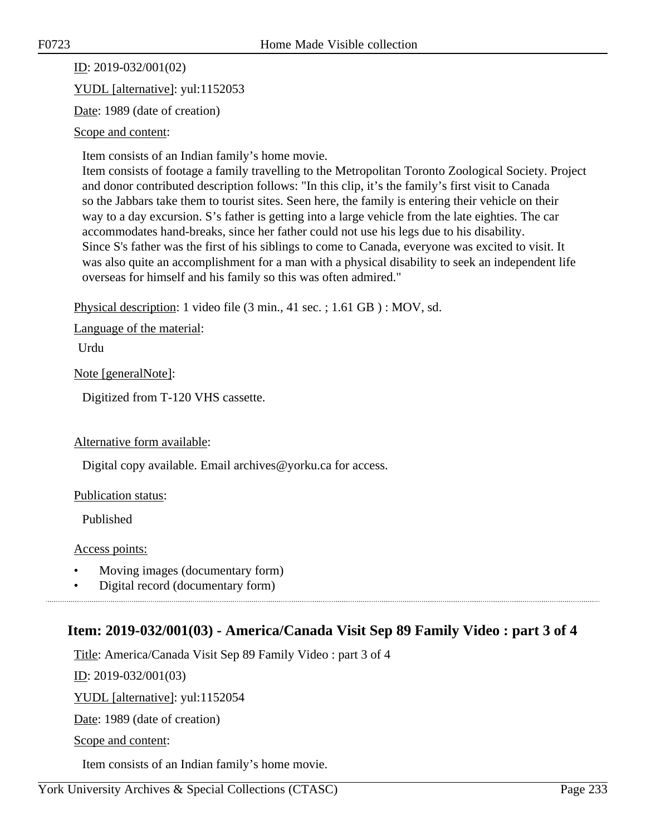ID: 2019-032/001(02) YUDL [alternative]: yul:1152053

Date: 1989 (date of creation)

### Scope and content:

Item consists of an Indian family's home movie.

Item consists of footage a family travelling to the Metropolitan Toronto Zoological Society. Project and donor contributed description follows: "In this clip, it's the family's first visit to Canada so the Jabbars take them to tourist sites. Seen here, the family is entering their vehicle on their way to a day excursion. S's father is getting into a large vehicle from the late eighties. The car accommodates hand-breaks, since her father could not use his legs due to his disability. Since S's father was the first of his siblings to come to Canada, everyone was excited to visit. It was also quite an accomplishment for a man with a physical disability to seek an independent life overseas for himself and his family so this was often admired."

Physical description: 1 video file (3 min., 41 sec. ; 1.61 GB ) : MOV, sd.

Language of the material:

Urdu

Note [generalNote]:

Digitized from T-120 VHS cassette.

Alternative form available:

Digital copy available. Email archives@yorku.ca for access.

Publication status:

Published

Access points:

- Moving images (documentary form)
- Digital record (documentary form)

### **Item: 2019-032/001(03) - America/Canada Visit Sep 89 Family Video : part 3 of 4**

Title: America/Canada Visit Sep 89 Family Video : part 3 of 4

ID: 2019-032/001(03)

YUDL [alternative]: yul:1152054

Date: 1989 (date of creation)

Scope and content:

Item consists of an Indian family's home movie.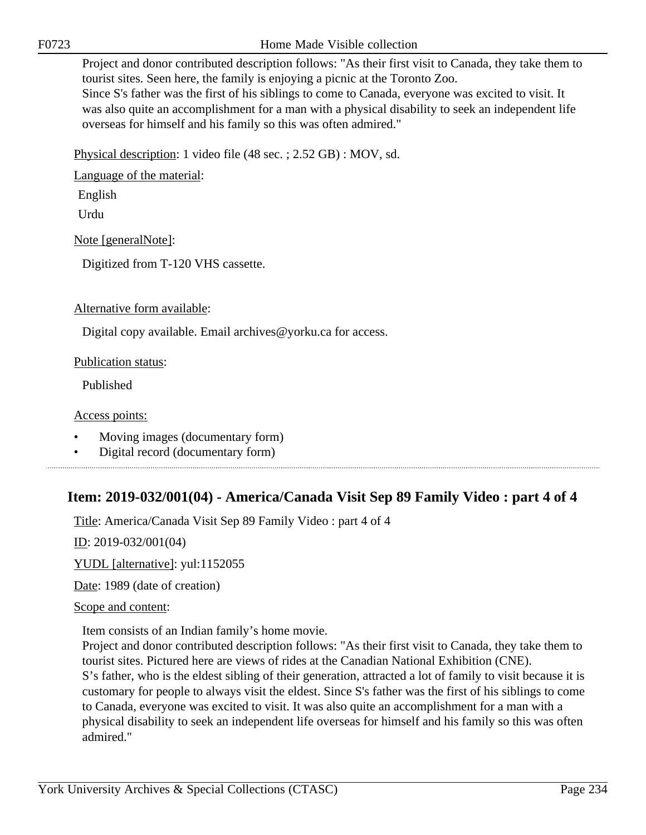Project and donor contributed description follows: "As their first visit to Canada, they take them to tourist sites. Seen here, the family is enjoying a picnic at the Toronto Zoo.

Since S's father was the first of his siblings to come to Canada, everyone was excited to visit. It was also quite an accomplishment for a man with a physical disability to seek an independent life overseas for himself and his family so this was often admired."

Physical description: 1 video file (48 sec. ; 2.52 GB) : MOV, sd.

Language of the material:

English

Urdu

Note [generalNote]:

Digitized from T-120 VHS cassette.

### Alternative form available:

Digital copy available. Email archives@yorku.ca for access.

Publication status:

Published

Access points:

- Moving images (documentary form)
- Digital record (documentary form)

### **Item: 2019-032/001(04) - America/Canada Visit Sep 89 Family Video : part 4 of 4**

Title: America/Canada Visit Sep 89 Family Video : part 4 of 4

ID: 2019-032/001(04)

YUDL [alternative]: yul:1152055

Date: 1989 (date of creation)

#### Scope and content:

Item consists of an Indian family's home movie.

Project and donor contributed description follows: "As their first visit to Canada, they take them to tourist sites. Pictured here are views of rides at the Canadian National Exhibition (CNE). S's father, who is the eldest sibling of their generation, attracted a lot of family to visit because it is customary for people to always visit the eldest. Since S's father was the first of his siblings to come to Canada, everyone was excited to visit. It was also quite an accomplishment for a man with a physical disability to seek an independent life overseas for himself and his family so this was often admired."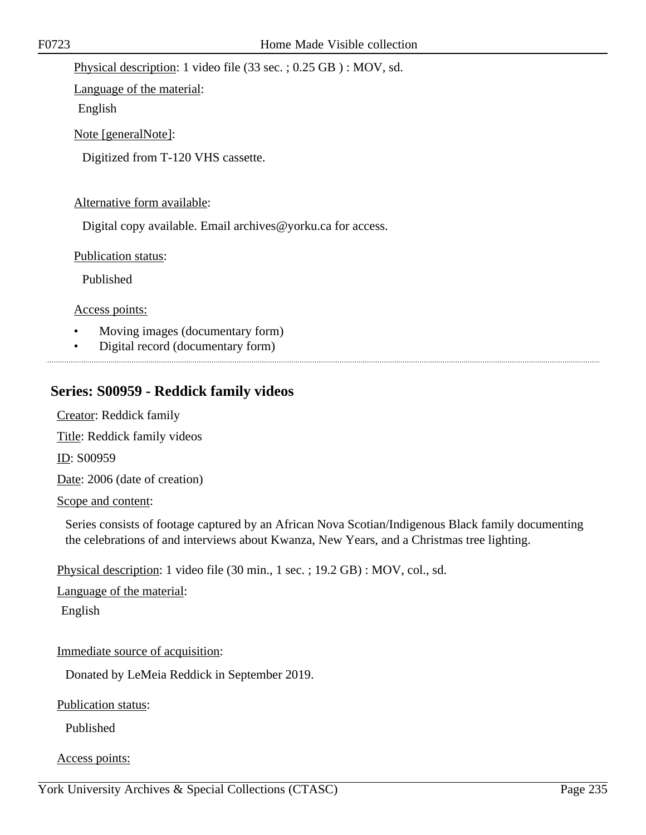Physical description: 1 video file (33 sec. ; 0.25 GB ) : MOV, sd.

Language of the material:

English

Note [generalNote]:

Digitized from T-120 VHS cassette.

### Alternative form available:

Digital copy available. Email archives@yorku.ca for access.

Publication status:

Published

Access points:

- Moving images (documentary form)
- Digital record (documentary form)

### **Series: S00959 - Reddick family videos**

Creator: Reddick family

Title: Reddick family videos

ID: S00959

Date: 2006 (date of creation)

Scope and content:

Series consists of footage captured by an African Nova Scotian/Indigenous Black family documenting the celebrations of and interviews about Kwanza, New Years, and a Christmas tree lighting.

Physical description: 1 video file (30 min., 1 sec. ; 19.2 GB) : MOV, col., sd.

Language of the material:

English

Immediate source of acquisition:

Donated by LeMeia Reddick in September 2019.

Publication status:

Published

### Access points: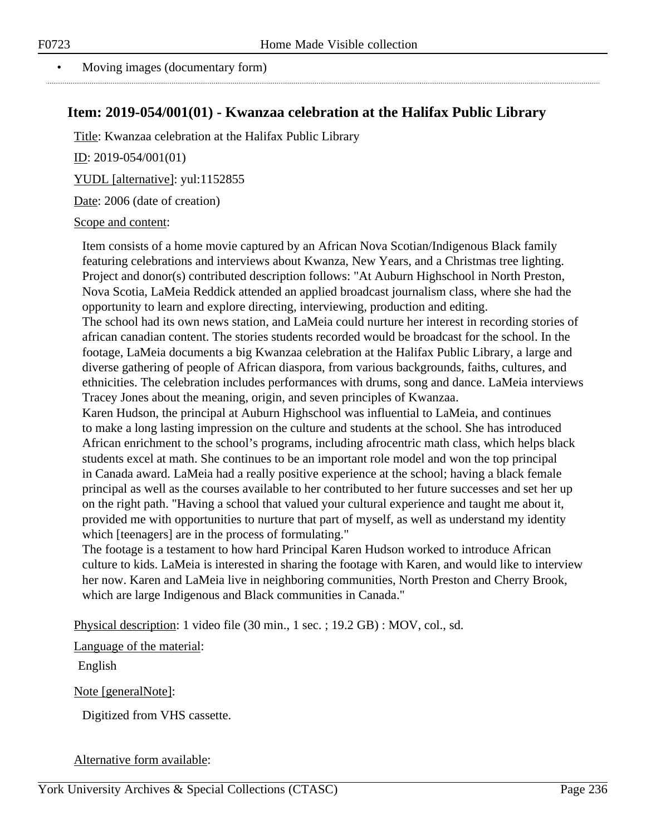### **Item: 2019-054/001(01) - Kwanzaa celebration at the Halifax Public Library**

Title: Kwanzaa celebration at the Halifax Public Library

ID: 2019-054/001(01)

YUDL [alternative]: yul:1152855

Date: 2006 (date of creation)

### Scope and content:

Item consists of a home movie captured by an African Nova Scotian/Indigenous Black family featuring celebrations and interviews about Kwanza, New Years, and a Christmas tree lighting. Project and donor(s) contributed description follows: "At Auburn Highschool in North Preston, Nova Scotia, LaMeia Reddick attended an applied broadcast journalism class, where she had the opportunity to learn and explore directing, interviewing, production and editing.

The school had its own news station, and LaMeia could nurture her interest in recording stories of african canadian content. The stories students recorded would be broadcast for the school. In the footage, LaMeia documents a big Kwanzaa celebration at the Halifax Public Library, a large and diverse gathering of people of African diaspora, from various backgrounds, faiths, cultures, and ethnicities. The celebration includes performances with drums, song and dance. LaMeia interviews Tracey Jones about the meaning, origin, and seven principles of Kwanzaa.

Karen Hudson, the principal at Auburn Highschool was influential to LaMeia, and continues to make a long lasting impression on the culture and students at the school. She has introduced African enrichment to the school's programs, including afrocentric math class, which helps black students excel at math. She continues to be an important role model and won the top principal in Canada award. LaMeia had a really positive experience at the school; having a black female principal as well as the courses available to her contributed to her future successes and set her up on the right path. "Having a school that valued your cultural experience and taught me about it, provided me with opportunities to nurture that part of myself, as well as understand my identity which [teenagers] are in the process of formulating."

The footage is a testament to how hard Principal Karen Hudson worked to introduce African culture to kids. LaMeia is interested in sharing the footage with Karen, and would like to interview her now. Karen and LaMeia live in neighboring communities, North Preston and Cherry Brook, which are large Indigenous and Black communities in Canada."

Physical description: 1 video file (30 min., 1 sec. ; 19.2 GB) : MOV, col., sd.

Language of the material:

English

Note [generalNote]:

Digitized from VHS cassette.

Alternative form available: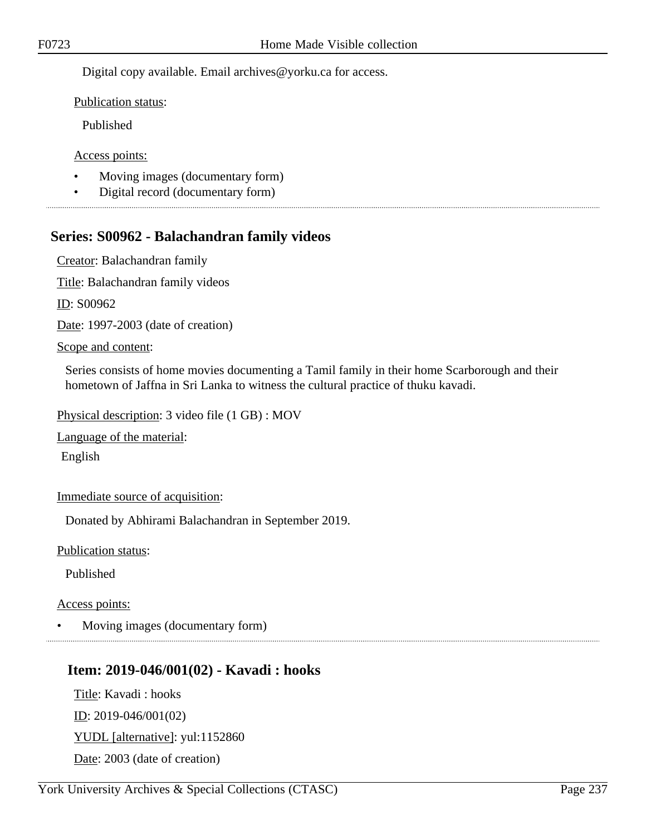Digital copy available. Email archives@yorku.ca for access.

Publication status:

Published

Access points:

- Moving images (documentary form)
- Digital record (documentary form)

### **Series: S00962 - Balachandran family videos**

Creator: Balachandran family

Title: Balachandran family videos

ID: S00962

Date: 1997-2003 (date of creation)

Scope and content:

Series consists of home movies documenting a Tamil family in their home Scarborough and their hometown of Jaffna in Sri Lanka to witness the cultural practice of thuku kavadi.

Physical description: 3 video file (1 GB) : MOV

Language of the material:

English

Immediate source of acquisition:

Donated by Abhirami Balachandran in September 2019.

Publication status:

Published

Access points:

• Moving images (documentary form)

### **Item: 2019-046/001(02) - Kavadi : hooks**

Title: Kavadi : hooks ID: 2019-046/001(02) YUDL [alternative]: yul:1152860 Date: 2003 (date of creation)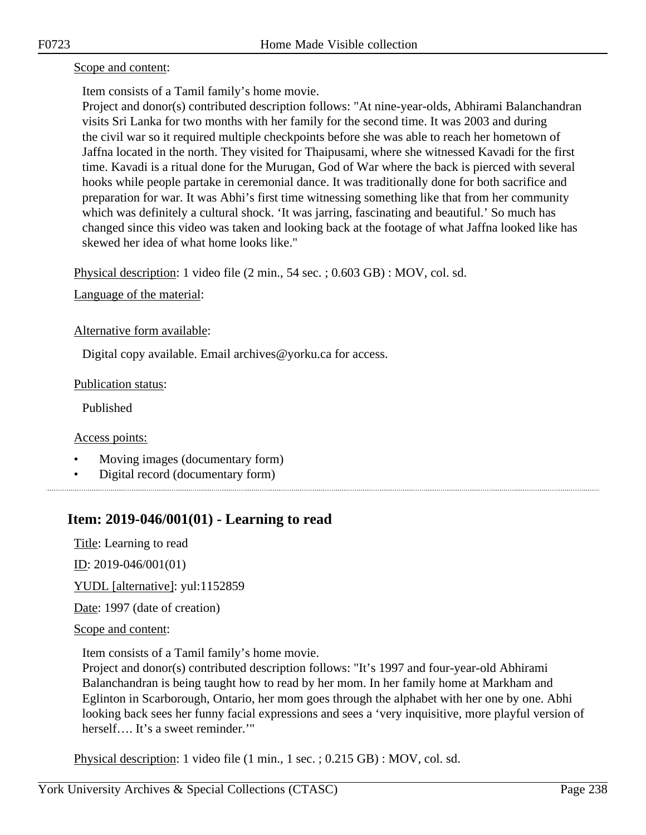### Scope and content:

Item consists of a Tamil family's home movie.

Project and donor(s) contributed description follows: "At nine-year-olds, Abhirami Balanchandran visits Sri Lanka for two months with her family for the second time. It was 2003 and during the civil war so it required multiple checkpoints before she was able to reach her hometown of Jaffna located in the north. They visited for Thaipusami, where she witnessed Kavadi for the first time. Kavadi is a ritual done for the Murugan, God of War where the back is pierced with several hooks while people partake in ceremonial dance. It was traditionally done for both sacrifice and preparation for war. It was Abhi's first time witnessing something like that from her community which was definitely a cultural shock. 'It was jarring, fascinating and beautiful.' So much has changed since this video was taken and looking back at the footage of what Jaffna looked like has skewed her idea of what home looks like."

Physical description: 1 video file (2 min., 54 sec. ; 0.603 GB) : MOV, col. sd.

Language of the material:

Alternative form available:

Digital copy available. Email archives@yorku.ca for access.

Publication status:

Published

Access points:

- Moving images (documentary form)
- Digital record (documentary form)

### **Item: 2019-046/001(01) - Learning to read**

Title: Learning to read

ID: 2019-046/001(01)

YUDL [alternative]: yul:1152859

Date: 1997 (date of creation)

Scope and content:

Item consists of a Tamil family's home movie.

Project and donor(s) contributed description follows: "It's 1997 and four-year-old Abhirami Balanchandran is being taught how to read by her mom. In her family home at Markham and Eglinton in Scarborough, Ontario, her mom goes through the alphabet with her one by one. Abhi looking back sees her funny facial expressions and sees a 'very inquisitive, more playful version of herself…. It's a sweet reminder.'"

Physical description: 1 video file (1 min., 1 sec. ; 0.215 GB) : MOV, col. sd.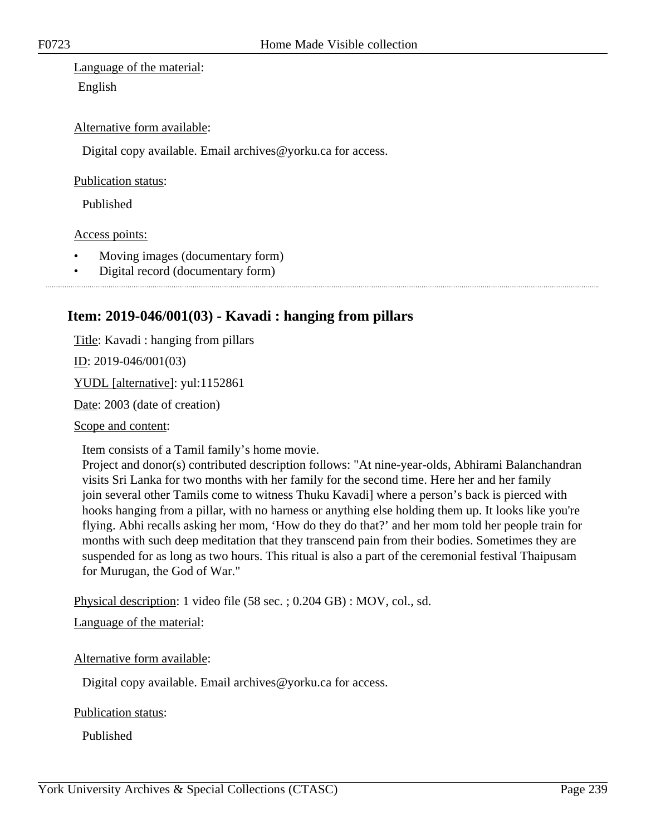Language of the material: English

### Alternative form available:

Digital copy available. Email archives@yorku.ca for access.

#### Publication status:

Published

#### Access points:

- Moving images (documentary form)
- Digital record (documentary form)

### **Item: 2019-046/001(03) - Kavadi : hanging from pillars**

Title: Kavadi : hanging from pillars

ID: 2019-046/001(03)

YUDL [alternative]: yul:1152861

Date: 2003 (date of creation)

Scope and content:

Item consists of a Tamil family's home movie.

Project and donor(s) contributed description follows: "At nine-year-olds, Abhirami Balanchandran visits Sri Lanka for two months with her family for the second time. Here her and her family join several other Tamils come to witness Thuku Kavadi] where a person's back is pierced with hooks hanging from a pillar, with no harness or anything else holding them up. It looks like you're flying. Abhi recalls asking her mom, 'How do they do that?' and her mom told her people train for months with such deep meditation that they transcend pain from their bodies. Sometimes they are suspended for as long as two hours. This ritual is also a part of the ceremonial festival Thaipusam for Murugan, the God of War."

Physical description: 1 video file (58 sec. ; 0.204 GB) : MOV, col., sd.

Language of the material:

Alternative form available:

Digital copy available. Email archives@yorku.ca for access.

#### Publication status:

Published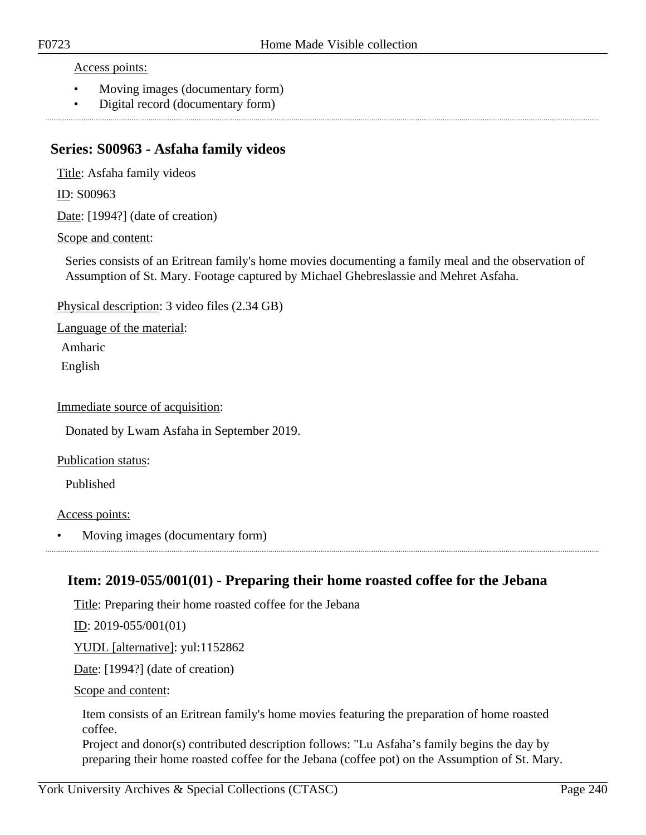Access points:

- Moving images (documentary form)
- Digital record (documentary form)

### **Series: S00963 - Asfaha family videos**

Title: Asfaha family videos

ID: S00963

Date: [1994?] (date of creation)

Scope and content:

Series consists of an Eritrean family's home movies documenting a family meal and the observation of Assumption of St. Mary. Footage captured by Michael Ghebreslassie and Mehret Asfaha.

Physical description: 3 video files (2.34 GB)

Language of the material:

Amharic

English

Immediate source of acquisition:

Donated by Lwam Asfaha in September 2019.

Publication status:

Published

#### Access points:

• Moving images (documentary form)

### **Item: 2019-055/001(01) - Preparing their home roasted coffee for the Jebana**

Title: Preparing their home roasted coffee for the Jebana

ID: 2019-055/001(01)

YUDL [alternative]: yul:1152862

Date: [1994?] (date of creation)

Scope and content:

Item consists of an Eritrean family's home movies featuring the preparation of home roasted coffee.

Project and donor(s) contributed description follows: "Lu Asfaha's family begins the day by preparing their home roasted coffee for the Jebana (coffee pot) on the Assumption of St. Mary.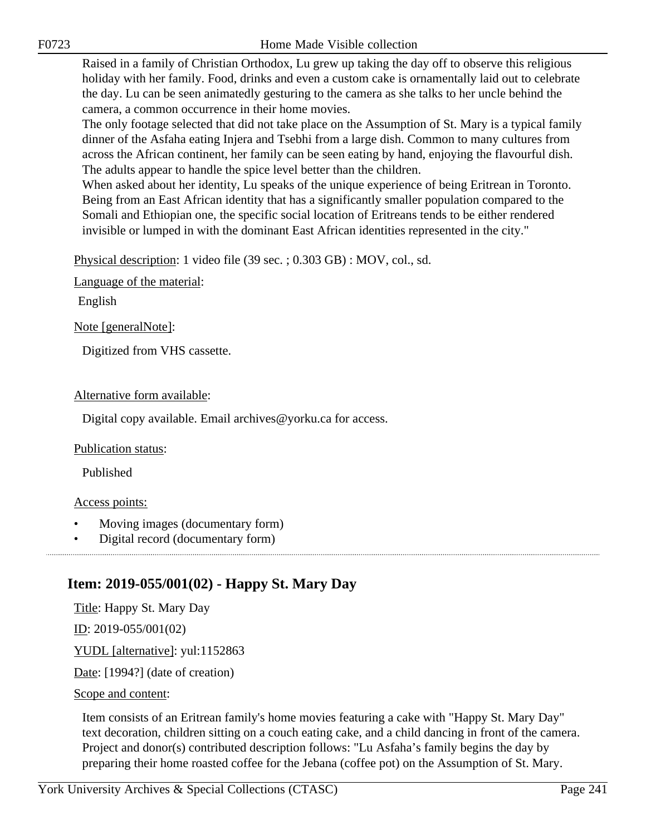Raised in a family of Christian Orthodox, Lu grew up taking the day off to observe this religious holiday with her family. Food, drinks and even a custom cake is ornamentally laid out to celebrate the day. Lu can be seen animatedly gesturing to the camera as she talks to her uncle behind the camera, a common occurrence in their home movies.

The only footage selected that did not take place on the Assumption of St. Mary is a typical family dinner of the Asfaha eating Injera and Tsebhi from a large dish. Common to many cultures from across the African continent, her family can be seen eating by hand, enjoying the flavourful dish. The adults appear to handle the spice level better than the children.

When asked about her identity, Lu speaks of the unique experience of being Eritrean in Toronto. Being from an East African identity that has a significantly smaller population compared to the Somali and Ethiopian one, the specific social location of Eritreans tends to be either rendered invisible or lumped in with the dominant East African identities represented in the city."

Physical description: 1 video file (39 sec. ; 0.303 GB) : MOV, col., sd.

Language of the material:

English

Note [generalNote]:

Digitized from VHS cassette.

### Alternative form available:

Digital copy available. Email archives@yorku.ca for access.

### Publication status:

Published

#### Access points:

- Moving images (documentary form)
- Digital record (documentary form)

### **Item: 2019-055/001(02) - Happy St. Mary Day**

Title: Happy St. Mary Day ID: 2019-055/001(02) YUDL [alternative]: yul:1152863 Date: [1994?] (date of creation) Scope and content:

### Item consists of an Eritrean family's home movies featuring a cake with "Happy St. Mary Day" text decoration, children sitting on a couch eating cake, and a child dancing in front of the camera. Project and donor(s) contributed description follows: "Lu Asfaha's family begins the day by preparing their home roasted coffee for the Jebana (coffee pot) on the Assumption of St. Mary.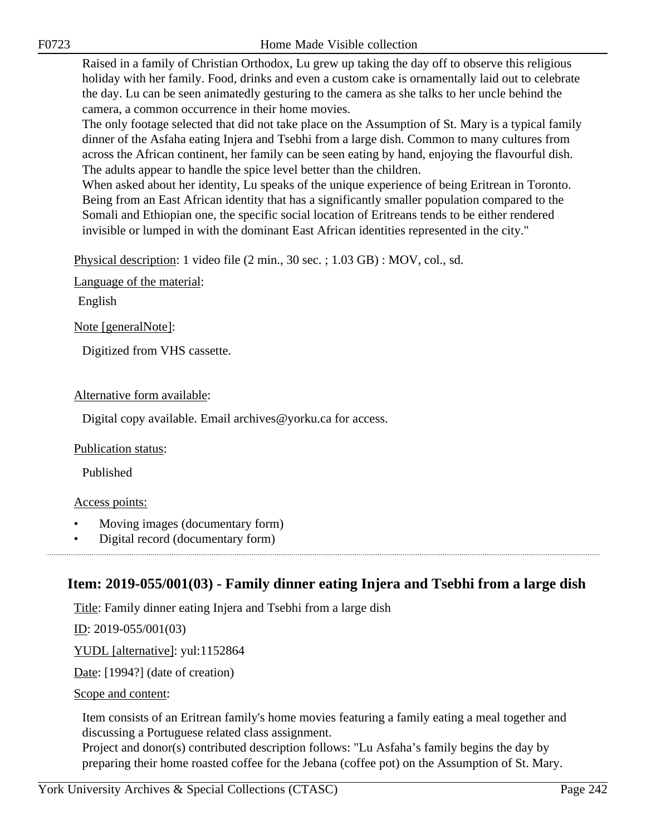Raised in a family of Christian Orthodox, Lu grew up taking the day off to observe this religious holiday with her family. Food, drinks and even a custom cake is ornamentally laid out to celebrate the day. Lu can be seen animatedly gesturing to the camera as she talks to her uncle behind the camera, a common occurrence in their home movies.

The only footage selected that did not take place on the Assumption of St. Mary is a typical family dinner of the Asfaha eating Injera and Tsebhi from a large dish. Common to many cultures from across the African continent, her family can be seen eating by hand, enjoying the flavourful dish. The adults appear to handle the spice level better than the children.

When asked about her identity, Lu speaks of the unique experience of being Eritrean in Toronto. Being from an East African identity that has a significantly smaller population compared to the Somali and Ethiopian one, the specific social location of Eritreans tends to be either rendered invisible or lumped in with the dominant East African identities represented in the city."

Physical description: 1 video file (2 min., 30 sec. ; 1.03 GB) : MOV, col., sd.

Language of the material:

English

Note [generalNote]:

Digitized from VHS cassette.

#### Alternative form available:

Digital copy available. Email archives@yorku.ca for access.

#### Publication status:

Published

#### Access points:

- Moving images (documentary form)
- Digital record (documentary form)

### **Item: 2019-055/001(03) - Family dinner eating Injera and Tsebhi from a large dish**

Title: Family dinner eating Injera and Tsebhi from a large dish

ID: 2019-055/001(03)

YUDL [alternative]: yul:1152864

Date: [1994?] (date of creation)

#### Scope and content:

Item consists of an Eritrean family's home movies featuring a family eating a meal together and discussing a Portuguese related class assignment.

Project and donor(s) contributed description follows: "Lu Asfaha's family begins the day by preparing their home roasted coffee for the Jebana (coffee pot) on the Assumption of St. Mary.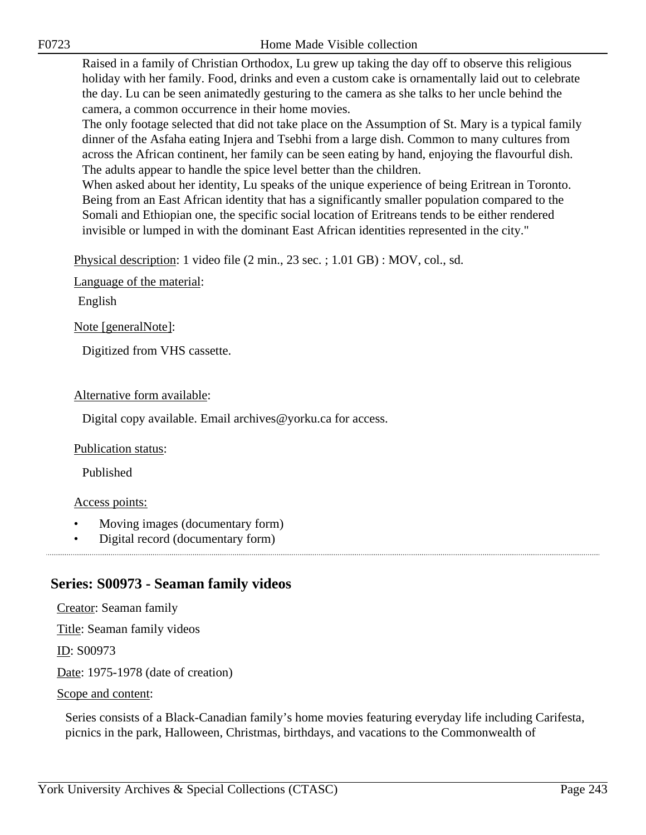Raised in a family of Christian Orthodox, Lu grew up taking the day off to observe this religious holiday with her family. Food, drinks and even a custom cake is ornamentally laid out to celebrate the day. Lu can be seen animatedly gesturing to the camera as she talks to her uncle behind the camera, a common occurrence in their home movies.

The only footage selected that did not take place on the Assumption of St. Mary is a typical family dinner of the Asfaha eating Injera and Tsebhi from a large dish. Common to many cultures from across the African continent, her family can be seen eating by hand, enjoying the flavourful dish. The adults appear to handle the spice level better than the children.

When asked about her identity, Lu speaks of the unique experience of being Eritrean in Toronto. Being from an East African identity that has a significantly smaller population compared to the Somali and Ethiopian one, the specific social location of Eritreans tends to be either rendered invisible or lumped in with the dominant East African identities represented in the city."

Physical description: 1 video file (2 min., 23 sec. ; 1.01 GB) : MOV, col., sd.

Language of the material:

English

Note [generalNote]:

Digitized from VHS cassette.

#### Alternative form available:

Digital copy available. Email archives@yorku.ca for access.

#### Publication status:

Published

#### Access points:

- Moving images (documentary form)
- Digital record (documentary form)

### **Series: S00973 - Seaman family videos**

Creator: Seaman family Title: Seaman family videos ID: S00973 Date: 1975-1978 (date of creation) Scope and content:

Series consists of a Black-Canadian family's home movies featuring everyday life including Carifesta, picnics in the park, Halloween, Christmas, birthdays, and vacations to the Commonwealth of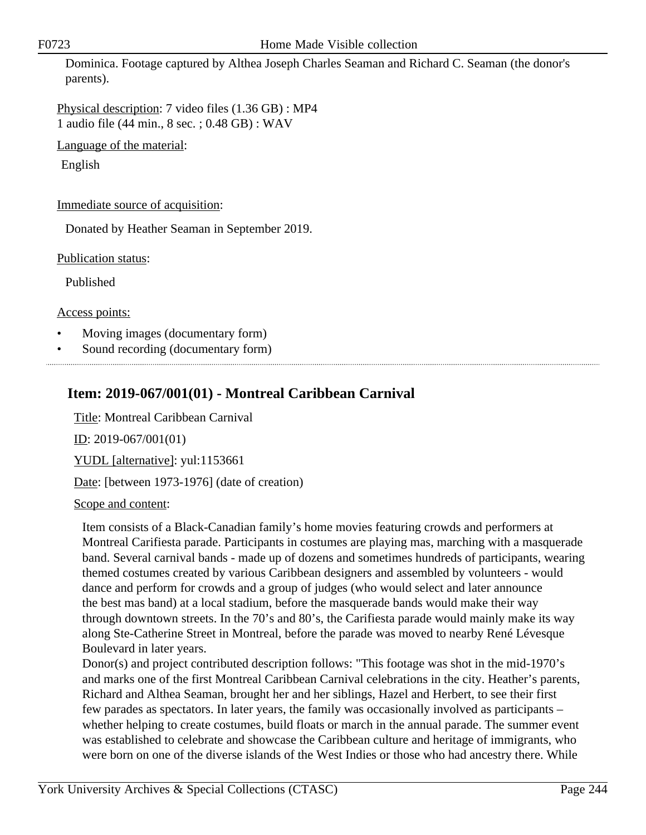Dominica. Footage captured by Althea Joseph Charles Seaman and Richard C. Seaman (the donor's parents).

Physical description: 7 video files (1.36 GB) : MP4 1 audio file (44 min., 8 sec. ; 0.48 GB) : WAV

Language of the material:

English

### Immediate source of acquisition:

Donated by Heather Seaman in September 2019.

Publication status:

Published

Access points:

- Moving images (documentary form)
- Sound recording (documentary form)

## **Item: 2019-067/001(01) - Montreal Caribbean Carnival**

Title: Montreal Caribbean Carnival

ID: 2019-067/001(01)

YUDL [alternative]: yul:1153661

Date: [between 1973-1976] (date of creation)

### Scope and content:

Item consists of a Black-Canadian family's home movies featuring crowds and performers at Montreal Carifiesta parade. Participants in costumes are playing mas, marching with a masquerade band. Several carnival bands - made up of dozens and sometimes hundreds of participants, wearing themed costumes created by various Caribbean designers and assembled by volunteers - would dance and perform for crowds and a group of judges (who would select and later announce the best mas band) at a local stadium, before the masquerade bands would make their way through downtown streets. In the 70's and 80's, the Carifiesta parade would mainly make its way along Ste-Catherine Street in Montreal, before the parade was moved to nearby René Lévesque Boulevard in later years.

Donor(s) and project contributed description follows: "This footage was shot in the mid-1970's and marks one of the first Montreal Caribbean Carnival celebrations in the city. Heather's parents, Richard and Althea Seaman, brought her and her siblings, Hazel and Herbert, to see their first few parades as spectators. In later years, the family was occasionally involved as participants – whether helping to create costumes, build floats or march in the annual parade. The summer event was established to celebrate and showcase the Caribbean culture and heritage of immigrants, who were born on one of the diverse islands of the West Indies or those who had ancestry there. While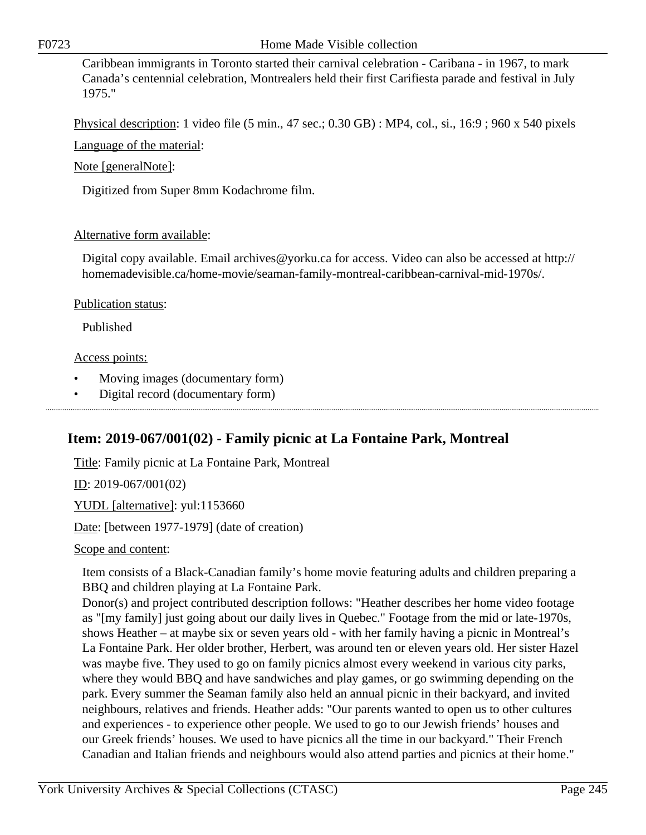Caribbean immigrants in Toronto started their carnival celebration - Caribana - in 1967, to mark Canada's centennial celebration, Montrealers held their first Carifiesta parade and festival in July 1975."

Physical description: 1 video file (5 min., 47 sec.; 0.30 GB) : MP4, col., si., 16:9 ; 960 x 540 pixels

Language of the material:

Note [generalNote]:

Digitized from Super 8mm Kodachrome film.

### Alternative form available:

Digital copy available. Email archives@yorku.ca for access. Video can also be accessed at http:// homemadevisible.ca/home-movie/seaman-family-montreal-caribbean-carnival-mid-1970s/.

### Publication status:

Published

### Access points:

- Moving images (documentary form)
- Digital record (documentary form)

## **Item: 2019-067/001(02) - Family picnic at La Fontaine Park, Montreal**

Title: Family picnic at La Fontaine Park, Montreal

 $ID: 2019-067/001(02)$ 

YUDL [alternative]: yul:1153660

Date: [between 1977-1979] (date of creation)

### Scope and content:

Item consists of a Black-Canadian family's home movie featuring adults and children preparing a BBQ and children playing at La Fontaine Park.

Donor(s) and project contributed description follows: "Heather describes her home video footage as "[my family] just going about our daily lives in Quebec." Footage from the mid or late-1970s, shows Heather – at maybe six or seven years old - with her family having a picnic in Montreal's La Fontaine Park. Her older brother, Herbert, was around ten or eleven years old. Her sister Hazel was maybe five. They used to go on family picnics almost every weekend in various city parks, where they would BBQ and have sandwiches and play games, or go swimming depending on the park. Every summer the Seaman family also held an annual picnic in their backyard, and invited neighbours, relatives and friends. Heather adds: "Our parents wanted to open us to other cultures and experiences - to experience other people. We used to go to our Jewish friends' houses and our Greek friends' houses. We used to have picnics all the time in our backyard." Their French Canadian and Italian friends and neighbours would also attend parties and picnics at their home."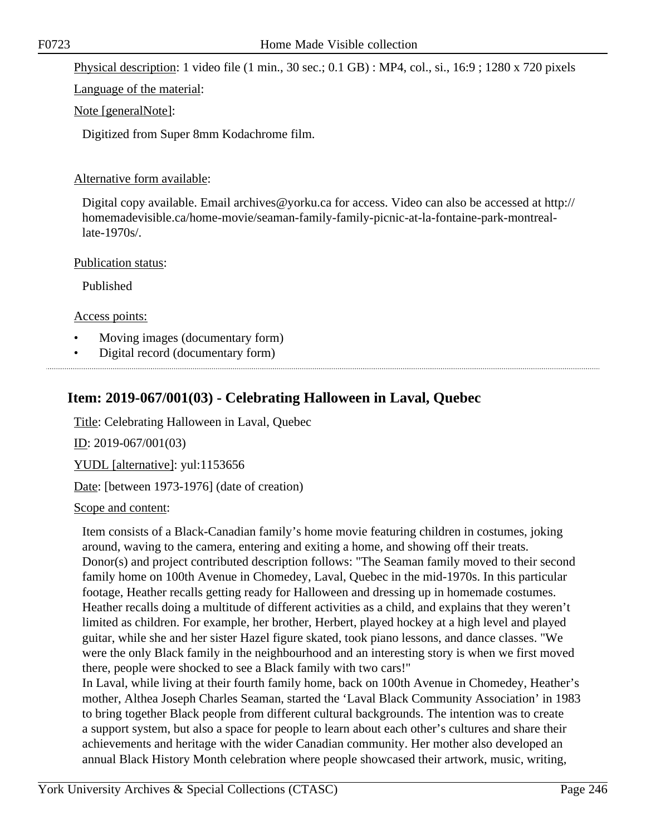Physical description: 1 video file (1 min., 30 sec.; 0.1 GB) : MP4, col., si., 16:9 ; 1280 x 720 pixels

Language of the material:

### Note [generalNote]:

Digitized from Super 8mm Kodachrome film.

### Alternative form available:

Digital copy available. Email archives@yorku.ca for access. Video can also be accessed at http:// homemadevisible.ca/home-movie/seaman-family-family-picnic-at-la-fontaine-park-montreallate-1970s/.

#### Publication status:

Published

Access points:

- Moving images (documentary form)
- Digital record (documentary form)

### **Item: 2019-067/001(03) - Celebrating Halloween in Laval, Quebec**

Title: Celebrating Halloween in Laval, Quebec

ID: 2019-067/001(03)

YUDL [alternative]: yul:1153656

Date: [between 1973-1976] (date of creation)

#### Scope and content:

Item consists of a Black-Canadian family's home movie featuring children in costumes, joking around, waving to the camera, entering and exiting a home, and showing off their treats. Donor(s) and project contributed description follows: "The Seaman family moved to their second family home on 100th Avenue in Chomedey, Laval, Quebec in the mid-1970s. In this particular footage, Heather recalls getting ready for Halloween and dressing up in homemade costumes. Heather recalls doing a multitude of different activities as a child, and explains that they weren't limited as children. For example, her brother, Herbert, played hockey at a high level and played guitar, while she and her sister Hazel figure skated, took piano lessons, and dance classes. "We were the only Black family in the neighbourhood and an interesting story is when we first moved there, people were shocked to see a Black family with two cars!"

In Laval, while living at their fourth family home, back on 100th Avenue in Chomedey, Heather's mother, Althea Joseph Charles Seaman, started the 'Laval Black Community Association' in 1983 to bring together Black people from different cultural backgrounds. The intention was to create a support system, but also a space for people to learn about each other's cultures and share their achievements and heritage with the wider Canadian community. Her mother also developed an annual Black History Month celebration where people showcased their artwork, music, writing,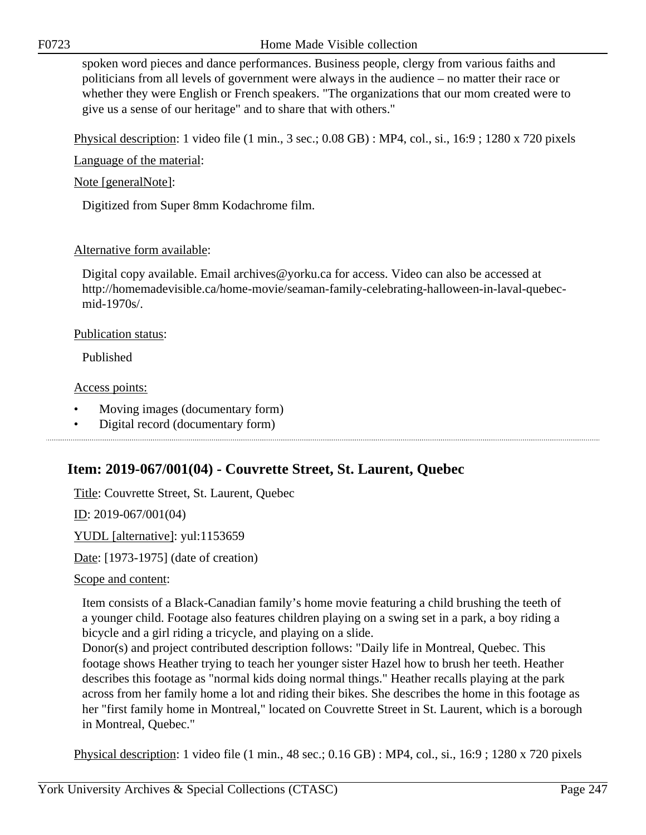spoken word pieces and dance performances. Business people, clergy from various faiths and politicians from all levels of government were always in the audience – no matter their race or whether they were English or French speakers. "The organizations that our mom created were to give us a sense of our heritage" and to share that with others."

Physical description: 1 video file (1 min., 3 sec.; 0.08 GB) : MP4, col., si., 16:9 ; 1280 x 720 pixels

Language of the material:

Note [generalNote]:

Digitized from Super 8mm Kodachrome film.

### Alternative form available:

Digital copy available. Email archives@yorku.ca for access. Video can also be accessed at http://homemadevisible.ca/home-movie/seaman-family-celebrating-halloween-in-laval-quebecmid-1970s/.

Publication status:

Published

### Access points:

- Moving images (documentary form)
- Digital record (documentary form)

### **Item: 2019-067/001(04) - Couvrette Street, St. Laurent, Quebec**

Title: Couvrette Street, St. Laurent, Quebec

ID: 2019-067/001(04)

YUDL [alternative]: yul:1153659

Date: [1973-1975] (date of creation)

### Scope and content:

Item consists of a Black-Canadian family's home movie featuring a child brushing the teeth of a younger child. Footage also features children playing on a swing set in a park, a boy riding a bicycle and a girl riding a tricycle, and playing on a slide.

Donor(s) and project contributed description follows: "Daily life in Montreal, Quebec. This footage shows Heather trying to teach her younger sister Hazel how to brush her teeth. Heather describes this footage as "normal kids doing normal things." Heather recalls playing at the park across from her family home a lot and riding their bikes. She describes the home in this footage as her "first family home in Montreal," located on Couvrette Street in St. Laurent, which is a borough in Montreal, Quebec."

Physical description: 1 video file (1 min., 48 sec.; 0.16 GB) : MP4, col., si., 16:9 ; 1280 x 720 pixels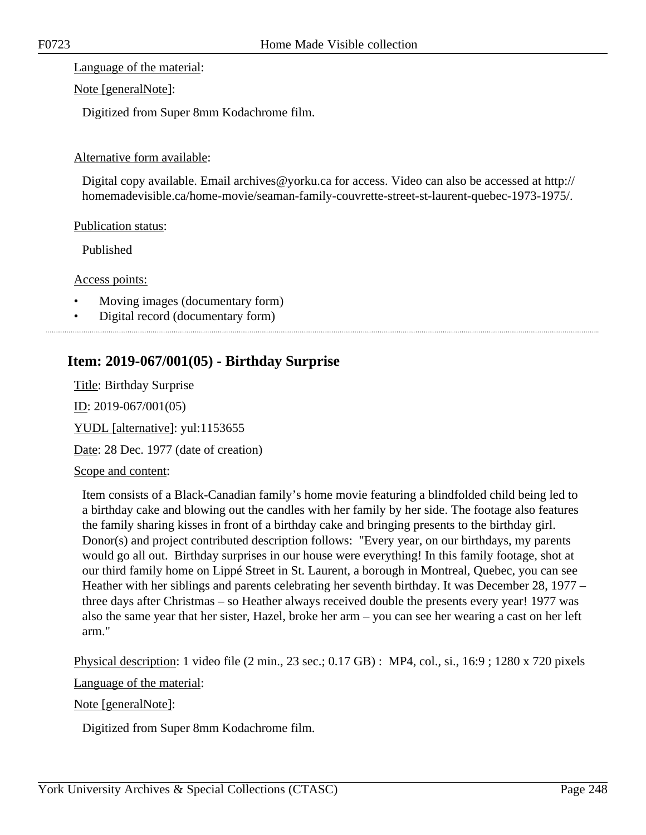Language of the material:

Note [generalNote]:

Digitized from Super 8mm Kodachrome film.

### Alternative form available:

Digital copy available. Email archives@yorku.ca for access. Video can also be accessed at http:// homemadevisible.ca/home-movie/seaman-family-couvrette-street-st-laurent-quebec-1973-1975/.

### Publication status:

Published

Access points:

- Moving images (documentary form)
- Digital record (documentary form)

### **Item: 2019-067/001(05) - Birthday Surprise**

Title: Birthday Surprise ID: 2019-067/001(05) YUDL [alternative]: yul:1153655 Date: 28 Dec. 1977 (date of creation)

### Scope and content:

Item consists of a Black-Canadian family's home movie featuring a blindfolded child being led to a birthday cake and blowing out the candles with her family by her side. The footage also features the family sharing kisses in front of a birthday cake and bringing presents to the birthday girl. Donor(s) and project contributed description follows: "Every year, on our birthdays, my parents would go all out. Birthday surprises in our house were everything! In this family footage, shot at our third family home on Lippé Street in St. Laurent, a borough in Montreal, Quebec, you can see Heather with her siblings and parents celebrating her seventh birthday. It was December 28, 1977 – three days after Christmas – so Heather always received double the presents every year! 1977 was also the same year that her sister, Hazel, broke her arm – you can see her wearing a cast on her left arm."

Physical description: 1 video file (2 min., 23 sec.; 0.17 GB) : MP4, col., si., 16:9 ; 1280 x 720 pixels

Language of the material:

Note [generalNote]:

Digitized from Super 8mm Kodachrome film.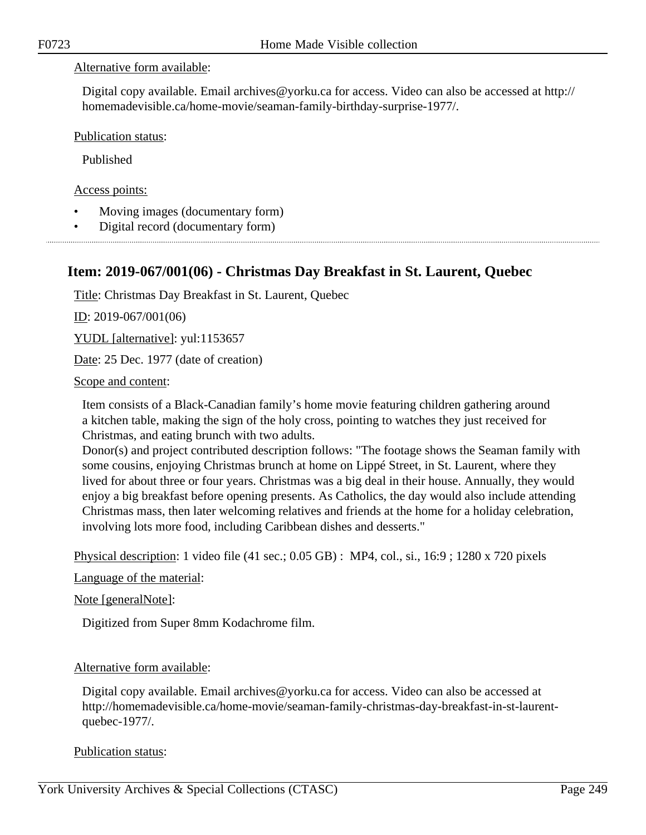### Alternative form available:

Digital copy available. Email archives@yorku.ca for access. Video can also be accessed at http:// homemadevisible.ca/home-movie/seaman-family-birthday-surprise-1977/.

Publication status:

Published

Access points:

- Moving images (documentary form)
- Digital record (documentary form)

### **Item: 2019-067/001(06) - Christmas Day Breakfast in St. Laurent, Quebec**

Title: Christmas Day Breakfast in St. Laurent, Quebec

ID: 2019-067/001(06)

YUDL [alternative]: yul:1153657

Date: 25 Dec. 1977 (date of creation)

#### Scope and content:

Item consists of a Black-Canadian family's home movie featuring children gathering around a kitchen table, making the sign of the holy cross, pointing to watches they just received for Christmas, and eating brunch with two adults.

Donor(s) and project contributed description follows: "The footage shows the Seaman family with some cousins, enjoying Christmas brunch at home on Lippé Street, in St. Laurent, where they lived for about three or four years. Christmas was a big deal in their house. Annually, they would enjoy a big breakfast before opening presents. As Catholics, the day would also include attending Christmas mass, then later welcoming relatives and friends at the home for a holiday celebration, involving lots more food, including Caribbean dishes and desserts."

Physical description: 1 video file (41 sec.; 0.05 GB) : MP4, col., si., 16:9 ; 1280 x 720 pixels

Language of the material:

Note [generalNote]:

Digitized from Super 8mm Kodachrome film.

#### Alternative form available:

Digital copy available. Email archives@yorku.ca for access. Video can also be accessed at http://homemadevisible.ca/home-movie/seaman-family-christmas-day-breakfast-in-st-laurentquebec-1977/.

#### Publication status: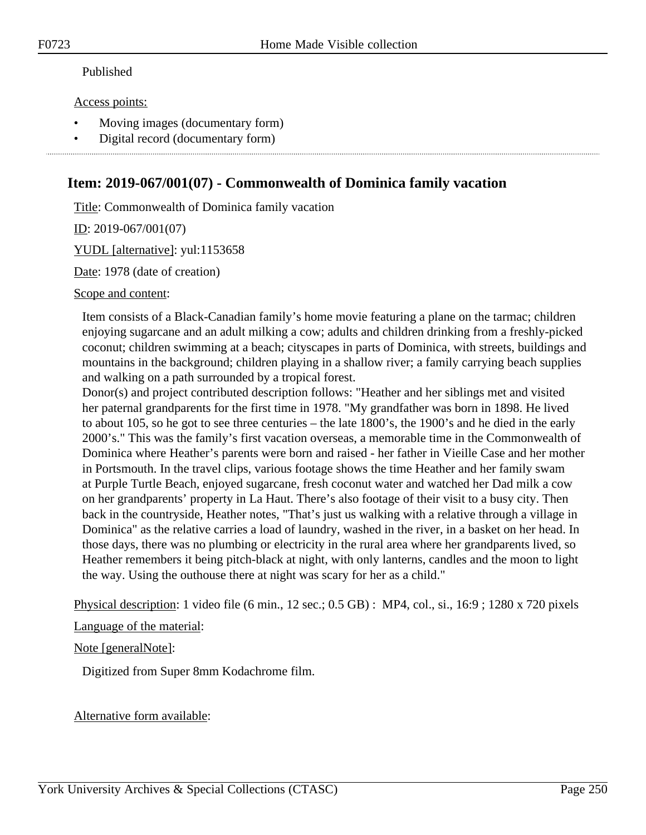### Published

Access points:

- Moving images (documentary form)
- Digital record (documentary form)

### **Item: 2019-067/001(07) - Commonwealth of Dominica family vacation**

Title: Commonwealth of Dominica family vacation

ID: 2019-067/001(07)

YUDL [alternative]: yul:1153658

Date: 1978 (date of creation)

Scope and content:

Item consists of a Black-Canadian family's home movie featuring a plane on the tarmac; children enjoying sugarcane and an adult milking a cow; adults and children drinking from a freshly-picked coconut; children swimming at a beach; cityscapes in parts of Dominica, with streets, buildings and mountains in the background; children playing in a shallow river; a family carrying beach supplies and walking on a path surrounded by a tropical forest.

Donor(s) and project contributed description follows: "Heather and her siblings met and visited her paternal grandparents for the first time in 1978. "My grandfather was born in 1898. He lived to about 105, so he got to see three centuries – the late 1800's, the 1900's and he died in the early 2000's." This was the family's first vacation overseas, a memorable time in the Commonwealth of Dominica where Heather's parents were born and raised - her father in Vieille Case and her mother in Portsmouth. In the travel clips, various footage shows the time Heather and her family swam at Purple Turtle Beach, enjoyed sugarcane, fresh coconut water and watched her Dad milk a cow on her grandparents' property in La Haut. There's also footage of their visit to a busy city. Then back in the countryside, Heather notes, "That's just us walking with a relative through a village in Dominica" as the relative carries a load of laundry, washed in the river, in a basket on her head. In those days, there was no plumbing or electricity in the rural area where her grandparents lived, so Heather remembers it being pitch-black at night, with only lanterns, candles and the moon to light the way. Using the outhouse there at night was scary for her as a child."

Physical description: 1 video file (6 min., 12 sec.; 0.5 GB) : MP4, col., si., 16:9 ; 1280 x 720 pixels

Language of the material:

Note [generalNote]:

Digitized from Super 8mm Kodachrome film.

Alternative form available: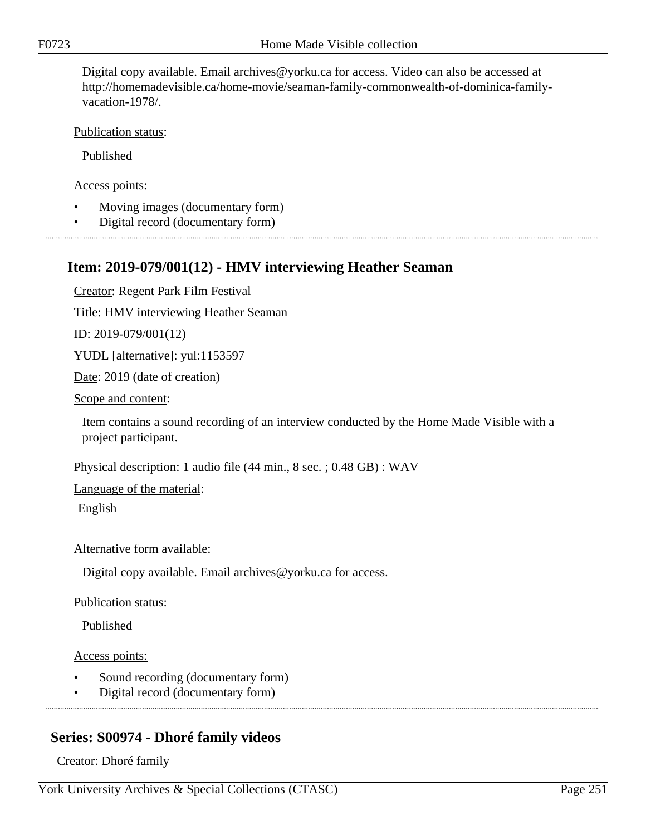Digital copy available. Email archives@yorku.ca for access. Video can also be accessed at http://homemadevisible.ca/home-movie/seaman-family-commonwealth-of-dominica-familyvacation-1978/.

Publication status:

Published

Access points:

- Moving images (documentary form)
- Digital record (documentary form)

### **Item: 2019-079/001(12) - HMV interviewing Heather Seaman**

Creator: Regent Park Film Festival

Title: HMV interviewing Heather Seaman

<u>ID</u>: 2019-079/001(12)

YUDL [alternative]: yul:1153597

Date: 2019 (date of creation)

Scope and content:

Item contains a sound recording of an interview conducted by the Home Made Visible with a project participant.

Physical description: 1 audio file (44 min., 8 sec. ; 0.48 GB) : WAV

Language of the material:

English

#### Alternative form available:

Digital copy available. Email archives@yorku.ca for access.

Publication status:

Published

Access points:

- Sound recording (documentary form)
- Digital record (documentary form)

### **Series: S00974 - Dhoré family videos**

Creator: Dhoré family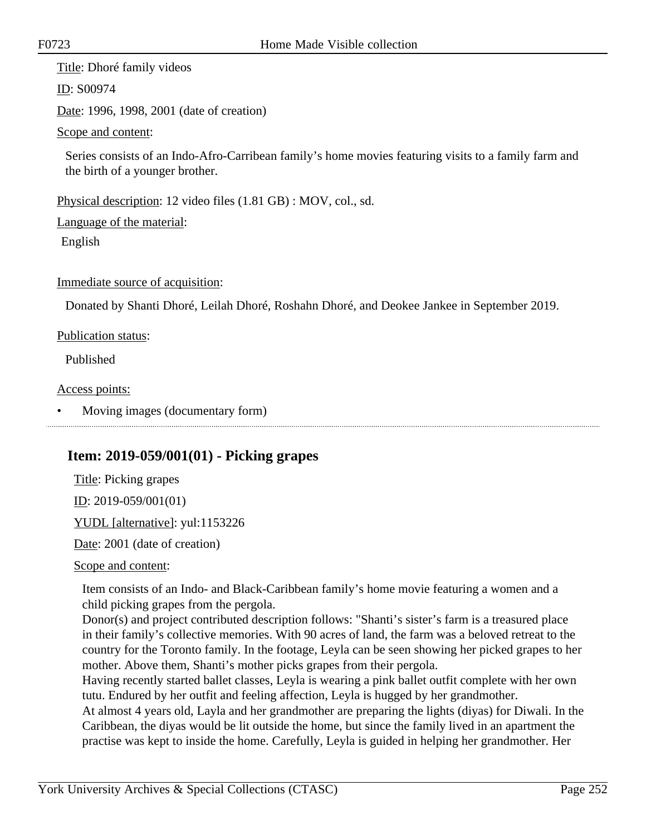Title: Dhoré family videos

ID: S00974

Date: 1996, 1998, 2001 (date of creation)

Scope and content:

Series consists of an Indo-Afro-Carribean family's home movies featuring visits to a family farm and the birth of a younger brother.

Physical description: 12 video files (1.81 GB) : MOV, col., sd.

Language of the material:

English

Immediate source of acquisition:

Donated by Shanti Dhoré, Leilah Dhoré, Roshahn Dhoré, and Deokee Jankee in September 2019.

Publication status:

Published

Access points:

• Moving images (documentary form)

### **Item: 2019-059/001(01) - Picking grapes**

Title: Picking grapes ID: 2019-059/001(01) YUDL [alternative]: yul:1153226

Date: 2001 (date of creation)

Scope and content:

Item consists of an Indo- and Black-Caribbean family's home movie featuring a women and a child picking grapes from the pergola.

Donor(s) and project contributed description follows: "Shanti's sister's farm is a treasured place in their family's collective memories. With 90 acres of land, the farm was a beloved retreat to the country for the Toronto family. In the footage, Leyla can be seen showing her picked grapes to her mother. Above them, Shanti's mother picks grapes from their pergola.

Having recently started ballet classes, Leyla is wearing a pink ballet outfit complete with her own tutu. Endured by her outfit and feeling affection, Leyla is hugged by her grandmother.

At almost 4 years old, Layla and her grandmother are preparing the lights (diyas) for Diwali. In the Caribbean, the diyas would be lit outside the home, but since the family lived in an apartment the practise was kept to inside the home. Carefully, Leyla is guided in helping her grandmother. Her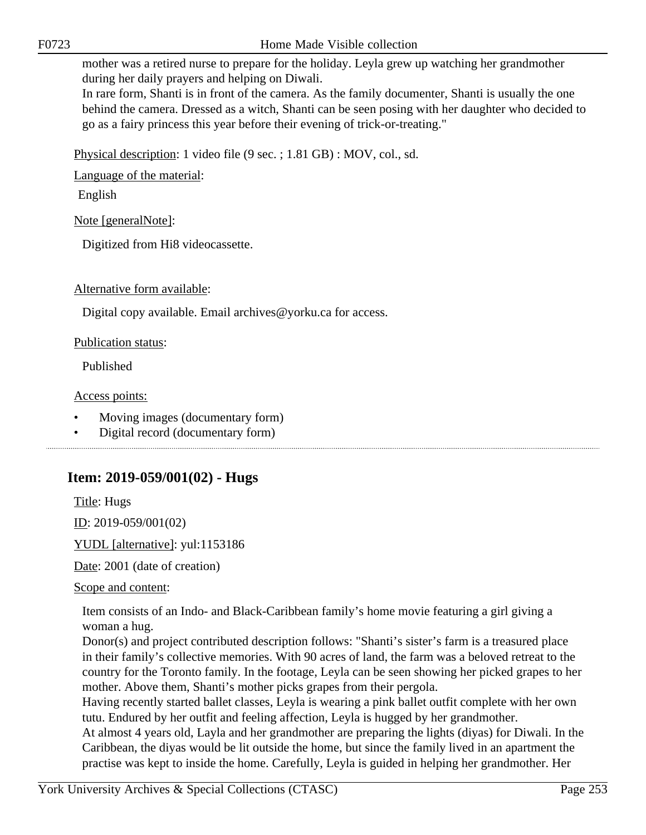In rare form, Shanti is in front of the camera. As the family documenter, Shanti is usually the one behind the camera. Dressed as a witch, Shanti can be seen posing with her daughter who decided to go as a fairy princess this year before their evening of trick-or-treating."

Physical description: 1 video file (9 sec. ; 1.81 GB) : MOV, col., sd.

Language of the material:

English

Note [generalNote]:

Digitized from Hi8 videocassette.

Alternative form available:

Digital copy available. Email archives@yorku.ca for access.

Publication status:

Published

Access points:

- Moving images (documentary form)
- Digital record (documentary form)

# **Item: 2019-059/001(02) - Hugs**

Title: Hugs

ID: 2019-059/001(02)

YUDL [alternative]: yul:1153186

Date: 2001 (date of creation)

Scope and content:

Item consists of an Indo- and Black-Caribbean family's home movie featuring a girl giving a woman a hug.

Donor(s) and project contributed description follows: "Shanti's sister's farm is a treasured place in their family's collective memories. With 90 acres of land, the farm was a beloved retreat to the country for the Toronto family. In the footage, Leyla can be seen showing her picked grapes to her mother. Above them, Shanti's mother picks grapes from their pergola.

Having recently started ballet classes, Leyla is wearing a pink ballet outfit complete with her own tutu. Endured by her outfit and feeling affection, Leyla is hugged by her grandmother.

At almost 4 years old, Layla and her grandmother are preparing the lights (diyas) for Diwali. In the Caribbean, the diyas would be lit outside the home, but since the family lived in an apartment the practise was kept to inside the home. Carefully, Leyla is guided in helping her grandmother. Her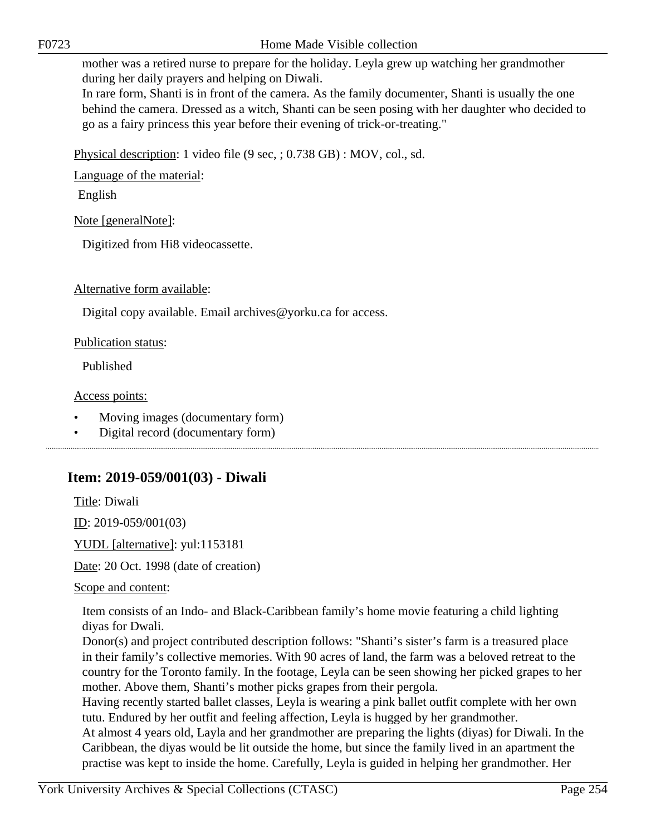In rare form, Shanti is in front of the camera. As the family documenter, Shanti is usually the one behind the camera. Dressed as a witch, Shanti can be seen posing with her daughter who decided to go as a fairy princess this year before their evening of trick-or-treating."

Physical description: 1 video file (9 sec, ; 0.738 GB) : MOV, col., sd.

Language of the material:

English

Note [generalNote]:

Digitized from Hi8 videocassette.

Alternative form available:

Digital copy available. Email archives@yorku.ca for access.

Publication status:

Published

Access points:

- Moving images (documentary form)
- Digital record (documentary form)

# **Item: 2019-059/001(03) - Diwali**

Title: Diwali

ID: 2019-059/001(03)

YUDL [alternative]: yul:1153181

Date: 20 Oct. 1998 (date of creation)

Scope and content:

Item consists of an Indo- and Black-Caribbean family's home movie featuring a child lighting diyas for Dwali.

Donor(s) and project contributed description follows: "Shanti's sister's farm is a treasured place in their family's collective memories. With 90 acres of land, the farm was a beloved retreat to the country for the Toronto family. In the footage, Leyla can be seen showing her picked grapes to her mother. Above them, Shanti's mother picks grapes from their pergola.

Having recently started ballet classes, Leyla is wearing a pink ballet outfit complete with her own tutu. Endured by her outfit and feeling affection, Leyla is hugged by her grandmother.

At almost 4 years old, Layla and her grandmother are preparing the lights (diyas) for Diwali. In the Caribbean, the diyas would be lit outside the home, but since the family lived in an apartment the practise was kept to inside the home. Carefully, Leyla is guided in helping her grandmother. Her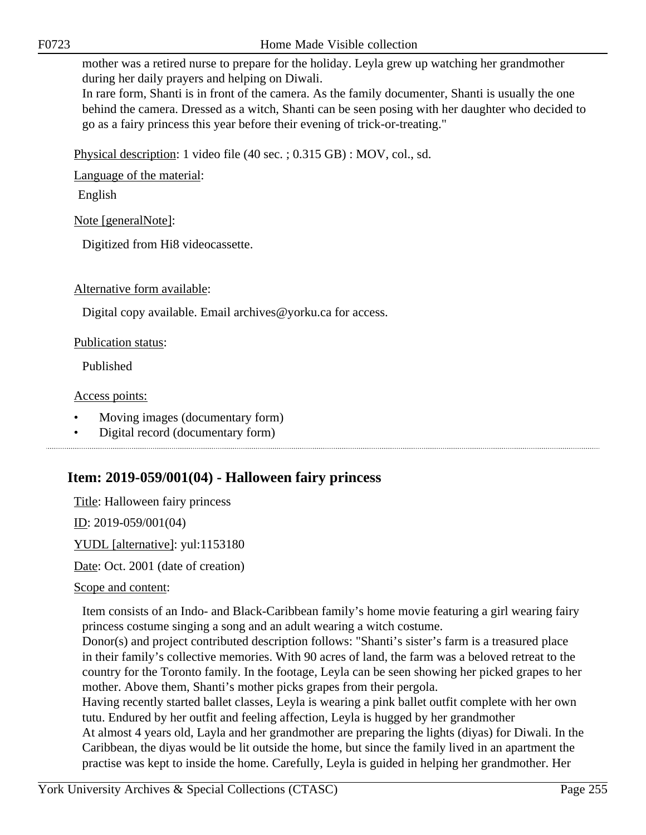In rare form, Shanti is in front of the camera. As the family documenter, Shanti is usually the one behind the camera. Dressed as a witch, Shanti can be seen posing with her daughter who decided to go as a fairy princess this year before their evening of trick-or-treating."

Physical description: 1 video file (40 sec. ; 0.315 GB) : MOV, col., sd.

Language of the material:

English

Note [generalNote]:

Digitized from Hi8 videocassette.

Alternative form available:

Digital copy available. Email archives@yorku.ca for access.

Publication status:

Published

Access points:

- Moving images (documentary form)
- Digital record (documentary form)

# **Item: 2019-059/001(04) - Halloween fairy princess**

Title: Halloween fairy princess

ID: 2019-059/001(04)

YUDL [alternative]: yul:1153180

Date: Oct. 2001 (date of creation)

## Scope and content:

Item consists of an Indo- and Black-Caribbean family's home movie featuring a girl wearing fairy princess costume singing a song and an adult wearing a witch costume.

Donor(s) and project contributed description follows: "Shanti's sister's farm is a treasured place in their family's collective memories. With 90 acres of land, the farm was a beloved retreat to the country for the Toronto family. In the footage, Leyla can be seen showing her picked grapes to her mother. Above them, Shanti's mother picks grapes from their pergola.

Having recently started ballet classes, Leyla is wearing a pink ballet outfit complete with her own tutu. Endured by her outfit and feeling affection, Leyla is hugged by her grandmother At almost 4 years old, Layla and her grandmother are preparing the lights (diyas) for Diwali. In the Caribbean, the diyas would be lit outside the home, but since the family lived in an apartment the practise was kept to inside the home. Carefully, Leyla is guided in helping her grandmother. Her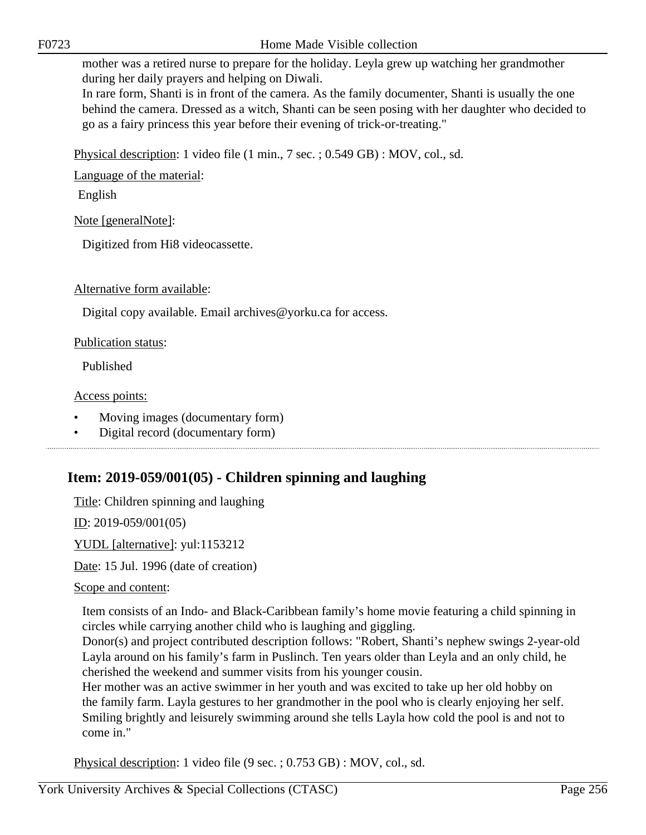In rare form, Shanti is in front of the camera. As the family documenter, Shanti is usually the one behind the camera. Dressed as a witch, Shanti can be seen posing with her daughter who decided to go as a fairy princess this year before their evening of trick-or-treating."

Physical description: 1 video file (1 min., 7 sec. ; 0.549 GB) : MOV, col., sd.

Language of the material:

English

Note [generalNote]:

Digitized from Hi8 videocassette.

Alternative form available:

Digital copy available. Email archives@yorku.ca for access.

Publication status:

Published

Access points:

- Moving images (documentary form)
- Digital record (documentary form)

# **Item: 2019-059/001(05) - Children spinning and laughing**

Title: Children spinning and laughing

ID: 2019-059/001(05)

YUDL [alternative]: yul:1153212

Date: 15 Jul. 1996 (date of creation)

Scope and content:

Item consists of an Indo- and Black-Caribbean family's home movie featuring a child spinning in circles while carrying another child who is laughing and giggling.

Donor(s) and project contributed description follows: "Robert, Shanti's nephew swings 2-year-old Layla around on his family's farm in Puslinch. Ten years older than Leyla and an only child, he cherished the weekend and summer visits from his younger cousin.

Her mother was an active swimmer in her youth and was excited to take up her old hobby on the family farm. Layla gestures to her grandmother in the pool who is clearly enjoying her self. Smiling brightly and leisurely swimming around she tells Layla how cold the pool is and not to come in."

Physical description: 1 video file (9 sec. ; 0.753 GB) : MOV, col., sd.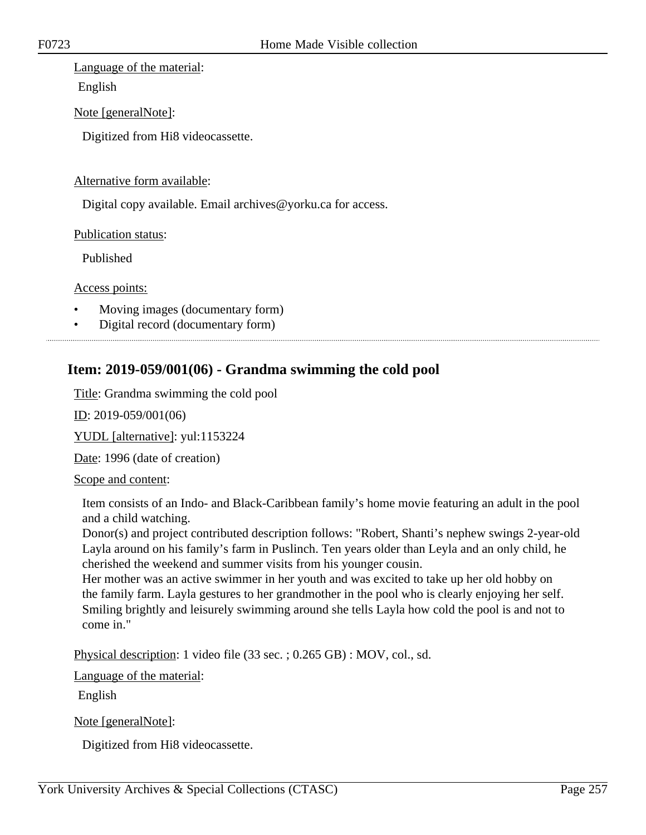## Language of the material:

English

Note [generalNote]:

Digitized from Hi8 videocassette.

## Alternative form available:

Digital copy available. Email archives@yorku.ca for access.

Publication status:

Published

Access points:

- Moving images (documentary form)
- Digital record (documentary form)

# **Item: 2019-059/001(06) - Grandma swimming the cold pool**

Title: Grandma swimming the cold pool

ID: 2019-059/001(06)

YUDL [alternative]: yul:1153224

Date: 1996 (date of creation)

Scope and content:

Item consists of an Indo- and Black-Caribbean family's home movie featuring an adult in the pool and a child watching.

Donor(s) and project contributed description follows: "Robert, Shanti's nephew swings 2-year-old Layla around on his family's farm in Puslinch. Ten years older than Leyla and an only child, he cherished the weekend and summer visits from his younger cousin.

Her mother was an active swimmer in her youth and was excited to take up her old hobby on the family farm. Layla gestures to her grandmother in the pool who is clearly enjoying her self. Smiling brightly and leisurely swimming around she tells Layla how cold the pool is and not to come in."

Physical description: 1 video file (33 sec. ; 0.265 GB) : MOV, col., sd.

Language of the material:

English

Note [generalNote]:

Digitized from Hi8 videocassette.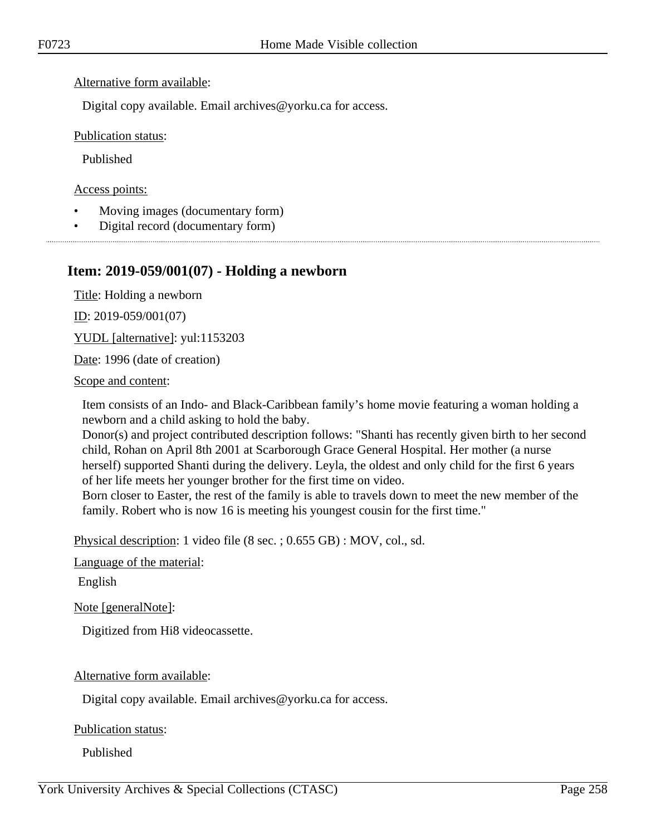## Alternative form available:

Digital copy available. Email archives@yorku.ca for access.

Publication status:

Published

Access points:

- Moving images (documentary form)
- Digital record (documentary form)

# **Item: 2019-059/001(07) - Holding a newborn**

Title: Holding a newborn

ID: 2019-059/001(07)

YUDL [alternative]: yul:1153203

Date: 1996 (date of creation)

Scope and content:

Item consists of an Indo- and Black-Caribbean family's home movie featuring a woman holding a newborn and a child asking to hold the baby.

Donor(s) and project contributed description follows: "Shanti has recently given birth to her second child, Rohan on April 8th 2001 at Scarborough Grace General Hospital. Her mother (a nurse herself) supported Shanti during the delivery. Leyla, the oldest and only child for the first 6 years of her life meets her younger brother for the first time on video.

Born closer to Easter, the rest of the family is able to travels down to meet the new member of the family. Robert who is now 16 is meeting his youngest cousin for the first time."

Physical description: 1 video file (8 sec. ; 0.655 GB) : MOV, col., sd.

Language of the material:

English

Note [generalNote]:

Digitized from Hi8 videocassette.

Alternative form available:

Digital copy available. Email archives@yorku.ca for access.

Publication status:

Published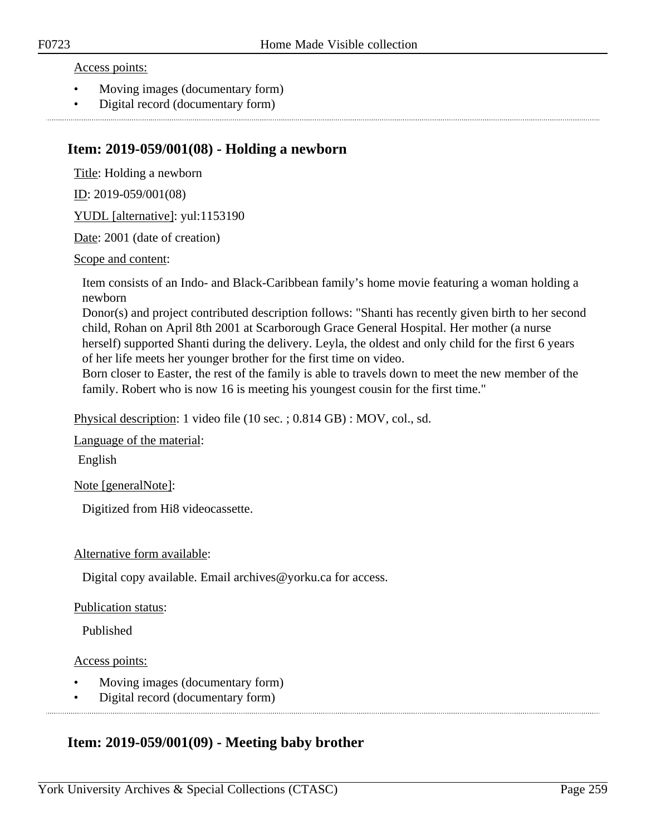Access points:

- Moving images (documentary form)
- Digital record (documentary form)

## **Item: 2019-059/001(08) - Holding a newborn**

Title: Holding a newborn

ID: 2019-059/001(08)

YUDL [alternative]: yul:1153190

Date: 2001 (date of creation)

Scope and content:

Item consists of an Indo- and Black-Caribbean family's home movie featuring a woman holding a newborn

Donor(s) and project contributed description follows: "Shanti has recently given birth to her second child, Rohan on April 8th 2001 at Scarborough Grace General Hospital. Her mother (a nurse herself) supported Shanti during the delivery. Leyla, the oldest and only child for the first 6 years of her life meets her younger brother for the first time on video.

Born closer to Easter, the rest of the family is able to travels down to meet the new member of the family. Robert who is now 16 is meeting his youngest cousin for the first time."

Physical description: 1 video file (10 sec. ; 0.814 GB) : MOV, col., sd.

Language of the material:

English

Note [generalNote]:

Digitized from Hi8 videocassette.

## Alternative form available:

Digital copy available. Email archives@yorku.ca for access.

## Publication status:

Published

Access points:

- Moving images (documentary form)
- Digital record (documentary form)

# **Item: 2019-059/001(09) - Meeting baby brother**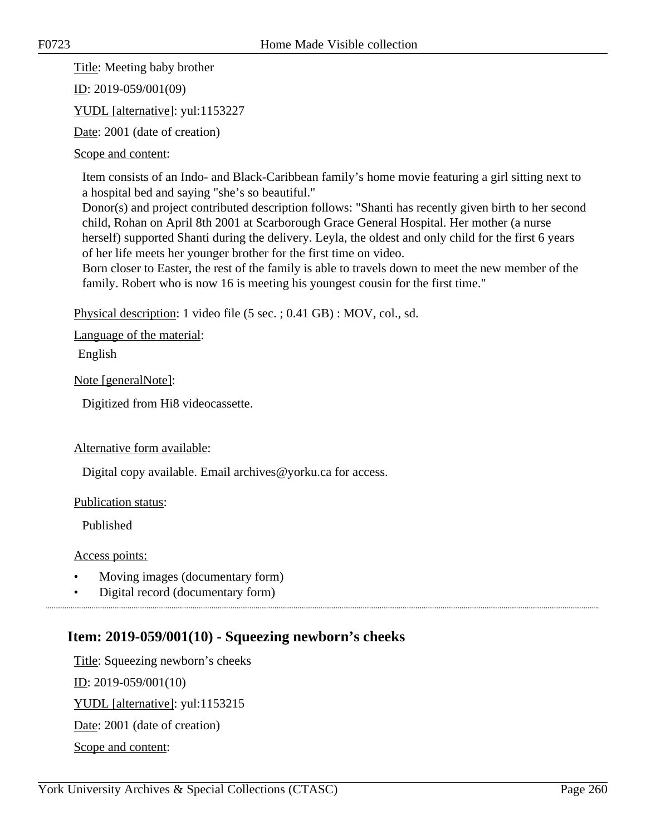Title: Meeting baby brother

ID: 2019-059/001(09)

YUDL [alternative]: yul:1153227

Date: 2001 (date of creation)

Scope and content:

Item consists of an Indo- and Black-Caribbean family's home movie featuring a girl sitting next to a hospital bed and saying "she's so beautiful."

Donor(s) and project contributed description follows: "Shanti has recently given birth to her second child, Rohan on April 8th 2001 at Scarborough Grace General Hospital. Her mother (a nurse herself) supported Shanti during the delivery. Leyla, the oldest and only child for the first 6 years of her life meets her younger brother for the first time on video.

Born closer to Easter, the rest of the family is able to travels down to meet the new member of the family. Robert who is now 16 is meeting his youngest cousin for the first time."

Physical description: 1 video file (5 sec. ; 0.41 GB) : MOV, col., sd.

Language of the material:

English

Note [generalNote]:

Digitized from Hi8 videocassette.

## Alternative form available:

Digital copy available. Email archives@yorku.ca for access.

Publication status:

Published

Access points:

- Moving images (documentary form)
- Digital record (documentary form)

## **Item: 2019-059/001(10) - Squeezing newborn's cheeks**

Title: Squeezing newborn's cheeks ID: 2019-059/001(10) YUDL [alternative]: yul:1153215 Date: 2001 (date of creation) Scope and content: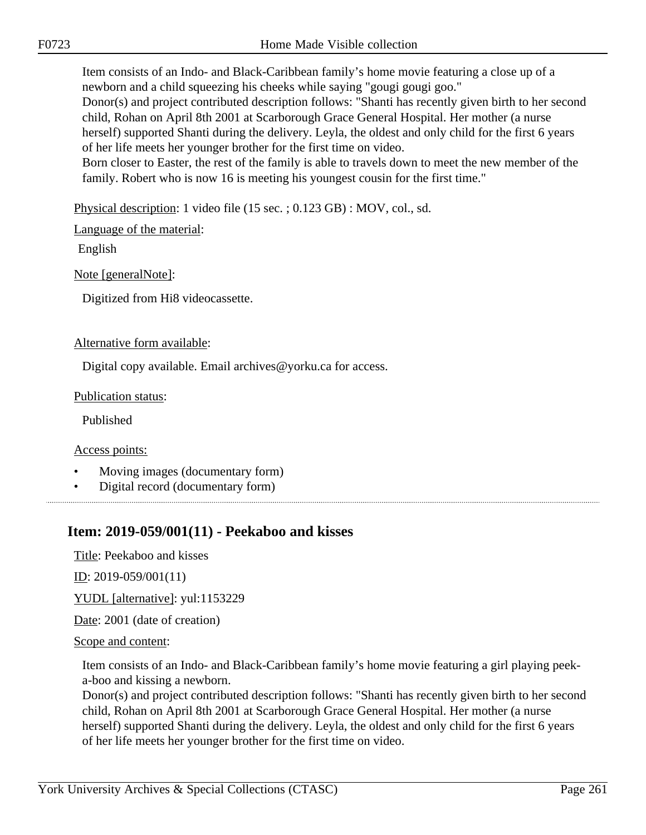Item consists of an Indo- and Black-Caribbean family's home movie featuring a close up of a newborn and a child squeezing his cheeks while saying "gougi gougi goo."

Donor(s) and project contributed description follows: "Shanti has recently given birth to her second child, Rohan on April 8th 2001 at Scarborough Grace General Hospital. Her mother (a nurse herself) supported Shanti during the delivery. Leyla, the oldest and only child for the first 6 years of her life meets her younger brother for the first time on video.

Born closer to Easter, the rest of the family is able to travels down to meet the new member of the family. Robert who is now 16 is meeting his youngest cousin for the first time."

Physical description: 1 video file (15 sec. ; 0.123 GB) : MOV, col., sd.

Language of the material:

English

Note [generalNote]:

Digitized from Hi8 videocassette.

## Alternative form available:

Digital copy available. Email archives@yorku.ca for access.

Publication status:

Published

Access points:

- Moving images (documentary form)
- Digital record (documentary form)

# **Item: 2019-059/001(11) - Peekaboo and kisses**

Title: Peekaboo and kisses

 $ID: 2019-059/001(11)$ 

YUDL [alternative]: yul:1153229

Date: 2001 (date of creation)

Scope and content:

Item consists of an Indo- and Black-Caribbean family's home movie featuring a girl playing peeka-boo and kissing a newborn.

Donor(s) and project contributed description follows: "Shanti has recently given birth to her second child, Rohan on April 8th 2001 at Scarborough Grace General Hospital. Her mother (a nurse herself) supported Shanti during the delivery. Leyla, the oldest and only child for the first 6 years of her life meets her younger brother for the first time on video.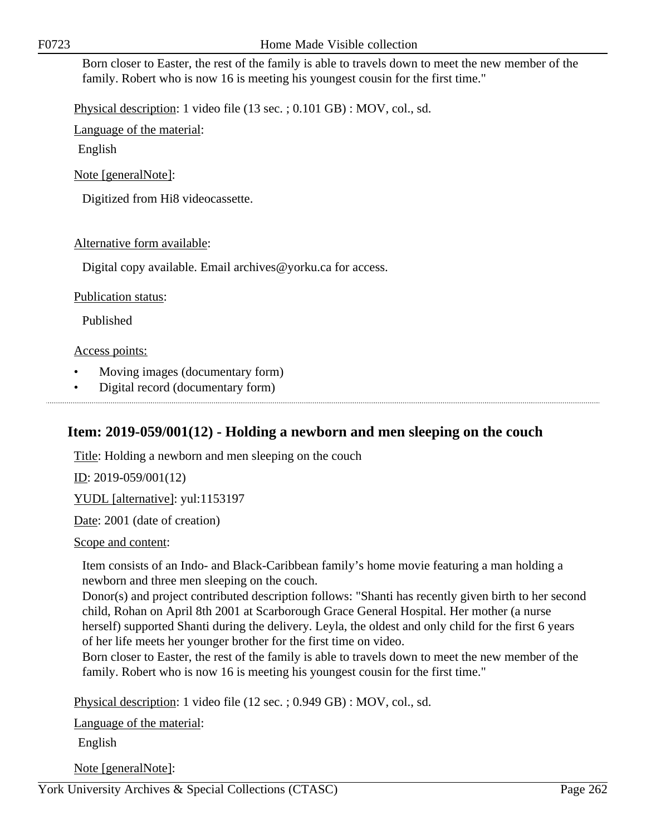Born closer to Easter, the rest of the family is able to travels down to meet the new member of the family. Robert who is now 16 is meeting his youngest cousin for the first time."

Physical description: 1 video file (13 sec. ; 0.101 GB) : MOV, col., sd.

Language of the material:

English

Note [generalNote]:

Digitized from Hi8 videocassette.

## Alternative form available:

Digital copy available. Email archives@yorku.ca for access.

## Publication status:

Published

## Access points:

- Moving images (documentary form)
- Digital record (documentary form)

# **Item: 2019-059/001(12) - Holding a newborn and men sleeping on the couch**

Title: Holding a newborn and men sleeping on the couch

ID: 2019-059/001(12)

YUDL [alternative]: yul:1153197

Date: 2001 (date of creation)

Scope and content:

Item consists of an Indo- and Black-Caribbean family's home movie featuring a man holding a newborn and three men sleeping on the couch.

Donor(s) and project contributed description follows: "Shanti has recently given birth to her second child, Rohan on April 8th 2001 at Scarborough Grace General Hospital. Her mother (a nurse herself) supported Shanti during the delivery. Leyla, the oldest and only child for the first 6 years of her life meets her younger brother for the first time on video.

Born closer to Easter, the rest of the family is able to travels down to meet the new member of the family. Robert who is now 16 is meeting his youngest cousin for the first time."

Physical description: 1 video file (12 sec. ; 0.949 GB) : MOV, col., sd.

Language of the material:

English

Note [generalNote]:

York University Archives & Special Collections (CTASC) Page 262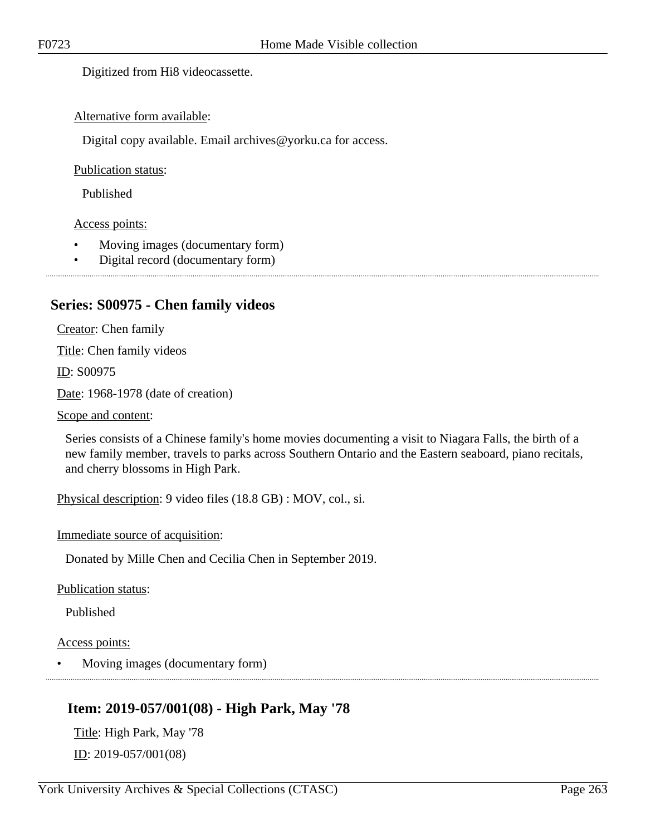Digitized from Hi8 videocassette.

## Alternative form available:

Digital copy available. Email archives@yorku.ca for access.

## Publication status:

Published

## Access points:

- Moving images (documentary form)
- Digital record (documentary form)
- 

## **Series: S00975 - Chen family videos**

Creator: Chen family

Title: Chen family videos

ID: S00975

Date: 1968-1978 (date of creation)

Scope and content:

Series consists of a Chinese family's home movies documenting a visit to Niagara Falls, the birth of a new family member, travels to parks across Southern Ontario and the Eastern seaboard, piano recitals, and cherry blossoms in High Park.

Physical description: 9 video files (18.8 GB) : MOV, col., si.

Immediate source of acquisition:

Donated by Mille Chen and Cecilia Chen in September 2019.

Publication status:

Published

## Access points:

• Moving images (documentary form)

# **Item: 2019-057/001(08) - High Park, May '78**

Title: High Park, May '78 ID: 2019-057/001(08)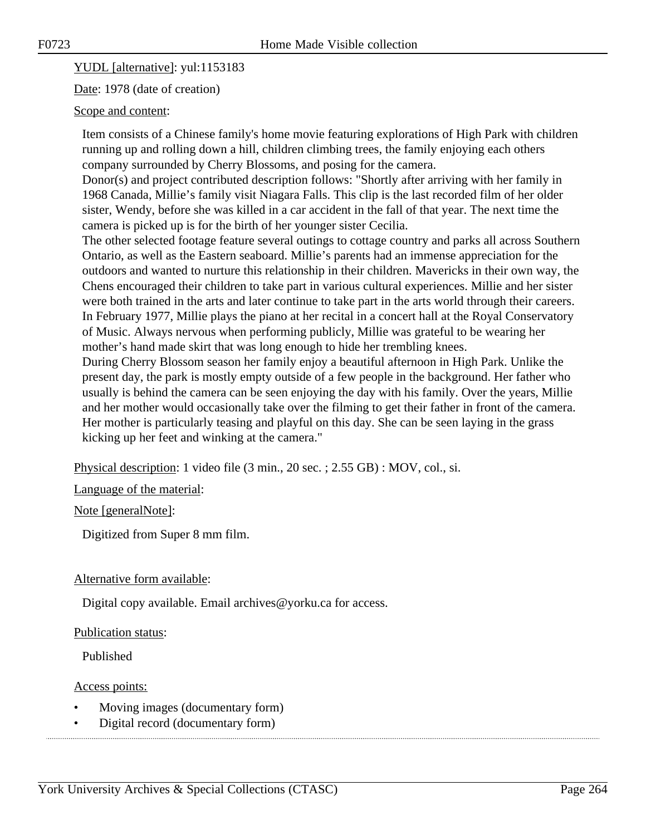YUDL [alternative]: yul:1153183

Date: 1978 (date of creation)

## Scope and content:

Item consists of a Chinese family's home movie featuring explorations of High Park with children running up and rolling down a hill, children climbing trees, the family enjoying each others company surrounded by Cherry Blossoms, and posing for the camera.

Donor(s) and project contributed description follows: "Shortly after arriving with her family in 1968 Canada, Millie's family visit Niagara Falls. This clip is the last recorded film of her older sister, Wendy, before she was killed in a car accident in the fall of that year. The next time the camera is picked up is for the birth of her younger sister Cecilia.

The other selected footage feature several outings to cottage country and parks all across Southern Ontario, as well as the Eastern seaboard. Millie's parents had an immense appreciation for the outdoors and wanted to nurture this relationship in their children. Mavericks in their own way, the Chens encouraged their children to take part in various cultural experiences. Millie and her sister were both trained in the arts and later continue to take part in the arts world through their careers. In February 1977, Millie plays the piano at her recital in a concert hall at the Royal Conservatory of Music. Always nervous when performing publicly, Millie was grateful to be wearing her mother's hand made skirt that was long enough to hide her trembling knees.

During Cherry Blossom season her family enjoy a beautiful afternoon in High Park. Unlike the present day, the park is mostly empty outside of a few people in the background. Her father who usually is behind the camera can be seen enjoying the day with his family. Over the years, Millie and her mother would occasionally take over the filming to get their father in front of the camera. Her mother is particularly teasing and playful on this day. She can be seen laying in the grass kicking up her feet and winking at the camera."

Physical description: 1 video file (3 min., 20 sec. ; 2.55 GB) : MOV, col., si.

Language of the material:

Note [generalNote]:

Digitized from Super 8 mm film.

## Alternative form available:

Digital copy available. Email archives@yorku.ca for access.

## Publication status:

Published

## Access points:

- Moving images (documentary form)
- Digital record (documentary form)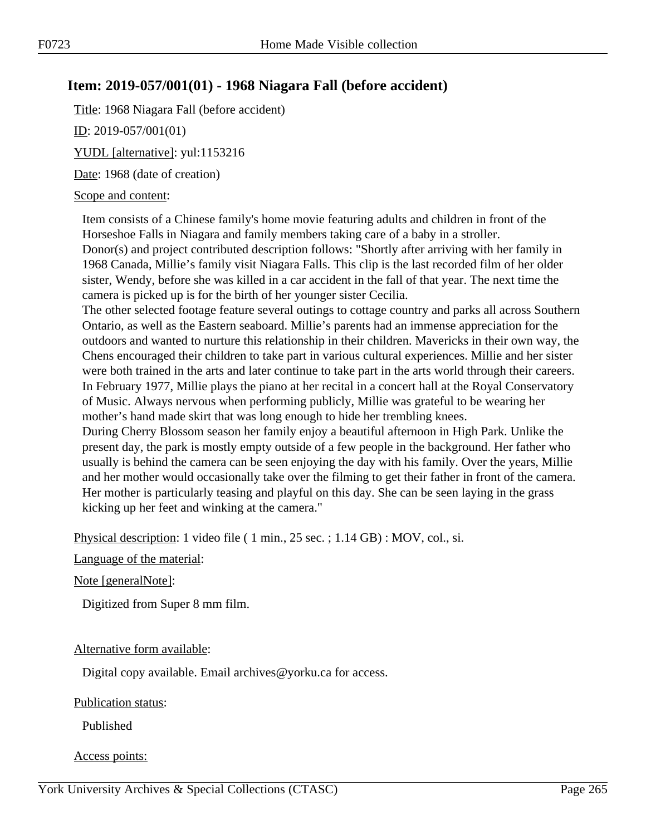# **Item: 2019-057/001(01) - 1968 Niagara Fall (before accident)**

Title: 1968 Niagara Fall (before accident)

ID: 2019-057/001(01)

YUDL [alternative]: yul:1153216

Date: 1968 (date of creation)

## Scope and content:

Item consists of a Chinese family's home movie featuring adults and children in front of the Horseshoe Falls in Niagara and family members taking care of a baby in a stroller. Donor(s) and project contributed description follows: "Shortly after arriving with her family in 1968 Canada, Millie's family visit Niagara Falls. This clip is the last recorded film of her older sister, Wendy, before she was killed in a car accident in the fall of that year. The next time the camera is picked up is for the birth of her younger sister Cecilia.

The other selected footage feature several outings to cottage country and parks all across Southern Ontario, as well as the Eastern seaboard. Millie's parents had an immense appreciation for the outdoors and wanted to nurture this relationship in their children. Mavericks in their own way, the Chens encouraged their children to take part in various cultural experiences. Millie and her sister were both trained in the arts and later continue to take part in the arts world through their careers. In February 1977, Millie plays the piano at her recital in a concert hall at the Royal Conservatory of Music. Always nervous when performing publicly, Millie was grateful to be wearing her mother's hand made skirt that was long enough to hide her trembling knees.

During Cherry Blossom season her family enjoy a beautiful afternoon in High Park. Unlike the present day, the park is mostly empty outside of a few people in the background. Her father who usually is behind the camera can be seen enjoying the day with his family. Over the years, Millie and her mother would occasionally take over the filming to get their father in front of the camera. Her mother is particularly teasing and playful on this day. She can be seen laying in the grass kicking up her feet and winking at the camera."

Physical description: 1 video file ( 1 min., 25 sec. ; 1.14 GB) : MOV, col., si.

Language of the material:

Note [generalNote]:

Digitized from Super 8 mm film.

## Alternative form available:

Digital copy available. Email archives@yorku.ca for access.

## Publication status:

Published

## Access points: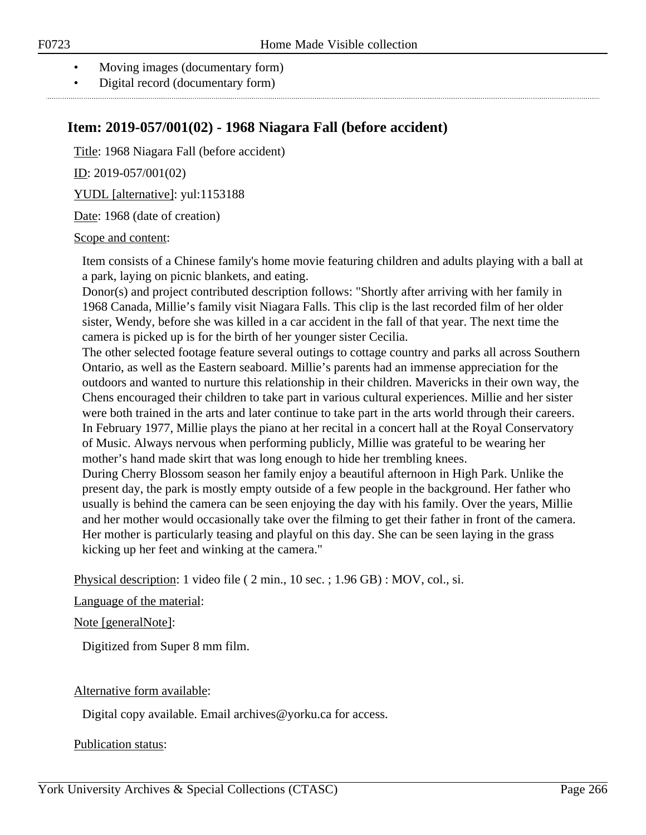- Moving images (documentary form)
- Digital record (documentary form)

# **Item: 2019-057/001(02) - 1968 Niagara Fall (before accident)**

Title: 1968 Niagara Fall (before accident)

ID: 2019-057/001(02)

YUDL [alternative]: yul:1153188

Date: 1968 (date of creation)

## Scope and content:

Item consists of a Chinese family's home movie featuring children and adults playing with a ball at a park, laying on picnic blankets, and eating.

Donor(s) and project contributed description follows: "Shortly after arriving with her family in 1968 Canada, Millie's family visit Niagara Falls. This clip is the last recorded film of her older sister, Wendy, before she was killed in a car accident in the fall of that year. The next time the camera is picked up is for the birth of her younger sister Cecilia.

The other selected footage feature several outings to cottage country and parks all across Southern Ontario, as well as the Eastern seaboard. Millie's parents had an immense appreciation for the outdoors and wanted to nurture this relationship in their children. Mavericks in their own way, the Chens encouraged their children to take part in various cultural experiences. Millie and her sister were both trained in the arts and later continue to take part in the arts world through their careers. In February 1977, Millie plays the piano at her recital in a concert hall at the Royal Conservatory of Music. Always nervous when performing publicly, Millie was grateful to be wearing her mother's hand made skirt that was long enough to hide her trembling knees.

During Cherry Blossom season her family enjoy a beautiful afternoon in High Park. Unlike the present day, the park is mostly empty outside of a few people in the background. Her father who usually is behind the camera can be seen enjoying the day with his family. Over the years, Millie and her mother would occasionally take over the filming to get their father in front of the camera. Her mother is particularly teasing and playful on this day. She can be seen laying in the grass kicking up her feet and winking at the camera."

Physical description: 1 video file ( 2 min., 10 sec. ; 1.96 GB) : MOV, col., si.

## Language of the material:

## Note [generalNote]:

Digitized from Super 8 mm film.

## Alternative form available:

Digital copy available. Email archives@yorku.ca for access.

Publication status: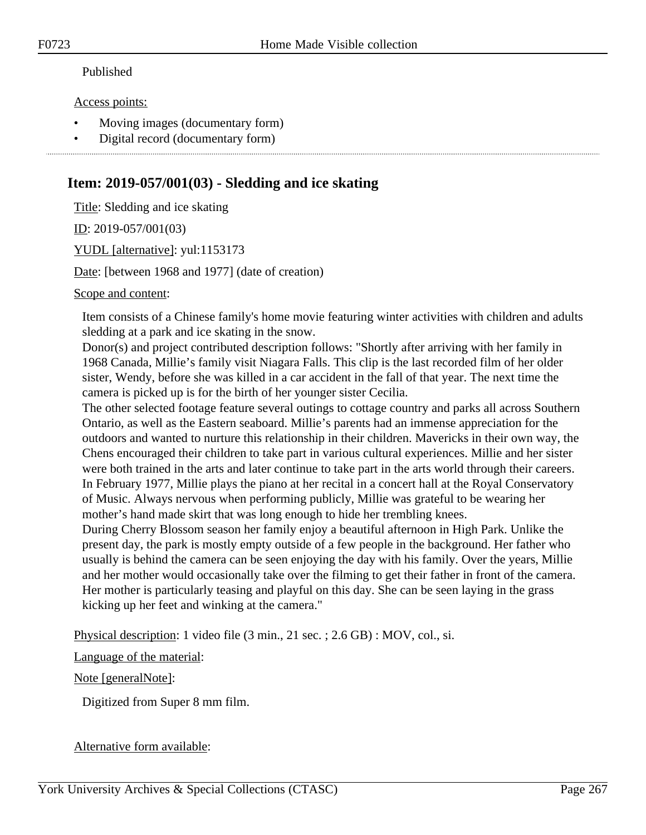## Published

## Access points:

- Moving images (documentary form)
- Digital record (documentary form)

# **Item: 2019-057/001(03) - Sledding and ice skating**

Title: Sledding and ice skating

ID: 2019-057/001(03)

YUDL [alternative]: yul:1153173

Date: [between 1968 and 1977] (date of creation)

Scope and content:

Item consists of a Chinese family's home movie featuring winter activities with children and adults sledding at a park and ice skating in the snow.

Donor(s) and project contributed description follows: "Shortly after arriving with her family in 1968 Canada, Millie's family visit Niagara Falls. This clip is the last recorded film of her older sister, Wendy, before she was killed in a car accident in the fall of that year. The next time the camera is picked up is for the birth of her younger sister Cecilia.

The other selected footage feature several outings to cottage country and parks all across Southern Ontario, as well as the Eastern seaboard. Millie's parents had an immense appreciation for the outdoors and wanted to nurture this relationship in their children. Mavericks in their own way, the Chens encouraged their children to take part in various cultural experiences. Millie and her sister were both trained in the arts and later continue to take part in the arts world through their careers. In February 1977, Millie plays the piano at her recital in a concert hall at the Royal Conservatory of Music. Always nervous when performing publicly, Millie was grateful to be wearing her mother's hand made skirt that was long enough to hide her trembling knees.

During Cherry Blossom season her family enjoy a beautiful afternoon in High Park. Unlike the present day, the park is mostly empty outside of a few people in the background. Her father who usually is behind the camera can be seen enjoying the day with his family. Over the years, Millie and her mother would occasionally take over the filming to get their father in front of the camera. Her mother is particularly teasing and playful on this day. She can be seen laying in the grass kicking up her feet and winking at the camera."

Physical description: 1 video file (3 min., 21 sec. ; 2.6 GB) : MOV, col., si.

Language of the material:

Note [generalNote]:

Digitized from Super 8 mm film.

## Alternative form available: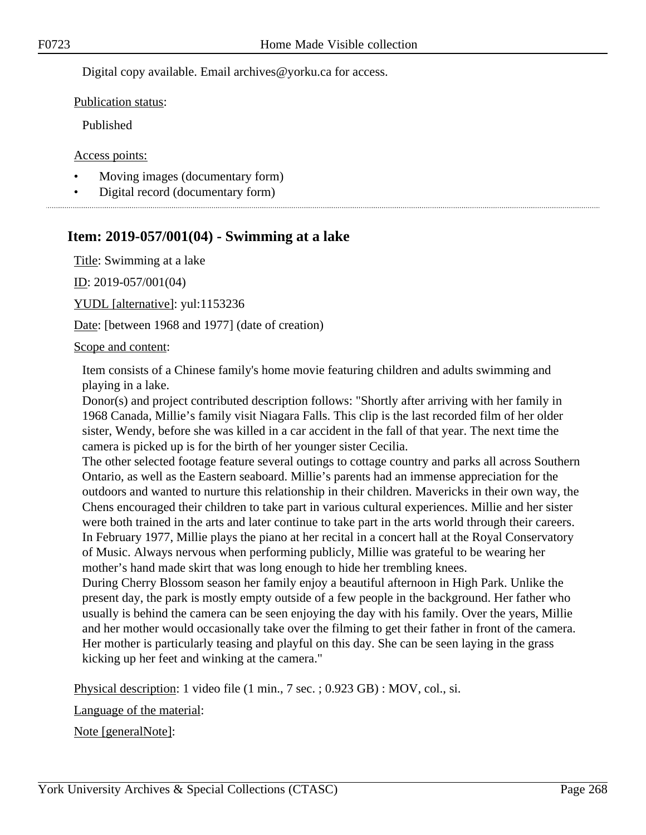Digital copy available. Email archives@yorku.ca for access.

Publication status:

Published

Access points:

- Moving images (documentary form)
- Digital record (documentary form)

# **Item: 2019-057/001(04) - Swimming at a lake**

Title: Swimming at a lake

ID: 2019-057/001(04)

YUDL [alternative]: yul:1153236

Date: [between 1968 and 1977] (date of creation)

## Scope and content:

Item consists of a Chinese family's home movie featuring children and adults swimming and playing in a lake.

Donor(s) and project contributed description follows: "Shortly after arriving with her family in 1968 Canada, Millie's family visit Niagara Falls. This clip is the last recorded film of her older sister, Wendy, before she was killed in a car accident in the fall of that year. The next time the camera is picked up is for the birth of her younger sister Cecilia.

The other selected footage feature several outings to cottage country and parks all across Southern Ontario, as well as the Eastern seaboard. Millie's parents had an immense appreciation for the outdoors and wanted to nurture this relationship in their children. Mavericks in their own way, the Chens encouraged their children to take part in various cultural experiences. Millie and her sister were both trained in the arts and later continue to take part in the arts world through their careers. In February 1977, Millie plays the piano at her recital in a concert hall at the Royal Conservatory of Music. Always nervous when performing publicly, Millie was grateful to be wearing her mother's hand made skirt that was long enough to hide her trembling knees.

During Cherry Blossom season her family enjoy a beautiful afternoon in High Park. Unlike the present day, the park is mostly empty outside of a few people in the background. Her father who usually is behind the camera can be seen enjoying the day with his family. Over the years, Millie and her mother would occasionally take over the filming to get their father in front of the camera. Her mother is particularly teasing and playful on this day. She can be seen laying in the grass kicking up her feet and winking at the camera."

Physical description: 1 video file (1 min., 7 sec. ; 0.923 GB) : MOV, col., si.

Language of the material:

Note [generalNote]: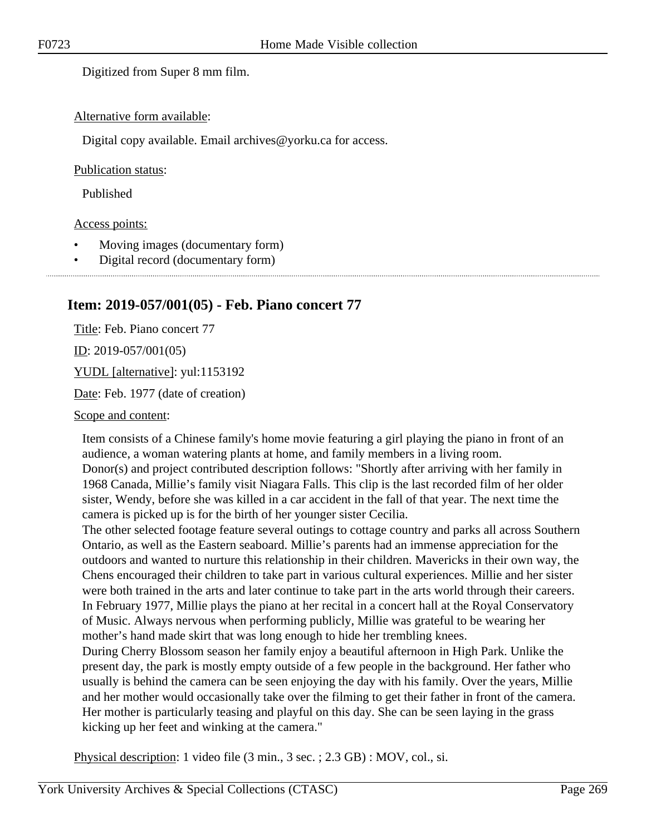Digitized from Super 8 mm film.

## Alternative form available:

Digital copy available. Email archives@yorku.ca for access.

## Publication status:

Published

## Access points:

- Moving images (documentary form)
- Digital record (documentary form)

# **Item: 2019-057/001(05) - Feb. Piano concert 77**

Title: Feb. Piano concert 77 <u>ID</u>: 2019-057/001(05) YUDL [alternative]: yul:1153192 Date: Feb. 1977 (date of creation)

Scope and content:

Item consists of a Chinese family's home movie featuring a girl playing the piano in front of an audience, a woman watering plants at home, and family members in a living room. Donor(s) and project contributed description follows: "Shortly after arriving with her family in 1968 Canada, Millie's family visit Niagara Falls. This clip is the last recorded film of her older sister, Wendy, before she was killed in a car accident in the fall of that year. The next time the camera is picked up is for the birth of her younger sister Cecilia.

The other selected footage feature several outings to cottage country and parks all across Southern Ontario, as well as the Eastern seaboard. Millie's parents had an immense appreciation for the outdoors and wanted to nurture this relationship in their children. Mavericks in their own way, the Chens encouraged their children to take part in various cultural experiences. Millie and her sister were both trained in the arts and later continue to take part in the arts world through their careers. In February 1977, Millie plays the piano at her recital in a concert hall at the Royal Conservatory of Music. Always nervous when performing publicly, Millie was grateful to be wearing her mother's hand made skirt that was long enough to hide her trembling knees.

During Cherry Blossom season her family enjoy a beautiful afternoon in High Park. Unlike the present day, the park is mostly empty outside of a few people in the background. Her father who usually is behind the camera can be seen enjoying the day with his family. Over the years, Millie and her mother would occasionally take over the filming to get their father in front of the camera. Her mother is particularly teasing and playful on this day. She can be seen laying in the grass kicking up her feet and winking at the camera."

Physical description: 1 video file (3 min., 3 sec. ; 2.3 GB) : MOV, col., si.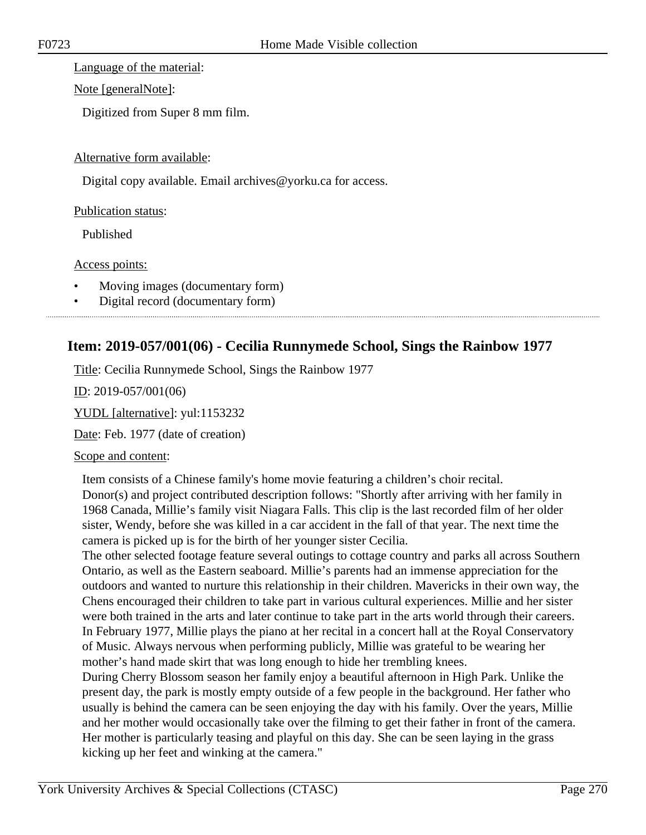Language of the material:

Note [generalNote]:

Digitized from Super 8 mm film.

## Alternative form available:

Digital copy available. Email archives@yorku.ca for access.

## Publication status:

Published

## Access points:

- Moving images (documentary form)
- Digital record (documentary form)

# **Item: 2019-057/001(06) - Cecilia Runnymede School, Sings the Rainbow 1977**

Title: Cecilia Runnymede School, Sings the Rainbow 1977

ID: 2019-057/001(06)

YUDL [alternative]: yul:1153232

Date: Feb. 1977 (date of creation)

## Scope and content:

Item consists of a Chinese family's home movie featuring a children's choir recital. Donor(s) and project contributed description follows: "Shortly after arriving with her family in 1968 Canada, Millie's family visit Niagara Falls. This clip is the last recorded film of her older sister, Wendy, before she was killed in a car accident in the fall of that year. The next time the camera is picked up is for the birth of her younger sister Cecilia.

The other selected footage feature several outings to cottage country and parks all across Southern Ontario, as well as the Eastern seaboard. Millie's parents had an immense appreciation for the outdoors and wanted to nurture this relationship in their children. Mavericks in their own way, the Chens encouraged their children to take part in various cultural experiences. Millie and her sister were both trained in the arts and later continue to take part in the arts world through their careers. In February 1977, Millie plays the piano at her recital in a concert hall at the Royal Conservatory of Music. Always nervous when performing publicly, Millie was grateful to be wearing her mother's hand made skirt that was long enough to hide her trembling knees.

During Cherry Blossom season her family enjoy a beautiful afternoon in High Park. Unlike the present day, the park is mostly empty outside of a few people in the background. Her father who usually is behind the camera can be seen enjoying the day with his family. Over the years, Millie and her mother would occasionally take over the filming to get their father in front of the camera. Her mother is particularly teasing and playful on this day. She can be seen laying in the grass kicking up her feet and winking at the camera."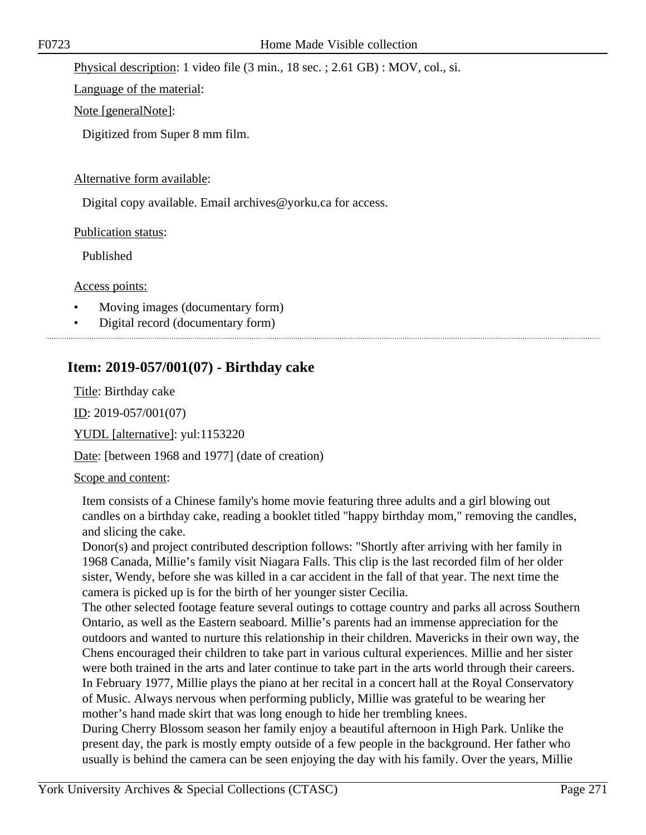Physical description: 1 video file (3 min., 18 sec. ; 2.61 GB) : MOV, col., si.

Language of the material:

Note [generalNote]:

Digitized from Super 8 mm film.

## Alternative form available:

Digital copy available. Email archives@yorku.ca for access.

Publication status:

Published

Access points:

- Moving images (documentary form)
- Digital record (documentary form)

# **Item: 2019-057/001(07) - Birthday cake**

Title: Birthday cake

ID: 2019-057/001(07)

YUDL [alternative]: yul:1153220

Date: [between 1968 and 1977] (date of creation)

## Scope and content:

Item consists of a Chinese family's home movie featuring three adults and a girl blowing out candles on a birthday cake, reading a booklet titled "happy birthday mom," removing the candles, and slicing the cake.

Donor(s) and project contributed description follows: "Shortly after arriving with her family in 1968 Canada, Millie's family visit Niagara Falls. This clip is the last recorded film of her older sister, Wendy, before she was killed in a car accident in the fall of that year. The next time the camera is picked up is for the birth of her younger sister Cecilia.

The other selected footage feature several outings to cottage country and parks all across Southern Ontario, as well as the Eastern seaboard. Millie's parents had an immense appreciation for the outdoors and wanted to nurture this relationship in their children. Mavericks in their own way, the Chens encouraged their children to take part in various cultural experiences. Millie and her sister were both trained in the arts and later continue to take part in the arts world through their careers. In February 1977, Millie plays the piano at her recital in a concert hall at the Royal Conservatory of Music. Always nervous when performing publicly, Millie was grateful to be wearing her mother's hand made skirt that was long enough to hide her trembling knees.

During Cherry Blossom season her family enjoy a beautiful afternoon in High Park. Unlike the present day, the park is mostly empty outside of a few people in the background. Her father who usually is behind the camera can be seen enjoying the day with his family. Over the years, Millie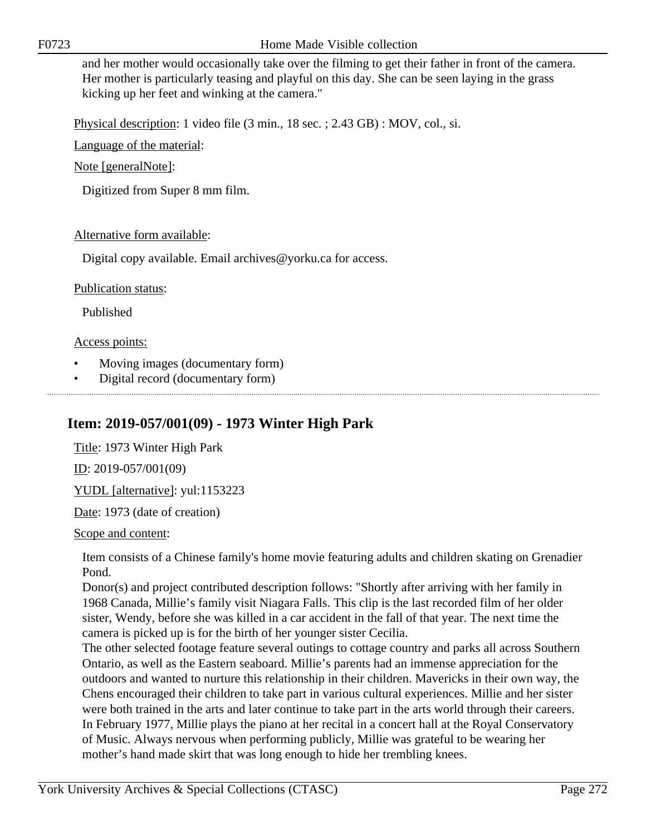F0723 Home Made Visible collection

and her mother would occasionally take over the filming to get their father in front of the camera. Her mother is particularly teasing and playful on this day. She can be seen laying in the grass kicking up her feet and winking at the camera."

Physical description: 1 video file (3 min., 18 sec. ; 2.43 GB) : MOV, col., si.

Language of the material:

Note [generalNote]:

Digitized from Super 8 mm film.

## Alternative form available:

Digital copy available. Email archives@yorku.ca for access.

## Publication status:

Published

## Access points:

- Moving images (documentary form)
- Digital record (documentary form)

# **Item: 2019-057/001(09) - 1973 Winter High Park**

Title: 1973 Winter High Park ID: 2019-057/001(09) YUDL [alternative]: yul:1153223

Date: 1973 (date of creation)

Scope and content:

Item consists of a Chinese family's home movie featuring adults and children skating on Grenadier Pond.

Donor(s) and project contributed description follows: "Shortly after arriving with her family in 1968 Canada, Millie's family visit Niagara Falls. This clip is the last recorded film of her older sister, Wendy, before she was killed in a car accident in the fall of that year. The next time the camera is picked up is for the birth of her younger sister Cecilia.

The other selected footage feature several outings to cottage country and parks all across Southern Ontario, as well as the Eastern seaboard. Millie's parents had an immense appreciation for the outdoors and wanted to nurture this relationship in their children. Mavericks in their own way, the Chens encouraged their children to take part in various cultural experiences. Millie and her sister were both trained in the arts and later continue to take part in the arts world through their careers. In February 1977, Millie plays the piano at her recital in a concert hall at the Royal Conservatory of Music. Always nervous when performing publicly, Millie was grateful to be wearing her mother's hand made skirt that was long enough to hide her trembling knees.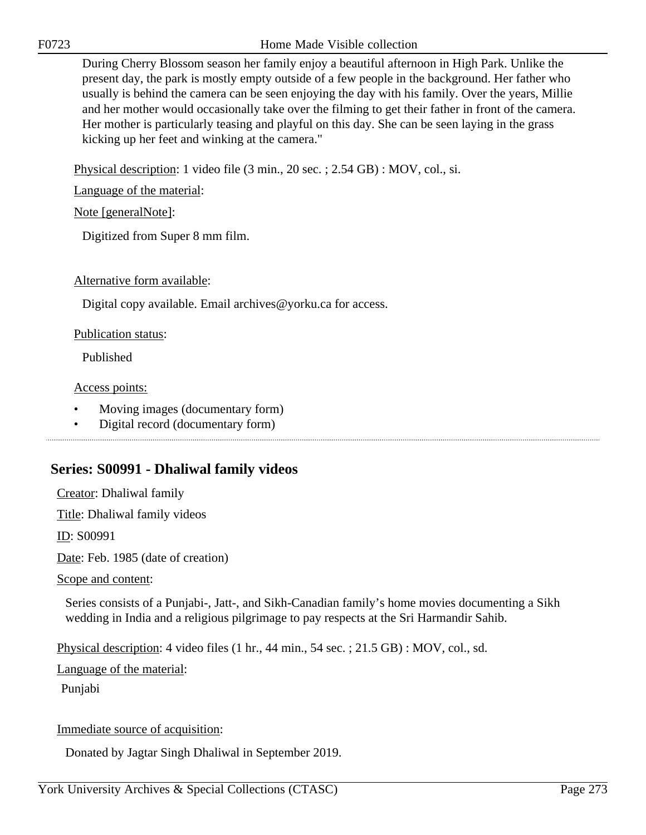F0723 Home Made Visible collection

During Cherry Blossom season her family enjoy a beautiful afternoon in High Park. Unlike the present day, the park is mostly empty outside of a few people in the background. Her father who usually is behind the camera can be seen enjoying the day with his family. Over the years, Millie and her mother would occasionally take over the filming to get their father in front of the camera. Her mother is particularly teasing and playful on this day. She can be seen laying in the grass kicking up her feet and winking at the camera."

Physical description: 1 video file (3 min., 20 sec. ; 2.54 GB) : MOV, col., si.

Language of the material:

Note [generalNote]:

Digitized from Super 8 mm film.

Alternative form available:

Digital copy available. Email archives@yorku.ca for access.

Publication status:

Published

Access points:

- Moving images (documentary form)
- Digital record (documentary form)

# **Series: S00991 - Dhaliwal family videos**

Creator: Dhaliwal family

Title: Dhaliwal family videos

ID: S00991

Date: Feb. 1985 (date of creation)

Scope and content:

Series consists of a Punjabi-, Jatt-, and Sikh-Canadian family's home movies documenting a Sikh wedding in India and a religious pilgrimage to pay respects at the Sri Harmandir Sahib.

Physical description: 4 video files (1 hr., 44 min., 54 sec. ; 21.5 GB) : MOV, col., sd.

Language of the material:

Punjabi

Immediate source of acquisition:

Donated by Jagtar Singh Dhaliwal in September 2019.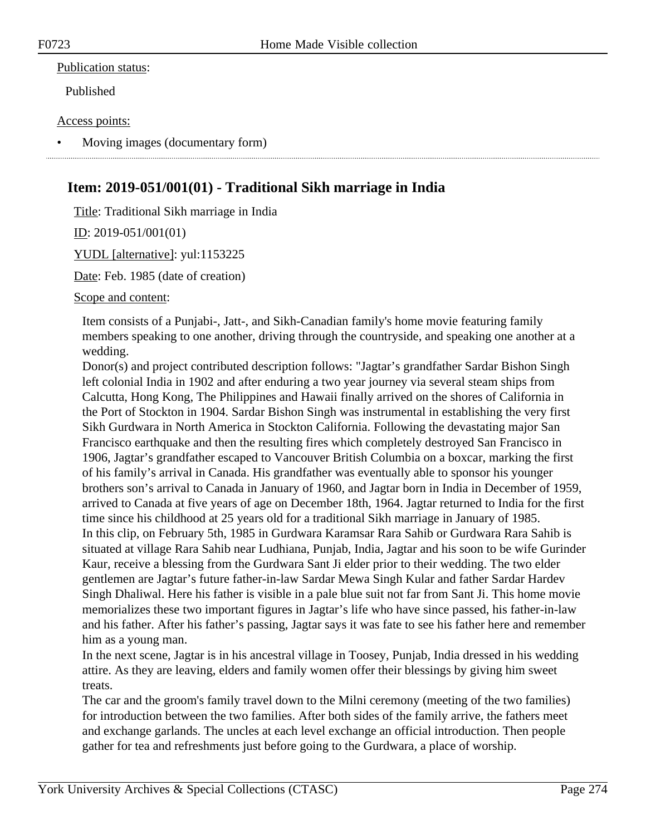## Publication status:

Published

## Access points:

• Moving images (documentary form)

# **Item: 2019-051/001(01) - Traditional Sikh marriage in India**

Title: Traditional Sikh marriage in India

ID: 2019-051/001(01)

YUDL [alternative]: yul:1153225

Date: Feb. 1985 (date of creation)

Scope and content:

Item consists of a Punjabi-, Jatt-, and Sikh-Canadian family's home movie featuring family members speaking to one another, driving through the countryside, and speaking one another at a wedding.

Donor(s) and project contributed description follows: "Jagtar's grandfather Sardar Bishon Singh left colonial India in 1902 and after enduring a two year journey via several steam ships from Calcutta, Hong Kong, The Philippines and Hawaii finally arrived on the shores of California in the Port of Stockton in 1904. Sardar Bishon Singh was instrumental in establishing the very first Sikh Gurdwara in North America in Stockton California. Following the devastating major San Francisco earthquake and then the resulting fires which completely destroyed San Francisco in 1906, Jagtar's grandfather escaped to Vancouver British Columbia on a boxcar, marking the first of his family's arrival in Canada. His grandfather was eventually able to sponsor his younger brothers son's arrival to Canada in January of 1960, and Jagtar born in India in December of 1959, arrived to Canada at five years of age on December 18th, 1964. Jagtar returned to India for the first time since his childhood at 25 years old for a traditional Sikh marriage in January of 1985. In this clip, on February 5th, 1985 in Gurdwara Karamsar Rara Sahib or Gurdwara Rara Sahib is situated at village Rara Sahib near Ludhiana, Punjab, India, Jagtar and his soon to be wife Gurinder Kaur, receive a blessing from the Gurdwara Sant Ji elder prior to their wedding. The two elder gentlemen are Jagtar's future father-in-law Sardar Mewa Singh Kular and father Sardar Hardev Singh Dhaliwal. Here his father is visible in a pale blue suit not far from Sant Ji. This home movie memorializes these two important figures in Jagtar's life who have since passed, his father-in-law and his father. After his father's passing, Jagtar says it was fate to see his father here and remember him as a young man.

In the next scene, Jagtar is in his ancestral village in Toosey, Punjab, India dressed in his wedding attire. As they are leaving, elders and family women offer their blessings by giving him sweet treats.

The car and the groom's family travel down to the Milni ceremony (meeting of the two families) for introduction between the two families. After both sides of the family arrive, the fathers meet and exchange garlands. The uncles at each level exchange an official introduction. Then people gather for tea and refreshments just before going to the Gurdwara, a place of worship.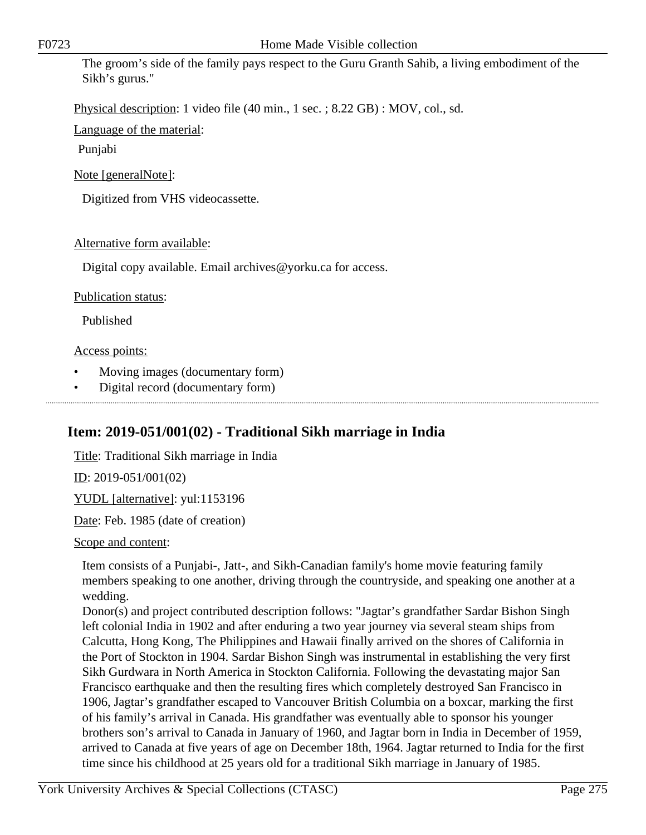The groom's side of the family pays respect to the Guru Granth Sahib, a living embodiment of the Sikh's gurus."

Physical description: 1 video file (40 min., 1 sec. ; 8.22 GB) : MOV, col., sd.

Language of the material:

Punjabi

Note [generalNote]:

Digitized from VHS videocassette.

# Alternative form available:

Digital copy available. Email archives@yorku.ca for access.

## Publication status:

Published

## Access points:

- Moving images (documentary form)
- Digital record (documentary form)

# **Item: 2019-051/001(02) - Traditional Sikh marriage in India**

Title: Traditional Sikh marriage in India

ID: 2019-051/001(02)

YUDL [alternative]: yul:1153196

Date: Feb. 1985 (date of creation)

Scope and content:

Item consists of a Punjabi-, Jatt-, and Sikh-Canadian family's home movie featuring family members speaking to one another, driving through the countryside, and speaking one another at a wedding.

Donor(s) and project contributed description follows: "Jagtar's grandfather Sardar Bishon Singh left colonial India in 1902 and after enduring a two year journey via several steam ships from Calcutta, Hong Kong, The Philippines and Hawaii finally arrived on the shores of California in the Port of Stockton in 1904. Sardar Bishon Singh was instrumental in establishing the very first Sikh Gurdwara in North America in Stockton California. Following the devastating major San Francisco earthquake and then the resulting fires which completely destroyed San Francisco in 1906, Jagtar's grandfather escaped to Vancouver British Columbia on a boxcar, marking the first of his family's arrival in Canada. His grandfather was eventually able to sponsor his younger brothers son's arrival to Canada in January of 1960, and Jagtar born in India in December of 1959, arrived to Canada at five years of age on December 18th, 1964. Jagtar returned to India for the first time since his childhood at 25 years old for a traditional Sikh marriage in January of 1985.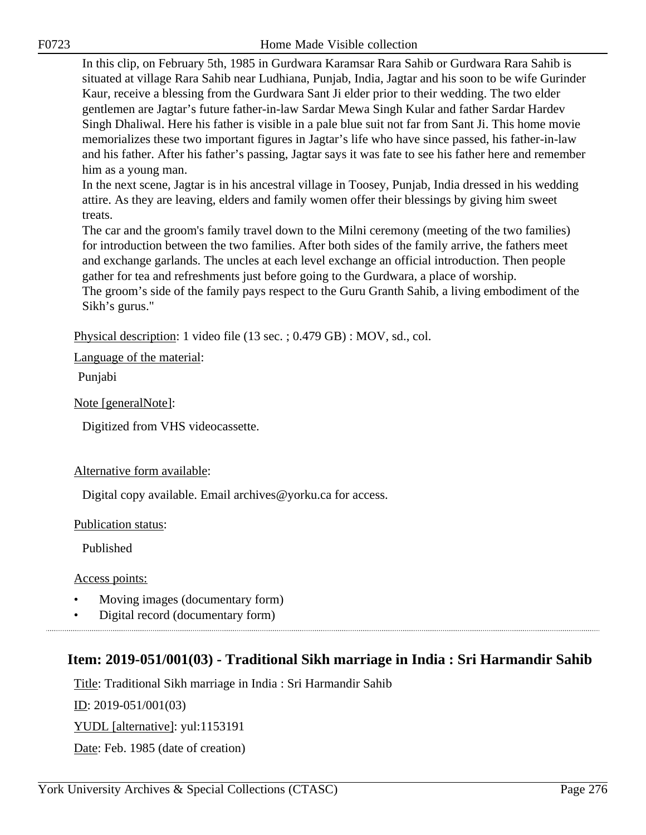In this clip, on February 5th, 1985 in Gurdwara Karamsar Rara Sahib or Gurdwara Rara Sahib is situated at village Rara Sahib near Ludhiana, Punjab, India, Jagtar and his soon to be wife Gurinder Kaur, receive a blessing from the Gurdwara Sant Ji elder prior to their wedding. The two elder gentlemen are Jagtar's future father-in-law Sardar Mewa Singh Kular and father Sardar Hardev Singh Dhaliwal. Here his father is visible in a pale blue suit not far from Sant Ji. This home movie memorializes these two important figures in Jagtar's life who have since passed, his father-in-law and his father. After his father's passing, Jagtar says it was fate to see his father here and remember him as a young man.

In the next scene, Jagtar is in his ancestral village in Toosey, Punjab, India dressed in his wedding attire. As they are leaving, elders and family women offer their blessings by giving him sweet treats.

The car and the groom's family travel down to the Milni ceremony (meeting of the two families) for introduction between the two families. After both sides of the family arrive, the fathers meet and exchange garlands. The uncles at each level exchange an official introduction. Then people gather for tea and refreshments just before going to the Gurdwara, a place of worship. The groom's side of the family pays respect to the Guru Granth Sahib, a living embodiment of the

Sikh's gurus."

Physical description: 1 video file (13 sec. ; 0.479 GB) : MOV, sd., col.

Language of the material:

Punjabi

Note [generalNote]:

Digitized from VHS videocassette.

## Alternative form available:

Digital copy available. Email archives@yorku.ca for access.

Publication status:

Published

Access points:

- Moving images (documentary form)
- Digital record (documentary form)

# **Item: 2019-051/001(03) - Traditional Sikh marriage in India : Sri Harmandir Sahib**

Title: Traditional Sikh marriage in India : Sri Harmandir Sahib

ID: 2019-051/001(03)

YUDL [alternative]: yul:1153191

Date: Feb. 1985 (date of creation)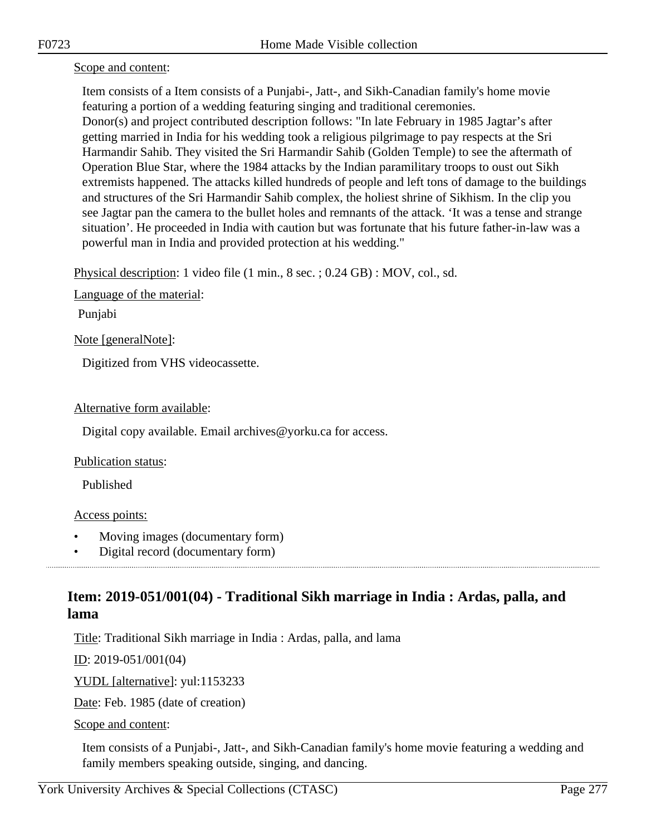## Scope and content:

Item consists of a Item consists of a Punjabi-, Jatt-, and Sikh-Canadian family's home movie featuring a portion of a wedding featuring singing and traditional ceremonies. Donor(s) and project contributed description follows: "In late February in 1985 Jagtar's after getting married in India for his wedding took a religious pilgrimage to pay respects at the Sri Harmandir Sahib. They visited the Sri Harmandir Sahib (Golden Temple) to see the aftermath of Operation Blue Star, where the 1984 attacks by the Indian paramilitary troops to oust out Sikh extremists happened. The attacks killed hundreds of people and left tons of damage to the buildings and structures of the Sri Harmandir Sahib complex, the holiest shrine of Sikhism. In the clip you see Jagtar pan the camera to the bullet holes and remnants of the attack. 'It was a tense and strange situation'. He proceeded in India with caution but was fortunate that his future father-in-law was a powerful man in India and provided protection at his wedding."

Physical description: 1 video file (1 min., 8 sec. ; 0.24 GB) : MOV, col., sd.

Language of the material:

Punjabi

Note [generalNote]:

Digitized from VHS videocassette.

## Alternative form available:

Digital copy available. Email archives@yorku.ca for access.

## Publication status:

Published

## Access points:

- Moving images (documentary form)
- Digital record (documentary form)

# **Item: 2019-051/001(04) - Traditional Sikh marriage in India : Ardas, palla, and lama**

Title: Traditional Sikh marriage in India : Ardas, palla, and lama

ID: 2019-051/001(04)

YUDL [alternative]: yul:1153233

Date: Feb. 1985 (date of creation)

Scope and content:

Item consists of a Punjabi-, Jatt-, and Sikh-Canadian family's home movie featuring a wedding and family members speaking outside, singing, and dancing.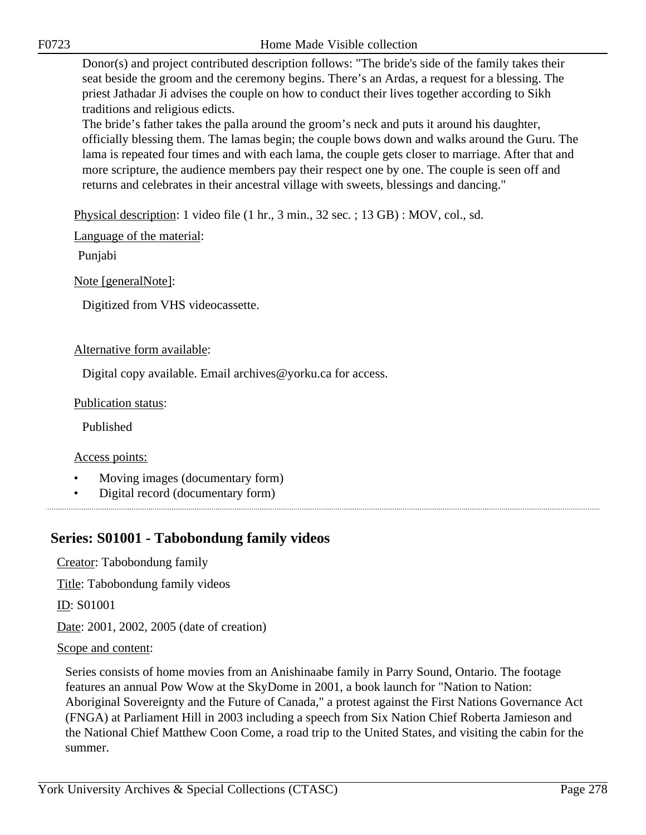Donor(s) and project contributed description follows: "The bride's side of the family takes their seat beside the groom and the ceremony begins. There's an Ardas, a request for a blessing. The priest Jathadar Ji advises the couple on how to conduct their lives together according to Sikh traditions and religious edicts.

The bride's father takes the palla around the groom's neck and puts it around his daughter, officially blessing them. The lamas begin; the couple bows down and walks around the Guru. The lama is repeated four times and with each lama, the couple gets closer to marriage. After that and more scripture, the audience members pay their respect one by one. The couple is seen off and returns and celebrates in their ancestral village with sweets, blessings and dancing."

Physical description: 1 video file (1 hr., 3 min., 32 sec. ; 13 GB) : MOV, col., sd.

Language of the material:

Punjabi

Note [generalNote]:

Digitized from VHS videocassette.

## Alternative form available:

Digital copy available. Email archives@yorku.ca for access.

Publication status:

Published

Access points:

- Moving images (documentary form)
- Digital record (documentary form)

# **Series: S01001 - Tabobondung family videos**

Creator: Tabobondung family

Title: Tabobondung family videos

ID: S01001

Date: 2001, 2002, 2005 (date of creation)

## Scope and content:

Series consists of home movies from an Anishinaabe family in Parry Sound, Ontario. The footage features an annual Pow Wow at the SkyDome in 2001, a book launch for "Nation to Nation: Aboriginal Sovereignty and the Future of Canada," a protest against the First Nations Governance Act (FNGA) at Parliament Hill in 2003 including a speech from Six Nation Chief Roberta Jamieson and the National Chief Matthew Coon Come, a road trip to the United States, and visiting the cabin for the summer.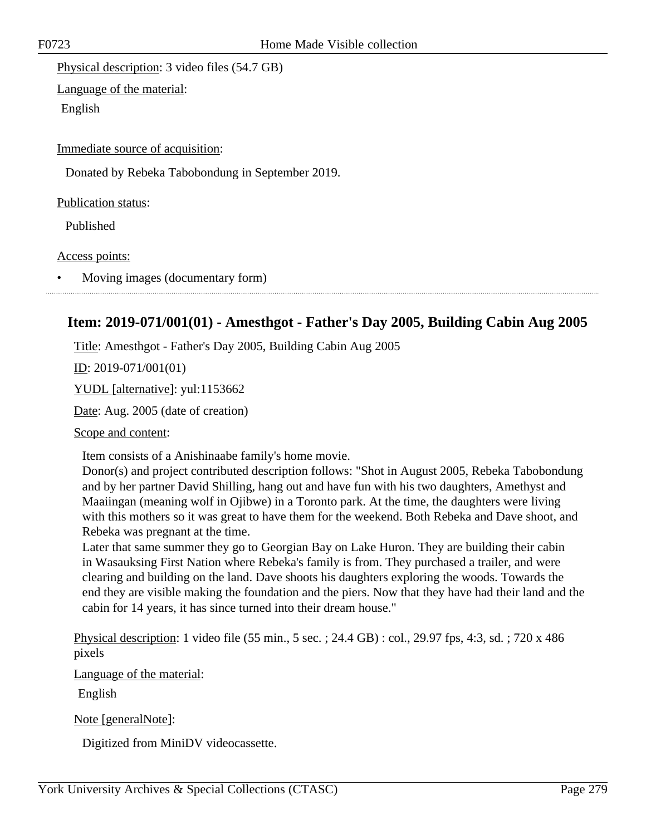Physical description: 3 video files (54.7 GB)

Language of the material:

English

Immediate source of acquisition:

Donated by Rebeka Tabobondung in September 2019.

Publication status:

Published

Access points:

• Moving images (documentary form)

# **Item: 2019-071/001(01) - Amesthgot - Father's Day 2005, Building Cabin Aug 2005**

Title: Amesthgot - Father's Day 2005, Building Cabin Aug 2005

ID: 2019-071/001(01)

YUDL [alternative]: yul:1153662

Date: Aug. 2005 (date of creation)

Scope and content:

Item consists of a Anishinaabe family's home movie.

Donor(s) and project contributed description follows: "Shot in August 2005, Rebeka Tabobondung and by her partner David Shilling, hang out and have fun with his two daughters, Amethyst and Maaiingan (meaning wolf in Ojibwe) in a Toronto park. At the time, the daughters were living with this mothers so it was great to have them for the weekend. Both Rebeka and Dave shoot, and Rebeka was pregnant at the time.

Later that same summer they go to Georgian Bay on Lake Huron. They are building their cabin in Wasauksing First Nation where Rebeka's family is from. They purchased a trailer, and were clearing and building on the land. Dave shoots his daughters exploring the woods. Towards the end they are visible making the foundation and the piers. Now that they have had their land and the cabin for 14 years, it has since turned into their dream house."

Physical description: 1 video file (55 min., 5 sec. ; 24.4 GB) : col., 29.97 fps, 4:3, sd. ; 720 x 486 pixels

Language of the material:

English

Note [generalNote]:

Digitized from MiniDV videocassette.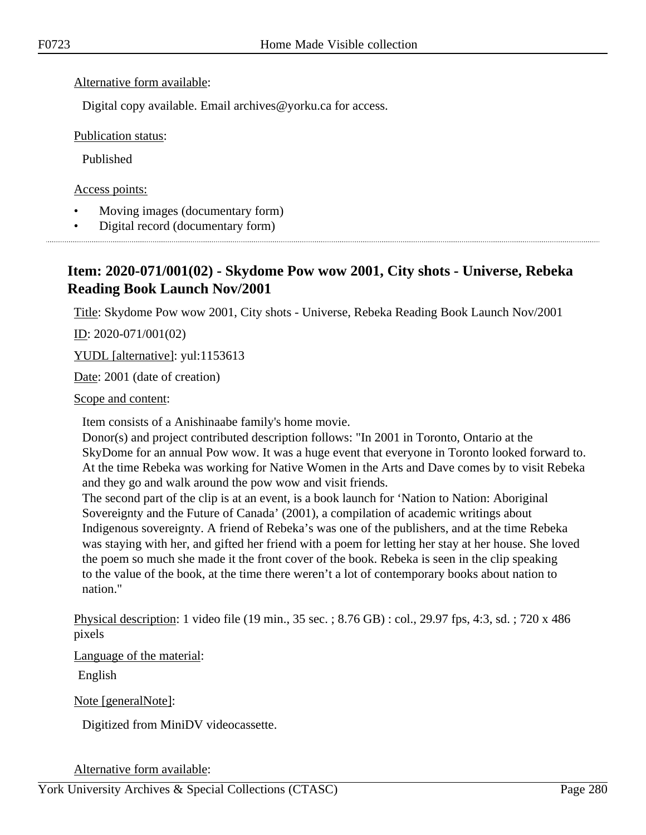## Alternative form available:

Digital copy available. Email archives@yorku.ca for access.

Publication status:

Published

Access points:

- Moving images (documentary form)
- Digital record (documentary form)

# **Item: 2020-071/001(02) - Skydome Pow wow 2001, City shots - Universe, Rebeka Reading Book Launch Nov/2001**

Title: Skydome Pow wow 2001, City shots - Universe, Rebeka Reading Book Launch Nov/2001

 $ID: 2020-071/001(02)$ 

YUDL [alternative]: yul:1153613

Date: 2001 (date of creation)

Scope and content:

Item consists of a Anishinaabe family's home movie.

Donor(s) and project contributed description follows: "In 2001 in Toronto, Ontario at the SkyDome for an annual Pow wow. It was a huge event that everyone in Toronto looked forward to. At the time Rebeka was working for Native Women in the Arts and Dave comes by to visit Rebeka and they go and walk around the pow wow and visit friends.

The second part of the clip is at an event, is a book launch for 'Nation to Nation: Aboriginal Sovereignty and the Future of Canada' (2001), a compilation of academic writings about Indigenous sovereignty. A friend of Rebeka's was one of the publishers, and at the time Rebeka was staying with her, and gifted her friend with a poem for letting her stay at her house. She loved the poem so much she made it the front cover of the book. Rebeka is seen in the clip speaking to the value of the book, at the time there weren't a lot of contemporary books about nation to nation."

Physical description: 1 video file (19 min., 35 sec. ; 8.76 GB) : col., 29.97 fps, 4:3, sd. ; 720 x 486 pixels

Language of the material:

English

Note [generalNote]:

Digitized from MiniDV videocassette.

Alternative form available: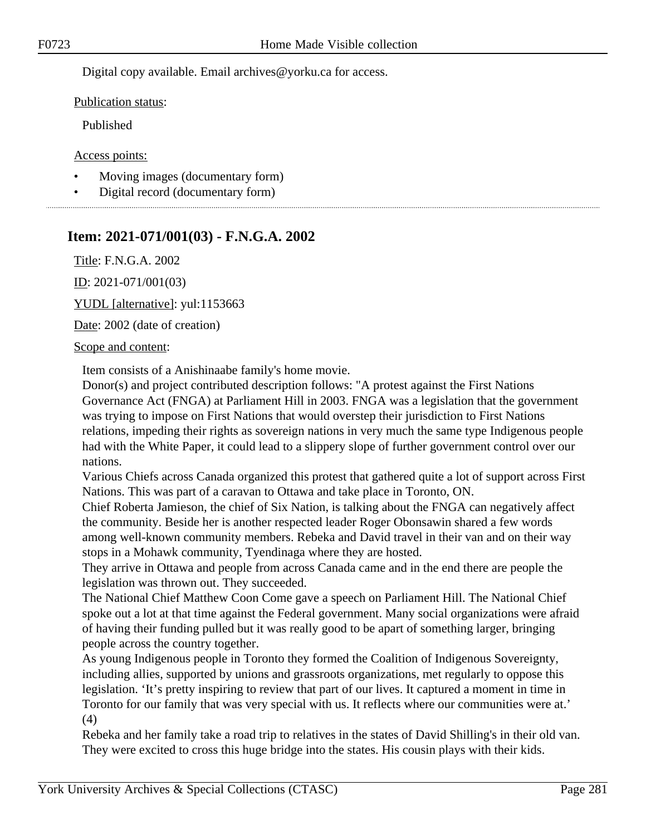Digital copy available. Email archives@yorku.ca for access.

Publication status:

Published

Access points:

- Moving images (documentary form)
- Digital record (documentary form)

# **Item: 2021-071/001(03) - F.N.G.A. 2002**

Title: F.N.G.A. 2002

ID: 2021-071/001(03)

YUDL [alternative]: yul:1153663

Date: 2002 (date of creation)

## Scope and content:

Item consists of a Anishinaabe family's home movie.

Donor(s) and project contributed description follows: "A protest against the First Nations Governance Act (FNGA) at Parliament Hill in 2003. FNGA was a legislation that the government was trying to impose on First Nations that would overstep their jurisdiction to First Nations relations, impeding their rights as sovereign nations in very much the same type Indigenous people had with the White Paper, it could lead to a slippery slope of further government control over our nations.

Various Chiefs across Canada organized this protest that gathered quite a lot of support across First Nations. This was part of a caravan to Ottawa and take place in Toronto, ON.

Chief Roberta Jamieson, the chief of Six Nation, is talking about the FNGA can negatively affect the community. Beside her is another respected leader Roger Obonsawin shared a few words among well-known community members. Rebeka and David travel in their van and on their way stops in a Mohawk community, Tyendinaga where they are hosted.

They arrive in Ottawa and people from across Canada came and in the end there are people the legislation was thrown out. They succeeded.

The National Chief Matthew Coon Come gave a speech on Parliament Hill. The National Chief spoke out a lot at that time against the Federal government. Many social organizations were afraid of having their funding pulled but it was really good to be apart of something larger, bringing people across the country together.

As young Indigenous people in Toronto they formed the Coalition of Indigenous Sovereignty, including allies, supported by unions and grassroots organizations, met regularly to oppose this legislation. 'It's pretty inspiring to review that part of our lives. It captured a moment in time in Toronto for our family that was very special with us. It reflects where our communities were at.' (4)

Rebeka and her family take a road trip to relatives in the states of David Shilling's in their old van. They were excited to cross this huge bridge into the states. His cousin plays with their kids.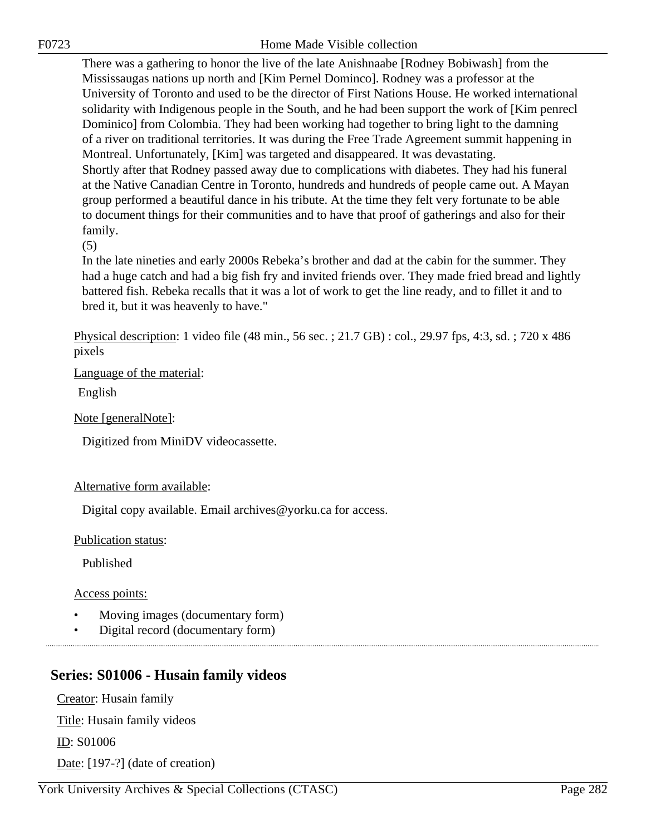There was a gathering to honor the live of the late Anishnaabe [Rodney Bobiwash] from the Mississaugas nations up north and [Kim Pernel Dominco]. Rodney was a professor at the University of Toronto and used to be the director of First Nations House. He worked international solidarity with Indigenous people in the South, and he had been support the work of [Kim penrecl Dominico] from Colombia. They had been working had together to bring light to the damning of a river on traditional territories. It was during the Free Trade Agreement summit happening in Montreal. Unfortunately, [Kim] was targeted and disappeared. It was devastating. Shortly after that Rodney passed away due to complications with diabetes. They had his funeral at the Native Canadian Centre in Toronto, hundreds and hundreds of people came out. A Mayan group performed a beautiful dance in his tribute. At the time they felt very fortunate to be able to document things for their communities and to have that proof of gatherings and also for their family.

(5)

In the late nineties and early 2000s Rebeka's brother and dad at the cabin for the summer. They had a huge catch and had a big fish fry and invited friends over. They made fried bread and lightly battered fish. Rebeka recalls that it was a lot of work to get the line ready, and to fillet it and to bred it, but it was heavenly to have."

Physical description: 1 video file (48 min., 56 sec. ; 21.7 GB) : col., 29.97 fps, 4:3, sd. ; 720 x 486 pixels

Language of the material:

English

Note [generalNote]:

Digitized from MiniDV videocassette.

## Alternative form available:

Digital copy available. Email archives@yorku.ca for access.

Publication status:

Published

Access points:

- Moving images (documentary form)
- Digital record (documentary form)

# **Series: S01006 - Husain family videos**

Creator: Husain family Title: Husain family videos ID: S01006 Date: [197-?] (date of creation)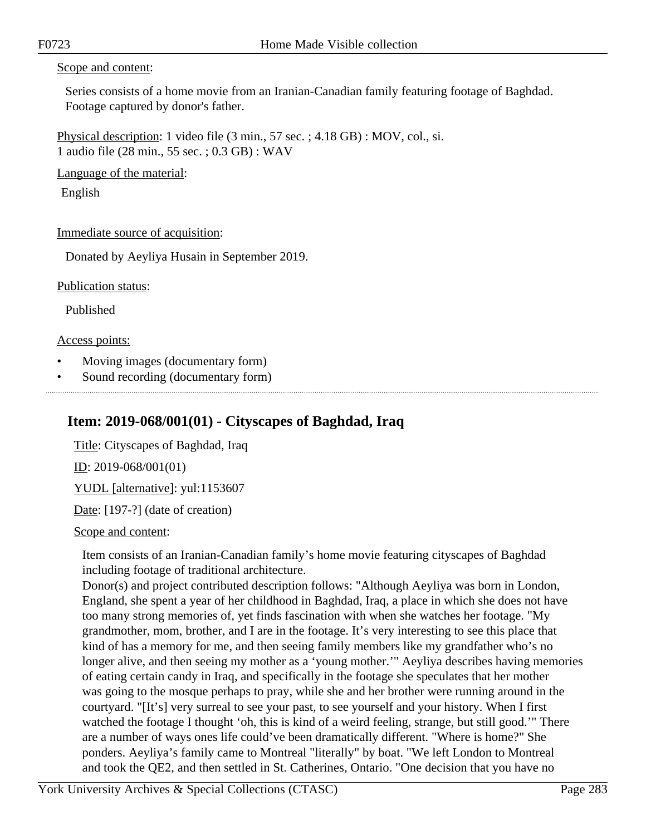## Scope and content:

Series consists of a home movie from an Iranian-Canadian family featuring footage of Baghdad. Footage captured by donor's father.

Physical description: 1 video file (3 min., 57 sec. ; 4.18 GB) : MOV, col., si. 1 audio file (28 min., 55 sec. ; 0.3 GB) : WAV

Language of the material:

English

Immediate source of acquisition:

Donated by Aeyliya Husain in September 2019.

Publication status:

Published

## Access points:

- Moving images (documentary form)
- Sound recording (documentary form)

# **Item: 2019-068/001(01) - Cityscapes of Baghdad, Iraq**

Title: Cityscapes of Baghdad, Iraq ID: 2019-068/001(01) YUDL [alternative]: yul:1153607 Date: [197-?] (date of creation)

Scope and content:

Item consists of an Iranian-Canadian family's home movie featuring cityscapes of Baghdad including footage of traditional architecture.

Donor(s) and project contributed description follows: "Although Aeyliya was born in London, England, she spent a year of her childhood in Baghdad, Iraq, a place in which she does not have too many strong memories of, yet finds fascination with when she watches her footage. "My grandmother, mom, brother, and I are in the footage. It's very interesting to see this place that kind of has a memory for me, and then seeing family members like my grandfather who's no longer alive, and then seeing my mother as a 'young mother.'" Aeyliya describes having memories of eating certain candy in Iraq, and specifically in the footage she speculates that her mother was going to the mosque perhaps to pray, while she and her brother were running around in the courtyard. "[It's] very surreal to see your past, to see yourself and your history. When I first watched the footage I thought 'oh, this is kind of a weird feeling, strange, but still good.'" There are a number of ways ones life could've been dramatically different. "Where is home?" She ponders. Aeyliya's family came to Montreal "literally" by boat. "We left London to Montreal and took the QE2, and then settled in St. Catherines, Ontario. "One decision that you have no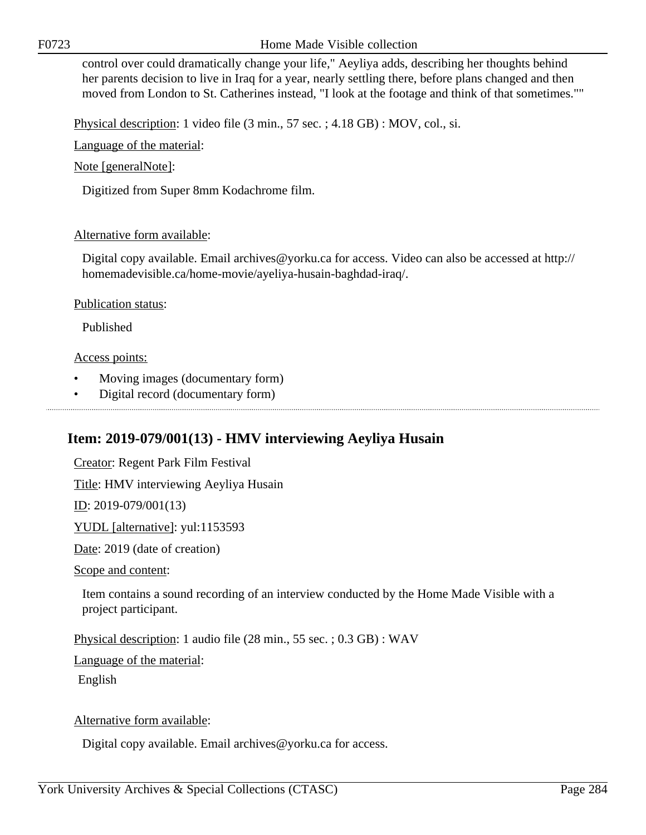F0723 Home Made Visible collection

control over could dramatically change your life," Aeyliya adds, describing her thoughts behind her parents decision to live in Iraq for a year, nearly settling there, before plans changed and then moved from London to St. Catherines instead, "I look at the footage and think of that sometimes.""

Physical description: 1 video file (3 min., 57 sec. ; 4.18 GB) : MOV, col., si.

Language of the material:

Note [generalNote]:

Digitized from Super 8mm Kodachrome film.

### Alternative form available:

Digital copy available. Email archives@yorku.ca for access. Video can also be accessed at http:// homemadevisible.ca/home-movie/ayeliya-husain-baghdad-iraq/.

Publication status:

Published

### Access points:

• Moving images (documentary form)

• Digital record (documentary form)

**Item: 2019-079/001(13) - HMV interviewing Aeyliya Husain**

Creator: Regent Park Film Festival

Title: HMV interviewing Aeyliya Husain

ID: 2019-079/001(13)

YUDL [alternative]: yul:1153593

Date: 2019 (date of creation)

Scope and content:

Item contains a sound recording of an interview conducted by the Home Made Visible with a project participant.

Physical description: 1 audio file (28 min., 55 sec. ; 0.3 GB) : WAV

Language of the material:

English

Alternative form available:

Digital copy available. Email archives@yorku.ca for access.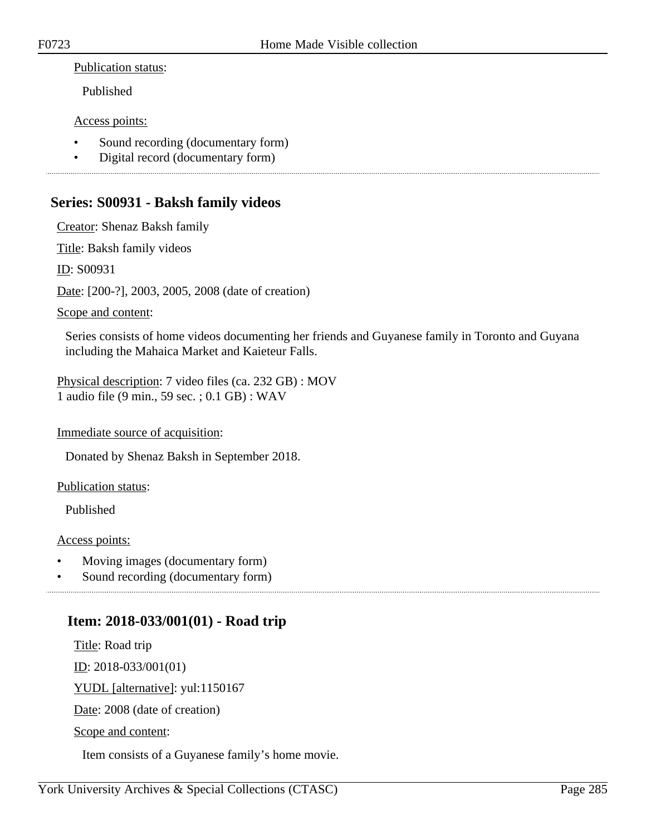## Publication status:

Published

## Access points:

- Sound recording (documentary form)
- Digital record (documentary form)

# **Series: S00931 - Baksh family videos**

Creator: Shenaz Baksh family

Title: Baksh family videos

ID: S00931

Date: [200-?], 2003, 2005, 2008 (date of creation)

## Scope and content:

Series consists of home videos documenting her friends and Guyanese family in Toronto and Guyana including the Mahaica Market and Kaieteur Falls.

Physical description: 7 video files (ca. 232 GB) : MOV 1 audio file (9 min., 59 sec. ; 0.1 GB) : WAV

## Immediate source of acquisition:

Donated by Shenaz Baksh in September 2018.

## Publication status:

Published

## Access points:

• Moving images (documentary form)

Sound recording (documentary form)

# **Item: 2018-033/001(01) - Road trip**

Title: Road trip

ID: 2018-033/001(01)

YUDL [alternative]: yul:1150167

Date: 2008 (date of creation)

Scope and content:

Item consists of a Guyanese family's home movie.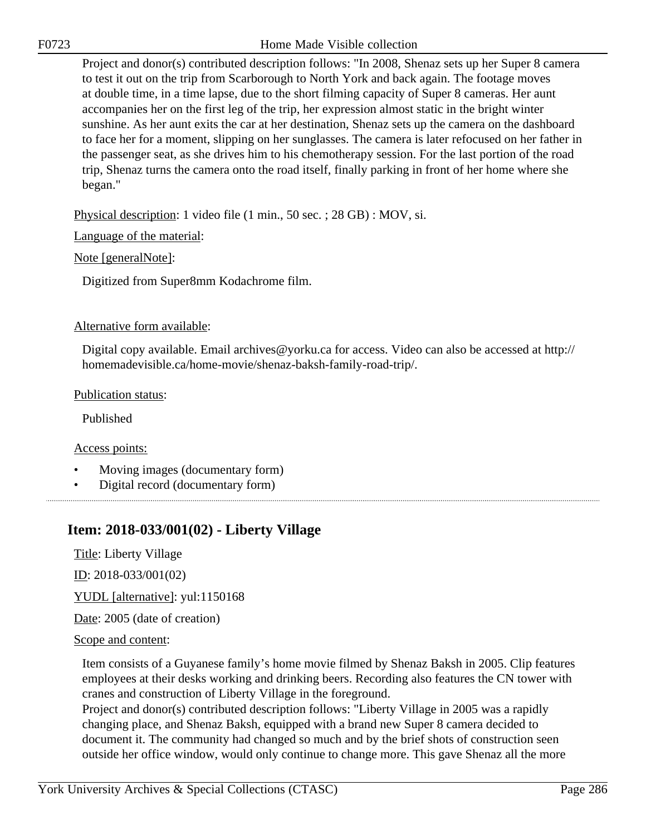Project and donor(s) contributed description follows: "In 2008, Shenaz sets up her Super 8 camera to test it out on the trip from Scarborough to North York and back again. The footage moves at double time, in a time lapse, due to the short filming capacity of Super 8 cameras. Her aunt accompanies her on the first leg of the trip, her expression almost static in the bright winter sunshine. As her aunt exits the car at her destination, Shenaz sets up the camera on the dashboard to face her for a moment, slipping on her sunglasses. The camera is later refocused on her father in the passenger seat, as she drives him to his chemotherapy session. For the last portion of the road trip, Shenaz turns the camera onto the road itself, finally parking in front of her home where she began."

Physical description: 1 video file (1 min., 50 sec. ; 28 GB) : MOV, si.

Language of the material:

Note [generalNote]:

Digitized from Super8mm Kodachrome film.

## Alternative form available:

Digital copy available. Email archives@yorku.ca for access. Video can also be accessed at http:// homemadevisible.ca/home-movie/shenaz-baksh-family-road-trip/.

## Publication status:

Published

## Access points:

• Moving images (documentary form)

• Digital record (documentary form)

# **Item: 2018-033/001(02) - Liberty Village**

Title: Liberty Village

ID: 2018-033/001(02)

YUDL [alternative]: yul:1150168

Date: 2005 (date of creation)

## Scope and content:

Item consists of a Guyanese family's home movie filmed by Shenaz Baksh in 2005. Clip features employees at their desks working and drinking beers. Recording also features the CN tower with cranes and construction of Liberty Village in the foreground.

Project and donor(s) contributed description follows: "Liberty Village in 2005 was a rapidly changing place, and Shenaz Baksh, equipped with a brand new Super 8 camera decided to document it. The community had changed so much and by the brief shots of construction seen outside her office window, would only continue to change more. This gave Shenaz all the more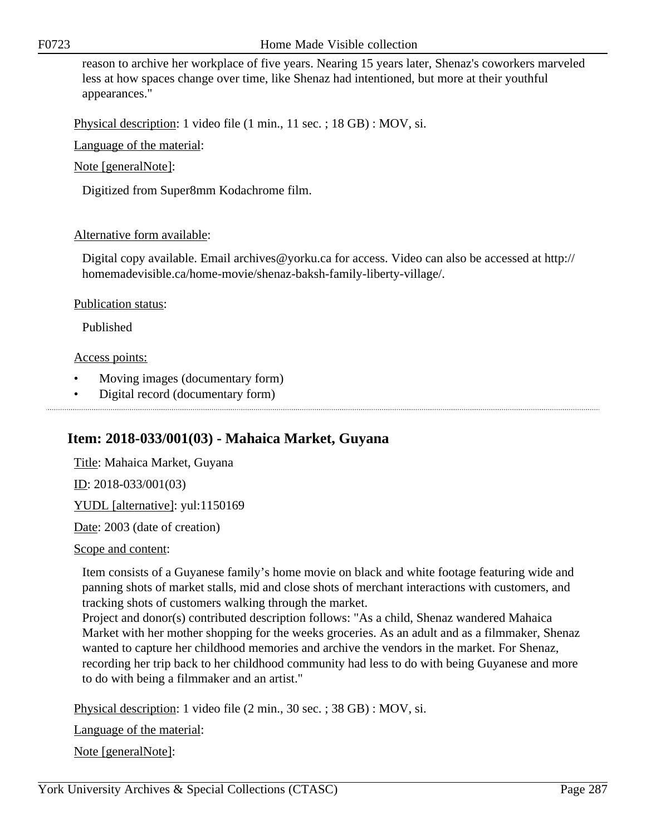F0723 Home Made Visible collection

reason to archive her workplace of five years. Nearing 15 years later, Shenaz's coworkers marveled less at how spaces change over time, like Shenaz had intentioned, but more at their youthful appearances."

Physical description: 1 video file (1 min., 11 sec. ; 18 GB) : MOV, si.

Language of the material:

Note [generalNote]:

Digitized from Super8mm Kodachrome film.

## Alternative form available:

Digital copy available. Email archives@yorku.ca for access. Video can also be accessed at http:// homemadevisible.ca/home-movie/shenaz-baksh-family-liberty-village/.

## Publication status:

Published

## Access points:

• Moving images (documentary form)

• Digital record (documentary form)

# **Item: 2018-033/001(03) - Mahaica Market, Guyana**

Title: Mahaica Market, Guyana <u>ID</u>: 2018-033/001(03) YUDL [alternative]: yul:1150169 Date: 2003 (date of creation)

## Scope and content:

Item consists of a Guyanese family's home movie on black and white footage featuring wide and panning shots of market stalls, mid and close shots of merchant interactions with customers, and tracking shots of customers walking through the market.

Project and donor(s) contributed description follows: "As a child, Shenaz wandered Mahaica Market with her mother shopping for the weeks groceries. As an adult and as a filmmaker, Shenaz wanted to capture her childhood memories and archive the vendors in the market. For Shenaz, recording her trip back to her childhood community had less to do with being Guyanese and more to do with being a filmmaker and an artist."

Physical description: 1 video file (2 min., 30 sec. ; 38 GB) : MOV, si.

Language of the material:

Note [generalNote]: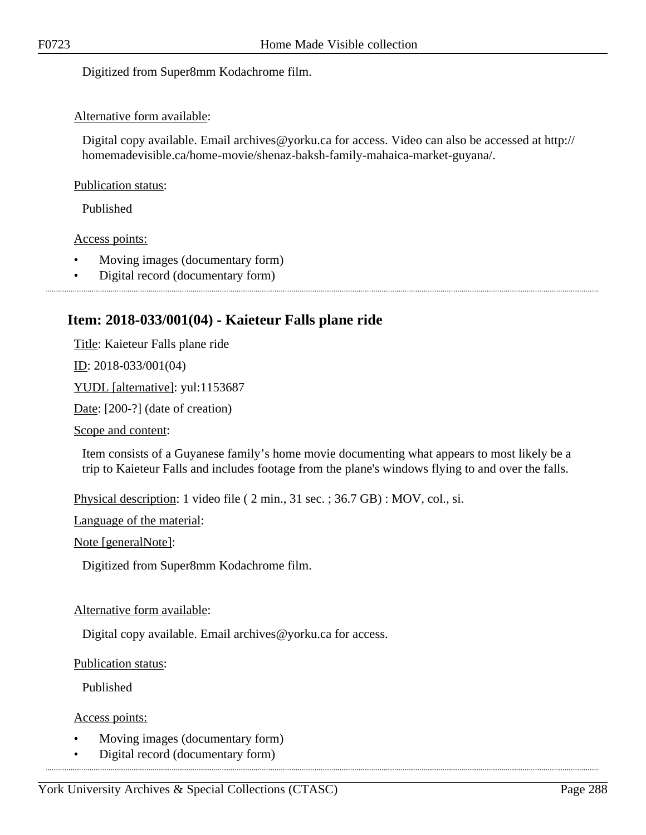Digitized from Super8mm Kodachrome film.

## Alternative form available:

Digital copy available. Email archives@yorku.ca for access. Video can also be accessed at http:// homemadevisible.ca/home-movie/shenaz-baksh-family-mahaica-market-guyana/.

## Publication status:

Published

## Access points:

- Moving images (documentary form)
- Digital record (documentary form)

# **Item: 2018-033/001(04) - Kaieteur Falls plane ride**

Title: Kaieteur Falls plane ride

ID: 2018-033/001(04)

YUDL [alternative]: yul:1153687

Date: [200-?] (date of creation)

Scope and content:

Item consists of a Guyanese family's home movie documenting what appears to most likely be a trip to Kaieteur Falls and includes footage from the plane's windows flying to and over the falls.

Physical description: 1 video file ( 2 min., 31 sec. ; 36.7 GB) : MOV, col., si.

Language of the material:

Note [generalNote]:

Digitized from Super8mm Kodachrome film.

## Alternative form available:

Digital copy available. Email archives@yorku.ca for access.

Publication status:

Published

Access points:

- Moving images (documentary form)
- Digital record (documentary form)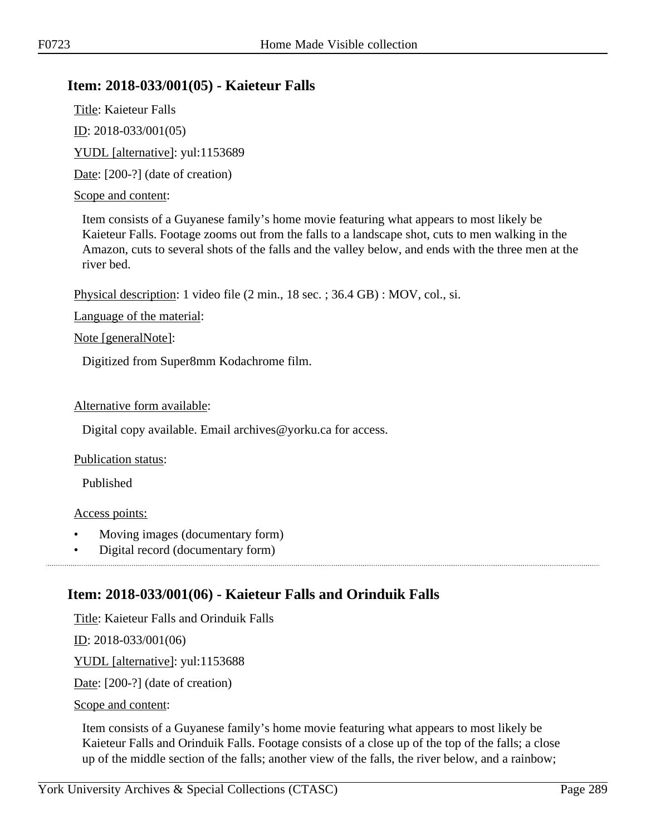# **Item: 2018-033/001(05) - Kaieteur Falls**

Title: Kaieteur Falls ID: 2018-033/001(05) YUDL [alternative]: yul:1153689 Date: [200-?] (date of creation)

#### Scope and content:

Item consists of a Guyanese family's home movie featuring what appears to most likely be Kaieteur Falls. Footage zooms out from the falls to a landscape shot, cuts to men walking in the Amazon, cuts to several shots of the falls and the valley below, and ends with the three men at the river bed.

Physical description: 1 video file (2 min., 18 sec. ; 36.4 GB) : MOV, col., si.

Language of the material:

Note [generalNote]:

Digitized from Super8mm Kodachrome film.

#### Alternative form available:

Digital copy available. Email archives@yorku.ca for access.

#### Publication status:

Published

#### Access points:

• Moving images (documentary form)

• Digital record (documentary form)

# **Item: 2018-033/001(06) - Kaieteur Falls and Orinduik Falls**

Title: Kaieteur Falls and Orinduik Falls

<u>ID</u>: 2018-033/001(06)

YUDL [alternative]: yul:1153688

Date: [200-?] (date of creation)

Scope and content:

Item consists of a Guyanese family's home movie featuring what appears to most likely be Kaieteur Falls and Orinduik Falls. Footage consists of a close up of the top of the falls; a close up of the middle section of the falls; another view of the falls, the river below, and a rainbow;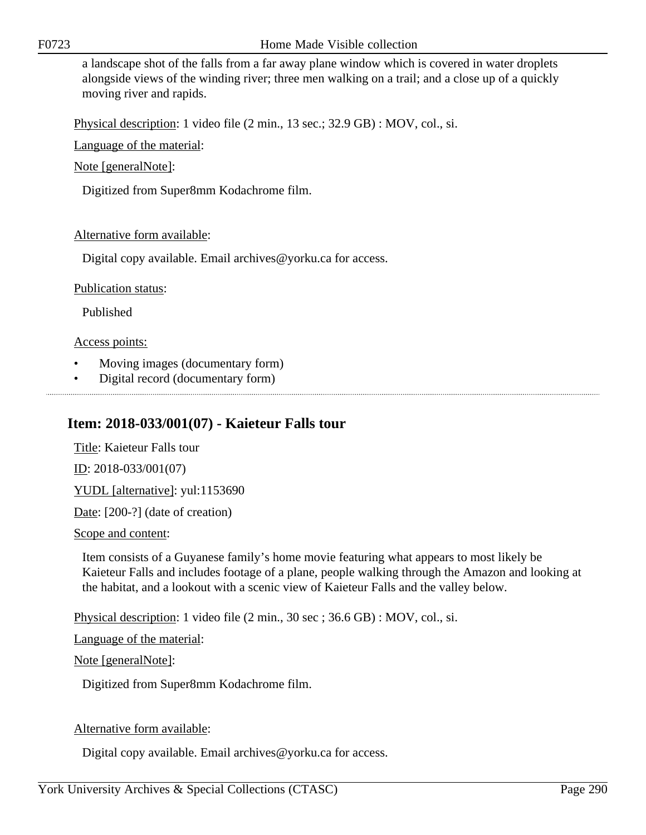a landscape shot of the falls from a far away plane window which is covered in water droplets alongside views of the winding river; three men walking on a trail; and a close up of a quickly moving river and rapids.

Physical description: 1 video file (2 min., 13 sec.; 32.9 GB) : MOV, col., si.

Language of the material:

Note [generalNote]:

Digitized from Super8mm Kodachrome film.

### Alternative form available:

Digital copy available. Email archives@yorku.ca for access.

Publication status:

Published

Access points:

- Moving images (documentary form)
- Digital record (documentary form)

# **Item: 2018-033/001(07) - Kaieteur Falls tour**

Title: Kaieteur Falls tour ID: 2018-033/001(07) YUDL [alternative]: yul:1153690 Date: [200-?] (date of creation)

Scope and content:

Item consists of a Guyanese family's home movie featuring what appears to most likely be Kaieteur Falls and includes footage of a plane, people walking through the Amazon and looking at the habitat, and a lookout with a scenic view of Kaieteur Falls and the valley below.

Physical description: 1 video file (2 min., 30 sec ; 36.6 GB) : MOV, col., si.

Language of the material:

Note [generalNote]:

Digitized from Super8mm Kodachrome film.

### Alternative form available:

Digital copy available. Email archives@yorku.ca for access.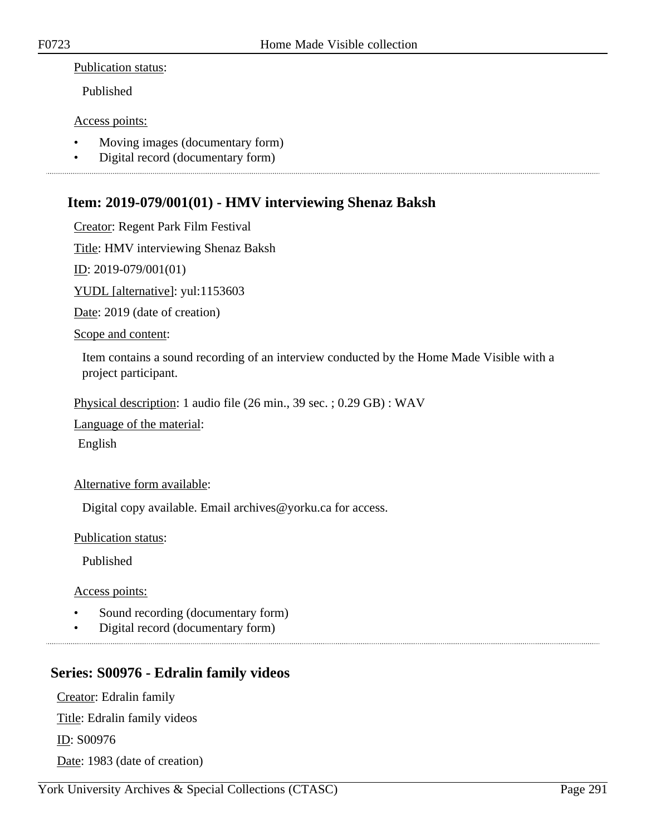#### Publication status:

Published

#### Access points:

- Moving images (documentary form)
- Digital record (documentary form)

# **Item: 2019-079/001(01) - HMV interviewing Shenaz Baksh**

Creator: Regent Park Film Festival

Title: HMV interviewing Shenaz Baksh

ID: 2019-079/001(01)

YUDL [alternative]: yul:1153603

Date: 2019 (date of creation)

Scope and content:

Item contains a sound recording of an interview conducted by the Home Made Visible with a project participant.

Physical description: 1 audio file (26 min., 39 sec. ; 0.29 GB) : WAV

Language of the material:

English

### Alternative form available:

Digital copy available. Email archives@yorku.ca for access.

Publication status:

Published

Access points:

- Sound recording (documentary form)
- Digital record (documentary form)

# **Series: S00976 - Edralin family videos**

Creator: Edralin family Title: Edralin family videos ID: S00976 Date: 1983 (date of creation)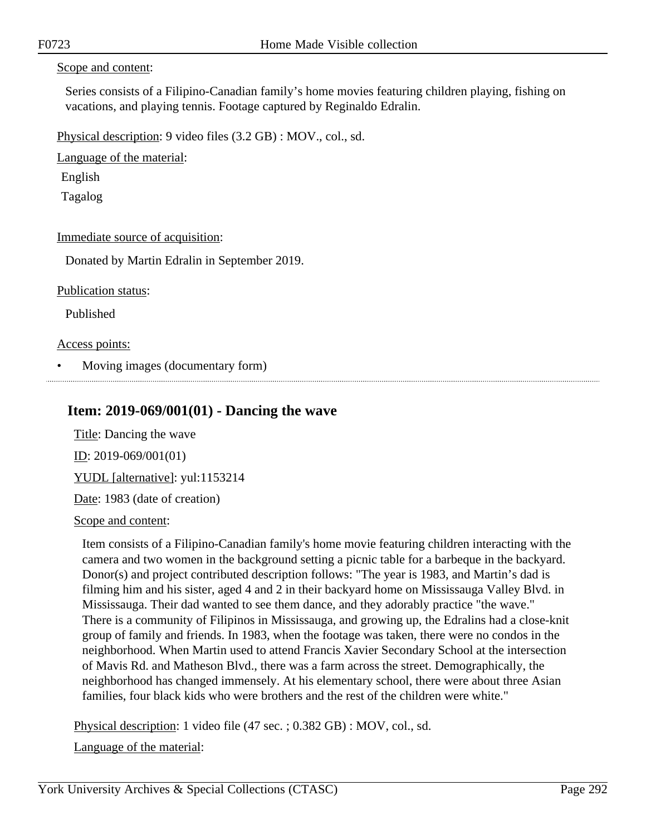#### Scope and content:

Series consists of a Filipino-Canadian family's home movies featuring children playing, fishing on vacations, and playing tennis. Footage captured by Reginaldo Edralin.

Physical description: 9 video files (3.2 GB) : MOV., col., sd.

Language of the material:

English

Tagalog

Immediate source of acquisition:

Donated by Martin Edralin in September 2019.

Publication status:

Published

Access points:

• Moving images (documentary form)

### **Item: 2019-069/001(01) - Dancing the wave**

Title: Dancing the wave ID: 2019-069/001(01) YUDL [alternative]: yul:1153214 Date: 1983 (date of creation)

Scope and content:

Item consists of a Filipino-Canadian family's home movie featuring children interacting with the camera and two women in the background setting a picnic table for a barbeque in the backyard. Donor(s) and project contributed description follows: "The year is 1983, and Martin's dad is filming him and his sister, aged 4 and 2 in their backyard home on Mississauga Valley Blvd. in Mississauga. Their dad wanted to see them dance, and they adorably practice "the wave." There is a community of Filipinos in Mississauga, and growing up, the Edralins had a close-knit group of family and friends. In 1983, when the footage was taken, there were no condos in the neighborhood. When Martin used to attend Francis Xavier Secondary School at the intersection of Mavis Rd. and Matheson Blvd., there was a farm across the street. Demographically, the neighborhood has changed immensely. At his elementary school, there were about three Asian families, four black kids who were brothers and the rest of the children were white."

Physical description: 1 video file (47 sec. ; 0.382 GB) : MOV, col., sd.

Language of the material: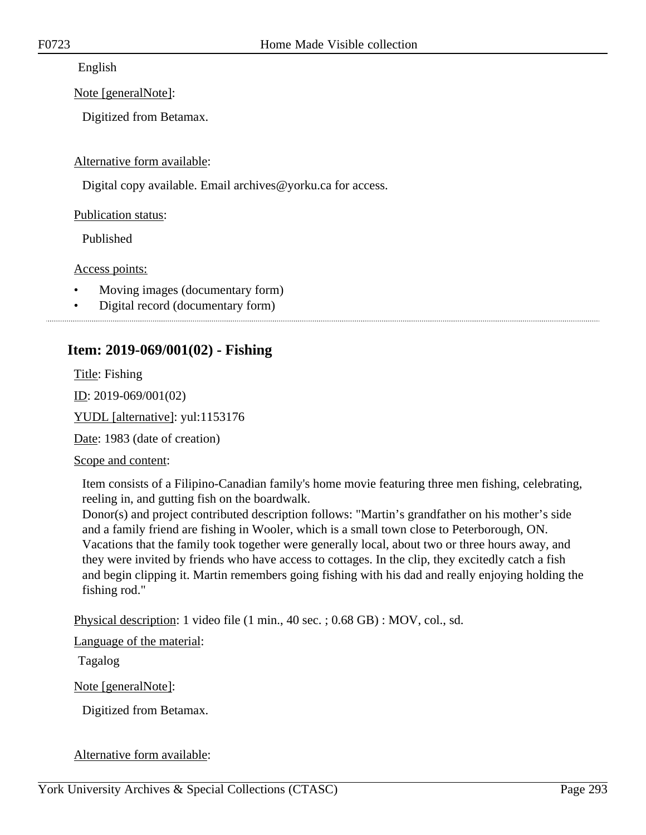English

Note [generalNote]:

Digitized from Betamax.

Alternative form available:

Digital copy available. Email archives@yorku.ca for access.

Publication status:

Published

Access points:

- Moving images (documentary form)
- Digital record (documentary form)

### 

# **Item: 2019-069/001(02) - Fishing**

Title: Fishing

ID: 2019-069/001(02)

YUDL [alternative]: yul:1153176

Date: 1983 (date of creation)

Scope and content:

Item consists of a Filipino-Canadian family's home movie featuring three men fishing, celebrating, reeling in, and gutting fish on the boardwalk.

Donor(s) and project contributed description follows: "Martin's grandfather on his mother's side and a family friend are fishing in Wooler, which is a small town close to Peterborough, ON. Vacations that the family took together were generally local, about two or three hours away, and they were invited by friends who have access to cottages. In the clip, they excitedly catch a fish and begin clipping it. Martin remembers going fishing with his dad and really enjoying holding the fishing rod."

Physical description: 1 video file (1 min., 40 sec. ; 0.68 GB) : MOV, col., sd.

Language of the material:

Tagalog

Note [generalNote]:

Digitized from Betamax.

Alternative form available: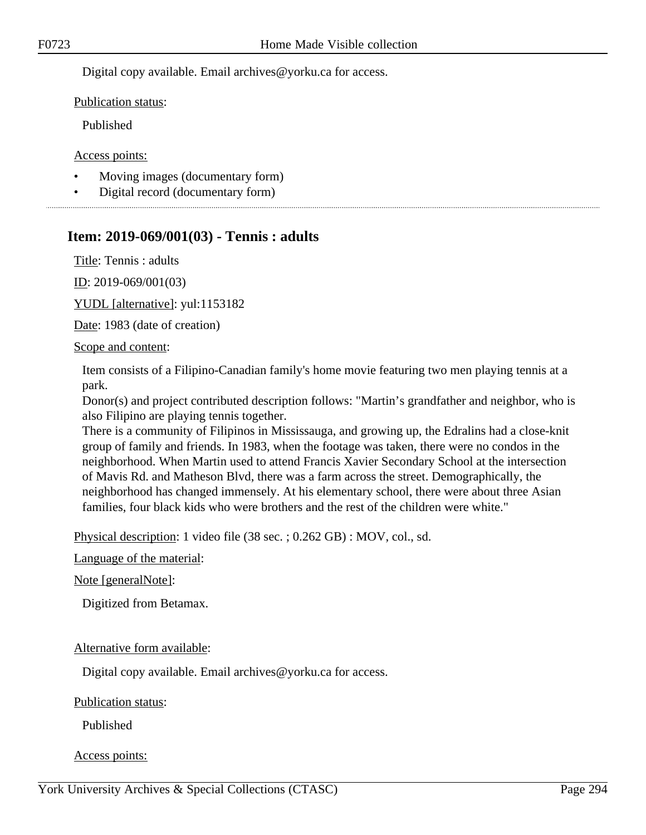Digital copy available. Email archives@yorku.ca for access.

Publication status:

Published

Access points:

- Moving images (documentary form)
- Digital record (documentary form)

# **Item: 2019-069/001(03) - Tennis : adults**

Title: Tennis : adults

ID: 2019-069/001(03)

YUDL [alternative]: yul:1153182

Date: 1983 (date of creation)

Scope and content:

Item consists of a Filipino-Canadian family's home movie featuring two men playing tennis at a park.

Donor(s) and project contributed description follows: "Martin's grandfather and neighbor, who is also Filipino are playing tennis together.

There is a community of Filipinos in Mississauga, and growing up, the Edralins had a close-knit group of family and friends. In 1983, when the footage was taken, there were no condos in the neighborhood. When Martin used to attend Francis Xavier Secondary School at the intersection of Mavis Rd. and Matheson Blvd, there was a farm across the street. Demographically, the neighborhood has changed immensely. At his elementary school, there were about three Asian families, four black kids who were brothers and the rest of the children were white."

Physical description: 1 video file (38 sec. ; 0.262 GB) : MOV, col., sd.

Language of the material:

Note [generalNote]:

Digitized from Betamax.

### Alternative form available:

Digital copy available. Email archives@yorku.ca for access.

Publication status:

Published

Access points: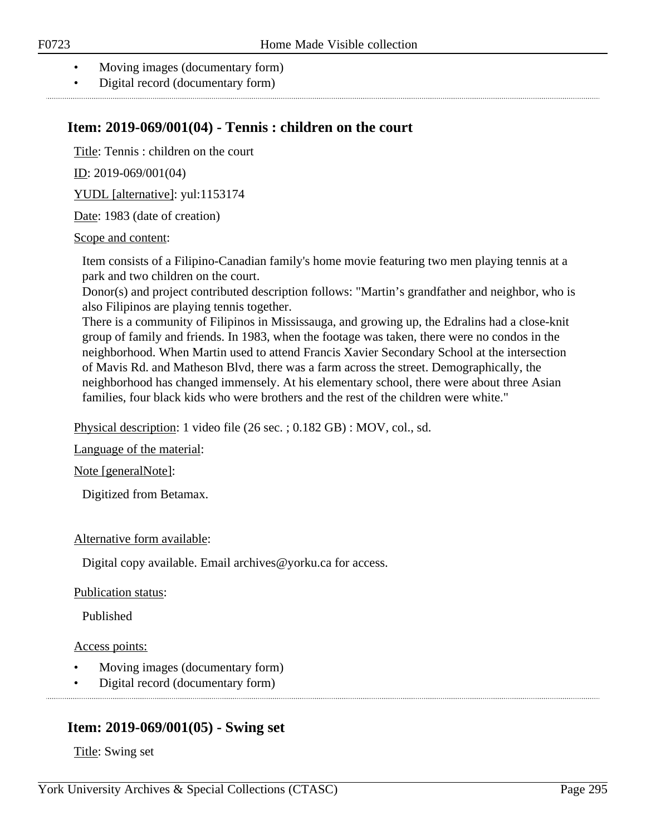- Moving images (documentary form)
- Digital record (documentary form)

# **Item: 2019-069/001(04) - Tennis : children on the court**

Title: Tennis : children on the court

ID: 2019-069/001(04)

YUDL [alternative]: yul:1153174

Date: 1983 (date of creation)

### Scope and content:

Item consists of a Filipino-Canadian family's home movie featuring two men playing tennis at a park and two children on the court.

Donor(s) and project contributed description follows: "Martin's grandfather and neighbor, who is also Filipinos are playing tennis together.

There is a community of Filipinos in Mississauga, and growing up, the Edralins had a close-knit group of family and friends. In 1983, when the footage was taken, there were no condos in the neighborhood. When Martin used to attend Francis Xavier Secondary School at the intersection of Mavis Rd. and Matheson Blvd, there was a farm across the street. Demographically, the neighborhood has changed immensely. At his elementary school, there were about three Asian families, four black kids who were brothers and the rest of the children were white."

Physical description: 1 video file (26 sec. ; 0.182 GB) : MOV, col., sd.

Language of the material:

Note [generalNote]:

Digitized from Betamax.

### Alternative form available:

Digital copy available. Email archives@yorku.ca for access.

### Publication status:

Published

### Access points:

- Moving images (documentary form)
- Digital record (documentary form)

# **Item: 2019-069/001(05) - Swing set**

Title: Swing set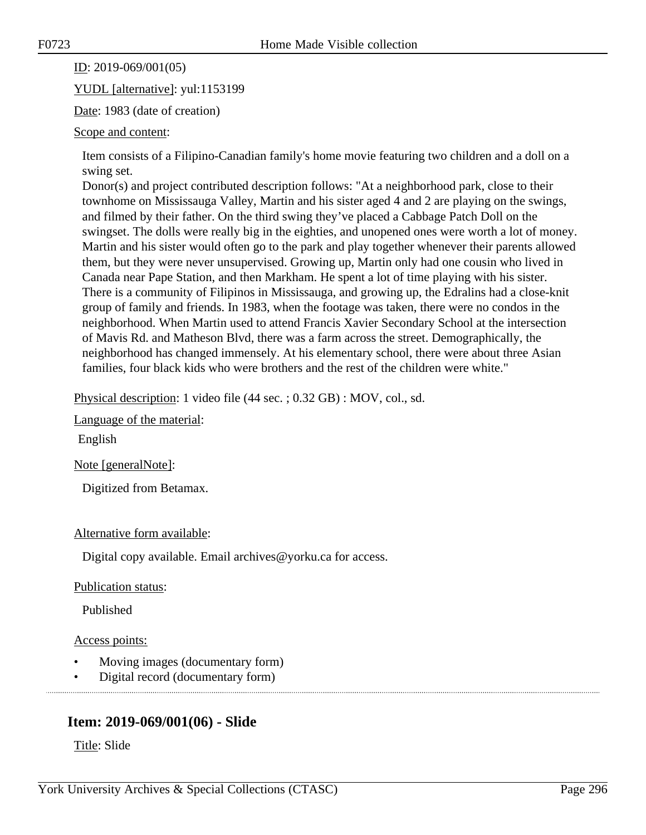ID: 2019-069/001(05)

YUDL [alternative]: yul:1153199

Date: 1983 (date of creation)

#### Scope and content:

Item consists of a Filipino-Canadian family's home movie featuring two children and a doll on a swing set.

Donor(s) and project contributed description follows: "At a neighborhood park, close to their townhome on Mississauga Valley, Martin and his sister aged 4 and 2 are playing on the swings, and filmed by their father. On the third swing they've placed a Cabbage Patch Doll on the swingset. The dolls were really big in the eighties, and unopened ones were worth a lot of money. Martin and his sister would often go to the park and play together whenever their parents allowed them, but they were never unsupervised. Growing up, Martin only had one cousin who lived in Canada near Pape Station, and then Markham. He spent a lot of time playing with his sister. There is a community of Filipinos in Mississauga, and growing up, the Edralins had a close-knit group of family and friends. In 1983, when the footage was taken, there were no condos in the neighborhood. When Martin used to attend Francis Xavier Secondary School at the intersection of Mavis Rd. and Matheson Blvd, there was a farm across the street. Demographically, the neighborhood has changed immensely. At his elementary school, there were about three Asian families, four black kids who were brothers and the rest of the children were white."

Physical description: 1 video file (44 sec. ; 0.32 GB) : MOV, col., sd.

Language of the material:

English

Note [generalNote]:

Digitized from Betamax.

Alternative form available:

Digital copy available. Email archives@yorku.ca for access.

Publication status:

Published

Access points:

- Moving images (documentary form)
- Digital record (documentary form)

# **Item: 2019-069/001(06) - Slide**

Title: Slide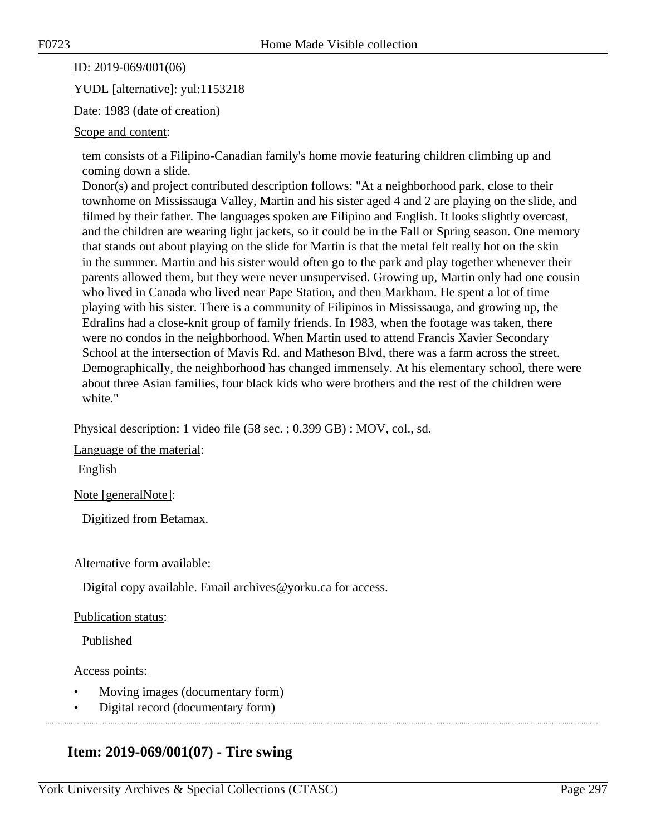ID: 2019-069/001(06)

YUDL [alternative]: yul:1153218

Date: 1983 (date of creation)

#### Scope and content:

tem consists of a Filipino-Canadian family's home movie featuring children climbing up and coming down a slide.

Donor(s) and project contributed description follows: "At a neighborhood park, close to their townhome on Mississauga Valley, Martin and his sister aged 4 and 2 are playing on the slide, and filmed by their father. The languages spoken are Filipino and English. It looks slightly overcast, and the children are wearing light jackets, so it could be in the Fall or Spring season. One memory that stands out about playing on the slide for Martin is that the metal felt really hot on the skin in the summer. Martin and his sister would often go to the park and play together whenever their parents allowed them, but they were never unsupervised. Growing up, Martin only had one cousin who lived in Canada who lived near Pape Station, and then Markham. He spent a lot of time playing with his sister. There is a community of Filipinos in Mississauga, and growing up, the Edralins had a close-knit group of family friends. In 1983, when the footage was taken, there were no condos in the neighborhood. When Martin used to attend Francis Xavier Secondary School at the intersection of Mavis Rd. and Matheson Blvd, there was a farm across the street. Demographically, the neighborhood has changed immensely. At his elementary school, there were about three Asian families, four black kids who were brothers and the rest of the children were white."

Physical description: 1 video file (58 sec. ; 0.399 GB) : MOV, col., sd.

Language of the material:

English

Note [generalNote]:

Digitized from Betamax.

### Alternative form available:

Digital copy available. Email archives@yorku.ca for access.

### Publication status:

Published

### Access points:

- Moving images (documentary form)
- Digital record (documentary form)

# **Item: 2019-069/001(07) - Tire swing**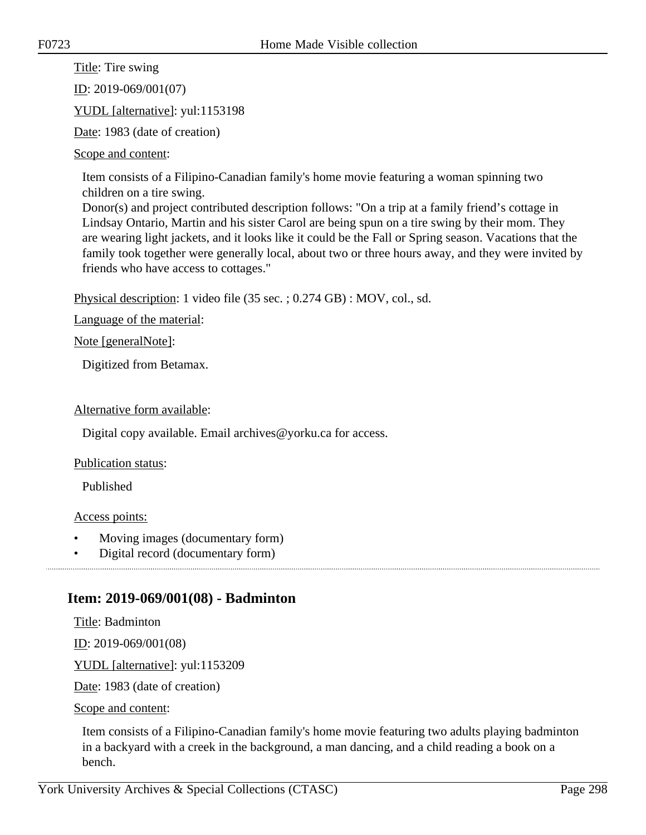Title: Tire swing

ID: 2019-069/001(07)

YUDL [alternative]: yul:1153198

Date: 1983 (date of creation)

#### Scope and content:

Item consists of a Filipino-Canadian family's home movie featuring a woman spinning two children on a tire swing.

Donor(s) and project contributed description follows: "On a trip at a family friend's cottage in Lindsay Ontario, Martin and his sister Carol are being spun on a tire swing by their mom. They are wearing light jackets, and it looks like it could be the Fall or Spring season. Vacations that the family took together were generally local, about two or three hours away, and they were invited by friends who have access to cottages."

Physical description: 1 video file (35 sec. ; 0.274 GB) : MOV, col., sd.

Language of the material:

Note [generalNote]:

Digitized from Betamax.

### Alternative form available:

Digital copy available. Email archives@yorku.ca for access.

### Publication status:

Published

### Access points:

- Moving images (documentary form)
- Digital record (documentary form)

# **Item: 2019-069/001(08) - Badminton**

Title: Badminton

ID: 2019-069/001(08)

YUDL [alternative]: yul:1153209

Date: 1983 (date of creation)

Scope and content:

Item consists of a Filipino-Canadian family's home movie featuring two adults playing badminton in a backyard with a creek in the background, a man dancing, and a child reading a book on a bench.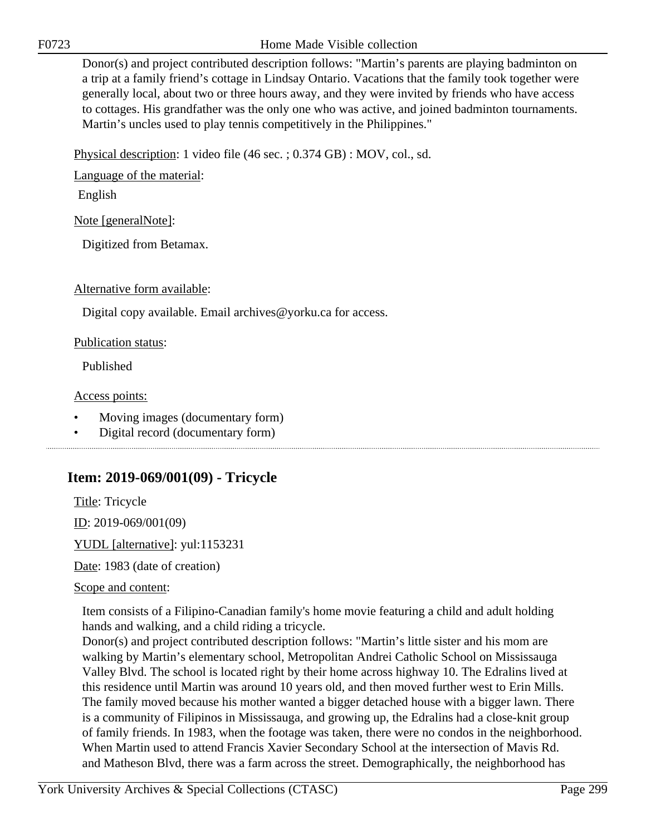F0723 Home Made Visible collection

Donor(s) and project contributed description follows: "Martin's parents are playing badminton on a trip at a family friend's cottage in Lindsay Ontario. Vacations that the family took together were generally local, about two or three hours away, and they were invited by friends who have access to cottages. His grandfather was the only one who was active, and joined badminton tournaments. Martin's uncles used to play tennis competitively in the Philippines."

Physical description: 1 video file (46 sec. ; 0.374 GB) : MOV, col., sd.

Language of the material:

English

Note [generalNote]:

Digitized from Betamax.

Alternative form available:

Digital copy available. Email archives@yorku.ca for access.

Publication status:

Published

Access points:

- Moving images (documentary form)
- Digital record (documentary form)

# **Item: 2019-069/001(09) - Tricycle**

Title: Tricycle

ID: 2019-069/001(09)

YUDL [alternative]: yul:1153231 Date: 1983 (date of creation)

Scope and content:

Item consists of a Filipino-Canadian family's home movie featuring a child and adult holding hands and walking, and a child riding a tricycle.

Donor(s) and project contributed description follows: "Martin's little sister and his mom are walking by Martin's elementary school, Metropolitan Andrei Catholic School on Mississauga Valley Blvd. The school is located right by their home across highway 10. The Edralins lived at this residence until Martin was around 10 years old, and then moved further west to Erin Mills. The family moved because his mother wanted a bigger detached house with a bigger lawn. There is a community of Filipinos in Mississauga, and growing up, the Edralins had a close-knit group of family friends. In 1983, when the footage was taken, there were no condos in the neighborhood. When Martin used to attend Francis Xavier Secondary School at the intersection of Mavis Rd. and Matheson Blvd, there was a farm across the street. Demographically, the neighborhood has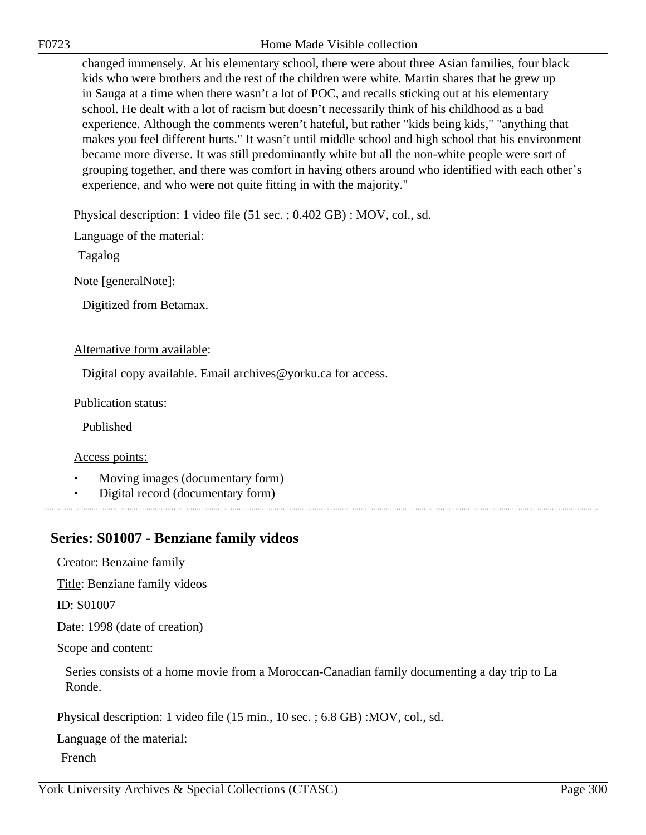F0723 Home Made Visible collection

changed immensely. At his elementary school, there were about three Asian families, four black kids who were brothers and the rest of the children were white. Martin shares that he grew up in Sauga at a time when there wasn't a lot of POC, and recalls sticking out at his elementary school. He dealt with a lot of racism but doesn't necessarily think of his childhood as a bad experience. Although the comments weren't hateful, but rather "kids being kids," "anything that makes you feel different hurts." It wasn't until middle school and high school that his environment became more diverse. It was still predominantly white but all the non-white people were sort of grouping together, and there was comfort in having others around who identified with each other's experience, and who were not quite fitting in with the majority."

Physical description: 1 video file (51 sec. ; 0.402 GB) : MOV, col., sd.

Language of the material:

Tagalog

Note [generalNote]:

Digitized from Betamax.

#### Alternative form available:

Digital copy available. Email archives@yorku.ca for access.

Publication status:

Published

Access points:

- Moving images (documentary form)
- Digital record (documentary form)

# **Series: S01007 - Benziane family videos**

Creator: Benzaine family

Title: Benziane family videos

ID: S01007

Date: 1998 (date of creation)

Scope and content:

Series consists of a home movie from a Moroccan-Canadian family documenting a day trip to La Ronde.

Physical description: 1 video file (15 min., 10 sec. ; 6.8 GB) :MOV, col., sd.

Language of the material:

French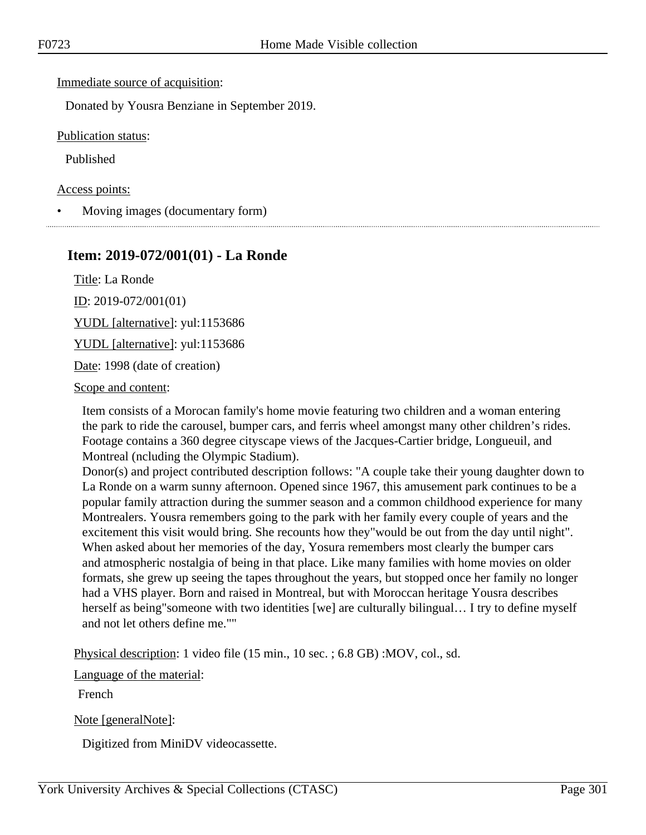Immediate source of acquisition:

Donated by Yousra Benziane in September 2019.

Publication status:

Published

Access points:

• Moving images (documentary form)

### **Item: 2019-072/001(01) - La Ronde**

Title: La Ronde ID: 2019-072/001(01)

YUDL [alternative]: yul:1153686

YUDL [alternative]: yul:1153686

Date: 1998 (date of creation)

Scope and content:

Item consists of a Morocan family's home movie featuring two children and a woman entering the park to ride the carousel, bumper cars, and ferris wheel amongst many other children's rides. Footage contains a 360 degree cityscape views of the Jacques-Cartier bridge, Longueuil, and Montreal (ncluding the Olympic Stadium).

Donor(s) and project contributed description follows: "A couple take their young daughter down to La Ronde on a warm sunny afternoon. Opened since 1967, this amusement park continues to be a popular family attraction during the summer season and a common childhood experience for many Montrealers. Yousra remembers going to the park with her family every couple of years and the excitement this visit would bring. She recounts how they"would be out from the day until night". When asked about her memories of the day, Yosura remembers most clearly the bumper cars and atmospheric nostalgia of being in that place. Like many families with home movies on older formats, she grew up seeing the tapes throughout the years, but stopped once her family no longer had a VHS player. Born and raised in Montreal, but with Moroccan heritage Yousra describes herself as being" someone with two identities [we] are culturally bilingual... I try to define myself and not let others define me.""

Physical description: 1 video file (15 min., 10 sec. ; 6.8 GB) :MOV, col., sd.

Language of the material:

French

Note [generalNote]:

Digitized from MiniDV videocassette.